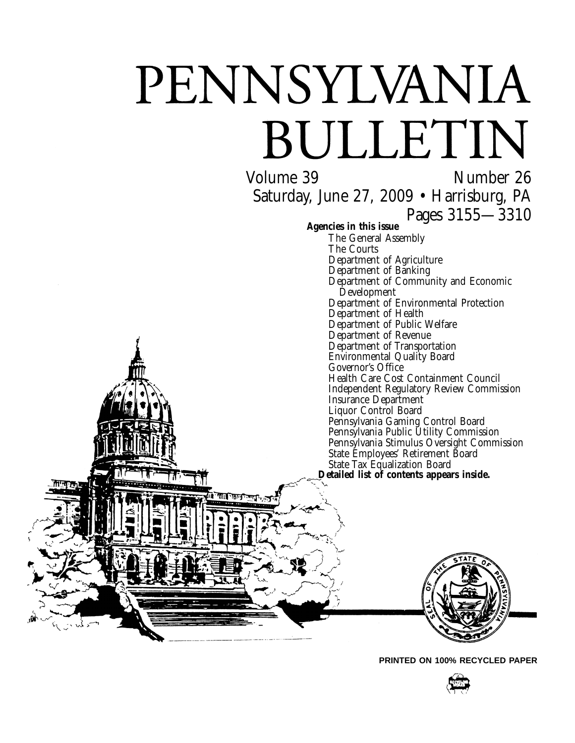# PENNSYLVANIA BULLETIN

Volume 39 Number 26 Saturday, June 27, 2009 • Harrisburg, PA Pages 3155—3310 **Agencies in this issue** The General Assembly The Courts Department of Agriculture Department of Banking Department of Community and Economic Development Department of Environmental Protection Department of Health Department of Public Welfare Department of Revenue Department of Transportation Environmental Quality Board Governor's Office Health Care Cost Containment Council Independent Regulatory Review Commission Insurance Department Liquor Control Board Pennsylvania Gaming Control Board Pennsylvania Public Utility Commission Pennsylvania Stimulus Oversight Commission State Employees' Retirement Board Detailed list of contents appears inside. ातान

**PRINTED ON 100% RECYCLED PAPER**

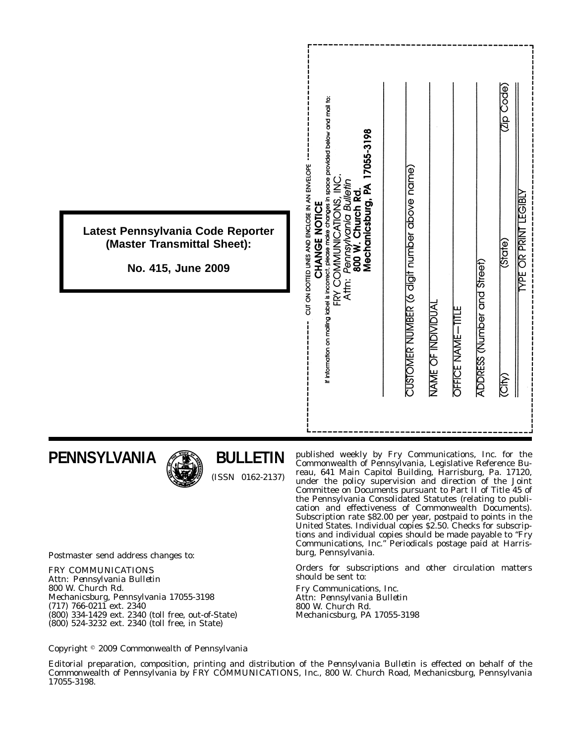|                                                                                        | space provided below and mail to:<br>17055-3198<br>$\geq$                                                                                                    | Code)<br>Code<br><b>LEGIBLY</b>                                            |
|----------------------------------------------------------------------------------------|--------------------------------------------------------------------------------------------------------------------------------------------------------------|----------------------------------------------------------------------------|
| Latest Pennsylvania Code Reporter<br>(Master Transmittal Sheet):<br>No. 415, June 2009 | CUT ON DOTTED LINES AND ENCLOSE IN AN ENVELOPE<br>: Pennsylvania Bulletin<br>800 W. Church Rd.<br>Mechanicsburg, PA 1<br>FRY COMMUNICATIONS<br>CHANGE NOTICE | <b>YPE OR PRINT</b><br>(State)                                             |
|                                                                                        | If information on mailing label is incorrect, please make changes in<br>Attn:                                                                                | CUSTOMER NUMBER (6 digit number above name)<br>ADDRESS (Number and Street) |
|                                                                                        |                                                                                                                                                              | NAME OF INDIVIDUAL<br><b>OFFICE NAME-TITLE</b><br>(City)                   |
|                                                                                        |                                                                                                                                                              |                                                                            |

## **PENNSYLVANIA**



## **BULLETIN**

(ISSN 0162-2137)

published weekly by Fry Communications, Inc. for the Commonwealth of Pennsylvania, Legislative Reference Bureau, 641 Main Capitol Building, Harrisburg, Pa. 17120, under the policy supervision and direction of the Joint Committee on Documents pursuant to Part II of Title 45 of the Pennsylvania Consolidated Statutes (relating to publication and effectiveness of Commonwealth Documents). Subscription rate \$82.00 per year, postpaid to points in the United States. Individual copies \$2.50. Checks for subscriptions and individual copies should be made payable to ''*Fry Communications, Inc.*'' Periodicals postage paid at Harrisburg, Pennsylvania.

Orders for subscriptions and other circulation matters should be sent to:

Fry Communications, Inc. Attn: *Pennsylvania Bulletin* 800 W. Church Rd. Mechanicsburg, PA 17055-3198

Postmaster send address changes to:

FRY COMMUNICATIONS Attn: *Pennsylvania Bulletin* 800 W. Church Rd. Mechanicsburg, Pennsylvania 17055-3198 (717) 766-0211 ext. 2340 (800) 334-1429 ext. 2340 (toll free, out-of-State) (800) 524-3232 ext. 2340 (toll free, in State)

Copyright 2009 Commonwealth of Pennsylvania

Editorial preparation, composition, printing and distribution of the *Pennsylvania Bulletin* is effected on behalf of the Commonwealth of Pennsylvania by FRY COMMUNICATIONS, Inc., 800 W. Church Road, Mechanicsburg, Pennsylvania 17055-3198.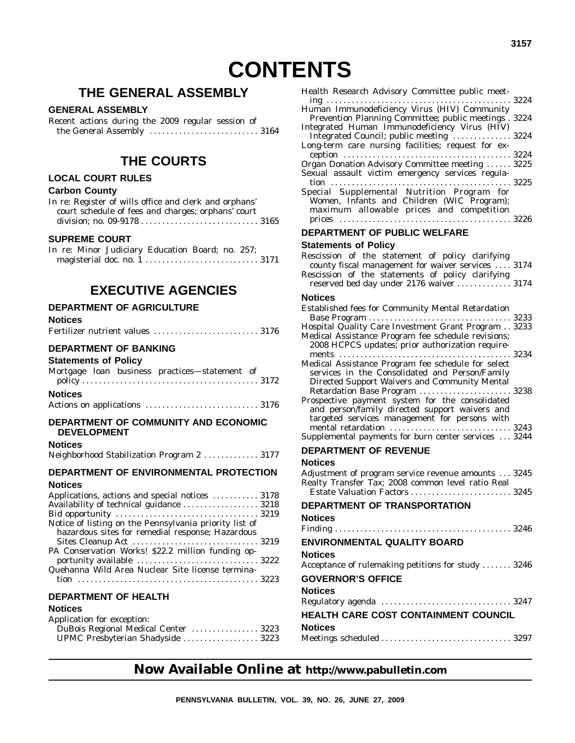## **THE GENERAL ASSEMBLY**

#### **GENERAL ASSEMBLY**

|  |  | Recent actions during the 2009 regular session of |  |
|--|--|---------------------------------------------------|--|
|  |  |                                                   |  |

## **THE COURTS**

#### **LOCAL COURT RULES**

#### **Carbon County**

| In re: Register of wills office and clerk and orphans' |  |
|--------------------------------------------------------|--|
| court schedule of fees and charges; orphans' court     |  |
|                                                        |  |

#### **SUPREME COURT**

|  |  | In re: Minor Judiciary Education Board; no. 257; |  |  |
|--|--|--------------------------------------------------|--|--|
|  |  |                                                  |  |  |

## **EXECUTIVE AGENCIES**

#### **DEPARTMENT OF AGRICULTURE**

#### **Notices**

|  | Fertilizer nutrient values  3176 |  |
|--|----------------------------------|--|
|--|----------------------------------|--|

#### **DEPARTMENT OF BANKING**

#### **Statements of Policy**

| Mortgage loan business practices—statement of |  |  |  |  |  |  |
|-----------------------------------------------|--|--|--|--|--|--|
|                                               |  |  |  |  |  |  |
| <b>Notices</b>                                |  |  |  |  |  |  |
|                                               |  |  |  |  |  |  |

#### **DEPARTMENT OF COMMUNITY AND ECONOMIC DEVELOPMENT**

#### **Notices**

|  |  |  | Neighborhood Stabilization Program 2  3177 |  |
|--|--|--|--------------------------------------------|--|
|--|--|--|--------------------------------------------|--|

#### **DEPARTMENT OF ENVIRONMENTAL PROTECTION**

#### **Notices**

| Applications, actions and special notices  3178                                                            |  |
|------------------------------------------------------------------------------------------------------------|--|
| Availability of technical guidance  3218                                                                   |  |
|                                                                                                            |  |
| Notice of listing on the Pennsylvania priority list of<br>hazardous sites for remedial response; Hazardous |  |
|                                                                                                            |  |
| PA Conservation Works! \$22.2 million funding op-                                                          |  |
|                                                                                                            |  |
| Quehanna Wild Area Nuclear Site license termina-                                                           |  |

#### **DEPARTMENT OF HEALTH**

#### **Notices**

| Application for exception:           |  |
|--------------------------------------|--|
| DuBois Regional Medical Center  3223 |  |
| UPMC Presbyterian Shadyside  3223    |  |

| Health Research Advisory Committee public meet-                                                           |  |
|-----------------------------------------------------------------------------------------------------------|--|
| Human Immunodeficiency Virus (HIV) Community                                                              |  |
| Prevention Planning Committee; public meetings . 3224                                                     |  |
| Integrated Human Immunodeficiency Virus (HIV)<br>Integrated Council; public meeting  3224                 |  |
| Long-term care nursing facilities; request for ex-                                                        |  |
|                                                                                                           |  |
| Organ Donation Advisory Committee meeting  3225<br>Sexual assault victim emergency services regula-       |  |
| Special Supplemental Nutrition Program for                                                                |  |
| Women, Infants and Children (WIC Program);                                                                |  |
| maximum allowable prices and competition                                                                  |  |
| DEPARTMENT OF PUBLIC WELFARE                                                                              |  |
| <b>Statements of Policy</b>                                                                               |  |
| Rescission of the statement of policy clarifying                                                          |  |
| county fiscal management for waiver services  3174                                                        |  |
| Rescission of the statements of policy clarifying                                                         |  |
| reserved bed day under 2176 waiver  3174                                                                  |  |
| Notices                                                                                                   |  |
| <b>Established fees for Community Mental Retardation</b>                                                  |  |
|                                                                                                           |  |
| Hospital Quality Care Investment Grant Program 3233<br>Medical Assistance Program fee schedule revisions; |  |
| 2008 HCPCS updates; prior authorization require-                                                          |  |
| Medical Assistance Program fee schedule for select                                                        |  |
| services in the Consolidated and Person/Family<br>Directed Support Waivers and Community Mental           |  |
| Retardation Base Program  3238                                                                            |  |
| Prospective payment system for the consolidated                                                           |  |
| and person/family directed support waivers and<br>targeted services management for persons with           |  |
| mental retardation  3243                                                                                  |  |
| Supplemental payments for burn center services  3244                                                      |  |
| DEPARTMENT OF REVENUE                                                                                     |  |
| Notices                                                                                                   |  |
| Adjustment of program service revenue amounts  3245                                                       |  |
| Realty Transfer Tax; 2008 common level ratio Real<br>Estate Valuation Factors<br>. 3245                   |  |
| DEPARTMENT OF TRANSPORTATION                                                                              |  |
| Notices                                                                                                   |  |
| $\ldots \ldots 3246$<br>Finding $\dots$<br>.                                                              |  |
| ENVIRONMENTAL QUALITY BOARD                                                                               |  |
| Notices                                                                                                   |  |
| Acceptance of rulemaking petitions for study  3246                                                        |  |

## **GOVERNOR'S OFFICE**

#### **Notices** Regulatory agenda ............................... 3247 **HEALTH CARE COST CONTAINMENT COUNCIL Notices**

|--|--|

## **Now Available Online at http://www.pabulletin.com**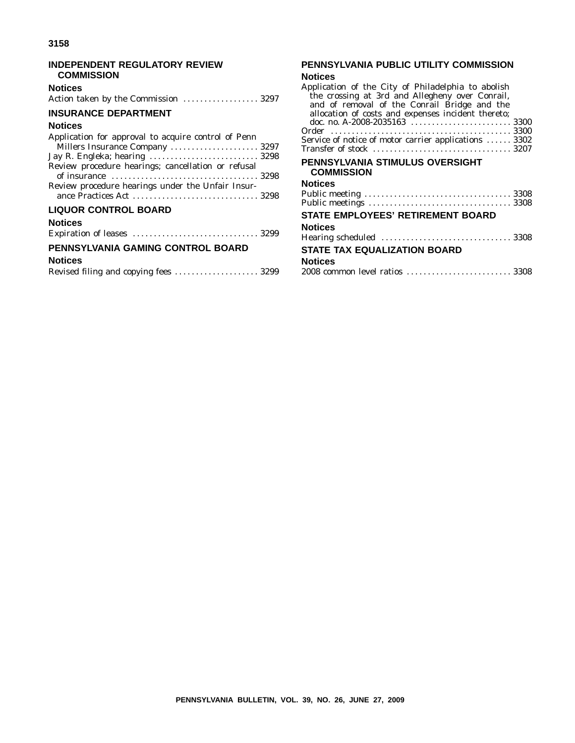#### **INDEPENDENT REGULATORY REVIEW COMMISSION**

#### **Notices**

| Action taken by the Commission  3297 |  |
|--------------------------------------|--|
|--------------------------------------|--|

#### **INSURANCE DEPARTMENT**

#### **Notices**

| Application for approval to acquire control of Penn |  |
|-----------------------------------------------------|--|
| Millers Insurance Company  3297                     |  |
| Jay R. Engleka; hearing  3298                       |  |
| Review procedure hearings; cancellation or refusal  |  |
| Review procedure hearings under the Unfair Insur-   |  |
| <b>LIQUOR CONTROL BOARD</b>                         |  |

#### **Notices**

#### **PENNSYLVANIA GAMING CONTROL BOARD**

#### **Notices**

|  | Revised filing and copying fees  3299 |  |
|--|---------------------------------------|--|
|  |                                       |  |

## **PENNSYLVANIA PUBLIC UTILITY COMMISSION**

## **Notices**

| Application of the City of Philadelphia to abolish<br>the crossing at 3rd and Allegheny over Conrail,<br>and of removal of the Conrail Bridge and the<br>allocation of costs and expenses incident thereto;<br>Service of notice of motor carrier applications  3302 |      |
|----------------------------------------------------------------------------------------------------------------------------------------------------------------------------------------------------------------------------------------------------------------------|------|
| PENNSYLVANIA STIMULUS OVERSIGHT<br>COMMISSION                                                                                                                                                                                                                        |      |
| <b>Notices</b><br>Dublic mooting                                                                                                                                                                                                                                     | 3308 |
|                                                                                                                                                                                                                                                                      |      |

| <b>STATE EMPLOYEES' RETIREMENT BOARD</b> |  |
|------------------------------------------|--|
| <b>Notices</b>                           |  |
|                                          |  |
| <b>STATE TAX EQUALIZATION BOARD</b>      |  |
| <b>Notices</b>                           |  |
|                                          |  |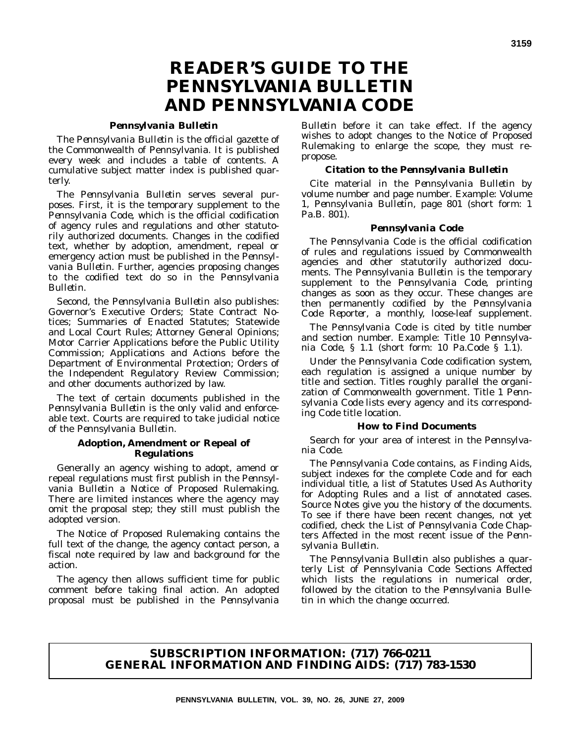## **READER'S GUIDE TO THE** *PENNSYLVANIA BULLETIN* **AND** *PENNSYLVANIA CODE*

#### *Pennsylvania Bulletin*

The *Pennsylvania Bulletin* is the official gazette of the Commonwealth of Pennsylvania. It is published every week and includes a table of contents. A cumulative subject matter index is published quarterly.

The *Pennsylvania Bulletin* serves several purposes. First, it is the temporary supplement to the *Pennsylvania Code*, which is the official codification of agency rules and regulations and other statutorily authorized documents. Changes in the codified text, whether by adoption, amendment, repeal or emergency action must be published in the *Pennsylvania Bulletin*. Further, agencies proposing changes to the codified text do so in the *Pennsylvania Bulletin*.

Second, the *Pennsylvania Bulletin* also publishes: Governor's Executive Orders; State Contract Notices; Summaries of Enacted Statutes; Statewide and Local Court Rules; Attorney General Opinions; Motor Carrier Applications before the Public Utility Commission; Applications and Actions before the Department of Environmental Protection; Orders of the Independent Regulatory Review Commission; and other documents authorized by law.

The text of certain documents published in the *Pennsylvania Bulletin* is the only valid and enforceable text. Courts are required to take judicial notice of the *Pennsylvania Bulletin*.

#### **Adoption, Amendment or Repeal of Regulations**

Generally an agency wishing to adopt, amend or repeal regulations must first publish in the *Pennsylvania Bulletin* a Notice of Proposed Rulemaking. There are limited instances where the agency may omit the proposal step; they still must publish the adopted version.

The Notice of Proposed Rulemaking contains the full text of the change, the agency contact person, a fiscal note required by law and background for the action.

The agency then allows sufficient time for public comment before taking final action. An adopted proposal must be published in the *Pennsylvania*

*Bulletin* before it can take effect. If the agency wishes to adopt changes to the Notice of Proposed Rulemaking to enlarge the scope, they must repropose.

#### **Citation to the** *Pennsylvania Bulletin*

Cite material in the *Pennsylvania Bulletin* by volume number and page number. Example: Volume 1, *Pennsylvania Bulletin*, page 801 (short form: 1 Pa.B. 801).

#### *Pennsylvania Code*

The *Pennsylvania Code* is the official codification of rules and regulations issued by Commonwealth agencies and other statutorily authorized documents. The *Pennsylvania Bulletin* is the temporary supplement to the *Pennsylvania Code*, printing changes as soon as they occur. These changes are then permanently codified by the *Pennsylvania Code Reporter*, a monthly, loose-leaf supplement.

The *Pennsylvania Code* is cited by title number and section number. Example: Title 10 *Pennsylvania Code*, § 1.1 (short form: 10 Pa.Code § 1.1).

Under the *Pennsylvania Code* codification system, each regulation is assigned a unique number by title and section. Titles roughly parallel the organization of Commonwealth government. Title 1 *Pennsylvania Code* lists every agency and its corresponding *Code* title location.

#### **How to Find Documents**

Search for your area of interest in the *Pennsylvania Code*.

The *Pennsylvania Code* contains, as Finding Aids, subject indexes for the complete *Code* and for each individual title, a list of Statutes Used As Authority for Adopting Rules and a list of annotated cases. Source Notes give you the history of the documents. To see if there have been recent changes, not yet codified, check the List of *Pennsylvania Code* Chapters Affected in the most recent issue of the *Pennsylvania Bulletin*.

The *Pennsylvania Bulletin* also publishes a quarterly List of Pennsylvania Code Sections Affected which lists the regulations in numerical order, followed by the citation to the *Pennsylvania Bulletin* in which the change occurred.

#### **SUBSCRIPTION INFORMATION: (717) 766-0211 GENERAL INFORMATION AND FINDING AIDS: (717) 783-1530**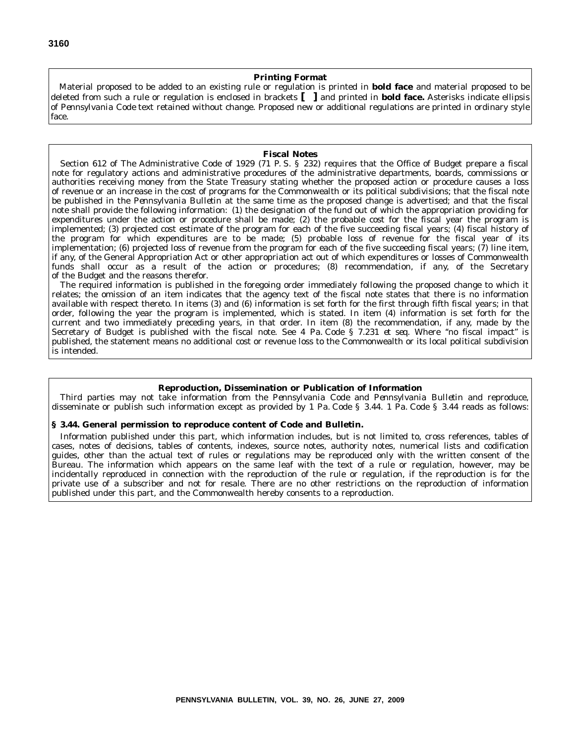#### **Printing Format**

Material proposed to be added to an existing rule or regulation is printed in **bold face** and material proposed to be deleted from such a rule or regulation is enclosed in brackets **[ ]** and printed in **bold face.** Asterisks indicate ellipsis of *Pennsylvania Code* text retained without change. Proposed new or additional regulations are printed in ordinary style face.

#### **Fiscal Notes**

Section 612 of The Administrative Code of 1929 (71 P. S. § 232) requires that the Office of Budget prepare a fiscal note for regulatory actions and administrative procedures of the administrative departments, boards, commissions or authorities receiving money from the State Treasury stating whether the proposed action or procedure causes a loss of revenue or an increase in the cost of programs for the Commonwealth or its political subdivisions; that the fiscal note be published in the *Pennsylvania Bulletin* at the same time as the proposed change is advertised; and that the fiscal note shall provide the following information: (1) the designation of the fund out of which the appropriation providing for expenditures under the action or procedure shall be made; (2) the probable cost for the fiscal year the program is implemented; (3) projected cost estimate of the program for each of the five succeeding fiscal years; (4) fiscal history of the program for which expenditures are to be made; (5) probable loss of revenue for the fiscal year of its implementation; (6) projected loss of revenue from the program for each of the five succeeding fiscal years; (7) line item, if any, of the General Appropriation Act or other appropriation act out of which expenditures or losses of Commonwealth funds shall occur as a result of the action or procedures; (8) recommendation, if any, of the Secretary of the Budget and the reasons therefor.

The required information is published in the foregoing order immediately following the proposed change to which it relates; the omission of an item indicates that the agency text of the fiscal note states that there is no information available with respect thereto. In items (3) and (6) information is set forth for the first through fifth fiscal years; in that order, following the year the program is implemented, which is stated. In item (4) information is set forth for the current and two immediately preceding years, in that order. In item (8) the recommendation, if any, made by the Secretary of Budget is published with the fiscal note. See 4 Pa. Code § 7.231 *et seq.* Where ''no fiscal impact'' is published, the statement means no additional cost or revenue loss to the Commonwealth or its local political subdivision is intended.

#### **Reproduction, Dissemination or Publication of Information**

Third parties may not take information from the *Pennsylvania Code* and *Pennsylvania Bulletin* and reproduce, disseminate or publish such information except as provided by 1 Pa. Code § 3.44. 1 Pa. Code § 3.44 reads as follows:

#### **§ 3.44. General permission to reproduce content of Code and Bulletin.**

Information published under this part, which information includes, but is not limited to, cross references, tables of cases, notes of decisions, tables of contents, indexes, source notes, authority notes, numerical lists and codification guides, other than the actual text of rules or regulations may be reproduced only with the written consent of the Bureau. The information which appears on the same leaf with the text of a rule or regulation, however, may be incidentally reproduced in connection with the reproduction of the rule or regulation, if the reproduction is for the private use of a subscriber and not for resale. There are no other restrictions on the reproduction of information published under this part, and the Commonwealth hereby consents to a reproduction.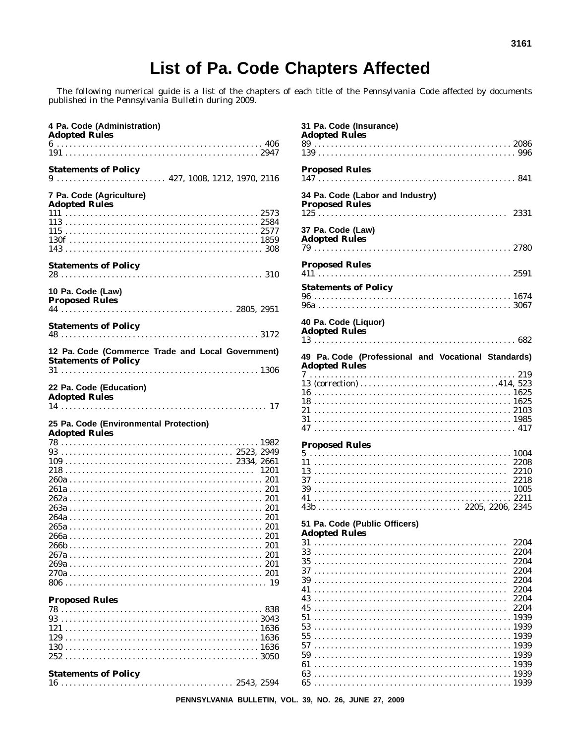## List of Pa. Code Chapters Affected

The following numerical guide is a list of the chapters of each title of the *Pennsylvania Code* affected by documents published in the *Pennsylvania Bulletin* during 2009.

| 4 Pa. Code (Administration)<br><b>Adopted Rules</b>                                                      |  |
|----------------------------------------------------------------------------------------------------------|--|
|                                                                                                          |  |
| <b>Statements of Policy</b><br>$9 \ldots \ldots \ldots \ldots \ldots \ldots$ 427, 1008, 1212, 1970, 2116 |  |
| 7 Pa. Code (Agriculture)<br><b>Adopted Rules</b>                                                         |  |
|                                                                                                          |  |
|                                                                                                          |  |
|                                                                                                          |  |
|                                                                                                          |  |
|                                                                                                          |  |
| <b>Statements of Policy</b>                                                                              |  |
| 10 Pa. Code (Law)<br><b>Proposed Rules</b>                                                               |  |
|                                                                                                          |  |
| <b>Statements of Policy</b>                                                                              |  |
| 12 Pa. Code (Commerce Trade and Local Government)                                                        |  |
| <b>Statements of Policy</b>                                                                              |  |
|                                                                                                          |  |
| 22 Pa. Code (Education)<br><b>Adopted Rules</b>                                                          |  |
|                                                                                                          |  |
| 25 Pa. Code (Environmental Protection)                                                                   |  |
| <b>Adopted Rules</b>                                                                                     |  |
|                                                                                                          |  |
|                                                                                                          |  |
|                                                                                                          |  |
|                                                                                                          |  |
|                                                                                                          |  |
|                                                                                                          |  |
|                                                                                                          |  |
|                                                                                                          |  |
|                                                                                                          |  |
|                                                                                                          |  |
|                                                                                                          |  |
|                                                                                                          |  |
|                                                                                                          |  |
|                                                                                                          |  |
|                                                                                                          |  |
|                                                                                                          |  |
| <b>Proposed Rules</b>                                                                                    |  |
|                                                                                                          |  |
|                                                                                                          |  |

#### **Statements of Policy**

|  |  | <u> - ---------- -- - - ----,</u> |  |  |  |  |  |  |  |  |  |  |  |  |  |  |  |  |  |
|--|--|-----------------------------------|--|--|--|--|--|--|--|--|--|--|--|--|--|--|--|--|--|
|  |  |                                   |  |  |  |  |  |  |  |  |  |  |  |  |  |  |  |  |  |

| 31 Pa. Code (Insurance)<br><b>Adopted Rules</b>                             |  |
|-----------------------------------------------------------------------------|--|
|                                                                             |  |
| <b>Proposed Rules</b><br>147                                                |  |
| 34 Pa. Code (Labor and Industry)<br><b>Proposed Rules</b>                   |  |
| 37 Pa. Code (Law)<br><b>Adopted Rules</b>                                   |  |
| <b>Proposed Rules</b>                                                       |  |
| <b>Statements of Policy</b>                                                 |  |
|                                                                             |  |
| 40 Pa. Code (Liquor)<br><b>Adopted Rules</b>                                |  |
|                                                                             |  |
| 49 Pa. Code (Professional and Vocational Standards)<br><b>Adopted Rules</b> |  |
|                                                                             |  |
|                                                                             |  |
|                                                                             |  |
|                                                                             |  |
|                                                                             |  |
|                                                                             |  |
|                                                                             |  |
| <b>Proposed Rules</b>                                                       |  |
|                                                                             |  |
| 2208                                                                        |  |
| 2210<br>2218                                                                |  |
|                                                                             |  |
|                                                                             |  |
|                                                                             |  |
| 51 Pa. Code (Public Officers)                                               |  |
| <b>Adopted Rules</b>                                                        |  |
| 31<br>2204                                                                  |  |
| 33<br>2204<br>35<br>2204                                                    |  |
| 2204                                                                        |  |
| 39<br>2204                                                                  |  |
| 2204<br>41                                                                  |  |
| 2204<br>43                                                                  |  |
| 2204<br>45                                                                  |  |
| 51<br>53                                                                    |  |
| 55                                                                          |  |
| 57                                                                          |  |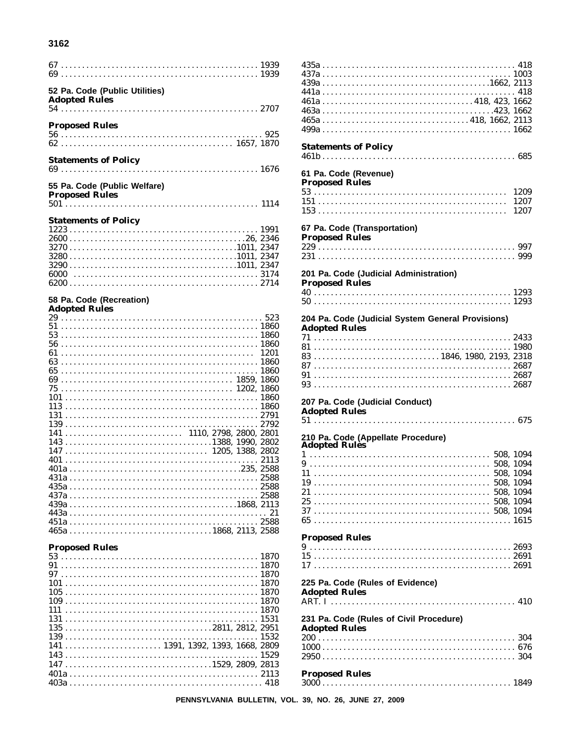#### 3162

| 52 Pa. Code (Public Utilities)<br><b>Adopted Rules</b>                                                     |      |
|------------------------------------------------------------------------------------------------------------|------|
|                                                                                                            |      |
| <b>Proposed Rules</b>                                                                                      |      |
|                                                                                                            |      |
|                                                                                                            |      |
| <b>Statements of Policy</b>                                                                                |      |
|                                                                                                            |      |
| 55 Pa. Code (Public Welfare)                                                                               |      |
| <b>Proposed Rules</b>                                                                                      |      |
|                                                                                                            |      |
| <b>Statements of Policy</b>                                                                                |      |
|                                                                                                            |      |
|                                                                                                            |      |
|                                                                                                            |      |
|                                                                                                            |      |
| 6000                                                                                                       |      |
|                                                                                                            |      |
| 58 Pa. Code (Recreation)                                                                                   |      |
| <b>Adopted Rules</b>                                                                                       |      |
|                                                                                                            |      |
|                                                                                                            |      |
|                                                                                                            |      |
|                                                                                                            |      |
|                                                                                                            |      |
| 69                                                                                                         |      |
|                                                                                                            |      |
|                                                                                                            |      |
|                                                                                                            |      |
|                                                                                                            |      |
|                                                                                                            |      |
| $147 \ldots \ldots \ldots \ldots \ldots \ldots \ldots \ldots \ldots \ldots \ldots \ldots 1205, 1388, 2802$ |      |
|                                                                                                            |      |
|                                                                                                            |      |
|                                                                                                            | 2588 |
|                                                                                                            |      |
|                                                                                                            |      |
|                                                                                                            |      |
|                                                                                                            |      |
|                                                                                                            |      |
| <b>Proposed Rules</b>                                                                                      |      |
|                                                                                                            |      |
|                                                                                                            |      |
|                                                                                                            |      |
|                                                                                                            |      |
|                                                                                                            |      |
|                                                                                                            |      |
| $135 \ldots \ldots \ldots \ldots \ldots \ldots \ldots \ldots \ldots \ldots \ldots \ldots 2811, 2812, 2951$ |      |
| 141  1391, 1392, 1393, 1668, 2809                                                                          |      |
|                                                                                                            |      |
|                                                                                                            |      |
|                                                                                                            |      |
|                                                                                                            |      |
|                                                                                                            |      |

| <b>Statements of Policy</b>                                    |
|----------------------------------------------------------------|
| 61 Pa. Code (Revenue)<br><b>Proposed Rules</b><br>1209<br>1207 |
| 67 Pa. Code (Transportation)<br><b>Proposed Rules</b>          |
|                                                                |
| 201 Pa. Code (Judicial Administration)                         |
| <b>Proposed Rules</b>                                          |
|                                                                |
| 204 Pa. Code (Judicial System General Provisions)              |
| <b>Adopted Rules</b>                                           |
| 207 Pa. Code (Judicial Conduct)<br><b>Adopted Rules</b>        |
| 210 Pa. Çode (Appellate Procedure)                             |
| <b>Adopted Rules</b>                                           |
|                                                                |
|                                                                |
|                                                                |
|                                                                |
|                                                                |
|                                                                |
| <b>Proposed Rules</b>                                          |
|                                                                |
|                                                                |
| 225 Pa. Code (Rules of Evidence)<br><b>Adopted Rules</b>       |
| 231 Pa. Code (Rules of Civil Procedure)                        |
| <b>Adopted Rules</b>                                           |
|                                                                |
|                                                                |
| <b>Proposed Rules</b>                                          |
|                                                                |

PENNSYLVANIA BULLETIN, VOL. 39, NO. 26, JUNE 27, 2009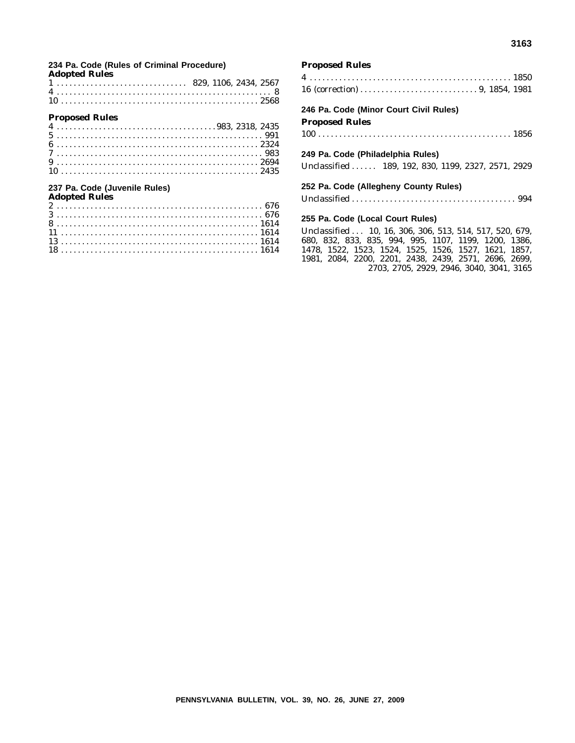#### **Adopted Rules** 829, 1106, 2434, 2567

**234 Pa. Code (Rules of Criminal Procedure)**

#### **Proposed Rules**

#### **237 Pa. Code (Juvenile Rules)**

| <b>Adopted Rules</b> |  |
|----------------------|--|
|                      |  |
|                      |  |
|                      |  |
|                      |  |
|                      |  |
|                      |  |

#### **Proposed Rules**

#### **246 Pa. Code (Minor Court Civil Rules) Proposed Rules**

100 . . . . . . . . . . . . . . . . . . . . . . . . . . . . . . . . . . . . . . . . . . . . . . 1856

#### **249 Pa. Code (Philadelphia Rules)**

Unclassified ...... 189, 192, 830, 1199, 2327, 2571, 2929

#### **252 Pa. Code (Allegheny County Rules)**

Unclassified . . . . . . . . . . . . . . . . . . . . . . . . . . . . . . . . . . . . . . . 994

#### **255 Pa. Code (Local Court Rules)**

Unclassified . . . 10, 16, 306, 306, 513, 514, 517, 520, 679, 680, 832, 833, 835, 994, 995, 1107, 1199, 1200, 1386, 1478, 1522, 1523, 1524, 1525, 1526, 1527, 1621, 1857, 1981, 2084, 2200, 2201, 2438, 2439, 2571, 2696, 2699, 2703, 2705, 2929, 2946, 3040, 3041, 3165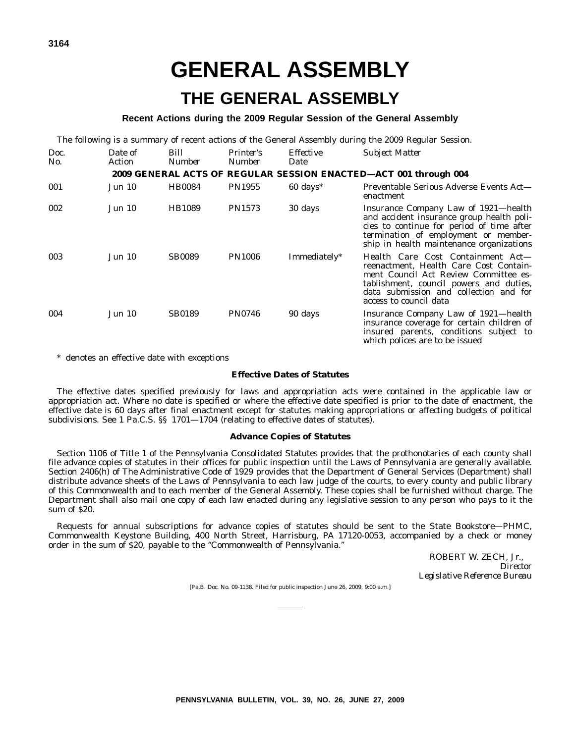## **GENERAL ASSEMBLY**

## **THE GENERAL ASSEMBLY**

#### **Recent Actions during the 2009 Regular Session of the General Assembly**

The following is a summary of recent actions of the General Assembly during the 2009 Regular Session.

| Doc.<br>No. | Date of<br>Action | Bill<br><b>Number</b> | <i>Printer's</i><br><b>Number</b> | <b>Effective</b><br>Date | <b>Subject Matter</b>                                                                                                                                                                                                               |
|-------------|-------------------|-----------------------|-----------------------------------|--------------------------|-------------------------------------------------------------------------------------------------------------------------------------------------------------------------------------------------------------------------------------|
|             |                   |                       |                                   |                          | 2009 GENERAL ACTS OF REGULAR SESSION ENACTED-ACT 001 through 004                                                                                                                                                                    |
| 001         | Jun 10            | <b>HB0084</b>         | <b>PN1955</b>                     | $60 \text{ days}^*$      | Preventable Serious Adverse Events Act—<br>enactment                                                                                                                                                                                |
| 002         | Jun 10            | HB1089                | <b>PN1573</b>                     | 30 days                  | Insurance Company Law of 1921—health<br>and accident insurance group health poli-<br>cies to continue for period of time after<br>termination of employment or member-<br>ship in health maintenance organizations                  |
| 003         | <b>Jun 10</b>     | <b>SB0089</b>         | <b>PN1006</b>                     | Immediately*             | Health Care Cost Containment Act-<br>reenactment, Health Care Cost Contain-<br>ment Council Act Review Committee es-<br>tablishment, council powers and duties,<br>data submission and collection and for<br>access to council data |
| 004         | <b>Jun 10</b>     | <b>SB0189</b>         | <b>PN0746</b>                     | 90 days                  | Insurance Company Law of 1921—health<br>insurance coverage for certain children of<br>insured parents, conditions subject to<br>which polices are to be issued                                                                      |

\* denotes an effective date with exceptions

#### **Effective Dates of Statutes**

The effective dates specified previously for laws and appropriation acts were contained in the applicable law or appropriation act. Where no date is specified or where the effective date specified is prior to the date of enactment, the effective date is 60 days after final enactment except for statutes making appropriations or affecting budgets of political subdivisions. See 1 Pa.C.S. §§ 1701—1704 (relating to effective dates of statutes).

#### **Advance Copies of Statutes**

Section 1106 of Title 1 of the *Pennsylvania Consolidated Statutes* provides that the prothonotaries of each county shall file advance copies of statutes in their offices for public inspection until the *Laws of Pennsylvania* are generally available. Section 2406(h) of The Administrative Code of 1929 provides that the Department of General Services (Department) shall distribute advance sheets of the *Laws of Pennsylvania* to each law judge of the courts, to every county and public library of this Commonwealth and to each member of the General Assembly. These copies shall be furnished without charge. The Department shall also mail one copy of each law enacted during any legislative session to any person who pays to it the sum of \$20.

Requests for annual subscriptions for advance copies of statutes should be sent to the State Bookstore—PHMC, Commonwealth Keystone Building, 400 North Street, Harrisburg, PA 17120-0053, accompanied by a check or money order in the sum of \$20, payable to the ''Commonwealth of Pennsylvania.''

> ROBERT W. ZECH, Jr., *Director Legislative Reference Bureau*

[Pa.B. Doc. No. 09-1138. Filed for public inspection June 26, 2009, 9:00 a.m.]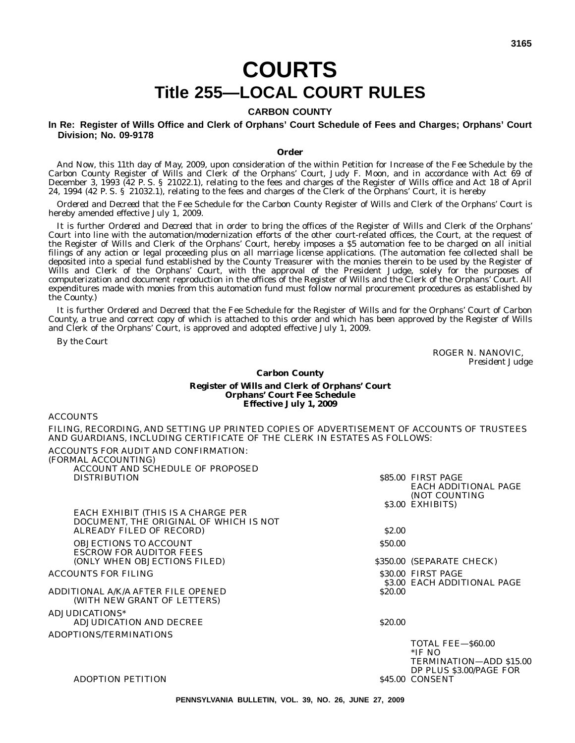## **COURTS Title 255—LOCAL COURT RULES**

#### **CARBON COUNTY**

**In Re: Register of Wills Office and Clerk of Orphans' Court Schedule of Fees and Charges; Orphans' Court Division; No. 09-9178**

#### **Order**

*And Now*, this 11th day of May, 2009, upon consideration of the within Petition for Increase of the Fee Schedule by the Carbon County Register of Wills and Clerk of the Orphans' Court, Judy F. Moon, and in accordance with Act 69 of December 3, 1993 (42 P. S. § 21022.1), relating to the fees and charges of the Register of Wills office and Act 18 of April 24, 1994 (42 P. S. § 21032.1), relating to the fees and charges of the Clerk of the Orphans' Court, it is hereby

*Ordered* and *Decreed* that the Fee Schedule for the Carbon County Register of Wills and Clerk of the Orphans' Court is hereby amended effective July 1, 2009.

It is further *Ordered* and *Decreed* that in order to bring the offices of the Register of Wills and Clerk of the Orphans' Court into line with the automation/modernization efforts of the other court-related offices, the Court, at the request of the Register of Wills and Clerk of the Orphans' Court, hereby imposes a \$5 automation fee to be charged on all initial filings of any action or legal proceeding plus on all marriage license applications. (The automation fee collected shall be deposited into a special fund established by the County Treasurer with the monies therein to be used by the Register of Wills and Clerk of the Orphans' Court, with the approval of the President Judge, solely for the purposes of computerization and document reproduction in the offices of the Register of Wills and the Clerk of the Orphans' Court. All expenditures made with monies from this automation fund must follow normal procurement procedures as established by the County.)

It is further *Ordered* and *Decreed* that the Fee Schedule for the Register of Wills and for the Orphans' Court of Carbon County, a true and correct copy of which is attached to this order and which has been approved by the Register of Wills and Clerk of the Orphans' Court, is approved and adopted effective July 1, 2009.

*By the Court*

A CCOUNTS

ROGER N. NANOVIC, *President Judge*

DP PLUS \$3.00/PAGE FOR

\$45.00 CONSENT

#### **Carbon County**

#### **Register of Wills and Clerk of Orphans' Court Orphans' Court Fee Schedule Effective July 1, 2009**

| AUUUNID                                                                                                                                                               |              |                                                   |
|-----------------------------------------------------------------------------------------------------------------------------------------------------------------------|--------------|---------------------------------------------------|
| FILING, RECORDING, AND SETTING UP PRINTED COPIES OF ADVERTISEMENT OF ACCOUNTS OF TRUSTEES<br>AND GUARDIANS, INCLUDING CERTIFICATE OF THE CLERK IN ESTATES AS FOLLOWS: |              |                                                   |
| ACCOUNTS FOR AUDIT AND CONFIRMATION:<br>(FORMAL ACCOUNTING)                                                                                                           |              |                                                   |
| ACCOUNT AND SCHEDULE OF PROPOSED<br><b>DISTRIBUTION</b>                                                                                                               |              | \$85.00 FIRST PAGE<br><b>EACH ADDITIONAL PAGE</b> |
|                                                                                                                                                                       |              | (NOT COUNTING<br>\$3.00 EXHIBITS)                 |
| EACH EXHIBIT (THIS IS A CHARGE PER<br>DOCUMENT, THE ORIGINAL OF WHICH IS NOT                                                                                          |              |                                                   |
| ALREADY FILED OF RECORD)                                                                                                                                              | <b>S2.00</b> |                                                   |
| <b>OBJECTIONS TO ACCOUNT</b><br><b>ESCROW FOR AUDITOR FEES</b>                                                                                                        | \$50.00      |                                                   |
| (ONLY WHEN OBJECTIONS FILED)                                                                                                                                          |              | \$350.00 (SEPARATE CHECK)                         |
| <b>ACCOUNTS FOR FILING</b>                                                                                                                                            |              | \$30.00 FIRST PAGE<br>\$3.00 EACH ADDITIONAL PAGE |
| ADDITIONAL A/K/A AFTER FILE OPENED<br>(WITH NEW GRANT OF LETTERS)                                                                                                     | \$20.00      |                                                   |
| ADJUDICATIONS*                                                                                                                                                        |              |                                                   |
| ADJUDICATION AND DECREE                                                                                                                                               | \$20.00      |                                                   |
| ADOPTIONS/TERMINATIONS                                                                                                                                                |              |                                                   |
|                                                                                                                                                                       |              | <b>TOTAL FEE-860.00</b><br>$*$ IF NO              |
|                                                                                                                                                                       |              | TERMINATION—ADD \$15.00                           |

#### ADOPTION PETITION

**PENNSYLVANIA BULLETIN, VOL. 39, NO. 26, JUNE 27, 2009**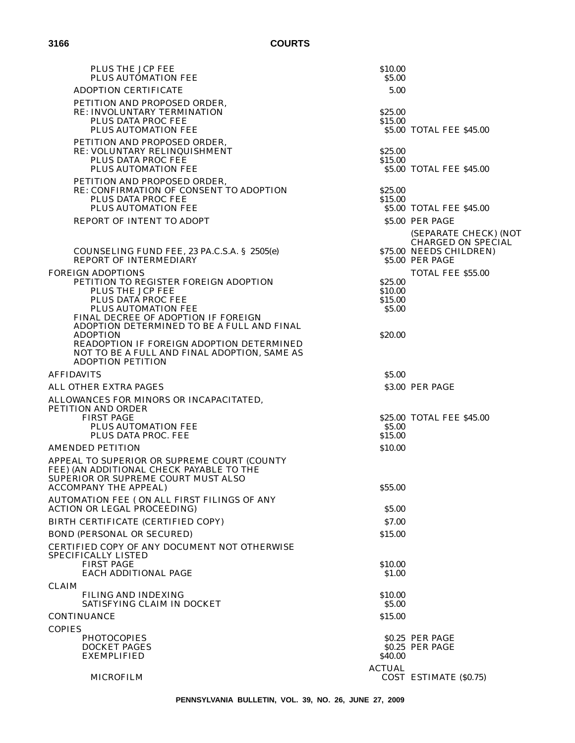| <b>PLUS THE JCP FEE</b><br>PLUS AUTOMATION FEE                                                                                                                                                                                | \$10.00<br>\$5.00  |                                                                                                                              |
|-------------------------------------------------------------------------------------------------------------------------------------------------------------------------------------------------------------------------------|--------------------|------------------------------------------------------------------------------------------------------------------------------|
| <b>ADOPTION CERTIFICATE</b>                                                                                                                                                                                                   | 5.00               |                                                                                                                              |
| PETITION AND PROPOSED ORDER,<br>RE: INVOLUNTARY TERMINATION<br>PLUS DATA PROC FEE<br>PLUS AUTOMATION FEE                                                                                                                      | \$25.00<br>\$15.00 | \$5.00 TOTAL FEE \$45.00                                                                                                     |
| PETITION AND PROPOSED ORDER,<br>RE: VOLUNTARY RELINQUISHMENT<br>PLUS DATA PROC FEE<br>PLUS AUTOMATION FEE                                                                                                                     | \$25.00<br>\$15.00 | \$5.00 TOTAL FEE \$45.00                                                                                                     |
| PETITION AND PROPOSED ORDER,<br>RE: CONFIRMATION OF CONSENT TO ADOPTION<br>PLUS DATA PROC FEE<br>PLUS AUTOMATION FEE                                                                                                          | \$25.00<br>\$15.00 | \$5.00 TOTAL FEE \$45.00                                                                                                     |
| REPORT OF INTENT TO ADOPT                                                                                                                                                                                                     |                    | \$5.00 PER PAGE                                                                                                              |
| COUNSELING FUND FEE, 23 PA.C.S.A. § 2505(e)<br><b>REPORT OF INTERMEDIARY</b><br><b>FOREIGN ADOPTIONS</b>                                                                                                                      |                    | (SEPARATE CHECK) (NOT<br><b>CHARGED ON SPECIAL</b><br>\$75.00 NEEDS CHILDREN)<br>\$5.00 PER PAGE<br><b>TOTAL FEE \$55.00</b> |
| PETITION TO REGISTER FOREIGN ADOPTION                                                                                                                                                                                         | \$25.00            |                                                                                                                              |
| PLUS THE JCP FEE<br>PLUS DATA PROC FEE                                                                                                                                                                                        | \$10.00<br>\$15.00 |                                                                                                                              |
| PLUS AUTOMATION FEE                                                                                                                                                                                                           | \$5.00             |                                                                                                                              |
| FINAL DECREE OF ADOPTION IF FOREIGN<br>ADOPTION DETERMINED TO BE A FULL AND FINAL<br><b>ADOPTION</b><br>READOPTION IF FOREIGN ADOPTION DETERMINED<br>NOT TO BE A FULL AND FINAL ADOPTION, SAME AS<br><b>ADOPTION PETITION</b> | \$20.00            |                                                                                                                              |
| <b>AFFIDAVITS</b>                                                                                                                                                                                                             | \$5.00             |                                                                                                                              |
| ALL OTHER EXTRA PAGES                                                                                                                                                                                                         |                    | \$3.00 PER PAGE                                                                                                              |
| ALLOWANCES FOR MINORS OR INCAPACITATED,<br>PETITION AND ORDER<br><b>FIRST PAGE</b><br>PLUS AUTOMATION FEE                                                                                                                     | \$5.00             | \$25.00 TOTAL FEE \$45.00                                                                                                    |
| PLUS DATA PROC. FEE                                                                                                                                                                                                           | \$15.00            |                                                                                                                              |
| <b>AMENDED PETITION</b>                                                                                                                                                                                                       | \$10.00            |                                                                                                                              |
| APPEAL TO SUPERIOR OR SUPREME COURT (COUNTY<br>FEE) (AN ADDITIONAL CHECK PAYABLE TO THE<br>SUPERIOR OR SUPREME COURT MUST ALSO<br><b>ACCOMPANY THE APPEAL)</b>                                                                | \$55.00            |                                                                                                                              |
| AUTOMATION FEE (ON ALL FIRST FILINGS OF ANY<br><b>ACTION OR LEGAL PROCEEDING)</b>                                                                                                                                             | \$5.00             |                                                                                                                              |
| BIRTH CERTIFICATE (CERTIFIED COPY)                                                                                                                                                                                            | \$7.00             |                                                                                                                              |
| <b>BOND (PERSONAL OR SECURED)</b>                                                                                                                                                                                             | \$15.00            |                                                                                                                              |
| CERTIFIED COPY OF ANY DOCUMENT NOT OTHERWISE<br>SPECIFICALLY LISTED<br><b>FIRST PAGE</b>                                                                                                                                      | \$10.00            |                                                                                                                              |
| <b>EACH ADDITIONAL PAGE</b>                                                                                                                                                                                                   | \$1.00             |                                                                                                                              |
| <b>CLAIM</b><br>FILING AND INDEXING<br>SATISFYING CLAIM IN DOCKET                                                                                                                                                             | \$10.00<br>\$5.00  |                                                                                                                              |
| <b>CONTINUANCE</b>                                                                                                                                                                                                            | \$15.00            |                                                                                                                              |
| <b>COPIES</b>                                                                                                                                                                                                                 |                    |                                                                                                                              |
| <b>PHOTOCOPIES</b><br><b>DOCKET PAGES</b><br><b>EXEMPLIFIED</b>                                                                                                                                                               | \$40.00            | \$0.25 PER PAGE<br>\$0.25 PER PAGE                                                                                           |
| <b>MICROFILM</b>                                                                                                                                                                                                              | <b>ACTUAL</b>      | COST ESTIMATE (\$0.75)                                                                                                       |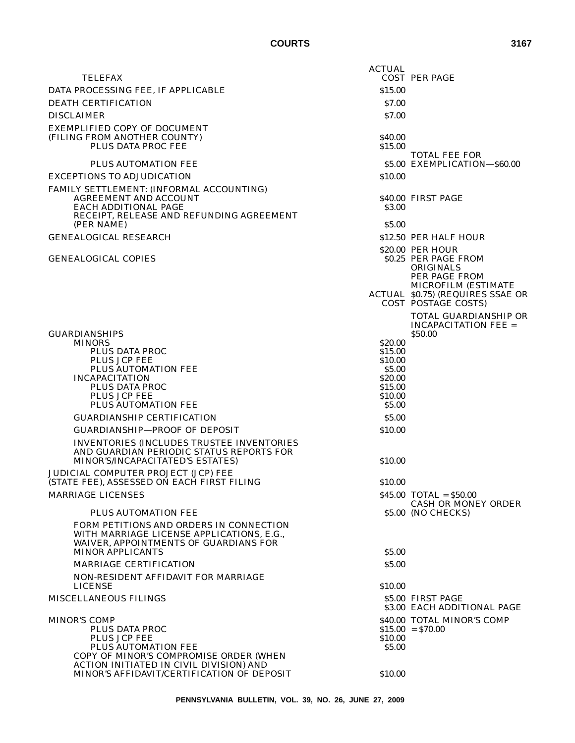|                                                                                                                                                                   | <b>ACTUAL</b>                                                                      |                                                                                                                                                                         |
|-------------------------------------------------------------------------------------------------------------------------------------------------------------------|------------------------------------------------------------------------------------|-------------------------------------------------------------------------------------------------------------------------------------------------------------------------|
| <b>TELEFAX</b>                                                                                                                                                    |                                                                                    | <b>COST PER PAGE</b>                                                                                                                                                    |
| DATA PROCESSING FEE, IF APPLICABLE                                                                                                                                | \$15.00                                                                            |                                                                                                                                                                         |
| <b>DEATH CERTIFICATION</b>                                                                                                                                        | \$7.00                                                                             |                                                                                                                                                                         |
| <b>DISCLAIMER</b>                                                                                                                                                 | \$7.00                                                                             |                                                                                                                                                                         |
| EXEMPLIFIED COPY OF DOCUMENT<br>(FILING FROM ANOTHER COUNTY)<br>PLUS DATA PROC FEE                                                                                | <b>S40.00</b><br>\$15.00                                                           |                                                                                                                                                                         |
| PLUS AUTOMATION FEE                                                                                                                                               |                                                                                    | <b>TOTAL FEE FOR</b><br>\$5.00 EXEMPLICATION-\$60.00                                                                                                                    |
| <b>EXCEPTIONS TO ADJUDICATION</b>                                                                                                                                 | \$10.00                                                                            |                                                                                                                                                                         |
| FAMILY SETTLEMENT: (INFORMAL ACCOUNTING)<br><b>AGREEMENT AND ACCOUNT</b><br><b>EACH ADDITIONAL PAGE</b><br>RECEIPT, RELEASE AND REFUNDING AGREEMENT<br>(PER NAME) | \$3.00<br>\$5.00                                                                   | \$40.00 FIRST PAGE                                                                                                                                                      |
| <b>GENEALOGICAL RESEARCH</b>                                                                                                                                      |                                                                                    | \$12.50 PER HALF HOUR                                                                                                                                                   |
| <b>GENEALOGICAL COPIES</b>                                                                                                                                        |                                                                                    | \$20.00 PER HOUR<br>\$0.25 PER PAGE FROM<br><b>ORIGINALS</b><br>PER PAGE FROM<br><b>MICROFILM (ESTIMATE)</b><br>ACTUAL \$0.75) (REQUIRES SSAE OR<br>COST POSTAGE COSTS) |
| <b>GUARDIANSHIPS</b>                                                                                                                                              |                                                                                    | <b>TOTAL GUARDIANSHIP OR</b><br><b>INCAPACITATION FEE =</b><br>\$50.00                                                                                                  |
| <b>MINORS</b><br>PLUS DATA PROC<br>PLUS JCP FEE<br>PLUS AUTOMATION FEE<br><b>INCAPACITATION</b><br>PLUS DATA PROC<br>PLUS JCP FEE<br><b>PLUS AUTOMATION FEE</b>   | \$20.00<br>\$15.00<br>\$10.00<br>\$5.00<br>\$20.00<br>\$15.00<br>\$10.00<br>\$5.00 |                                                                                                                                                                         |
| <b>GUARDIANSHIP CERTIFICATION</b>                                                                                                                                 | \$5.00                                                                             |                                                                                                                                                                         |
| <b>GUARDIANSHIP-PROOF OF DEPOSIT</b>                                                                                                                              | \$10.00                                                                            |                                                                                                                                                                         |
| <b>INVENTORIES (INCLUDES TRUSTEE INVENTORIES)</b><br>AND GUARDIAN PERIODIC STATUS REPORTS FOR<br>MINOR'S/INCAPACITATED'S ESTATES)                                 | \$10.00                                                                            |                                                                                                                                                                         |
| JUDICIAL COMPUTER PROJECT (JCP) FEE<br>(STATE FEE), ASSESSED ON EACH FIRST FILING                                                                                 | \$10.00                                                                            |                                                                                                                                                                         |
| <b>MARRIAGE LICENSES</b>                                                                                                                                          |                                                                                    | $$45.00$ TOTAL = $$50.00$<br><b>CASH OR MONEY ORDER</b>                                                                                                                 |
| PLUS AUTOMATION FEE                                                                                                                                               |                                                                                    | \$5.00 (NO CHECKS)                                                                                                                                                      |
| FORM PETITIONS AND ORDERS IN CONNECTION<br>WITH MARRIAGE LICENSE APPLICATIONS, E.G.,<br>WAIVER, APPOINTMENTS OF GUARDIANS FOR                                     |                                                                                    |                                                                                                                                                                         |
| <b>MINOR APPLICANTS</b><br><b>MARRIAGE CERTIFICATION</b>                                                                                                          | \$5.00<br>\$5.00                                                                   |                                                                                                                                                                         |
| NON-RESIDENT AFFIDAVIT FOR MARRIAGE                                                                                                                               |                                                                                    |                                                                                                                                                                         |
| <b>LICENSE</b>                                                                                                                                                    | \$10.00                                                                            |                                                                                                                                                                         |
| <b>MISCELLANEOUS FILINGS</b>                                                                                                                                      |                                                                                    | \$5.00 FIRST PAGE<br>\$3.00 EACH ADDITIONAL PAGE                                                                                                                        |
| <b>MINOR'S COMP</b>                                                                                                                                               |                                                                                    | \$40.00 TOTAL MINOR'S COMP                                                                                                                                              |

MINOR'S COMP  $$40.00$  TOTAL MINOR'S COMP  $$15.00 = $70.00$ PLUS DATA PROC \$15.00 \$15.00 \$15.00 \$15.00 \$71.00 \$15.00 \$15.00 \$70.00 \$10.00 \$10.00 \$10.00 \$10.00 \$10.00 \$10.00 \$10.00 \$10.00 \$10.00 \$10.00 \$10.00 \$10.00 \$10.00 \$10.00 \$10.00 \$10.00 \$10.00 \$10.00 \$10.00 \$10.00 \$10.00 \$10. PLUS JCP FEE PLUS AUTOMATION FEE \$5.00 COPY OF MINOR'S COMPROMISE ORDER (WHEN ACTION INITIATED IN CIVIL DIVISION) AND MINOR'S AFFIDAVIT/CERTIFICATION OF DEPOSIT \$10.00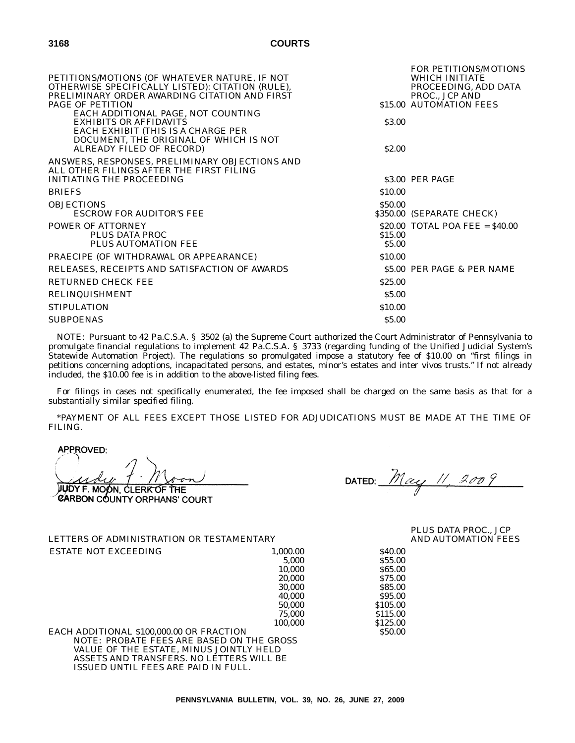| PETITIONS/MOTIONS (OF WHATEVER NATURE, IF NOT<br>OTHERWISE SPECIFICALLY LISTED): CITATION (RULE),<br>PRELIMINARY ORDER AWARDING CITATION AND FIRST<br><b>PAGE OF PETITION</b><br>EACH ADDITIONAL PAGE, NOT COUNTING |                        | <b>FOR PETITIONS/MOTIONS</b><br><b>WHICH INITIATE</b><br>PROCEEDING, ADD DATA<br>PROC., JCP AND<br>\$15.00 AUTOMATION FEES |
|---------------------------------------------------------------------------------------------------------------------------------------------------------------------------------------------------------------------|------------------------|----------------------------------------------------------------------------------------------------------------------------|
| <b>EXHIBITS OR AFFIDAVITS</b><br>EACH EXHIBIT (THIS IS A CHARGE PER<br>DOCUMENT, THE ORIGINAL OF WHICH IS NOT<br>ALREADY FILED OF RECORD)                                                                           | \$3.00<br><b>S2.00</b> |                                                                                                                            |
| ANSWERS, RESPONSES, PRELIMINARY OBJECTIONS AND<br>ALL OTHER FILINGS AFTER THE FIRST FILING<br>INITIATING THE PROCEEDING                                                                                             |                        | \$3.00 PER PAGE                                                                                                            |
| <b>BRIEFS</b>                                                                                                                                                                                                       | \$10.00                |                                                                                                                            |
| <b>OBJECTIONS</b><br><b>ESCROW FOR AUDITOR'S FEE</b>                                                                                                                                                                | \$50.00                | \$350.00 (SEPARATE CHECK)                                                                                                  |
| <b>POWER OF ATTORNEY</b><br>PLUS DATA PROC<br>PLUS AUTOMATION FEE                                                                                                                                                   | \$15.00<br>\$5.00      | $$20.00$ TOTAL POA FEE = $$40.00$                                                                                          |
| PRAECIPE (OF WITHDRAWAL OR APPEARANCE)                                                                                                                                                                              | \$10.00                |                                                                                                                            |
| RELEASES, RECEIPTS AND SATISFACTION OF AWARDS                                                                                                                                                                       |                        | \$5.00 PER PAGE & PER NAME                                                                                                 |
| RETURNED CHECK FEE                                                                                                                                                                                                  | \$25.00                |                                                                                                                            |
| <b>RELINQUISHMENT</b>                                                                                                                                                                                               | \$5.00                 |                                                                                                                            |
| <b>STIPULATION</b>                                                                                                                                                                                                  | \$10.00                |                                                                                                                            |
| <b>SUBPOENAS</b>                                                                                                                                                                                                    | \$5.00                 |                                                                                                                            |

NOTE: Pursuant to 42 Pa.C.S.A. § 3502 (a) the Supreme Court authorized the Court Administrator of Pennsylvania to promulgate financial regulations to implement 42 Pa.C.S.A. § 3733 (regarding funding of the Unified Judicial System's Statewide Automation Project). The regulations so promulgated impose a statutory fee of \$10.00 on ''first filings in petitions concerning adoptions, incapacitated persons, and estates, minor's estates and inter vivos trusts.'' If not already included, the \$10.00 fee is in addition to the above-listed filing fees.

For filings in cases not specifically enumerated, the fee imposed shall be charged on the same basis as that for a substantially similar specified filing.

\*PAYMENT OF ALL FEES EXCEPT THOSE LISTED FOR ADJUDICATIONS MUST BE MADE AT THE TIME OF FILING.

APPROVED:

JUDY F. MOON, CLERK OF THE CARBON COUNTY ORPHANS' COURT

DATED:  $May \# 2009$ 

EACH ADDITIONAL \$100,000.00 OR FRACTION NOTE: PROBATE FEES ARE BASED ON THE GROSS VALUE OF THE ESTATE, MINUS JOINTLY HELD ASSETS AND TRANSFERS. NO LETTERS WILL BE ISSUED UNTIL FEES ARE PAID IN FULL.

LETTERS OF ADMINISTRATION OR TESTAMENTARY

PLUS DATA PROC., JCP AND AUTOMATION FEES

ESTATE NOT EXCEEDING 1,000.00 \$40.00<br>555.00 5.000 \$55.00 5,000 \$55.00<br>10,000 \$65.00 10,000 \$65.00<br>20,000 \$75.00 20,000 \$75.00<br>30.000 \$85.00 30,000 \$85.00<br>40,000 \$95.00 40,000 \$95.00<br>50,000 \$105.00 50,000 \$105.00<br>75,000 \$115.00 75,000 \$115.00<br>100,000 \$125.00 \$125.00<br>\$50.00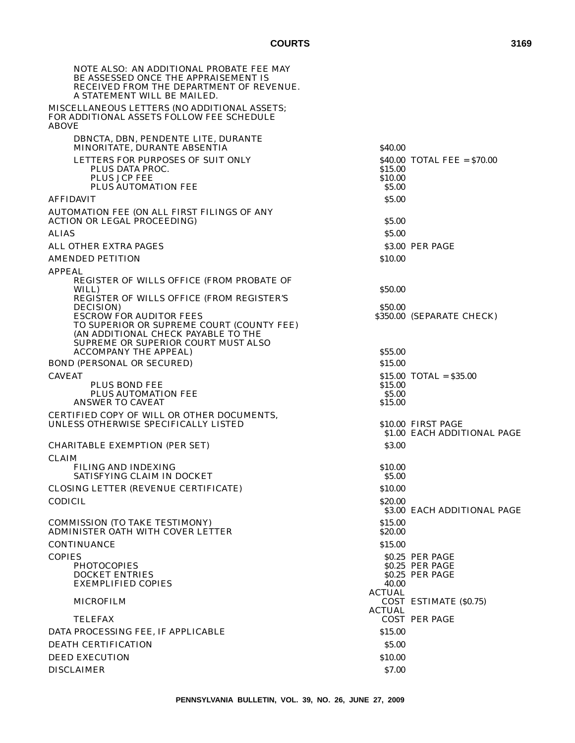| NOTE ALSO: AN ADDITIONAL PROBATE FEE MAY<br>BE ASSESSED ONCE THE APPRAISEMENT IS<br>RECEIVED FROM THE DEPARTMENT OF REVENUE.<br>A STATEMENT WILL BE MAILED. |                    |                               |
|-------------------------------------------------------------------------------------------------------------------------------------------------------------|--------------------|-------------------------------|
| MISCELLANEOUS LETTERS (NO ADDITIONAL ASSETS;<br>FOR ADDITIONAL ASSETS FOLLOW FEE SCHEDULE<br><b>ABOVE</b>                                                   |                    |                               |
| DBNCTA, DBN, PENDENTE LITE, DURANTE<br>MINORITATE. DURANTE ABSENTIA                                                                                         | <b>S40.00</b>      |                               |
| LETTERS FOR PURPOSES OF SUIT ONLY                                                                                                                           |                    | $$40.00$ TOTAL FEE = $$70.00$ |
| PLUS DATA PROC.                                                                                                                                             | \$15.00            |                               |
| <b>PLUS JCP FEE</b><br>PLUS AUTOMATION FEE                                                                                                                  | \$10.00<br>\$5.00  |                               |
| <b>AFFIDAVIT</b>                                                                                                                                            | \$5.00             |                               |
| AUTOMATION FEE (ON ALL FIRST FILINGS OF ANY                                                                                                                 |                    |                               |
| <b>ACTION OR LEGAL PROCEEDING)</b>                                                                                                                          | \$5.00             |                               |
| <b>ALIAS</b>                                                                                                                                                | \$5.00             |                               |
| ALL OTHER EXTRA PAGES                                                                                                                                       |                    | \$3.00 PER PAGE               |
| <b>AMENDED PETITION</b>                                                                                                                                     | \$10.00            |                               |
| <b>APPEAL</b><br>REGISTER OF WILLS OFFICE (FROM PROBATE OF                                                                                                  |                    |                               |
| WILL)                                                                                                                                                       | \$50.00            |                               |
| REGISTER OF WILLS OFFICE (FROM REGISTER'S                                                                                                                   | \$50.00            |                               |
| DECISION)<br><b>ESCROW FOR AUDITOR FEES</b>                                                                                                                 |                    | \$350.00 (SEPARATE CHECK)     |
| TO SUPERIOR OR SUPREME COURT (COUNTY FEE)                                                                                                                   |                    |                               |
| (AN ADDITIONAL CHECK PAYABLE TO THE<br>SUPREME OR SUPERIOR COURT MUST ALSO                                                                                  |                    |                               |
| <b>ACCOMPANY THE APPEAL)</b>                                                                                                                                | \$55.00            |                               |
| <b>BOND (PERSONAL OR SECURED)</b>                                                                                                                           | \$15.00            |                               |
| <b>CAVEAT</b><br>PLUS BOND FEE                                                                                                                              | \$15.00            | $$15.00$ TOTAL = $$35.00$     |
| PLUS AUTOMATION FEE                                                                                                                                         | \$5.00             |                               |
| <b>ANSWER TO CAVEAT</b>                                                                                                                                     | \$15.00            |                               |
| CERTIFIED COPY OF WILL OR OTHER DOCUMENTS,<br>UNLESS OTHERWISE SPECIFICALLY LISTED                                                                          |                    | \$10.00 FIRST PAGE            |
|                                                                                                                                                             |                    | \$1.00 EACH ADDITIONAL PAGE   |
| <b>CHARITABLE EXEMPTION (PER SET)</b>                                                                                                                       | \$3.00             |                               |
| <b>CLAIM</b>                                                                                                                                                |                    |                               |
| FILING AND INDEXING<br>SATISFYING CLAIM IN DOCKET                                                                                                           | \$10.00<br>\$5.00  |                               |
| <b>CLOSING LETTER (REVENUE CERTIFICATE)</b>                                                                                                                 | \$10.00            |                               |
| <b>CODICIL</b>                                                                                                                                              | \$20.00            |                               |
|                                                                                                                                                             |                    | \$3.00 EACH ADDITIONAL PAGE   |
| <b>COMMISSION (TO TAKE TESTIMONY)</b><br>ADMINISTER OATH WITH COVER LETTER                                                                                  | \$15.00<br>\$20.00 |                               |
| <b>CONTINUANCE</b>                                                                                                                                          | \$15.00            |                               |
| <b>COPIES</b>                                                                                                                                               |                    | \$0.25 PER PAGE               |
| <b>PHOTOCOPIES</b>                                                                                                                                          |                    | \$0.25 PER PAGE               |
| <b>DOCKET ENTRIES</b><br><b>EXEMPLIFIED COPIES</b>                                                                                                          | 40.00              | \$0.25 PER PAGE               |
|                                                                                                                                                             | <b>ACTUAL</b>      |                               |
| <b>MICROFILM</b>                                                                                                                                            | <b>ACTUAL</b>      | COST ESTIMATE (\$0.75)        |
| TELEFAX                                                                                                                                                     |                    | <b>COST PER PAGE</b>          |
| DATA PROCESSING FEE, IF APPLICABLE                                                                                                                          | \$15.00            |                               |
| <b>DEATH CERTIFICATION</b>                                                                                                                                  | \$5.00             |                               |
| <b>DEED EXECUTION</b>                                                                                                                                       | \$10.00            |                               |
| <b>DISCLAIMER</b>                                                                                                                                           | \$7.00             |                               |
|                                                                                                                                                             |                    |                               |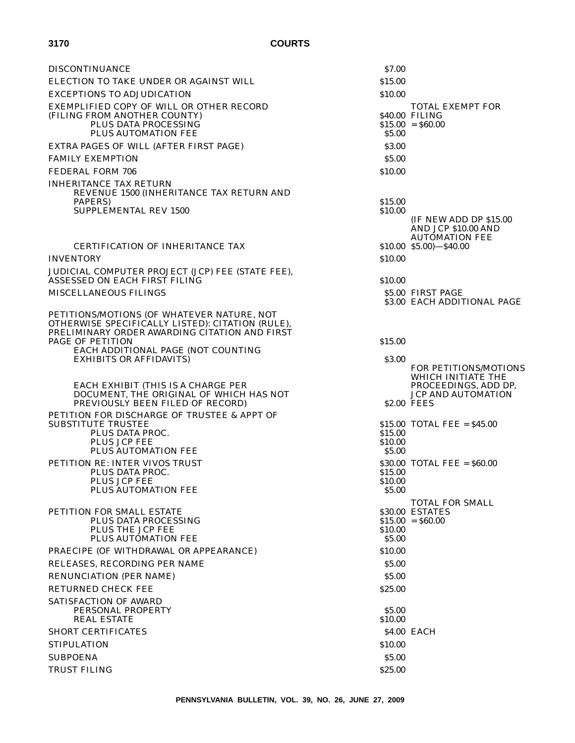| <b>DISCONTINUANCE</b>                                                                                                                                                                                            | \$7.00                       |                                                                                                                       |
|------------------------------------------------------------------------------------------------------------------------------------------------------------------------------------------------------------------|------------------------------|-----------------------------------------------------------------------------------------------------------------------|
| ELECTION TO TAKE UNDER OR AGAINST WILL                                                                                                                                                                           | \$15.00                      |                                                                                                                       |
| <b>EXCEPTIONS TO ADJUDICATION</b>                                                                                                                                                                                | \$10.00                      |                                                                                                                       |
| EXEMPLIFIED COPY OF WILL OR OTHER RECORD<br>(FILING FROM ANOTHER COUNTY)<br>PLUS DATA PROCESSING<br>PLUS AUTOMATION FEE                                                                                          | \$5.00                       | <b>TOTAL EXEMPT FOR</b><br>\$40.00 FILING<br>$$15.00 = $60.00$                                                        |
| EXTRA PAGES OF WILL (AFTER FIRST PAGE)                                                                                                                                                                           | \$3.00                       |                                                                                                                       |
| <b>FAMILY EXEMPTION</b>                                                                                                                                                                                          | \$5.00                       |                                                                                                                       |
| FEDERAL FORM 706                                                                                                                                                                                                 | \$10.00                      |                                                                                                                       |
| <b>INHERITANCE TAX RETURN</b><br>REVENUE 1500 (INHERITANCE TAX RETURN AND<br>PAPERS)<br><b>SUPPLEMENTAL REV 1500</b>                                                                                             | \$15.00<br>\$10.00           | <b>IF NEW ADD DP \$15.00</b><br><b>AND JCP \$10.00 AND</b>                                                            |
|                                                                                                                                                                                                                  |                              | <b>AUTOMATION FEE</b>                                                                                                 |
| <b>CERTIFICATION OF INHERITANCE TAX</b>                                                                                                                                                                          |                              | $$10.00$ $$5.00$ ) $- $40.00$                                                                                         |
| <b>INVENTORY</b>                                                                                                                                                                                                 | \$10.00                      |                                                                                                                       |
| JUDICIAL COMPUTER PROJECT (JCP) FEE (STATE FEE),<br>ASSESSED ON EACH FIRST FILING                                                                                                                                | \$10.00                      |                                                                                                                       |
| MISCELLANEOUS FILINGS                                                                                                                                                                                            |                              | \$5.00 FIRST PAGE                                                                                                     |
|                                                                                                                                                                                                                  |                              | \$3.00 EACH ADDITIONAL PAGE                                                                                           |
| PETITIONS/MOTIONS (OF WHATEVER NATURE, NOT<br>OTHERWISE SPECIFICALLY LISTED): CITATION (RULE),<br>PRELIMINARY ORDER AWARDING CITATION AND FIRST<br><b>PAGE OF PETITION</b><br>EACH ADDITIONAL PAGE (NOT COUNTING | \$15.00                      |                                                                                                                       |
| <b>EXHIBITS OR AFFIDAVITS)</b><br>EACH EXHIBIT (THIS IS A CHARGE PER<br>DOCUMENT, THE ORIGINAL OF WHICH HAS NOT<br>PREVIOUSLY BEEN FILED OF RECORD)                                                              | \$3.00                       | FOR PETITIONS/MOTIONS<br>WHICH INITIATE THE<br>PROCEEDINGS, ADD DP,<br><b>JCP AND AUTOMATION</b><br><b>S2.00 FEES</b> |
| PETITION FOR DISCHARGE OF TRUSTEE & APPT OF<br><b>SUBSTITUTE TRUSTEE</b>                                                                                                                                         |                              | $$15.00$ TOTAL FEE = $$45.00$                                                                                         |
| PLUS DATA PROC.                                                                                                                                                                                                  | \$15.00                      |                                                                                                                       |
| PLUS JCP FEE<br><b>PLUS AUTOMATION FEE</b>                                                                                                                                                                       | \$10.00<br>\$5.00            |                                                                                                                       |
| PETITION RE: INTER VIVOS TRUST                                                                                                                                                                                   |                              | $$30.00$ TOTAL FEE = $$60.00$                                                                                         |
| PLUS DATA PROC.<br>PLUS JCP FEE<br>PLUS AUTOMATION FEE                                                                                                                                                           | \$15.00<br>\$10.00<br>\$5.00 |                                                                                                                       |
| PETITION FOR SMALL ESTATE<br>PLUS DATA PROCESSING<br>PLUS THE JCP FEE                                                                                                                                            | \$10.00                      | <b>TOTAL FOR SMALL</b><br>\$30.00 ESTATES<br>$$15.00 = $60.00$                                                        |
| PLUS AUTOMATION FEE                                                                                                                                                                                              | \$5.00                       |                                                                                                                       |
| PRAECIPE (OF WITHDRAWAL OR APPEARANCE)                                                                                                                                                                           | \$10.00                      |                                                                                                                       |
| RELEASES, RECORDING PER NAME                                                                                                                                                                                     | \$5.00                       |                                                                                                                       |
| <b>RENUNCIATION (PER NAME)</b>                                                                                                                                                                                   | \$5.00                       |                                                                                                                       |
| <b>RETURNED CHECK FEE</b>                                                                                                                                                                                        | \$25.00                      |                                                                                                                       |
| <b>SATISFACTION OF AWARD</b><br>PERSONAL PROPERTY<br><b>REAL ESTATE</b>                                                                                                                                          | \$5.00<br>\$10.00            |                                                                                                                       |
| <b>SHORT CERTIFICATES</b>                                                                                                                                                                                        |                              | <b>\$4.00 EACH</b>                                                                                                    |
| <b>STIPULATION</b>                                                                                                                                                                                               | \$10.00                      |                                                                                                                       |
| <b>SUBPOENA</b>                                                                                                                                                                                                  | \$5.00                       |                                                                                                                       |
| <b>TRUST FILING</b>                                                                                                                                                                                              | \$25.00                      |                                                                                                                       |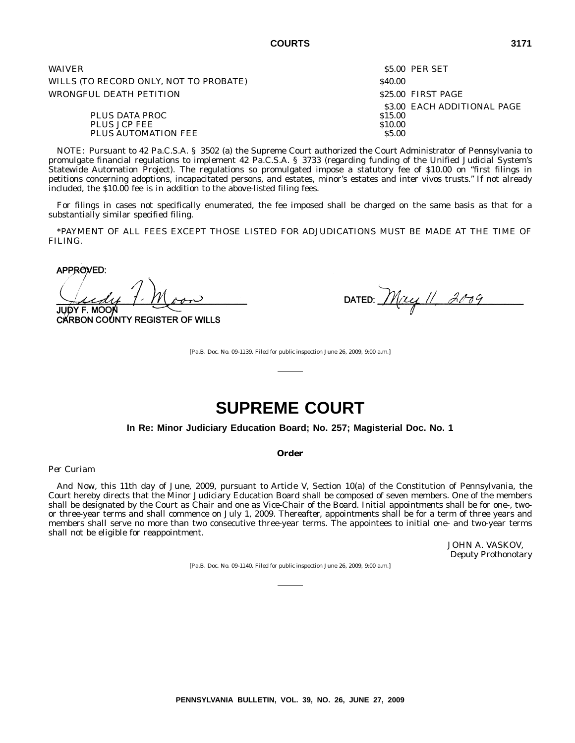| <b>WAIVER</b>                          |                    | \$5.00 PER SET              |
|----------------------------------------|--------------------|-----------------------------|
| WILLS (TO RECORD ONLY, NOT TO PROBATE) | \$40.00            |                             |
| WRONGFUL DEATH PETITION                |                    | \$25.00 FIRST PAGE          |
| PLUS DATA PROC<br>PLUS JCP FEE         | \$15.00<br>\$10.00 | \$3.00 EACH ADDITIONAL PAGE |
| PLUS AUTOMATION FEE                    | \$5.00             |                             |

NOTE: Pursuant to 42 Pa.C.S.A. § 3502 (a) the Supreme Court authorized the Court Administrator of Pennsylvania to promulgate financial regulations to implement 42 Pa.C.S.A. § 3733 (regarding funding of the Unified Judicial System's Statewide Automation Project). The regulations so promulgated impose a statutory fee of \$10.00 on ''first filings in petitions concerning adoptions, incapacitated persons, and estates, minor's estates and inter vivos trusts.'' If not already included, the \$10.00 fee is in addition to the above-listed filing fees.

For filings in cases not specifically enumerated, the fee imposed shall be charged on the same basis as that for a substantially similar specified filing.

\*PAYMENT OF ALL FEES EXCEPT THOSE LISTED FOR ADJUDICATIONS MUST BE MADE AT THE TIME OF FILING.

APPROVED:

JUDY F. MOOI

CARBON COUNTY REGISTER OF WILLS

DATED:  $Muyll$ , 2009

[Pa.B. Doc. No. 09-1139. Filed for public inspection June 26, 2009, 9:00 a.m.]

## **SUPREME COURT**

**In Re: Minor Judiciary Education Board; No. 257; Magisterial Doc. No. 1**

#### **Order**

*Per Curiam*

*And Now*, this 11th day of June, 2009, pursuant to Article V, Section 10(a) of the Constitution of Pennsylvania, the Court hereby directs that the Minor Judiciary Education Board shall be composed of seven members. One of the members shall be designated by the Court as Chair and one as Vice-Chair of the Board. Initial appointments shall be for one-, twoor three-year terms and shall commence on July 1, 2009. Thereafter, appointments shall be for a term of three years and members shall serve no more than two consecutive three-year terms. The appointees to initial one- and two-year terms shall not be eligible for reappointment.

> JOHN A. VASKOV, *Deputy Prothonotary*

[Pa.B. Doc. No. 09-1140. Filed for public inspection June 26, 2009, 9:00 a.m.]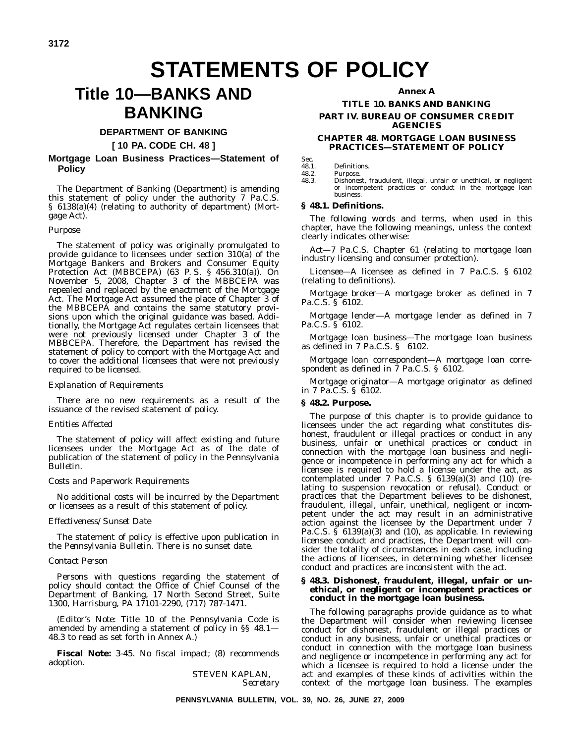## **STATEMENTS OF POLICY**

## **Title 10—BANKS AND BANKING**

#### **DEPARTMENT OF BANKING**

**[ 10 PA. CODE CH. 48 ]**

#### **Mortgage Loan Business Practices—Statement of Policy**

The Department of Banking (Department) is amending this statement of policy under the authority 7 Pa.C.S. § 6138(a)(4) (relating to authority of department) (Mortgage Act).

#### *Purpose*

The statement of policy was originally promulgated to provide guidance to licensees under section 310(a) of the Mortgage Bankers and Brokers and Consumer Equity Protection Act (MBBCEPA) (63 P. S. § 456.310(a)). On November 5, 2008, Chapter 3 of the MBBCEPA was repealed and replaced by the enactment of the Mortgage Act. The Mortgage Act assumed the place of Chapter 3 of the MBBCEPA and contains the same statutory provisions upon which the original guidance was based. Additionally, the Mortgage Act regulates certain licensees that were not previously licensed under Chapter 3 of the MBBCEPA. Therefore, the Department has revised the statement of policy to comport with the Mortgage Act and to cover the additional licensees that were not previously required to be licensed.

#### *Explanation of Requirements*

There are no new requirements as a result of the issuance of the revised statement of policy.

#### *Entities Affected*

The statement of policy will affect existing and future licensees under the Mortgage Act as of the date of publication of the statement of policy in the *Pennsylvania Bulletin*.

#### *Costs and Paperwork Requirements*

No additional costs will be incurred by the Department or licensees as a result of this statement of policy.

#### *Effectiveness/Sunset Date*

The statement of policy is effective upon publication in the *Pennsylvania Bulletin*. There is no sunset date.

#### *Contact Person*

Persons with questions regarding the statement of policy should contact the Office of Chief Counsel of the Department of Banking, 17 North Second Street, Suite 1300, Harrisburg, PA 17101-2290, (717) 787-1471.

(*Editor's Note*: Title 10 of the *Pennsylvania Code* is amended by amending a statement of policy in §§ 48.1— 48.3 to read as set forth in Annex A.)

**Fiscal Note:** 3-45. No fiscal impact; (8) recommends adoption.

> STEVEN KAPLAN, *Secretary*

#### **Annex A**

#### **TITLE 10. BANKS AND BANKING PART IV. BUREAU OF CONSUMER CREDIT AGENCIES**

#### **CHAPTER 48. MORTGAGE LOAN BUSINESS PRACTICES—STATEMENT OF POLICY**

Sec.<br>48.1.

48.1. Definitions.<br>48.2. Purpose.

48.2. Purpose.<br>48.3. Dishones Dishonest, fraudulent, illegal, unfair or unethical, or negligent or incompetent practices or conduct in the mortgage loan business.

#### **§ 48.1. Definitions.**

The following words and terms, when used in this chapter, have the following meanings, unless the context clearly indicates otherwise:

*Act—*7 Pa.C.S. Chapter 61 (relating to mortgage loan industry licensing and consumer protection).

*Licensee—*A licensee as defined in 7 Pa.C.S. § 6102 (relating to definitions).

*Mortgage broker—*A mortgage broker as defined in 7 Pa.C.S. § 6102.

*Mortgage lender—*A mortgage lender as defined in 7 Pa.C.S. § 6102.

*Mortgage loan business—*The mortgage loan business as defined in 7 Pa.C.S. § 6102.

*Mortgage loan correspondent—*A mortgage loan correspondent as defined in 7 Pa.C.S. § 6102.

*Mortgage originator—*A mortgage originator as defined in 7 Pa.C.S. § 6102.

#### **§ 48.2. Purpose.**

The purpose of this chapter is to provide guidance to licensees under the act regarding what constitutes dishonest, fraudulent or illegal practices or conduct in any business, unfair or unethical practices or conduct in connection with the mortgage loan business and negligence or incompetence in performing any act for which a licensee is required to hold a license under the act, as contemplated under 7 Pa.C.S. § 6139(a)(3) and (10) (relating to suspension revocation or refusal). Conduct or practices that the Department believes to be dishonest, fraudulent, illegal, unfair, unethical, negligent or incompetent under the act may result in an administrative action against the licensee by the Department under 7 Pa.C.S.  $\tilde{S}$  6139(a)(3) and (10), as applicable. In reviewing licensee conduct and practices, the Department will consider the totality of circumstances in each case, including the actions of licensees, in determining whether licensee conduct and practices are inconsistent with the act.

#### **§ 48.3. Dishonest, fraudulent, illegal, unfair or unethical, or negligent or incompetent practices or conduct in the mortgage loan business.**

The following paragraphs provide guidance as to what the Department will consider when reviewing licensee conduct for dishonest, fraudulent or illegal practices or conduct in any business, unfair or unethical practices or conduct in connection with the mortgage loan business and negligence or incompetence in performing any act for which a licensee is required to hold a license under the act and examples of these kinds of activities within the context of the mortgage loan business. The examples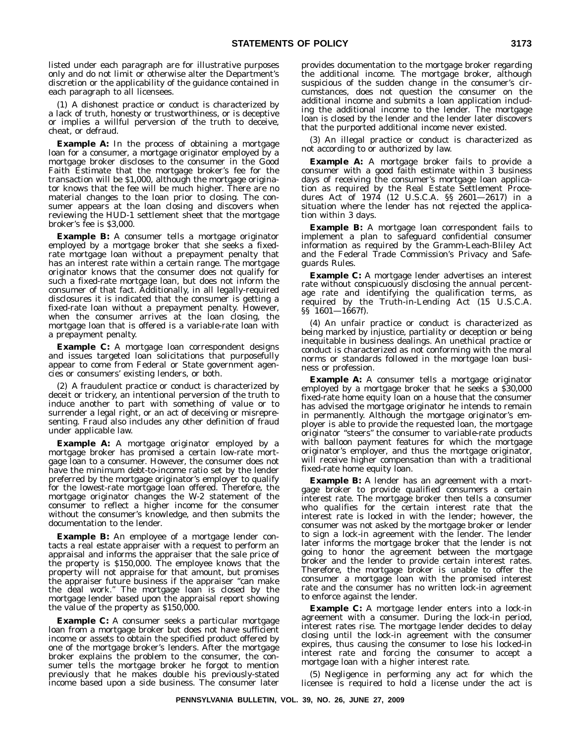listed under each paragraph are for illustrative purposes only and do not limit or otherwise alter the Department's discretion or the applicability of the guidance contained in each paragraph to all licensees.

(1) A dishonest practice or conduct is characterized by a lack of truth, honesty or trustworthiness, or is deceptive or implies a willful perversion of the truth to deceive, cheat, or defraud.

**Example A:** In the process of obtaining a mortgage loan for a consumer, a mortgage originator employed by a mortgage broker discloses to the consumer in the Good Faith Estimate that the mortgage broker's fee for the transaction will be \$1,000, although the mortgage originator knows that the fee will be much higher. There are no material changes to the loan prior to closing. The consumer appears at the loan closing and discovers when reviewing the HUD-1 settlement sheet that the mortgage broker's fee is \$3,000.

**Example B:** A consumer tells a mortgage originator employed by a mortgage broker that she seeks a fixedrate mortgage loan without a prepayment penalty that has an interest rate within a certain range. The mortgage originator knows that the consumer does not qualify for such a fixed-rate mortgage loan, but does not inform the consumer of that fact. Additionally, in all legally-required disclosures it is indicated that the consumer is getting a fixed-rate loan without a prepayment penalty. However, when the consumer arrives at the loan closing, the mortgage loan that is offered is a variable-rate loan with a prepayment penalty.

**Example C:** A mortgage loan correspondent designs and issues targeted loan solicitations that purposefully appear to come from Federal or State government agencies or consumers' existing lenders, or both.

(2) A fraudulent practice or conduct is characterized by deceit or trickery, an intentional perversion of the truth to induce another to part with something of value or to surrender a legal right, or an act of deceiving or misrepresenting. Fraud also includes any other definition of fraud under applicable law.

**Example A:** A mortgage originator employed by a mortgage broker has promised a certain low-rate mortgage loan to a consumer. However, the consumer does not have the minimum debt-to-income ratio set by the lender preferred by the mortgage originator's employer to qualify for the lowest-rate mortgage loan offered. Therefore, the mortgage originator changes the W-2 statement of the consumer to reflect a higher income for the consumer without the consumer's knowledge, and then submits the documentation to the lender.

**Example B:** An employee of a mortgage lender contacts a real estate appraiser with a request to perform an appraisal and informs the appraiser that the sale price of the property is \$150,000. The employee knows that the property will not appraise for that amount, but promises the appraiser future business if the appraiser ''can make the deal work.'' The mortgage loan is closed by the mortgage lender based upon the appraisal report showing the value of the property as \$150,000.

**Example C:** A consumer seeks a particular mortgage loan from a mortgage broker but does not have sufficient income or assets to obtain the specified product offered by one of the mortgage broker's lenders. After the mortgage broker explains the problem to the consumer, the consumer tells the mortgage broker he forgot to mention previously that he makes double his previously-stated income based upon a side business. The consumer later provides documentation to the mortgage broker regarding the additional income. The mortgage broker, although suspicious of the sudden change in the consumer's circumstances, does not question the consumer on the additional income and submits a loan application including the additional income to the lender. The mortgage loan is closed by the lender and the lender later discovers that the purported additional income never existed.

(3) An illegal practice or conduct is characterized as not according to or authorized by law.

**Example A:** A mortgage broker fails to provide a consumer with a good faith estimate within 3 business days of receiving the consumer's mortgage loan application as required by the Real Estate Settlement Procedures Act of 1974 (12 U.S.C.A. §§ 2601—2617) in a situation where the lender has not rejected the application within 3 days.

**Example B:** A mortgage loan correspondent fails to implement a plan to safeguard confidential consumer information as required by the Gramm-Leach-Bliley Act and the Federal Trade Commission's Privacy and Safeguards Rules.

**Example C:** A mortgage lender advertises an interest rate without conspicuously disclosing the annual percentage rate and identifying the qualification terms, as required by the Truth-in-Lending Act (15 U.S.C.A. §§ 1601—1667f).

(4) An unfair practice or conduct is characterized as being marked by injustice, partiality or deception or being inequitable in business dealings. An unethical practice or conduct is characterized as not conforming with the moral norms or standards followed in the mortgage loan business or profession.

**Example A:** A consumer tells a mortgage originator employed by a mortgage broker that he seeks a \$30,000 fixed-rate home equity loan on a house that the consumer has advised the mortgage originator he intends to remain in permanently. Although the mortgage originator's employer is able to provide the requested loan, the mortgage originator ''steers'' the consumer to variable-rate products with balloon payment features for which the mortgage originator's employer, and thus the mortgage originator, will receive higher compensation than with a traditional fixed-rate home equity loan.

**Example B:** A lender has an agreement with a mortgage broker to provide qualified consumers a certain interest rate. The mortgage broker then tells a consumer who qualifies for the certain interest rate that the interest rate is locked in with the lender; however, the consumer was not asked by the mortgage broker or lender to sign a lock-in agreement with the lender. The lender later informs the mortgage broker that the lender is not going to honor the agreement between the mortgage broker and the lender to provide certain interest rates. Therefore, the mortgage broker is unable to offer the consumer a mortgage loan with the promised interest rate and the consumer has no written lock-in agreement to enforce against the lender.

**Example C:** A mortgage lender enters into a lock-in agreement with a consumer. During the lock-in period, interest rates rise. The mortgage lender decides to delay closing until the lock-in agreement with the consumer expires, thus causing the consumer to lose his locked-in interest rate and forcing the consumer to accept a mortgage loan with a higher interest rate.

(5) Negligence in performing any act for which the licensee is required to hold a license under the act is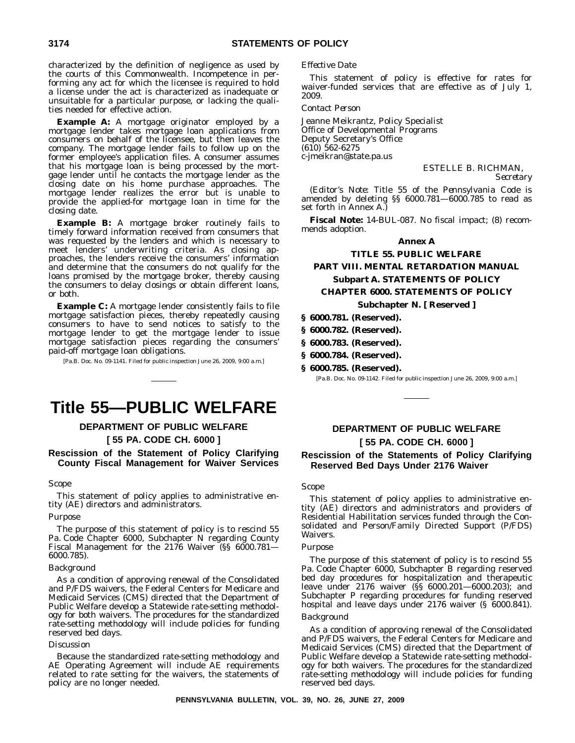characterized by the definition of negligence as used by the courts of this Commonwealth. Incompetence in performing any act for which the licensee is required to hold a license under the act is characterized as inadequate or unsuitable for a particular purpose, or lacking the qualities needed for effective action.

**Example A:** A mortgage originator employed by a mortgage lender takes mortgage loan applications from consumers on behalf of the licensee, but then leaves the company. The mortgage lender fails to follow up on the former employee's application files. A consumer assumes that his mortgage loan is being processed by the mortgage lender until he contacts the mortgage lender as the closing date on his home purchase approaches. The mortgage lender realizes the error but is unable to provide the applied-for mortgage loan in time for the closing date.

**Example B:** A mortgage broker routinely fails to timely forward information received from consumers that was requested by the lenders and which is necessary to meet lenders' underwriting criteria. As closing approaches, the lenders receive the consumers' information and determine that the consumers do not qualify for the loans promised by the mortgage broker, thereby causing the consumers to delay closings or obtain different loans, or both.

**Example C:** A mortgage lender consistently fails to file mortgage satisfaction pieces, thereby repeatedly causing consumers to have to send notices to satisfy to the mortgage lender to get the mortgage lender to issue mortgage satisfaction pieces regarding the consumers' paid-off mortgage loan obligations.

[Pa.B. Doc. No. 09-1141. Filed for public inspection June 26, 2009, 9:00 a.m.]

## **Title 55—PUBLIC WELFARE**

#### **DEPARTMENT OF PUBLIC WELFARE**

#### **[ 55 PA. CODE CH. 6000 ]**

#### **Rescission of the Statement of Policy Clarifying County Fiscal Management for Waiver Services**

#### *Scope*

This statement of policy applies to administrative entity (AE) directors and administrators.

#### *Purpose*

The purpose of this statement of policy is to rescind 55 Pa. Code Chapter 6000, Subchapter N regarding County Fiscal Management for the 2176 Waiver (§§ 6000.781-6000.785).

#### *Background*

As a condition of approving renewal of the Consolidated and P/FDS waivers, the Federal Centers for Medicare and Medicaid Services (CMS) directed that the Department of Public Welfare develop a Statewide rate-setting methodology for both waivers. The procedures for the standardized rate-setting methodology will include policies for funding reserved bed days.

#### *Discussion*

Because the standardized rate-setting methodology and AE Operating Agreement will include AE requirements related to rate setting for the waivers, the statements of policy are no longer needed.

#### *Effective Date*

This statement of policy is effective for rates for waiver-funded services that are effective as of July 1, 2009.

#### *Contact Person*

Jeanne Meikrantz, Policy Specialist Office of Developmental Programs Deputy Secretary's Office (610) 562-6275 c-jmeikran@state.pa.us

#### ESTELLE B. RICHMAN,

*Secretary*

(*Editor's Note*: Title 55 of the *Pennsylvania Code* is amended by deleting §§ 6000.781—6000.785 to read as set forth in Annex A.)

**Fiscal Note:** 14-BUL-087. No fiscal impact; (8) recommends adoption.

#### **Annex A**

#### **TITLE 55. PUBLIC WELFARE**

#### **PART VIII. MENTAL RETARDATION MANUAL Subpart A. STATEMENTS OF POLICY CHAPTER 6000. STATEMENTS OF POLICY**

#### **Subchapter N. [ Reserved ]**

#### **§ 6000.781. (Reserved).**

- **§ 6000.782. (Reserved).**
- **§ 6000.783. (Reserved).**
- **§ 6000.784. (Reserved).**
- **§ 6000.785. (Reserved).**

[Pa.B. Doc. No. 09-1142. Filed for public inspection June 26, 2009, 9:00 a.m.]

#### **DEPARTMENT OF PUBLIC WELFARE [ 55 PA. CODE CH. 6000 ]**

#### **Rescission of the Statements of Policy Clarifying Reserved Bed Days Under 2176 Waiver**

#### *Scope*

This statement of policy applies to administrative entity (AE) directors and administrators and providers of Residential Habilitation services funded through the Consolidated and Person/Family Directed Support (P/FDS) Waivers.

#### *Purpose*

The purpose of this statement of policy is to rescind 55 Pa. Code Chapter 6000, Subchapter B regarding reserved bed day procedures for hospitalization and therapeutic leave under 2176 waiver (§§ 6000.201—6000.203); and Subchapter P regarding procedures for funding reserved hospital and leave days under 2176 waiver (§ 6000.841).

#### *Background*

As a condition of approving renewal of the Consolidated and P/FDS waivers, the Federal Centers for Medicare and Medicaid Services (CMS) directed that the Department of Public Welfare develop a Statewide rate-setting methodology for both waivers. The procedures for the standardized rate-setting methodology will include policies for funding reserved bed days.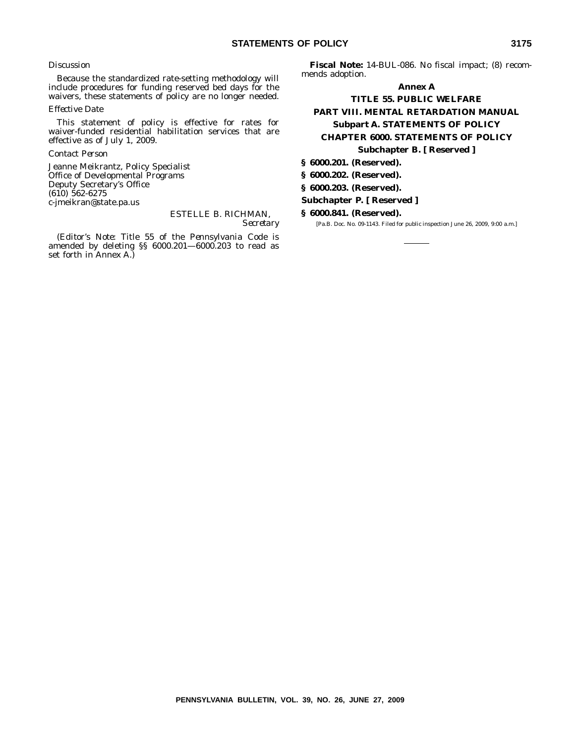#### *Discussion*

Because the standardized rate-setting methodology will include procedures for funding reserved bed days for the waivers, these statements of policy are no longer needed.

#### *Effective Date*

This statement of policy is effective for rates for waiver-funded residential habilitation services that are effective as of July 1, 2009.

#### *Contact Person*

Jeanne Meikrantz, Policy Specialist Office of Developmental Programs Deputy Secretary's Office (610) 562-6275 c-jmeikran@state.pa.us

#### ESTELLE B. RICHMAN, *Secretary*

(*Editor's Note*: Title 55 of the *Pennsylvania Code* is amended by deleting §§ 6000.201—6000.203 to read as set forth in Annex A.)

**Fiscal Note:** 14-BUL-086. No fiscal impact; (8) recommends adoption.

#### **Annex A**

#### **TITLE 55. PUBLIC WELFARE PART VIII. MENTAL RETARDATION MANUAL Subpart A. STATEMENTS OF POLICY CHAPTER 6000. STATEMENTS OF POLICY Subchapter B. [ Reserved ]**

**§ 6000.201. (Reserved).**

**§ 6000.202. (Reserved).**

**§ 6000.203. (Reserved).**

#### **Subchapter P. [ Reserved ]**

**§ 6000.841. (Reserved).**

[Pa.B. Doc. No. 09-1143. Filed for public inspection June 26, 2009, 9:00 a.m.]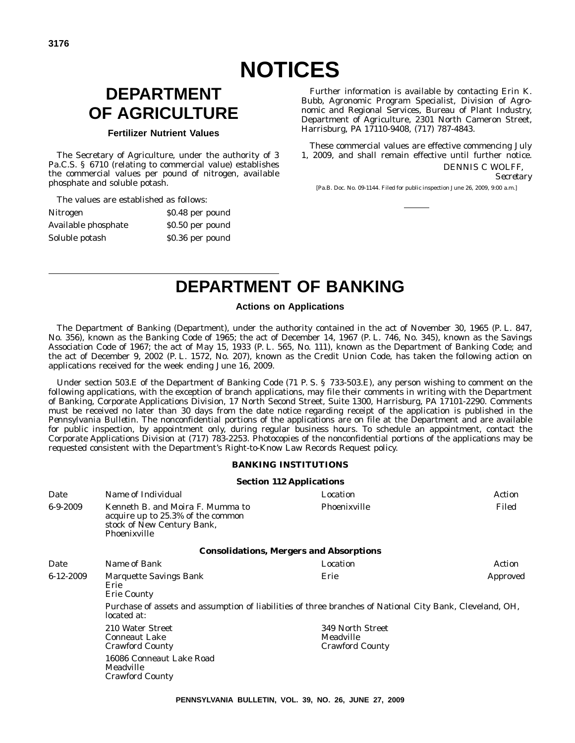## **DEPARTMENT OF AGRICULTURE**

#### **Fertilizer Nutrient Values**

The Secretary of Agriculture, under the authority of 3 Pa.C.S. § 6710 (relating to commercial value) establishes the commercial values per pound of nitrogen, available phosphate and soluble potash.

The values are established as follows:

| <b>Nitrogen</b>     | \$0.48 per pound |
|---------------------|------------------|
| Available phosphate | \$0.50 per pound |
| Soluble potash      | \$0.36 per pound |

Further information is available by contacting Erin K. Bubb, Agronomic Program Specialist, Division of Agronomic and Regional Services, Bureau of Plant Industry, Department of Agriculture, 2301 North Cameron Street, Harrisburg, PA 17110-9408, (717) 787-4843.

These commercial values are effective commencing July 1, 2009, and shall remain effective until further notice. DENNIS C WOLFF,

*Secretary*

[Pa.B. Doc. No. 09-1144. Filed for public inspection June 26, 2009, 9:00 a.m.]

## **DEPARTMENT OF BANKING**

#### **Actions on Applications**

The Department of Banking (Department), under the authority contained in the act of November 30, 1965 (P. L. 847, No. 356), known as the Banking Code of 1965; the act of December 14, 1967 (P. L. 746, No. 345), known as the Savings Association Code of 1967; the act of May 15, 1933 (P. L. 565, No. 111), known as the Department of Banking Code; and the act of December 9, 2002 (P. L. 1572, No. 207), known as the Credit Union Code, has taken the following action on applications received for the week ending June 16, 2009.

Under section 503.E of the Department of Banking Code (71 P. S. § 733-503.E), any person wishing to comment on the following applications, with the exception of branch applications, may file their comments in writing with the Department of Banking, Corporate Applications Division, 17 North Second Street, Suite 1300, Harrisburg, PA 17101-2290. Comments must be received no later than 30 days from the date notice regarding receipt of the application is published in the *Pennsylvania Bulletin*. The nonconfidential portions of the applications are on file at the Department and are available for public inspection, by appointment only, during regular business hours. To schedule an appointment, contact the Corporate Applications Division at (717) 783-2253. Photocopies of the nonconfidential portions of the applications may be requested consistent with the Department's Right-to-Know Law Records Request policy.

#### **BANKING INSTITUTIONS**

|                 |                                                                                                                                       | <b>Section 112 Applications</b>                         |          |
|-----------------|---------------------------------------------------------------------------------------------------------------------------------------|---------------------------------------------------------|----------|
| Date            | Name of Individual                                                                                                                    | Location                                                | Action   |
| $6-9-2009$      | Kenneth B. and Moira F. Mumma to<br>acquire up to 25.3% of the common<br>stock of New Century Bank,<br>Phoenixville                   | Phoenixville                                            | Filed    |
|                 |                                                                                                                                       | <b>Consolidations, Mergers and Absorptions</b>          |          |
| Date            | Name of Bank                                                                                                                          | Location                                                | Action   |
| $6 - 12 - 2009$ | Marquette Savings Bank<br>Erie<br><b>Erie County</b>                                                                                  | Erie                                                    | Approved |
|                 | Purchase of assets and assumption of liabilities of three branches of National City Bank, Cleveland, OH,<br>located at:               |                                                         |          |
|                 | 210 Water Street<br><b>Conneaut Lake</b><br><b>Crawford County</b><br>16086 Conneaut Lake Road<br>Meadville<br><b>Crawford County</b> | 349 North Street<br>Meadville<br><b>Crawford County</b> |          |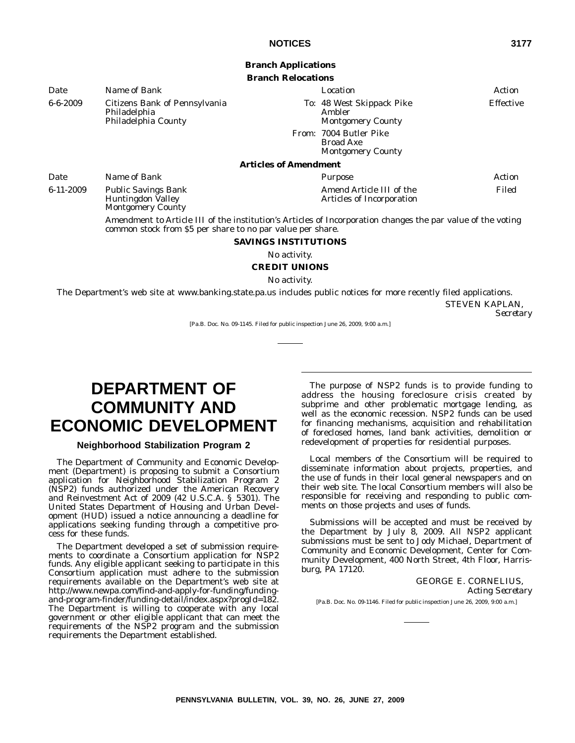## **Branch Applications**

**Branch Relocations**

| Date           | Name of Bank                                                         |                              | Location                                                               | Action    |
|----------------|----------------------------------------------------------------------|------------------------------|------------------------------------------------------------------------|-----------|
| $6 - 6 - 2009$ | Citizens Bank of Pennsylvania<br>Philadelphia<br>Philadelphia County |                              | To: 48 West Skippack Pike<br>Ambler<br><b>Montgomery County</b>        | Effective |
|                |                                                                      |                              | From: 7004 Butler Pike<br><b>Broad Axe</b><br><b>Montgomery County</b> |           |
|                |                                                                      | <b>Articles of Amendment</b> |                                                                        |           |
| Date           | Name of Bank                                                         |                              | Purpose                                                                | Action    |

6-11-2009 Public Savings Bank Huntingdon Valley Montgomery County

> Amendment to Article III of the institution's Articles of Incorporation changes the par value of the voting common stock from \$5 per share to no par value per share.

Amend Article III of the Articles of Incorporation

#### **SAVINGS INSTITUTIONS**

No activity.

#### **CREDIT UNIONS**

No activity.

The Department's web site at www.banking.state.pa.us includes public notices for more recently filed applications. STEVEN KAPLAN, *Secretary*

[Pa.B. Doc. No. 09-1145. Filed for public inspection June 26, 2009, 9:00 a.m.]

## **DEPARTMENT OF COMMUNITY AND ECONOMIC DEVELOPMENT**

#### **Neighborhood Stabilization Program 2**

The Department of Community and Economic Development (Department) is proposing to submit a Consortium application for Neighborhood Stabilization Program 2 (NSP2) funds authorized under the American Recovery and Reinvestment Act of 2009 (42 U.S.C.A. § 5301). The United States Department of Housing and Urban Development (HUD) issued a notice announcing a deadline for applications seeking funding through a competitive process for these funds.

The Department developed a set of submission requirements to coordinate a Consortium application for NSP2 funds. Any eligible applicant seeking to participate in this Consortium application must adhere to the submission requirements available on the Department's web site at http://www.newpa.com/find-and-apply-for-funding/fundingand-program-finder/funding-detail/index.aspx?progId=182. The Department is willing to cooperate with any local government or other eligible applicant that can meet the requirements of the NSP2 program and the submission requirements the Department established.

The purpose of NSP2 funds is to provide funding to address the housing foreclosure crisis created by subprime and other problematic mortgage lending, as well as the economic recession. NSP2 funds can be used for financing mechanisms, acquisition and rehabilitation of foreclosed homes, land bank activities, demolition or redevelopment of properties for residential purposes.

Local members of the Consortium will be required to disseminate information about projects, properties, and the use of funds in their local general newspapers and on their web site. The local Consortium members will also be responsible for receiving and responding to public comments on those projects and uses of funds.

Submissions will be accepted and must be received by the Department by July 8, 2009. All NSP2 applicant submissions must be sent to Jody Michael, Department of Community and Economic Development, Center for Community Development, 400 North Street, 4th Floor, Harrisburg, PA 17120.

> GEORGE E. CORNELIUS, *Acting Secretary*

[Pa.B. Doc. No. 09-1146. Filed for public inspection June 26, 2009, 9:00 a.m.]

Filed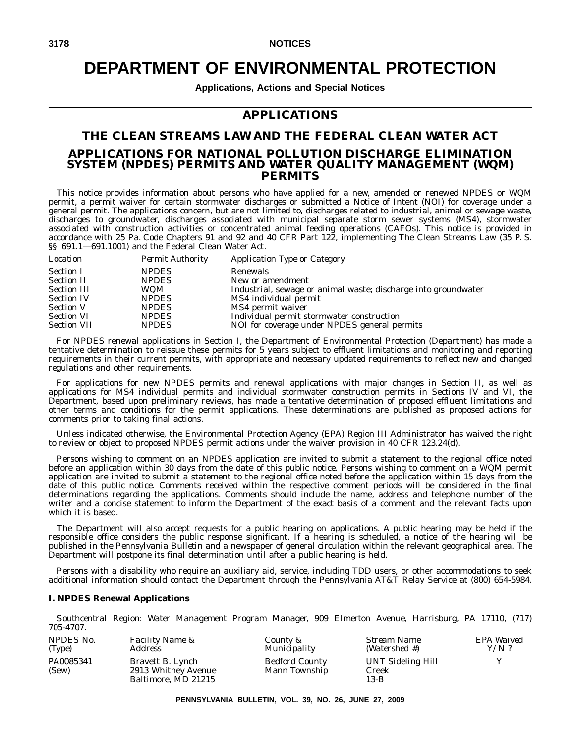## **DEPARTMENT OF ENVIRONMENTAL PROTECTION**

**Applications, Actions and Special Notices**

#### **APPLICATIONS**

#### **THE CLEAN STREAMS LAW AND THE FEDERAL CLEAN WATER ACT APPLICATIONS FOR NATIONAL POLLUTION DISCHARGE ELIMINATION SYSTEM (NPDES) PERMITS AND WATER QUALITY MANAGEMENT (WQM) PERMITS**

This notice provides information about persons who have applied for a new, amended or renewed NPDES or WQM permit, a permit waiver for certain stormwater discharges or submitted a Notice of Intent (NOI) for coverage under a general permit. The applications concern, but are not limited to, discharges related to industrial, animal or sewage waste, discharges to groundwater, discharges associated with municipal separate storm sewer systems (MS4), stormwater associated with construction activities or concentrated animal feeding operations (CAFOs). This notice is provided in accordance with 25 Pa. Code Chapters 91 and 92 and 40 CFR Part 122, implementing The Clean Streams Law (35 P. S. §§ 691.1-691.1001) and the Federal Clean Water Act.

| Location           | <b>Permit Authority</b> | <b>Application Type or Category</b>                            |
|--------------------|-------------------------|----------------------------------------------------------------|
| <b>Section I</b>   | <b>NPDES</b>            | Renewals                                                       |
| <b>Section II</b>  | <b>NPDES</b>            | New or amendment                                               |
| <b>Section III</b> | <b>WQM</b>              | Industrial, sewage or animal waste; discharge into groundwater |
| <b>Section IV</b>  | <b>NPDES</b>            | MS4 individual permit                                          |
| <b>Section V</b>   | <b>NPDES</b>            | MS4 permit waiver                                              |
| <b>Section VI</b>  | <b>NPDES</b>            | Individual permit stormwater construction                      |
| <b>Section VII</b> | <b>NPDES</b>            | NOI for coverage under NPDES general permits                   |

For NPDES renewal applications in Section I, the Department of Environmental Protection (Department) has made a tentative determination to reissue these permits for 5 years subject to effluent limitations and monitoring and reporting requirements in their current permits, with appropriate and necessary updated requirements to reflect new and changed regulations and other requirements.

For applications for new NPDES permits and renewal applications with major changes in Section II, as well as applications for MS4 individual permits and individual stormwater construction permits in Sections IV and VI, the Department, based upon preliminary reviews, has made a tentative determination of proposed effluent limitations and other terms and conditions for the permit applications. These determinations are published as proposed actions for comments prior to taking final actions.

Unless indicated otherwise, the Environmental Protection Agency (EPA) Region III Administrator has waived the right to review or object to proposed NPDES permit actions under the waiver provision in 40 CFR 123.24(d).

Persons wishing to comment on an NPDES application are invited to submit a statement to the regional office noted before an application within 30 days from the date of this public notice. Persons wishing to comment on a WQM permit application are invited to submit a statement to the regional office noted before the application within 15 days from the date of this public notice. Comments received within the respective comment periods will be considered in the final determinations regarding the applications. Comments should include the name, address and telephone number of the writer and a concise statement to inform the Department of the exact basis of a comment and the relevant facts upon which it is based.

The Department will also accept requests for a public hearing on applications. A public hearing may be held if the responsible office considers the public response significant. If a hearing is scheduled, a notice of the hearing will be published in the *Pennsylvania Bulletin* and a newspaper of general circulation within the relevant geographical area. The Department will postpone its final determination until after a public hearing is held.

Persons with a disability who require an auxiliary aid, service, including TDD users, or other accommodations to seek additional information should contact the Department through the Pennsylvania AT&T Relay Service at (800) 654-5984.

#### **I. NPDES Renewal Applications**

*NPDES No.*

*Southcentral Region: Water Management Program Manager, 909 Elmerton Avenue, Harrisburg, PA 17110, (717) 705-4707.*

| <i>INFLUED INU.</i> | $r$ <i>acuny ivalue <math>\alpha</math></i>                    |
|---------------------|----------------------------------------------------------------|
| (Type)              | <b>Address</b>                                                 |
| PA0085341<br>(Sew)  | Bravett B. Lynch<br>2913 Whitney Avenue<br>Baltimore, MD 21215 |

*Facility Name &*

*County & Municipality* Bedford County Mann Township *Stream Name (Watershed #)* UNT Sideling Hill Creek 13-B

*EPA Waived Y/N ?* Y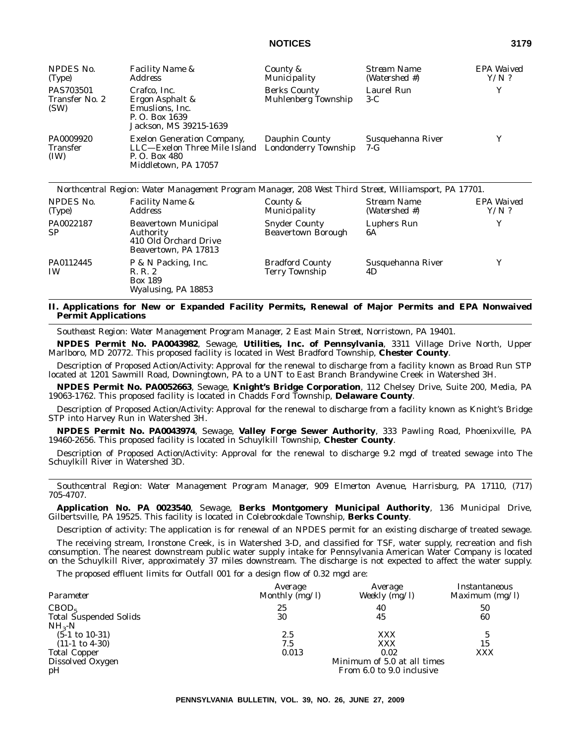| NPDES No.<br>(Type)                  | <i>Facility Name &amp;</i><br><i>Address</i>                                                               | County &<br>Municipality                          | Stream Name<br>(Watershed #) | EPA Waived<br>$Y/N$ ? |
|--------------------------------------|------------------------------------------------------------------------------------------------------------|---------------------------------------------------|------------------------------|-----------------------|
| PAS703501<br>Transfer No. 2<br>(SW)  | Crafco, Inc.<br>Ergon Asphalt &<br>Emuslions, Inc.<br>P. O. Box 1639<br>Jackson, MS 39215-1639             | <b>Berks County</b><br><b>Muhlenberg Township</b> | Laurel Run<br>$3-C$          | Y                     |
| PA0009920<br><b>Transfer</b><br>(IW) | <b>Exelon Generation Company,</b><br>LLC—Exelon Three Mile Island<br>P. O. Box 480<br>Middletown, PA 17057 | Dauphin County<br>Londonderry Township            | Susquehanna River<br>$7-G$   | Y                     |

|                        | Northcentral Region: Water Management Program Manager, 208 West Third Street, Williamsport, PA 17701. |                                                   |                              |                       |
|------------------------|-------------------------------------------------------------------------------------------------------|---------------------------------------------------|------------------------------|-----------------------|
| NPDES No.<br>(Type)    | <b>Facility Name &amp;</b><br><i>Address</i>                                                          | County &<br>Municipality                          | Stream Name<br>(Watershed #) | EPA Waived<br>$Y/N$ ? |
| PA0022187<br><b>SP</b> | <b>Beavertown Municipal</b><br>Authority<br>410 Old Orchard Drive<br>Beavertown, PA 17813             | <b>Snyder County</b><br><b>Beavertown Borough</b> | Luphers Run<br>6A            | Y                     |
| PA0112445<br><b>IW</b> | P & N Packing, Inc.<br>R. R. 2<br><b>Box 189</b><br>Wyalusing, PA 18853                               | <b>Bradford County</b><br><b>Terry Township</b>   | Susquehanna River<br>4D      | Y                     |

#### **II. Applications for New or Expanded Facility Permits, Renewal of Major Permits and EPA Nonwaived Permit Applications**

*Southeast Region: Water Management Program Manager, 2 East Main Street, Norristown, PA 19401.*

**NPDES Permit No. PA0043982**, Sewage, **Utilities, Inc. of Pennsylvania**, 3311 Village Drive North, Upper Marlboro, MD 20772. This proposed facility is located in West Bradford Township, **Chester County**.

Description of Proposed Action/Activity: Approval for the renewal to discharge from a facility known as Broad Run STP located at 1201 Sawmill Road, Downingtown, PA to a UNT to East Branch Brandywine Creek in Watershed 3H.

**NPDES Permit No. PA0052663**, Sewage, **Knight's Bridge Corporation**, 112 Chelsey Drive, Suite 200, Media, PA 19063-1762. This proposed facility is located in Chadds Ford Township, **Delaware County**.

Description of Proposed Action/Activity: Approval for the renewal to discharge from a facility known as Knight's Bridge STP into Harvey Run in Watershed 3H.

**NPDES Permit No. PA0043974**, Sewage, **Valley Forge Sewer Authority**, 333 Pawling Road, Phoenixville, PA 19460-2656. This proposed facility is located in Schuylkill Township, **Chester County**.

Description of Proposed Action/Activity: Approval for the renewal to discharge 9.2 mgd of treated sewage into The Schuylkill River in Watershed 3D.

*Southcentral Region: Water Management Program Manager, 909 Elmerton Avenue, Harrisburg, PA 17110, (717) 705-4707.*

**Application No. PA 0023540**, Sewage, **Berks Montgomery Municipal Authority**, 136 Municipal Drive, Gilbertsville, PA 19525. This facility is located in Colebrookdale Township, **Berks County**.

Description of activity: The application is for renewal of an NPDES permit for an existing discharge of treated sewage.

The receiving stream, Ironstone Creek, is in Watershed 3-D, and classified for TSF, water supply, recreation and fish consumption. The nearest downstream public water supply intake for Pennsylvania American Water Company is located on the Schuylkill River, approximately 37 miles downstream. The discharge is not expected to affect the water supply.

The proposed effluent limits for Outfall 001 for a design flow of 0.32 mgd are:

|                               | Average                   | Average                     | Instantaneous    |  |  |
|-------------------------------|---------------------------|-----------------------------|------------------|--|--|
| Parameter                     | Monthly $(mg/l)$          | Weekly (mg/l)               | Maximum $(mg/l)$ |  |  |
| CBOD <sub>5</sub>             | 25                        | 40                          | 50               |  |  |
| <b>Total Suspended Solids</b> | 30                        | 45                          | 60               |  |  |
| $NH_{3}-N$                    |                           |                             |                  |  |  |
| $(5-1 \text{ to } 10-31)$     | 2.5                       | <b>XXX</b>                  |                  |  |  |
| $(11-1 \text{ to } 4-30)$     | 7.5                       | XXX                         | 15               |  |  |
| <b>Total Copper</b>           | 0.013                     | 0.02                        | XXX              |  |  |
| Dissolved Oxygen              |                           | Minimum of 5.0 at all times |                  |  |  |
| pH                            | From 6.0 to 9.0 inclusive |                             |                  |  |  |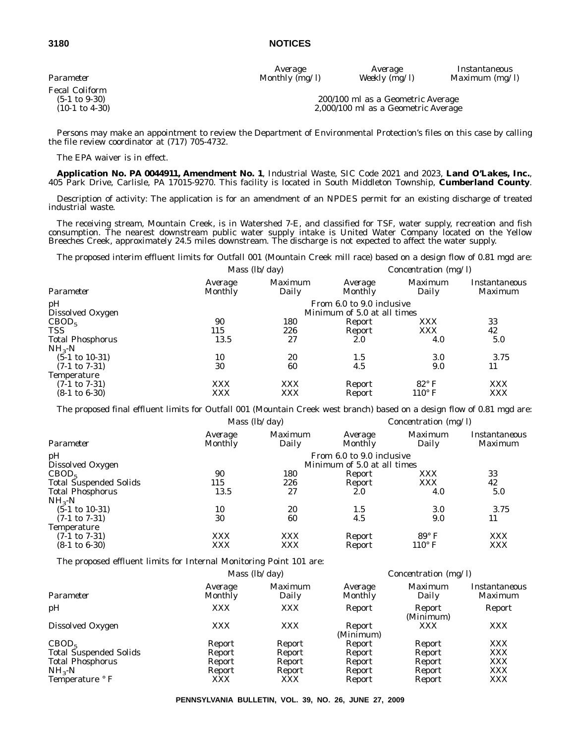*Average Average Instantaneous Parameter Monthly (mg/l) Weekly (mg/l) Maximum (mg/l)*

Fecal Coliform<br>(5-1 to 9-30)

#### (5-1 to 9-30) 200/100 ml as a Geometric Average 2,000/100 ml as a Geometric Average

Persons may make an appointment to review the Department of Environmental Protection's files on this case by calling the file review coordinator at (717) 705-4732.

The EPA waiver is in effect.

**Application No. PA 0044911, Amendment No. 1**, Industrial Waste, SIC Code 2021 and 2023, **Land O'Lakes, Inc.**, 405 Park Drive, Carlisle, PA 17015-9270. This facility is located in South Middleton Township, **Cumberland County**.

Description of activity: The application is for an amendment of an NPDES permit for an existing discharge of treated industrial waste.

The receiving stream, Mountain Creek, is in Watershed 7-E, and classified for TSF, water supply, recreation and fish consumption. The nearest downstream public water supply intake is United Water Company located on the Yellow Breeches Creek, approximately 24.5 miles downstream. The discharge is not expected to affect the water supply.

The proposed interim effluent limits for Outfall 001 (Mountain Creek mill race) based on a design flow of 0.81 mgd are:

|                           |                    | Mass $(lb/day)$         |                             | Concentration $(mg/l)$ |                          |
|---------------------------|--------------------|-------------------------|-----------------------------|------------------------|--------------------------|
| Parameter                 | Average<br>Monthly | <i>Maximum</i><br>Daily | Average<br>Monthly          | Maximum<br>Daily       | Instantaneous<br>Maximum |
| pH                        |                    |                         | From 6.0 to 9.0 inclusive   |                        |                          |
| Dissolved Oxygen          |                    |                         | Minimum of 5.0 at all times |                        |                          |
| CBOD <sub>5</sub>         | 90                 | 180                     | Report                      | <b>XXX</b>             | 33                       |
| <b>TSS</b>                | 115                | 226                     | Report                      | <b>XXX</b>             | 42                       |
| <b>Total Phosphorus</b>   | 13.5               | 27                      | 2.0                         | 4.0                    | 5.0                      |
| $NH3-N$                   |                    |                         |                             |                        |                          |
| $(5-1 \text{ to } 10-31)$ | 10                 | 20                      | 1.5                         | 3.0                    | 3.75                     |
| $(7-1 \text{ to } 7-31)$  | 30                 | 60                      | 4.5                         | 9.0                    | 11                       |
| <b>Temperature</b>        |                    |                         |                             |                        |                          |
| $(7-1 \text{ to } 7-31)$  | <b>XXX</b>         | <b>XXX</b>              | Report                      | $82^{\circ}$ F         | <b>XXX</b>               |
| $(8-1 \text{ to } 6-30)$  | XXX                | XXX                     | Report                      | $110^{\circ}$ F        | <b>XXX</b>               |

The proposed final effluent limits for Outfall 001 (Mountain Creek west branch) based on a design flow of 0.81 mgd are:

| Average<br>Monthly | <i>Maximum</i><br>Daily | Average<br><b>Monthly</b> | <i>Maximum</i><br>Daily | Instantaneous<br><i>Maximum</i>                                                    |
|--------------------|-------------------------|---------------------------|-------------------------|------------------------------------------------------------------------------------|
|                    |                         |                           |                         |                                                                                    |
| 90                 | 180                     | Report                    | <b>XXX</b>              | 33                                                                                 |
| 115                | 226                     | Report                    | <b>XXX</b>              | 42                                                                                 |
| 13.5               | 27                      | 2.0                       | 4.0                     | 5.0                                                                                |
|                    |                         |                           |                         |                                                                                    |
| 10                 | 20                      | 1.5                       | 3.0                     | 3.75                                                                               |
| 30                 | 60                      | 4.5                       | 9.0                     | 11                                                                                 |
|                    |                         |                           |                         |                                                                                    |
| <b>XXX</b>         | <b>XXX</b>              | Report                    | $89^{\circ}$ F          | <b>XXX</b>                                                                         |
| XXX                | <b>XXX</b>              | Report                    | $110^\circ$ F           | <b>XXX</b>                                                                         |
|                    |                         | Mass $(lb/day)$           |                         | Concentration $(mg/l)$<br>From 6.0 to 9.0 inclusive<br>Minimum of 5.0 at all times |

The proposed effluent limits for Internal Monitoring Point 101 are:

|                               |                    | <i>Mass</i> $(lb/day)$  |                     | <i>Concentration</i> ( $mg/l$ ) |                                 |  |
|-------------------------------|--------------------|-------------------------|---------------------|---------------------------------|---------------------------------|--|
| Parameter                     | Average<br>Monthly | <i>Maximum</i><br>Daily | Average<br>Monthly  | <i>Maximum</i><br>Daily         | Instantaneous<br><i>Maximum</i> |  |
| pH                            | <b>XXX</b>         | <b>XXX</b>              | Report              | Report<br>(Minimum)             | Report                          |  |
| Dissolved Oxygen              | <b>XXX</b>         | <b>XXX</b>              | Report<br>(Minimum) | <b>XXX</b>                      | <b>XXX</b>                      |  |
| CBOD <sub>5</sub>             | Report             | Report                  | Report              | Report                          | <b>XXX</b>                      |  |
| <b>Total Suspended Solids</b> | Report             | Report                  | Report              | Report                          | <b>XXX</b>                      |  |
| <b>Total Phosphorus</b>       | Report             | Report                  | Report              | Report                          | <b>XXX</b>                      |  |
| $NH3-N$                       | Report             | Report                  | Report              | Report                          | <b>XXX</b>                      |  |
| Temperature ° F               | <b>XXX</b>         | <b>XXX</b>              | Report              | Report                          | <b>XXX</b>                      |  |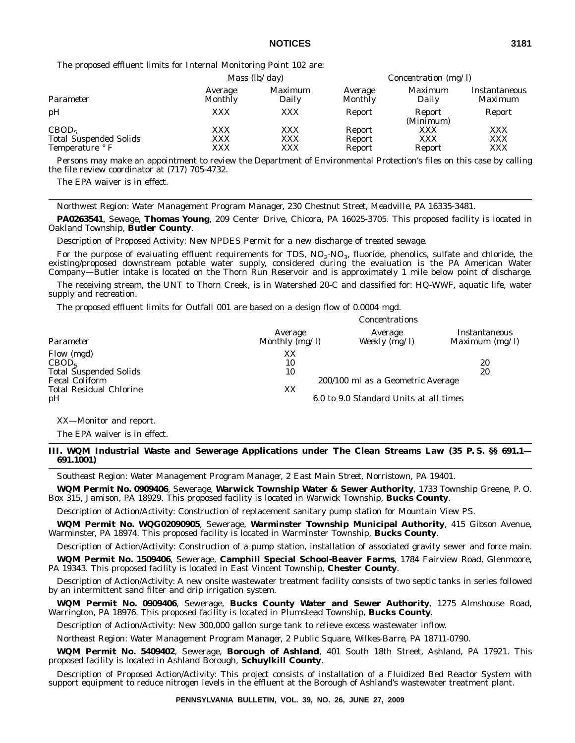The proposed effluent limits for Internal Monitoring Point 102 are:

|                                                 | Mass $(lb/day)$    |                         | <i>Concentration</i> ( $mg/l$ ) |                         |                          |
|-------------------------------------------------|--------------------|-------------------------|---------------------------------|-------------------------|--------------------------|
| Parameter                                       | Average<br>Monthly | <i>Maximum</i><br>Daily | Average<br>Monthly              | <i>Maximum</i><br>Daily | Instantaneous<br>Maximum |
| pH                                              | XXX                | XXX                     | Report                          | Report<br>(Minimum)     | Report                   |
| CBOD <sub>5</sub>                               | <b>XXX</b>         | XXX                     | Report                          | XXX                     | <b>XXX</b>               |
| <b>Total Suspended Solids</b><br>Temperature °F | <b>XXX</b><br>XXX  | <b>XXX</b><br>XXX       | Report<br>Report                | XXX<br>Report           | <b>XXX</b><br><b>XXX</b> |

Persons may make an appointment to review the Department of Environmental Protection's files on this case by calling the file review coordinator at (717) 705-4732.

The EPA waiver is in effect.

*Northwest Region: Water Management Program Manager, 230 Chestnut Street, Meadville, PA 16335-3481.*

**PA0263541**, Sewage, **Thomas Young**, 209 Center Drive, Chicora, PA 16025-3705. This proposed facility is located in Oakland Township, **Butler County**.

Description of Proposed Activity: New NPDES Permit for a new discharge of treated sewage.

For the purpose of evaluating effluent requirements for TDS,  $NO_2$ - $NO_3$ , fluoride, phenolics, sulfate and chloride, the existing/proposed downstream potable water supply, considered during the evaluation is the PA American Water Company—Butler intake is located on the Thorn Run Reservoir and is approximately 1 mile below point of discharge.

The receiving stream, the UNT to Thorn Creek, is in Watershed 20-C and classified for: HQ-WWF, aquatic life, water supply and recreation.

*Concentrations*

The proposed effluent limits for Outfall 001 are based on a design flow of 0.0004 mgd.

|                                                                  | Сонститация                 |                                                                             |                                   |  |  |
|------------------------------------------------------------------|-----------------------------|-----------------------------------------------------------------------------|-----------------------------------|--|--|
| Parameter                                                        | Average<br>Monthly $(mg/l)$ | Average<br>Weekly $(mg/l)$                                                  | Instantaneous<br>Maximum $(mg/l)$ |  |  |
| Flow (mgd)<br>CBOD <sub>5</sub><br><b>Total Suspended Solids</b> | XX<br>10<br>10              |                                                                             | 20<br>20                          |  |  |
| <b>Fecal Coliform</b><br><b>Total Residual Chlorine</b><br>pH    | XX                          | 200/100 ml as a Geometric Average<br>6.0 to 9.0 Standard Units at all times |                                   |  |  |

XX—Monitor and report.

The EPA waiver is in effect.

**III. WQM Industrial Waste and Sewerage Applications under The Clean Streams Law (35 P. S. §§ 691.1— 691.1001)**

*Southeast Region: Water Management Program Manager, 2 East Main Street, Norristown, PA 19401.*

**WQM Permit No. 0909406**, Sewerage, **Warwick Township Water & Sewer Authority**, 1733 Township Greene, P. O. Box 315, Jamison, PA 18929. This proposed facility is located in Warwick Township, **Bucks County**.

Description of Action/Activity: Construction of replacement sanitary pump station for Mountain View PS.

**WQM Permit No. WQG02090905**, Sewerage, **Warminster Township Municipal Authority**, 415 Gibson Avenue, Warminster, PA 18974. This proposed facility is located in Warminster Township, **Bucks County**.

Description of Action/Activity: Construction of a pump station, installation of associated gravity sewer and force main.

**WQM Permit No. 1509406**, Sewerage, **Camphill Special School-Beaver Farms**, 1784 Fairview Road, Glenmoore, PA 19343. This proposed facility is located in East Vincent Township, **Chester County**.

Description of Action/Activity: A new onsite wastewater treatment facility consists of two septic tanks in series followed by an intermittent sand filter and drip irrigation system.

**WQM Permit No. 0909406**, Sewerage, **Bucks County Water and Sewer Authority**, 1275 Almshouse Road, Warrington, PA 18976. This proposed facility is located in Plumstead Township, **Bucks County**.

Description of Action/Activity: New 300,000 gallon surge tank to relieve excess wastewater inflow.

*Northeast Region: Water Management Program Manager, 2 Public Square, Wilkes-Barre, PA 18711-0790.*

**WQM Permit No. 5409402**, Sewerage, **Borough of Ashland**, 401 South 18th Street, Ashland, PA 17921. This proposed facility is located in Ashland Borough, **Schuylkill County**.

Description of Proposed Action/Activity: This project consists of installation of a Fluidized Bed Reactor System with support equipment to reduce nitrogen levels in the effluent at the Borough of Ashland's wastewater treatment plant.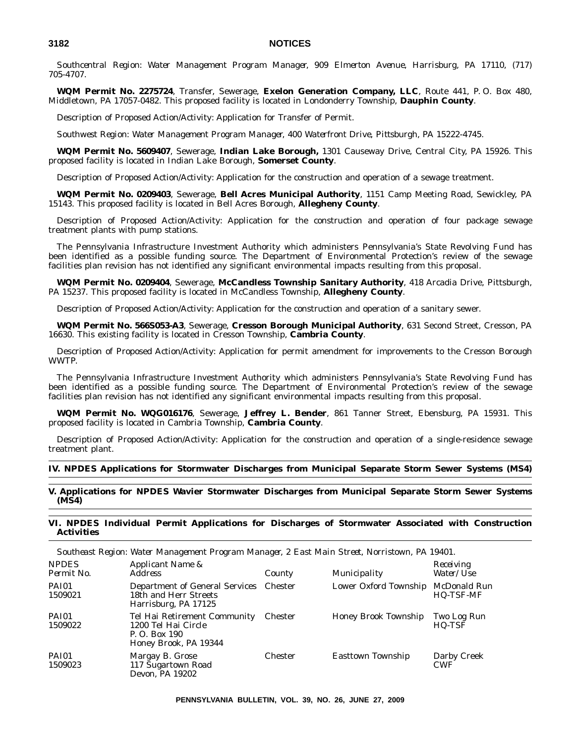*Southcentral Region: Water Management Program Manager, 909 Elmerton Avenue, Harrisburg, PA 17110, (717) 705-4707.*

**WQM Permit No. 2275724**, Transfer, Sewerage, **Exelon Generation Company, LLC**, Route 441, P. O. Box 480, Middletown, PA 17057-0482. This proposed facility is located in Londonderry Township, **Dauphin County**.

Description of Proposed Action/Activity: Application for Transfer of Permit.

*Southwest Region: Water Management Program Manager, 400 Waterfront Drive, Pittsburgh, PA 15222-4745.*

**WQM Permit No. 5609407**, Sewerage, **Indian Lake Borough,** 1301 Causeway Drive, Central City, PA 15926. This proposed facility is located in Indian Lake Borough, **Somerset County**.

Description of Proposed Action/Activity: Application for the construction and operation of a sewage treatment.

**WQM Permit No. 0209403**, Sewerage, **Bell Acres Municipal Authority**, 1151 Camp Meeting Road, Sewickley, PA 15143. This proposed facility is located in Bell Acres Borough, **Allegheny County**.

Description of Proposed Action/Activity: Application for the construction and operation of four package sewage treatment plants with pump stations.

The Pennsylvania Infrastructure Investment Authority which administers Pennsylvania's State Revolving Fund has been identified as a possible funding source. The Department of Environmental Protection's review of the sewage facilities plan revision has not identified any significant environmental impacts resulting from this proposal.

**WQM Permit No. 0209404**, Sewerage, **McCandless Township Sanitary Authority**, 418 Arcadia Drive, Pittsburgh, PA 15237. This proposed facility is located in McCandless Township, **Allegheny County**.

Description of Proposed Action/Activity: Application for the construction and operation of a sanitary sewer.

**WQM Permit No. 566S053-A3**, Sewerage, **Cresson Borough Municipal Authority**, 631 Second Street, Cresson, PA 16630. This existing facility is located in Cresson Township, **Cambria County**.

Description of Proposed Action/Activity: Application for permit amendment for improvements to the Cresson Borough WWTP.

The Pennsylvania Infrastructure Investment Authority which administers Pennsylvania's State Revolving Fund has been identified as a possible funding source. The Department of Environmental Protection's review of the sewage facilities plan revision has not identified any significant environmental impacts resulting from this proposal.

**WQM Permit No. WQG016176**, Sewerage, **Jeffrey L. Bender**, 861 Tanner Street, Ebensburg, PA 15931. This proposed facility is located in Cambria Township, **Cambria County**.

Description of Proposed Action/Activity: Application for the construction and operation of a single-residence sewage treatment plant.

#### **IV. NPDES Applications for Stormwater Discharges from Municipal Separate Storm Sewer Systems (MS4)**

**V. Applications for NPDES Wavier Stormwater Discharges from Municipal Separate Storm Sewer Systems (MS4)**

#### **VI. NPDES Individual Permit Applications for Discharges of Stormwater Associated with Construction Activities**

|                            | bouintast hegibn. Mater Management 1 logi am manager, & Last main bulet, ivorristown, 171 1940r. |                |                          |                                  |
|----------------------------|--------------------------------------------------------------------------------------------------|----------------|--------------------------|----------------------------------|
| <b>NPDES</b><br>Permit No. | Applicant Name &<br><i>Address</i>                                                               | County         | Municipality             | Receiving<br>Water/Use           |
| PAI01<br>1509021           | <b>Department of General Services</b><br>18th and Herr Streets<br>Harrisburg, PA 17125           | <b>Chester</b> | Lower Oxford Township    | McDonald Run<br><b>HQ-TSF-MF</b> |
| <b>PAI01</b><br>1509022    | Tel Hai Retirement Community<br>1200 Tel Hai Circle<br>P. O. Box 190<br>Honey Brook, PA 19344    | <b>Chester</b> | Honey Brook Township     | Two Log Run<br>HQ-TSF            |
| <b>PAI01</b><br>1509023    | Margay B. Grose<br>117 Sugartown Road<br>Devon, PA 19202                                         | <b>Chester</b> | <b>Easttown Township</b> | Darby Creek<br><b>CWF</b>        |

*Southeast Region: Water Management Program Manager, 2 East Main Street, Norristown, PA 19401.*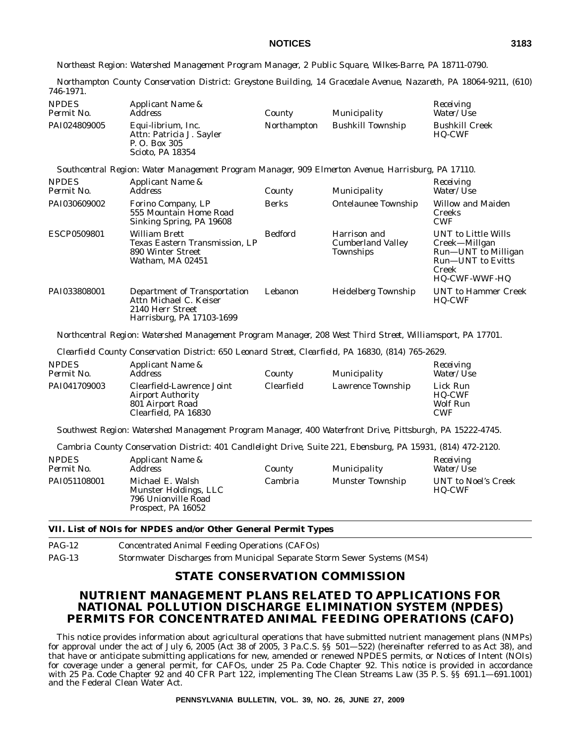*Northeast Region: Watershed Management Program Manager, 2 Public Square, Wilkes-Barre, PA 18711-0790.*

*Northampton County Conservation District: Greystone Building, 14 Gracedale Avenue, Nazareth, PA 18064-9211, (610) 746-1971.*

| <b>NPDES</b><br>Permit No. | Applicant Name &<br>Address                                                         | County      | Municipality             | Receiving<br><i>Water/Use</i>          |
|----------------------------|-------------------------------------------------------------------------------------|-------------|--------------------------|----------------------------------------|
| PAI024809005               | Equi-librium, Inc.<br>Attn: Patricia J. Sayler<br>P. O. Box 305<br>Scioto. PA 18354 | Northampton | <b>Bushkill Township</b> | <b>Bushkill Creek</b><br><b>HO-CWF</b> |

*Southcentral Region: Water Management Program Manager, 909 Elmerton Avenue, Harrisburg, PA 17110.*

| <b>NPDES</b><br>Permit No. | Applicant Name &<br><i>Address</i>                                                              | County         | Municipality                                          | Receiving<br>Water/Use                                                                                            |
|----------------------------|-------------------------------------------------------------------------------------------------|----------------|-------------------------------------------------------|-------------------------------------------------------------------------------------------------------------------|
| PAI030609002               | Forino Company, LP<br>555 Mountain Home Road<br>Sinking Spring, PA 19608                        | <b>Berks</b>   | <b>Ontelaunee Township</b>                            | <b>Willow and Maiden</b><br><b>Creeks</b><br><b>CWF</b>                                                           |
| ESCP0509801                | <b>William Brett</b><br>Texas Eastern Transmission. LP<br>890 Winter Street<br>Watham, MA 02451 | <b>Bedford</b> | Harrison and<br><b>Cumberland Valley</b><br>Townships | UNT to Little Wills<br>Creek—Millgan<br>Run—UNT to Milligan<br>Run—UNT to Evitts<br>Creek<br><b>HQ-CWF-WWF-HQ</b> |
| PAI033808001               | Department of Transportation<br>Attn Michael C. Keiser<br>2140 Herr Street                      | Lebanon        | <b>Heidelberg Township</b>                            | UNT to Hammer Creek<br>HQ-CWF                                                                                     |

Harrisburg, PA 17103-1699

*Northcentral Region: Watershed Management Program Manager, 208 West Third Street, Williamsport, PA 17701.*

*Clearfield County Conservation District: 650 Leonard Street, Clearfield, PA 16830, (814) 765-2629.*

| <b>NPDES</b><br>Permit No. | <i>Applicant Name &amp;</i><br>Address                                                            | County     | Municipality      | Receiving<br><i>Water/Use</i>                       |
|----------------------------|---------------------------------------------------------------------------------------------------|------------|-------------------|-----------------------------------------------------|
| PAI041709003               | Clearfield-Lawrence Joint<br><b>Airport Authority</b><br>801 Airport Road<br>Clearfield, PA 16830 | Clearfield | Lawrence Township | Lick Run<br><b>HQ-CWF</b><br>Wolf Run<br><b>CWF</b> |

*Southwest Region: Watershed Management Program Manager, 400 Waterfront Drive, Pittsburgh, PA 15222-4745.*

*Cambria County Conservation District: 401 Candlelight Drive, Suite 221, Ebensburg, PA 15931, (814) 472-2120.*

| <b>NPDES</b><br>Permit No. | Applicant Name &<br><i>Address</i>                                                     | County  | Municipality            | Receiving<br><i>Water/Use</i>        |
|----------------------------|----------------------------------------------------------------------------------------|---------|-------------------------|--------------------------------------|
| PAI051108001               | Michael E. Walsh<br>Munster Holdings, LLC<br>796 Unionville Road<br>Prospect, PA 16052 | Cambria | <b>Munster Township</b> | UNT to Noel's Creek<br><b>HO-CWF</b> |

#### **VII. List of NOIs for NPDES and/or Other General Permit Types**

PAG-12 Concentrated Animal Feeding Operations (CAFOs)

PAG-13 Stormwater Discharges from Municipal Separate Storm Sewer Systems (MS4)

#### **STATE CONSERVATION COMMISSION**

#### **NUTRIENT MANAGEMENT PLANS RELATED TO APPLICATIONS FOR NATIONAL POLLUTION DISCHARGE ELIMINATION SYSTEM (NPDES) PERMITS FOR CONCENTRATED ANIMAL FEEDING OPERATIONS (CAFO)**

This notice provides information about agricultural operations that have submitted nutrient management plans (NMPs) for approval under the act of July 6, 2005 (Act 38 of 2005, 3 Pa.C.S. §§ 501—522) (hereinafter referred to as Act 38), and that have or anticipate submitting applications for new, amended or renewed NPDES permits, or Notices of Intent (NOIs) for coverage under a general permit, for CAFOs, under 25 Pa. Code Chapter 92. This notice is provided in accordance with 25 Pa. Code Chapter 92 and 40 CFR Part 122, implementing The Clean Streams Law (35 P.S. §§ 691.1—691.1001) and the Federal Clean Water Act.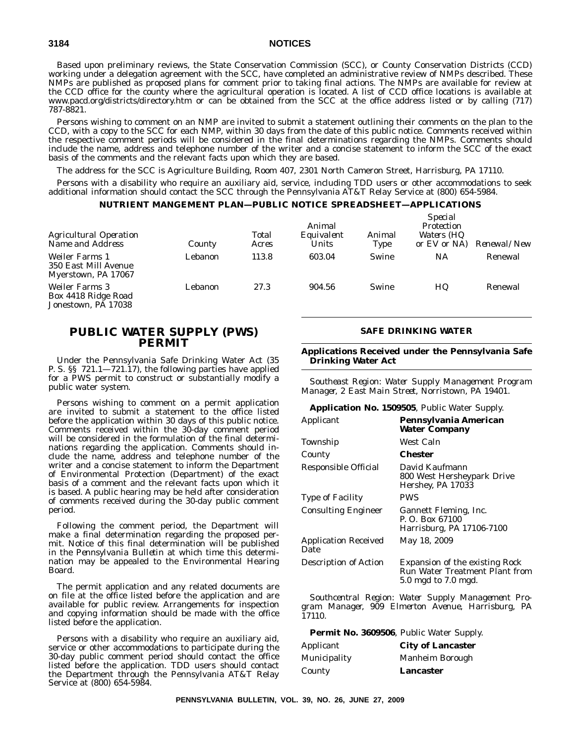Based upon preliminary reviews, the State Conservation Commission (SCC), or County Conservation Districts (CCD) working under a delegation agreement with the SCC, have completed an administrative review of NMPs described. These NMPs are published as proposed plans for comment prior to taking final actions. The NMPs are available for review at the CCD office for the county where the agricultural operation is located. A list of CCD office locations is available at www.pacd.org/districts/directory.htm or can be obtained from the SCC at the office address listed or by calling (717) 787-8821.

Persons wishing to comment on an NMP are invited to submit a statement outlining their comments on the plan to the CCD, with a copy to the SCC for each NMP, within 30 days from the date of this public notice. Comments received within the respective comment periods will be considered in the final determinations regarding the NMPs. Comments should include the name, address and telephone number of the writer and a concise statement to inform the SCC of the exact basis of the comments and the relevant facts upon which they are based.

The address for the SCC is Agriculture Building, Room 407, 2301 North Cameron Street, Harrisburg, PA 17110.

Persons with a disability who require an auxiliary aid, service, including TDD users or other accommodations to seek additional information should contact the SCC through the Pennsylvania AT&T Relay Service at (800) 654-5984.

#### **NUTRIENT MANGEMENT PLAN—PUBLIC NOTICE SPREADSHEET—APPLICATIONS**

| <b>Agricultural Operation</b><br>Name and Address             | County  | Total<br>Acres | Animal<br>Equivalent<br>Units | Animal<br>Type | $Dpt$ cial<br>Protection<br><i>Waters (HQ</i><br>or $EV$ or $NA$ ) | <i>Renewal/New</i> |
|---------------------------------------------------------------|---------|----------------|-------------------------------|----------------|--------------------------------------------------------------------|--------------------|
| Weiler Farms 1<br>350 East Mill Avenue<br>Myerstown, PA 17067 | Lebanon | 113.8          | 603.04                        | Swine          | NA                                                                 | Renewal            |
| Weiler Farms 3<br>Box 4418 Ridge Road<br>Jonestown, PA 17038  | Lebanon | 27.3           | 904.56                        | Swine          | HQ                                                                 | Renewal            |

#### **PUBLIC WATER SUPPLY (PWS) PERMIT**

Under the Pennsylvania Safe Drinking Water Act (35 P. S. §§ 721.1—721.17), the following parties have applied for a PWS permit to construct or substantially modify a public water system.

Persons wishing to comment on a permit application are invited to submit a statement to the office listed before the application within 30 days of this public notice. Comments received within the 30-day comment period will be considered in the formulation of the final determinations regarding the application. Comments should include the name, address and telephone number of the writer and a concise statement to inform the Department of Environmental Protection (Department) of the exact basis of a comment and the relevant facts upon which it is based. A public hearing may be held after consideration of comments received during the 30-day public comment period.

Following the comment period, the Department will make a final determination regarding the proposed permit. Notice of this final determination will be published in the *Pennsylvania Bulletin* at which time this determination may be appealed to the Environmental Hearing Board.

The permit application and any related documents are on file at the office listed before the application and are available for public review. Arrangements for inspection and copying information should be made with the office listed before the application.

Persons with a disability who require an auxiliary aid, service or other accommodations to participate during the 30-day public comment period should contact the office listed before the application. TDD users should contact the Department through the Pennsylvania AT&T Relay Service at (800) 654-5984.

#### **SAFE DRINKING WATER**

*Special*

**Applications Received under the Pennsylvania Safe Drinking Water Act**

*Southeast Region: Water Supply Management Program Manager, 2 East Main Street, Norristown, PA 19401.*

#### **Application No. 1509505**, Public Water Supply.

| Applicant                           | Pennsylvania American<br><b>Water Company</b>                                                  |
|-------------------------------------|------------------------------------------------------------------------------------------------|
| Township                            | West Caln                                                                                      |
| County                              | Chester                                                                                        |
| Responsible Official                | David Kaufmann<br>800 West Hersheypark Drive<br>Hershey, PA 17033                              |
| <b>Type of Facility</b>             | PWS                                                                                            |
| <b>Consulting Engineer</b>          | Gannett Fleming, Inc.<br>P. O. Box 67100<br>Harrisburg, PA 17106-7100                          |
| <b>Application Received</b><br>Date | May 18, 2009                                                                                   |
| <b>Description of Action</b>        | <b>Expansion of the existing Rock</b><br>Run Water Treatment Plant from<br>5.0 mgd to 7.0 mgd. |

*Southcentral Region: Water Supply Management Program Manager, 909 Elmerton Avenue, Harrisburg, PA 17110.*

| <b>Permit No. 3609506</b> , Public Water Supply. |  |  |  |
|--------------------------------------------------|--|--|--|
|--------------------------------------------------|--|--|--|

| Applicant    | <b>City of Lancaster</b> |
|--------------|--------------------------|
| Municipality | <b>Manheim Borough</b>   |
| County       | Lancaster                |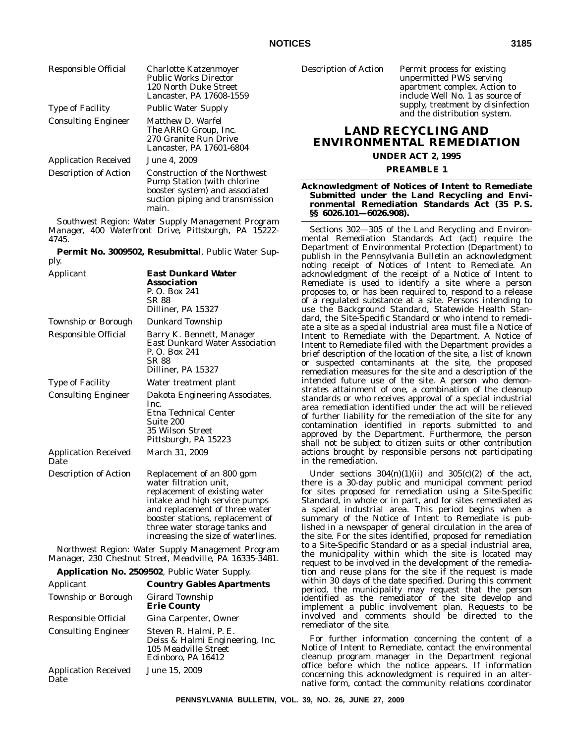| Responsible Official         | <b>Charlotte Katzenmoyer</b><br><b>Public Works Director</b><br>120 North Duke Street<br>Lancaster. PA 17608-1559                                         |
|------------------------------|-----------------------------------------------------------------------------------------------------------------------------------------------------------|
| <b>Type of Facility</b>      | <b>Public Water Supply</b>                                                                                                                                |
| <b>Consulting Engineer</b>   | Matthew D. Warfel<br>The ARRO Group, Inc.<br>270 Granite Run Drive<br>Lancaster. PA 17601-6804                                                            |
| <b>Application Received</b>  | <b>June 4, 2009</b>                                                                                                                                       |
| <b>Description of Action</b> | <b>Construction of the Northwest</b><br><b>Pump Station (with chlorine)</b><br>booster system) and associated<br>suction piping and transmission<br>main. |

*Southwest Region: Water Supply Management Program Manager, 400 Waterfront Drive, Pittsburgh, PA 15222- 4745.*

**Permit No. 3009502, Resubmittal**, Public Water Supply.

| Applicant                           | <b>East Dunkard Water</b><br>Association<br>P. O. Box 241<br>SR 88<br>Dilliner, PA 15327                                                                                                                                                                           |
|-------------------------------------|--------------------------------------------------------------------------------------------------------------------------------------------------------------------------------------------------------------------------------------------------------------------|
| Township or Borough                 | Dunkard Township                                                                                                                                                                                                                                                   |
| Responsible Official                | Barry K. Bennett, Manager<br><b>East Dunkard Water Association</b><br>P. O. Box 241<br>SR 88<br>Dilliner, PA 15327                                                                                                                                                 |
| <b>Type of Facility</b>             | Water treatment plant                                                                                                                                                                                                                                              |
| <b>Consulting Engineer</b>          | Dakota Engineering Associates,<br>Inc.<br>Etna Technical Center<br>Suite 200<br>35 Wilson Street<br>Pittsburgh, PA 15223                                                                                                                                           |
| <b>Application Received</b><br>Date | March 31, 2009                                                                                                                                                                                                                                                     |
| Description of Action               | Replacement of an 800 gpm<br>water filtration unit.<br>replacement of existing water<br>intake and high service pumps<br>and replacement of three water<br>booster stations, replacement of<br>three water storage tanks and<br>increasing the size of waterlines. |

*Northwest Region: Water Supply Management Program Manager, 230 Chestnut Street, Meadville, PA 16335-3481.*

**Application No. 2509502**, Public Water Supply.

| Applicant                           | <b>Country Gables Apartments</b>                                                                        |
|-------------------------------------|---------------------------------------------------------------------------------------------------------|
| <b>Township or Borough</b>          | Girard Township<br><b>Erie County</b>                                                                   |
| Responsible Official                | Gina Carpenter, Owner                                                                                   |
| <b>Consulting Engineer</b>          | Steven R. Halmi, P. E.<br>Deiss & Halmi Engineering, Inc.<br>105 Meadville Street<br>Edinboro, PA 16412 |
| <b>Application Received</b><br>Date | June 15, 2009                                                                                           |

Description of Action Permit process for existing

unpermitted PWS serving apartment complex. Action to include Well No. 1 as source of supply, treatment by disinfection and the distribution system.

#### **LAND RECYCLING AND ENVIRONMENTAL REMEDIATION**

#### **UNDER ACT 2, 1995**

#### **PREAMBLE 1**

#### **Acknowledgment of Notices of Intent to Remediate Submitted under the Land Recycling and Environmental Remediation Standards Act (35 P. S. §§ 6026.101—6026.908).**

Sections 302—305 of the Land Recycling and Environmental Remediation Standards Act (act) require the Department of Environmental Protection (Department) to publish in the *Pennsylvania Bulletin* an acknowledgment noting receipt of Notices of Intent to Remediate. An acknowledgment of the receipt of a Notice of Intent to Remediate is used to identify a site where a person proposes to, or has been required to, respond to a release of a regulated substance at a site. Persons intending to use the Background Standard, Statewide Health Standard, the Site-Specific Standard or who intend to remediate a site as a special industrial area must file a Notice of Intent to Remediate with the Department. A Notice of Intent to Remediate filed with the Department provides a brief description of the location of the site, a list of known or suspected contaminants at the site, the proposed remediation measures for the site and a description of the intended future use of the site. A person who demonstrates attainment of one, a combination of the cleanup standards or who receives approval of a special industrial area remediation identified under the act will be relieved of further liability for the remediation of the site for any contamination identified in reports submitted to and approved by the Department. Furthermore, the person shall not be subject to citizen suits or other contribution actions brought by responsible persons not participating in the remediation.

Under sections  $304(n)(1)(ii)$  and  $305(c)(2)$  of the act, there is a 30-day public and municipal comment period for sites proposed for remediation using a Site-Specific Standard, in whole or in part, and for sites remediated as a special industrial area. This period begins when a summary of the Notice of Intent to Remediate is published in a newspaper of general circulation in the area of the site. For the sites identified, proposed for remediation to a Site-Specific Standard or as a special industrial area, the municipality within which the site is located may request to be involved in the development of the remediation and reuse plans for the site if the request is made within 30 days of the date specified. During this comment period, the municipality may request that the person identified as the remediator of the site develop and implement a public involvement plan. Requests to be involved and comments should be directed to the remediator of the site.

For further information concerning the content of a Notice of Intent to Remediate, contact the environmental cleanup program manager in the Department regional office before which the notice appears. If information concerning this acknowledgment is required in an alternative form, contact the community relations coordinator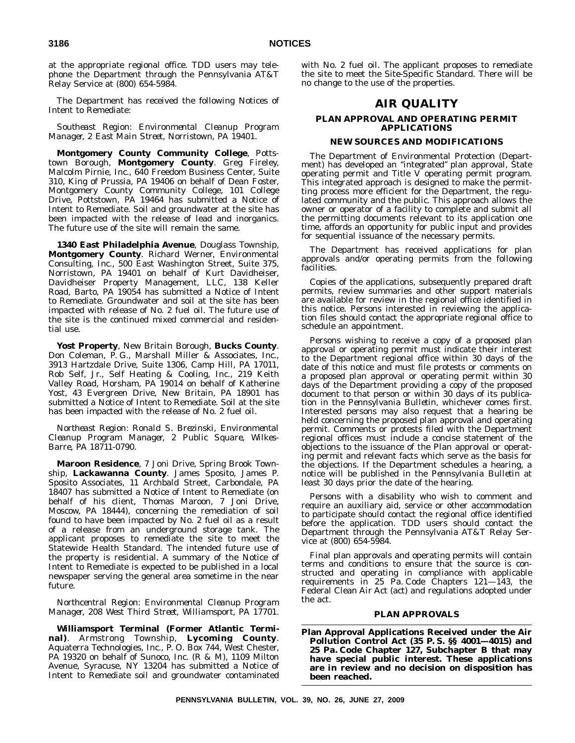at the appropriate regional office. TDD users may telephone the Department through the Pennsylvania AT&T Relay Service at (800) 654-5984.

The Department has received the following Notices of Intent to Remediate:

*Southeast Region: Environmental Cleanup Program Manager, 2 East Main Street, Norristown, PA 19401.*

**Montgomery County Community College**, Pottstown Borough, **Montgomery County**. Greg Fireley, Malcolm Pirnie, Inc., 640 Freedom Business Center, Suite 310, King of Prussia, PA 19406 on behalf of Dean Foster, Montgomery County Community College, 101 College Drive, Pottstown, PA 19464 has submitted a Notice of Intent to Remediate. Soil and groundwater at the site has been impacted with the release of lead and inorganics. The future use of the site will remain the same.

**1340 East Philadelphia Avenue**, Douglass Township, **Montgomery County**. Richard Werner, Environmental Consulting, Inc., 500 East Washington Street, Suite 375, Norristown, PA 19401 on behalf of Kurt Davidheiser, Davidheiser Property Management, LLC, 138 Keller Road, Barto, PA 19054 has submitted a Notice of Intent to Remediate. Groundwater and soil at the site has been impacted with release of No. 2 fuel oil. The future use of the site is the continued mixed commercial and residential use.

**Yost Property**, New Britain Borough, **Bucks County**. Don Coleman, P. G., Marshall Miller & Associates, Inc., 3913 Hartzdale Drive, Suite 1306, Camp Hill, PA 17011, Rob Self, Jr., Self Heating & Cooling, Inc., 219 Keith Valley Road, Horsham, PA 19014 on behalf of Katherine Yost, 43 Evergreen Drive, New Britain, PA 18901 has submitted a Notice of Intent to Remediate. Soil at the site has been impacted with the release of No. 2 fuel oil.

*Northeast Region: Ronald S. Brezinski, Environmental Cleanup Program Manager, 2 Public Square, Wilkes-Barre, PA 18711-0790.*

**Maroon Residence**, 7 Joni Drive, Spring Brook Township, **Lackawanna County**. James Sposito, James P. Sposito Associates, 11 Archbald Street, Carbondale, PA 18407 has submitted a Notice of Intent to Remediate (on behalf of his client, Thomas Maroon, 7 Joni Drive, Moscow, PA 18444), concerning the remediation of soil found to have been impacted by No. 2 fuel oil as a result of a release from an underground storage tank. The applicant proposes to remediate the site to meet the Statewide Health Standard. The intended future use of the property is residential. A summary of the Notice of Intent to Remediate is expected to be published in a local newspaper serving the general area sometime in the near future.

*Northcentral Region: Environmental Cleanup Program Manager, 208 West Third Street, Williamsport, PA 17701.*

**Williamsport Terminal (Former Atlantic Terminal)**. Armstrong Township, **Lycoming County**. Aquaterra Technologies, Inc., P. O. Box 744, West Chester, PA 19320 on behalf of Sunoco, Inc. (R & M), 1109 Milton Avenue, Syracuse, NY 13204 has submitted a Notice of Intent to Remediate soil and groundwater contaminated

with No. 2 fuel oil. The applicant proposes to remediate the site to meet the Site-Specific Standard. There will be no change to the use of the properties.

#### **AIR QUALITY**

#### **PLAN APPROVAL AND OPERATING PERMIT APPLICATIONS**

#### **NEW SOURCES AND MODIFICATIONS**

The Department of Environmental Protection (Department) has developed an ''integrated'' plan approval, State operating permit and Title V operating permit program. This integrated approach is designed to make the permitting process more efficient for the Department, the regulated community and the public. This approach allows the owner or operator of a facility to complete and submit all the permitting documents relevant to its application one time, affords an opportunity for public input and provides for sequential issuance of the necessary permits.

The Department has received applications for plan approvals and/or operating permits from the following facilities.

Copies of the applications, subsequently prepared draft permits, review summaries and other support materials are available for review in the regional office identified in this notice. Persons interested in reviewing the application files should contact the appropriate regional office to schedule an appointment.

Persons wishing to receive a copy of a proposed plan approval or operating permit must indicate their interest to the Department regional office within 30 days of the date of this notice and must file protests or comments on a proposed plan approval or operating permit within 30 days of the Department providing a copy of the proposed document to that person or within 30 days of its publication in the *Pennsylvania Bulletin*, whichever comes first. Interested persons may also request that a hearing be held concerning the proposed plan approval and operating permit. Comments or protests filed with the Department regional offices must include a concise statement of the objections to the issuance of the Plan approval or operating permit and relevant facts which serve as the basis for the objections. If the Department schedules a hearing, a notice will be published in the *Pennsylvania Bulletin* at least 30 days prior the date of the hearing.

Persons with a disability who wish to comment and require an auxiliary aid, service or other accommodation to participate should contact the regional office identified before the application. TDD users should contact the Department through the Pennsylvania AT&T Relay Service at (800) 654-5984.

Final plan approvals and operating permits will contain terms and conditions to ensure that the source is constructed and operating in compliance with applicable requirements in 25 Pa. Code Chapters 121—143, the Federal Clean Air Act (act) and regulations adopted under the act.

#### **PLAN APPROVALS**

**Plan Approval Applications Received under the Air Pollution Control Act (35 P. S. §§ 4001—4015) and 25 Pa. Code Chapter 127, Subchapter B that may have special public interest. These applications are in review and no decision on disposition has been reached.**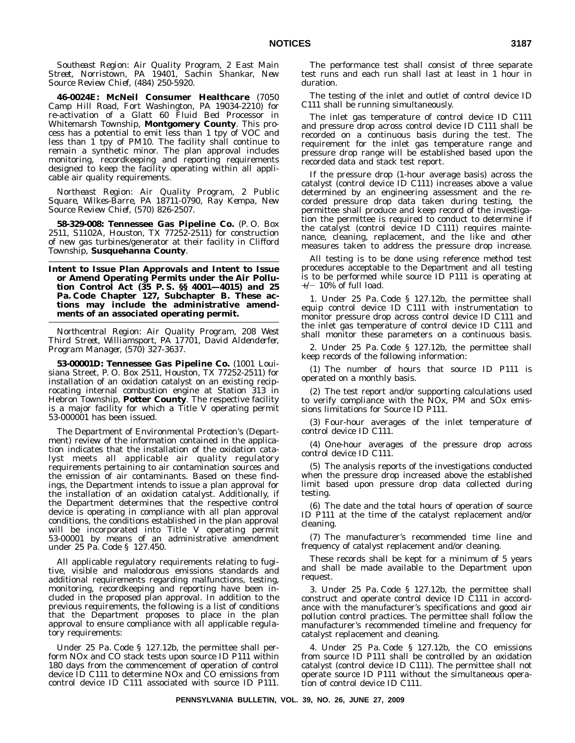*Southeast Region: Air Quality Program, 2 East Main Street, Norristown, PA 19401, Sachin Shankar, New Source Review Chief, (484) 250-5920.*

**46-0024E: McNeil Consumer Healthcare** (7050 Camp Hill Road, Fort Washington, PA 19034-2210) for re-activation of a Glatt 60 Fluid Bed Processor in Whitemarsh Township, **Montgomery County**. This process has a potential to emit less than 1 tpy of VOC and less than 1 tpy of PM10. The facility shall continue to remain a synthetic minor. The plan approval includes monitoring, recordkeeping and reporting requirements designed to keep the facility operating within all applicable air quality requirements.

*Northeast Region: Air Quality Program, 2 Public Square, Wilkes-Barre, PA 18711-0790, Ray Kempa, New Source Review Chief, (570) 826-2507.*

**58-329-008: Tennessee Gas Pipeline Co.** (P. O. Box 2511, S1102A, Houston, TX 77252-2511) for construction of new gas turbines/generator at their facility in Clifford Township, **Susquehanna County**.

**Intent to Issue Plan Approvals and Intent to Issue or Amend Operating Permits under the Air Pollution Control Act (35 P. S. §§ 4001—4015) and 25 Pa. Code Chapter 127, Subchapter B. These actions may include the administrative amendments of an associated operating permit.**

*Northcentral Region: Air Quality Program, 208 West Third Street, Williamsport, PA 17701, David Aldenderfer, Program Manager, (570) 327-3637.*

**53-00001D: Tennessee Gas Pipeline Co.** (1001 Louisiana Street, P. O. Box 2511, Houston, TX 77252-2511) for installation of an oxidation catalyst on an existing reciprocating internal combustion engine at Station 313 in Hebron Township, **Potter County**. The respective facility is a major facility for which a Title V operating permit 53-000001 has been issued.

The Department of Environmental Protection's (Department) review of the information contained in the application indicates that the installation of the oxidation catalyst meets all applicable air quality regulatory requirements pertaining to air contamination sources and the emission of air contaminants. Based on these findings, the Department intends to issue a plan approval for the installation of an oxidation catalyst. Additionally, if the Department determines that the respective control device is operating in compliance with all plan approval conditions, the conditions established in the plan approval will be incorporated into Title V operating permit 53-00001 by means of an administrative amendment under 25 Pa. Code § 127.450.

All applicable regulatory requirements relating to fugitive, visible and malodorous emissions standards and additional requirements regarding malfunctions, testing, monitoring, recordkeeping and reporting have been included in the proposed plan approval. In addition to the previous requirements, the following is a list of conditions that the Department proposes to place in the plan approval to ensure compliance with all applicable regulatory requirements:

Under 25 Pa. Code § 127.12b, the permittee shall perform NOx and CO stack tests upon source ID P111 within 180 days from the commencement of operation of control device ID C111 to determine NOx and CO emissions from control device ID C111 associated with source ID P111.

The performance test shall consist of three separate test runs and each run shall last at least in 1 hour in duration.

The testing of the inlet and outlet of control device ID C111 shall be running simultaneously.

The inlet gas temperature of control device ID C111 and pressure drop across control device ID C111 shall be recorded on a continuous basis during the test. The requirement for the inlet gas temperature range and pressure drop range will be established based upon the recorded data and stack test report.

If the pressure drop (1-hour average basis) across the catalyst (control device ID C111) increases above a value determined by an engineering assessment and the recorded pressure drop data taken during testing, the permittee shall produce and keep record of the investigation the permittee is required to conduct to determine if the catalyst (control device ID C111) requires maintenance, cleaning, replacement, and the like and other measures taken to address the pressure drop increase.

All testing is to be done using reference method test procedures acceptable to the Department and all testing is to be performed while source ID P111 is operating at  $+/-$  10% of full load.

1. Under 25 Pa. Code § 127.12b, the permittee shall equip control device ID C111 with instrumentation to monitor pressure drop across control device ID C111 and the inlet gas temperature of control device ID C111 and shall monitor these parameters on a continuous basis.

2. Under 25 Pa. Code § 127.12b, the permittee shall keep records of the following information:

(1) The number of hours that source ID P111 is operated on a monthly basis.

(2) The test report and/or supporting calculations used to verify compliance with the NOx, PM and SOx emissions limitations for Source ID P111.

(3) Four-hour averages of the inlet temperature of control device ID C111.

(4) One-hour averages of the pressure drop across control device ID C111.

(5) The analysis reports of the investigations conducted when the pressure drop increased above the established limit based upon pressure drop data collected during testing.

(6) The date and the total hours of operation of source ID P111 at the time of the catalyst replacement and/or cleaning.

(7) The manufacturer's recommended time line and frequency of catalyst replacement and/or cleaning.

These records shall be kept for a minimum of 5 years and shall be made available to the Department upon request.

3. Under 25 Pa. Code § 127.12b, the permittee shall construct and operate control device ID C111 in accordance with the manufacturer's specifications and good air pollution control practices. The permittee shall follow the manufacturer's recommended timeline and frequency for catalyst replacement and cleaning.

4. Under 25 Pa. Code § 127.12b, the CO emissions from source ID P111 shall be controlled by an oxidation catalyst (control device ID C111). The permittee shall not operate source ID P111 without the simultaneous operation of control device ID C111.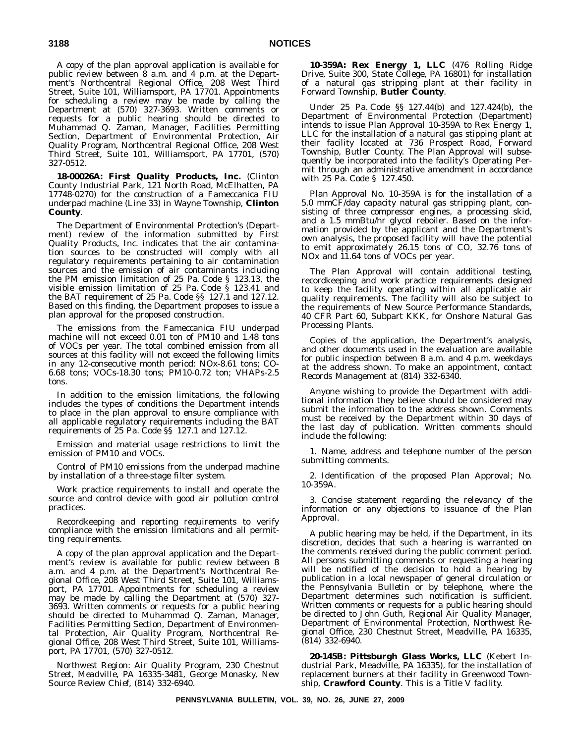A copy of the plan approval application is available for public review between 8 a.m. and 4 p.m. at the Department's Northcentral Regional Office, 208 West Third Street, Suite 101, Williamsport, PA 17701. Appointments for scheduling a review may be made by calling the Department at (570) 327-3693. Written comments or requests for a public hearing should be directed to Muhammad Q. Zaman, Manager, Facilities Permitting Section, Department of Environmental Protection, Air Quality Program, Northcentral Regional Office, 208 West Third Street, Suite 101, Williamsport, PA 17701, (570) 327-0512.

**18-00026A: First Quality Products, Inc.** (Clinton County Industrial Park, 121 North Road, McElhatten, PA 17748-0270) for the construction of a Fameccanica FIU underpad machine (Line 33) in Wayne Township, **Clinton County**.

The Department of Environmental Protection's (Department) review of the information submitted by First Quality Products, Inc. indicates that the air contamination sources to be constructed will comply with all regulatory requirements pertaining to air contamination sources and the emission of air contaminants including the PM emission limitation of 25 Pa. Code § 123.13, the visible emission limitation of 25 Pa. Code § 123.41 and the BAT requirement of 25 Pa. Code §§ 127.1 and 127.12. Based on this finding, the Department proposes to issue a plan approval for the proposed construction.

The emissions from the Fameccanica FIU underpad machine will not exceed 0.01 ton of PM10 and 1.48 tons of VOCs per year. The total combined emission from all sources at this facility will not exceed the following limits in any 12-consecutive month period: NOx-8.61 tons; CO-6.68 tons; VOCs-18.30 tons; PM10-0.72 ton; VHAPs-2.5 tons.

In addition to the emission limitations, the following includes the types of conditions the Department intends to place in the plan approval to ensure compliance with all applicable regulatory requirements including the BAT requirements of 25 Pa. Code §§ 127.1 and 127.12.

Emission and material usage restrictions to limit the emission of PM10 and VOCs.

Control of PM10 emissions from the underpad machine by installation of a three-stage filter system.

Work practice requirements to install and operate the source and control device with good air pollution control practices.

Recordkeeping and reporting requirements to verify compliance with the emission limitations and all permitting requirements.

A copy of the plan approval application and the Department's review is available for public review between 8 a.m. and 4 p.m. at the Department's Northcentral Regional Office, 208 West Third Street, Suite 101, Williamsport, PA 17701. Appointments for scheduling a review may be made by calling the Department at (570) 327- 3693. Written comments or requests for a public hearing should be directed to Muhammad Q. Zaman, Manager, Facilities Permitting Section, Department of Environmental Protection, Air Quality Program, Northcentral Regional Office, 208 West Third Street, Suite 101, Williamsport, PA 17701, (570) 327-0512.

*Northwest Region: Air Quality Program, 230 Chestnut Street, Meadville, PA 16335-3481, George Monasky, New Source Review Chief, (814) 332-6940.*

**10-359A: Rex Energy 1, LLC** (476 Rolling Ridge Drive, Suite 300, State College, PA 16801) for installation of a natural gas stripping plant at their facility in Forward Township, **Butler County**.

Under 25 Pa. Code §§ 127.44(b) and 127.424(b), the Department of Environmental Protection (Department) intends to issue Plan Approval 10-359A to Rex Energy 1, LLC for the installation of a natural gas stipping plant at their facility located at 736 Prospect Road, Forward Township, Butler County. The Plan Approval will subsequently be incorporated into the facility's Operating Permit through an administrative amendment in accordance with 25 Pa. Code § 127.450.

Plan Approval No. 10-359A is for the installation of a 5.0 mmCF/day capacity natural gas stripping plant, consisting of three compressor engines, a processing skid, and a 1.5 mmBtu/hr glycol reboiler. Based on the information provided by the applicant and the Department's own analysis, the proposed facility will have the potential to emit approximately 26.15 tons of CO, 32.76 tons of NOx and 11.64 tons of VOCs per year.

The Plan Approval will contain additional testing, recordkeeping and work practice requirements designed to keep the facility operating within all applicable air quality requirements. The facility will also be subject to the requirements of New Source Performance Standards, 40 CFR Part 60, Subpart KKK, for Onshore Natural Gas Processing Plants.

Copies of the application, the Department's analysis, and other documents used in the evaluation are available for public inspection between 8 a.m. and 4 p.m. weekdays at the address shown. To make an appointment, contact Records Management at (814) 332-6340.

Anyone wishing to provide the Department with additional information they believe should be considered may submit the information to the address shown. Comments must be received by the Department within 30 days of the last day of publication. Written comments should include the following:

1. Name, address and telephone number of the person submitting comments.

2. Identification of the proposed Plan Approval; No. 10-359A.

3. Concise statement regarding the relevancy of the information or any objections to issuance of the Plan Approval.

A public hearing may be held, if the Department, in its discretion, decides that such a hearing is warranted on the comments received during the public comment period. All persons submitting comments or requesting a hearing will be notified of the decision to hold a hearing by publication in a local newspaper of general circulation or the *Pennsylvania Bulletin* or by telephone, where the Department determines such notification is sufficient. Written comments or requests for a public hearing should be directed to John Guth, Regional Air Quality Manager, Department of Environmental Protection, Northwest Regional Office, 230 Chestnut Street, Meadville, PA 16335, (814) 332-6940.

**20-145B: Pittsburgh Glass Works, LLC** (Kebert Industrial Park, Meadville, PA 16335), for the installation of replacement burners at their facility in Greenwood Township, **Crawford County**. This is a Title V facility.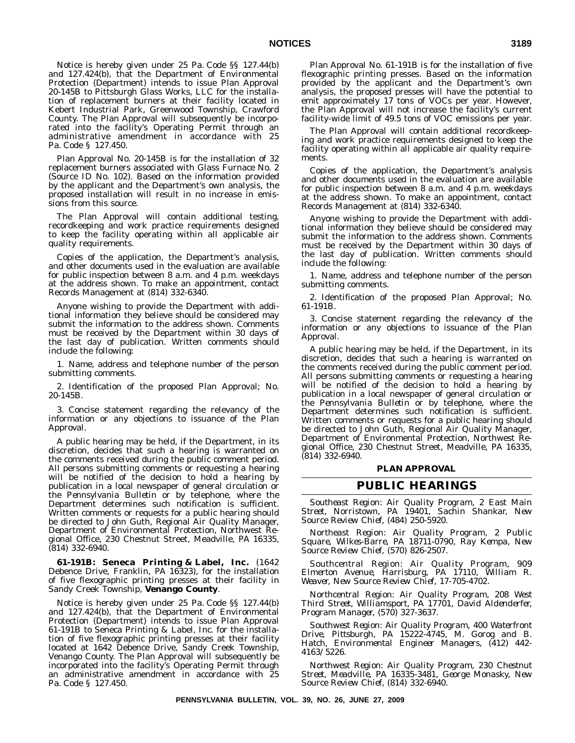Notice is hereby given under 25 Pa. Code §§ 127.44(b) and 127.424(b), that the Department of Environmental Protection (Department) intends to issue Plan Approval 20-145B to Pittsburgh Glass Works, LLC for the installation of replacement burners at their facility located in Kebert Industrial Park, Greenwood Township, Crawford County. The Plan Approval will subsequently be incorporated into the facility's Operating Permit through an administrative amendment in accordance with 25 Pa. Code § 127.450.

Plan Approval No. 20-145B is for the installation of 32 replacement burners associated with Glass Furnace No. 2 (Source ID No. 102). Based on the information provided by the applicant and the Department's own analysis, the proposed installation will result in no increase in emissions from this source.

The Plan Approval will contain additional testing, recordkeeping and work practice requirements designed to keep the facility operating within all applicable air quality requirements.

Copies of the application, the Department's analysis, and other documents used in the evaluation are available for public inspection between 8 a.m. and 4 p.m. weekdays at the address shown. To make an appointment, contact Records Management at (814) 332-6340.

Anyone wishing to provide the Department with additional information they believe should be considered may submit the information to the address shown. Comments must be received by the Department within 30 days of the last day of publication. Written comments should include the following:

1. Name, address and telephone number of the person submitting comments.

2. Identification of the proposed Plan Approval; No. 20-145B.

3. Concise statement regarding the relevancy of the information or any objections to issuance of the Plan Approval.

A public hearing may be held, if the Department, in its discretion, decides that such a hearing is warranted on the comments received during the public comment period. All persons submitting comments or requesting a hearing will be notified of the decision to hold a hearing by publication in a local newspaper of general circulation or the *Pennsylvania Bulletin* or by telephone, where the Department determines such notification is sufficient. Written comments or requests for a public hearing should be directed to John Guth, Regional Air Quality Manager, Department of Environmental Protection, Northwest Regional Office, 230 Chestnut Street, Meadville, PA 16335, (814) 332-6940.

**61-191B: Seneca Printing & Label, Inc.** (1642 Debence Drive, Franklin, PA 16323), for the installation of five flexographic printing presses at their facility in Sandy Creek Township, **Venango County**.

Notice is hereby given under 25 Pa. Code §§ 127.44(b) and 127.424(b), that the Department of Environmental Protection (Department) intends to issue Plan Approval 61-191B to Seneca Printing & Label, Inc. for the installation of five flexographic printing presses at their facility located at 1642 Debence Drive, Sandy Creek Township, Venango County. The Plan Approval will subsequently be incorporated into the facility's Operating Permit through an administrative amendment in accordance with 25 Pa. Code § 127.450.

Plan Approval No. 61-191B is for the installation of five flexographic printing presses. Based on the information provided by the applicant and the Department's own analysis, the proposed presses will have the potential to emit approximately 17 tons of VOCs per year. However, the Plan Approval will not increase the facility's current facility-wide limit of 49.5 tons of VOC emissions per year.

The Plan Approval will contain additional recordkeeping and work practice requirements designed to keep the facility operating within all applicable air quality requirements.

Copies of the application, the Department's analysis and other documents used in the evaluation are available for public inspection between 8 a.m. and 4 p.m. weekdays at the address shown. To make an appointment, contact Records Management at (814) 332-6340.

Anyone wishing to provide the Department with additional information they believe should be considered may submit the information to the address shown. Comments must be received by the Department within 30 days of the last day of publication. Written comments should include the following:

1. Name, address and telephone number of the person submitting comments.

2. Identification of the proposed Plan Approval; No. 61-191B.

3. Concise statement regarding the relevancy of the information or any objections to issuance of the Plan Approval.

A public hearing may be held, if the Department, in its discretion, decides that such a hearing is warranted on the comments received during the public comment period. All persons submitting comments or requesting a hearing will be notified of the decision to hold a hearing by publication in a local newspaper of general circulation or the *Pennsylvania Bulletin* or by telephone, where the Department determines such notification is sufficient. Written comments or requests for a public hearing should be directed to John Guth, Regional Air Quality Manager, Department of Environmental Protection, Northwest Regional Office, 230 Chestnut Street, Meadville, PA 16335, (814) 332-6940.

#### **PLAN APPROVAL**

#### **PUBLIC HEARINGS**

*Southeast Region: Air Quality Program, 2 East Main Street, Norristown, PA 19401, Sachin Shankar, New Source Review Chief, (484) 250-5920.*

*Northeast Region: Air Quality Program, 2 Public Square, Wilkes-Barre, PA 18711-0790, Ray Kempa, New Source Review Chief, (570) 826-2507.*

*Southcentral Region: Air Quality Program, 909 Elmerton Avenue, Harrisburg, PA 17110, William R. Weaver, New Source Review Chief, 17-705-4702.*

*Northcentral Region: Air Quality Program, 208 West Third Street, Williamsport, PA 17701, David Aldenderfer, Program Manager, (570) 327-3637.*

*Southwest Region: Air Quality Program, 400 Waterfront Drive, Pittsburgh, PA 15222-4745, M. Gorog and B. Hatch, Environmental Engineer Managers, (412) 442- 4163/5226.*

*Northwest Region: Air Quality Program, 230 Chestnut Street, Meadville, PA 16335-3481, George Monasky, New Source Review Chief, (814) 332-6940.*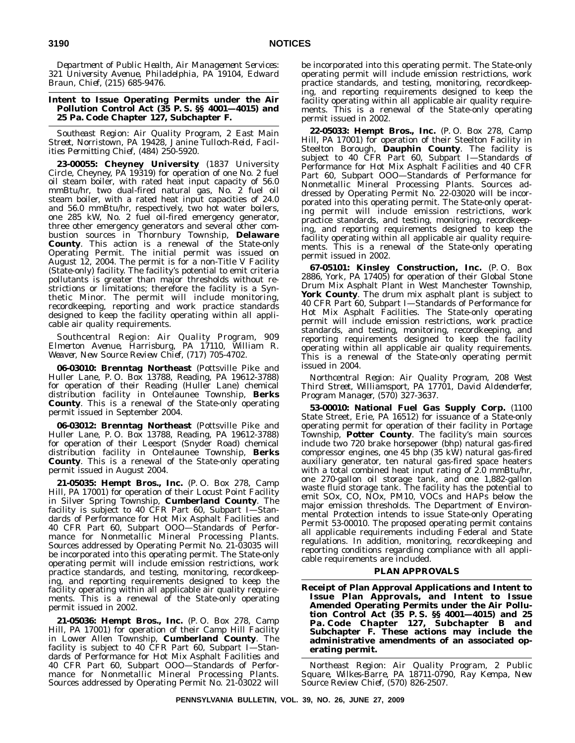*Department of Public Health, Air Management Services: 321 University Avenue, Philadelphia, PA 19104, Edward Braun, Chief, (215) 685-9476.*

#### **Intent to Issue Operating Permits under the Air Pollution Control Act (35 P. S. §§ 4001—4015) and 25 Pa. Code Chapter 127, Subchapter F.**

*Southeast Region: Air Quality Program, 2 East Main Street, Norristown, PA 19428, Janine Tulloch-Reid, Facilities Permitting Chief, (484) 250-5920.*

**23-00055: Cheyney University** (1837 University Circle, Cheyney, PA 19319) for operation of one No. 2 fuel oil steam boiler, with rated heat input capacity of 56.0 mmBtu/hr, two dual-fired natural gas, No. 2 fuel oil steam boiler, with a rated heat input capacities of 24.0 and 56.0 mmBtu/hr, respectively, two hot water boilers, one 285 kW, No. 2 fuel oil-fired emergency generator, three other emergency generators and several other combustion sources in Thornbury Township, **Delaware County**. This action is a renewal of the State-only Operating Permit. The initial permit was issued on August 12, 2004. The permit is for a non-Title V Facility (State-only) facility. The facility's potential to emit criteria pollutants is greater than major thresholds without restrictions or limitations; therefore the facility is a Synthetic Minor. The permit will include monitoring, recordkeeping, reporting and work practice standards designed to keep the facility operating within all applicable air quality requirements.

*Southcentral Region: Air Quality Program, 909 Elmerton Avenue, Harrisburg, PA 17110, William R. Weaver, New Source Review Chief, (717) 705-4702.*

**06-03010: Brenntag Northeast** (Pottsville Pike and Huller Lane, P. O. Box 13788, Reading, PA 19612-3788) for operation of their Reading (Huller Lane) chemical distribution facility in Ontelaunee Township, **Berks County**. This is a renewal of the State-only operating permit issued in September 2004.

**06-03012: Brenntag Northeast** (Pottsville Pike and Huller Lane, P. O. Box 13788, Reading, PA 19612-3788) for operation of their Leesport (Snyder Road) chemical distribution facility in Ontelaunee Township, **Berks County**. This is a renewal of the State-only operating permit issued in August 2004.

**21-05035: Hempt Bros., Inc.** (P. O. Box 278, Camp Hill, PA 17001) for operation of their Locust Point Facility in Silver Spring Township, **Cumberland County**. The facility is subject to 40 CFR Part 60, Subpart I-Standards of Performance for Hot Mix Asphalt Facilities and 40 CFR Part 60, Subpart OOO—Standards of Performance for Nonmetallic Mineral Processing Plants. Sources addressed by Operating Permit No. 21-03035 will be incorporated into this operating permit. The State-only operating permit will include emission restrictions, work practice standards, and testing, monitoring, recordkeeping, and reporting requirements designed to keep the facility operating within all applicable air quality requirements. This is a renewal of the State-only operating permit issued in 2002.

**21-05036: Hempt Bros., Inc.** (P. O. Box 278, Camp Hill, PA 17001) for operation of their Camp Hill Facility in Lower Allen Township, **Cumberland County**. The facility is subject to 40 CFR Part 60, Subpart I—Standards of Performance for Hot Mix Asphalt Facilities and 40 CFR Part 60, Subpart OOO—Standards of Performance for Nonmetallic Mineral Processing Plants. Sources addressed by Operating Permit No. 21-03022 will

be incorporated into this operating permit. The State-only operating permit will include emission restrictions, work practice standards, and testing, monitoring, recordkeeping, and reporting requirements designed to keep the facility operating within all applicable air quality requirements. This is a renewal of the State-only operating permit issued in 2002.

**22-05033: Hempt Bros., Inc.** (P. O. Box 278, Camp Hill, PA 17001) for operation of their Steelton Facility in Steelton Borough, **Dauphin County**. The facility is subject to 40 CFR Part 60, Subpart I—Standards of Performance for Hot Mix Asphalt Facilities and 40 CFR Part 60, Subpart OOO—Standards of Performance for Nonmetallic Mineral Processing Plants. Sources addressed by Operating Permit No. 22-03020 will be incorporated into this operating permit. The State-only operating permit will include emission restrictions, work practice standards, and testing, monitoring, recordkeeping, and reporting requirements designed to keep the facility operating within all applicable air quality requirements. This is a renewal of the State-only operating permit issued in 2002.

**67-05101: Kinsley Construction, Inc.** (P. O. Box 2886, York, PA 17405) for operation of their Global Stone Drum Mix Asphalt Plant in West Manchester Township, **York County**. The drum mix asphalt plant is subject to 40 CFR Part 60, Subpart I—Standards of Performance for Hot Mix Asphalt Facilities. The State-only operating permit will include emission restrictions, work practice standards, and testing, monitoring, recordkeeping, and reporting requirements designed to keep the facility operating within all applicable air quality requirements. This is a renewal of the State-only operating permit issued in 2004.

*Northcentral Region: Air Quality Program, 208 West Third Street, Williamsport, PA 17701, David Aldenderfer, Program Manager, (570) 327-3637.*

**53-00010: National Fuel Gas Supply Corp.** (1100 State Street, Erie, PA 16512) for issuance of a State-only operating permit for operation of their facility in Portage Township, **Potter County**. The facility's main sources include two 720 brake horsepower (bhp) natural gas-fired compressor engines, one 45 bhp (35 kW) natural gas-fired auxiliary generator, ten natural gas-fired space heaters with a total combined heat input rating of 2.0 mmBtu/hr, one 270-gallon oil storage tank, and one 1,882-gallon waste fluid storage tank. The facility has the potential to emit SOx, CO, NOx, PM10, VOCs and HAPs below the major emission thresholds. The Department of Environmental Protection intends to issue State-only Operating Permit 53-00010. The proposed operating permit contains all applicable requirements including Federal and State regulations. In addition, monitoring, recordkeeping and reporting conditions regarding compliance with all applicable requirements are included.

#### **PLAN APPROVALS**

**Receipt of Plan Approval Applications and Intent to Issue Plan Approvals, and Intent to Issue Amended Operating Permits under the Air Pollution Control Act (35 P. S. §§ 4001—4015) and 25 Pa. Code Chapter 127, Subchapter B and Subchapter F. These actions may include the administrative amendments of an associated operating permit.**

*Northeast Region: Air Quality Program, 2 Public Square, Wilkes-Barre, PA 18711-0790, Ray Kempa, New Source Review Chief, (570) 826-2507.*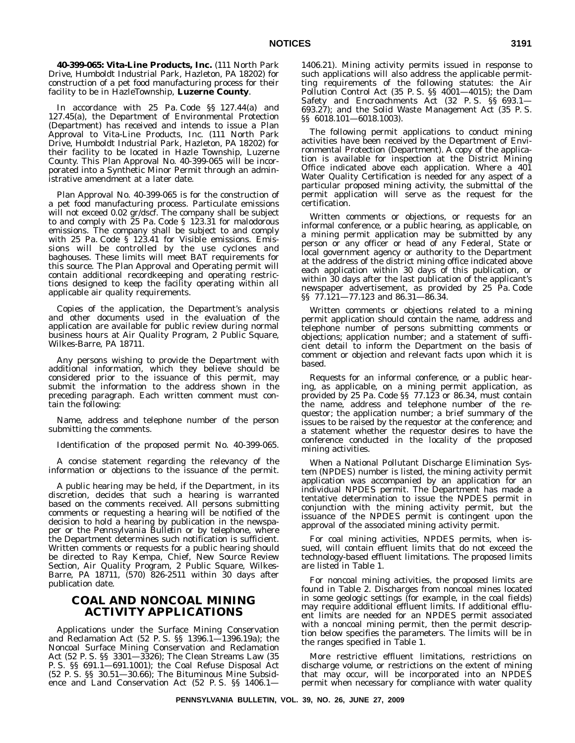**40-399-065: Vita-Line Products, Inc.** (111 North Park Drive, Humboldt Industrial Park, Hazleton, PA 18202) for construction of a pet food manufacturing process for their facility to be in HazleTownship, **Luzerne County**.

In accordance with 25 Pa. Code §§ 127.44(a) and 127.45(a), the Department of Environmental Protection (Department) has received and intends to issue a Plan Approval to Vita-Line Products, Inc. (111 North Park Drive, Humboldt Industrial Park, Hazleton, PA 18202) for their facility to be located in Hazle Township, Luzerne County. This Plan Approval No. 40-399-065 will be incorporated into a Synthetic Minor Permit through an administrative amendment at a later date.

Plan Approval No. 40-399-065 is for the construction of a pet food manufacturing process. Particulate emissions will not exceed 0.02 gr/dscf. The company shall be subject to and comply with 25 Pa. Code § 123.31 for malodorous emissions. The company shall be subject to and comply with 25 Pa. Code § 123.41 for Visible emissions. Emissions will be controlled by the use cyclones and baghouses. These limits will meet BAT requirements for this source. The Plan Approval and Operating permit will contain additional recordkeeping and operating restrictions designed to keep the facility operating within all applicable air quality requirements.

Copies of the application, the Department's analysis and other documents used in the evaluation of the application are available for public review during normal business hours at Air Quality Program, 2 Public Square, Wilkes-Barre, PA 18711.

Any persons wishing to provide the Department with additional information, which they believe should be considered prior to the issuance of this permit, may submit the information to the address shown in the preceding paragraph. Each written comment must contain the following:

Name, address and telephone number of the person submitting the comments.

Identification of the proposed permit No. 40-399-065.

A concise statement regarding the relevancy of the information or objections to the issuance of the permit.

A public hearing may be held, if the Department, in its discretion, decides that such a hearing is warranted based on the comments received. All persons submitting comments or requesting a hearing will be notified of the decision to hold a hearing by publication in the newspaper or the *Pennsylvania Bulletin* or by telephone, where the Department determines such notification is sufficient. Written comments or requests for a public hearing should be directed to Ray Kempa, Chief, New Source Review Section, Air Quality Program, 2 Public Square, Wilkes-Barre, PA 18711, (570) 826-2511 within 30 days after publication date.

# **COAL AND NONCOAL MINING ACTIVITY APPLICATIONS**

Applications under the Surface Mining Conservation and Reclamation Act (52 P. S. §§ 1396.1—1396.19a); the Noncoal Surface Mining Conservation and Reclamation Act (52 P. S. §§ 3301—3326); The Clean Streams Law (35 P. S. §§ 691.1—691.1001); the Coal Refuse Disposal Act (52 P. S. §§ 30.51—30.66); The Bituminous Mine Subsidence and Land Conservation Act (52 P. S. §§ 1406.11406.21). Mining activity permits issued in response to such applications will also address the applicable permitting requirements of the following statutes: the Air Pollution Control Act (35 P.S. §§ 4001-4015); the Dam Safety and Encroachments Act (32 P. S. §§ 693.1— 693.27); and the Solid Waste Management Act (35 P. S. §§ 6018.101—6018.1003).

The following permit applications to conduct mining activities have been received by the Department of Environmental Protection (Department). A copy of the application is available for inspection at the District Mining Office indicated above each application. Where a 401 Water Quality Certification is needed for any aspect of a particular proposed mining activity, the submittal of the permit application will serve as the request for the certification.

Written comments or objections, or requests for an informal conference, or a public hearing, as applicable, on a mining permit application may be submitted by any person or any officer or head of any Federal, State or local government agency or authority to the Department at the address of the district mining office indicated above each application within 30 days of this publication, or within 30 days after the last publication of the applicant's newspaper advertisement, as provided by 25 Pa. Code §§ 77.121—77.123 and 86.31—86.34.

Written comments or objections related to a mining permit application should contain the name, address and telephone number of persons submitting comments or objections; application number; and a statement of sufficient detail to inform the Department on the basis of comment or objection and relevant facts upon which it is based.

Requests for an informal conference, or a public hearing, as applicable, on a mining permit application, as provided by 25 Pa. Code §§ 77.123 or 86.34, must contain the name, address and telephone number of the requestor; the application number; a brief summary of the issues to be raised by the requestor at the conference; and a statement whether the requestor desires to have the conference conducted in the locality of the proposed mining activities.

When a National Pollutant Discharge Elimination System (NPDES) number is listed, the mining activity permit application was accompanied by an application for an individual NPDES permit. The Department has made a tentative determination to issue the NPDES permit in conjunction with the mining activity permit, but the issuance of the NPDES permit is contingent upon the approval of the associated mining activity permit.

For coal mining activities, NPDES permits, when issued, will contain effluent limits that do not exceed the technology-based effluent limitations. The proposed limits are listed in Table 1.

For noncoal mining activities, the proposed limits are found in Table 2. Discharges from noncoal mines located in some geologic settings (for example, in the coal fields) may require additional effluent limits. If additional effluent limits are needed for an NPDES permit associated with a noncoal mining permit, then the permit description below specifies the parameters. The limits will be in the ranges specified in Table 1.

More restrictive effluent limitations, restrictions on discharge volume, or restrictions on the extent of mining that may occur, will be incorporated into an NPDES permit when necessary for compliance with water quality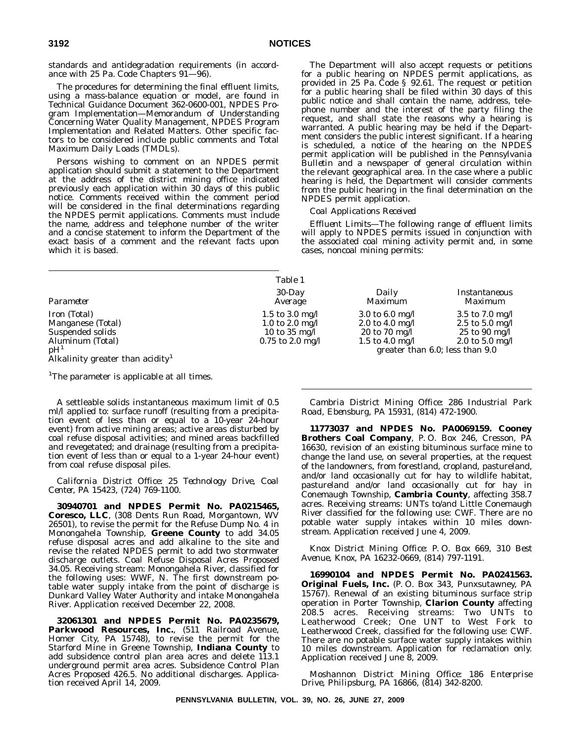standards and antidegradation requirements (in accordance with 25 Pa. Code Chapters 91—96).

The procedures for determining the final effluent limits, using a mass-balance equation or model, are found in Technical Guidance Document 362-0600-001, NPDES Program Implementation—Memorandum of Understanding Concerning Water Quality Management, NPDES Program Implementation and Related Matters. Other specific factors to be considered include public comments and Total Maximum Daily Loads (TMDLs).

Persons wishing to comment on an NPDES permit application should submit a statement to the Department at the address of the district mining office indicated previously each application within 30 days of this public notice. Comments received within the comment period will be considered in the final determinations regarding the NPDES permit applications. Comments must include the name, address and telephone number of the writer and a concise statement to inform the Department of the exact basis of a comment and the relevant facts upon which it is based.

The Department will also accept requests or petitions for a public hearing on NPDES permit applications, as provided in 25 Pa. Code § 92.61. The request or petition for a public hearing shall be filed within 30 days of this public notice and shall contain the name, address, telephone number and the interest of the party filing the request, and shall state the reasons why a hearing is warranted. A public hearing may be held if the Department considers the public interest significant. If a hearing is scheduled, a notice of the hearing on the NPDES permit application will be published in the *Pennsylvania Bulletin* and a newspaper of general circulation within the relevant geographical area. In the case where a public hearing is held, the Department will consider comments from the public hearing in the final determination on the NPDES permit application.

#### *Coal Applications Received*

*Effluent Limits—*The following range of effluent limits will apply to NPDES permits issued in conjunction with the associated coal mining activity permit and, in some cases, noncoal mining permits:

|                                              | Table 1              |                   |                                 |
|----------------------------------------------|----------------------|-------------------|---------------------------------|
| Parameter                                    | $30$ -Day<br>Average | Daily<br>Maximum  | Instantaneous<br>Maximum        |
| Iron (Total)                                 | 1.5 to 3.0 mg/l      | 3.0 to 6.0 mg/l   | 3.5 to $7.0 \text{ mg/l}$       |
| Manganese (Total)                            | 1.0 to 2.0 mg/l      | 2.0 to 4.0 mg/l   | 2.5 to 5.0 mg/l                 |
| Suspended solids                             | 10 to 35 mg/l        | $20$ to $70$ mg/l | $25$ to 90 mg/l                 |
| Aluminum (Total)                             | $0.75$ to 2.0 mg/l   | 1.5 to 4.0 mg/l   | 2.0 to 5.0 mg/l                 |
| pH <sup>1</sup>                              |                      |                   | greater than 6.0; less than 9.0 |
| Alkalinity greater than acidity <sup>1</sup> |                      |                   |                                 |

<sup>1</sup>The parameter is applicable at all times.

A settleable solids instantaneous maximum limit of 0.5 ml/l applied to: surface runoff (resulting from a precipitation event of less than or equal to a 10-year 24-hour event) from active mining areas; active areas disturbed by coal refuse disposal activities; and mined areas backfilled and revegetated; and drainage (resulting from a precipitation event of less than or equal to a 1-year 24-hour event) from coal refuse disposal piles.

*California District Office: 25 Technology Drive, Coal Center, PA 15423, (724) 769-1100.*

**30940701 and NPDES Permit No. PA0215465, Coresco, LLC**, (308 Dents Run Road, Morgantown, WV 26501), to revise the permit for the Refuse Dump No. 4 in Monongahela Township, **Greene County** to add 34.05 refuse disposal acres and add alkaline to the site and revise the related NPDES permit to add two stormwater discharge outlets. Coal Refuse Disposal Acres Proposed 34.05. Receiving stream: Monongahela River, classified for the following uses: WWF, N. The first downstream potable water supply intake from the point of discharge is Dunkard Valley Water Authority and intake Monongahela River. Application received December 22, 2008.

**32061301 and NPDES Permit No. PA0235679, Parkwood Resources, Inc.**, (511 Railroad Avenue, Homer City, PA 15748), to revise the permit for the Starford Mine in Greene Township, **Indiana County** to add subsidence control plan area acres and delete 113.1 underground permit area acres. Subsidence Control Plan Acres Proposed 426.5. No additional discharges. Application received April 14, 2009.

*Cambria District Mining Office: 286 Industrial Park Road, Ebensburg, PA 15931, (814) 472-1900.*

**11773037 and NPDES No. PA0069159. Cooney Brothers Coal Company**, P. O. Box 246, Cresson, PA 16630, revision of an existing bituminous surface mine to change the land use, on several properties, at the request of the landowners, from forestland, cropland, pastureland, and/or land occasionally cut for hay to wildlife habitat, pastureland and/or land occasionally cut for hay in Conemaugh Township, **Cambria County**, affecting 358.7 acres. Receiving streams: UNTs to/and Little Conemaugh River classified for the following use: CWF. There are no potable water supply intakes within 10 miles downstream. Application received June 4, 2009.

*Knox District Mining Office: P. O. Box 669, 310 Best Avenue, Knox, PA 16232-0669, (814) 797-1191.*

**16990104 and NPDES Permit No. PA0241563. Original Fuels, Inc.** (P. O. Box 343, Punxsutawney, PA 15767). Renewal of an existing bituminous surface strip operation in Porter Township, **Clarion County** affecting 208.5 acres. Receiving streams: Two UNTs to Leatherwood Creek; One UNT to West Fork to Leatherwood Creek, classified for the following use: CWF. There are no potable surface water supply intakes within 10 miles downstream. Application for reclamation only. Application received June 8, 2009.

*Moshannon District Mining Office: 186 Enterprise Drive, Philipsburg, PA 16866, (814) 342-8200.*

**PENNSYLVANIA BULLETIN, VOL. 39, NO. 26, JUNE 27, 2009**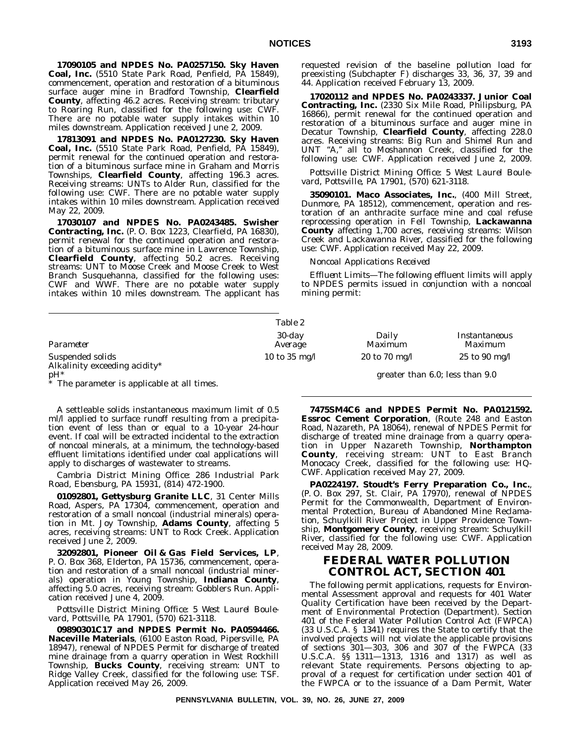**17090105 and NPDES No. PA0257150. Sky Haven Coal, Inc.** (5510 State Park Road, Penfield, PA 15849), commencement, operation and restoration of a bituminous surface auger mine in Bradford Township, **Clearfield County**, affecting 46.2 acres. Receiving stream: tributary to Roaring Run, classified for the following use: CWF. There are no potable water supply intakes within 10 miles downstream. Application received June 2, 2009.

**17813091 and NPDES No. PA0127230. Sky Haven Coal, Inc.** (5510 State Park Road, Penfield, PA 15849), permit renewal for the continued operation and restoration of a bituminous surface mine in Graham and Morris Townships, **Clearfield County**, affecting 196.3 acres. Receiving streams: UNTs to Alder Run, classified for the following use: CWF. There are no potable water supply intakes within 10 miles downstream. Application received May 22, 2009.

**17030107 and NPDES No. PA0243485. Swisher Contracting, Inc.** (P. O. Box 1223, Clearfield, PA 16830), permit renewal for the continued operation and restoration of a bituminous surface mine in Lawrence Township, **Clearfield County**, affecting 50.2 acres. Receiving streams: UNT to Moose Creek and Moose Creek to West Branch Susquehanna, classified for the following uses: CWF and WWF. There are no potable water supply intakes within 10 miles downstream. The applicant has

Suspended solids Alkalinity exceeding acidity\* pH<sup>\*</sup> greater than 6.0; less than 9.0 The parameter is applicable at all times.

A settleable solids instantaneous maximum limit of 0.5 ml/l applied to surface runoff resulting from a precipitation event of less than or equal to a 10-year 24-hour event. If coal will be extracted incidental to the extraction of noncoal minerals, at a minimum, the technology-based effluent limitations identified under coal applications will apply to discharges of wastewater to streams.

*Cambria District Mining Office: 286 Industrial Park Road, Ebensburg, PA 15931, (814) 472-1900.*

**01092801, Gettysburg Granite LLC**, 31 Center Mills Road, Aspers, PA 17304, commencement, operation and restoration of a small noncoal (industrial minerals) operation in Mt. Joy Township, **Adams County**, affecting 5 acres, receiving streams: UNT to Rock Creek. Application received June 2, 2009.

**32092801, Pioneer Oil & Gas Field Services, LP**, P. O. Box 368, Elderton, PA 15736, commencement, operation and restoration of a small noncoal (industrial minerals) operation in Young Township, **Indiana County**, affecting 5.0 acres, receiving stream: Gobblers Run. Application received June 4, 2009.

*Pottsville District Mining Office: 5 West Laurel Boulevard, Pottsville, PA 17901, (570) 621-3118.*

**09890301C17 and NPDES Permit No. PA0594466. Naceville Materials**, (6100 Easton Road, Pipersville, PA 18947), renewal of NPDES Permit for discharge of treated mine drainage from a quarry operation in West Rockhill Township, **Bucks County**, receiving stream: UNT to Ridge Valley Creek, classified for the following use: TSF. Application received May 26, 2009.

requested revision of the baseline pollution load for preexisting (Subchapter F) discharges 33, 36, 37, 39 and 44. Application received February 13, 2009.

**17020112 and NPDES No. PA0243337. Junior Coal Contracting, Inc.** (2330 Six Mile Road, Philipsburg, PA 16866), permit renewal for the continued operation and restoration of a bituminous surface and auger mine in Decatur Township, **Clearfield County**, affecting 228.0 acres. Receiving streams: Big Run and Shimel Run and UNT "A," all to Moshannon Creek, classified for the following use: CWF. Application received June 2, 2009.

*Pottsville District Mining Office: 5 West Laurel Boulevard, Pottsville, PA 17901, (570) 621-3118.*

**35090101. Maco Associates, Inc.**, (400 Mill Street, Dunmore, PA 18512), commencement, operation and restoration of an anthracite surface mine and coal refuse reprocessing operation in Fell Township, **Lackawanna County** affecting 1,700 acres, receiving streams: Wilson Creek and Lackawanna River, classified for the following use: CWF. Application received May 22, 2009.

*Noncoal Applications Received*

*Effluent Limits—*The following effluent limits will apply to NPDES permits issued in conjunction with a noncoal mining permit:

|                                                                                                                                                                                                                                                                                                                                                                                                                                            | Table 2              |                  |                          |
|--------------------------------------------------------------------------------------------------------------------------------------------------------------------------------------------------------------------------------------------------------------------------------------------------------------------------------------------------------------------------------------------------------------------------------------------|----------------------|------------------|--------------------------|
| Parameter                                                                                                                                                                                                                                                                                                                                                                                                                                  | $30$ -day<br>Average | Daily<br>Maximum | Instantaneous<br>Maximum |
| Suspended solids<br>$\mathbf{A} \mathbf{B} \mathbf{B} \mathbf{B} \mathbf{B} \mathbf{C} \mathbf{A} \mathbf{B} \mathbf{C} \mathbf{A} \mathbf{C} \mathbf{A} \mathbf{C} \mathbf{A} \mathbf{C} \mathbf{A} \mathbf{C} \mathbf{A} \mathbf{C} \mathbf{A} \mathbf{C} \mathbf{A} \mathbf{C} \mathbf{A} \mathbf{C} \mathbf{A} \mathbf{C} \mathbf{A} \mathbf{C} \mathbf{A} \mathbf{C} \mathbf{A} \mathbf{C} \mathbf{A} \mathbf{C} \mathbf{A} \mathbf{$ | 10 to 35 mg/l        | 20 to 70 mg/l    | $25$ to 90 mg/l          |

**7475SM4C6 and NPDES Permit No. PA0121592. Essroc Cement Corporation**, (Route 248 and Easton Road, Nazareth, PA 18064), renewal of NPDES Permit for discharge of treated mine drainage from a quarry operation in Upper Nazareth Township, **Northampton County**, receiving stream: UNT to East Branch Monocacy Creek, classified for the following use: HQ-CWF. Application received May 27, 2009.

**PA0224197. Stoudt's Ferry Preparation Co., Inc.**, (P. O. Box 297, St. Clair, PA 17970), renewal of NPDES Permit for the Commonwealth, Department of Environmental Protection, Bureau of Abandoned Mine Reclamation, Schuylkill River Project in Upper Providence Township, **Montgomery County**, receiving stream: Schuylkill River, classified for the following use: CWF. Application received May 28, 2009.

# **FEDERAL WATER POLLUTION CONTROL ACT, SECTION 401**

The following permit applications, requests for Environmental Assessment approval and requests for 401 Water Quality Certification have been received by the Department of Environmental Protection (Department). Section 401 of the Federal Water Pollution Control Act (FWPCA) (33 U.S.C.A. § 1341) requires the State to certify that the involved projects will not violate the applicable provisions of sections 301—303, 306 and 307 of the FWPCA (33 U.S.C.A. §§ 1311—1313, 1316 and 1317) as well as relevant State requirements. Persons objecting to approval of a request for certification under section 401 of the FWPCA or to the issuance of a Dam Permit, Water

**PENNSYLVANIA BULLETIN, VOL. 39, NO. 26, JUNE 27, 2009**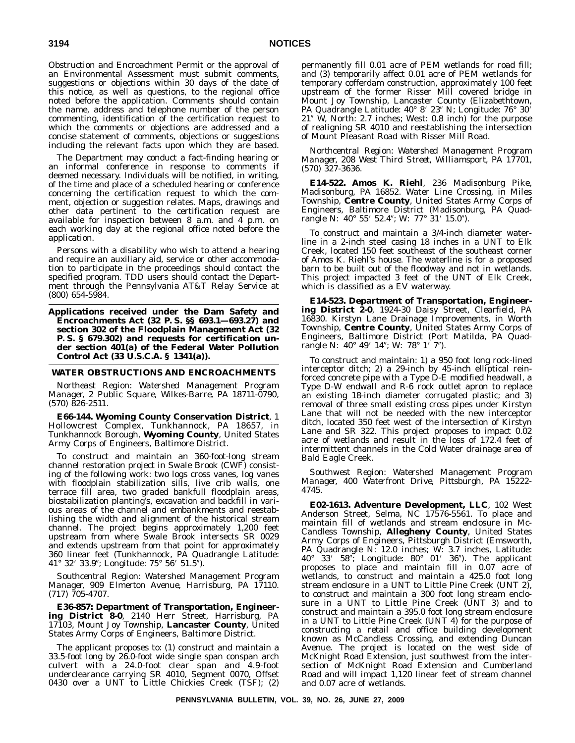Obstruction and Encroachment Permit or the approval of an Environmental Assessment must submit comments, suggestions or objections within 30 days of the date of this notice, as well as questions, to the regional office noted before the application. Comments should contain the name, address and telephone number of the person commenting, identification of the certification request to which the comments or objections are addressed and a concise statement of comments, objections or suggestions including the relevant facts upon which they are based.

The Department may conduct a fact-finding hearing or an informal conference in response to comments if deemed necessary. Individuals will be notified, in writing, of the time and place of a scheduled hearing or conference concerning the certification request to which the comment, objection or suggestion relates. Maps, drawings and other data pertinent to the certification request are available for inspection between  $8$  a.m. and  $4$  p.m. on each working day at the regional office noted before the application.

Persons with a disability who wish to attend a hearing and require an auxiliary aid, service or other accommodation to participate in the proceedings should contact the specified program. TDD users should contact the Department through the Pennsylvania AT&T Relay Service at (800) 654-5984.

**Applications received under the Dam Safety and Encroachments Act (32 P. S. §§ 693.1—693.27) and section 302 of the Floodplain Management Act (32 P. S. § 679.302) and requests for certification under section 401(a) of the Federal Water Pollution Control Act (33 U.S.C.A. § 1341(a)).**

#### **WATER OBSTRUCTIONS AND ENCROACHMENTS**

*Northeast Region: Watershed Management Program Manager, 2 Public Square, Wilkes-Barre, PA 18711-0790, (570) 826-2511.*

**E66-144. Wyoming County Conservation District**, 1 Hollowcrest Complex, Tunkhannock, PA 18657, in Tunkhannock Borough, **Wyoming County**, United States Army Corps of Engineers, Baltimore District.

To construct and maintain an 360-foot-long stream channel restoration project in Swale Brook (CWF) consisting of the following work: two logs cross vanes, log vanes with floodplain stabilization sills, live crib walls, one terrace fill area, two graded bankfull floodplain areas, biostabilization planting's, excavation and backfill in various areas of the channel and embankments and reestablishing the width and alignment of the historical stream channel. The project begins approximately 1,200 feet upstream from where Swale Brook intersects SR 0029 and extends upstream from that point for approximately 360 linear feet (Tunkhannock, PA Quadrangle Latitude: 41° 32′ 33.9″; Longitude: 75° 56′ 51.5″).

*Southcentral Region: Watershed Management Program Manager, 909 Elmerton Avenue, Harrisburg, PA 17110. (717) 705-4707.*

**E36-857: Department of Transportation, Engineering District 8-0**, 2140 Herr Street, Harrisburg, PA 17103, Mount Joy Township, **Lancaster County**, United States Army Corps of Engineers, Baltimore District.

The applicant proposes to: (1) construct and maintain a 33.5-foot long by 26.0-foot wide single span conspan arch culvert with a 24.0-foot clear span and 4.9-foot underclearance carrying SR 4010, Segment 0070, Offset 0430 over a UNT to Little Chickies Creek (TSF); (2) permanently fill 0.01 acre of PEM wetlands for road fill; and (3) temporarily affect 0.01 acre of PEM wetlands for temporary cofferdam construction, approximately 100 feet upstream of the former Risser Mill covered bridge in Mount Joy Township, Lancaster County (Elizabethtown, PA Quadrangle Latitude: 40° 8′ 23″ N; Longitude: 76° 30′ 21" W, North: 2.7 inches; West: 0.8 inch) for the purpose of realigning SR 4010 and reestablishing the intersection of Mount Pleasant Road with Risser Mill Road.

*Northcentral Region: Watershed Management Program Manager, 208 West Third Street, Williamsport, PA 17701, (570) 327-3636.*

**E14-522. Amos K. Riehl**, 236 Madisonburg Pike, Madisonburg, PA 16852. Water Line Crossing, in Miles Township, **Centre County**, United States Army Corps of Engineers, Baltimore District (Madisonburg, PA Quadrangle N: 40° 55′ 52.4"; W: 77° 31′ 15.0").

To construct and maintain a 3/4-inch diameter waterline in a 2-inch steel casing 18 inches in a UNT to Elk Creek, located 150 feet southeast of the southeast corner of Amos K. Riehl's house. The waterline is for a proposed barn to be built out of the floodway and not in wetlands. This project impacted 3 feet of the UNT of Elk Creek, which is classified as a EV waterway.

**E14-523. Department of Transportation, Engineering District 2-0**, 1924-30 Daisy Street, Clearfield, PA 16830. Kirstyn Lane Drainage Improvements, in Worth Township, **Centre County**, United States Army Corps of Engineers, Baltimore District (Port Matilda, PA Quadrangle N: 40° 49′ 14"; W: 78° 1′ 7").

To construct and maintain: 1) a 950 foot long rock-lined interceptor ditch; 2) a 29-inch by 45-inch elliptical reinforced concrete pipe with a Type D-E modified headwall, a Type D-W endwall and R-6 rock outlet apron to replace an existing 18-inch diameter corrugated plastic; and 3) removal of three small existing cross pipes under Kirstyn Lane that will not be needed with the new interceptor ditch, located 350 feet west of the intersection of Kirstyn Lane and SR 322. This project proposes to impact 0.02 acre of wetlands and result in the loss of 172.4 feet of intermittent channels in the Cold Water drainage area of Bald Eagle Creek.

*Southwest Region: Watershed Management Program Manager, 400 Waterfront Drive, Pittsburgh, PA 15222- 4745.*

**E02-1613. Adventure Development, LLC**, 102 West Anderson Street, Selma, NC 17576-5561. To place and maintain fill of wetlands and stream enclosure in Mc-Candless Township, **Allegheny County**, United States Army Corps of Engineers, Pittsburgh District (Emsworth, PA Quadrangle N: 12.0 inches; W: 3.7 inches, Latitude: 40° 33′ 58"; Longitude: 80° 01′ 36"). The applicant proposes to place and maintain fill in 0.07 acre of wetlands, to construct and maintain a 425.0 foot long stream enclosure in a UNT to Little Pine Creek (UNT 2), to construct and maintain a 300 foot long stream enclosure in a UNT to Little Pine Creek (UNT 3) and to construct and maintain a 395.0 foot long stream enclosure in a UNT to Little Pine Creek (UNT 4) for the purpose of constructing a retail and office building development known as McCandless Crossing, and extending Duncan Avenue. The project is located on the west side of McKnight Road Extension, just southwest from the intersection of McKnight Road Extension and Cumberland Road and will impact 1,120 linear feet of stream channel and 0.07 acre of wetlands.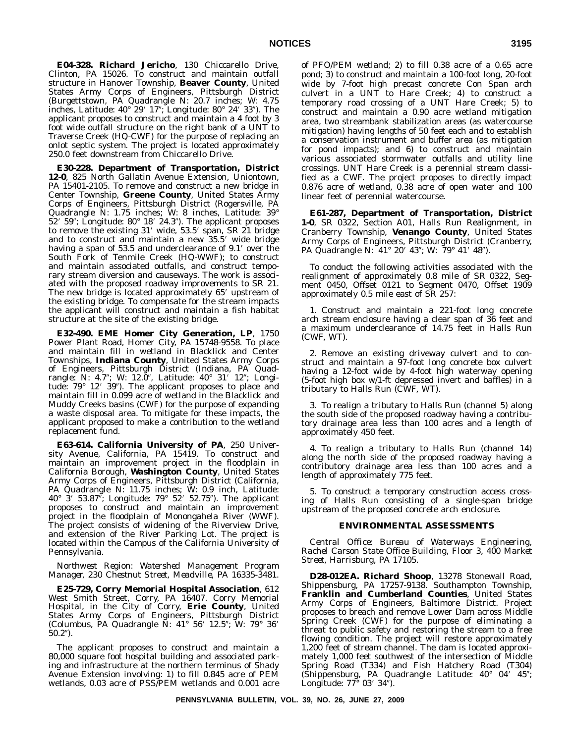**E04-328. Richard Jericho**, 130 Chiccarello Drive, Clinton, PA 15026. To construct and maintain outfall structure in Hanover Township, **Beaver County**, United States Army Corps of Engineers, Pittsburgh District (Burgettstown, PA Quadrangle N: 20.7 inches; W: 4.75 inches, Latitude: 40° 29′ 17″; Longitude: 80° 24′ 33″). The applicant proposes to construct and maintain a 4 foot by 3 foot wide outfall structure on the right bank of a UNT to Traverse Creek (HQ-CWF) for the purpose of replacing an onlot septic system. The project is located approximately 250.0 feet downstream from Chiccarello Drive.

**E30-228. Department of Transportation, District 12-0**, 825 North Gallatin Avenue Extension, Uniontown, PA 15401-2105. To remove and construct a new bridge in Center Township, **Greene County**, United States Army Corps of Engineers, Pittsburgh District (Rogersville, PA Quadrangle N: 1.75 inches; W: 8 inches, Latitude: 39°  $52'$   $59''$ ; Longitude:  $80^{\circ}$   $18'$   $24.3''$ ). The applicant proposes to remove the existing 31' wide, 53.5' span, SR 21 bridge and to construct and maintain a new 35.5 wide bridge having a span of 53.5 and underclearance of 9.1' over the South Fork of Tenmile Creek (HQ-WWF); to construct and maintain associated outfalls, and construct temporary stream diversion and causeways. The work is associated with the proposed roadway improvements to SR 21. The new bridge is located approximately 65' upstream of the existing bridge. To compensate for the stream impacts the applicant will construct and maintain a fish habitat structure at the site of the existing bridge.

**E32-490. EME Homer City Generation, LP**, 1750 Power Plant Road, Homer City, PA 15748-9558. To place and maintain fill in wetland in Blacklick and Center Townships, **Indiana County**, United States Army Corps of Engineers, Pittsburgh District (Indiana, PA Quadrangle: N: 4.7"; W: 12.0", Latitude: 40° 31′ 12"; Longitude: 79° 12′ 39″). The applicant proposes to place and maintain fill in 0.099 acre of wetland in the Blacklick and Muddy Creeks basins (CWF) for the purpose of expanding a waste disposal area. To mitigate for these impacts, the applicant proposed to make a contribution to the wetland replacement fund.

**E63-614. California University of PA**, 250 University Avenue, California, PA 15419. To construct and maintain an improvement project in the floodplain in California Borough, **Washington County**, United States Army Corps of Engineers, Pittsburgh District (California, PA Quadrangle N: 11.75 inches; W: 0.9 inch, Latitude: 40° 3′ 53.87"; Longitude: 79° 52′ 52.75"). The applicant proposes to construct and maintain an improvement project in the floodplain of Monongahela River (WWF). The project consists of widening of the Riverview Drive, and extension of the River Parking Lot. The project is located within the Campus of the California University of Pennsylvania.

*Northwest Region: Watershed Management Program Manager, 230 Chestnut Street, Meadville, PA 16335-3481.*

**E25-729, Corry Memorial Hospital Association**, 612 West Smith Street, Corry, PA 16407. Corry Memorial Hospital, in the City of Corry, **Erie County**, United States Army Corps of Engineers, Pittsburgh District (Columbus, PA Quadrangle N: 41° 56' 12.5"; W: 79° 36'  $50.2"$ ).

The applicant proposes to construct and maintain a 80,000 square foot hospital building and associated parking and infrastructure at the northern terminus of Shady Avenue Extension involving: 1) to fill 0.845 acre of PEM wetlands, 0.03 acre of PSS/PEM wetlands and 0.001 acre

of PFO/PEM wetland; 2) to fill 0.38 acre of a 0.65 acre pond; 3) to construct and maintain a 100-foot long, 20-foot wide by 7-foot high precast concrete Con Span arch culvert in a UNT to Hare Creek; 4) to construct a temporary road crossing of a UNT Hare Creek; 5) to construct and maintain a 0.90 acre wetland mitigation area, two streambank stabilization areas (as watercourse mitigation) having lengths of 50 feet each and to establish a conservation instrument and buffer area (as mitigation for pond impacts); and 6) to construct and maintain various associated stormwater outfalls and utility line crossings. UNT Hare Creek is a perennial stream classified as a CWF. The project proposes to directly impact 0.876 acre of wetland, 0.38 acre of open water and 100 linear feet of perennial watercourse.

**E61-287, Department of Transportation, District 1-0**, SR 0322, Section A01, Halls Run Realignment, in Cranberry Township, **Venango County**, United States Army Corps of Engineers, Pittsburgh District (Cranberry, PA Quadrangle N: 41° 20′ 43″; W: 79° 41′ 48″).

To conduct the following activities associated with the realignment of approximately 0.8 mile of SR 0322, Segment 0450, Offset 0121 to Segment 0470, Offset 1909 approximately 0.5 mile east of SR 257:

1. Construct and maintain a 221-foot long concrete arch stream enclosure having a clear span of 36 feet and a maximum underclearance of 14.75 feet in Halls Run (CWF, WT).

2. Remove an existing driveway culvert and to construct and maintain a 97-foot long concrete box culvert having a 12-foot wide by 4-foot high waterway opening (5-foot high box w/1-ft depressed invert and baffles) in a tributary to Halls Run (CWF, WT).

3. To realign a tributary to Halls Run (channel 5) along the south side of the proposed roadway having a contributory drainage area less than 100 acres and a length of approximately 450 feet.

4. To realign a tributary to Halls Run (channel 14) along the north side of the proposed roadway having a contributory drainage area less than 100 acres and a length of approximately 775 feet.

5. To construct a temporary construction access crossing of Halls Run consisting of a single-span bridge upstream of the proposed concrete arch enclosure.

#### **ENVIRONMENTAL ASSESSMENTS**

*Central Office: Bureau of Waterways Engineering, Rachel Carson State Office Building, Floor 3, 400 Market Street, Harrisburg, PA 17105.*

**D28-012EA. Richard Shoop**, 13278 Stonewall Road, Shippensburg, PA 17257-9138. Southampton Township, **Franklin and Cumberland Counties**, United States Army Corps of Engineers, Baltimore District. Project proposes to breach and remove Lower Dam across Middle Spring Creek (CWF) for the purpose of eliminating a threat to public safety and restoring the stream to a free flowing condition. The project will restore approximately 1,200 feet of stream channel. The dam is located approximately 1,000 feet southwest of the intersection of Middle Spring Road (T334) and Fish Hatchery Road (T304) (Shippensburg, PA Quadrangle Latitude: 40° 04' 45"; Longitude: 77° 03′ 34″).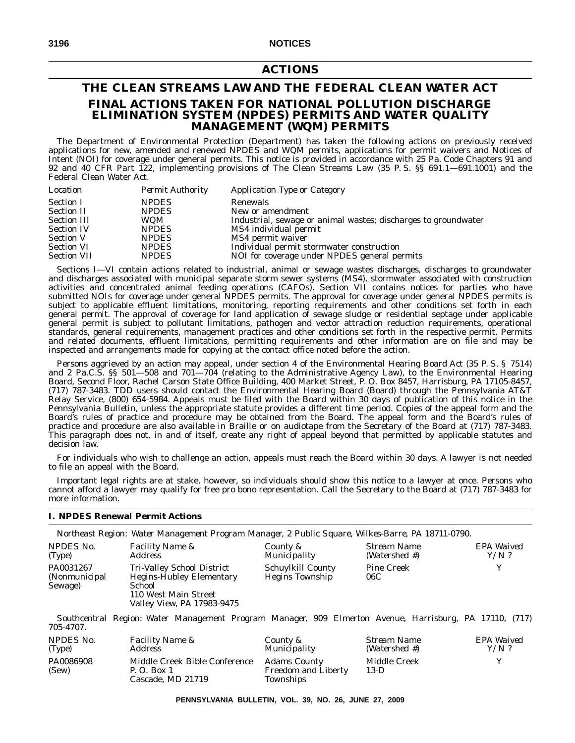# **ACTIONS**

# **THE CLEAN STREAMS LAW AND THE FEDERAL CLEAN WATER ACT FINAL ACTIONS TAKEN FOR NATIONAL POLLUTION DISCHARGE ELIMINATION SYSTEM (NPDES) PERMITS AND WATER QUALITY MANAGEMENT (WQM) PERMITS**

The Department of Environmental Protection (Department) has taken the following actions on previously received applications for new, amended and renewed NPDES and WQM permits, applications for permit waivers and Notices of Intent (NOI) for coverage under general permits. This notice is provided in accordance with 25 Pa. Code Chapters 91 and 92 and 40 CFR Part 122, implementing provisions of The Clean Streams Law (35 P. S. §§ 691.1—691.1001) and the Federal Clean Water Act.

| <b>Permit Authority</b><br><b>Application Type or Category</b><br>Location                  |  |
|---------------------------------------------------------------------------------------------|--|
| <b>NPDES</b><br><b>Section I</b><br>Renewals                                                |  |
| <b>NPDES</b><br>New or amendment<br><b>Section II</b>                                       |  |
| Industrial, sewage or animal wastes; discharges to groundwater<br>WQM<br><b>Section III</b> |  |
| MS4 individual permit<br><b>NPDES</b><br><b>Section IV</b>                                  |  |
| <b>NPDES</b><br><b>Section V</b><br>MS4 permit waiver                                       |  |
| Individual permit stormwater construction<br><b>NPDES</b><br><b>Section VI</b>              |  |
| NOI for coverage under NPDES general permits<br><b>NPDES</b><br><b>Section VII</b>          |  |

Sections I—VI contain actions related to industrial, animal or sewage wastes discharges, discharges to groundwater and discharges associated with municipal separate storm sewer systems (MS4), stormwater associated with construction activities and concentrated animal feeding operations (CAFOs). Section VII contains notices for parties who have submitted NOIs for coverage under general NPDES permits. The approval for coverage under general NPDES permits is subject to applicable effluent limitations, monitoring, reporting requirements and other conditions set forth in each general permit. The approval of coverage for land application of sewage sludge or residential septage under applicable general permit is subject to pollutant limitations, pathogen and vector attraction reduction requirements, operational standards, general requirements, management practices and other conditions set forth in the respective permit. Permits and related documents, effluent limitations, permitting requirements and other information are on file and may be inspected and arrangements made for copying at the contact office noted before the action.

Persons aggrieved by an action may appeal, under section 4 of the Environmental Hearing Board Act (35 P. S. § 7514) and 2 Pa.C.S. §§ 501—508 and 701—704 (relating to the Administrative Agency Law), to the Environmental Hearing Board, Second Floor, Rachel Carson State Office Building, 400 Market Street, P. O. Box 8457, Harrisburg, PA 17105-8457, (717) 787-3483. TDD users should contact the Environmental Hearing Board (Board) through the Pennsylvania AT&T Relay Service, (800) 654-5984. Appeals must be filed with the Board within 30 days of publication of this notice in the *Pennsylvania Bulletin*, unless the appropriate statute provides a different time period. Copies of the appeal form and the Board's rules of practice and procedure may be obtained from the Board. The appeal form and the Board's rules of practice and procedure are also available in Braille or on audiotape from the Secretary of the Board at (717) 787-3483. This paragraph does not, in and of itself, create any right of appeal beyond that permitted by applicable statutes and decision law.

For individuals who wish to challenge an action, appeals must reach the Board within 30 days. A lawyer is not needed to file an appeal with the Board.

Important legal rights are at stake, however, so individuals should show this notice to a lawyer at once. Persons who cannot afford a lawyer may qualify for free pro bono representation. Call the Secretary to the Board at (717) 787-3483 for more information.

# **I. NPDES Renewal Permit Actions**

|                                        | Northeast Region: Water Management Program Manager, 2 Public Square, Wilkes-Barre, PA 18711-0790.                             |                                                    |                              |                       |
|----------------------------------------|-------------------------------------------------------------------------------------------------------------------------------|----------------------------------------------------|------------------------------|-----------------------|
| NPDES No.<br>(Type)                    | <i>Facility Name &amp;</i><br><i>Address</i>                                                                                  | County &<br>Municipality                           | Stream Name<br>(Watershed #) | EPA Waived<br>$Y/N$ ? |
| PA0031267<br>(Nonmunicipal)<br>Sewage) | Tri-Valley School District<br><b>Hegins-Hubley Elementary</b><br>School<br>110 West Main Street<br>Valley View, PA 17983-9475 | <b>Schuylkill County</b><br><b>Hegins Township</b> | <b>Pine Creek</b><br>06C     | v                     |

*Southcentral Region: Water Management Program Manager, 909 Elmerton Avenue, Harrisburg, PA 17110, (717) 705-4707.*

| NPDES No.          | <b>Facility Name &amp;</b>                                        | County &                                                       | Stream Name            | EPA Waived |
|--------------------|-------------------------------------------------------------------|----------------------------------------------------------------|------------------------|------------|
| (Type)             | Address                                                           | <i>Municipality</i>                                            | (Watershed #)          | $Y/N$ ?    |
| PA0086908<br>(Sew) | Middle Creek Bible Conference<br>P. O. Box 1<br>Cascade, MD 21719 | <b>Adams County</b><br><b>Freedom and Liberty</b><br>Townships | Middle Creek<br>$13-D$ |            |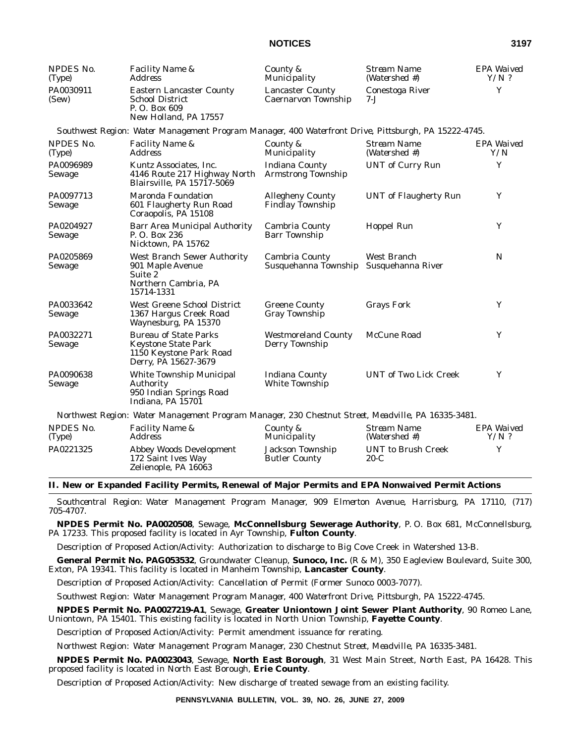| NPDES No.<br>(Type)        | Facility Name &<br><b>Address</b>                                                                             | County &<br>Municipality                              | <b>Stream Name</b><br>(Watershed #) | EPA Waived<br>$Y/N$ ? |
|----------------------------|---------------------------------------------------------------------------------------------------------------|-------------------------------------------------------|-------------------------------------|-----------------------|
| PA0030911<br>(Sew)         | <b>Eastern Lancaster County</b><br><b>School District</b><br>P.O. Box 609<br>New Holland, PA 17557            | <b>Lancaster County</b><br><b>Caernarvon Township</b> | Conestoga River<br>7-.J             | Y                     |
|                            | Southwest Region: Water Management Program Manager, 400 Waterfront Drive, Pittsburgh, PA 15222-4745.          |                                                       |                                     |                       |
| NPDES No.<br>(Type)        | Facility Name &<br><b>Address</b>                                                                             | County &<br>Municipality                              | <b>Stream Name</b><br>(Watershed #) | EPA Waived<br>Y/N     |
| PA0096989<br>Sewage        | Kuntz Associates, Inc.<br>4146 Route 217 Highway North<br>Blairsville, PA 15717-5069                          | <b>Indiana County</b><br><b>Armstrong Township</b>    | <b>UNT</b> of Curry Run             | Y                     |
| PA0097713<br><b>Sewage</b> | Maronda Foundation<br>601 Flaugherty Run Road<br>Coraopolis, PA 15108                                         | <b>Allegheny County</b><br><b>Findlay Township</b>    | <b>UNT</b> of Flaugherty Run        | Y                     |
| PA0204927<br>Sewage        | <b>Barr Area Municipal Authority</b><br>P. O. Box 236<br>Nicktown, PA 15762                                   | Cambria County<br><b>Barr Township</b>                | Hoppel Run                          | Y                     |
| PA0205869<br>Sewage        | <b>West Branch Sewer Authority</b><br>901 Maple Avenue<br>Suite 2<br>Northern Cambria, PA<br>15714-1331       | Cambria County<br>Susquehanna Township                | West Branch<br>Susquehanna River    | N                     |
| PA0033642<br>Sewage        | <b>West Greene School District</b><br>1367 Hargus Creek Road<br>Waynesburg, PA 15370                          | <b>Greene County</b><br><b>Gray Township</b>          | <b>Grays Fork</b>                   | Y                     |
| PA0032271<br>Sewage        | <b>Bureau of State Parks</b><br><b>Keystone State Park</b><br>1150 Keystone Park Road<br>Derry, PA 15627-3679 | <b>Westmoreland County</b><br>Derry Township          | McCune Road                         | Y                     |
| PA0090638<br>Sewage        | White Township Municipal<br>Authority<br>950 Indian Springs Road<br>Indiana, PA 15701                         | <b>Indiana County</b><br><b>White Township</b>        | <b>UNT of Two Lick Creek</b>        | Y                     |
|                            | Northwest Region: Water Management Program Manager, 230 Chestnut Street, Meadville, PA 16335-3481.            |                                                       |                                     |                       |
| NPDES No.<br>(Type)        | Facility Name &<br><b>Address</b>                                                                             | County &<br>Municipality                              | <b>Stream Name</b><br>(Watershed #) | EPA Waived<br>$Y/N$ ? |
| PA0221325                  | <b>Abbey Woods Development</b><br>172 Saint Ives Way<br>Zelienople, PA 16063                                  | <b>Jackson Township</b><br><b>Butler County</b>       | <b>UNT</b> to Brush Creek<br>$20-C$ | Y                     |

# **II. New or Expanded Facility Permits, Renewal of Major Permits and EPA Nonwaived Permit Actions**

*Southcentral Region: Water Management Program Manager, 909 Elmerton Avenue, Harrisburg, PA 17110, (717) 705-4707.*

**NPDES Permit No. PA0020508**, Sewage, **McConnellsburg Sewerage Authority**, P. O. Box 681, McConnellsburg, PA 17233. This proposed facility is located in Ayr Township, **Fulton County**.

Description of Proposed Action/Activity: Authorization to discharge to Big Cove Creek in Watershed 13-B.

**General Permit No. PAG053532**, Groundwater Cleanup, **Sunoco, Inc.** (R & M), 350 Eagleview Boulevard, Suite 300, Exton, PA 19341. This facility is located in Manheim Township, **Lancaster County**.

Description of Proposed Action/Activity: Cancellation of Permit (Former Sunoco 0003-7077).

*Southwest Region: Water Management Program Manager, 400 Waterfront Drive, Pittsburgh, PA 15222-4745.*

**NPDES Permit No. PA0027219-A1**, Sewage, **Greater Uniontown Joint Sewer Plant Authority**, 90 Romeo Lane, Uniontown, PA 15401. This existing facility is located in North Union Township, **Fayette County**.

Description of Proposed Action/Activity: Permit amendment issuance for rerating.

*Northwest Region: Water Management Program Manager, 230 Chestnut Street, Meadville, PA 16335-3481.*

**NPDES Permit No. PA0023043**, Sewage, **North East Borough**, 31 West Main Street, North East, PA 16428. This proposed facility is located in North East Borough, **Erie County**.

Description of Proposed Action/Activity: New discharge of treated sewage from an existing facility.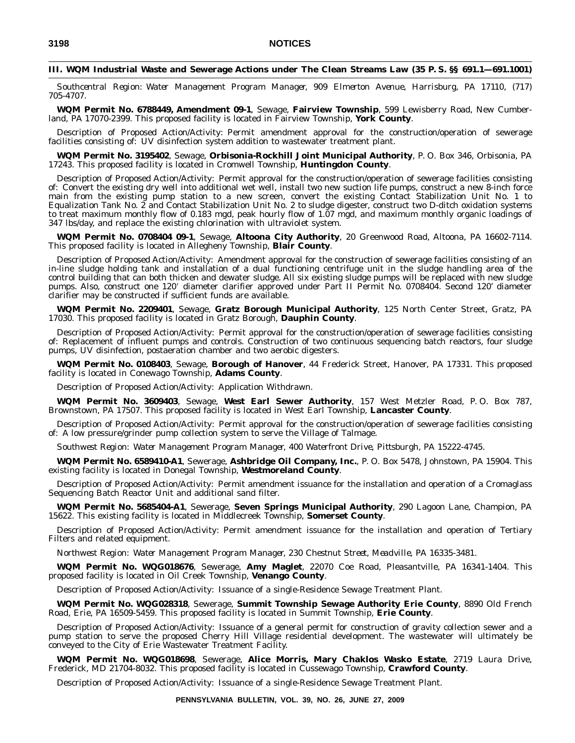## **III. WQM Industrial Waste and Sewerage Actions under The Clean Streams Law (35 P. S. §§ 691.1—691.1001)**

*Southcentral Region: Water Management Program Manager, 909 Elmerton Avenue, Harrisburg, PA 17110, (717) 705-4707.*

**WQM Permit No. 6788449, Amendment 09-1**, Sewage, **Fairview Township**, 599 Lewisberry Road, New Cumberland, PA 17070-2399. This proposed facility is located in Fairview Township, **York County**.

Description of Proposed Action/Activity: Permit amendment approval for the construction/operation of sewerage facilities consisting of: UV disinfection system addition to wastewater treatment plant.

**WQM Permit No. 3195402**, Sewage, **Orbisonia-Rockhill Joint Municipal Authority**, P. O. Box 346, Orbisonia, PA 17243. This proposed facility is located in Cromwell Township, **Huntingdon County**.

Description of Proposed Action/Activity: Permit approval for the construction/operation of sewerage facilities consisting of: Convert the existing dry well into additional wet well, install two new suction life pumps, construct a new 8-inch force main from the existing pump station to a new screen, convert the existing Contact Stabilization Unit No. 1 to Equalization Tank No. 2 and Contact Stabilization Unit No. 2 to sludge digester, construct two D-ditch oxidation systems to treat maximum monthly flow of 0.183 mgd, peak hourly flow of 1.07 mgd, and maximum monthly organic loadings of 347 lbs/day, and replace the existing chlorination with ultraviolet system.

**WQM Permit No. 0708404 09-1**, Sewage, **Altoona City Authority**, 20 Greenwood Road, Altoona, PA 16602-7114. This proposed facility is located in Allegheny Township, **Blair County**.

Description of Proposed Action/Activity: Amendment approval for the construction of sewerage facilities consisting of an in-line sludge holding tank and installation of a dual functioning centrifuge unit in the sludge handling area of the control building that can both thicken and dewater sludge. All six existing sludge pumps will be replaced with new sludge pumps. Also, construct one 120 diameter clarifier approved under Part II Permit No. 0708404. Second 120' diameter clarifier may be constructed if sufficient funds are available.

**WQM Permit No. 2209401**, Sewage, **Gratz Borough Municipal Authority**, 125 North Center Street, Gratz, PA 17030. This proposed facility is located in Gratz Borough, **Dauphin County**.

Description of Proposed Action/Activity: Permit approval for the construction/operation of sewerage facilities consisting of: Replacement of influent pumps and controls. Construction of two continuous sequencing batch reactors, four sludge pumps, UV disinfection, postaeration chamber and two aerobic digesters.

**WQM Permit No. 0108403**, Sewage, **Borough of Hanover**, 44 Frederick Street, Hanover, PA 17331. This proposed facility is located in Conewago Township, **Adams County**.

Description of Proposed Action/Activity: Application Withdrawn.

**WQM Permit No. 3609403**, Sewage, **West Earl Sewer Authority**, 157 West Metzler Road, P. O. Box 787, Brownstown, PA 17507. This proposed facility is located in West Earl Township, **Lancaster County**.

Description of Proposed Action/Activity: Permit approval for the construction/operation of sewerage facilities consisting of: A low pressure/grinder pump collection system to serve the Village of Talmage.

*Southwest Region: Water Management Program Manager, 400 Waterfront Drive, Pittsburgh, PA 15222-4745.*

**WQM Permit No. 6589410-A1**, Sewerage, **Ashbridge Oil Company, Inc.**, P. O. Box 5478, Johnstown, PA 15904. This existing facility is located in Donegal Township, **Westmoreland County**.

Description of Proposed Action/Activity: Permit amendment issuance for the installation and operation of a Cromaglass Sequencing Batch Reactor Unit and additional sand filter.

**WQM Permit No. 5685404-A1**, Sewerage, **Seven Springs Municipal Authority**, 290 Lagoon Lane, Champion, PA 15622. This existing facility is located in Middlecreek Township, **Somerset County**.

Description of Proposed Action/Activity: Permit amendment issuance for the installation and operation of Tertiary Filters and related equipment.

*Northwest Region: Water Management Program Manager, 230 Chestnut Street, Meadville, PA 16335-3481.*

**WQM Permit No. WQG018676**, Sewerage, **Amy Maglet**, 22070 Coe Road, Pleasantville, PA 16341-1404. This proposed facility is located in Oil Creek Township, **Venango County**.

Description of Proposed Action/Activity: Issuance of a single-Residence Sewage Treatment Plant.

**WQM Permit No. WQG028318**, Sewerage, **Summit Township Sewage Authority Erie County**, 8890 Old French Road, Erie, PA 16509-5459. This proposed facility is located in Summit Township, **Erie County**.

Description of Proposed Action/Activity: Issuance of a general permit for construction of gravity collection sewer and a pump station to serve the proposed Cherry Hill Village residential development. The wastewater will ultimately be conveyed to the City of Erie Wastewater Treatment Facility.

**WQM Permit No. WQG018698**, Sewerage, **Alice Morris, Mary Chaklos Wasko Estate**, 2719 Laura Drive, Frederick, MD 21704-8032. This proposed facility is located in Cussewago Township, **Crawford County**.

Description of Proposed Action/Activity: Issuance of a single-Residence Sewage Treatment Plant.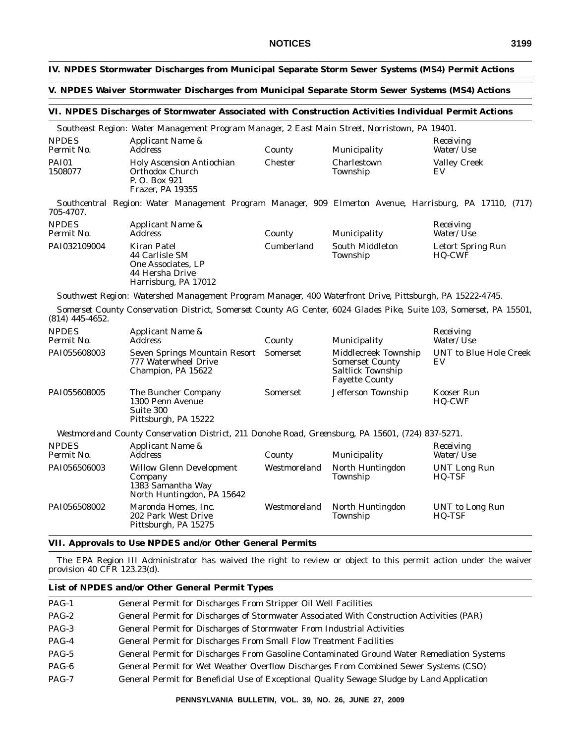# **IV. NPDES Stormwater Discharges from Municipal Separate Storm Sewer Systems (MS4) Permit Actions**

# **V. NPDES Waiver Stormwater Discharges from Municipal Separate Storm Sewer Systems (MS4) Actions**

### **VI. NPDES Discharges of Stormwater Associated with Construction Activities Individual Permit Actions**

*Southeast Region: Water Management Program Manager, 2 East Main Street, Norristown, PA 19401.*

| <b>NPDES</b><br>Permit No. | Applicant Name &<br><i>Address</i>                                                              | County  | Municipality            | Receiving<br>Water/Use    |
|----------------------------|-------------------------------------------------------------------------------------------------|---------|-------------------------|---------------------------|
| PAI01<br>1508077           | <b>Holy Ascension Antiochian</b><br><b>Orthodox Church</b><br>P. O. Box 921<br>Frazer, PA 19355 | Chester | Charlestown<br>Township | <b>Valley Creek</b><br>EV |

*Southcentral Region: Water Management Program Manager, 909 Elmerton Avenue, Harrisburg, PA 17110, (717) 705-4707.*

| <b>NPDES</b><br>Permit No. | Applicant Name &<br><i>Address</i>                                                             | County     | Municipality                       | Receiving<br><i>Water/Use</i>      |
|----------------------------|------------------------------------------------------------------------------------------------|------------|------------------------------------|------------------------------------|
| PAI032109004               | Kiran Patel<br>44 Carlisle SM<br>One Associates, LP<br>44 Hersha Drive<br>Harrisburg, PA 17012 | Cumberland | <b>South Middleton</b><br>Township | Letort Spring Run<br><b>HQ-CWF</b> |

*Southwest Region: Watershed Management Program Manager, 400 Waterfront Drive, Pittsburgh, PA 15222-4745.*

*Somerset County Conservation District, Somerset County AG Center, 6024 Glades Pike, Suite 103, Somerset, PA 15501, (814) 445-4652.*

| <b>NPDES</b><br>Permit No. | Applicant Name &<br>Address                                                  | County          | Municipality                                                                                 | Receiving<br><i>Water/Use</i>       |
|----------------------------|------------------------------------------------------------------------------|-----------------|----------------------------------------------------------------------------------------------|-------------------------------------|
| PAI055608003               | Seven Springs Mountain Resort<br>777 Waterwheel Drive<br>Champion, PA 15622  | Somerset        | Middlecreek Township<br><b>Somerset County</b><br>Saltlick Township<br><b>Fayette County</b> | <b>UNT</b> to Blue Hole Creek<br>EV |
| PAI055608005               | The Buncher Company<br>1300 Penn Avenue<br>Suite 300<br>Pittsburgh, PA 15222 | <b>Somerset</b> | Jefferson Township                                                                           | Kooser Run<br><b>HQ-CWF</b>         |

*Westmoreland County Conservation District, 211 Donohe Road, Greensburg, PA 15601, (724) 837-5271.*

| <b>NPDES</b><br>Permit No. | Applicant Name &<br>Address                                                                   | County       | Municipality                 | Receiving<br><i>Water/Use</i> |
|----------------------------|-----------------------------------------------------------------------------------------------|--------------|------------------------------|-------------------------------|
| PAI056506003               | <b>Willow Glenn Development</b><br>Company<br>1383 Samantha Way<br>North Huntingdon, PA 15642 | Westmoreland | North Huntingdon<br>Township | UNT Long Run<br><b>HQ-TSF</b> |
| PAI056508002               | Maronda Homes, Inc.<br>202 Park West Drive<br>Pittsburgh, PA 15275                            | Westmoreland | North Huntingdon<br>Township | UNT to Long Run<br>HQ-TSF     |

# **VII. Approvals to Use NPDES and/or Other General Permits**

The EPA Region III Administrator has waived the right to review or object to this permit action under the waiver provision 40 CFR 123.23(d).

# **List of NPDES and/or Other General Permit Types**

| $PAG-1$ | General Permit for Discharges From Stripper Oil Well Facilities                            |
|---------|--------------------------------------------------------------------------------------------|
| $PAG-2$ | General Permit for Discharges of Stormwater Associated With Construction Activities (PAR)  |
| $PAG-3$ | General Permit for Discharges of Stormwater From Industrial Activities                     |
| $PAG-4$ | General Permit for Discharges From Small Flow Treatment Facilities                         |
| $PAG-5$ | General Permit for Discharges From Gasoline Contaminated Ground Water Remediation Systems  |
| PAG-6   | General Permit for Wet Weather Overflow Discharges From Combined Sewer Systems (CSO)       |
| $PAG-7$ | General Permit for Beneficial Use of Exceptional Quality Sewage Sludge by Land Application |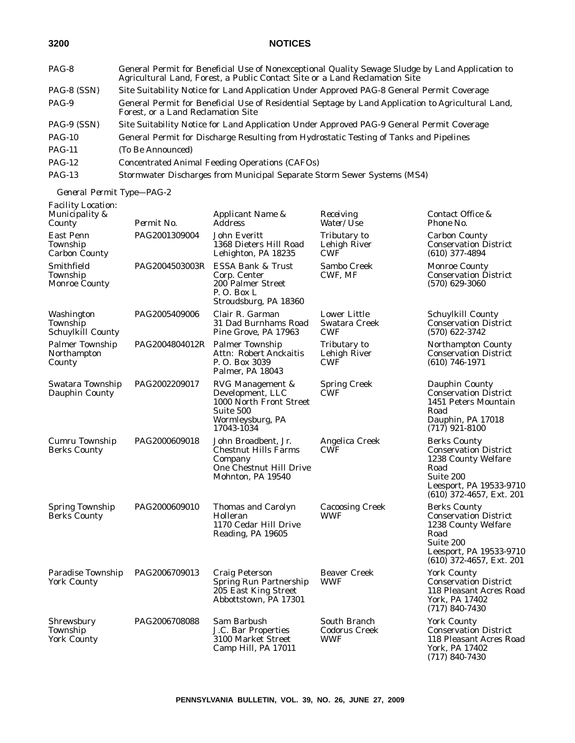| PAG-8         | General Permit for Beneficial Use of Nonexceptional Quality Sewage Sludge by Land Application to<br>Agricultural Land, Forest, a Public Contact Site or a Land Reclamation Site |
|---------------|---------------------------------------------------------------------------------------------------------------------------------------------------------------------------------|
| PAG-8 (SSN)   | Site Suitability Notice for Land Application Under Approved PAG-8 General Permit Coverage                                                                                       |
| PAG-9         | General Permit for Beneficial Use of Residential Septage by Land Application to Agricultural Land,<br>Forest, or a Land Reclamation Site                                        |
| PAG-9 (SSN)   | Site Suitability Notice for Land Application Under Approved PAG-9 General Permit Coverage                                                                                       |
| <b>PAG-10</b> | General Permit for Discharge Resulting from Hydrostatic Testing of Tanks and Pipelines                                                                                          |
| <b>PAG-11</b> | (To Be Announced)                                                                                                                                                               |
| $PAG-12$      | <b>Concentrated Animal Feeding Operations (CAFOs)</b>                                                                                                                           |
| $PAG-13$      | Stormwater Discharges from Municipal Separate Storm Sewer Systems (MS4)                                                                                                         |
|               |                                                                                                                                                                                 |

*General Permit Type—PAG-2*

| <b>Facility Location:</b><br>Municipality &<br>County | Permit No.                     | Applicant Name &<br><b>Address</b>                                                                             | Receiving<br>Water/Use                             | Contact Office &<br>Phone No.                                                                                                                            |
|-------------------------------------------------------|--------------------------------|----------------------------------------------------------------------------------------------------------------|----------------------------------------------------|----------------------------------------------------------------------------------------------------------------------------------------------------------|
| <b>East Penn</b><br>Township<br>Carbon County         | PAG2001309004                  | John Everitt<br>1368 Dieters Hill Road<br>Lehighton, PA 18235                                                  | Tributary to<br>Lehigh River<br>CWF                | <b>Carbon County</b><br><b>Conservation District</b><br>$(610)$ 377-4894                                                                                 |
| Smithfield<br>Township<br><b>Monroe County</b>        | PAG2004503003R                 | ESSA Bank & Trust<br>Corp. Center<br>200 Palmer Street<br>P.O. Box L.<br>Stroudsburg, PA 18360                 | Sambo Creek<br>CWF, MF                             | <b>Monroe County</b><br><b>Conservation District</b><br>$(570)$ 629-3060                                                                                 |
| Washington<br>Township<br><b>Schuylkill County</b>    | PAG2005409006                  | Clair R. Garman<br>31 Dad Burnhams Road<br>Pine Grove, PA 17963                                                | <b>Lower Little</b><br>Swatara Creek<br><b>CWF</b> | Schuylkill County<br><b>Conservation District</b><br>$(570)$ 622-3742                                                                                    |
| <b>Palmer Township</b><br>Northampton<br>County       | PAG2004804012R Palmer Township | Attn: Robert Anckaitis<br>P.O. Box 3039<br>Palmer, PA 18043                                                    | Tributary to<br>Lehigh River<br><b>CWF</b>         | <b>Northampton County</b><br><b>Conservation District</b><br>$(610)$ 746-1971                                                                            |
| Swatara Township<br>Dauphin County                    | PAG2002209017                  | RVG Management &<br>Development, LLC<br>1000 North Front Street<br>Suite 500<br>Wormleysburg, PA<br>17043-1034 | <b>Spring Creek</b><br>CWF                         | Dauphin County<br><b>Conservation District</b><br>1451 Peters Mountain<br>Road<br>Dauphin, PA 17018<br>$(717)$ 921-8100                                  |
| Cumru Township<br><b>Berks County</b>                 | PAG2000609018                  | John Broadbent, Jr.<br><b>Chestnut Hills Farms</b><br>Company<br>One Chestnut Hill Drive<br>Mohnton, PA 19540  | Angelica Creek<br>CWF                              | <b>Berks County</b><br><b>Conservation District</b><br>1238 County Welfare<br>Road<br>Suite 200<br>Leesport, PA 19533-9710<br>$(610)$ 372-4657, Ext. 201 |
| <b>Spring Township</b><br>Berks County                | PAG2000609010                  | Thomas and Carolyn<br>Holleran<br>1170 Cedar Hill Drive<br>Reading, PA 19605                                   | <b>Cacoosing Creek</b><br>WWF                      | <b>Berks County</b><br><b>Conservation District</b><br>1238 County Welfare<br>Road<br>Suite 200<br>Leesport, PA 19533-9710<br>(610) 372-4657, Ext. 201   |
| <b>Paradise Township</b><br><b>York County</b>        | PAG2006709013                  | <b>Craig Peterson</b><br>Spring Run Partnership<br>205 East King Street<br>Abbottstown, PA 17301               | <b>Beaver Creek</b><br>WWF                         | <b>York County</b><br><b>Conservation District</b><br>118 Pleasant Acres Road<br>York, PA 17402<br>$(717) 840 - 7430$                                    |
| Shrewsbury<br>Township<br><b>York County</b>          | PAG2006708088                  | Sam Barbush<br>J.C. Bar Properties<br>3100 Market Street<br>Camp Hill, PA 17011                                | South Branch<br>Codorus Creek<br>WWF               | <b>York County</b><br><b>Conservation District</b><br>118 Pleasant Acres Road<br>York, PA 17402<br>$(717) 840 - 7430$                                    |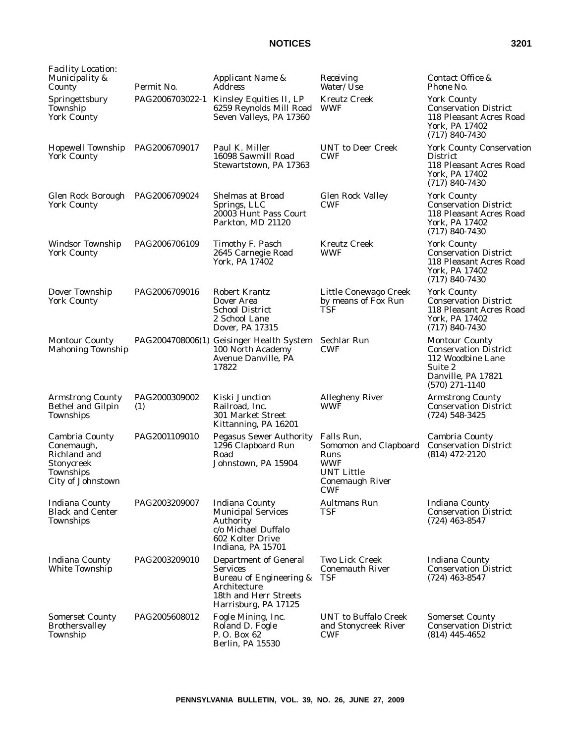| <b>Facility Location:</b><br>Municipality &<br>County                                        | Permit No.           | Applicant Name &<br><i>Address</i>                                                                                                          | Receiving<br>Water/Use                                                                                                 | Contact Office &<br>Phone No.                                                                                                   |
|----------------------------------------------------------------------------------------------|----------------------|---------------------------------------------------------------------------------------------------------------------------------------------|------------------------------------------------------------------------------------------------------------------------|---------------------------------------------------------------------------------------------------------------------------------|
| Springettsbury<br>Township<br><b>York County</b>                                             |                      | PAG2006703022-1 Kinsley Equities II, LP<br>6259 Reynolds Mill Road<br>Seven Valleys, PA 17360                                               | <b>Kreutz Creek</b><br><b>WWF</b>                                                                                      | <b>York County</b><br><b>Conservation District</b><br>118 Pleasant Acres Road<br>York, PA 17402<br>$(717) 840 - 7430$           |
| Hopewell Township<br><b>York County</b>                                                      | PAG2006709017        | Paul K. Miller<br>16098 Sawmill Road<br>Stewartstown, PA 17363                                                                              | <b>UNT</b> to Deer Creek<br><b>CWF</b>                                                                                 | <b>York County Conservation</b><br><b>District</b><br>118 Pleasant Acres Road<br>York, PA 17402<br>$(717)$ 840-7430             |
| Glen Rock Borough PAG2006709024<br><b>York County</b>                                        |                      | <b>Shelmas at Broad</b><br>Springs, LLC<br>20003 Hunt Pass Court<br>Parkton, MD 21120                                                       | <b>Glen Rock Valley</b><br>CWF                                                                                         | <b>York County</b><br><b>Conservation District</b><br>118 Pleasant Acres Road<br>York, PA 17402<br>$(717) 840 - 7430$           |
| Windsor Township<br><b>York County</b>                                                       | PAG2006706109        | Timothy F. Pasch<br>2645 Carnegie Road<br>York, PA 17402                                                                                    | <b>Kreutz Creek</b><br><b>WWF</b>                                                                                      | <b>York County</b><br><b>Conservation District</b><br>118 Pleasant Acres Road<br>York, PA 17402<br>$(717) 840 - 7430$           |
| Dover Township<br><b>York County</b>                                                         | PAG2006709016        | <b>Robert Krantz</b><br>Dover Area<br><b>School District</b><br>2 School Lane<br>Dover, PA 17315                                            | Little Conewago Creek<br>by means of Fox Run<br>TSF                                                                    | <b>York County</b><br><b>Conservation District</b><br>118 Pleasant Acres Road<br>York, PA 17402<br>$(717)$ 840-7430             |
| <b>Montour County</b><br><b>Mahoning Township</b>                                            |                      | PAG2004708006(1) Geisinger Health System<br>100 North Academy<br>Avenue Danville, PA<br>17822                                               | Sechlar Run<br><b>CWF</b>                                                                                              | <b>Montour County</b><br><b>Conservation District</b><br>112 Woodbine Lane<br>Suite 2<br>Danville, PA 17821<br>$(570)$ 271-1140 |
| <b>Armstrong County</b><br>Bethel and Gilpin<br>Townships                                    | PAG2000309002<br>(1) | Kiski Junction<br>Railroad, Inc.<br>301 Market Street<br>Kittanning, PA 16201                                                               | <b>Allegheny River</b><br>WWF                                                                                          | <b>Armstrong County</b><br><b>Conservation District</b><br>$(724) 548 - 3425$                                                   |
| Cambria County<br>Conemaugh,<br>Richland and<br>Stonycreek<br>Townships<br>City of Johnstown | PAG2001109010        | <b>Pegasus Sewer Authority</b><br>1296 Clapboard Run<br>Road<br>Johnstown, PA 15904                                                         | Falls Run,<br>Somomon and Clapboard<br>Runs<br><b>WWF</b><br><b>UNT Little</b><br><b>Conemaugh River</b><br><b>CWF</b> | Cambria County<br><b>Conservation District</b><br>$(814)$ 472-2120                                                              |
| <b>Indiana County</b><br><b>Black and Center</b><br>Townships                                | PAG2003209007        | <b>Indiana County</b><br><b>Municipal Services</b><br>Authority<br>c/o Michael Duffalo<br>602 Kolter Drive<br>Indiana, PA 15701             | <b>Aultmans Run</b><br><b>TSF</b>                                                                                      | <b>Indiana County</b><br><b>Conservation District</b><br>$(724)$ 463-8547                                                       |
| <b>Indiana County</b><br>White Township                                                      | PAG2003209010        | <b>Department of General</b><br><b>Services</b><br>Bureau of Engineering &<br>Architecture<br>18th and Herr Streets<br>Harrisburg, PA 17125 | <b>Two Lick Creek</b><br><b>Conemauth River</b><br><b>TSF</b>                                                          | <b>Indiana County</b><br><b>Conservation District</b><br>$(724)$ 463-8547                                                       |
| <b>Somerset County</b><br><b>Brothersvalley</b><br>Township                                  | PAG2005608012        | Fogle Mining, Inc.<br>Roland D. Fogle<br>P. O. Box 62<br>Berlin, PA 15530                                                                   | <b>UNT</b> to Buffalo Creek<br>and Stonycreek River<br><b>CWF</b>                                                      | <b>Somerset County</b><br><b>Conservation District</b><br>$(814)$ 445-4652                                                      |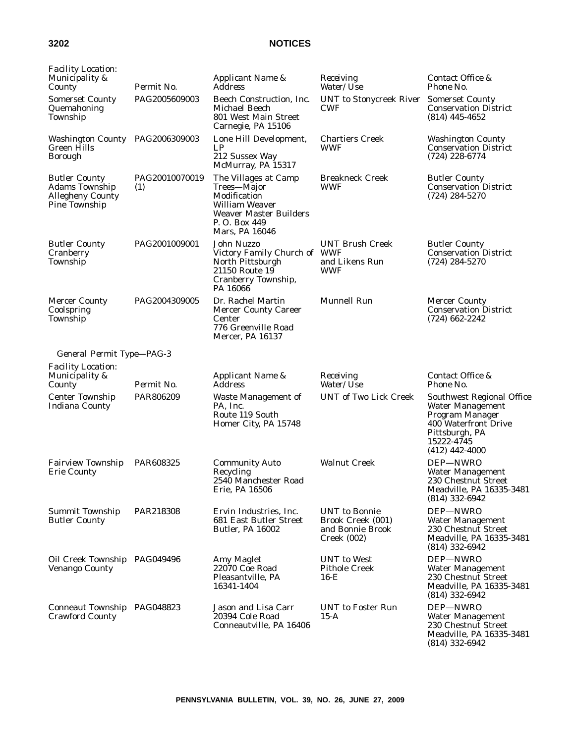| <b>Facility Location:</b><br>Municipality &<br>County                                     | Permit No.            | Applicant Name &<br>Address                                                                                                                      | Receiving<br><i>Water/Use</i>                                                       | Contact Office &<br>Phone No.                                                                                                                       |
|-------------------------------------------------------------------------------------------|-----------------------|--------------------------------------------------------------------------------------------------------------------------------------------------|-------------------------------------------------------------------------------------|-----------------------------------------------------------------------------------------------------------------------------------------------------|
| <b>Somerset County</b><br>Quemahoning<br>Township                                         | PAG2005609003         | Beech Construction, Inc.<br>Michael Beech<br>801 West Main Street<br>Carnegie, PA 15106                                                          | <b>UNT</b> to Stonycreek River<br><b>CWF</b>                                        | <b>Somerset County</b><br><b>Conservation District</b><br>$(814)$ 445-4652                                                                          |
| Washington County PAG2006309003<br><b>Green Hills</b><br><b>Borough</b>                   |                       | Lone Hill Development,<br>LP<br>212 Sussex Way<br>McMurray, PA 15317                                                                             | <b>Chartiers Creek</b><br>WWF                                                       | <b>Washington County</b><br><b>Conservation District</b><br>$(724)$ 228-6774                                                                        |
| <b>Butler County</b><br><b>Adams Township</b><br><b>Allegheny County</b><br>Pine Township | PAG20010070019<br>(1) | The Villages at Camp<br>Trees-Major<br>Modification<br><b>William Weaver</b><br><b>Weaver Master Builders</b><br>P. O. Box 449<br>Mars, PA 16046 | <b>Breakneck Creek</b><br>WWF                                                       | <b>Butler County</b><br><b>Conservation District</b><br>$(724) 284 - 5270$                                                                          |
| <b>Butler County</b><br>Cranberry<br>Township                                             | PAG2001009001         | John Nuzzo<br>Victory Family Church of WWF<br>North Pittsburgh<br>21150 Route 19<br>Cranberry Township,<br>PA 16066                              | <b>UNT Brush Creek</b><br>and Likens Run<br><b>WWF</b>                              | <b>Butler County</b><br><b>Conservation District</b><br>$(724) 284 - 5270$                                                                          |
| <b>Mercer County</b><br>Coolspring<br><b>Township</b>                                     | PAG2004309005         | Dr. Rachel Martin<br><b>Mercer County Career</b><br>Center<br>776 Greenville Road<br>Mercer, PA 16137                                            | <b>Munnell Run</b>                                                                  | <b>Mercer County</b><br><b>Conservation District</b><br>$(724)$ 662-2242                                                                            |
| General Permit Type-PAG-3                                                                 |                       |                                                                                                                                                  |                                                                                     |                                                                                                                                                     |
| <b>Facility Location:</b><br>Municipality &<br>County                                     | Permit No.            | Applicant Name &<br>Address                                                                                                                      | Receiving<br>Water/Use                                                              | Contact Office &<br>Phone No.                                                                                                                       |
| <b>Center Township</b><br><b>Indiana County</b>                                           | PAR806209             | <b>Waste Management of</b><br>PA, Inc.<br>Route 119 South<br>Homer City, PA 15748                                                                | <b>UNT of Two Lick Creek</b>                                                        | Southwest Regional Office<br>Water Management<br>Program Manager<br><b>400 Waterfront Drive</b><br>Pittsburgh, PA<br>15222-4745<br>$(412)$ 442-4000 |
| <b>Fairview Township</b><br><b>Erie County</b>                                            | PAR608325             | <b>Community Auto</b><br>Recycling<br>2540 Manchester Road<br>Erie, PA 16506                                                                     | <b>Walnut Creek</b>                                                                 | DEP-NWRO<br>Water Management<br>230 Chestnut Street<br>Meadville, PA 16335-3481<br>$(814)$ 332-6942                                                 |
| <b>Summit Township</b><br><b>Butler County</b>                                            | PAR218308             | Ervin Industries, Inc.<br>681 East Butler Street<br><b>Butler, PA 16002</b>                                                                      | <b>UNT</b> to Bonnie<br>Brook Creek (001)<br>and Bonnie Brook<br><b>Creek (002)</b> | DEP-NWRO<br><b>Water Management</b><br>230 Chestnut Street<br>Meadville, PA 16335-3481<br>$(814)$ 332-6942                                          |
| Oil Creek Township PAG049496<br><b>Venango County</b>                                     |                       | Amy Maglet<br>22070 Coe Road<br>Pleasantville, PA<br>16341-1404                                                                                  | <b>UNT</b> to West<br><b>Pithole Creek</b><br>$16-E$                                | DEP-NWRO<br><b>Water Management</b><br>230 Chestnut Street<br>Meadville, PA 16335-3481<br>$(814)$ 332-6942                                          |
| Conneaut Township PAG048823<br><b>Crawford County</b>                                     |                       | Jason and Lisa Carr<br>20394 Cole Road<br>Conneautville, PA 16406                                                                                | <b>UNT</b> to Foster Run<br>$15-A$                                                  | DEP-NWRO<br><b>Water Management</b><br>230 Chestnut Street<br>Meadville, PA 16335-3481<br>$(814)$ 332-6942                                          |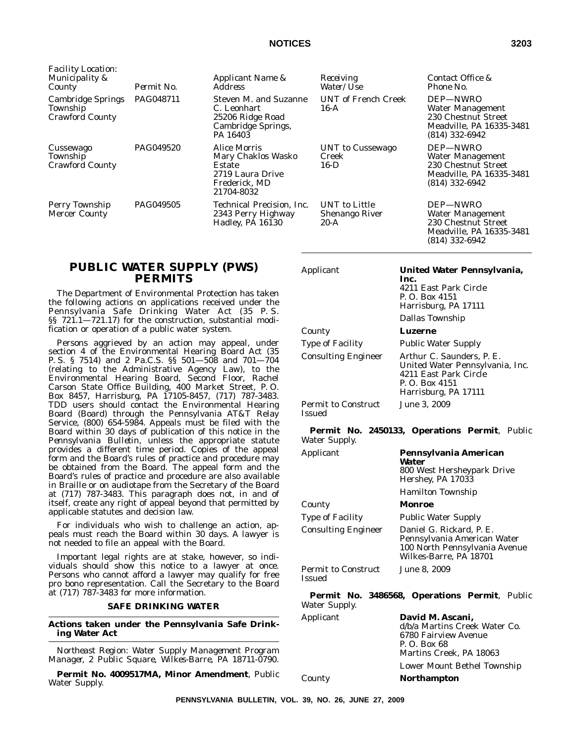| <b>Facility Location:</b><br>Municipality &<br>County          | Permit No. | Applicant Name &<br><b>Address</b>                                                              | Receiving<br><i>Water/Use</i>             | Contact Office &<br>Phone No.                                                                              |
|----------------------------------------------------------------|------------|-------------------------------------------------------------------------------------------------|-------------------------------------------|------------------------------------------------------------------------------------------------------------|
| <b>Cambridge Springs</b><br>Township<br><b>Crawford County</b> | PAG048711  | Steven M. and Suzanne<br>C. Leonhart<br>25206 Ridge Road<br>Cambridge Springs,<br>PA 16403      | <b>UNT</b> of French Creek<br>$16-A$      | DEP-NWRO<br>Water Management<br>230 Chestnut Street<br>Meadville, PA 16335-3481<br>$(814)$ 332-6942        |
| Cussewago<br>Township<br><b>Crawford County</b>                | PAG049520  | Alice Morris<br>Mary Chaklos Wasko<br>Estate<br>2719 Laura Drive<br>Frederick, MD<br>21704-8032 | UNT to Cussewago<br>Creek<br>16-D         | DEP-NWRO<br><b>Water Management</b><br>230 Chestnut Street<br>Meadville, PA 16335-3481<br>$(814)$ 332-6942 |
| Perry Township<br><b>Mercer County</b>                         | PAG049505  | Technical Precision, Inc.<br>2343 Perry Highway<br>Hadley, PA 16130                             | UNT to Little<br>Shenango River<br>$20-A$ | DEP-NWRO<br>Water Management<br>230 Chestnut Street<br>Meadville, PA 16335-3481<br>$(814)$ 332-6942        |

# **PUBLIC WATER SUPPLY (PWS) PERMITS**

The Department of Environmental Protection has taken the following actions on applications received under the Pennsylvania Safe Drinking Water Act (35 P. S. §§ 721.1-721.17) for the construction, substantial modification or operation of a public water system.

Persons aggrieved by an action may appeal, under section 4 of the Environmental Hearing Board Act (35 P. S. § 7514) and 2 Pa.C.S. §§ 501—508 and 701—704 (relating to the Administrative Agency Law), to the Environmental Hearing Board, Second Floor, Rachel Carson State Office Building, 400 Market Street, P. O. Box 8457, Harrisburg, PA 17105-8457, (717) 787-3483. TDD users should contact the Environmental Hearing Board (Board) through the Pennsylvania AT&T Relay Service, (800) 654-5984. Appeals must be filed with the Board within 30 days of publication of this notice in the *Pennsylvania Bulletin*, unless the appropriate statute provides a different time period. Copies of the appeal form and the Board's rules of practice and procedure may be obtained from the Board. The appeal form and the Board's rules of practice and procedure are also available in Braille or on audiotape from the Secretary of the Board at (717) 787-3483. This paragraph does not, in and of itself, create any right of appeal beyond that permitted by applicable statutes and decision law.

For individuals who wish to challenge an action, appeals must reach the Board within 30 days. A lawyer is not needed to file an appeal with the Board.

Important legal rights are at stake, however, so individuals should show this notice to a lawyer at once. Persons who cannot afford a lawyer may qualify for free pro bono representation. Call the Secretary to the Board at (717) 787-3483 for more information.

# **SAFE DRINKING WATER**

**Actions taken under the Pennsylvania Safe Drinking Water Act**

*Northeast Region: Water Supply Management Program Manager, 2 Public Square, Wilkes-Barre, PA 18711-0790.*

**Permit No. 4009517MA, Minor Amendment**, Public Water Supply.

Applicant **United Water Pennsylvania,**

**Inc.** 4211 East Park Circle P. O. Box 4151 Harrisburg, PA 17111 Dallas Township County **Luzerne** Type of Facility Public Water Supply Consulting Engineer Arthur C. Saunders, P. E. United Water Pennsylvania, Inc. 4211 East Park Circle P. O. Box 4151 Harrisburg, PA 17111 Permit to Construct Issued June 3, 2009

#### **Permit No. 2450133, Operations Permit**, Public Water Supply.

Applicant **Pennsylvania American Water** 800 West Hersheypark Drive Hershey, PA 17033 Hamilton Township County **Monroe** Type of Facility Public Water Supply Consulting Engineer Daniel G. Rickard, P. E. Pennsylvania American Water 100 North Pennsylvania Avenue Wilkes-Barre, PA 18701 Permit to Construct Issued June 8, 2009

**Permit No. 3486568, Operations Permit**, Public Water Supply.

| Applicant | David M. Ascani,              |
|-----------|-------------------------------|
|           | d/b/a Martins Creek Water Co. |
|           | 6780 Fairview Avenue          |
|           | P. O. Box 68                  |
|           | Martins Creek, PA 18063       |
|           | Lower Mount Bethel Township   |
| County    | <b>Northampton</b>            |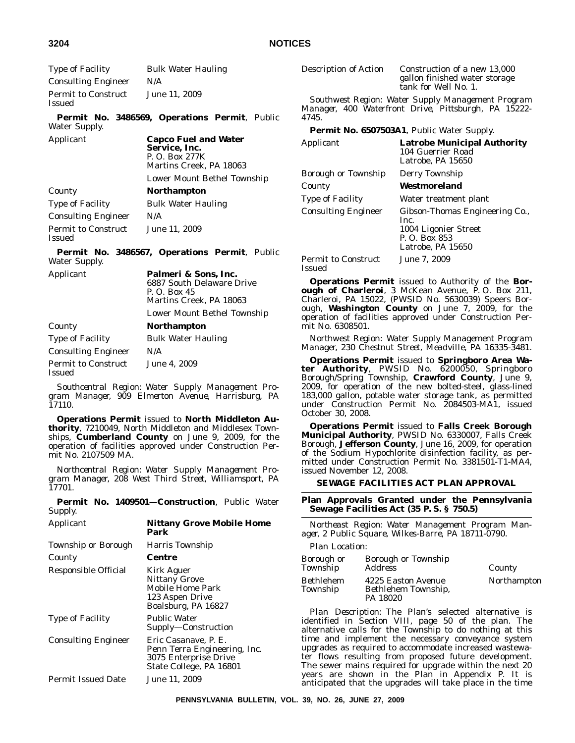| Type of Facility              | <b>Bulk Water Hauling</b> |
|-------------------------------|---------------------------|
| <b>Consulting Engineer</b>    | N/A                       |
| Permit to Construct<br>Issued | June 11, 2009             |

**Permit No. 3486569, Operations Permit**, Public Water Supply.

| Applicant                  | <b>Capco Fuel and Water</b><br>Service, Inc.<br>P. O. Box 277K<br>Martins Creek, PA 18063 |
|----------------------------|-------------------------------------------------------------------------------------------|
|                            | Lower Mount Bethel Township                                                               |
| County                     | <b>Northampton</b>                                                                        |
| Type of Facility           | <b>Bulk Water Hauling</b>                                                                 |
| <b>Consulting Engineer</b> | N/A                                                                                       |
| <b>Permit to Construct</b> | June 11, 2009                                                                             |

**Permit No. 3486567, Operations Permit**, Public Water Supply.

| Applicant                            | Palmeri & Sons, Inc.<br>6887 South Delaware Drive<br>P. O. Box 45<br>Martins Creek, PA 18063 |  |  |
|--------------------------------------|----------------------------------------------------------------------------------------------|--|--|
|                                      | Lower Mount Bethel Township                                                                  |  |  |
| County                               | <b>Northampton</b>                                                                           |  |  |
| Type of Facility                     | <b>Bulk Water Hauling</b>                                                                    |  |  |
| <b>Consulting Engineer</b>           | N/A                                                                                          |  |  |
| <b>Permit to Construct</b><br>Issued | June 4, 2009                                                                                 |  |  |

*Southcentral Region: Water Supply Management Program Manager, 909 Elmerton Avenue, Harrisburg, PA 17110.*

**Operations Permit** issued to **North Middleton Authority**, 7210049, North Middleton and Middlesex Townships, **Cumberland County** on June 9, 2009, for the operation of facilities approved under Construction Permit No. 2107509 MA.

*Northcentral Region: Water Supply Management Program Manager, 208 West Third Street, Williamsport, PA 17701.*

**Permit No. 1409501—Construction**, Public Water Supply. Applicant **Nittany Grove Mobile Home**

| Applicant                  | Nittany Grove Modile Home<br>Park                                                                        |
|----------------------------|----------------------------------------------------------------------------------------------------------|
| Township or Borough        | Harris Township                                                                                          |
| County                     | Centre                                                                                                   |
| Responsible Official       | Kirk Aguer<br><b>Nittany Grove</b><br>Mobile Home Park<br>123 Aspen Drive<br>Boalsburg, PA 16827         |
| <b>Type of Facility</b>    | <b>Public Water</b><br>Supply-Construction                                                               |
| <b>Consulting Engineer</b> | Eric Casanave, P. E.<br>Penn Terra Engineering, Inc.<br>3075 Enterprise Drive<br>State College, PA 16801 |
| <b>Permit Issued Date</b>  | June 11, 2009                                                                                            |
|                            |                                                                                                          |

Description of Action Construction of a new 13,000

gallon finished water storage tank for Well No. 1.

*Southwest Region: Water Supply Management Program Manager, 400 Waterfront Drive, Pittsburgh, PA 15222- 4745.*

**Permit No. 6507503A1**, Public Water Supply.

| <b>Permit No. 6507505AL, Public Water Supply.</b> |                                                                                                      |  |  |
|---------------------------------------------------|------------------------------------------------------------------------------------------------------|--|--|
| Applicant                                         | <b>Latrobe Municipal Authority</b><br>104 Guerrier Road<br>Latrobe, PA 15650                         |  |  |
| Borough or Township                               | Derry Township                                                                                       |  |  |
| County                                            | Westmoreland                                                                                         |  |  |
| <b>Type of Facility</b>                           | Water treatment plant                                                                                |  |  |
| <b>Consulting Engineer</b>                        | Gibson-Thomas Engineering Co.,<br>Inc.<br>1004 Ligonier Street<br>P. O. Box 853<br>Latrobe, PA 15650 |  |  |
| <b>Permit to Construct</b><br><b>Issued</b>       | June 7, 2009                                                                                         |  |  |

**Operations Permit** issued to Authority of the **Bor**ough of Charleroi, 3 McKean Avenue, P.O. Box 211, Charleroi, PA 15022, (PWSID No. 5630039) Speers Borough, **Washington County** on June 7, 2009, for the operation of facilities approved under Construction Permit No. 6308501.

*Northwest Region: Water Supply Management Program Manager, 230 Chestnut Street, Meadville, PA 16335-3481.*

**Operations Permit** issued to **Springboro Area Water Authority**, PWSID No. 6200050, Springboro Borough/Spring Township, **Crawford County**, June 9, 2009, for operation of the new bolted-steel, glass-lined 183,000 gallon, potable water storage tank, as permitted under Construction Permit No. 2084503-MA1, issued October 30, 2008.

**Operations Permit** issued to **Falls Creek Borough Municipal Authority**, PWSID No. 6330007, Falls Creek Borough, **Jefferson County**, June 16, 2009, for operation of the Sodium Hypochlorite disinfection facility, as permitted under Construction Permit No. 3381501-T1-MA4, issued November 12, 2008.

### **SEWAGE FACILITIES ACT PLAN APPROVAL**

## **Plan Approvals Granted under the Pennsylvania Sewage Facilities Act (35 P. S. § 750.5)**

*Northeast Region: Water Management Program Manager, 2 Public Square, Wilkes-Barre, PA 18711-0790.*

*Plan Location:*

| Borough or<br>Township | Borough or Township<br><i>Address</i>                 | County      |
|------------------------|-------------------------------------------------------|-------------|
| Bethlehem<br>Township  | 4225 Easton Avenue<br>Bethlehem Township.<br>PA 18020 | Northampton |

*Plan Description:* The Plan's selected alternative is identified in Section VIII, page 50 of the plan. The alternative calls for the Township to do nothing at this time and implement the necessary conveyance system upgrades as required to accommodate increased wastewater flows resulting from proposed future development. The sewer mains required for upgrade within the next 20 years are shown in the Plan in Appendix P. It is anticipated that the upgrades will take place in the time

Issued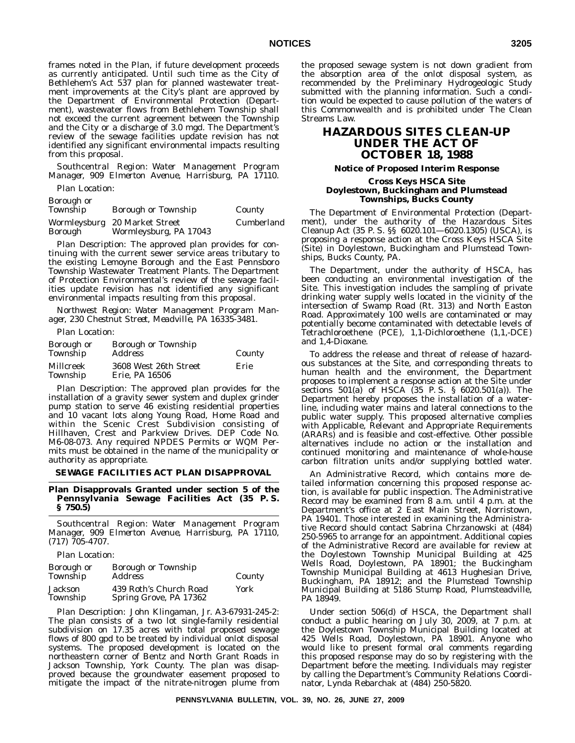frames noted in the Plan, if future development proceeds as currently anticipated. Until such time as the City of Bethlehem's Act 537 plan for planned wastewater treatment improvements at the City's plant are approved by the Department of Environmental Protection (Department), wastewater flows from Bethlehem Township shall not exceed the current agreement between the Township and the City or a discharge of 3.0 mgd. The Department's review of the sewage facilities update revision has not identified any significant environmental impacts resulting from this proposal.

*Southcentral Region: Water Management Program Manager, 909 Elmerton Avenue, Harrisburg, PA 17110.*

*Plan Location:*

# *Borough or*

| Township | <b>Borough or Township</b>    | County     |
|----------|-------------------------------|------------|
|          | Wormleysburg 20 Market Street | Cumberland |
| Borough  | Wormleysburg, PA 17043        |            |

*Plan Description:* The approved plan provides for continuing with the current sewer service areas tributary to the existing Lemoyne Borough and the East Pennsboro Township Wastewater Treatment Plants. The Department of Protection Environmental's review of the sewage facilities update revision has not identified any significant environmental impacts resulting from this proposal.

*Northwest Region: Water Management Program Manager, 230 Chestnut Street, Meadville, PA 16335-3481.*

*Plan Location:*

| Borough or<br>Township | <b>Borough or Township</b><br><i>Address</i> | County |
|------------------------|----------------------------------------------|--------|
| Millcreek<br>Township  | 3608 West 26th Street<br>Erie, PA 16506      | Erie   |

*Plan Description:* The approved plan provides for the installation of a gravity sewer system and duplex grinder pump station to serve 46 existing residential properties and 10 vacant lots along Young Road, Home Road and within the Scenic Crest Subdivision consisting of Hillhaven, Crest and Parkview Drives. DEP Code No. M6-08-073. Any required NPDES Permits or WQM Permits must be obtained in the name of the municipality or authority as appropriate.

#### **SEWAGE FACILITIES ACT PLAN DISAPPROVAL**

# **Plan Disapprovals Granted under section 5 of the Pennsylvania Sewage Facilities Act (35 P. S. § 750.5)**

*Southcentral Region: Water Management Program Manager, 909 Elmerton Avenue, Harrisburg, PA 17110, (717) 705-4707.*

#### *Plan Location:*

| Borough or<br>Township | Borough or Township<br><i>Address</i>            | County |
|------------------------|--------------------------------------------------|--------|
| Jackson<br>Township    | 439 Roth's Church Road<br>Spring Grove, PA 17362 | York   |

*Plan Description:* John Klingaman, Jr. A3-67931-245-2: The plan consists of a two lot single-family residential subdivision on 17.35 acres with total proposed sewage flows of 800 gpd to be treated by individual onlot disposal systems. The proposed development is located on the northeastern corner of Bentz and North Grant Roads in Jackson Township, York County. The plan was disapproved because the groundwater easement proposed to mitigate the impact of the nitrate-nitrogen plume from the proposed sewage system is not down gradient from the absorption area of the onlot disposal system, as recommended by the Preliminary Hydrogeologic Study submitted with the planning information. Such a condition would be expected to cause pollution of the waters of this Commonwealth and is prohibited under The Clean Streams Law.

# **HAZARDOUS SITES CLEAN-UP UNDER THE ACT OF OCTOBER 18, 1988**

#### **Notice of Proposed Interim Response**

## **Cross Keys HSCA Site Doylestown, Buckingham and Plumstead Townships, Bucks County**

The Department of Environmental Protection (Department), under the authority of the Hazardous Sites Cleanup Act (35 P. S. §§ 6020.101—6020.1305) (USCA), is proposing a response action at the Cross Keys HSCA Site (Site) in Doylestown, Buckingham and Plumstead Townships, Bucks County, PA.

The Department, under the authority of HSCA, has been conducting an environmental investigation of the Site. This investigation includes the sampling of private drinking water supply wells located in the vicinity of the intersection of Swamp Road (Rt. 313) and North Easton Road. Approximately 100 wells are contaminated or may potentially become contaminated with detectable levels of Tetrachloroethene (PCE), 1,1-Dichloroethene (1,1,-DCE) and 1,4-Dioxane.

To address the release and threat of release of hazardous substances at the Site, and corresponding threats to human health and the environment, the Department proposes to implement a response action at the Site under sections 501(a) of HSCA (35 P. S. § 6020.501(a)). The Department hereby proposes the installation of a waterline, including water mains and lateral connections to the public water supply. This proposed alternative complies with Applicable, Relevant and Appropriate Requirements (ARARs) and is feasible and cost-effective. Other possible alternatives include no action or the installation and continued monitoring and maintenance of whole-house carbon filtration units and/or supplying bottled water.

An Administrative Record, which contains more detailed information concerning this proposed response action, is available for public inspection. The Administrative Record may be examined from 8 a.m. until 4 p.m. at the Department's office at 2 East Main Street, Norristown, PA 19401. Those interested in examining the Administrative Record should contact Sabrina Chrzanowski at (484) 250-5965 to arrange for an appointment. Additional copies of the Administrative Record are available for review at the Doylestown Township Municipal Building at 425 Wells Road, Doylestown, PA 18901; the Buckingham Township Municipal Building at 4613 Hughesian Drive, Buckingham, PA 18912; and the Plumstead Township Municipal Building at 5186 Stump Road, Plumsteadville, PA 18949.

Under section 506(d) of HSCA, the Department shall conduct a public hearing on July 30, 2009, at 7 p.m. at the Doylestown Township Municipal Building located at 425 Wells Road, Doylestown, PA 18901. Anyone who would like to present formal oral comments regarding this proposed response may do so by registering with the Department before the meeting. Individuals may register by calling the Department's Community Relations Coordinator, Lynda Rebarchak at (484) 250-5820.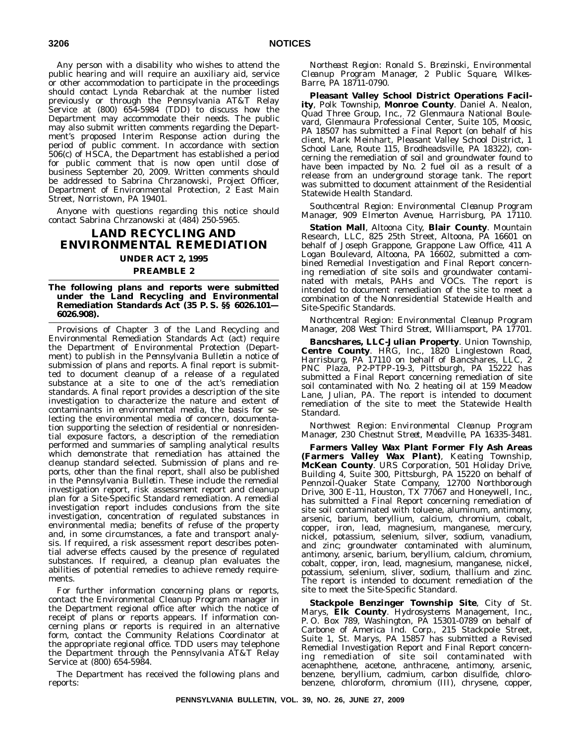Any person with a disability who wishes to attend the public hearing and will require an auxiliary aid, service or other accommodation to participate in the proceedings should contact Lynda Rebarchak at the number listed previously or through the Pennsylvania AT&T Relay Service at (800) 654-5984 (TDD) to discuss how the Department may accommodate their needs. The public may also submit written comments regarding the Department's proposed Interim Response action during the period of public comment. In accordance with section 506(c) of HSCA, the Department has established a period for public comment that is now open until close of business September 20, 2009. Written comments should be addressed to Sabrina Chrzanowski, Project Officer, Department of Environmental Protection, 2 East Main Street, Norristown, PA 19401.

Anyone with questions regarding this notice should contact Sabrina Chrzanowski at (484) 250-5965.

# **LAND RECYCLING AND ENVIRONMENTAL REMEDIATION UNDER ACT 2, 1995**

# **PREAMBLE 2**

#### **The following plans and reports were submitted under the Land Recycling and Environmental Remediation Standards Act (35 P. S. §§ 6026.101— 6026.908).**

Provisions of Chapter 3 of the Land Recycling and Environmental Remediation Standards Act (act) require the Department of Environmental Protection (Department) to publish in the *Pennsylvania Bulletin* a notice of submission of plans and reports. A final report is submitted to document cleanup of a release of a regulated substance at a site to one of the act's remediation standards. A final report provides a description of the site investigation to characterize the nature and extent of contaminants in environmental media, the basis for selecting the environmental media of concern, documentation supporting the selection of residential or nonresidential exposure factors, a description of the remediation performed and summaries of sampling analytical results which demonstrate that remediation has attained the cleanup standard selected. Submission of plans and reports, other than the final report, shall also be published in the *Pennsylvania Bulletin*. These include the remedial investigation report, risk assessment report and cleanup plan for a Site-Specific Standard remediation. A remedial investigation report includes conclusions from the site investigation, concentration of regulated substances in environmental media; benefits of refuse of the property and, in some circumstances, a fate and transport analysis. If required, a risk assessment report describes potential adverse effects caused by the presence of regulated substances. If required, a cleanup plan evaluates the abilities of potential remedies to achieve remedy requirements.

For further information concerning plans or reports, contact the Environmental Cleanup Program manager in the Department regional office after which the notice of receipt of plans or reports appears. If information concerning plans or reports is required in an alternative form, contact the Community Relations Coordinator at the appropriate regional office. TDD users may telephone the Department through the Pennsylvania AT&T Relay Service at (800) 654-5984.

The Department has received the following plans and reports:

*Northeast Region: Ronald S. Brezinski, Environmental Cleanup Program Manager, 2 Public Square, Wilkes-Barre, PA 18711-0790.*

**Pleasant Valley School District Operations Facility**, Polk Township, **Monroe County**. Daniel A. Nealon, Quad Three Group, Inc., 72 Glenmaura National Boulevard, Glenmaura Professional Center, Suite 105, Moosic, PA 18507 has submitted a Final Report (on behalf of his client, Mark Meinhart, Pleasant Valley School District, 1 School Lane, Route 115, Brodheadsville, PA 18322), concerning the remediation of soil and groundwater found to have been impacted by No. 2 fuel oil as a result of a release from an underground storage tank. The report was submitted to document attainment of the Residential Statewide Health Standard.

*Southcentral Region: Environmental Cleanup Program Manager, 909 Elmerton Avenue, Harrisburg, PA 17110.*

**Station Mall**, Altoona City, **Blair County**. Mountain Research, LLC, 825 25th Street, Altoona, PA 16601 on behalf of Joseph Grappone, Grappone Law Office, 411 A Logan Boulevard, Altoona, PA 16602, submitted a combined Remedial Investigation and Final Report concerning remediation of site soils and groundwater contaminated with metals, PAHs and VOCs. The report is intended to document remediation of the site to meet a combination of the Nonresidential Statewide Health and Site-Specific Standards.

*Northcentral Region: Environmental Cleanup Program Manager, 208 West Third Street, Williamsport, PA 17701.*

**Bancshares, LLC-Julian Property**. Union Township, **Centre County**. HRG, Inc., 1820 Linglestown Road, Harrisburg, PA 17110 on behalf of Bancshares, LLC, 2 PNC Plaza, P2-PTPP-19-3, Pittsburgh, PA 15222 has submitted a Final Report concerning remediation of site soil contaminated with No. 2 heating oil at 159 Meadow Lane, Julian, PA. The report is intended to document remediation of the site to meet the Statewide Health Standard.

*Northwest Region: Environmental Cleanup Program Manager, 230 Chestnut Street, Meadville, PA 16335-3481.*

**Farmers Valley Wax Plant Former Fly Ash Areas (Farmers Valley Wax Plant)**, Keating Township, **McKean County**. URS Corporation, 501 Holiday Drive, Building 4, Suite 300, Pittsburgh, PA 15220 on behalf of Pennzoil-Quaker State Company, 12700 Northborough Drive, 300 E-11, Houston, TX 77067 and Honeywell, Inc., has submitted a Final Report concerning remediation of site soil contaminated with toluene, aluminum, antimony, arsenic, barium, beryllium, calcium, chromium, cobalt, copper, iron, lead, magnesium, manganese, mercury, nickel, potassium, selenium, silver, sodium, vanadium, and zinc; groundwater contaminated with aluminum, antimony, arsenic, barium, beryllium, calcium, chromium, cobalt, copper, iron, lead, magnesium, manganese, nickel, potassium, selenium, sliver, sodium, thallium and zinc. The report is intended to document remediation of the site to meet the Site-Specific Standard.

**Stackpole Benzinger Township Site**, City of St. Marys, **Elk County**. Hydrosystems Management, Inc., P. O. Box 789, Washington, PA 15301-0789 on behalf of Carbone of America Ind. Corp., 215 Stackpole Street, Suite 1, St. Marys, PA 15857 has submitted a Revised Remedial Investigation Report and Final Report concerning remediation of site soil contaminated with acenaphthene, acetone, anthracene, antimony, arsenic, benzene, beryllium, cadmium, carbon disulfide, chlorobenzene, chloroform, chromium (III), chrysene, copper,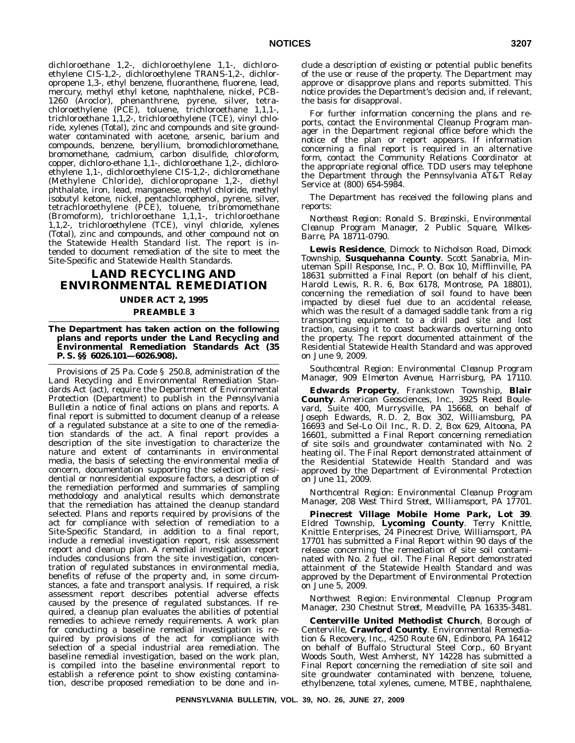dichloroethane 1,2-, dichloroethylene 1,1-, dichloroethylene CIS-1,2-, dichloroethylene TRANS-1,2-, dichloropropene 1,3-, ethyl benzene, fluoranthene, fluorene, lead, mercury, methyl ethyl ketone, naphthalene, nickel, PCB-1260 (Aroclor), phenanthrene, pyrene, silver, tetrachloroethylene (PCE), toluene, trichloroethane 1,1,1-, trichloroethane 1,1,2-, trichloroethylene (TCE), vinyl chloride, xylenes (Total), zinc and compounds and site groundwater contaminated with acetone, arsenic, barium and compounds, benzene, beryllium, bromodichloromethane, bromomethane, cadmium, carbon disulfide, chloroform, copper, dichloro-ethane 1,1-, dichloroethane 1,2-, dichloroethylene 1,1-, dichloroethylene CIS-1,2-, dichloromethane (Methylene Chloride), dichloropropane 1,2-, diethyl phthalate, iron, lead, manganese, methyl chloride, methyl isobutyl ketone, nickel, pentachlorophenol, pyrene, silver, tetrachloroethylene (PCE), toluene, tribromomethane (Bromoform), trichloroethane 1,1,1-, trichloroethane 1,1,2-, trichloroethylene (TCE), vinyl chloride, xylenes (Total), zinc and compounds, and other compound not on the Statewide Health Standard list. The report is intended to document remediation of the site to meet the Site-Specific and Statewide Health Standards.

# **LAND RECYCLING AND ENVIRONMENTAL REMEDIATION**

# **UNDER ACT 2, 1995**

#### **PREAMBLE 3**

## **The Department has taken action on the following plans and reports under the Land Recycling and Environmental Remediation Standards Act (35 P. S. §§ 6026.101—6026.908).**

Provisions of 25 Pa. Code § 250.8, administration of the Land Recycling and Environmental Remediation Standards Act (act), require the Department of Environmental Protection (Department) to publish in the *Pennsylvania Bulletin* a notice of final actions on plans and reports. A final report is submitted to document cleanup of a release of a regulated substance at a site to one of the remediation standards of the act. A final report provides a description of the site investigation to characterize the nature and extent of contaminants in environmental media, the basis of selecting the environmental media of concern, documentation supporting the selection of residential or nonresidential exposure factors, a description of the remediation performed and summaries of sampling methodology and analytical results which demonstrate that the remediation has attained the cleanup standard selected. Plans and reports required by provisions of the act for compliance with selection of remediation to a Site-Specific Standard, in addition to a final report, include a remedial investigation report, risk assessment report and cleanup plan. A remedial investigation report includes conclusions from the site investigation, concentration of regulated substances in environmental media, benefits of refuse of the property and, in some circumstances, a fate and transport analysis. If required, a risk assessment report describes potential adverse effects caused by the presence of regulated substances. If required, a cleanup plan evaluates the abilities of potential remedies to achieve remedy requirements. A work plan for conducting a baseline remedial investigation is required by provisions of the act for compliance with selection of a special industrial area remediation. The baseline remedial investigation, based on the work plan, is compiled into the baseline environmental report to establish a reference point to show existing contamination, describe proposed remediation to be done and include a description of existing or potential public benefits of the use or reuse of the property. The Department may approve or disapprove plans and reports submitted. This notice provides the Department's decision and, if relevant, the basis for disapproval.

For further information concerning the plans and reports, contact the Environmental Cleanup Program manager in the Department regional office before which the notice of the plan or report appears. If information concerning a final report is required in an alternative form, contact the Community Relations Coordinator at the appropriate regional office. TDD users may telephone the Department through the Pennsylvania AT&T Relay Service at (800) 654-5984.

The Department has received the following plans and reports:

*Northeast Region: Ronald S. Brezinski, Environmental Cleanup Program Manager, 2 Public Square, Wilkes-Barre, PA 18711-0790.*

**Lewis Residence**, Dimock to Nicholson Road, Dimock Township, **Susquehanna County**. Scott Sanabria, Minuteman Spill Response, Inc., P. O. Box 10, Mifflinville, PA 18631 submitted a Final Report (on behalf of his client, Harold Lewis, R. R. 6, Box 6178, Montrose, PA 18801), concerning the remediation of soil found to have been impacted by diesel fuel due to an accidental release, which was the result of a damaged saddle tank from a rig transporting equipment to a drill pad site and lost traction, causing it to coast backwards overturning onto the property. The report documented attainment of the Residential Statewide Health Standard and was approved on June 9, 2009.

#### *Southcentral Region: Environmental Cleanup Program Manager, 909 Elmerton Avenue, Harrisburg, PA 17110.*

**Edwards Property**, Frankstown Township, **Blair County**. American Geosciences, Inc., 3925 Reed Boulevard, Suite 400, Murrysville, PA 15668, on behalf of Joseph Edwards, R. D. 2, Box 302, Williamsburg, PA 16693 and Sel-Lo Oil Inc., R. D. 2, Box 629, Altoona, PA 16601, submitted a Final Report concerning remediation of site soils and groundwater contaminated with No. 2 heating oil. The Final Report demonstrated attainment of the Residential Statewide Health Standard and was approved by the Department of Evironmental Protection on June 11, 2009.

*Northcentral Region: Environmental Cleanup Program Manager, 208 West Third Street, Williamsport, PA 17701.*

**Pinecrest Village Mobile Home Park, Lot 39**. Eldred Township, **Lycoming County**. Terry Knittle, Knittle Enterprises, 24 Pinecrest Drive, Williamsport, PA 17701 has submitted a Final Report within 90 days of the release concerning the remediation of site soil contaminated with No. 2 fuel oil. The Final Report demonstrated attainment of the Statewide Health Standard and was approved by the Department of Environmental Protection on June 5, 2009.

# *Northwest Region: Environmental Cleanup Program Manager, 230 Chestnut Street, Meadville, PA 16335-3481.*

**Centerville United Methodist Church**, Borough of Centerville, **Crawford County**. Environmental Remediation & Recovery, Inc., 4250 Route 6N, Edinboro, PA 16412 on behalf of Buffalo Structural Steel Corp., 60 Bryant Woods South, West Amherst, NY 14228 has submitted a Final Report concerning the remediation of site soil and site groundwater contaminated with benzene, toluene, ethylbenzene, total xylenes, cumene, MTBE, naphthalene,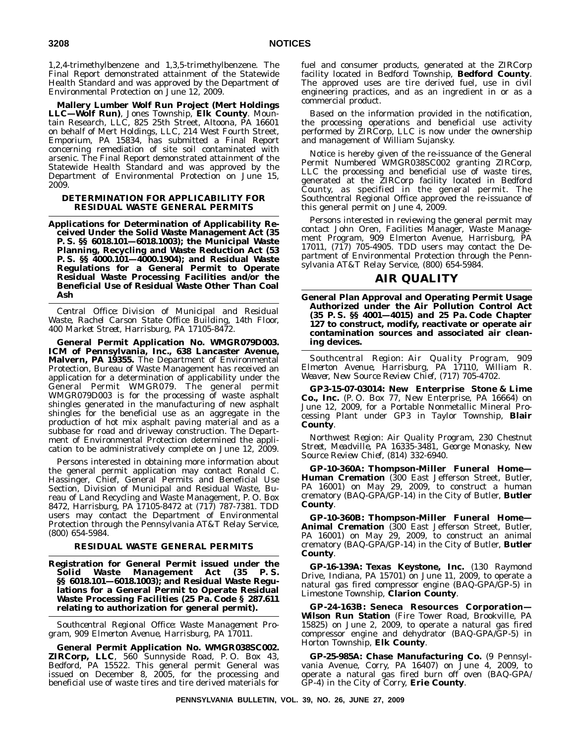1,2,4-trimethylbenzene and 1,3,5-trimethylbenzene. The Final Report demonstrated attainment of the Statewide Health Standard and was approved by the Department of Environmental Protection on June 12, 2009.

**Mallery Lumber Wolf Run Project (Mert Holdings LLC—Wolf Run)**, Jones Township, **Elk County**. Mountain Research, LLC, 825 25th Street, Altoona, PA 16601 on behalf of Mert Holdings, LLC, 214 West Fourth Street, Emporium, PA 15834, has submitted a Final Report concerning remediation of site soil contaminated with arsenic. The Final Report demonstrated attainment of the Statewide Health Standard and was approved by the Department of Environmental Protection on June 15, 2009.

## **DETERMINATION FOR APPLICABILITY FOR RESIDUAL WASTE GENERAL PERMITS**

**Applications for Determination of Applicability Received Under the Solid Waste Management Act (35 P. S. §§ 6018.101—6018.1003); the Municipal Waste Planning, Recycling and Waste Reduction Act (53 P. S. §§ 4000.101—4000.1904); and Residual Waste Regulations for a General Permit to Operate Residual Waste Processing Facilities and/or the Beneficial Use of Residual Waste Other Than Coal Ash**

*Central Office: Division of Municipal and Residual Waste, Rachel Carson State Office Building, 14th Floor, 400 Market Street, Harrisburg, PA 17105-8472.*

**General Permit Application No. WMGR079D003. ICM of Pennsylvania, Inc., 638 Lancaster Avenue, Malvern, PA 19355.** The Department of Environmental Protection, Bureau of Waste Management has received an application for a determination of applicability under the General Permit WMGR079. The general permit WMGR079D003 is for the processing of waste asphalt shingles generated in the manufacturing of new asphalt shingles for the beneficial use as an aggregate in the production of hot mix asphalt paving material and as a subbase for road and driveway construction. The Department of Environmental Protection determined the application to be administratively complete on June 12, 2009.

Persons interested in obtaining more information about the general permit application may contact Ronald C. Hassinger, Chief, General Permits and Beneficial Use Section, Division of Municipal and Residual Waste, Bureau of Land Recycling and Waste Management, P. O. Box 8472, Harrisburg, PA 17105-8472 at (717) 787-7381. TDD users may contact the Department of Environmental Protection through the Pennsylvania AT&T Relay Service, (800) 654-5984.

# **RESIDUAL WASTE GENERAL PERMITS**

**Registration for General Permit issued under the Solid Waste Management Act (35 P. S. §§ 6018.101—6018.1003); and Residual Waste Regulations for a General Permit to Operate Residual Waste Processing Facilities (25 Pa. Code § 287.611 relating to authorization for general permit).**

*Southcentral Regional Office: Waste Management Program, 909 Elmerton Avenue, Harrisburg, PA 17011.*

**General Permit Application No. WMGR038SC002. ZIRCorp, LLC**, 560 Sunnyside Road, P. O. Box 43, Bedford, PA 15522. This general permit General was issued on December 8, 2005, for the processing and beneficial use of waste tires and tire derived materials for

fuel and consumer products, generated at the ZIRCorp facility located in Bedford Township, **Bedford County**. The approved uses are tire derived fuel, use in civil engineering practices, and as an ingredient in or as a commercial product.

Based on the information provided in the notification, the processing operations and beneficial use activity performed by ZIRCorp, LLC is now under the ownership and management of William Sujansky.

Notice is hereby given of the re-issuance of the General Permit Numbered WMGR038SC002 granting ZIRCorp, LLC the processing and beneficial use of waste tires, generated at the ZIRCorp facility located in Bedford County, as specified in the general permit. The Southcentral Regional Office approved the re-issuance of this general permit on June 4, 2009.

Persons interested in reviewing the general permit may contact John Oren, Facilities Manager, Waste Management Program, 909 Elmerton Avenue, Harrisburg, PA 17011, (717) 705-4905. TDD users may contact the Department of Environmental Protection through the Pennsylvania AT&T Relay Service, (800) 654-5984.

# **AIR QUALITY**

**General Plan Approval and Operating Permit Usage Authorized under the Air Pollution Control Act (35 P. S. §§ 4001—4015) and 25 Pa. Code Chapter 127 to construct, modify, reactivate or operate air contamination sources and associated air cleaning devices.**

*Southcentral Region: Air Quality Program, 909 Elmerton Avenue, Harrisburg, PA 17110, William R. Weaver, New Source Review Chief, (717) 705-4702.*

**GP3-15-07-03014: New Enterprise Stone & Lime Co., Inc.** (P. O. Box 77, New Enterprise, PA 16664) on June 12, 2009, for a Portable Nonmetallic Mineral Processing Plant under GP3 in Taylor Township, **Blair County**.

*Northwest Region: Air Quality Program, 230 Chestnut Street, Meadville, PA 16335-3481, George Monasky, New Source Review Chief, (814) 332-6940.*

**GP-10-360A: Thompson-Miller Funeral Home— Human Cremation** (300 East Jefferson Street, Butler, PA 16001) on May 29, 2009, to construct a human crematory (BAQ-GPA/GP-14) in the City of Butler, **Butler County**.

**GP-10-360B: Thompson-Miller Funeral Home— Animal Cremation** (300 East Jefferson Street, Butler, PA 16001) on May 29, 2009, to construct an animal crematory (BAQ-GPA/GP-14) in the City of Butler, **Butler County**.

**GP-16-139A: Texas Keystone, Inc.** (130 Raymond Drive, Indiana, PA 15701) on June 11, 2009, to operate a natural gas fired compressor engine (BAQ-GPA/GP-5) in Limestone Township, **Clarion County**.

**GP-24-163B: Seneca Resources Corporation— Wilson Run Station** (Fire Tower Road, Brookville, PA 15825) on June 2, 2009, to operate a natural gas fired compressor engine and dehydrator (BAQ-GPA/GP-5) in Horton Township, **Elk County**.

**GP-25-985A: Chase Manufacturing Co.** (9 Pennsylvania Avenue, Corry, PA 16407) on June 4, 2009, to operate a natural gas fired burn off oven (BAQ-GPA/ GP-4) in the City of Corry, **Erie County**.

**PENNSYLVANIA BULLETIN, VOL. 39, NO. 26, JUNE 27, 2009**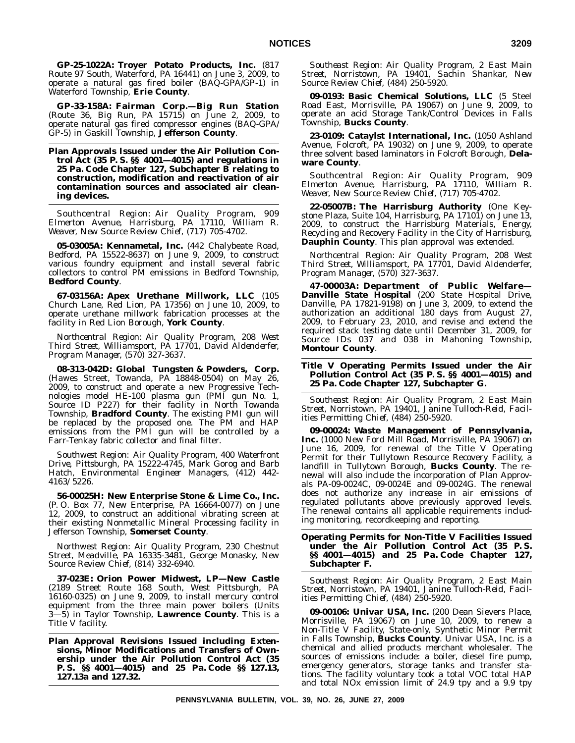**GP-25-1022A: Troyer Potato Products, Inc.** (817 Route 97 South, Waterford, PA 16441) on June 3, 2009, to operate a natural gas fired boiler (BAQ-GPA/GP-1) in Waterford Township, **Erie County**.

**GP-33-158A: Fairman Corp.—Big Run Station** (Route 36, Big Run, PA 15715) on June 2, 2009, to operate natural gas fired compressor engines (BAQ-GPA/ GP-5) in Gaskill Township, **Jefferson County**.

**Plan Approvals Issued under the Air Pollution Control Act (35 P. S. §§ 4001—4015) and regulations in 25 Pa. Code Chapter 127, Subchapter B relating to construction, modification and reactivation of air contamination sources and associated air cleaning devices.**

*Southcentral Region: Air Quality Program, 909 Elmerton Avenue, Harrisburg, PA 17110, William R. Weaver, New Source Review Chief, (717) 705-4702.*

**05-03005A: Kennametal, Inc.** (442 Chalybeate Road, Bedford, PA 15522-8637) on June 9, 2009, to construct various foundry equipment and install several fabric collectors to control PM emissions in Bedford Township, **Bedford County**.

**67-03156A: Apex Urethane Millwork, LLC** (105 Church Lane, Red Lion, PA 17356) on June 10, 2009, to operate urethane millwork fabrication processes at the facility in Red Lion Borough, **York County**.

*Northcentral Region: Air Quality Program, 208 West Third Street, Williamsport, PA 17701, David Aldenderfer, Program Manager, (570) 327-3637.*

**08-313-042D: Global Tungsten & Powders, Corp.** (Hawes Street, Towanda, PA 18848-0504) on May 26, 2009, to construct and operate a new Progressive Technologies model HE-100 plasma gun (PMI gun No. 1, Source ID P227) for their facility in North Towanda Township, **Bradford County**. The existing PMI gun will be replaced by the proposed one. The PM and HAP emissions from the PMI gun will be controlled by a Farr-Tenkay fabric collector and final filter.

*Southwest Region: Air Quality Program, 400 Waterfront Drive, Pittsburgh, PA 15222-4745, Mark Gorog and Barb Hatch, Environmental Engineer Managers, (412) 442- 4163/5226.*

**56-00025H: New Enterprise Stone & Lime Co., Inc.** (P. O. Box 77, New Enterprise, PA 16664-0077) on June 12, 2009, to construct an additional vibrating screen at their existing Nonmetallic Mineral Processing facility in Jefferson Township, **Somerset County**.

*Northwest Region: Air Quality Program, 230 Chestnut Street, Meadville, PA 16335-3481, George Monasky, New Source Review Chief, (814) 332-6940.*

**37-023E: Orion Power Midwest, LP—New Castle** (2189 Street Route 168 South, West Pittsburgh, PA 16160-0325) on June 9, 2009, to install mercury control equipment from the three main power boilers (Units 3—5) in Taylor Township, **Lawrence County**. This is a Title V facility.

**Plan Approval Revisions Issued including Extensions, Minor Modifications and Transfers of Ownership under the Air Pollution Control Act (35 P. S. §§ 4001—4015) and 25 Pa. Code §§ 127.13, 127.13a and 127.32.**

*Southeast Region: Air Quality Program, 2 East Main Street, Norristown, PA 19401, Sachin Shankar, New Source Review Chief, (484) 250-5920.*

**09-0193: Basic Chemical Solutions, LLC** (5 Steel Road East, Morrisville, PA 19067) on June 9, 2009, to operate an acid Storage Tank/Control Devices in Falls Township, **Bucks County**.

**23-0109: Cataylst International, Inc.** (1050 Ashland Avenue, Folcroft, PA 19032) on June 9, 2009, to operate three solvent based laminators in Folcroft Borough, **Delaware County**.

*Southcentral Region: Air Quality Program, 909 Elmerton Avenue, Harrisburg, PA 17110, William R. Weaver, New Source Review Chief, (717) 705-4702.*

**22-05007B: The Harrisburg Authority** (One Keystone Plaza, Suite 104, Harrisburg, PA 17101) on June 13, 2009, to construct the Harrisburg Materials, Energy, Recycling and Recovery Facility in the City of Harrisburg, **Dauphin County**. This plan approval was extended.

*Northcentral Region: Air Quality Program, 208 West Third Street, Williamsport, PA 17701, David Aldenderfer, Program Manager, (570) 327-3637.*

**47-00003A: Department of Public Welfare— Danville State Hospital** (200 State Hospital Drive, Danville, PA 17821-9198) on June 3, 2009, to extend the authorization an additional 180 days from August 27, 2009, to February 23, 2010, and revise and extend the required stack testing date until December 31, 2009, for Source IDs 037 and 038 in Mahoning Township, **Montour County**.

**Title V Operating Permits Issued under the Air Pollution Control Act (35 P. S. §§ 4001—4015) and 25 Pa. Code Chapter 127, Subchapter G.**

*Southeast Region: Air Quality Program, 2 East Main Street, Norristown, PA 19401, Janine Tulloch-Reid, Facilities Permitting Chief, (484) 250-5920.*

**09-00024: Waste Management of Pennsylvania, Inc.** (1000 New Ford Mill Road, Morrisville, PA 19067) on June 16, 2009, for renewal of the Title V Operating Permit for their Tullytown Resource Recovery Facility, a landfill in Tullytown Borough, **Bucks County**. The renewal will also include the incorporation of Plan Approvals PA-09-0024C, 09-0024E and 09-0024G. The renewal does not authorize any increase in air emissions of regulated pollutants above previously approved levels. The renewal contains all applicable requirements including monitoring, recordkeeping and reporting.

**Operating Permits for Non-Title V Facilities Issued under the Air Pollution Control Act (35 P. S. §§ 4001—4015) and 25 Pa. Code Chapter 127, Subchapter F.**

*Southeast Region: Air Quality Program, 2 East Main Street, Norristown, PA 19401, Janine Tulloch-Reid, Facilities Permitting Chief, (484) 250-5920.*

**09-00106: Univar USA, Inc.** (200 Dean Sievers Place, Morrisville, PA 19067) on June 10, 2009, to renew a Non-Title V Facility, State-only, Synthetic Minor Permit in Falls Township, **Bucks County**. Univar USA, Inc. is a chemical and allied products merchant wholesaler. The sources of emissions include: a boiler, diesel fire pump, emergency generators, storage tanks and transfer stations. The facility voluntary took a total VOC total HAP and total NOx emission limit of 24.9 tpy and a 9.9 tpy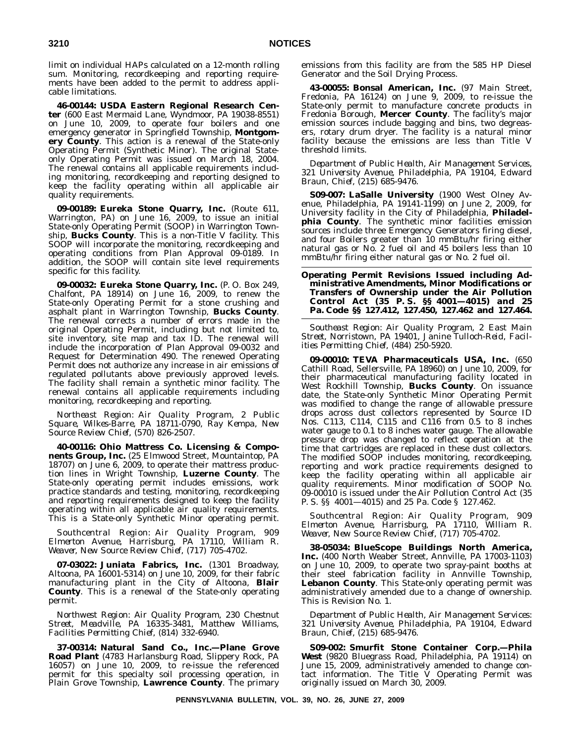limit on individual HAPs calculated on a 12-month rolling sum. Monitoring, recordkeeping and reporting requirements have been added to the permit to address applicable limitations.

**46-00144: USDA Eastern Regional Research Center** (600 East Mermaid Lane, Wyndmoor, PA 19038-8551) on June 10, 2009, to operate four boilers and one emergency generator in Springfield Township, **Montgomery County**. This action is a renewal of the State-only Operating Permit (Synthetic Minor). The original Stateonly Operating Permit was issued on March 18, 2004. The renewal contains all applicable requirements including monitoring, recordkeeping and reporting designed to keep the facility operating within all applicable air quality requirements.

**09-00189: Eureka Stone Quarry, Inc.** (Route 611, Warrington, PA) on June 16, 2009, to issue an initial State-only Operating Permit (SOOP) in Warrington Township, **Bucks County**. This is a non-Title V facility. This SOOP will incorporate the monitoring, recordkeeping and operating conditions from Plan Approval 09-0189. In addition, the SOOP will contain site level requirements specific for this facility.

**09-00032: Eureka Stone Quarry, Inc.** (P. O. Box 249, Chalfont, PA 18914) on June 16, 2009, to renew the State-only Operating Permit for a stone crushing and asphalt plant in Warrington Township, **Bucks County**. The renewal corrects a number of errors made in the original Operating Permit, including but not limited to, site inventory, site map and tax ID. The renewal will include the incorporation of Plan Approval 09-0032 and Request for Determination 490. The renewed Operating Permit does not authorize any increase in air emissions of regulated pollutants above previously approved levels. The facility shall remain a synthetic minor facility. The renewal contains all applicable requirements including monitoring, recordkeeping and reporting.

*Northeast Region: Air Quality Program, 2 Public Square, Wilkes-Barre, PA 18711-0790, Ray Kempa, New Source Review Chief, (570) 826-2507.*

**40-00116: Ohio Mattress Co. Licensing & Components Group, Inc.** (25 Elmwood Street, Mountaintop, PA 18707) on June 6, 2009, to operate their mattress production lines in Wright Township, **Luzerne County**. The State-only operating permit includes emissions, work practice standards and testing, monitoring, recordkeeping and reporting requirements designed to keep the facility operating within all applicable air quality requirements. This is a State-only Synthetic Minor operating permit.

*Southcentral Region: Air Quality Program, 909 Elmerton Avenue, Harrisburg, PA 17110, William R. Weaver, New Source Review Chief, (717) 705-4702.*

**07-03022: Juniata Fabrics, Inc.** (1301 Broadway, Altoona, PA 16001-5314) on June 10, 2009, for their fabric manufacturing plant in the City of Altoona, **Blair County**. This is a renewal of the State-only operating permit.

*Northwest Region: Air Quality Program, 230 Chestnut Street, Meadville, PA 16335-3481, Matthew Williams, Facilities Permitting Chief, (814) 332-6940.*

**37-00314: Natural Sand Co., Inc.—Plane Grove Road Plant** (4783 Harlansburg Road, Slippery Rock, PA 16057) on June 10, 2009, to re-issue the referenced permit for this specialty soil processing operation, in Plain Grove Township, **Lawrence County**. The primary

emissions from this facility are from the 585 HP Diesel Generator and the Soil Drying Process.

**43-00055: Bonsal American, Inc.** (97 Main Street, Fredonia, PA 16124) on June 9, 2009, to re-issue the State-only permit to manufacture concrete products in Fredonia Borough, **Mercer County**. The facility's major emission sources include bagging and bins, two degreasers, rotary drum dryer. The facility is a natural minor facility because the emissions are less than Title V threshold limits.

*Department of Public Health, Air Management Services, 321 University Avenue, Philadelphia, PA 19104, Edward Braun, Chief, (215) 685-9476.*

**S09-007: LaSalle University** (1900 West Olney Avenue, Philadelphia, PA 19141-1199) on June 2, 2009, for University facility in the City of Philadelphia, **Philadel**phia County. The synthetic minor facilities emission sources include three Emergency Generators firing diesel, and four Boilers greater than 10 mmBtu/hr firing either natural gas or No. 2 fuel oil and 45 boilers less than 10 mmBtu/hr firing either natural gas or No. 2 fuel oil.

**Operating Permit Revisions Issued including Administrative Amendments, Minor Modifications or Transfers of Ownership under the Air Pollution Control Act (35 P. S. §§ 4001—4015) and 25 Pa. Code §§ 127.412, 127.450, 127.462 and 127.464.**

*Southeast Region: Air Quality Program, 2 East Main Street, Norristown, PA 19401, Janine Tulloch-Reid, Facilities Permitting Chief, (484) 250-5920.*

**09-00010: TEVA Pharmaceuticals USA, Inc.** (650 Cathill Road, Sellersville, PA 18960) on June 10, 2009, for their pharmaceutical manufacturing facility located in West Rockhill Township, **Bucks County**. On issuance date, the State-only Synthetic Minor Operating Permit was modified to change the range of allowable pressure drops across dust collectors represented by Source ID Nos. C113, C114, C115 and C116 from 0.5 to 8 inches water gauge to 0.1 to 8 inches water gauge. The allowable pressure drop was changed to reflect operation at the time that cartridges are replaced in these dust collectors. The modified SOOP includes monitoring, recordkeeping, reporting and work practice requirements designed to keep the facility operating within all applicable air quality requirements. Minor modification of SOOP No. 09-00010 is issued under the Air Pollution Control Act (35 P. S. §§ 4001—4015) and 25 Pa. Code § 127.462.

*Southcentral Region: Air Quality Program, 909 Elmerton Avenue, Harrisburg, PA 17110, William R. Weaver, New Source Review Chief, (717) 705-4702.*

**38-05034: BlueScope Buildings North America, Inc.** (400 North Weaber Street, Annville, PA 17003-1103) on June 10, 2009, to operate two spray-paint booths at their steel fabrication facility in Annville Township, **Lebanon County**. This State-only operating permit was administratively amended due to a change of ownership. This is Revision No. 1.

*Department of Public Health, Air Management Services: 321 University Avenue, Philadelphia, PA 19104, Edward Braun, Chief, (215) 685-9476.*

**S09-002: Smurfit Stone Container Corp.—Phila West** (9820 Bluegrass Road, Philadelphia, PA 19114) on June 15, 2009, administratively amended to change contact information. The Title V Operating Permit was originally issued on March 30, 2009.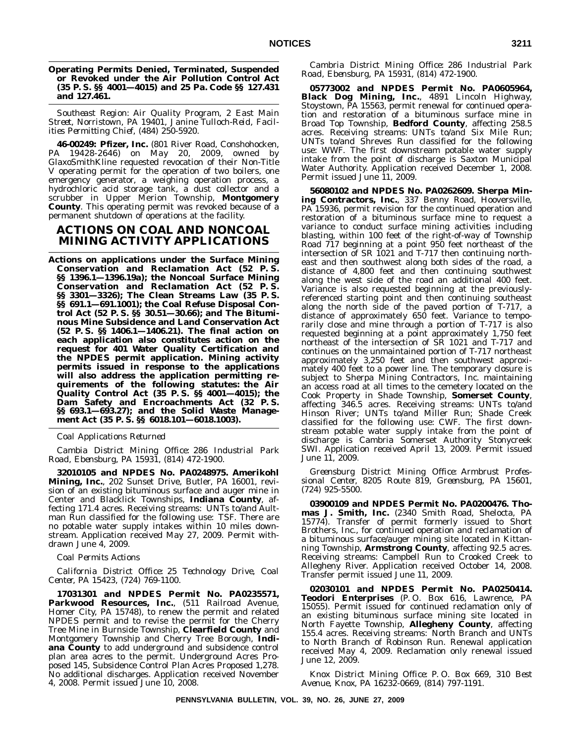#### **Operating Permits Denied, Terminated, Suspended or Revoked under the Air Pollution Control Act (35 P. S. §§ 4001—4015) and 25 Pa. Code §§ 127.431 and 127.461.**

*Southeast Region: Air Quality Program, 2 East Main Street, Norristown, PA 19401, Janine Tulloch-Reid, Facilities Permitting Chief, (484) 250-5920.*

**46-00249: Pfizer, Inc.** (801 River Road, Conshohocken, PA 19428-2646) on May 20, 2009, owned by GlaxoSmithKline requested revocation of their Non-Title V operating permit for the operation of two boilers, one emergency generator, a weighing operation process, a hydrochloric acid storage tank, a dust collector and a scrubber in Upper Merion Township, **Montgomery County**. This operating permit was revoked because of a permanent shutdown of operations at the facility.

# **ACTIONS ON COAL AND NONCOAL MINING ACTIVITY APPLICATIONS**

**Actions on applications under the Surface Mining Conservation and Reclamation Act (52 P. S. §§ 1396.1—1396.19a); the Noncoal Surface Mining Conservation and Reclamation Act (52 P. S. §§ 3301—3326); The Clean Streams Law (35 P. S. §§ 691.1—691.1001); the Coal Refuse Disposal Control Act (52 P. S. §§ 30.51—30.66); and The Bituminous Mine Subsidence and Land Conservation Act (52 P. S. §§ 1406.1—1406.21). The final action on each application also constitutes action on the request for 401 Water Quality Certification and the NPDES permit application. Mining activity permits issued in response to the applications will also address the application permitting requirements of the following statutes: the Air Quality Control Act (35 P. S. §§ 4001—4015); the Dam Safety and Encroachments Act (32 P. S. §§ 693.1—693.27); and the Solid Waste Management Act (35 P. S. §§ 6018.101—6018.1003).**

*Coal Applications Returned*

*Cambia District Mining Office: 286 Industrial Park Road, Ebensburg, PA 15931, (814) 472-1900.*

**32010105 and NPDES No. PA0248975. Amerikohl Mining, Inc.**, 202 Sunset Drive, Butler, PA 16001, revision of an existing bituminous surface and auger mine in Center and Blacklick Townships, **Indiana County**, affecting 171.4 acres. Receiving streams: UNTs to/and Aultman Run classified for the following use: TSF. There are no potable water supply intakes within 10 miles downstream. Application received May 27, 2009. Permit withdrawn June 4, 2009.

# *Coal Permits Actions*

*California District Office: 25 Technology Drive, Coal Center, PA 15423, (724) 769-1100.*

**17031301 and NPDES Permit No. PA0235571,** Parkwood Resources, Inc., (511 Railroad Avenue, Homer City, PA 15748), to renew the permit and related NPDES permit and to revise the permit for the Cherry Tree Mine in Burnside Township, **Clearfield County** and Montgomery Township and Cherry Tree Borough, **Indiana County** to add underground and subsidence control plan area acres to the permit. Underground Acres Proposed 145, Subsidence Control Plan Acres Proposed 1,278. No additional discharges. Application received November 4, 2008. Permit issued June 10, 2008.

*Cambria District Mining Office: 286 Industrial Park Road, Ebensburg, PA 15931, (814) 472-1900.*

**05773002 and NPDES Permit No. PA0605964, Black Dog Mining, Inc.**, 4891 Lincoln Highway, Stoystown, PA 15563, permit renewal for continued operation and restoration of a bituminous surface mine in Broad Top Township, **Bedford County**, affecting 258.5 acres. Receiving streams: UNTs to/and Six Mile Run; UNTs to/and Shreves Run classified for the following use: WWF. The first downstream potable water supply intake from the point of discharge is Saxton Municipal Water Authority. Application received December 1, 2008. Permit issued June 11, 2009.

**56080102 and NPDES No. PA0262609. Sherpa Mining Contractors, Inc.**, 337 Benny Road, Hooversville, PA 15936, permit revision for the continued operation and restoration of a bituminous surface mine to request a variance to conduct surface mining activities including blasting, within 100 feet of the right-of-way of Township Road 717 beginning at a point 950 feet northeast of the intersection of SR 1021 and T-717 then continuing northeast and then southwest along both sides of the road, a distance of 4,800 feet and then continuing southwest along the west side of the road an additional 400 feet. Variance is also requested beginning at the previouslyreferenced starting point and then continuing southeast along the north side of the paved portion of T-717, a distance of approximately 650 feet. Variance to temporarily close and mine through a portion of T-717 is also requested beginning at a point approximately 1,750 feet northeast of the intersection of SR 1021 and T-717 and continues on the unmaintained portion of T-717 northeast approximately 3,250 feet and then southwest approximately 400 feet to a power line. The temporary closure is subject to Sherpa Mining Contractors, Inc. maintaining an access road at all times to the cemetery located on the Cook Property in Shade Township, **Somerset County**, affecting 346.5 acres. Receiving streams: UNTs to/and Hinson River; UNTs to/and Miller Run; Shade Creek classified for the following use: CWF. The first downstream potable water supply intake from the point of discharge is Cambria Somerset Authority Stonycreek SWI. Application received April 13, 2009. Permit issued June 11, 2009.

*Greensburg District Mining Office: Armbrust Professional Center, 8205 Route 819, Greensburg, PA 15601, (724) 925-5500.*

**03900109 and NPDES Permit No. PA0200476. Thomas J. Smith, Inc.** (2340 Smith Road, Shelocta, PA 15774). Transfer of permit formerly issued to Short Brothers, Inc., for continued operation and reclamation of a bituminous surface/auger mining site located in Kittanning Township, **Armstrong County**, affecting 92.5 acres. Receiving streams: Campbell Run to Crooked Creek to Allegheny River. Application received October 14, 2008. Transfer permit issued June 11, 2009.

**02030101 and NPDES Permit No. PA0250414. Teodori Enterprises** (P. O. Box 616, Lawrence, PA 15055). Permit issued for continued reclamation only of an existing bituminous surface mining site located in North Fayette Township, **Allegheny County**, affecting 155.4 acres. Receiving streams: North Branch and UNTs to North Branch of Robinson Run. Renewal application received May 4, 2009. Reclamation only renewal issued June 12, 2009.

*Knox District Mining Office: P. O. Box 669, 310 Best Avenue, Knox, PA 16232-0669, (814) 797-1191.*

**PENNSYLVANIA BULLETIN, VOL. 39, NO. 26, JUNE 27, 2009**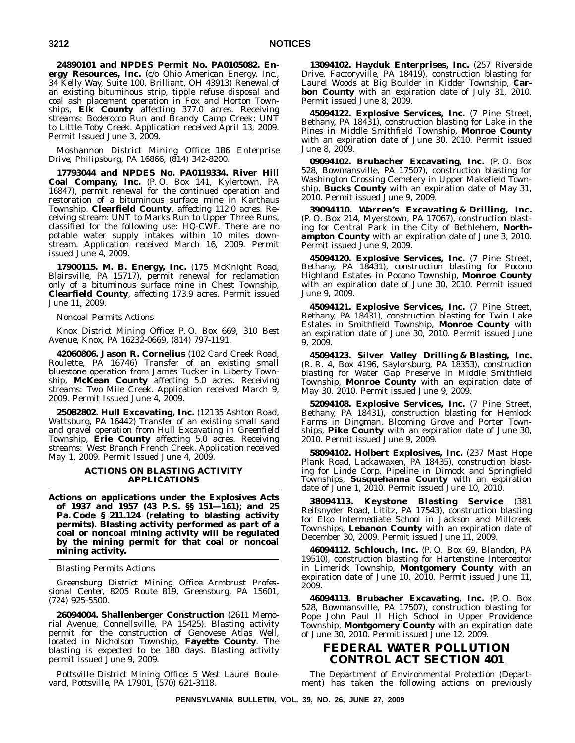**24890101 and NPDES Permit No. PA0105082. Energy Resources, Inc.** (c/o Ohio American Energy, Inc., 34 Kelly Way, Suite 100, Brilliant, OH 43913) Renewal of an existing bituminous strip, tipple refuse disposal and coal ash placement operation in Fox and Horton Townships, **Elk County** affecting 377.0 acres. Receiving streams: Boderocco Run and Brandy Camp Creek; UNT to Little Toby Creek. Application received April 13, 2009. Permit Issued June 3, 2009.

# *Moshannon District Mining Office: 186 Enterprise Drive, Philipsburg, PA 16866, (814) 342-8200.*

**17793044 and NPDES No. PA0119334. River Hill Coal Company, Inc.** (P. O. Box 141, Kylertown, PA 16847), permit renewal for the continued operation and restoration of a bituminous surface mine in Karthaus Township, **Clearfield County**, affecting 112.0 acres. Receiving stream: UNT to Marks Run to Upper Three Runs, classified for the following use: HQ-CWF. There are no potable water supply intakes within 10 miles downstream. Application received March 16, 2009. Permit issued June 4, 2009.

**17900115. M. B. Energy, Inc.** (175 McKnight Road, Blairsville, PA 15717), permit renewal for reclamation only of a bituminous surface mine in Chest Township, **Clearfield County**, affecting 173.9 acres. Permit issued June 11, 2009.

#### *Noncoal Permits Actions*

*Knox District Mining Office: P. O. Box 669, 310 Best Avenue, Knox, PA 16232-0669, (814) 797-1191.*

**42060806. Jason R. Cornelius** (102 Card Creek Road, Roulette, PA 16746) Transfer of an existing small bluestone operation from James Tucker in Liberty Township, **McKean County** affecting 5.0 acres. Receiving streams: Two Mile Creek. Application received March 9, 2009. Permit Issued June 4, 2009.

**25082802. Hull Excavating, Inc.** (12135 Ashton Road, Wattsburg, PA 16442) Transfer of an existing small sand and gravel operation from Hull Excavating in Greenfield Township, **Erie County** affecting 5.0 acres. Receiving streams: West Branch French Creek. Application received May 1, 2009. Permit Issued June 4, 2009.

## **ACTIONS ON BLASTING ACTIVITY APPLICATIONS**

**Actions on applications under the Explosives Acts of 1937 and 1957 (43 P. S. §§ 151—161); and 25 Pa. Code § 211.124 (relating to blasting activity permits). Blasting activity performed as part of a coal or noncoal mining activity will be regulated by the mining permit for that coal or noncoal mining activity.**

*Blasting Permits Actions*

*Greensburg District Mining Office: Armbrust Professional Center, 8205 Route 819, Greensburg, PA 15601, (724) 925-5500.*

**26094004. Shallenberger Construction** (2611 Memorial Avenue, Connellsville, PA 15425). Blasting activity permit for the construction of Genovese Atlas Well, located in Nicholson Township, **Fayette County**. The blasting is expected to be 180 days. Blasting activity permit issued June 9, 2009.

*Pottsville District Mining Office: 5 West Laurel Boulevard, Pottsville, PA 17901, (570) 621-3118.*

**13094102. Hayduk Enterprises, Inc.** (257 Riverside Drive, Factoryville, PA 18419), construction blasting for Laurel Woods at Big Boulder in Kidder Township, **Carbon County** with an expiration date of July 31, 2010. Permit issued June 8, 2009.

**45094122. Explosive Services, Inc.** (7 Pine Street, Bethany, PA 18431), construction blasting for Lake in the Pines in Middle Smithfield Township, **Monroe County** with an expiration date of June 30, 2010. Permit issued June 8, 2009.

**09094102. Brubacher Excavating, Inc.** (P. O. Box 528, Bowmansville, PA 17507), construction blasting for Washington Crossing Cemetery in Upper Makefield Township, **Bucks County** with an expiration date of May 31, 2010. Permit issued June 9, 2009.

**39094110. Warren's Excavating & Drilling, Inc.** (P. O. Box 214, Myerstown, PA 17067), construction blasting for Central Park in the City of Bethlehem, **Northampton County** with an expiration date of June 3, 2010. Permit issued June 9, 2009.

**45094120. Explosive Services, Inc.** (7 Pine Street, Bethany, PA 18431), construction blasting for Pocono Highland Estates in Pocono Township, **Monroe County** with an expiration date of June 30, 2010. Permit issued June 9, 2009.

**45094121. Explosive Services, Inc.** (7 Pine Street, Bethany, PA 18431), construction blasting for Twin Lake Estates in Smithfield Township, **Monroe County** with an expiration date of June 30, 2010. Permit issued June 9, 2009.

**45094123. Silver Valley Drilling & Blasting, Inc.** (R. R. 4, Box 4196, Saylorsburg, PA 18353), construction blasting for Water Gap Preserve in Middle Smithfield Township, **Monroe County** with an expiration date of May 30, 2010. Permit issued June 9, 2009.

**52094108. Explosive Services, Inc.** (7 Pine Street, Bethany, PA 18431), construction blasting for Hemlock Farms in Dingman, Blooming Grove and Porter Townships, **Pike County** with an expiration date of June 30, 2010. Permit issued June 9, 2009.

**58094102. Holbert Explosives, Inc.** (237 Mast Hope Plank Road, Lackawaxen, PA 18435), construction blasting for Linde Corp. Pipeline in Dimock and Springfield Townships, **Susquehanna County** with an expiration date of June 1, 2010. Permit issued June 10, 2010.

**38094113. Keystone Blasting Service** (381 Reifsnyder Road, Lititz, PA 17543), construction blasting for Elco Intermediate School in Jackson and Millcreek Townships, **Lebanon County** with an expiration date of December 30, 2009. Permit issued June 11, 2009.

**46094112. Schlouch, Inc.** (P. O. Box 69, Blandon, PA 19510), construction blasting for Hartenstine Interceptor in Limerick Township, **Montgomery County** with an expiration date of June 10, 2010. Permit issued June 11, 2009.

**46094113. Brubacher Excavating, Inc.** (P. O. Box 528, Bowmansville, PA 17507), construction blasting for Pope John Paul II High School in Upper Providence Township, **Montgomery County** with an expiration date of June 30, 2010. Permit issued June 12, 2009.

# **FEDERAL WATER POLLUTION CONTROL ACT SECTION 401**

The Department of Environmental Protection (Department) has taken the following actions on previously

**PENNSYLVANIA BULLETIN, VOL. 39, NO. 26, JUNE 27, 2009**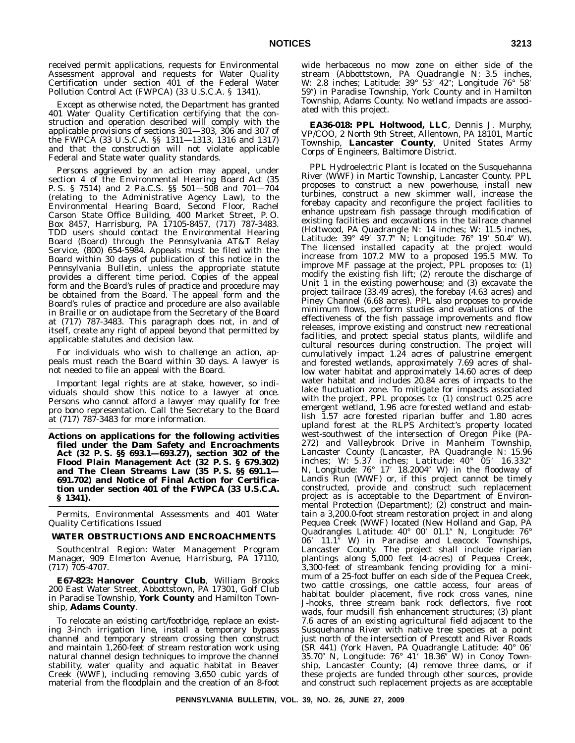received permit applications, requests for Environmental Assessment approval and requests for Water Quality Certification under section 401 of the Federal Water Pollution Control Act (FWPCA) (33 U.S.C.A. § 1341).

Except as otherwise noted, the Department has granted 401 Water Quality Certification certifying that the construction and operation described will comply with the applicable provisions of sections 301—303, 306 and 307 of the FWPCA (33 U.S.C.A. §§ 1311—1313, 1316 and 1317) and that the construction will not violate applicable Federal and State water quality standards.

Persons aggrieved by an action may appeal, under section 4 of the Environmental Hearing Board Act (35 P. S. § 7514) and 2 Pa.C.S. §§ 501—508 and 701—704 (relating to the Administrative Agency Law), to the Environmental Hearing Board, Second Floor, Rachel Carson State Office Building, 400 Market Street, P. O. Box 8457, Harrisburg, PA 17105-8457, (717) 787-3483. TDD users should contact the Environmental Hearing Board (Board) through the Pennsylvania AT&T Relay Service, (800) 654-5984. Appeals must be filed with the Board within 30 days of publication of this notice in the *Pennsylvania Bulletin*, unless the appropriate statute provides a different time period. Copies of the appeal form and the Board's rules of practice and procedure may be obtained from the Board. The appeal form and the Board's rules of practice and procedure are also available in Braille or on audiotape from the Secretary of the Board at (717) 787-3483. This paragraph does not, in and of itself, create any right of appeal beyond that permitted by applicable statutes and decision law.

For individuals who wish to challenge an action, appeals must reach the Board within 30 days. A lawyer is not needed to file an appeal with the Board.

Important legal rights are at stake, however, so individuals should show this notice to a lawyer at once. Persons who cannot afford a lawyer may qualify for free pro bono representation. Call the Secretary to the Board at (717) 787-3483 for more information.

**Actions on applications for the following activities filed under the Dam Safety and Encroachments Act (32 P. S. §§ 693.1—693.27), section 302 of the Flood Plain Management Act (32 P. S. § 679.302) and The Clean Streams Law (35 P. S. §§ 691.1— 691.702) and Notice of Final Action for Certification under section 401 of the FWPCA (33 U.S.C.A. § 1341).**

*Permits, Environmental Assessments and 401 Water Quality Certifications Issued*

# **WATER OBSTRUCTIONS AND ENCROACHMENTS**

*Southcentral Region: Water Management Program Manager, 909 Elmerton Avenue, Harrisburg, PA 17110, (717) 705-4707.*

**E67-823: Hanover Country Club**, William Brooks 200 East Water Street, Abbottstown, PA 17301, Golf Club in Paradise Township, **York County** and Hamilton Township, **Adams County**.

To relocate an existing cart/footbridge, replace an existing 3-inch irrigation line, install a temporary bypass channel and temporary stream crossing then construct and maintain 1,260-feet of stream restoration work using natural channel design techniques to improve the channel stability, water quality and aquatic habitat in Beaver Creek (WWF), including removing 3,650 cubic yards of material from the floodplain and the creation of an 8-foot

wide herbaceous no mow zone on either side of the stream (Abbottstown, PA Quadrangle N: 3.5 inches, W: 2.8 inches; Latitude: 39° 53′ 42″; Longitude 76° 58′ 59") in Paradise Township, York County and in Hamilton Township, Adams County. No wetland impacts are associated with this project.

**EA36-018: PPL Holtwood, LLC**, Dennis J. Murphy, VP/COO, 2 North 9th Street, Allentown, PA 18101, Martic Township, **Lancaster County**, United States Army Corps of Engineers, Baltimore District.

PPL Hydroelectric Plant is located on the Susquehanna River (WWF) in Martic Township, Lancaster County. PPL proposes to construct a new powerhouse, install new turbines, construct a new skimmer wall, increase the forebay capacity and reconfigure the project facilities to enhance upstream fish passage through modification of existing facilities and excavations in the tailrace channel (Holtwood, PA Quadrangle N: 14 inches; W: 11.5 inches, Latitude: 39° 49′ 37.7″ N; Longitude: 76° 19′ 50.4″ W). The licensed installed capacity at the project would increase from 107.2 MW to a proposed 195.5 MW. To improve MF passage at the project, PPL proposes to: (1) modify the existing fish lift; (2) reroute the discharge of Unit 1 in the existing powerhouse; and (3) excavate the project tailrace (33.49 acres), the forebay (4.63 acres) and Piney Channel (6.68 acres). PPL also proposes to provide minimum flows, perform studies and evaluations of the effectiveness of the fish passage improvements and flow releases, improve existing and construct new recreational facilities, and protect special status plants, wildlife and cultural resources during construction. The project will cumulatively impact 1.24 acres of palustrine emergent and forested wetlands, approximately 7.69 acres of shallow water habitat and approximately 14.60 acres of deep water habitat and includes 20.84 acres of impacts to the lake fluctuation zone. To mitigate for impacts associated with the project, PPL proposes to: (1) construct 0.25 acre emergent wetland, 1.96 acre forested wetland and establish 1.57 acre forested riparian buffer and 1.80 acres upland forest at the RLPS Architect's property located west-southwest of the intersection of Oregon Pike (PA-272) and Valleybrook Drive in Manheim Township, Lancaster County (Lancaster, PA Quadrangle N: 15.96 inches; W: 5.37 inches; Latitude: 40° 05′ 16.332″<br>N, Longitude: 76° 17′ 18.2004″ W) in the floodway of Landis Run (WWF) or, if this project cannot be timely constructed, provide and construct such replacement project as is acceptable to the Department of Environmental Protection (Department); (2) construct and maintain a 3,200.0-foot stream restoration project in and along Pequea Creek (WWF) located (New Holland and Gap, PA Quadrangles Latitude: 40° 00' 01.1" N, Longitude: 76° 06' 11.1" W) in Paradise and Leacock Townships, Lancaster County. The project shall include riparian plantings along 5,000 feet (4-acres) of Pequea Creek, 3,300-feet of streambank fencing providing for a minimum of a 25-foot buffer on each side of the Pequea Creek, two cattle crossings, one cattle access, four areas of habitat boulder placement, five rock cross vanes, nine J-hooks, three stream bank rock deflectors, five root wads, four mudsill fish enhancement structures; (3) plant 7.6 acres of an existing agricultural field adjacent to the Susquehanna River with native tree species at a point just north of the intersection of Prescott and River Roads (SR 441) (York Haven, PA Quadrangle Latitude: 40° 06 35.70" N, Longitude: 76° 41′ 18.36" W) in Conoy Township, Lancaster County; (4) remove three dams, or if these projects are funded through other sources, provide and construct such replacement projects as are acceptable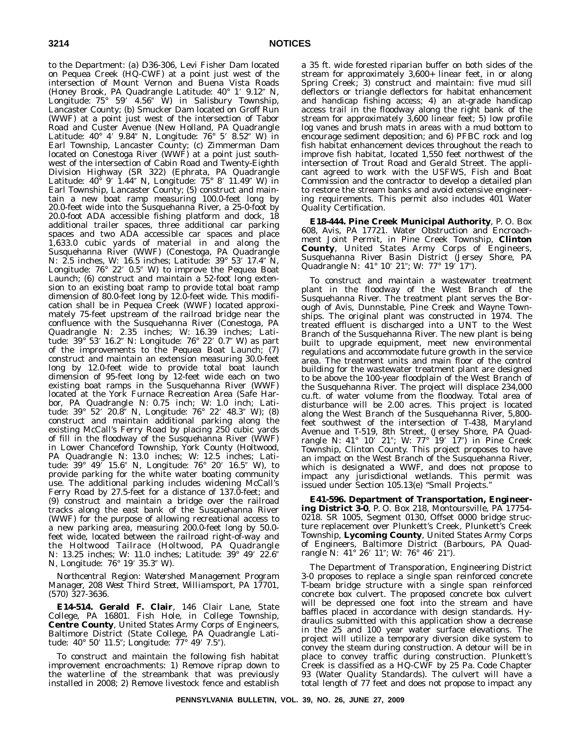to the Department: (a) D36-306, Levi Fisher Dam located on Pequea Creek (HQ-CWF) at a point just west of the intersection of Mount Vernon and Buena Vista Roads (Honey Brook, PA Quadrangle Latitude: 40° 1' 9.12" N, Longitude: 75° 59′ 4.56″ W) in Salisbury Township, Lancaster County; (b) Smucker Dam located on Groff Run (WWF) at a point just west of the intersection of Tabor Road and Custer Avenue (New Holland, PA Quadrangle Latitude: 40° 4′ 9.84″ N, Longitude: 76° 5′ 8.52″ W) in Earl Township, Lancaster County; (c) Zimmerman Dam located on Conestoga River (WWF) at a point just southwest of the intersection of Cabin Road and Twenty-Eighth Division Highway (SR 322) (Ephrata, PA Quadrangle Latitude: 40° 9′ 1.44″ N, Longitude: 75° 8′ 11.49″ W) in Earl Township, Lancaster County; (5) construct and maintain a new boat ramp measuring 100.0-feet long by 20.0-feet wide into the Susquehanna River, a 25-0-foot by 20.0-foot ADA accessible fishing platform and dock, 18 additional trailer spaces, three additional car parking spaces and two ADA accessible car spaces and place 1,633.0 cubic yards of material in and along the Susquehanna River (WWF) (Conestoga, PA Quadrangle N: 2.5 inches, W: 16.5 inches; Latitude: 39° 53′ 17.4″ N, Longitude: 76° 22′ 0.5″ W) to improve the Pequea Boat Launch; (6) construct and maintain a 52-foot long extension to an existing boat ramp to provide total boat ramp dimension of 80.0-feet long by 12.0-feet wide. This modification shall be in Pequea Creek (WWF) located approximately 75-feet upstream of the railroad bridge near the confluence with the Susquehanna River (Conestoga, PA Quadrangle N: 2.35 inches; W: 16.39 inches; Latitude: 39° 53′ 16.2″ N: Longitude: 76° 22′ 0.7″ W) as part of the improvements to the Pequea Boat Launch; (7) construct and maintain an extension measuring 30.0-feet long by 12.0-feet wide to provide total boat launch dimension of 95-feet long by 12-feet wide each on two existing boat ramps in the Susquehanna River (WWF) located at the York Furnace Recreation Area (Safe Harbor, PA Quadrangle N: 0.75 inch; W: 1.0 inch; Latitude: 39° 52′ 20.8″ N, Longitude: 76° 22′ 48.3″ W); (8) construct and maintain additional parking along the existing McCall's Ferry Road by placing 250 cubic yards of fill in the floodway of the Susquehanna River (WWF) in Lower Chanceford Township, York County (Holtwood, PA Quadrangle N: 13.0 inches; W: 12.5 inches; Latitude: 39° 49′ 15.6″ N, Longitude: 76° 20′ 16.5″ W), to provide parking for the white water boating community use. The additional parking includes widening McCall's Ferry Road by 27.5-feet for a distance of 137.0-feet; and (9) construct and maintain a bridge over the railroad tracks along the east bank of the Susquehanna River (WWF) for the purpose of allowing recreational access to a new parking area, measuring 200.0-feet long by 50.0 feet wide, located between the railroad right-of-way and the Holtwood Tailrace (Holtwood, PA Quadrangle N: 13.25 inches; W: 11.0 inches; Latitude: 39° 49′ 22.6″ N, Longitude: 76° 19′ 35.3″ W).

*Northcentral Region: Watershed Management Program Manager, 208 West Third Street, Williamsport, PA 17701, (570) 327-3636.*

**E14-514. Gerald F. Clair**, 146 Clair Lane, State College, PA 16801. Fish Hole, in College Township, **Centre County**, United States Army Corps of Engineers, Baltimore District (State College, PA Quadrangle Latitude: 40° 50′ 11.5"; Longitude: 77° 49′ 7.5").

To construct and maintain the following fish habitat improvement encroachments: 1) Remove riprap down to the waterline of the streambank that was previously installed in 2008; 2) Remove livestock fence and establish

a 35 ft. wide forested riparian buffer on both sides of the stream for approximately 3,600+ linear feet, in or along Spring Creek; 3) construct and maintain: five mud sill deflectors or triangle deflectors for habitat enhancement and handicap fishing access; 4) an at-grade handicap access trail in the floodway along the right bank of the stream for approximately 3,600 linear feet; 5) low profile log vanes and brush mats in areas with a mud bottom to encourage sediment deposition; and 6) PFBC rock and log fish habitat enhancement devices throughout the reach to improve fish habitat, located 1,550 feet northwest of the intersection of Trout Road and Gerald Street. The applicant agreed to work with the USFWS, Fish and Boat Commission and the contractor to develop a detailed plan to restore the stream banks and avoid extensive engineering requirements. This permit also includes 401 Water Quality Certification.

**E18-444. Pine Creek Municipal Authority**, P. O. Box 608, Avis, PA 17721. Water Obstruction and Encroachment Joint Permit, in Pine Creek Township, **Clinton County**, United States Army Corps of Engineers, Susquehanna River Basin District (Jersey Shore, PA Quadrangle N: 41° 10' 21"; W: 77° 19' 17").

To construct and maintain a wastewater treatment plant in the floodway of the West Branch of the Susquehanna River. The treatment plant serves the Borough of Avis, Dunnstable, Pine Creek and Wayne Townships. The original plant was constructed in 1974. The treated effluent is discharged into a UNT to the West Branch of the Susquehanna River. The new plant is being built to upgrade equipment, meet new environmental regulations and accommodate future growth in the service area. The treatment units and main floor of the control building for the wastewater treatment plant are designed to be above the 100-year floodplain of the West Branch of the Susquehanna River. The project will displace 234,000 cu.ft. of water volume from the floodway. Total area of disturbance will be 2.00 acres. This project is located along the West Branch of the Susquehanna River, 5,800 feet southwest of the intersection of T-438, Maryland Avenue and T-519, 8th Street, (Jersey Shore, PA Quadrangle N: 41° 10′ 21"; W: 77° 19′ 17") in Pine Creek Township, Clinton County. This project proposes to have an impact on the West Branch of the Susquehanna River, which is designated a WWF, and does not propose to impact any jurisdictional wetlands. This permit was issued under Section 105.13(e) ''Small Projects.''

**E41-596. Department of Transportation, Engineering District 3-0**, P. O. Box 218, Montoursville, PA 17754- 0218. SR 1005, Segment 0130, Offset 0000 bridge structure replacement over Plunkett's Creek, Plunkett's Creek Township, **Lycoming County**, United States Army Corps of Engineers, Baltimore District (Barbours, PA Quadrangle N: 41° 26′ 11″; W: 76° 46′ 21″).

The Department of Transporation, Engineering District 3-0 proposes to replace a single span reinforced concrete T-beam bridge structure with a single span reinforced concrete box culvert. The proposed concrete box culvert will be depressed one foot into the stream and have baffles placed in accordance with design standards. Hydraulics submitted with this application show a decrease in the 25 and 100 year water surface elevations. The project will utilize a temporary diversion dike system to convey the steam during construction. A detour will be in place to convey traffic during construction. Plunkett's Creek is classified as a HQ-CWF by 25 Pa. Code Chapter 93 (Water Quality Standards). The culvert will have a total length of 77 feet and does not propose to impact any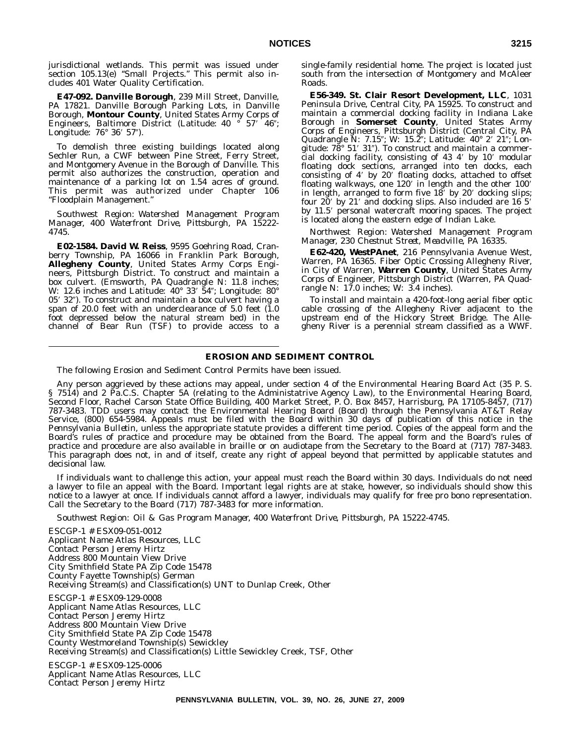jurisdictional wetlands. This permit was issued under section 105.13(e) ''Small Projects.'' This permit also includes 401 Water Quality Certification.

**E47-092. Danville Borough**, 239 Mill Street, Danville, PA 17821. Danville Borough Parking Lots, in Danville Borough, **Montour County**, United States Army Corps of Engineers, Baltimore District (Latitude: 40 ° 57' 46"; Longitude: 76° 36′ 57″).

To demolish three existing buildings located along Sechler Run, a CWF between Pine Street, Ferry Street, and Montgomery Avenue in the Borough of Danville. This permit also authorizes the construction, operation and maintenance of a parking lot on 1.54 acres of ground. This permit was authorized under Chapter 106 ''Floodplain Management.''

*Southwest Region: Watershed Management Program Manager, 400 Waterfront Drive, Pittsburgh, PA 15222- 4745.*

**E02-1584. David W. Reiss**, 9595 Goehring Road, Cranberry Township, PA 16066 in Franklin Park Borough, **Allegheny County**, United States Army Corps Engineers, Pittsburgh District. To construct and maintain a box culvert. (Emsworth, PA Quadrangle N: 11.8 inches; W: 12.6 inches and Latitude: 40° 33′ 54″; Longitude: 80° 05' 32"). To construct and maintain a box culvert having a span of 20.0 feet with an underclearance of 5.0 feet (1.0 foot depressed below the natural stream bed) in the channel of Bear Run (TSF) to provide access to a single-family residential home. The project is located just south from the intersection of Montgomery and McAleer Roads.

**E56-349. St. Clair Resort Development, LLC**, 1031 Peninsula Drive, Central City, PA 15925. To construct and maintain a commercial docking facility in Indiana Lake Borough in **Somerset County**, United States Army Corps of Engineers, Pittsburgh District (Central City, PA Quadrangle N: 7.15"; W: 15.2"; Latitude: 40° 2′ 21"; Longitude: 78° 51' 31"). To construct and maintain a commercial docking facility, consisting of 43 4' by 10' modular floating dock sections, arranged into ten docks, each consisting of 4' by 20' floating docks, attached to offset floating walkways, one 120' in length and the other 100' in length, arranged to form five 18' by 20' docking slips; four 20' by 21' and docking slips. Also included are 16 5' by 11.5' personal watercraft mooring spaces. The project is located along the eastern edge of Indian Lake.

*Northwest Region: Watershed Management Program Manager, 230 Chestnut Street, Meadville, PA 16335.*

**E62-420, WestPAnet**, 216 Pennsylvania Avenue West, Warren, PA 16365. Fiber Optic Crossing Allegheny River, in City of Warren, **Warren County**, United States Army Corps of Engineer, Pittsburgh District (Warren, PA Quadrangle N: 17.0 inches; W: 3.4 inches).

To install and maintain a 420-foot-long aerial fiber optic cable crossing of the Allegheny River adjacent to the upstream end of the Hickory Street Bridge. The Allegheny River is a perennial stream classified as a WWF.

# **EROSION AND SEDIMENT CONTROL**

The following Erosion and Sediment Control Permits have been issued.

Any person aggrieved by these actions may appeal, under section 4 of the Environmental Hearing Board Act (35 P. S. § 7514) and 2 Pa.C.S. Chapter 5A (relating to the Administatrive Agency Law), to the Environmental Hearing Board, Second Floor, Rachel Carson State Office Building, 400 Market Street, P. O. Box 8457, Harrisburg, PA 17105-8457, (717) 787-3483. TDD users may contact the Environmental Hearing Board (Board) through the Pennsylvania AT&T Relay Service, (800) 654-5984. Appeals must be filed with the Board within 30 days of publication of this notice in the *Pennsylvania Bulletin*, unless the appropriate statute provides a different time period. Copies of the appeal form and the Board's rules of practice and procedure may be obtained from the Board. The appeal form and the Board's rules of practice and procedure are also available in braille or on audiotape from the Secretary to the Board at (717) 787-3483. This paragraph does not, in and of itself, create any right of appeal beyond that permitted by applicable statutes and decisional law.

If individuals want to challenge this action, your appeal must reach the Board within 30 days. Individuals do not need a lawyer to file an appeal with the Board. Important legal rights are at stake, however, so individuals should show this notice to a lawyer at once. If individuals cannot afford a lawyer, individuals may qualify for free pro bono representation. Call the Secretary to the Board (717) 787-3483 for more information.

*Southwest Region: Oil & Gas Program Manager, 400 Waterfront Drive, Pittsburgh, PA 15222-4745.*

ESCGP-1 # ESX09-051-0012 Applicant Name Atlas Resources, LLC Contact Person Jeremy Hirtz Address 800 Mountain View Drive City Smithfield State PA Zip Code 15478 County Fayette Township(s) German Receiving Stream(s) and Classification(s) UNT to Dunlap Creek, Other ESCGP-1 # ESX09-129-0008 Applicant Name Atlas Resources, LLC Contact Person Jeremy Hirtz Address 800 Mountain View Drive City Smithfield State PA Zip Code 15478 County Westmoreland Township(s) Sewickley

Receiving Stream(s) and Classification(s) Little Sewickley Creek, TSF, Other

ESCGP-1 # ESX09-125-0006 Applicant Name Atlas Resources, LLC Contact Person Jeremy Hirtz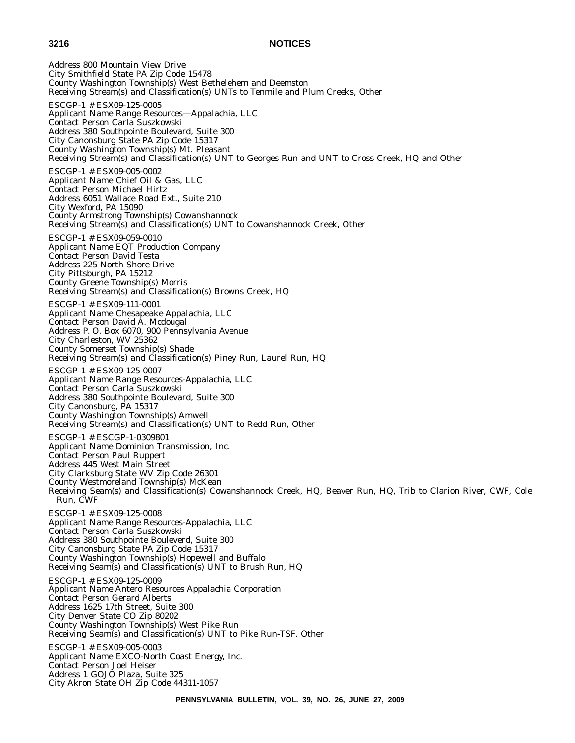Address 800 Mountain View Drive City Smithfield State PA Zip Code 15478 County Washington Township(s) West Bethelehem and Deemston Receiving Stream(s) and Classification(s) UNTs to Tenmile and Plum Creeks, Other ESCGP-1 # ESX09-125-0005 Applicant Name Range Resources—Appalachia, LLC Contact Person Carla Suszkowski Address 380 Southpointe Boulevard, Suite 300 City Canonsburg State PA Zip Code 15317 County Washington Township(s) Mt. Pleasant Receiving Stream(s) and Classification(s) UNT to Georges Run and UNT to Cross Creek, HQ and Other ESCGP-1 # ESX09-005-0002 Applicant Name Chief Oil & Gas, LLC Contact Person Michael Hirtz Address 6051 Wallace Road Ext., Suite 210 City Wexford, PA 15090 County Armstrong Township(s) Cowanshannock Receiving Stream(s) and Classification(s) UNT to Cowanshannock Creek, Other ESCGP-1 # ESX09-059-0010 Applicant Name EQT Production Company Contact Person David Testa Address 225 North Shore Drive City Pittsburgh, PA 15212 County Greene Township(s) Morris Receiving Stream(s) and Classification(s) Browns Creek, HQ ESCGP-1 # ESX09-111-0001 Applicant Name Chesapeake Appalachia, LLC Contact Person David A. Mcdougal Address P. O. Box 6070, 900 Pennsylvania Avenue City Charleston, WV 25362 County Somerset Township(s) Shade Receiving Stream(s) and Classification(s) Piney Run, Laurel Run, HQ ESCGP-1 # ESX09-125-0007 Applicant Name Range Resources-Appalachia, LLC Contact Person Carla Suszkowski Address 380 Southpointe Boulevard, Suite 300 City Canonsburg, PA 15317 County Washington Township(s) Amwell Receiving Stream(s) and Classification(s) UNT to Redd Run, Other ESCGP-1 # ESCGP-1-0309801 Applicant Name Dominion Transmission, Inc. Contact Person Paul Ruppert Address 445 West Main Street City Clarksburg State WV Zip Code 26301 County Westmoreland Township(s) McKean Receiving Seam(s) and Classification(s) Cowanshannock Creek, HQ, Beaver Run, HQ, Trib to Clarion River, CWF, Cole Run, CWF ESCGP-1 # ESX09-125-0008 Applicant Name Range Resources-Appalachia, LLC Contact Person Carla Suszkowski Address 380 Southpointe Bouleverd, Suite 300 City Canonsburg State PA Zip Code 15317 County Washington Township(s) Hopewell and Buffalo Receiving Seam(s) and Classification(s) UNT to Brush Run, HQ ESCGP-1 # ESX09-125-0009 Applicant Name Antero Resources Appalachia Corporation Contact Person Gerard Alberts Address 1625 17th Street, Suite 300 City Denver State CO Zip 80202 County Washington Township(s) West Pike Run Receiving Seam(s) and Classification(s) UNT to Pike Run-TSF, Other ESCGP-1 # ESX09-005-0003 Applicant Name EXCO-North Coast Energy, Inc. Contact Person Joel Heiser Address 1 GOJO Plaza, Suite 325 City Akron State OH Zip Code 44311-1057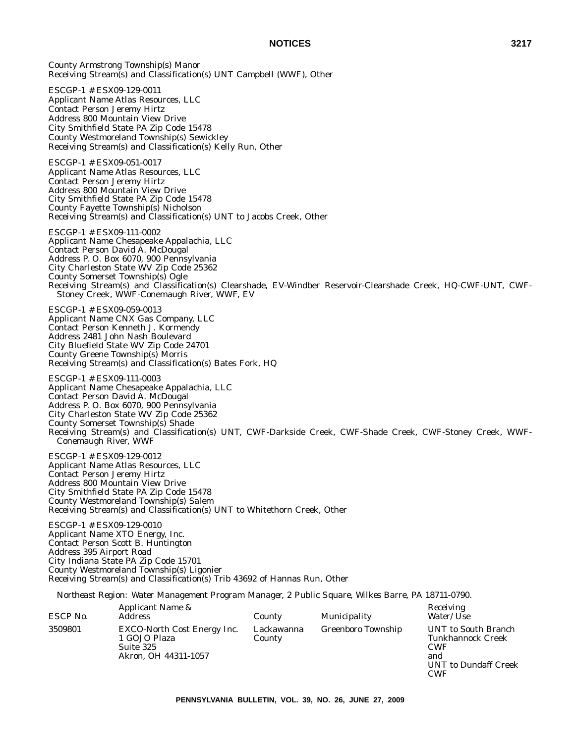County Armstrong Township(s) Manor Receiving Stream(s) and Classification(s) UNT Campbell (WWF), Other

ESCGP-1 # ESX09-129-0011 Applicant Name Atlas Resources, LLC Contact Person Jeremy Hirtz Address 800 Mountain View Drive City Smithfield State PA Zip Code 15478 County Westmoreland Township(s) Sewickley Receiving Stream(s) and Classification(s) Kelly Run, Other

ESCGP-1 # ESX09-051-0017 Applicant Name Atlas Resources, LLC Contact Person Jeremy Hirtz Address 800 Mountain View Drive City Smithfield State PA Zip Code 15478 County Fayette Township(s) Nicholson Receiving Stream(s) and Classification(s) UNT to Jacobs Creek, Other

ESCGP-1 # ESX09-111-0002 Applicant Name Chesapeake Appalachia, LLC Contact Person David A. McDougal Address P. O. Box 6070, 900 Pennsylvania City Charleston State WV Zip Code 25362 County Somerset Township(s) Ogle Receiving Stream(s) and Classification(s) Clearshade, EV-Windber Reservoir-Clearshade Creek, HQ-CWF-UNT, CWF-Stoney Creek, WWF-Conemaugh River, WWF, EV

ESCGP-1 # ESX09-059-0013 Applicant Name CNX Gas Company, LLC Contact Person Kenneth J. Kormendy Address 2481 John Nash Boulevard City Bluefield State WV Zip Code 24701 County Greene Township(s) Morris Receiving Stream(s) and Classification(s) Bates Fork, HQ

ESCGP-1 # ESX09-111-0003 Applicant Name Chesapeake Appalachia, LLC Contact Person David A. McDougal Address P. O. Box 6070, 900 Pennsylvania City Charleston State WV Zip Code 25362 County Somerset Township(s) Shade Receiving Stream(s) and Classification(s) UNT, CWF-Darkside Creek, CWF-Shade Creek, CWF-Stoney Creek, WWF-Conemaugh River, WWF

ESCGP-1 # ESX09-129-0012 Applicant Name Atlas Resources, LLC Contact Person Jeremy Hirtz Address 800 Mountain View Drive City Smithfield State PA Zip Code 15478 County Westmoreland Township(s) Salem Receiving Stream(s) and Classification(s) UNT to Whitethorn Creek, Other

ESCGP-1 # ESX09-129-0010 Applicant Name XTO Energy, Inc. Contact Person Scott B. Huntington Address 395 Airport Road City Indiana State PA Zip Code 15701 County Westmoreland Township(s) Ligonier Receiving Stream(s) and Classification(s) Trib 43692 of Hannas Run, Other

*Northeast Region: Water Management Program Manager, 2 Public Square, Wilkes Barre, PA 18711-0790.*

| ESCP No. | Applicant Name &<br><i>Address</i>                                                      | County               | Municipality       | Receiving<br><i>Water/Use</i>                                                                              |
|----------|-----------------------------------------------------------------------------------------|----------------------|--------------------|------------------------------------------------------------------------------------------------------------|
| 3509801  | <b>EXCO-North Cost Energy Inc.</b><br>1 GOJO Plaza<br>Suite 325<br>Akron, OH 44311-1057 | Lackawanna<br>County | Greenboro Township | UNT to South Branch<br><b>Tunkhannock Creek</b><br><b>CWF</b><br>and<br><b>UNT</b> to Dundaff Creek<br>CWF |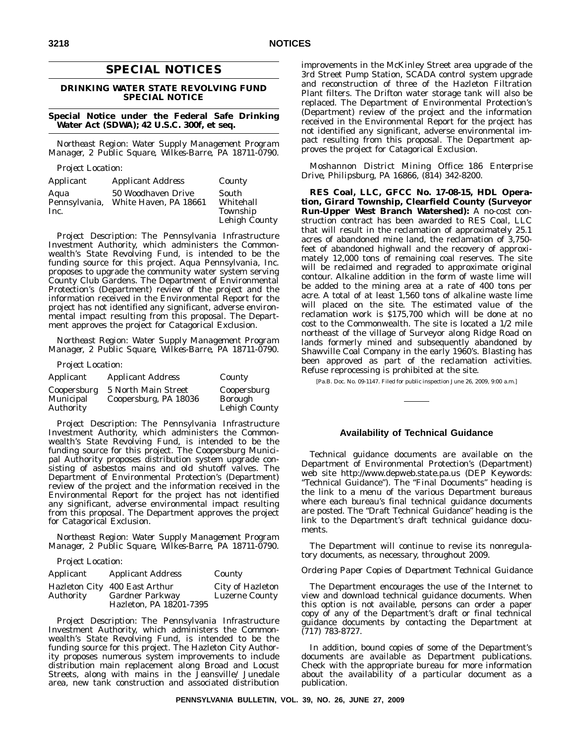# **SPECIAL NOTICES**

# **DRINKING WATER STATE REVOLVING FUND SPECIAL NOTICE**

#### **Special Notice under the Federal Safe Drinking Water Act (SDWA); 42 U.S.C. 300f, et seq.**

*Northeast Region: Water Supply Management Program Manager, 2 Public Square, Wilkes-Barre, PA 18711-0790.*

*Project Location:*

| Applicant     | <i>Applicant Address</i> | County        |
|---------------|--------------------------|---------------|
| Aqua          | 50 Woodhaven Drive       | South         |
| Pennsylvania, | White Haven, PA 18661    | Whitehall     |
| Inc.          |                          | Township      |
|               |                          | Lehigh County |

*Project Description:* The Pennsylvania Infrastructure Investment Authority, which administers the Commonwealth's State Revolving Fund, is intended to be the funding source for this project. Aqua Pennsylvania, Inc. proposes to upgrade the community water system serving County Club Gardens. The Department of Environmental Protection's (Department) review of the project and the information received in the Environmental Report for the project has not identified any significant, adverse environmental impact resulting from this proposal. The Department approves the project for Catagorical Exclusion.

*Northeast Region: Water Supply Management Program Manager, 2 Public Square, Wilkes-Barre, PA 18711-0790.*

*Project Location:*

| Applicant                             | <b>Applicant Address</b>                     | County                                         |
|---------------------------------------|----------------------------------------------|------------------------------------------------|
| Coopersburg<br>Municipal<br>Authority | 5 North Main Street<br>Coopersburg, PA 18036 | Coopersburg<br><b>Borough</b><br>Lehigh County |

*Project Description:* The Pennsylvania Infrastructure Investment Authority, which administers the Commonwealth's State Revolving Fund, is intended to be the funding source for this project. The Coopersburg Municipal Authority proposes distribution system upgrade consisting of asbestos mains and old shutoff valves. The Department of Environmental Protection's (Department) review of the project and the information received in the Environmental Report for the project has not identified any significant, adverse environmental impact resulting from this proposal. The Department approves the project for Catagorical Exclusion.

*Northeast Region: Water Supply Management Program Manager, 2 Public Square, Wilkes-Barre, PA 18711-0790.*

*Project Location:*

| Applicant | <i>Applicant Address</i>                                | County                                    |
|-----------|---------------------------------------------------------|-------------------------------------------|
| Authority | Hazleton City 400 East Arthur<br><b>Gardner Parkway</b> | City of Hazleton<br><b>Luzerne County</b> |
|           | Hazleton, PA 18201-7395                                 |                                           |

*Project Description:* The Pennsylvania Infrastructure Investment Authority, which administers the Commonwealth's State Revolving Fund, is intended to be the funding source for this project. The Hazleton City Authority proposes numerous system improvements to include distribution main replacement along Broad and Locust Streets, along with mains in the Jeansville/ Junedale area, new tank construction and associated distribution improvements in the McKinley Street area upgrade of the 3rd Street Pump Station, SCADA control system upgrade and reconstruction of three of the Hazleton Filtration Plant filters. The Drifton water storage tank will also be replaced. The Department of Environmental Protection's (Department) review of the project and the information received in the Environmental Report for the project has not identified any significant, adverse environmental impact resulting from this proposal. The Department approves the project for Catagorical Exclusion.

*Moshannon District Mining Office: 186 Enterprise Drive, Philipsburg, PA 16866, (814) 342-8200.*

**RES Coal, LLC, GFCC No. 17-08-15, HDL Operation, Girard Township, Clearfield County (Surveyor Run-Upper West Branch Watershed):** A no-cost construction contract has been awarded to RES Coal, LLC that will result in the reclamation of approximately 25.1 acres of abandoned mine land, the reclamation of 3,750 feet of abandoned highwall and the recovery of approximately 12,000 tons of remaining coal reserves. The site will be reclaimed and regraded to approximate original contour. Alkaline addition in the form of waste lime will be added to the mining area at a rate of 400 tons per acre. A total of at least 1,560 tons of alkaline waste lime will placed on the site. The estimated value of the reclamation work is \$175,700 which will be done at no cost to the Commonwealth. The site is located a 1/2 mile northeast of the village of Surveyor along Ridge Road on lands formerly mined and subsequently abandoned by Shawville Coal Company in the early 1960's. Blasting has been approved as part of the reclamation activities. Refuse reprocessing is prohibited at the site.

[Pa.B. Doc. No. 09-1147. Filed for public inspection June 26, 2009, 9:00 a.m.]

# **Availability of Technical Guidance**

Technical guidance documents are available on the Department of Environmental Protection's (Department) web site http://www.depweb.state.pa.us (DEP Keywords: ''Technical Guidance''). The ''Final Documents'' heading is the link to a menu of the various Department bureaus where each bureau's final technical guidance documents are posted. The ''Draft Technical Guidance'' heading is the link to the Department's draft technical guidance documents.

The Department will continue to revise its nonregulatory documents, as necessary, throughout 2009.

#### *Ordering Paper Copies of Department Technical Guidance*

The Department encourages the use of the Internet to view and download technical guidance documents. When this option is not available, persons can order a paper copy of any of the Department's draft or final technical guidance documents by contacting the Department at (717) 783-8727.

In addition, bound copies of some of the Department's documents are available as Department publications. Check with the appropriate bureau for more information about the availability of a particular document as a publication.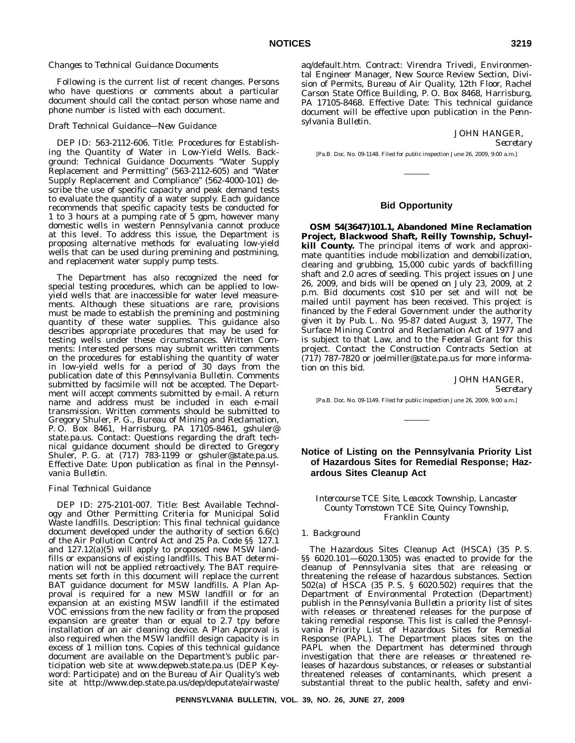#### *Changes to Technical Guidance Documents*

Following is the current list of recent changes. Persons who have questions or comments about a particular document should call the contact person whose name and phone number is listed with each document.

#### *Draft Technical Guidance—New Guidance*

DEP ID: 563-2112-606. Title: Procedures for Establishing the Quantity of Water in Low-Yield Wells. Background: Technical Guidance Documents ''Water Supply Replacement and Permitting'' (563-2112-605) and ''Water Supply Replacement and Compliance'' (562-4000-101) describe the use of specific capacity and peak demand tests to evaluate the quantity of a water supply. Each guidance recommends that specific capacity tests be conducted for 1 to 3 hours at a pumping rate of 5 gpm, however many domestic wells in western Pennsylvania cannot produce at this level. To address this issue, the Department is proposing alternative methods for evaluating low-yield wells that can be used during premining and postmining, and replacement water supply pump tests.

The Department has also recognized the need for special testing procedures, which can be applied to lowyield wells that are inaccessible for water level measurements. Although these situations are rare, provisions must be made to establish the premining and postmining quantity of these water supplies. This guidance also describes appropriate procedures that may be used for testing wells under these circumstances. Written Comments: Interested persons may submit written comments on the procedures for establishing the quantity of water in low-yield wells for a period of 30 days from the publication date of this *Pennsylvania Bulletin*. Comments submitted by facsimile will not be accepted. The Department will accept comments submitted by e-mail. A return name and address must be included in each e-mail transmission. Written comments should be submitted to Gregory Shuler, P. G., Bureau of Mining and Reclamation, P. O. Box 8461, Harrisburg, PA 17105-8461, gshuler@ state.pa.us. Contact: Questions regarding the draft technical guidance document should be directed to Gregory Shuler, P. G. at (717) 783-1199 or gshuler@state.pa.us. Effective Date: Upon publication as final in the *Pennsylvania Bulletin*.

#### *Final Technical Guidance*

DEP ID: 275-2101-007. Title: Best Available Technology and Other Permitting Criteria for Municipal Solid Waste landfills. Description: This final technical guidance document developed under the authority of section 6.6(c) of the Air Pollution Control Act and 25 Pa. Code §§ 127.1 and 127.12(a)(5) will apply to proposed new MSW landfills or expansions of existing landfills. This BAT determination will not be applied retroactively. The BAT requirements set forth in this document will replace the current BAT guidance document for MSW landfills. A Plan Approval is required for a new MSW landfill or for an expansion at an existing MSW landfill if the estimated VOC emissions from the new facility or from the proposed expansion are greater than or equal to 2.7 tpy before installation of an air cleaning device. A Plan Approval is also required when the MSW landfill design capacity is in excess of 1 million tons. Copies of this technical guidance document are available on the Department's public participation web site at www.depweb.state.pa.us (DEP Keyword: Participate) and on the Bureau of Air Quality's web site at http://www.dep.state.pa.us/dep/deputate/airwaste/

aq/default.htm. Contract: Virendra Trivedi, Environmental Engineer Manager, New Source Review Section, Division of Permits, Bureau of Air Quality, 12th Floor, Rachel Carson State Office Building, P. O. Box 8468, Harrisburg, PA 17105-8468. Effective Date: This technical guidance document will be effective upon publication in the *Pennsylvania Bulletin*.

# JOHN HANGER,

*Secretary*

[Pa.B. Doc. No. 09-1148. Filed for public inspection June 26, 2009, 9:00 a.m.]

# **Bid Opportunity**

**OSM 54(3647)101.1, Abandoned Mine Reclamation Project, Blackwood Shaft, Reilly Township, Schuylkill County.** The principal items of work and approximate quantities include mobilization and demobilization, clearing and grubbing, 15,000 cubic yards of backfilling shaft and 2.0 acres of seeding. This project issues on June 26, 2009, and bids will be opened on July 23, 2009, at 2 p.m. Bid documents cost \$10 per set and will not be mailed until payment has been received. This project is financed by the Federal Government under the authority given it by Pub. L. No. 95-87 dated August 3, 1977, The Surface Mining Control and Reclamation Act of 1977 and is subject to that Law, and to the Federal Grant for this project. Contact the Construction Contracts Section at (717) 787-7820 or joelmiller@state.pa.us for more information on this bid.

JOHN HANGER,

*Secretary*

[Pa.B. Doc. No. 09-1149. Filed for public inspection June 26, 2009, 9:00 a.m.]

# **Notice of Listing on the Pennsylvania Priority List of Hazardous Sites for Remedial Response; Hazardous Sites Cleanup Act**

## *Intercourse TCE Site, Leacock Township, Lancaster County Tomstown TCE Site, Quincy Township, Franklin County*

## 1. *Background*

The Hazardous Sites Cleanup Act (HSCA) (35 P. S. §§ 6020.101—6020.1305) was enacted to provide for the cleanup of Pennsylvania sites that are releasing or threatening the release of hazardous substances. Section 502(a) of HSCA (35 P. S. § 6020.502) requires that the Department of Environmental Protection (Department) publish in the *Pennsylvania Bulletin* a priority list of sites with releases or threatened releases for the purpose of taking remedial response. This list is called the Pennsylvania Priority List of Hazardous Sites for Remedial Response (PAPL). The Department places sites on the PAPL when the Department has determined through investigation that there are releases or threatened releases of hazardous substances, or releases or substantial threatened releases of contaminants, which present a substantial threat to the public health, safety and envi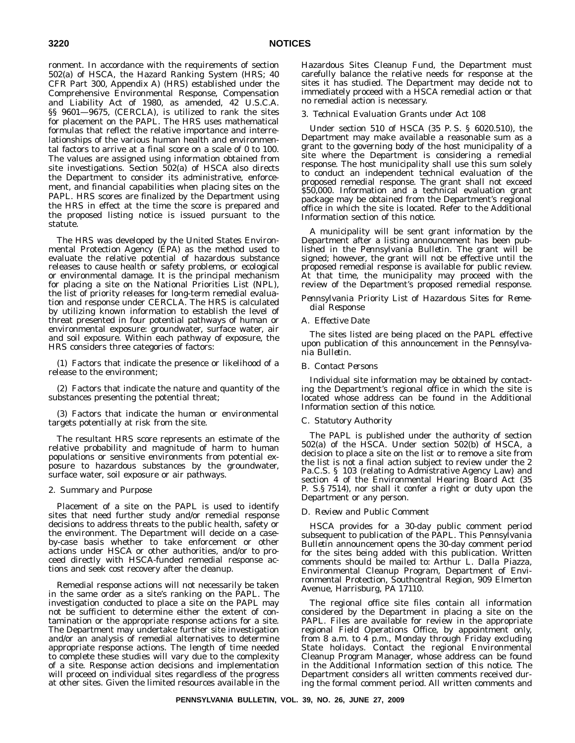ronment. In accordance with the requirements of section 502(a) of HSCA, the Hazard Ranking System (HRS; 40 CFR Part 300, Appendix A) (HRS) established under the Comprehensive Environmental Response, Compensation and Liability Act of 1980, as amended, 42 U.S.C.A. §§ 9601—9675, (CERCLA), is utilized to rank the sites for placement on the PAPL. The HRS uses mathematical formulas that reflect the relative importance and interrelationships of the various human health and environmental factors to arrive at a final score on a scale of 0 to 100. The values are assigned using information obtained from site investigations. Section 502(a) of HSCA also directs the Department to consider its administrative, enforcement, and financial capabilities when placing sites on the PAPL. HRS scores are finalized by the Department using the HRS in effect at the time the score is prepared and the proposed listing notice is issued pursuant to the statute.

The HRS was developed by the United States Environmental Protection Agency (EPA) as the method used to evaluate the relative potential of hazardous substance releases to cause health or safety problems, or ecological or environmental damage. It is the principal mechanism for placing a site on the National Priorities List (NPL), the list of priority releases for long-term remedial evaluation and response under CERCLA. The HRS is calculated by utilizing known information to establish the level of threat presented in four potential pathways of human or environmental exposure: groundwater, surface water, air and soil exposure. Within each pathway of exposure, the HRS considers three categories of factors:

(1) Factors that indicate the presence or likelihood of a release to the environment;

(2) Factors that indicate the nature and quantity of the substances presenting the potential threat;

(3) Factors that indicate the human or environmental targets potentially at risk from the site.

The resultant HRS score represents an estimate of the relative probability and magnitude of harm to human populations or sensitive environments from potential exposure to hazardous substances by the groundwater, surface water, soil exposure or air pathways.

#### 2. *Summary and Purpose*

Placement of a site on the PAPL is used to identify sites that need further study and/or remedial response decisions to address threats to the public health, safety or the environment. The Department will decide on a caseby-case basis whether to take enforcement or other actions under HSCA or other authorities, and/or to proceed directly with HSCA-funded remedial response actions and seek cost recovery after the cleanup.

Remedial response actions will not necessarily be taken in the same order as a site's ranking on the PAPL. The investigation conducted to place a site on the PAPL may not be sufficient to determine either the extent of contamination or the appropriate response actions for a site. The Department may undertake further site investigation and/or an analysis of remedial alternatives to determine appropriate response actions. The length of time needed to complete these studies will vary due to the complexity of a site. Response action decisions and implementation will proceed on individual sites regardless of the progress at other sites. Given the limited resources available in the

Hazardous Sites Cleanup Fund, the Department must carefully balance the relative needs for response at the sites it has studied. The Department may decide not to immediately proceed with a HSCA remedial action or that no remedial action is necessary.

## 3. *Technical Evaluation Grants under Act 108*

Under section 510 of HSCA (35 P. S. § 6020.510), the Department may make available a reasonable sum as a grant to the governing body of the host municipality of a site where the Department is considering a remedial response. The host municipality shall use this sum solely to conduct an independent technical evaluation of the proposed remedial response. The grant shall not exceed \$50,000. Information and a technical evaluation grant package may be obtained from the Department's regional office in which the site is located. Refer to the Additional Information section of this notice.

A municipality will be sent grant information by the Department after a listing announcement has been published in the *Pennsylvania Bulletin*. The grant will be signed; however, the grant will not be effective until the proposed remedial response is available for public review. At that time, the municipality may proceed with the review of the Department's proposed remedial response.

# *Pennsylvania Priority List of Hazardous Sites for Remedial Response*

# A. *Effective Date*

The sites listed are being placed on the PAPL effective upon publication of this announcement in the *Pennsylvania Bulletin*.

# B. *Contact Persons*

Individual site information may be obtained by contacting the Department's regional office in which the site is located whose address can be found in the Additional Information section of this notice.

#### C. *Statutory Authority*

The PAPL is published under the authority of section 502(a) of the HSCA. Under section 502(b) of HSCA, a decision to place a site on the list or to remove a site from the list is not a final action subject to review under the 2 Pa.C.S. § 103 (relating to Admistrative Agency Law) and section 4 of the Environmental Hearing Board Act (35 P. S.§ 7514), nor shall it confer a right or duty upon the Department or any person.

#### D. *Review and Public Comment*

HSCA provides for a 30-day public comment period subsequent to publication of the PAPL. This *Pennsylvania Bulletin* announcement opens the 30-day comment period for the sites being added with this publication. Written comments should be mailed to: Arthur L. Dalla Piazza, Environmental Cleanup Program, Department of Environmental Protection, Southcentral Region, 909 Elmerton Avenue, Harrisburg, PA 17110.

The regional office site files contain all information considered by the Department in placing a site on the PAPL. Files are available for review in the appropriate regional Field Operations Office, by appointment only, from 8 a.m. to 4 p.m., Monday through Friday excluding State holidays. Contact the regional Environmental Cleanup Program Manager, whose address can be found in the Additional Information section of this notice. The Department considers all written comments received during the formal comment period. All written comments and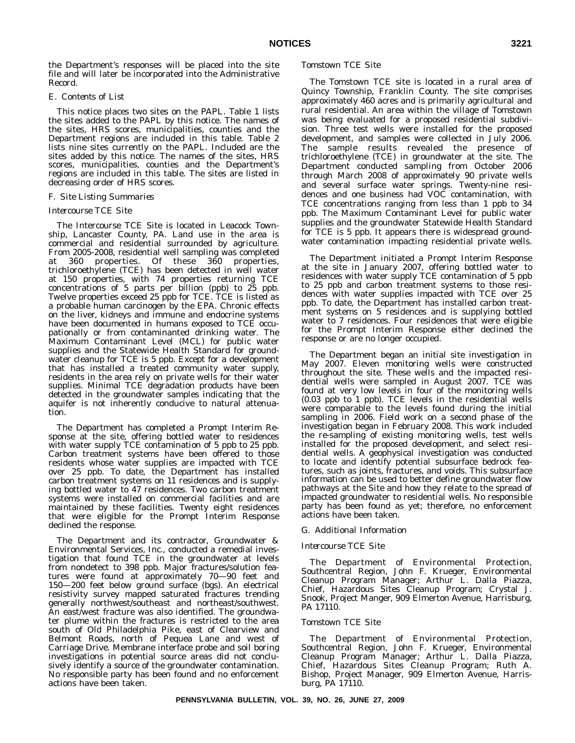the Department's responses will be placed into the site file and will later be incorporated into the Administrative Record.

# E. *Contents of List*

This notice places two sites on the PAPL. Table 1 lists the sites added to the PAPL by this notice. The names of the sites, HRS scores, municipalities, counties and the Department regions are included in this table. Table 2 lists nine sites currently on the PAPL. Included are the sites added by this notice. The names of the sites, HRS scores, municipalities, counties and the Department's regions are included in this table. The sites are listed in decreasing order of HRS scores.

#### F. *Site Listing Summaries*

# *Intercourse TCE Site*

The Intercourse TCE Site is located in Leacock Township, Lancaster County, PA. Land use in the area is commercial and residential surrounded by agriculture. From 2005-2008, residential well sampling was completed at 360 properties. Of these 360 properties, trichloroethylene (TCE) has been detected in well water at 150 properties, with 74 properties returning TCE concentrations of 5 parts per billion (ppb) to 25 ppb. Twelve properties exceed 25 ppb for TCE. TCE is listed as a probable human carcinogen by the EPA. Chronic effects on the liver, kidneys and immune and endocrine systems have been documented in humans exposed to TCE occupationally or from contaminanted drinking water. The Maximum Contaminant Level (MCL) for public water supplies and the Statewide Health Standard for groundwater cleanup for TCE is 5 ppb. Except for a development that has installed a treated community water supply, residents in the area rely on private wells for their water supplies. Minimal TCE degradation products have been detected in the groundwater samples indicating that the aquifer is not inherently conducive to natural attenuation.

The Department has completed a Prompt Interim Response at the site, offering bottled water to residences with water supply TCE contamination of 5 ppb to 25 ppb. Carbon treatment systems have been offered to those residents whose water supplies are impacted with TCE over 25 ppb. To date, the Department has installed carbon treatment systems on 11 residences and is supplying bottled water to 47 residences. Two carbon treatment systems were installed on commercial facilities and are maintained by these facilities. Twenty eight residences that were eligible for the Prompt Interim Response declined the response.

The Department and its contractor, Groundwater & Environmental Services, Inc., conducted a remedial investigation that found TCE in the groundwater at levels from nondetect to 398 ppb. Major fractures/solution features were found at approximately 70—90 feet and 150—200 feet below ground surface (bgs). An electrical resistivity survey mapped saturated fractures trending generally northwest/southeast and northeast/southwest. An east/west fracture was also identified. The groundwater plume within the fractures is restricted to the area south of Old Philadelphia Pike, east of Clearview and Belmont Roads, north of Pequea Lane and west of Carriage Drive. Membrane interface probe and soil boring investigations in potential source areas did not conclusively identify a source of the groundwater contamination. No responsible party has been found and no enforcement actions have been taken.

#### *Tomstown TCE Site*

The Tomstown TCE site is located in a rural area of Quincy Township, Franklin County. The site comprises approximately 460 acres and is primarily agricultural and rural residential. An area within the village of Tomstown was being evaluated for a proposed residential subdivision. Three test wells were installed for the proposed development, and samples were collected in July 2006. The sample results revealed the presence of trichloroethylene (TCE) in groundwater at the site. The Department conducted sampling from October 2006 through March 2008 of approximately 90 private wells and several surface water springs. Twenty-nine residences and one business had VOC contamination, with TCE concentrations ranging from less than 1 ppb to 34 ppb. The Maximum Contaminant Level for public water supplies and the groundwater Statewide Health Standard for TCE is 5 ppb. It appears there is widespread groundwater contamination impacting residential private wells.

The Department initiated a Prompt Interim Response at the site in January 2007, offering bottled water to residences with water supply TCE contamination of 5 ppb to 25 ppb and carbon treatment systems to those residences with water supplies impacted with TCE over 25 ppb. To date, the Department has installed carbon treatment systems on 5 residences and is supplying bottled water to 7 residences. Four residences that were eligible for the Prompt Interim Response either declined the response or are no longer occupied.

The Department began an initial site investigation in May 2007. Eleven monitoring wells were constructed throughout the site. These wells and the impacted residential wells were sampled in August 2007. TCE was found at very low levels in four of the monitoring wells (0.03 ppb to 1 ppb). TCE levels in the residential wells were comparable to the levels found during the initial sampling in 2006. Field work on a second phase of the investigation began in February 2008. This work included the re-sampling of existing monitoring wells, test wells installed for the proposed development, and select residential wells. A geophysical investigation was conducted to locate and identify potential subsurface bedrock features, such as joints, fractures, and voids. This subsurface information can be used to better define groundwater flow pathways at the Site and how they relate to the spread of impacted groundwater to residential wells. No responsible party has been found as yet; therefore, no enforcement actions have been taken.

### G. *Additional Information*

#### *Intercourse TCE Site*

The Department of Environmental Protection, Southcentral Region, John F. Krueger, Environmental Cleanup Program Manager; Arthur L. Dalla Piazza, Chief, Hazardous Sites Cleanup Program; Crystal J. Snook, Project Manger, 909 Elmerton Avenue, Harrisburg, PA 17110.

### *Tomstown TCE Site*

The Department of Environmental Protection, Southcentral Region, John F. Krueger, Environmental Cleanup Program Manager; Arthur L. Dalla Piazza, Chief, Hazardous Sites Cleanup Program; Ruth A. Bishop, Project Manager, 909 Elmerton Avenue, Harrisburg, PA 17110.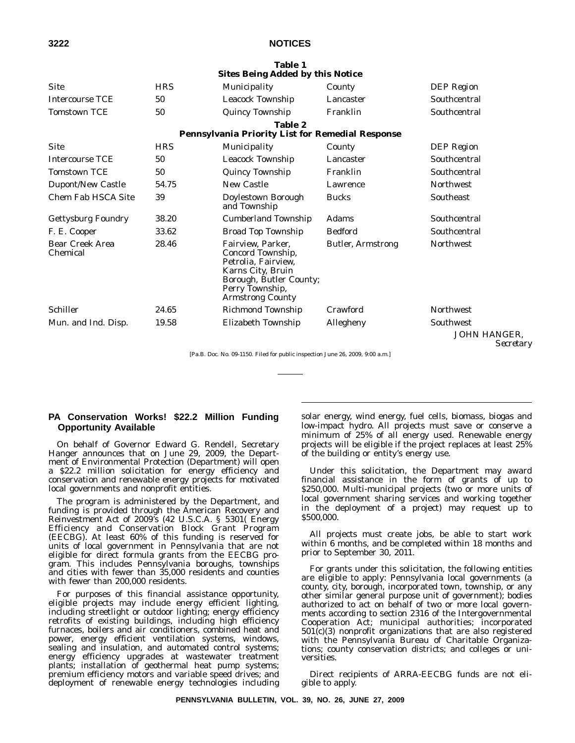**Table 1**

| <b>Sites Being Added by this Notice</b> |       |                                                                                                                                                             |                          |                                  |
|-----------------------------------------|-------|-------------------------------------------------------------------------------------------------------------------------------------------------------------|--------------------------|----------------------------------|
| <b>Site</b>                             | HRS   | Municipality                                                                                                                                                | County                   | DEP Region                       |
| <b>Intercourse TCE</b>                  | 50    | Leacock Township                                                                                                                                            | Lancaster                | Southcentral                     |
| <b>Tomstown TCE</b>                     | 50    | <b>Quincy Township</b>                                                                                                                                      | Franklin                 | Southcentral                     |
|                                         |       | <b>Table 2</b><br><b>Pennsylvania Priority List for Remedial Response</b>                                                                                   |                          |                                  |
| <b>Site</b>                             |       |                                                                                                                                                             |                          |                                  |
|                                         | HRS   | Municipality                                                                                                                                                | County                   | <b>DEP</b> Region                |
| <b>Intercourse TCE</b>                  | 50    | Leacock Township                                                                                                                                            | Lancaster                | Southcentral                     |
| <b>Tomstown TCE</b>                     | 50    | <b>Quincy Township</b>                                                                                                                                      | Franklin                 | Southcentral                     |
| <b>Dupont/New Castle</b>                | 54.75 | New Castle                                                                                                                                                  | Lawrence                 | <b>Northwest</b>                 |
| <b>Chem Fab HSCA Site</b>               | 39    | Doylestown Borough<br>and Township                                                                                                                          | <b>Bucks</b>             | Southeast                        |
| <b>Gettysburg Foundry</b>               | 38.20 | <b>Cumberland Township</b>                                                                                                                                  | Adams                    | Southcentral                     |
| F. E. Cooper                            | 33.62 | <b>Broad Top Township</b>                                                                                                                                   | <b>Bedford</b>           | Southcentral                     |
| <b>Bear Creek Area</b><br>Chemical      | 28.46 | Fairview, Parker,<br>Concord Township,<br>Petrolia, Fairview,<br>Karns City, Bruin<br>Borough, Butler County;<br>Perry Township,<br><b>Armstrong County</b> | <b>Butler, Armstrong</b> | Northwest                        |
| Schiller                                | 24.65 | Richmond Township                                                                                                                                           | Crawford                 | <b>Northwest</b>                 |
| Mun. and Ind. Disp.                     | 19.58 | Elizabeth Township                                                                                                                                          | Allegheny                | Southwest                        |
|                                         |       |                                                                                                                                                             |                          | <b>JOHN HANGER,</b><br>Secretary |

[Pa.B. Doc. No. 09-1150. Filed for public inspection June 26, 2009, 9:00 a.m.]

# **PA Conservation Works! \$22.2 Million Funding Opportunity Available**

On behalf of Governor Edward G. Rendell, Secretary Hanger announces that on June 29, 2009, the Department of Environmental Protection (Department) will open a \$22.2 million solicitation for energy efficiency and conservation and renewable energy projects for motivated local governments and nonprofit entities.

The program is administered by the Department, and funding is provided through the American Recovery and Reinvestment Act of 2009's (42 U.S.C.A. § 5301( Energy Efficiency and Conservation Block Grant Program (EECBG). At least 60% of this funding is reserved for units of local government in Pennsylvania that are not eligible for direct formula grants from the EECBG program. This includes Pennsylvania boroughs, townships and cities with fewer than 35,000 residents and counties with fewer than 200,000 residents.

For purposes of this financial assistance opportunity, eligible projects may include energy efficient lighting, including streetlight or outdoor lighting; energy efficiency retrofits of existing buildings, including high efficiency furnaces, boilers and air conditioners, combined heat and power, energy efficient ventilation systems, windows, sealing and insulation, and automated control systems; energy efficiency upgrades at wastewater treatment plants; installation of geothermal heat pump systems; premium efficiency motors and variable speed drives; and deployment of renewable energy technologies including

solar energy, wind energy, fuel cells, biomass, biogas and low-impact hydro. All projects must save or conserve a minimum of 25% of all energy used. Renewable energy projects will be eligible if the project replaces at least 25% of the building or entity's energy use.

Under this solicitation, the Department may award financial assistance in the form of grants of up to \$250,000. Multi-municipal projects (two or more units of local government sharing services and working together in the deployment of a project) may request up to \$500,000.

All projects must create jobs, be able to start work within 6 months, and be completed within 18 months and prior to September 30, 2011.

For grants under this solicitation, the following entities are eligible to apply: Pennsylvania local governments (a county, city, borough, incorporated town, township, or any other similar general purpose unit of government); bodies authorized to act on behalf of two or more local governments according to section 2316 of the Intergovernmental Cooperation Act; municipal authorities; incorporated  $501(c)(3)$  nonprofit organizations that are also registered with the Pennsylvania Bureau of Charitable Organizations; county conservation districts; and colleges or universities.

Direct recipients of ARRA-EECBG funds are not eligible to apply.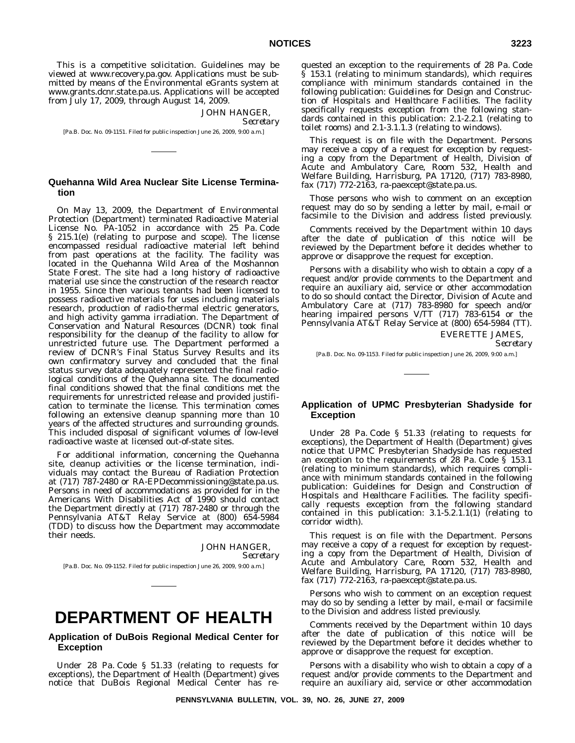This is a competitive solicitation. Guidelines may be viewed at www.recovery.pa.gov. Applications must be submitted by means of the Environmental eGrants system at www.grants.dcnr.state.pa.us. Applications will be accepted from July 17, 2009, through August 14, 2009.

JOHN HANGER,

*Secretary*

[Pa.B. Doc. No. 09-1151. Filed for public inspection June 26, 2009, 9:00 a.m.]

# **Quehanna Wild Area Nuclear Site License Termination**

On May 13, 2009, the Department of Environmental Protection (Department) terminated Radioactive Material License No. PA-1052 in accordance with 25 Pa. Code § 215.1(e) (relating to purpose and scope). The license encompassed residual radioactive material left behind from past operations at the facility. The facility was located in the Quehanna Wild Area of the Moshannon State Forest. The site had a long history of radioactive material use since the construction of the research reactor in 1955. Since then various tenants had been licensed to possess radioactive materials for uses including materials research, production of radio-thermal electric generators, and high activity gamma irradiation. The Department of Conservation and Natural Resources (DCNR) took final responsibility for the cleanup of the facility to allow for unrestricted future use. The Department performed a review of DCNR's Final Status Survey Results and its own confirmatory survey and concluded that the final status survey data adequately represented the final radiological conditions of the Quehanna site. The documented final conditions showed that the final conditions met the requirements for unrestricted release and provided justification to terminate the license. This termination comes following an extensive cleanup spanning more than 10 years of the affected structures and surrounding grounds. This included disposal of significant volumes of low-level radioactive waste at licensed out-of-state sites.

For additional information, concerning the Quehanna site, cleanup activities or the license termination, individuals may contact the Bureau of Radiation Protection at (717) 787-2480 or RA-EPDecommissioning@state.pa.us. Persons in need of accommodations as provided for in the Americans With Disabilities Act of 1990 should contact the Department directly at (717) 787-2480 or through the Pennsylvania AT&T Relay Service at (800) 654-5984 (TDD) to discuss how the Department may accommodate their needs.

JOHN HANGER,

*Secretary*

[Pa.B. Doc. No. 09-1152. Filed for public inspection June 26, 2009, 9:00 a.m.]

# **DEPARTMENT OF HEALTH**

# **Application of DuBois Regional Medical Center for Exception**

Under 28 Pa. Code § 51.33 (relating to requests for exceptions), the Department of Health (Department) gives notice that DuBois Regional Medical Center has requested an exception to the requirements of 28 Pa. Code § 153.1 (relating to minimum standards), which requires compliance with minimum standards contained in the following publication: *Guidelines for Design and Construction of Hospitals and Healthcare Facilities*. The facility specifically requests exception from the following standards contained in this publication: 2.1-2.2.1 (relating to toilet rooms) and 2.1-3.1.1.3 (relating to windows).

This request is on file with the Department. Persons may receive a copy of a request for exception by requesting a copy from the Department of Health, Division of Acute and Ambulatory Care, Room 532, Health and Welfare Building, Harrisburg, PA 17120, (717) 783-8980, fax (717) 772-2163, ra-paexcept@state.pa.us.

Those persons who wish to comment on an exception request may do so by sending a letter by mail, e-mail or facsimile to the Division and address listed previously.

Comments received by the Department within 10 days after the date of publication of this notice will be reviewed by the Department before it decides whether to approve or disapprove the request for exception.

Persons with a disability who wish to obtain a copy of a request and/or provide comments to the Department and require an auxiliary aid, service or other accommodation to do so should contact the Director, Division of Acute and Ambulatory Care at (717) 783-8980 for speech and/or hearing impaired persons V/TT (717) 783-6154 or the Pennsylvania AT&T Relay Service at (800) 654-5984 (TT).

EVERETTE JAMES,

*Secretary*

[Pa.B. Doc. No. 09-1153. Filed for public inspection June 26, 2009, 9:00 a.m.]

# **Application of UPMC Presbyterian Shadyside for Exception**

Under 28 Pa. Code § 51.33 (relating to requests for exceptions), the Department of Health (Department) gives notice that UPMC Presbyterian Shadyside has requested an exception to the requirements of 28 Pa. Code § 153.1 (relating to minimum standards), which requires compliance with minimum standards contained in the following publication: *Guidelines for Design and Construction of Hospitals and Healthcare Facilities*. The facility specifically requests exception from the following standard contained in this publication: 3.1-5.2.1.1(1) (relating to corridor width).

This request is on file with the Department. Persons may receive a copy of a request for exception by requesting a copy from the Department of Health, Division of Acute and Ambulatory Care, Room 532, Health and Welfare Building, Harrisburg, PA 17120, (717) 783-8980, fax (717) 772-2163, ra-paexcept@state.pa.us.

Persons who wish to comment on an exception request may do so by sending a letter by mail, e-mail or facsimile to the Division and address listed previously.

Comments received by the Department within 10 days after the date of publication of this notice will be reviewed by the Department before it decides whether to approve or disapprove the request for exception.

Persons with a disability who wish to obtain a copy of a request and/or provide comments to the Department and require an auxiliary aid, service or other accommodation

**PENNSYLVANIA BULLETIN, VOL. 39, NO. 26, JUNE 27, 2009**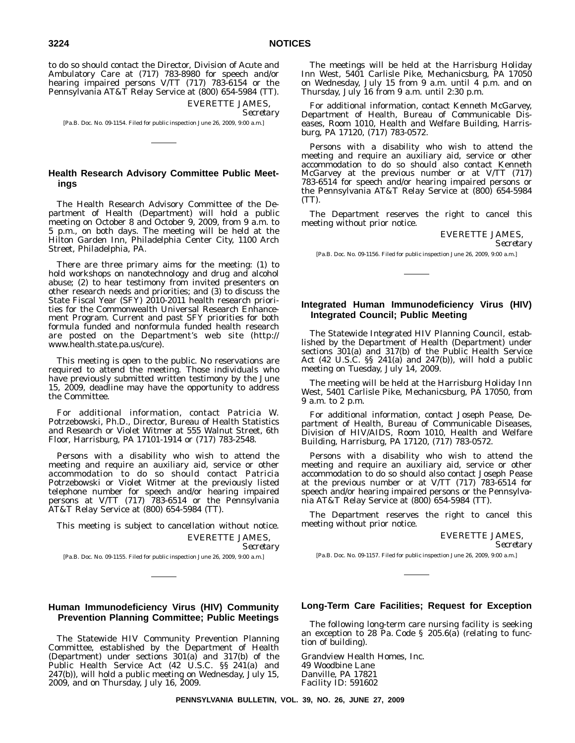to do so should contact the Director, Division of Acute and Ambulatory Care at (717) 783-8980 for speech and/or hearing impaired persons V/TT (717) 783-6154 or the Pennsylvania AT&T Relay Service at (800) 654-5984 (TT).

> EVERETTE JAMES, *Secretary*

[Pa.B. Doc. No. 09-1154. Filed for public inspection June 26, 2009, 9:00 a.m.]

# **Health Research Advisory Committee Public Meetings**

The Health Research Advisory Committee of the Department of Health (Department) will hold a public meeting on October 8 and October 9, 2009, from 9 a.m. to 5 p.m., on both days. The meeting will be held at the Hilton Garden Inn, Philadelphia Center City, 1100 Arch Street, Philadelphia, PA.

There are three primary aims for the meeting: (1) to hold workshops on nanotechnology and drug and alcohol abuse; (2) to hear testimony from invited presenters on other research needs and priorities; and (3) to discuss the State Fiscal Year (SFY) 2010-2011 health research priorities for the Commonwealth Universal Research Enhancement Program. Current and past SFY priorities for both formula funded and nonformula funded health research are posted on the Department's web site (http:// www.health.state.pa.us/cure).

This meeting is open to the public. No reservations are required to attend the meeting. Those individuals who have previously submitted written testimony by the June 15, 2009, deadline may have the opportunity to address the Committee.

For additional information, contact Patricia W. Potrzebowski, Ph.D., Director, Bureau of Health Statistics and Research or Violet Witmer at 555 Walnut Street, 6th Floor, Harrisburg, PA 17101-1914 or (717) 783-2548.

Persons with a disability who wish to attend the meeting and require an auxiliary aid, service or other accommodation to do so should contact Patricia Potrzebowski or Violet Witmer at the previously listed telephone number for speech and/or hearing impaired persons at V/TT (717) 783-6514 or the Pennsylvania AT&T Relay Service at (800) 654-5984 (TT).

This meeting is subject to cancellation without notice. EVERETTE JAMES, *Secretary*

[Pa.B. Doc. No. 09-1155. Filed for public inspection June 26, 2009, 9:00 a.m.]

# **Human Immunodeficiency Virus (HIV) Community Prevention Planning Committee; Public Meetings**

The Statewide HIV Community Prevention Planning Committee, established by the Department of Health (Department) under sections 301(a) and 317(b) of the Public Health Service Act (42 U.S.C. §§ 241(a) and 247(b)), will hold a public meeting on Wednesday, July 15, 2009, and on Thursday, July 16, 2009.

The meetings will be held at the Harrisburg Holiday Inn West, 5401 Carlisle Pike, Mechanicsburg, PA 17050 on Wednesday, July 15 from 9 a.m. until 4 p.m. and on Thursday, July 16 from 9 a.m. until 2:30 p.m.

For additional information, contact Kenneth McGarvey, Department of Health, Bureau of Communicable Diseases, Room 1010, Health and Welfare Building, Harrisburg, PA 17120, (717) 783-0572.

Persons with a disability who wish to attend the meeting and require an auxiliary aid, service or other accommodation to do so should also contact Kenneth McGarvey at the previous number or at V/TT (717) 783-6514 for speech and/or hearing impaired persons or the Pennsylvania AT&T Relay Service at (800) 654-5984 (TT).

The Department reserves the right to cancel this meeting without prior notice.

EVERETTE JAMES,

# *Secretary*

[Pa.B. Doc. No. 09-1156. Filed for public inspection June 26, 2009, 9:00 a.m.]

# **Integrated Human Immunodeficiency Virus (HIV) Integrated Council; Public Meeting**

The Statewide Integrated HIV Planning Council, established by the Department of Health (Department) under sections 301(a) and 317(b) of the Public Health Service Act (42 U.S.C. §§ 241(a) and 247(b)), will hold a public meeting on Tuesday, July 14, 2009.

The meeting will be held at the Harrisburg Holiday Inn West, 5401 Carlisle Pike, Mechanicsburg, PA 17050, from 9 a.m. to 2 p.m.

For additional information, contact Joseph Pease, Department of Health, Bureau of Communicable Diseases, Division of HIV/AIDS, Room 1010, Health and Welfare Building, Harrisburg, PA 17120, (717) 783-0572.

Persons with a disability who wish to attend the meeting and require an auxiliary aid, service or other accommodation to do so should also contact Joseph Pease at the previous number or at V/TT (717) 783-6514 for speech and/or hearing impaired persons or the Pennsylvania AT&T Relay Service at (800) 654-5984 (TT).

The Department reserves the right to cancel this meeting without prior notice.

#### EVERETTE JAMES,

*Secretary*

[Pa.B. Doc. No. 09-1157. Filed for public inspection June 26, 2009, 9:00 a.m.]

# **Long-Term Care Facilities; Request for Exception**

The following long-term care nursing facility is seeking an exception to 28 Pa. Code § 205.6(a) (relating to function of building).

Grandview Health Homes, Inc. 49 Woodbine Lane Danville, PA 17821 Facility ID: 591602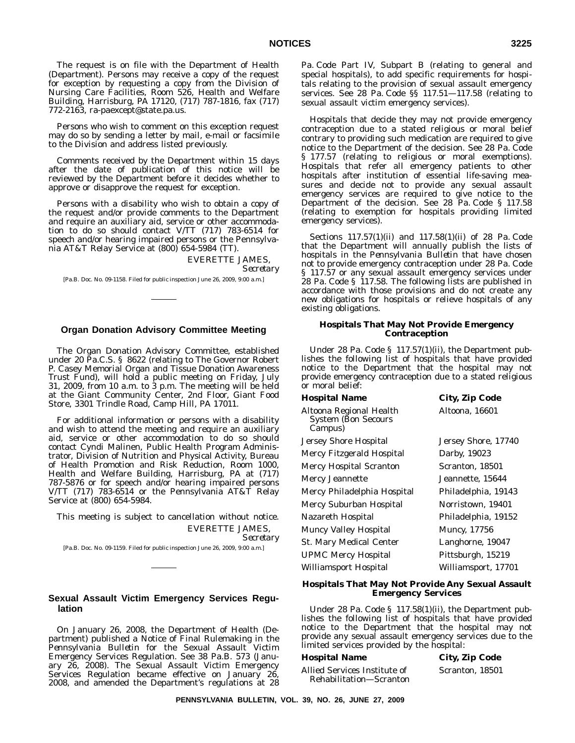The request is on file with the Department of Health (Department). Persons may receive a copy of the request for exception by requesting a copy from the Division of Nursing Care Facilities, Room 526, Health and Welfare Building, Harrisburg, PA 17120, (717) 787-1816, fax (717) 772-2163, ra-paexcept@state.pa.us.

Persons who wish to comment on this exception request may do so by sending a letter by mail, e-mail or facsimile to the Division and address listed previously.

Comments received by the Department within 15 days after the date of publication of this notice will be reviewed by the Department before it decides whether to approve or disapprove the request for exception.

Persons with a disability who wish to obtain a copy of the request and/or provide comments to the Department and require an auxiliary aid, service or other accommodation to do so should contact V/TT (717) 783-6514 for speech and/or hearing impaired persons or the Pennsylvania AT&T Relay Service at (800) 654-5984 (TT).

> EVERETTE JAMES, *Secretary*

[Pa.B. Doc. No. 09-1158. Filed for public inspection June 26, 2009, 9:00 a.m.]

# **Organ Donation Advisory Committee Meeting**

The Organ Donation Advisory Committee, established under 20 Pa.C.S. § 8622 (relating to The Governor Robert P. Casey Memorial Organ and Tissue Donation Awareness Trust Fund), will hold a public meeting on Friday, July 31, 2009, from 10 a.m. to 3 p.m. The meeting will be held at the Giant Community Center, 2nd Floor, Giant Food Store, 3301 Trindle Road, Camp Hill, PA 17011.

For additional information or persons with a disability and wish to attend the meeting and require an auxiliary aid, service or other accommodation to do so should contact Cyndi Malinen, Public Health Program Administrator, Division of Nutrition and Physical Activity, Bureau of Health Promotion and Risk Reduction, Room 1000, Health and Welfare Building, Harrisburg, PA at (717) 787-5876 or for speech and/or hearing impaired persons V/TT (717) 783-6514 or the Pennsylvania AT&T Relay Service at (800) 654-5984.

This meeting is subject to cancellation without notice. EVERETTE JAMES,

*Secretary*

[Pa.B. Doc. No. 09-1159. Filed for public inspection June 26, 2009, 9:00 a.m.]

# **Sexual Assault Victim Emergency Services Regulation**

On January 26, 2008, the Department of Health (Department) published a Notice of Final Rulemaking in the *Pennsylvania Bulletin* for the Sexual Assault Victim Emergency Services Regulation. See 38 Pa.B. 573 (January 26, 2008). The Sexual Assault Victim Emergency Services Regulation became effective on January 26, 2008, and amended the Department's regulations at 28 Pa. Code Part IV, Subpart B (relating to general and special hospitals), to add specific requirements for hospitals relating to the provision of sexual assault emergency services. See 28 Pa. Code §§ 117.51—117.58 (relating to sexual assault victim emergency services).

Hospitals that decide they may not provide emergency contraception due to a stated religious or moral belief contrary to providing such medication are required to give notice to the Department of the decision. See 28 Pa. Code § 177.57 (relating to religious or moral exemptions). Hospitals that refer all emergency patients to other hospitals after institution of essential life-saving measures and decide not to provide any sexual assault emergency services are required to give notice to the Department of the decision. See 28 Pa. Code § 117.58 (relating to exemption for hospitals providing limited emergency services).

Sections 117.57(1)(ii) and 117.58(1)(ii) of 28 Pa. Code that the Department will annually publish the lists of hospitals in the *Pennsylvania Bulletin* that have chosen not to provide emergency contraception under 28 Pa. Code § 117.57 or any sexual assault emergency services under 28 Pa. Code § 117.58. The following lists are published in accordance with those provisions and do not create any new obligations for hospitals or relieve hospitals of any existing obligations.

# **Hospitals That May Not Provide Emergency Contraception**

Under 28 Pa. Code § 117.57(1)(ii), the Department publishes the following list of hospitals that have provided notice to the Department that the hospital may not provide emergency contraception due to a stated religious or moral belief:

| Hospital Name                                                    | <b>City, Zip Code</b> |
|------------------------------------------------------------------|-----------------------|
| Altoona Regional Health<br><b>System (Bon Secours</b><br>Campus) | Altoona, 16601        |
| Jersey Shore Hospital                                            | Jersey Shore, 17740   |
| Mercy Fitzgerald Hospital                                        | Darby, 19023          |
| Mercy Hospital Scranton                                          | Scranton, 18501       |
| Mercy Jeannette                                                  | Jeannette, 15644      |
| Mercy Philadelphia Hospital                                      | Philadelphia, 19143   |
| Mercy Suburban Hospital                                          | Norristown, 19401     |
| Nazareth Hospital                                                | Philadelphia, 19152   |
| <b>Muncy Valley Hospital</b>                                     | <b>Muncy, 17756</b>   |
| St. Mary Medical Center                                          | Langhorne, 19047      |
| <b>UPMC Mercy Hospital</b>                                       | Pittsburgh, 15219     |
| Williamsport Hospital                                            | Williamsport, 17701   |
|                                                                  |                       |

#### **Hospitals That May Not Provide Any Sexual Assault Emergency Services**

Under 28 Pa. Code § 117.58(1)(ii), the Department publishes the following list of hospitals that have provided notice to the Department that the hospital may not provide any sexual assault emergency services due to the limited services provided by the hospital:

#### **Hospital Name City, Zip Code**

Allied Services Institute of Rehabilitation—Scranton Scranton, 18501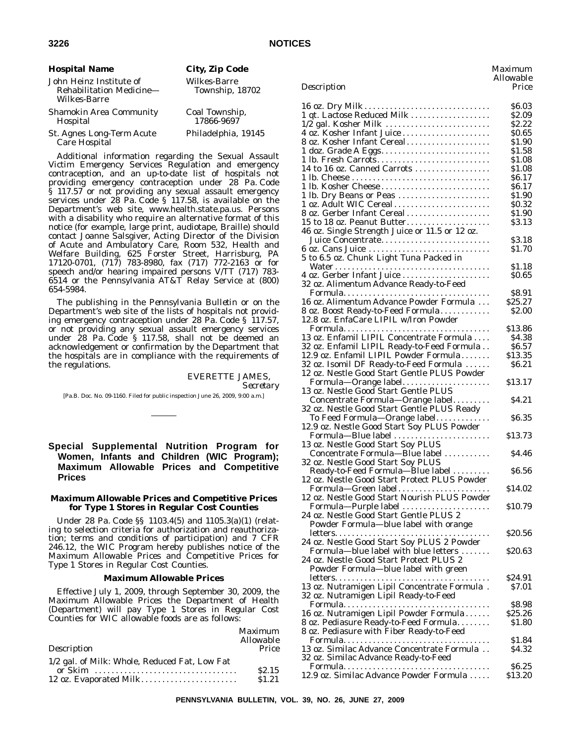| <b>Hospital Name</b>                                                       | City, Zip Code                  |
|----------------------------------------------------------------------------|---------------------------------|
| John Heinz Institute of<br>Rehabilitation Medicine-<br><b>Wilkes-Barre</b> | Wilkes-Barre<br>Township, 18702 |
| <b>Shamokin Area Community</b><br>Hospital                                 | Coal Township,<br>17866-9697    |
| St. Agnes Long-Term Acute<br>Care Hospital                                 | Philadelphia, 19145             |

Additional information regarding the Sexual Assault Victim Emergency Services Regulation and emergency contraception, and an up-to-date list of hospitals not providing emergency contraception under 28 Pa. Code § 117.57 or not providing any sexual assault emergency services under 28 Pa. Code § 117.58, is available on the Department's web site, www.health.state.pa.us. Persons with a disability who require an alternative format of this notice (for example, large print, audiotape, Braille) should contact Joanne Salsgiver, Acting Director of the Division of Acute and Ambulatory Care, Room 532, Health and Welfare Building, 625 Forster Street, Harrisburg, PA 17120-0701, (717) 783-8980, fax (717) 772-2163 or for speech and/or hearing impaired persons V/TT (717) 783- 6514 or the Pennsylvania AT&T Relay Service at (800) 654-5984.

The publishing in the *Pennsylvania Bulletin* or on the Department's web site of the lists of hospitals not providing emergency contraception under 28 Pa. Code § 117.57, or not providing any sexual assault emergency services under 28 Pa. Code § 117.58, shall not be deemed an acknowledgement or confirmation by the Department that the hospitals are in compliance with the requirements of the regulations.

# EVERETTE JAMES,

*Secretary*

[Pa.B. Doc. No. 09-1160. Filed for public inspection June 26, 2009, 9:00 a.m.]

# **Special Supplemental Nutrition Program for Women, Infants and Children (WIC Program); Maximum Allowable Prices and Competitive Prices**

# **Maximum Allowable Prices and Competitive Prices for Type 1 Stores in Regular Cost Counties**

Under 28 Pa. Code §§ 1103.4(5) and 1105.3(a)(1) (relating to selection criteria for authorization and reauthorization; terms and conditions of participation) and 7 CFR 246.12, the WIC Program hereby publishes notice of the Maximum Allowable Prices and Competitive Prices for Type 1 Stores in Regular Cost Counties.

#### **Maximum Allowable Prices**

Effective July 1, 2009, through September 30, 2009, the Maximum Allowable Prices the Department of Health (Department) will pay Type 1 Stores in Regular Cost Counties for WIC allowable foods are as follows:

|                                               | Maximum<br>Allowable |
|-----------------------------------------------|----------------------|
| Description                                   | Price                |
| 1/2 gal. of Milk: Whole, Reduced Fat, Low Fat |                      |
|                                               | \$2.15               |
| 12 oz. Evaporated Milk                        | \$1.21               |

| Description                                           | лнотаріс<br>Price |
|-------------------------------------------------------|-------------------|
|                                                       | \$6.03            |
| 1 qt. Lactose Reduced Milk                            | <b>\$2.09</b>     |
| $1/2$ gal. Kosher Milk                                | S2.22             |
|                                                       | \$0.65            |
| 8 oz. Kosher Infant Cereal.                           | \$1.90            |
|                                                       | \$1.58            |
|                                                       | \$1.08            |
| 14 to 16 oz. Canned Carrots                           | S1.08             |
|                                                       | \$6.17            |
| 1 lb. Kosher Cheese                                   | \$6.17            |
| 1 lb. Dry Beans or Peas                               | \$1.90            |
| 1 oz. Adult WIC Cereal                                | \$0.32            |
|                                                       | \$1.90            |
| 15 to 18 oz. Peanut Butter                            | \$3.13            |
| 46 oz. Single Strength Juice or 11.5 or 12 oz.        |                   |
| Juice Concentrate                                     | \$3.18            |
|                                                       | S1.70             |
| 5 to 6.5 oz. Chunk Light Tuna Packed in               |                   |
|                                                       | \$1.18<br>\$0.65  |
|                                                       |                   |
| 32 oz. Alimentum Advance Ready-to-Feed                | \$8.91            |
| 16 oz. Alimentum Advance Powder Formula               | \$25.27           |
| 8 oz. Boost Ready-to-Feed Formula                     | S2.00             |
| 12.8 oz. EnfaCare LIPIL w/Iron Powder                 |                   |
|                                                       | \$13.86           |
| 13 oz. Enfamil LIPIL Concentrate Formula              | \$4.38            |
| 32 oz. Enfamil LIPIL Ready-to-Feed Formula            | \$6.57            |
| 12.9 oz. Enfamil LIPIL Powder Formula                 | \$13.35           |
| 32 oz. Isomil DF Ready-to-Feed Formula                | \$6.21            |
| 12 oz. Nestle Good Start Gentle PLUS Powder           |                   |
| Formula-Orange label                                  | \$13.17           |
| 13 oz. Nestle Good Start Gentle PLUS                  |                   |
| Concentrate Formula—Orange label                      | \$4.21            |
| 32 oz. Nestle Good Start Gentle PLUS Ready            |                   |
| To Feed Formula-Orange label                          | \$6.35            |
| 12.9 oz. Nestle Good Start Soy PLUS Powder            |                   |
| Formula-Blue label                                    | \$13.73           |
| 13 oz. Nestle Good Start Soy PLUS                     |                   |
| Concentrate Formula-Blue label                        | <b>\$4.46</b>     |
| 32 oz. Nestle Good Start Soy PLUS                     |                   |
| Ready-to-Feed Formula-Blue label                      | \$6.56            |
| 12 oz. Nestle Good Start Protect PLUS Powder          |                   |
| Formula-Green label                                   | \$14.02           |
| 12 oz. Nestle Good Start Nourish PLUS Powder          |                   |
| Formula-Purple label                                  | \$10.79           |
| 24 oz. Nestle Good Start Gentle PLUS 2                |                   |
| Powder Formula-blue label with orange                 |                   |
|                                                       | \$20.56           |
| 24 oz. Nestle Good Start Soy PLUS 2 Powder            |                   |
| Formula-blue label with blue letters                  | \$20.63           |
| 24 oz. Nestle Good Start Protect PLUS 2               |                   |
| Powder Formula-blue label with green                  |                   |
|                                                       | \$24.91           |
| 13 oz. Nutramigen Lipil Concentrate Formula.          | <b>S7.01</b>      |
| 32 oz. Nutramigen Lipil Ready-to-Feed                 |                   |
|                                                       | \$8.98            |
| 16 oz. Nutramigen Lipil Powder Formula                | \$25.26           |
| 8 oz. Pediasure Ready-to-Feed Formula.                | <b>S1.80</b>      |
| 8 oz. Pediasure with Fiber Ready-to-Feed              |                   |
| Formula<br>13 oz. Similac Advance Concentrate Formula | \$1.84            |
|                                                       | S4.32             |
| 32 oz. Similac Advance Ready-to-Feed                  | \$6.25            |
| Formula<br>12.9 oz. Similac Advance Powder Formula    | \$13.20           |
|                                                       |                   |

*Maximum Allowable*

**PENNSYLVANIA BULLETIN, VOL. 39, NO. 26, JUNE 27, 2009**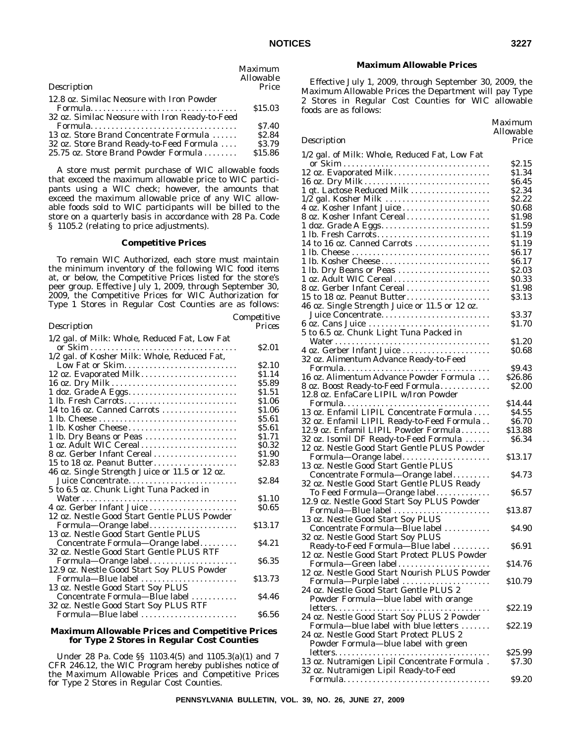|                                                | <b>Maximum</b><br>Allowable |
|------------------------------------------------|-----------------------------|
| Description                                    | Price                       |
| 12.8 oz. Similac Neosure with Iron Powder      | \$15.03                     |
| 32 oz. Similac Neosure with Iron Ready-to-Feed |                             |
| Formula                                        | \$7.40                      |
| 13 oz. Store Brand Concentrate Formula         | \$2.84                      |
| 32 oz. Store Brand Ready-to-Feed Formula       | \$3.79                      |
| 25.75 oz. Store Brand Powder Formula           | \$15.86                     |

### **Competitive Prices**

To remain WIC Authorized, each store must maintain the minimum inventory of the following WIC food items at, or below, the Competitive Prices listed for the store's peer group. Effective July 1, 2009, through September 30, 2009, the Competitive Prices for WIC Authorization for Type 1 Stores in Regular Cost Counties are as follows:

| Prices<br>Description<br>1/2 gal. of Milk: Whole, Reduced Fat, Low Fat<br>\$2.01<br>1/2 gal. of Kosher Milk: Whole, Reduced Fat,<br>Low Fat or Skim<br><b>S2.10</b><br>12 oz. Evaporated Milk<br>\$1.14<br>16 oz. Dry Milk<br>\$5.89<br>1 doz. Grade A Eggs<br>\$1.51<br>1 lb. Fresh Carrots<br>\$1.06<br>14 to 16 oz. Canned Carrots<br>\$1.06<br>\$5.61<br>1 lb. Kosher Cheese<br>\$5.61<br>1 lb. Dry Beans or Peas<br>\$1.71<br>1 oz. Adult WIC Cereal<br>\$0.32<br>8 oz. Gerber Infant Cereal<br>\$1.90<br>\$2.83<br>15 to 18 oz. Peanut Butter<br>46 oz. Single Strength Juice or 11.5 or 12 oz.<br>Juice Concentrate<br>\$2.84<br>5 to 6.5 oz. Chunk Light Tuna Packed in<br>\$1.10<br><b>SO.65</b><br>12 oz. Nestle Good Start Gentle PLUS Powder<br>Formula-Orange label<br>\$13.17<br>13 oz. Nestle Good Start Gentle PLUS<br>\$4.21<br>Concentrate Formula—Orange label |
|-----------------------------------------------------------------------------------------------------------------------------------------------------------------------------------------------------------------------------------------------------------------------------------------------------------------------------------------------------------------------------------------------------------------------------------------------------------------------------------------------------------------------------------------------------------------------------------------------------------------------------------------------------------------------------------------------------------------------------------------------------------------------------------------------------------------------------------------------------------------------------------|
|                                                                                                                                                                                                                                                                                                                                                                                                                                                                                                                                                                                                                                                                                                                                                                                                                                                                                   |
|                                                                                                                                                                                                                                                                                                                                                                                                                                                                                                                                                                                                                                                                                                                                                                                                                                                                                   |
|                                                                                                                                                                                                                                                                                                                                                                                                                                                                                                                                                                                                                                                                                                                                                                                                                                                                                   |
|                                                                                                                                                                                                                                                                                                                                                                                                                                                                                                                                                                                                                                                                                                                                                                                                                                                                                   |
|                                                                                                                                                                                                                                                                                                                                                                                                                                                                                                                                                                                                                                                                                                                                                                                                                                                                                   |
|                                                                                                                                                                                                                                                                                                                                                                                                                                                                                                                                                                                                                                                                                                                                                                                                                                                                                   |
|                                                                                                                                                                                                                                                                                                                                                                                                                                                                                                                                                                                                                                                                                                                                                                                                                                                                                   |
|                                                                                                                                                                                                                                                                                                                                                                                                                                                                                                                                                                                                                                                                                                                                                                                                                                                                                   |
|                                                                                                                                                                                                                                                                                                                                                                                                                                                                                                                                                                                                                                                                                                                                                                                                                                                                                   |
|                                                                                                                                                                                                                                                                                                                                                                                                                                                                                                                                                                                                                                                                                                                                                                                                                                                                                   |
|                                                                                                                                                                                                                                                                                                                                                                                                                                                                                                                                                                                                                                                                                                                                                                                                                                                                                   |
|                                                                                                                                                                                                                                                                                                                                                                                                                                                                                                                                                                                                                                                                                                                                                                                                                                                                                   |
|                                                                                                                                                                                                                                                                                                                                                                                                                                                                                                                                                                                                                                                                                                                                                                                                                                                                                   |
|                                                                                                                                                                                                                                                                                                                                                                                                                                                                                                                                                                                                                                                                                                                                                                                                                                                                                   |
|                                                                                                                                                                                                                                                                                                                                                                                                                                                                                                                                                                                                                                                                                                                                                                                                                                                                                   |
|                                                                                                                                                                                                                                                                                                                                                                                                                                                                                                                                                                                                                                                                                                                                                                                                                                                                                   |
|                                                                                                                                                                                                                                                                                                                                                                                                                                                                                                                                                                                                                                                                                                                                                                                                                                                                                   |
|                                                                                                                                                                                                                                                                                                                                                                                                                                                                                                                                                                                                                                                                                                                                                                                                                                                                                   |
|                                                                                                                                                                                                                                                                                                                                                                                                                                                                                                                                                                                                                                                                                                                                                                                                                                                                                   |
|                                                                                                                                                                                                                                                                                                                                                                                                                                                                                                                                                                                                                                                                                                                                                                                                                                                                                   |
|                                                                                                                                                                                                                                                                                                                                                                                                                                                                                                                                                                                                                                                                                                                                                                                                                                                                                   |
|                                                                                                                                                                                                                                                                                                                                                                                                                                                                                                                                                                                                                                                                                                                                                                                                                                                                                   |
|                                                                                                                                                                                                                                                                                                                                                                                                                                                                                                                                                                                                                                                                                                                                                                                                                                                                                   |
|                                                                                                                                                                                                                                                                                                                                                                                                                                                                                                                                                                                                                                                                                                                                                                                                                                                                                   |
|                                                                                                                                                                                                                                                                                                                                                                                                                                                                                                                                                                                                                                                                                                                                                                                                                                                                                   |
| 32 oz. Nestle Good Start Gentle PLUS RTF                                                                                                                                                                                                                                                                                                                                                                                                                                                                                                                                                                                                                                                                                                                                                                                                                                          |
| Formula-Orange label<br>\$6.35                                                                                                                                                                                                                                                                                                                                                                                                                                                                                                                                                                                                                                                                                                                                                                                                                                                    |
| 12.9 oz. Nestle Good Start Soy PLUS Powder                                                                                                                                                                                                                                                                                                                                                                                                                                                                                                                                                                                                                                                                                                                                                                                                                                        |
| Formula-Blue label<br>\$13.73                                                                                                                                                                                                                                                                                                                                                                                                                                                                                                                                                                                                                                                                                                                                                                                                                                                     |
| 13 oz. Nestle Good Start Soy PLUS                                                                                                                                                                                                                                                                                                                                                                                                                                                                                                                                                                                                                                                                                                                                                                                                                                                 |
| Concentrate Formula-Blue label<br>S4.46                                                                                                                                                                                                                                                                                                                                                                                                                                                                                                                                                                                                                                                                                                                                                                                                                                           |
| 32 oz. Nestle Good Start Soy PLUS RTF                                                                                                                                                                                                                                                                                                                                                                                                                                                                                                                                                                                                                                                                                                                                                                                                                                             |
| Formula-Blue label<br><b>S6.56</b>                                                                                                                                                                                                                                                                                                                                                                                                                                                                                                                                                                                                                                                                                                                                                                                                                                                |

### **Maximum Allowable Prices and Competitive Prices for Type 2 Stores in Regular Cost Counties**

Under 28 Pa. Code §§ 1103.4(5) and 1105.3(a)(1) and 7 CFR 246.12, the WIC Program hereby publishes notice of the Maximum Allowable Prices and Competitive Prices for Type 2 Stores in Regular Cost Counties.

#### **Maximum Allowable Prices**

Effective July 1, 2009, through September 30, 2009, the Maximum Allowable Prices the Department will pay Type 2 Stores in Regular Cost Counties for WIC allowable foods are as follows:

### *Maximum Allowable Description Price* 1/2 gal. of Milk: Whole, Reduced Fat, Low Fat or Skim ................................... \$2.15 12 oz. Evaporated Milk....................... \$1.34 16 oz. Dry Milk . . . . . . . . . . . . . . . . . . . . . . . . . . . . . . \$6.45 1 qt. Lactose Reduced Milk ................... \$2.34 1/2 gal. Kosher Milk ......................... \$2.22 4 oz. Kosher Infant Juice ..................... \$0.68 8 oz. Kosher Infant Cereal.................... \$1.98 1 doz. Grade A Eggs............................. 1 lb. Fresh Carrots........................... \$1.19 14 to 16 oz. Canned Carrots .................. \$1.19 1 lb. Cheese ................................. \$6.17 1 lb. Kosher Cheese .......................... \$6.17 1 lb. Dry Beans or Peas ....................... 1 oz. Adult WIC Cereal....................... \$0.33 8 oz. Gerber Infant Cereal .................... \$1.98 15 to 18 oz. Peanut Butter.................... \$3.13 46 oz. Single Strength Juice or 11.5 or 12 oz. Juice Concentrate.......................... \$3.37 6 oz. Cans Juice .............................. 5 to 6.5 oz. Chunk Light Tuna Packed in Water ..................................... \$1.20 4 oz. Gerber Infant Juice ..................... \$0.68 32 oz. Alimentum Advance Ready-to-Feed Formula................................... \$9.43 16 oz. Alimentum Advance Powder Formula . . . \$26.86 8 oz. Boost Ready-to-Feed Formula............ \$2.00 12.8 oz. EnfaCare LIPIL w/Iron Powder Formula................................... \$14.44 13 oz. Enfamil LIPIL Concentrate Formula .... \$4.55<br>32 oz. Enfamil LIPIL Ready-to-Feed Formula ... \$6.70 32 oz. Enfamil LIPIL Ready-to-Feed Formula . . 12.9 oz. Enfamil LIPIL Powder Formula ....... \$13.88 32 oz. Isomil DF Ready-to-Feed Formula ...... \$6.34 12 oz. Nestle Good Start Gentle PLUS Powder Formula—Orange label..................... \$13.17 13 oz. Nestle Good Start Gentle PLUS Concentrate Formula—Orange label......... \$4.73 32 oz. Nestle Good Start Gentle PLUS Ready To Feed Formula—Orange label............. \$6.57 12.9 oz. Nestle Good Start Soy PLUS Powder Formula—Blue label ....................... \$13.87 13 oz. Nestle Good Start Soy PLUS Concentrate Formula—Blue label ........... \$4.90 32 oz. Nestle Good Start Soy PLUS Ready-to-Feed Formula—Blue label ......... \$6.91 12 oz. Nestle Good Start Protect PLUS Powder Formula—Green label...................... \$14.76 12 oz. Nestle Good Start Nourish PLUS Powder Formula—Purple label ..................... \$10.79 24 oz. Nestle Good Start Gentle PLUS 2 Powder Formula—blue label with orange letters..................................... \$22.19

| 24 oz. Nestle Good Start Soy PLUS 2 Powder   |                    |
|----------------------------------------------|--------------------|
| Formula—blue label with blue letters         | S <sub>22.19</sub> |
| 24 oz. Nestle Good Start Protect PLUS 2      |                    |
| Powder Formula-blue label with green         |                    |
|                                              | \$25.99            |
| 13 oz. Nutramigen Lipil Concentrate Formula. | S7.30              |
| 32 oz. Nutramigen Lipil Ready-to-Feed        |                    |

| Formula<br>\$9.20 |
|-------------------|
|-------------------|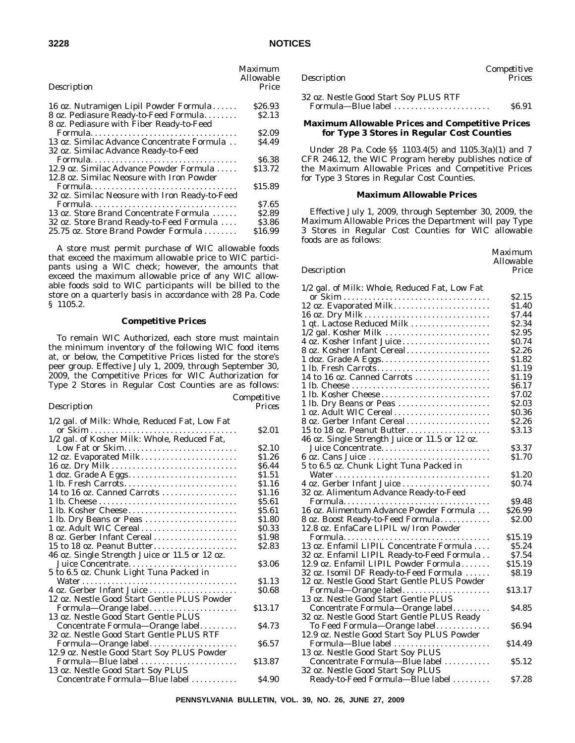| ×<br>۰.<br>۰, |  |
|---------------|--|
|---------------|--|

|                                                | <i>Maximum</i> |
|------------------------------------------------|----------------|
|                                                | Allowable      |
| Description                                    | Price          |
| 16 oz. Nutramigen Lipil Powder Formula         | \$26.93        |
| 8 oz. Pediasure Ready-to-Feed Formula          | <b>S2.13</b>   |
| 8 oz. Pediasure with Fiber Ready-to-Feed       |                |
|                                                | \$2.09         |
| 13 oz. Similac Advance Concentrate Formula     | \$4.49         |
| 32 oz. Similac Advance Ready-to-Feed           |                |
| Formula                                        | <b>S6.38</b>   |
| 12.9 oz. Similac Advance Powder Formula        | \$13.72        |
| 12.8 oz. Similac Neosure with Iron Powder      |                |
|                                                | \$15.89        |
| 32 oz. Similac Neosure with Iron Ready-to-Feed |                |
|                                                | \$7.65         |
| 13 oz. Store Brand Concentrate Formula         | \$2.89         |
| 32 oz. Store Brand Ready-to-Feed Formula       | \$3.86         |
| 25.75 oz. Store Brand Powder Formula           | \$16.99        |
|                                                |                |

### **Competitive Prices**

To remain WIC Authorized, each store must maintain the minimum inventory of the following WIC food items at, or below, the Competitive Prices listed for the store's peer group. Effective July 1, 2009, through September 30, 2009, the Competitive Prices for WIC Authorization for Type 2 Stores in Regular Cost Counties are as follows:

| Description | Prices |
|-------------|--------|
|             |        |

*Competitive*

| 1/2 gal. of Milk: Whole, Reduced Fat, Low Fat  |                   |
|------------------------------------------------|-------------------|
|                                                | <b>S2.01</b>      |
| 1/2 gal. of Kosher Milk: Whole, Reduced Fat,   |                   |
| Low Fat or Skim                                | <b>S2.10</b>      |
| 12 oz. Evaporated Milk                         | \$1.26            |
| 16 oz. Dry Milk                                | S <sub>6.44</sub> |
|                                                | \$1.51            |
| 1 lb. Fresh Carrots                            | \$1.16            |
| 14 to 16 oz. Canned Carrots                    | \$1.16            |
|                                                | \$5.61            |
| 1 lb. Kosher Cheese                            | \$5.61            |
| 1 lb. Dry Beans or Peas                        | \$1.80            |
| 1 oz. Adult WIC Cereal                         | \$0.33            |
| 8 oz. Gerber Infant Cereal                     | \$1.98            |
| 15 to 18 oz. Peanut Butter                     | \$2.83            |
| 46 oz. Single Strength Juice or 11.5 or 12 oz. |                   |
| Juice Concentrate                              | <b>S3.06</b>      |
| 5 to 6.5 oz. Chunk Light Tuna Packed in        |                   |
|                                                | \$1.13            |
| 4 oz. Gerber Infant Juice                      | \$0.68            |
| 12 oz. Nestle Good Start Gentle PLUS Powder    |                   |
| Formula—Orange label                           | \$13.17           |
| 13 oz. Nestle Good Start Gentle PLUS           |                   |
| Concentrate Formula—Orange label               | <b>S4.73</b>      |
| 32 oz. Nestle Good Start Gentle PLUS RTF       |                   |
| Formula-Orange label                           | <b>S6.57</b>      |
| 12.9 oz. Nestle Good Start Soy PLUS Powder     |                   |
| Formula—Blue label                             | \$13.87           |
| 13 oz. Nestle Good Start Soy PLUS              |                   |
| Concentrate Formula-Blue label                 | S4.90             |
|                                                |                   |

| Description                           | $\epsilon$ <i>component</i><br>Prices |
|---------------------------------------|---------------------------------------|
| 32 oz. Nestle Good Start Soy PLUS RTF |                                       |
| Formula—Blue label                    | \$6.91                                |

*Competitive*

### **Maximum Allowable Prices and Competitive Prices for Type 3 Stores in Regular Cost Counties**

Under 28 Pa. Code §§ 1103.4(5) and 1105.3(a)(1) and 7 CFR 246.12, the WIC Program hereby publishes notice of the Maximum Allowable Prices and Competitive Prices for Type 3 Stores in Regular Cost Counties.

### **Maximum Allowable Prices**

Effective July 1, 2009, through September 30, 2009, the Maximum Allowable Prices the Department will pay Type 3 Stores in Regular Cost Counties for WIC allowable foods are as follows:

|             | Maximum   |
|-------------|-----------|
|             | Allowable |
| Description | Price     |
|             |           |

| 1/2 gal. of Milk: Whole, Reduced Fat, Low Fat                                   |              |
|---------------------------------------------------------------------------------|--------------|
|                                                                                 | \$2.15       |
| 12 oz. Evaporated Milk                                                          | \$1.40       |
|                                                                                 | \$7.44       |
|                                                                                 | \$2.34       |
| 1/2 gal. Kosher Milk                                                            | \$2.95       |
| 4 oz. Kosher Infant Juice                                                       | \$0.74       |
| 8 oz. Kosher Infant Cereal                                                      | S2.26        |
| 1 doz. Grade A Eggs                                                             | \$1.82       |
|                                                                                 | \$1.19       |
| 14 to 16 oz. Canned Carrots                                                     | \$1.19       |
|                                                                                 | S6.17        |
| 1 lb. Kosher Cheese                                                             | \$7.02       |
| 1 lb. Dry Beans or Peas                                                         | \$2.03       |
| 1 oz. Adult WIC Cereal                                                          | \$0.36       |
| 8 oz. Gerber Infant Cereal                                                      | \$2.26       |
| 15 to 18 oz. Peanut Butter                                                      | \$3.13       |
| 46 oz. Single Strength Juice or 11.5 or 12 oz.                                  |              |
| Juice Concentrate                                                               | \$3.37       |
| 6 oz. Cans Juice                                                                | \$1.70       |
| 5 to 6.5 oz. Chunk Light Tuna Packed in                                         |              |
|                                                                                 | \$1.20       |
| 4 oz. Gerber Infant Juice                                                       | <b>SO.74</b> |
| 32 oz. Alimentum Advance Ready-to-Feed                                          |              |
|                                                                                 | \$9.48       |
| 16 oz. Alimentum Advance Powder Formula                                         | \$26.99      |
| 8 oz. Boost Ready-to-Feed Formula                                               | <b>S2.00</b> |
| 12.8 oz. EnfaCare LIPIL w/ Iron Powder                                          |              |
|                                                                                 | \$15.19      |
| 13 oz. Enfamil LIPIL Concentrate Formula                                        | \$5.24       |
|                                                                                 | \$7.54       |
| 32 oz. Enfamil LIPIL Ready-to-Feed Formula                                      | \$15.19      |
| 12.9 oz. Enfamil LIPIL Powder Formula<br>32 oz. Isomil DF Ready-to-Feed Formula | \$8.19       |
|                                                                                 |              |
| 12 oz. Nestle Good Start Gentle PLUS Powder                                     |              |
| Formula-Orange label                                                            | \$13.17      |
| 13 oz. Nestle Good Start Gentle PLUS                                            |              |
| Concentrate Formula—Orange label                                                | \$4.85       |
| 32 oz. Nestle Good Start Gentle PLUS Ready                                      |              |
| To Feed Formula-Orange label                                                    | \$6.94       |
| 12.9 oz. Nestle Good Start Soy PLUS Powder                                      |              |
| Formula-Blue label                                                              | \$14.49      |
| 13 oz. Nestle Good Start Soy PLUS                                               |              |
| Concentrate Formula—Blue label                                                  | \$5.12       |
| 32 oz. Nestle Good Start Soy PLUS                                               |              |
| Ready-to-Feed Formula—Blue label                                                | \$7.28       |

**PENNSYLVANIA BULLETIN, VOL. 39, NO. 26, JUNE 27, 2009**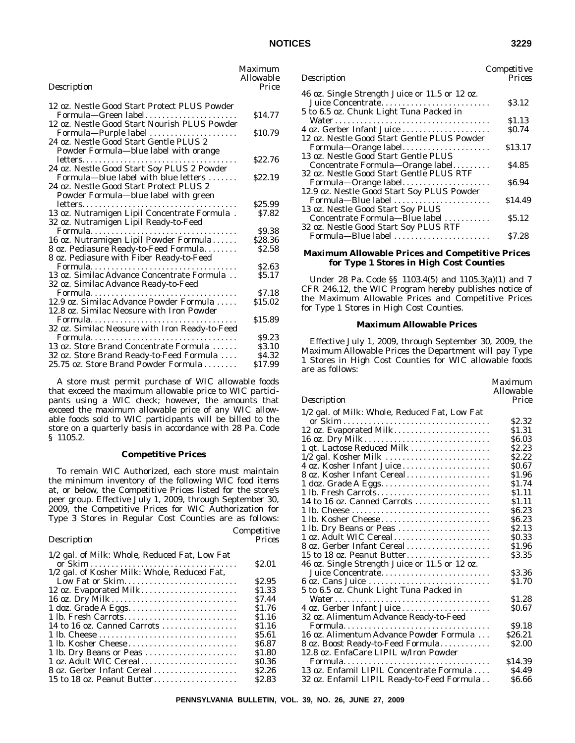| Description                                                                        | <i>Maximum</i><br><i>Allowable</i><br>Price |
|------------------------------------------------------------------------------------|---------------------------------------------|
| 12 oz. Nestle Good Start Protect PLUS Powder                                       |                                             |
| Formula-Green label<br>12 oz. Nestle Good Start Nourish PLUS Powder                | \$14.77                                     |
| Formula-Purple label                                                               | \$10.79                                     |
| 24 oz. Nestle Good Start Gentle PLUS 2<br>Powder Formula-blue label with orange    |                                             |
|                                                                                    | \$22.76                                     |
| 24 oz. Nestle Good Start Soy PLUS 2 Powder<br>Formula—blue label with blue letters | \$22.19                                     |
| 24 oz. Nestle Good Start Protect PLUS 2<br>Powder Formula-blue label with green    |                                             |
|                                                                                    | \$25.99                                     |
| 13 oz. Nutramigen Lipil Concentrate Formula.                                       | \$7.82                                      |
| 32 oz. Nutramigen Lipil Ready-to-Feed                                              |                                             |
|                                                                                    | \$9.38                                      |
| 16 oz. Nutramigen Lipil Powder Formula                                             | \$28.36                                     |
| 8 oz. Pediasure Ready-to-Feed Formula<br>8 oz. Pediasure with Fiber Ready-to-Feed  | \$2.58                                      |
|                                                                                    | <b>S2.63</b>                                |
| 13 oz. Similac Advance Concentrate Formula                                         | S5.17                                       |
| 32 oz. Similac Advance Ready-to-Feed                                               |                                             |
|                                                                                    | \$7.18                                      |
| 12.9 oz. Similac Advance Powder Formula                                            | \$15.02                                     |
| 12.8 oz. Similac Neosure with Iron Powder                                          |                                             |
| 32 oz. Similac Neosure with Iron Ready-to-Feed                                     | \$15.89                                     |
| Formula                                                                            | \$9.23                                      |
| 13 oz. Store Brand Concentrate Formula                                             | \$3.10                                      |
| 32 oz. Store Brand Ready-to-Feed Formula                                           | \$4.32                                      |
| 25.75 oz. Store Brand Powder Formula                                               | \$17.99                                     |
|                                                                                    |                                             |

### **Competitive Prices**

To remain WIC Authorized, each store must maintain the minimum inventory of the following WIC food items at, or below, the Competitive Prices listed for the store's peer group. Effective July 1, 2009, through September 30, 2009, the Competitive Prices for WIC Authorization for Type 3 Stores in Regular Cost Counties are as follows:

### *Description*

|                                              | <b>S2.01</b>      |
|----------------------------------------------|-------------------|
| 1/2 gal. of Kosher Milk: Whole, Reduced Fat, |                   |
| Low Fat or Skim                              | S <sub>2.95</sub> |
| 12 oz. Evaporated Milk                       | \$1.33            |
| 16 oz. Dry Milk                              | \$7.44            |
|                                              | \$1.76            |
| 1 lb. Fresh Carrots                          | \$1.16            |
| 14 to 16 oz. Canned Carrots                  | \$1.16            |
|                                              | \$5.61            |
|                                              | \$6.87            |
| 1 lb. Dry Beans or Peas                      | \$1.80            |
| 1 oz. Adult WIC Cereal                       | \$0.36            |
| 8 oz. Gerber Infant Cereal                   | \$2.26            |
| 15 to 18 oz. Peanut Butter                   | \$2.83            |
|                                              |                   |

| Competitive                                                                                                                            |
|----------------------------------------------------------------------------------------------------------------------------------------|
| Prices                                                                                                                                 |
|                                                                                                                                        |
| Juice Concentrate<br>\$3.12                                                                                                            |
|                                                                                                                                        |
| \$1.13                                                                                                                                 |
| <b>SO.74</b><br>4 oz. Gerber Infant Juice                                                                                              |
|                                                                                                                                        |
| \$13.17                                                                                                                                |
|                                                                                                                                        |
| \$4.85                                                                                                                                 |
|                                                                                                                                        |
| Formula—Orange label<br>S6.94                                                                                                          |
|                                                                                                                                        |
| \$14.49                                                                                                                                |
|                                                                                                                                        |
| S5.12                                                                                                                                  |
|                                                                                                                                        |
| S7.28                                                                                                                                  |
|                                                                                                                                        |
| Formula-Orange label<br>Concentrate Formula-Orange label<br>Formula-Blue label<br>Concentrate Formula—Blue label<br>Formula-Blue label |

### **Maximum Allowable Prices and Competitive Prices for Type 1 Stores in High Cost Counties**

Under 28 Pa. Code §§ 1103.4(5) and 1105.3(a)(1) and 7 CFR 246.12, the WIC Program hereby publishes notice of the Maximum Allowable Prices and Competitive Prices for Type 1 Stores in High Cost Counties.

### **Maximum Allowable Prices**

Effective July 1, 2009, through September 30, 2009, the Maximum Allowable Prices the Department will pay Type 1 Stores in High Cost Counties for WIC allowable foods are as follows:

|                                                | <i>Allowable</i>  |
|------------------------------------------------|-------------------|
| Description                                    | Price             |
| 1/2 gal. of Milk: Whole, Reduced Fat, Low Fat  |                   |
|                                                | \$2.32            |
| 12 oz. Evaporated Milk                         | \$1.31            |
|                                                | \$6.03            |
| 1 qt. Lactose Reduced Milk                     | \$2.23            |
|                                                | S <sub>2.22</sub> |
| 4 oz. Kosher Infant Juice                      | \$0.67            |
| 8 oz. Kosher Infant Cereal                     | \$1.96            |
|                                                | \$1.74            |
| 1 lb. Fresh Carrots                            | \$1.11            |
| 14 to 16 oz. Canned Carrots                    | \$1.11            |
|                                                | <b>S6.23</b>      |
| 1 lb. Kosher Cheese                            | <b>S6.23</b>      |
| 1 lb. Dry Beans or Peas                        | S <sub>2.13</sub> |
| 1 oz. Adult WIC Cereal                         | \$0.33            |
| 8 oz. Gerber Infant Cereal                     | \$1.96            |
| 15 to 18 oz. Peanut Butter                     | \$3.35            |
| 46 oz. Single Strength Juice or 11.5 or 12 oz. |                   |
| Juice Concentrate                              | \$3.36            |
| 6 oz. Cans Juice                               | \$1.70            |
| 5 to 6.5 oz. Chunk Light Tuna Packed in        |                   |
|                                                | \$1.28            |
| 4 oz. Gerber Infant Juice                      | <b>SO.67</b>      |
| 32 oz. Alimentum Advance Ready-to-Feed         |                   |
|                                                | S9.18             |
| 16 oz. Alimentum Advance Powder Formula        | \$26.21           |
| 8 oz. Boost Ready-to-Feed Formula              | \$2.00            |
| 12.8 oz. EnfaCare LIPIL w/Iron Powder          |                   |
|                                                | \$14.39           |
| 13 oz. Enfamil LIPIL Concentrate Formula       | <b>S4.49</b>      |
| 32 oz. Enfamil LIPIL Ready-to-Feed Formula     | \$6.66            |

*Competitive*

*Maximum*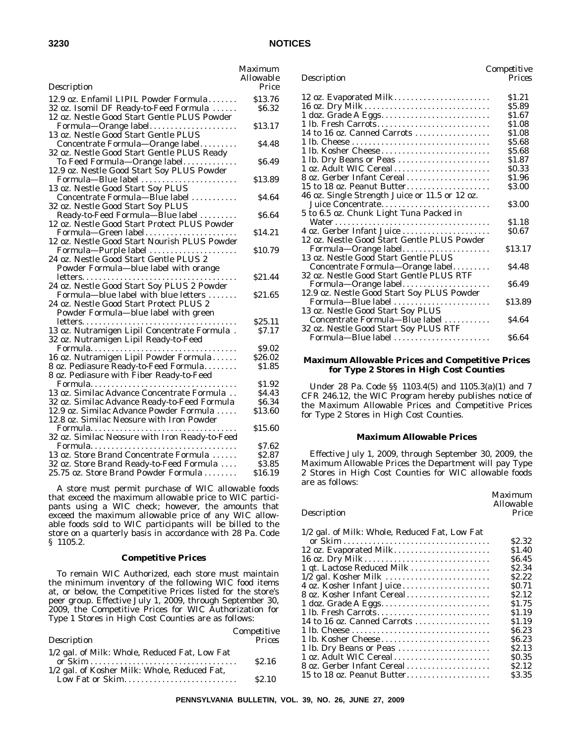|                                                                     | Maximum        |
|---------------------------------------------------------------------|----------------|
|                                                                     | Allowable      |
| Description                                                         | Price          |
| 12.9 oz. Enfamil LIPIL Powder Formula                               | \$13.76        |
| 32 oz. Isomil DF Ready-to-Feed Formula                              | \$6.32         |
| 12 oz. Nestle Good Start Gentle PLUS Powder                         |                |
| Formula-Orange label                                                | \$13.17        |
| 13 oz. Nestle Good Start Gentle PLUS                                |                |
| Concentrate Formula-Orange label                                    | \$4.48         |
| 32 oz. Nestle Good Start Gentle PLUS Ready                          |                |
|                                                                     |                |
| To Feed Formula—Orange label                                        | S6.49          |
| 12.9 oz. Nestle Good Start Soy PLUS Powder                          |                |
| Formula-Blue label                                                  | \$13.89        |
| 13 oz. Nestle Good Start Soy PLUS                                   |                |
| Concentrate Formula-Blue label                                      | S4.64          |
| 32 oz. Nestle Good Start Soy PLUS                                   |                |
| Ready-to-Feed Formula-Blue label                                    | \$6.64         |
| 12 oz. Nestle Good Start Protect PLUS Powder                        |                |
| Formula—Green label<br>12 oz. Nestle Good Start Nourish PLUS Powder | \$14.21        |
|                                                                     |                |
| Formula-Purple label                                                | \$10.79        |
| 24 oz. Nestle Good Start Gentle PLUS 2                              |                |
| Powder Formula-blue label with orange                               |                |
|                                                                     | \$21.44        |
| 24 oz. Nestle Good Start Soy PLUS 2 Powder                          |                |
| Formula—blue label with blue letters                                | <b>\$21.65</b> |
| 24 oz. Nestle Good Start Protect PLUS 2                             |                |
| Powder Formula-blue label with green                                |                |
|                                                                     | \$25.11        |
| 13 oz. Nutramigen Lipil Concentrate Formula.                        | S7.17          |
| 32 oz. Nutramigen Lipil Ready-to-Feed                               |                |
|                                                                     | \$9.02         |
| 16 oz. Nutramigen Lipil Powder Formula                              | \$26.02        |
| 8 oz. Pediasure Ready-to-Feed Formula                               | \$1.85         |
| 8 oz. Pediasure with Fiber Ready-to-Feed                            |                |
|                                                                     | \$1.92         |
| 13 oz. Similac Advance Concentrate Formula                          | \$4.43         |
| 32 oz. Similac Advance Ready-to-Feed Formula                        | \$6.34         |
| 12.9 oz. Similac Advance Powder Formula                             | \$13.60        |
| 12.8 oz. Similac Neosure with Iron Powder                           |                |
|                                                                     | \$15.60        |
| 32 oz. Similac Neosure with Iron Ready-to-Feed                      |                |
|                                                                     | \$7.62         |
| 13 oz. Store Brand Concentrate Formula                              | \$2.87         |
| 32 oz. Store Brand Ready-to-Feed Formula                            | S3.85          |
| 25.75 oz. Store Brand Powder Formula                                | \$16.19        |
|                                                                     |                |

### **Competitive Prices**

To remain WIC Authorized, each store must maintain the minimum inventory of the following WIC food items at, or below, the Competitive Prices listed for the store's peer group. Effective July 1, 2009, through September 30, 2009, the Competitive Prices for WIC Authorization for Type 1 Stores in High Cost Counties are as follows:

|                                               | Competitive       |
|-----------------------------------------------|-------------------|
| Description                                   | Prices            |
| 1/2 gal. of Milk: Whole, Reduced Fat, Low Fat |                   |
|                                               | S <sub>2.16</sub> |
| 1/2 gal. of Kosher Milk: Whole, Reduced Fat,  |                   |
| Low Fat or Skim                               | S <sub>2.10</sub> |

| Description | Prices |
|-------------|--------|
|             |        |

*Maximum*

| 12 oz. Evaporated Milk                         | \$1.21  |
|------------------------------------------------|---------|
| 16 oz. Dry Milk                                | \$5.89  |
|                                                | \$1.67  |
| 1 lb. Fresh Carrots                            | \$1.08  |
| 14 to 16 oz. Canned Carrots                    | \$1.08  |
|                                                | \$5.68  |
| 1 lb. Kosher Cheese                            | \$5.68  |
| 1 lb. Dry Beans or Peas                        | \$1.87  |
| 1 oz. Adult WIC Cereal                         | \$0.33  |
| 8 oz. Gerber Infant Cereal                     | \$1.96  |
| 15 to 18 oz. Peanut Butter                     | \$3.00  |
| 46 oz. Single Strength Juice or 11.5 or 12 oz. |         |
| Juice Concentrate                              | S3.00   |
| 5 to 6.5 oz. Chunk Light Tuna Packed in        |         |
|                                                | \$1.18  |
| 4 oz. Gerber Infant Juice                      | \$0.67  |
| 12 oz. Nestle Good Start Gentle PLUS Powder    |         |
| Formula-Orange label                           | \$13.17 |
| 13 oz. Nestle Good Start Gentle PLUS           |         |
| Concentrate Formula—Orange label               | \$4.48  |
| 32 oz. Nestle Good Start Gentle PLUS RTF       |         |
| Formula-Orange label                           | S6.49   |
| 12.9 oz. Nestle Good Start Soy PLUS Powder     |         |
| Formula-Blue label                             | \$13.89 |
| 13 oz. Nestle Good Start Soy PLUS              |         |
| Concentrate Formula-Blue label                 | S4.64   |
| 32 oz. Nestle Good Start Soy PLUS RTF          |         |
| Formula-Blue label                             | S6.64   |
|                                                |         |

### **Maximum Allowable Prices and Competitive Prices for Type 2 Stores in High Cost Counties**

Under 28 Pa. Code §§ 1103.4(5) and 1105.3(a)(1) and 7 CFR 246.12, the WIC Program hereby publishes notice of the Maximum Allowable Prices and Competitive Prices for Type 2 Stores in High Cost Counties.

#### **Maximum Allowable Prices**

Effective July 1, 2009, through September 30, 2009, the Maximum Allowable Prices the Department will pay Type 2 Stores in High Cost Counties for WIC allowable foods are as follows:

|             | Allowable |
|-------------|-----------|
| Description | Price     |

### 1/2 gal. of Milk: Whole, Reduced Fat, Low Fat

|                             | \$2.32            |
|-----------------------------|-------------------|
| 12 oz. Evaporated Milk      | \$1.40            |
| 16 oz. Dry Milk             | S <sub>6.45</sub> |
| 1 qt. Lactose Reduced Milk  | \$2.34            |
|                             | \$2.22            |
| 4 oz. Kosher Infant Juice   | S <sub>0.71</sub> |
| 8 oz. Kosher Infant Cereal  | S <sub>2.12</sub> |
| 1 doz. Grade A Eggs         | \$1.75            |
| 1 lb. Fresh Carrots         | \$1.19            |
| 14 to 16 oz. Canned Carrots | \$1.19            |
|                             | \$6.23            |
|                             | \$6.23            |
| 1 lb. Dry Beans or Peas     | \$2.13            |
| 1 oz. Adult WIC Cereal      | <b>SO.35</b>      |
| 8 oz. Gerber Infant Cereal  | S <sub>2.12</sub> |
| 15 to 18 oz. Peanut Butter  | \$3.35            |
|                             |                   |

**PENNSYLVANIA BULLETIN, VOL. 39, NO. 26, JUNE 27, 2009**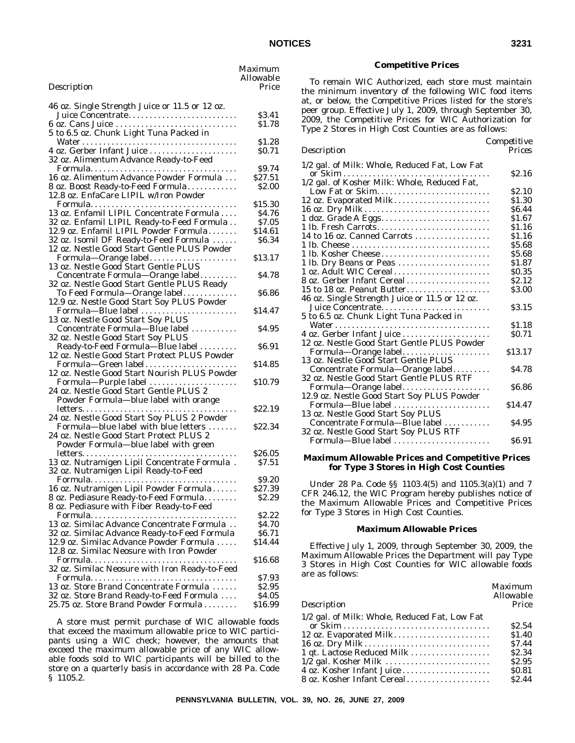|             | Maximum<br><i><b>Allowable</b></i> |
|-------------|------------------------------------|
| Description | Price                              |

| 46 oz. Single Strength Juice or 11.5 or 12 oz.                      |               |
|---------------------------------------------------------------------|---------------|
| Juice Concentrate                                                   | \$3.41        |
| 6 oz. Cans Juice                                                    | \$1.78        |
| 5 to 6.5 oz. Chunk Light Tuna Packed in                             |               |
|                                                                     | \$1.28        |
| 4 oz. Gerber Infant Juice                                           | SO.71         |
| 32 oz. Alimentum Advance Ready-to-Feed                              |               |
|                                                                     | \$9.74        |
| 16 oz. Alimentum Advance Powder Formula                             | \$27.51       |
| 8 oz. Boost Ready-to-Feed Formula                                   | <b>\$2.00</b> |
| 12.8 oz. EnfaCare LIPIL w/Iron Powder                               |               |
|                                                                     | \$15.30       |
| 13 oz. Enfamil LIPIL Concentrate Formula                            | S4.76         |
| 32 oz. Enfamil LIPIL Ready-to-Feed Formula                          | \$7.05        |
| 12.9 oz. Enfamil LIPIL Powder Formula                               | \$14.61       |
| 32 oz. Isomil DF Ready-to-Feed Formula                              | \$6.34        |
| 12 oz. Nestle Good Start Gentle PLUS Powder                         |               |
| Formula-Orange label                                                | \$13.17       |
| 13 oz. Nestle Good Start Gentle PLUS                                |               |
| Concentrate Formula-Orange label                                    | \$4.78        |
| 32 oz. Nestle Good Start Gentle PLUS Ready                          |               |
| To Feed Formula-Orange label                                        | \$6.86        |
| 12.9 oz. Nestle Good Start Soy PLUS Powder                          |               |
| Formula-Blue label                                                  | \$14.47       |
| 13 oz. Nestle Good Start Soy PLUS                                   |               |
| Concentrate Formula-Blue label                                      | \$4.95        |
| 32 oz. Nestle Good Start Soy PLUS                                   |               |
| Ready-to-Feed Formula-Blue label                                    | S6.91         |
| 12 oz. Nestle Good Start Protect PLUS Powder<br>Formula-Green label | \$14.85       |
| 12 oz. Nestle Good Start Nourish PLUS Powder                        |               |
| Formula-Purple label                                                | \$10.79       |
| 24 oz. Nestle Good Start Gentle PLUS 2                              |               |
| Powder Formula-blue label with orange                               |               |
|                                                                     | \$22.19       |
| 24 oz. Nestle Good Start Soy PLUS 2 Powder                          |               |
| Formula-blue label with blue letters                                | \$22.34       |
| 24 oz. Nestle Good Start Protect PLUS 2                             |               |
| Powder Formula-blue label with green                                |               |
|                                                                     | \$26.05       |
| 13 oz. Nutramigen Lipil Concentrate Formula.                        | \$7.51        |
| 32 oz. Nutramigen Lipil Ready-to-Feed                               |               |
|                                                                     | \$9.20        |
| 16 oz. Nutramigen Lipil Powder Formula                              | \$27.39       |
| 8 oz. Pediasure Ready-to-Feed Formula.                              | \$2.29        |
| 8 oz. Pediasure with Fiber Ready-to-Feed                            |               |
| Formula                                                             | \$2.22        |
| 13 oz. Similac Advance Concentrate Formula                          | \$4.70        |
| 32 oz. Similac Advance Ready-to-Feed Formula                        | \$6.71        |
| 12.9 oz. Similac Advance Powder Formula                             | \$14.44       |
| 12.8 oz. Similac Neosure with Iron Powder                           |               |
|                                                                     | \$16.68       |
| 32 oz. Similac Neosure with Iron Ready-to-Feed                      |               |
|                                                                     | \$7.93        |
| 13 oz. Store Brand Concentrate Formula                              | \$2.95        |
| 32 oz. Store Brand Ready-to-Feed Formula                            | \$4.05        |
| 25.75 oz. Store Brand Powder Formula                                | \$16.99       |
|                                                                     |               |

To remain WIC Authorized, each store must maintain the minimum inventory of the following WIC food items at, or below, the Competitive Prices listed for the store's peer group. Effective July 1, 2009, through September 30, 2009, the Competitive Prices for WIC Authorization for Type 2 Stores in High Cost Counties are as follows:

### *Description*

*Competitive*

| 1/2 gal. of Milk: Whole, Reduced Fat, Low Fat  |                   |
|------------------------------------------------|-------------------|
|                                                | S2.16             |
| 1/2 gal. of Kosher Milk: Whole, Reduced Fat,   |                   |
| Low Fat or Skim                                | S2.10             |
| 12 oz. Evaporated Milk                         | \$1.30            |
| 16 oz. Dry Milk                                | S6.44             |
|                                                | \$1.67            |
| 1 lb. Fresh Carrots                            | S1.16             |
| 14 to 16 oz. Canned Carrots                    | S1.16             |
|                                                | \$5.68            |
| 1 lb. Kosher Cheese                            | \$5.68            |
| 1 lb. Dry Beans or Peas                        | \$1.87            |
| 1 oz. Adult WIC Cereal                         | \$0.35            |
| 8 oz. Gerber Infant Cereal                     | S2.12             |
| 15 to 18 oz. Peanut Butter                     | \$3.00            |
| 46 oz. Single Strength Juice or 11.5 or 12 oz. |                   |
| Juice Concentrate                              | S3.15             |
| 5 to 6.5 oz. Chunk Light Tuna Packed in        |                   |
|                                                | \$1.18            |
| 4 oz. Gerber Infant Juice                      | S <sub>0.71</sub> |
| 12 oz. Nestle Good Start Gentle PLUS Powder    |                   |
| Formula-Orange label                           | \$13.17           |
| 13 oz. Nestle Good Start Gentle PLUS           |                   |
| Concentrate Formula—Orange label               | S4.78             |
| 32 oz. Nestle Good Start Gentle PLUS RTF       |                   |
| Formula—Orange label                           | \$6.86            |
| 12.9 oz. Nestle Good Start Soy PLUS Powder     |                   |
| Formula-Blue label                             | \$14.47           |
| 13 oz. Nestle Good Start Soy PLUS              |                   |
| Concentrate Formula-Blue label                 | S4.95             |
| 32 oz. Nestle Good Start Soy PLUS RTF          |                   |
|                                                | S6.91             |
|                                                |                   |

### **Maximum Allowable Prices and Competitive Prices for Type 3 Stores in High Cost Counties**

Under 28 Pa. Code §§ 1103.4(5) and 1105.3(a)(1) and 7 CFR 246.12, the WIC Program hereby publishes notice of the Maximum Allowable Prices and Competitive Prices for Type 3 Stores in High Cost Counties.

#### **Maximum Allowable Prices**

Effective July 1, 2009, through September 30, 2009, the Maximum Allowable Prices the Department will pay Type 3 Stores in High Cost Counties for WIC allowable foods are as follows:

|                                               | Maximum<br>Allowable |
|-----------------------------------------------|----------------------|
| Description                                   | Price                |
| 1/2 gal. of Milk: Whole, Reduced Fat, Low Fat |                      |
|                                               | S <sub>2.54</sub>    |
| 12 oz. Evaporated Milk                        | \$1.40               |
| 16 oz. Dry Milk                               | S7.44                |
| 1 qt. Lactose Reduced Milk                    | \$2.34               |
| 1/2 gal. Kosher Milk                          | S <sub>2.95</sub>    |
|                                               | \$0.81               |
| 8 oz. Kosher Infant Cereal.                   | S <sub>2.44</sub>    |
|                                               |                      |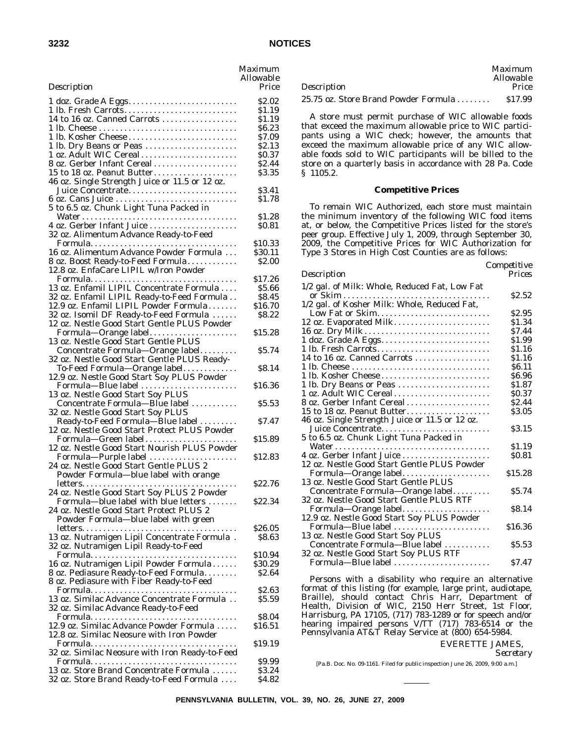| ł<br>۰. |
|---------|
|---------|

|                                                                                       | Maximum<br><i>Allowable</i> |
|---------------------------------------------------------------------------------------|-----------------------------|
| Description                                                                           | Price                       |
|                                                                                       | \$2.02                      |
| 1 lb. Fresh Carrots                                                                   | \$1.19                      |
| 14 to 16 oz. Canned Carrots                                                           | \$1.19<br>\$6.23            |
|                                                                                       | \$7.09                      |
| 1 lb. Dry Beans or Peas                                                               | \$2.13                      |
| 1 oz. Adult WIC Cereal                                                                | \$0.37                      |
| 8 oz. Gerber Infant Cereal                                                            | \$2.44                      |
| 15 to 18 oz. Peanut Butter<br>46 oz. Single Strength Juice or 11.5 or 12 oz.          | \$3.35                      |
| Juice Concentrate                                                                     | \$3.41                      |
| 5 to 6.5 oz. Chunk Light Tuna Packed in                                               | \$1.78                      |
| 4 oz. Gerber Infant Juice                                                             | \$1.28<br>\$0.81            |
| 32 oz. Alimentum Advance Ready-to-Feed                                                |                             |
| 16 oz. Alimentum Advance Powder Formula                                               | \$10.33<br>\$30.11          |
| 8 oz. Boost Ready-to-Feed Formula<br>12.8 oz. EnfaCare LIPIL w/Iron Powder            | <b>\$2.00</b>               |
|                                                                                       | \$17.26                     |
| 13 oz. Enfamil LIPIL Concentrate Formula                                              | \$5.66                      |
| 32 oz. Enfamil LIPIL Ready-to-Feed Formula                                            | \$8.45                      |
| 12.9 oz. Enfamil LIPIL Powder Formula                                                 | \$16.70                     |
| 32 oz. Isomil DF Ready-to-Feed Formula                                                | \$8.22                      |
| 12 oz. Nestle Good Start Gentle PLUS Powder                                           | \$15.28                     |
| 13 oz. Nestle Good Start Gentle PLUS<br>Concentrate Formula-Orange label              | S5.74                       |
| 32 oz. Nestle Good Start Gentle PLUS Ready-<br>To-Feed Formula-Orange label           | \$8.14                      |
| 12.9 oz. Nestle Good Start Soy PLUS Powder<br>Formula-Blue label                      | \$16.36                     |
| 13 oz. Nestle Good Start Soy PLUS<br>Concentrate Formula-Blue label                   | \$5.53                      |
| 32 oz. Nestle Good Start Soy PLUS<br>Ready-to-Feed Formula-Blue label                 | S7.47                       |
| 12 oz. Nestle Good Start Protect PLUS Powder<br>Formula-Green label                   | \$15.89                     |
| 12 oz. Nestle Good Start Nourish PLUS Powder<br>Formula-Purple label                  | \$12.83                     |
| 24 oz. Nestle Good Start Gentle PLUS 2<br>Powder Formula-blue label with orange       |                             |
| $letters. \ldots.$                                                                    | \$22.76                     |
| 24 oz. Nestle Good Start Soy PLUS 2 Powder<br>Formula—blue label with blue letters.   | \$22.34                     |
| 24 oz. Nestle Good Start Protect PLUS 2                                               |                             |
| Powder Formula—blue label with green                                                  | \$26.05                     |
| 13 oz. Nutramigen Lipil Concentrate Formula.<br>32 oz. Nutramigen Lipil Ready-to-Feed | <b>S8.63</b>                |
|                                                                                       | \$10.94                     |
| 16 oz. Nutramigen Lipil Powder Formula                                                | \$30.29                     |
| 8 oz. Pediasure Ready-to-Feed Formula.<br>8 oz. Pediasure with Fiber Ready-to-Feed    | S <sub>2.64</sub>           |
|                                                                                       | \$2.63                      |
| 13 oz. Similac Advance Concentrate Formula<br>32 oz. Similac Advance Ready-to-Feed    | \$5.59                      |
|                                                                                       | \$8.04                      |
| 12.9 oz. Similac Advance Powder Formula<br>12.8 oz. Similac Neosure with Iron Powder  | \$16.51                     |
| 32 oz. Similac Neosure with Iron Ready-to-Feed                                        | \$19.19                     |
|                                                                                       | <b>\$9.99</b>               |
| 13 oz. Store Brand Concentrate Formula<br>32 oz. Store Brand Ready-to-Feed Formula    | \$3.24<br>S4.82             |
|                                                                                       |                             |

|                                                      | Maximum<br>Allowable |
|------------------------------------------------------|----------------------|
| Description                                          | Price                |
| 25.75 oz. Store Brand Powder Formula $\ldots \ldots$ | \$17.99              |

### **Competitive Prices**

To remain WIC Authorized, each store must maintain the minimum inventory of the following WIC food items at, or below, the Competitive Prices listed for the store's peer group. Effective July 1, 2009, through September 30, 2009, the Competitive Prices for WIC Authorization for Type 3 Stores in High Cost Counties are as follows:

| Description                                    | Prices            |
|------------------------------------------------|-------------------|
| 1/2 gal. of Milk: Whole, Reduced Fat, Low Fat  |                   |
|                                                | S <sub>2.52</sub> |
| 1/2 gal. of Kosher Milk: Whole, Reduced Fat,   |                   |
| Low Fat or Skim                                | S <sub>2.95</sub> |
| 12 oz. Evaporated Milk                         | \$1.34            |
| 16 oz. Dry Milk                                | S7.44             |
| 1 doz. Grade A Eggs                            | \$1.99            |
| 1 lb. Fresh Carrots                            | \$1.16            |
| 14 to 16 oz. Canned Carrots                    | \$1.16            |
|                                                | <b>S6.11</b>      |
| 1 lb. Kosher Cheese                            | \$6.96            |
| 1 lb. Dry Beans or Peas                        | \$1.87            |
| 1 oz. Adult WIC Cereal                         | <b>SO.37</b>      |
| 8 oz. Gerber Infant Cereal                     | S <sub>2.44</sub> |
| 15 to 18 oz. Peanut Butter                     | \$3.05            |
| 46 oz. Single Strength Juice or 11.5 or 12 oz. |                   |
| Juice Concentrate                              | \$3.15            |
| 5 to 6.5 oz. Chunk Light Tuna Packed in        |                   |
|                                                | \$1.19            |
| 4 oz. Gerber Infant Juice                      | <b>SO.81</b>      |
| 12 oz. Nestle Good Start Gentle PLUS Powder    |                   |
| Formula—Orange label                           | \$15.28           |
| 13 oz. Nestle Good Start Gentle PLUS           |                   |
| Concentrate Formula-Orange label               | \$5.74            |
| 32 oz. Nestle Good Start Gentle PLUS RTF       |                   |
| Formula—Orange label                           | S8.14             |
| 12.9 oz. Nestle Good Start Soy PLUS Powder     |                   |
| Formula-Blue label                             | \$16.36           |
| 13 oz. Nestle Good Start Soy PLUS              |                   |
| Concentrate Formula-Blue label                 | \$5.53            |
| 32 oz. Nestle Good Start Soy PLUS RTF          |                   |
|                                                | S7.47             |
|                                                |                   |

Persons with a disability who require an alternative format of this listing (for example, large print, audiotape, Braille), should contact Chris Harr, Department of Health, Division of WIC, 2150 Herr Street, 1st Floor, Harrisburg, PA 17105, (717) 783-1289 or for speech and/or hearing impaired persons V/TT (717) 783-6514 or the Pennsylvania AT&T Relay Service at (800) 654-5984.

### EVERETTE JAMES,

*Secretary*

*Competitive*

[Pa.B. Doc. No. 09-1161. Filed for public inspection June 26, 2009, 9:00 a.m.]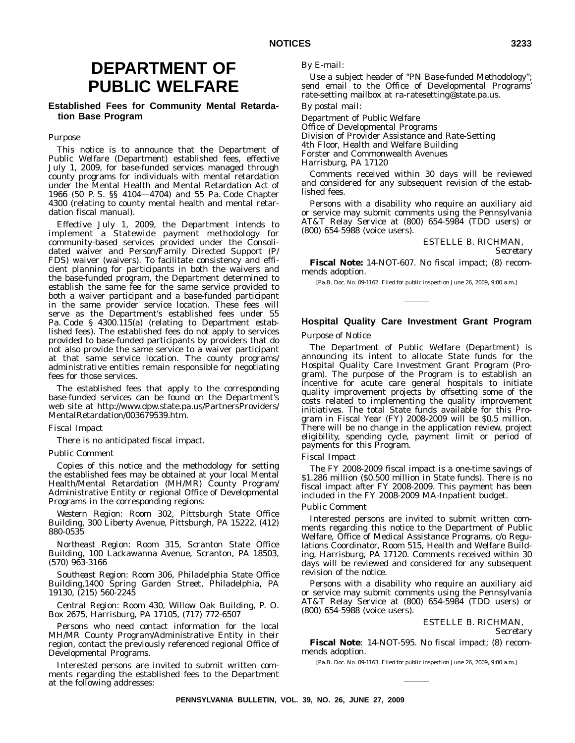## **DEPARTMENT OF PUBLIC WELFARE**

### **Established Fees for Community Mental Retardation Base Program**

### *Purpose*

This notice is to announce that the Department of Public Welfare (Department) established fees, effective July 1, 2009, for base-funded services managed through county programs for individuals with mental retardation under the Mental Health and Mental Retardation Act of 1966 (50 P. S. §§ 4104—4704) and 55 Pa. Code Chapter 4300 (relating to county mental health and mental retardation fiscal manual).

Effective July 1, 2009, the Department intends to implement a Statewide payment methodology for community-based services provided under the Consolidated waiver and Person/Family Directed Support (P/ FDS) waiver (waivers). To facilitate consistency and efficient planning for participants in both the waivers and the base-funded program, the Department determined to establish the same fee for the same service provided to both a waiver participant and a base-funded participant in the same provider service location. These fees will serve as the Department's established fees under 55 Pa. Code § 4300.115(a) (relating to Department established fees). The established fees do not apply to services provided to base-funded participants by providers that do not also provide the same service to a waiver participant at that same service location. The county programs/ administrative entities remain responsible for negotiating fees for those services.

The established fees that apply to the corresponding base-funded services can be found on the Department's web site at http://www.dpw.state.pa.us/PartnersProviders/ MentalRetardation/003679539.htm.

### *Fiscal Impact*

There is no anticipated fiscal impact.

### *Public Comment*

Copies of this notice and the methodology for setting the established fees may be obtained at your local Mental Health/Mental Retardation (MH/MR) County Program/ Administrative Entity or regional Office of Developmental Programs in the corresponding regions:

*Western Region*: Room 302, Pittsburgh State Office Building, 300 Liberty Avenue, Pittsburgh, PA 15222, (412) 880-0535

*Northeast Region*: Room 315, Scranton State Office Building, 100 Lackawanna Avenue, Scranton, PA 18503, (570) 963-3166

*Southeast Region*: Room 306, Philadelphia State Office Building,1400 Spring Garden Street, Philadelphia, PA 19130, (215) 560-2245

*Central Region:* Room 430, Willow Oak Building, P. O. Box 2675, Harrisburg, PA 17105, (717) 772-6507

Persons who need contact information for the local MH/MR County Program/Administrative Entity in their region, contact the previously referenced regional Office of Developmental Programs.

Interested persons are invited to submit written comments regarding the established fees to the Department at the following addresses:

### *By E-mail:*

Use a subject header of ''PN Base-funded Methodology''; send email to the Office of Developmental Programs' rate-setting mailbox at ra-ratesetting@state.pa.us.

### *By postal mail:*

Department of Public Welfare Office of Developmental Programs Division of Provider Assistance and Rate-Setting 4th Floor, Health and Welfare Building Forster and Commonwealth Avenues Harrisburg, PA 17120

Comments received within 30 days will be reviewed and considered for any subsequent revision of the established fees.

Persons with a disability who require an auxiliary aid or service may submit comments using the Pennsylvania AT&T Relay Service at (800) 654-5984 (TDD users) or (800) 654-5988 (voice users).

#### ESTELLE B. RICHMAN,

*Secretary*

**Fiscal Note:** 14-NOT-607. No fiscal impact; (8) recommends adoption.

[Pa.B. Doc. No. 09-1162. Filed for public inspection June 26, 2009, 9:00 a.m.]

### **Hospital Quality Care Investment Grant Program**

#### *Purpose of Notice*

The Department of Public Welfare (Department) is announcing its intent to allocate State funds for the Hospital Quality Care Investment Grant Program (Program). The purpose of the Program is to establish an incentive for acute care general hospitals to initiate quality improvement projects by offsetting some of the costs related to implementing the quality improvement initiatives. The total State funds available for this Program in Fiscal Year (FY) 2008-2009 will be \$0.5 million. There will be no change in the application review, project eligibility, spending cycle, payment limit or period of payments for this Program.

#### *Fiscal Impact*

The FY 2008-2009 fiscal impact is a one-time savings of \$1.286 million (\$0.500 million in State funds). There is no fiscal impact after FY 2008-2009. This payment has been included in the FY 2008-2009 MA-Inpatient budget.

#### *Public Comment*

Interested persons are invited to submit written comments regarding this notice to the Department of Public Welfare, Office of Medical Assistance Programs, c/o Regulations Coordinator, Room 515, Health and Welfare Building, Harrisburg, PA 17120. Comments received within 30 days will be reviewed and considered for any subsequent revision of the notice.

Persons with a disability who require an auxiliary aid or service may submit comments using the Pennsylvania AT&T Relay Service at (800) 654-5984 (TDD users) or (800) 654-5988 (voice users).

#### ESTELLE B. RICHMAN, *Secretary*

**Fiscal Note**: 14-NOT-595. No fiscal impact; (8) recommends adoption.

[Pa.B. Doc. No. 09-1163. Filed for public inspection June 26, 2009, 9:00 a.m.]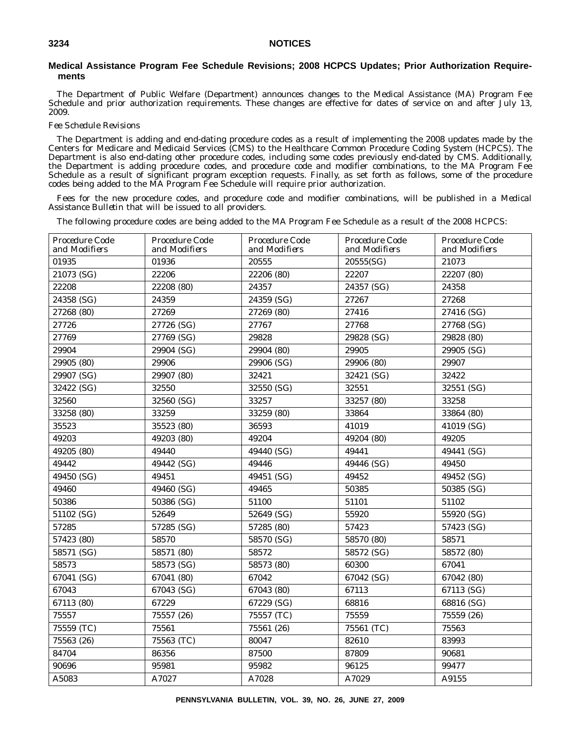### **Medical Assistance Program Fee Schedule Revisions; 2008 HCPCS Updates; Prior Authorization Requirements**

The Department of Public Welfare (Department) announces changes to the Medical Assistance (MA) Program Fee Schedule and prior authorization requirements. These changes are effective for dates of service on and after July 13, 2009.

#### *Fee Schedule Revisions*

The Department is adding and end-dating procedure codes as a result of implementing the 2008 updates made by the Centers for Medicare and Medicaid Services (CMS) to the Healthcare Common Procedure Coding System (HCPCS). The Department is also end-dating other procedure codes, including some codes previously end-dated by CMS. Additionally, the Department is adding procedure codes, and procedure code and modifier combinations, to the MA Program Fee Schedule as a result of significant program exception requests. Finally, as set forth as follows, some of the procedure codes being added to the MA Program Fee Schedule will require prior authorization.

Fees for the new procedure codes, and procedure code and modifier combinations, will be published in a *Medical Assistance Bulletin* that will be issued to all providers.

The following procedure codes are being added to the MA Program Fee Schedule as a result of the 2008 HCPCS:

| Procedure Code<br>and Modifiers | Procedure Code<br>and Modifiers | Procedure Code<br>and Modifiers | Procedure Code<br>and Modifiers | Procedure Code<br>and Modifiers |
|---------------------------------|---------------------------------|---------------------------------|---------------------------------|---------------------------------|
| 01935                           | 01936                           | 20555                           | 20555(SG)                       | 21073                           |
| 21073 (SG)                      | 22206                           | 22206 (80)                      | 22207                           | 22207 (80)                      |
| 22208                           | 22208 (80)                      | 24357                           | 24357 (SG)                      | 24358                           |
| 24358 (SG)                      | 24359                           | 24359 (SG)                      | 27267                           | 27268                           |
| 27268 (80)                      | 27269                           | 27269 (80)                      | 27416                           | 27416 (SG)                      |
| 27726                           | 27726 (SG)                      | 27767                           | 27768                           | 27768 (SG)                      |
| 27769                           | 27769 (SG)                      | 29828                           | 29828 (SG)                      | 29828 (80)                      |
| 29904                           | 29904 (SG)                      | 29904 (80)                      | 29905                           | 29905 (SG)                      |
| 29905 (80)                      | 29906                           | 29906 (SG)                      | 29906 (80)                      | 29907                           |
| 29907 (SG)                      | 29907 (80)                      | 32421                           | 32421 (SG)                      | 32422                           |
| 32422 (SG)                      | 32550                           | 32550 (SG)                      | 32551                           | 32551 (SG)                      |
| 32560                           | 32560 (SG)                      | 33257                           | 33257 (80)                      | 33258                           |
| 33258 (80)                      | 33259                           | 33259 (80)                      | 33864                           | 33864 (80)                      |
| 35523                           | 35523 (80)                      | 36593                           | 41019                           | 41019 (SG)                      |
| 49203                           | 49203 (80)                      | 49204                           | 49204 (80)                      | 49205                           |
| 49205 (80)                      | 49440                           | 49440 (SG)                      | 49441                           | 49441 (SG)                      |
| 49442                           | 49442 (SG)                      | 49446                           | 49446 (SG)                      | 49450                           |
| 49450 (SG)                      | 49451                           | 49451 (SG)                      | 49452                           | 49452 (SG)                      |
| 49460                           | 49460 (SG)                      | 49465                           | 50385                           | 50385 (SG)                      |
| 50386                           | 50386 (SG)                      | 51100                           | 51101                           | 51102                           |
| 51102 (SG)                      | 52649                           | 52649 (SG)                      | 55920                           | 55920 (SG)                      |
| 57285                           | 57285 (SG)                      | 57285 (80)                      | 57423                           | 57423 (SG)                      |
| 57423 (80)                      | 58570                           | 58570 (SG)                      | 58570 (80)                      | 58571                           |
| 58571 (SG)                      | 58571 (80)                      | 58572                           | 58572 (SG)                      | 58572 (80)                      |
| 58573                           | 58573 (SG)                      | 58573 (80)                      | 60300                           | 67041                           |
| 67041 (SG)                      | 67041 (80)                      | 67042                           | 67042 (SG)                      | 67042 (80)                      |
| 67043                           | 67043 (SG)                      | 67043 (80)                      | 67113                           | 67113 (SG)                      |
| 67113 (80)                      | 67229                           | 67229 (SG)                      | 68816                           | 68816 (SG)                      |
| 75557                           | 75557 (26)                      | 75557 (TC)                      | 75559                           | 75559 (26)                      |
| 75559 (TC)                      | 75561                           | 75561 (26)                      | 75561 (TC)                      | 75563                           |
| 75563 (26)                      | 75563 (TC)                      | 80047                           | 82610                           | 83993                           |
| 84704                           | 86356                           | 87500                           | 87809                           | 90681                           |
| 90696                           | 95981                           | 95982                           | 96125                           | 99477                           |
| A5083                           | A7027                           | A7028                           | A7029                           | A9155                           |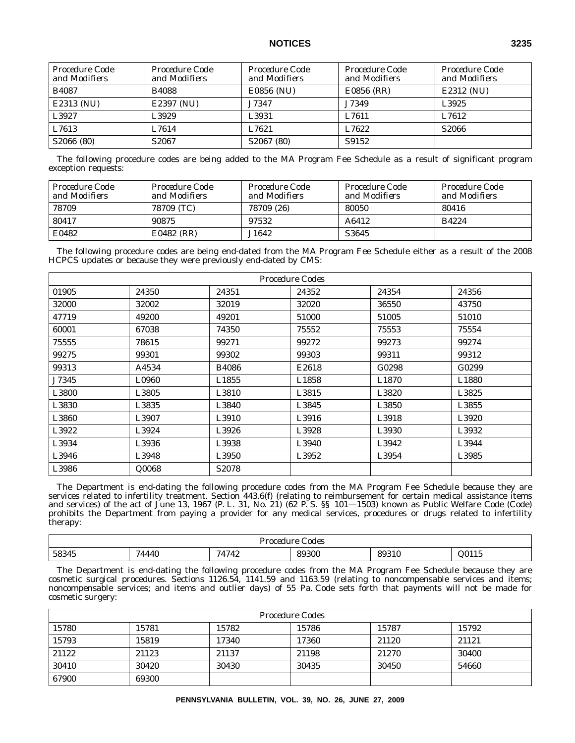| Procedure Code<br>and Modifiers | Procedure Code<br>and Modifiers | Procedure Code<br>and Modifiers | Procedure Code<br>and Modifiers | Procedure Code<br>and Modifiers |
|---------------------------------|---------------------------------|---------------------------------|---------------------------------|---------------------------------|
| <b>B4087</b>                    | <b>B4088</b>                    | E0856 (NU)                      | E0856 (RR)                      | E2312 (NU)                      |
| E2313 (NU)                      | E2397 (NU)                      | J7347                           | J7349                           | L3925                           |
| L3927                           | L3929                           | L3931                           | L7611                           | L7612                           |
| L7613                           | L7614                           | L7621                           | L7622                           | S <sub>2066</sub>               |
| S2066 (80)                      | S <sub>2067</sub>               | S2067 (80)                      | S9152                           |                                 |

The following procedure codes are being added to the MA Program Fee Schedule as a result of significant program exception requests:

| Procedure Code<br>and Modifiers | Procedure Code<br>and Modifiers | Procedure Code<br>and Modifiers | Procedure Code<br>and Modifiers | Procedure Code<br>and Modifiers |
|---------------------------------|---------------------------------|---------------------------------|---------------------------------|---------------------------------|
| 78709                           | 78709 (TC)                      | 78709 (26)                      | 80050                           | 80416                           |
| 80417                           | 90875                           | 97532                           | A6412                           | B4224                           |
| E0482                           | E0482 (RR)                      | J1642                           | S3645                           |                                 |

The following procedure codes are being end-dated from the MA Program Fee Schedule either as a result of the 2008 HCPCS updates or because they were previously end-dated by CMS:

| <i>Procedure Codes</i> |       |                    |       |                   |                   |
|------------------------|-------|--------------------|-------|-------------------|-------------------|
| 01905                  | 24350 | 24351              | 24352 | 24354             | 24356             |
| 32000                  | 32002 | 32019              | 32020 | 36550             | 43750             |
| 47719                  | 49200 | 49201              | 51000 | 51005             | 51010             |
| 60001                  | 67038 | 74350              | 75552 | 75553             | 75554             |
| 75555                  | 78615 | 99271              | 99272 | 99273             | 99274             |
| 99275                  | 99301 | 99302              | 99303 | 99311             | 99312             |
| 99313                  | A4534 | <b>B4086</b>       | E2618 | G0298             | G0299             |
| J7345                  | L0960 | L1855              | L1858 | L <sub>1870</sub> | L <sub>1880</sub> |
| L3800                  | L3805 | L3810              | L3815 | L3820             | L3825             |
| L3830                  | L3835 | L3840              | L3845 | L3850             | L3855             |
| L3860                  | L3907 | L3910              | L3916 | L3918             | L3920             |
| L3922                  | L3924 | L3926              | L3928 | L3930             | L3932             |
| L3934                  | L3936 | L3938              | L3940 | L3942             | L3944             |
| L3946                  | L3948 | L3950              | L3952 | L3954             | L3985             |
| L3986                  | Q0068 | S <sub>2</sub> 078 |       |                   |                   |

The Department is end-dating the following procedure codes from the MA Program Fee Schedule because they are services related to infertility treatment. Section 443.6(f) (relating to reimbursement for certain medical assistance items and services) of the act of June 13, 1967 (P. L. 31, No. 21) (62 P. S. §§ 101—1503) known as Public Welfare Code (Code) prohibits the Department from paying a provider for any medical services, procedures or drugs related to infertility therapy:

| odes<br><b>XX10</b><br>.<br>. |                                                     |                                                                   |                      |     |              |
|-------------------------------|-----------------------------------------------------|-------------------------------------------------------------------|----------------------|-----|--------------|
| 58345<br>---                  | 71<br>$\overline{\phantom{a}}$<br>$\sqrt{ }$<br>ITV | 717<br>74<br>.<br>the contract of the contract of the contract of | 00000<br>ำ∪∪<br>,,,, | 89: | .<br>ററ<br>. |

The Department is end-dating the following procedure codes from the MA Program Fee Schedule because they are cosmetic surgical procedures. Sections 1126.54, 1141.59 and 1163.59 (relating to noncompensable services and items; noncompensable services; and items and outlier days) of 55 Pa. Code sets forth that payments will not be made for cosmetic surgery:

| Procedure Codes |       |       |       |       |       |
|-----------------|-------|-------|-------|-------|-------|
| 15780           | 15781 | 15782 | 15786 | 15787 | 15792 |
| 15793           | 15819 | 17340 | 17360 | 21120 | 21121 |
| 21122           | 21123 | 21137 | 21198 | 21270 | 30400 |
| 30410           | 30420 | 30430 | 30435 | 30450 | 54660 |
| 67900           | 69300 |       |       |       |       |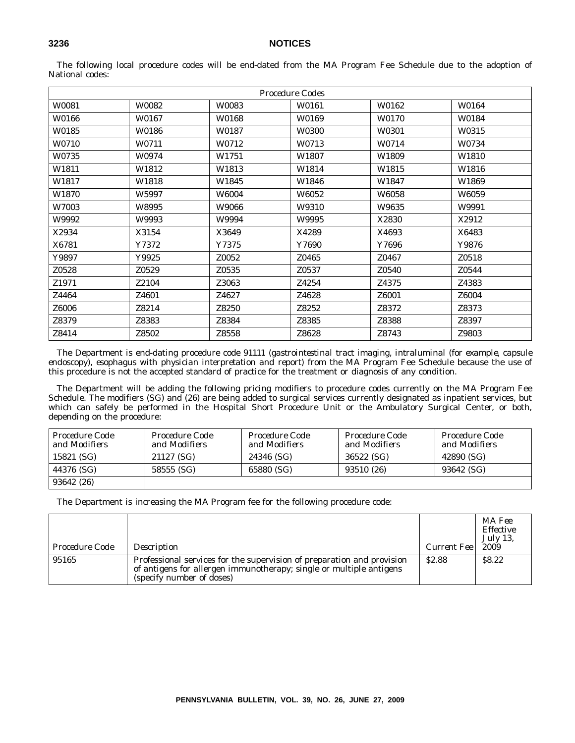| <i>Procedure Codes</i> |              |              |       |       |       |
|------------------------|--------------|--------------|-------|-------|-------|
| W0081                  | W0082        | W0083        | W0161 | W0162 | W0164 |
| W0166                  | W0167        | W0168        | W0169 | W0170 | W0184 |
| W0185                  | <b>W0186</b> | W0187        | W0300 | W0301 | W0315 |
| <b>W0710</b>           | W0711        | W0712        | W0713 | W0714 | W0734 |
| W0735                  | <b>W0974</b> | W1751        | W1807 | W1809 | W1810 |
| W1811                  | W1812        | W1813        | W1814 | W1815 | W1816 |
| W1817                  | W1818        | W1845        | W1846 | W1847 | W1869 |
| <b>W1870</b>           | W5997        | <b>W6004</b> | W6052 | W6058 | W6059 |
| <b>W7003</b>           | W8995        | W9066        | W9310 | W9635 | W9991 |
| W9992                  | W9993        | W9994        | W9995 | X2830 | X2912 |
| X2934                  | X3154        | X3649        | X4289 | X4693 | X6483 |
| X6781                  | Y7372        | Y7375        | Y7690 | Y7696 | Y9876 |
| Y9897                  | Y9925        | Z0052        | Z0465 | Z0467 | Z0518 |
| Z0528                  | Z0529        | Z0535        | Z0537 | Z0540 | Z0544 |
| Z1971                  | Z2104        | Z3063        | Z4254 | Z4375 | Z4383 |
| Z4464                  | Z4601        | Z4627        | Z4628 | Z6001 | Z6004 |
| Z6006                  | Z8214        | Z8250        | Z8252 | Z8372 | Z8373 |
| Z8379                  | Z8383        | Z8384        | Z8385 | Z8388 | Z8397 |
| Z8414                  | Z8502        | Z8558        | Z8628 | Z8743 | Z9803 |

The following local procedure codes will be end-dated from the MA Program Fee Schedule due to the adoption of National codes:

The Department is end-dating procedure code 91111 (*gastrointestinal tract imaging, intraluminal* (*for example, capsule endoscopy*)*, esophagus with physician interpretation and report*) from the MA Program Fee Schedule because the use of this procedure is not the accepted standard of practice for the treatment or diagnosis of any condition.

The Department will be adding the following pricing modifiers to procedure codes currently on the MA Program Fee Schedule. The modifiers (SG) and (26) are being added to surgical services currently designated as inpatient services, but which can safely be performed in the Hospital Short Procedure Unit or the Ambulatory Surgical Center, or both, depending on the procedure:

| Procedure Code<br>and Modifiers | Procedure Code<br>and Modifiers | Procedure Code<br>and Modifiers | Procedure Code<br>and Modifiers | Procedure Code<br>and Modifiers |
|---------------------------------|---------------------------------|---------------------------------|---------------------------------|---------------------------------|
| 15821 (SG)                      | 21127 (SG)                      | 24346 (SG)                      | 36522 (SG)                      | 42890 (SG)                      |
| 44376 (SG)                      | 58555 (SG)                      | 65880 (SG)                      | 93510 (26)                      | 93642 (SG)                      |
| 93642 (26)                      |                                 |                                 |                                 |                                 |

The Department is increasing the MA Program fee for the following procedure code:

| Procedure Code | Description                                                                                                                                                                | Current Fee  | MA Fee<br><i>Effective</i><br><i>July 13.</i><br><i>2009</i> |
|----------------|----------------------------------------------------------------------------------------------------------------------------------------------------------------------------|--------------|--------------------------------------------------------------|
| 95165          | Professional services for the supervision of preparation and provision<br>of antigens for allergen immunotherapy; single or multiple antigens<br>(specify number of doses) | <b>S2.88</b> | \$8.22                                                       |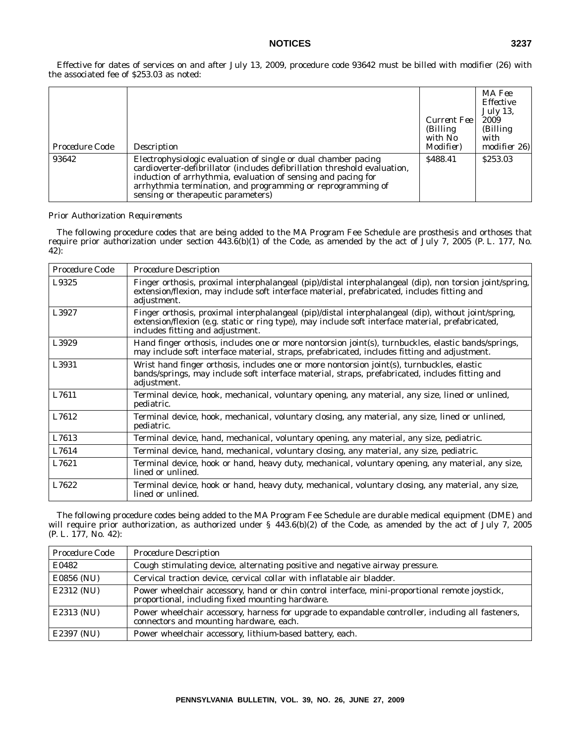Effective for dates of services on and after July 13, 2009, procedure code 93642 must be billed with modifier (26) with the associated fee of \$253.03 as noted:

| Procedure Code | Description                                                                                                                                                                                                                                                                                                       | Current Fee<br>(Billing)<br>with No<br><i>Modifier</i> ) | MA Fee<br><i>Effective</i><br><i>July 13,</i><br>2009<br>(Billing)<br>with<br>modifier 26) |
|----------------|-------------------------------------------------------------------------------------------------------------------------------------------------------------------------------------------------------------------------------------------------------------------------------------------------------------------|----------------------------------------------------------|--------------------------------------------------------------------------------------------|
| 93642          | Electrophysiologic evaluation of single or dual chamber pacing<br>cardioverter-defibrillator (includes defibrillation threshold evaluation,<br>induction of arrhythmia, evaluation of sensing and pacing for<br>arrhythmia termination, and programming or reprogramming of<br>sensing or therapeutic parameters) | \$488.41                                                 | \$253.03                                                                                   |

### *Prior Authorization Requirements*

The following procedure codes that are being added to the MA Program Fee Schedule are prosthesis and orthoses that require prior authorization under section 443.6(b)(1) of the Code, as amended by the act of July 7, 2005 (P. L. 177, No. 42):

| Procedure Code | <b>Procedure Description</b>                                                                                                                                                                                                                 |
|----------------|----------------------------------------------------------------------------------------------------------------------------------------------------------------------------------------------------------------------------------------------|
| L9325          | Finger orthosis, proximal interphalangeal (pip)/distal interphalangeal (dip), non torsion joint/spring,<br>extension/flexion, may include soft interface material, prefabricated, includes fitting and<br>adjustment.                        |
| L3927          | Finger orthosis, proximal interphalangeal (pip)/distal interphalangeal (dip), without joint/spring,<br>extension/flexion (e.g. static or ring type), may include soft interface material, prefabricated,<br>includes fitting and adjustment. |
| L3929          | Hand finger orthosis, includes one or more nontorsion joint(s), turnbuckles, elastic bands/springs,<br>may include soft interface material, straps, prefabricated, includes fitting and adjustment.                                          |
| L3931          | Wrist hand finger orthosis, includes one or more nontorsion joint(s), turnbuckles, elastic<br>bands/springs, may include soft interface material, straps, prefabricated, includes fitting and<br>adjustment.                                 |
| L7611          | Terminal device, hook, mechanical, voluntary opening, any material, any size, lined or unlined,<br>pediatric.                                                                                                                                |
| L7612          | Terminal device, hook, mechanical, voluntary closing, any material, any size, lined or unlined,<br>pediatric.                                                                                                                                |
| L7613          | Terminal device, hand, mechanical, voluntary opening, any material, any size, pediatric.                                                                                                                                                     |
| L7614          | Terminal device, hand, mechanical, voluntary closing, any material, any size, pediatric.                                                                                                                                                     |
| L7621          | Terminal device, hook or hand, heavy duty, mechanical, voluntary opening, any material, any size,<br>lined or unlined.                                                                                                                       |
| L7622          | Terminal device, hook or hand, heavy duty, mechanical, voluntary closing, any material, any size,<br>lined or unlined.                                                                                                                       |

The following procedure codes being added to the MA Program Fee Schedule are durable medical equipment (DME) and will require prior authorization, as authorized under § 443.6(b)(2) of the Code, as amended by the act of July 7, 2005 (P. L. 177, No. 42):

| Procedure Code | <b>Procedure Description</b>                                                                                                                       |
|----------------|----------------------------------------------------------------------------------------------------------------------------------------------------|
| E0482          | Cough stimulating device, alternating positive and negative airway pressure.                                                                       |
| E0856 (NU)     | Cervical traction device, cervical collar with inflatable air bladder.                                                                             |
| E2312 (NU)     | Power wheelchair accessory, hand or chin control interface, mini-proportional remote joystick,<br>proportional, including fixed mounting hardware. |
| E2313 (NU)     | Power wheelchair accessory, harness for upgrade to expandable controller, including all fasteners,<br>connectors and mounting hardware, each.      |
| E2397 (NU)     | Power wheelchair accessory, lithium-based battery, each.                                                                                           |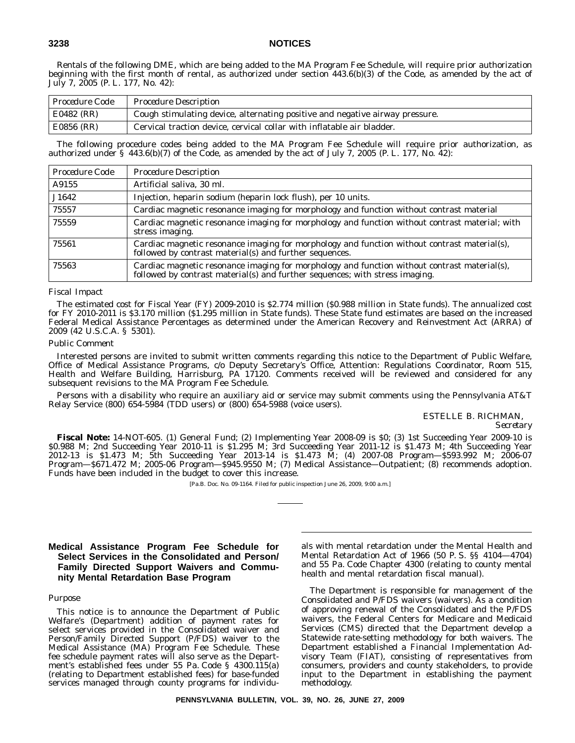Rentals of the following DME, which are being added to the MA Program Fee Schedule, will require prior authorization beginning with the first month of rental, as authorized under section 443.6(b)(3) of the Code, as amended by the act of July 7, 2005 (P. L. 177, No. 42):

| <i>Procedure Code</i> | <b>Procedure Description</b>                                                 |
|-----------------------|------------------------------------------------------------------------------|
| E0482 (RR)            | Cough stimulating device, alternating positive and negative airway pressure. |
| E0856 (RR)            | Cervical traction device, cervical collar with inflatable air bladder.       |

The following procedure codes being added to the MA Program Fee Schedule will require prior authorization, as authorized under § 443.6(b)(7) of the Code, as amended by the act of July 7, 2005 (P. L. 177, No. 42):

| Procedure Code | <b>Procedure Description</b>                                                                                                                                                 |
|----------------|------------------------------------------------------------------------------------------------------------------------------------------------------------------------------|
| A9155          | Artificial saliva, 30 ml.                                                                                                                                                    |
| J1642          | Injection, heparin sodium (heparin lock flush), per 10 units.                                                                                                                |
| 75557          | Cardiac magnetic resonance imaging for morphology and function without contrast material                                                                                     |
| 75559          | Cardiac magnetic resonance imaging for morphology and function without contrast material; with<br>stress imaging.                                                            |
| 75561          | Cardiac magnetic resonance imaging for morphology and function without contrast material(s),<br>followed by contrast material(s) and further sequences.                      |
| 75563          | Cardiac magnetic resonance imaging for morphology and function without contrast material(s),<br>followed by contrast material(s) and further sequences; with stress imaging. |

### *Fiscal Impact*

The estimated cost for Fiscal Year (FY) 2009-2010 is \$2.774 million (\$0.988 million in State funds). The annualized cost for FY 2010-2011 is \$3.170 million (\$1.295 million in State funds). These State fund estimates are based on the increased Federal Medical Assistance Percentages as determined under the American Recovery and Reinvestment Act (ARRA) of 2009 (42 U.S.C.A. § 5301).

### *Public Comment*

Interested persons are invited to submit written comments regarding this notice to the Department of Public Welfare, Office of Medical Assistance Programs, c/o Deputy Secretary's Office, Attention: Regulations Coordinator, Room 515, Health and Welfare Building, Harrisburg, PA 17120. Comments received will be reviewed and considered for any subsequent revisions to the MA Program Fee Schedule.

Persons with a disability who require an auxiliary aid or service may submit comments using the Pennsylvania AT&T Relay Service (800) 654-5984 (TDD users) or (800) 654-5988 (voice users).

> ESTELLE B. RICHMAN, *Secretary*

**Fiscal Note:** 14-NOT-605. (1) General Fund; (2) Implementing Year 2008-09 is \$0; (3) 1st Succeeding Year 2009-10 is \$0.988 M; 2nd Succeeding Year 2010-11 is \$1.295 M; 3rd Succeeding Year 2011-12 is \$1.473 M; 4th Succeeding Year 2012-13 is \$1.473 M; 5th Succeeding Year 2013-14 is \$1.473 M; (4) 2007-08 Program—\$593.992 M; 2006-07 Program—\$671.472 M; 2005-06 Program—\$945.9550 M; (7) Medical Assistance—Outpatient; (8) recommends adoption. Funds have been included in the budget to cover this increase.

[Pa.B. Doc. No. 09-1164. Filed for public inspection June 26, 2009, 9:00 a.m.]

### **Medical Assistance Program Fee Schedule for Select Services in the Consolidated and Person/ Family Directed Support Waivers and Community Mental Retardation Base Program**

#### *Purpose*

This notice is to announce the Department of Public Welfare's (Department) addition of payment rates for select services provided in the Consolidated waiver and Person/Family Directed Support (P/FDS) waiver to the Medical Assistance (MA) Program Fee Schedule. These fee schedule payment rates will also serve as the Department's established fees under 55 Pa. Code § 4300.115(a) (relating to Department established fees) for base-funded services managed through county programs for individuals with mental retardation under the Mental Health and Mental Retardation Act of 1966 (50 P. S. §§ 4104—4704) and 55 Pa. Code Chapter 4300 (relating to county mental health and mental retardation fiscal manual).

The Department is responsible for management of the Consolidated and P/FDS waivers (waivers). As a condition of approving renewal of the Consolidated and the P/FDS waivers, the Federal Centers for Medicare and Medicaid Services (CMS) directed that the Department develop a Statewide rate-setting methodology for both waivers. The Department established a Financial Implementation Advisory Team (FIAT), consisting of representatives from consumers, providers and county stakeholders, to provide input to the Department in establishing the payment methodology.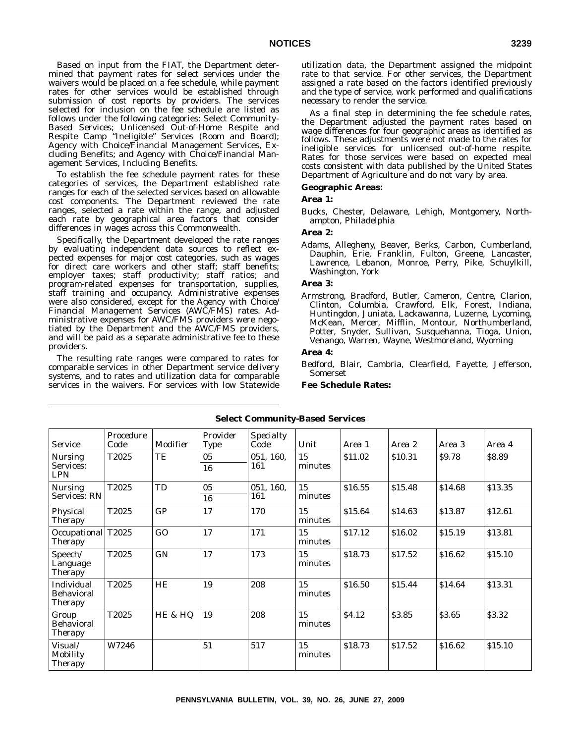Based on input from the FIAT, the Department determined that payment rates for select services under the waivers would be placed on a fee schedule, while payment rates for other services would be established through submission of cost reports by providers. The services selected for inclusion on the fee schedule are listed as follows under the following categories: Select Community-Based Services; Unlicensed Out-of-Home Respite and Respite Camp ''Ineligible'' Services (Room and Board); Agency with Choice/Financial Management Services, Excluding Benefits; and Agency with Choice/Financial Management Services, Including Benefits.

To establish the fee schedule payment rates for these categories of services, the Department established rate ranges for each of the selected services based on allowable cost components. The Department reviewed the rate ranges, selected a rate within the range, and adjusted each rate by geographical area factors that consider differences in wages across this Commonwealth.

Specifically, the Department developed the rate ranges by evaluating independent data sources to reflect expected expenses for major cost categories, such as wages for direct care workers and other staff; staff benefits; employer taxes; staff productivity; staff ratios; and program-related expenses for transportation, supplies, staff training and occupancy. Administrative expenses were also considered, except for the Agency with Choice/ Financial Management Services (AWC/FMS) rates. Administrative expenses for AWC/FMS providers were negotiated by the Department and the AWC/FMS providers, and will be paid as a separate administrative fee to these providers.

The resulting rate ranges were compared to rates for comparable services in other Department service delivery systems, and to rates and utilization data for comparable services in the waivers. For services with low Statewide

utilization data, the Department assigned the midpoint rate to that service. For other services, the Department assigned a rate based on the factors identified previously and the type of service, work performed and qualifications necessary to render the service.

As a final step in determining the fee schedule rates, the Department adjusted the payment rates based on wage differences for four geographic areas as identified as follows. These adjustments were not made to the rates for ineligible services for unlicensed out-of-home respite. Rates for those services were based on expected meal costs consistent with data published by the United States Department of Agriculture and do not vary by area.

### **Geographic Areas:**

### **Area 1:**

Bucks, Chester, Delaware, Lehigh, Montgomery, Northampton, Philadelphia

### **Area 2:**

Adams, Allegheny, Beaver, Berks, Carbon, Cumberland, Dauphin, Erie, Franklin, Fulton, Greene, Lancaster, Lawrence, Lebanon, Monroe, Perry, Pike, Schuylkill, Washington, York

### **Area 3:**

Armstrong, Bradford, Butler, Cameron, Centre, Clarion, Clinton, Columbia, Crawford, Elk, Forest, Indiana, Huntingdon, Juniata, Lackawanna, Luzerne, Lycoming, McKean, Mercer, Mifflin, Montour, Northumberland, Potter, Snyder, Sullivan, Susquehanna, Tioga, Union, Venango, Warren, Wayne, Westmoreland, Wyoming

#### **Area 4:**

Bedford, Blair, Cambria, Clearfield, Fayette, Jefferson, Somerset

**Fee Schedule Rates:**

| <b>Service</b>                             | Procedure<br>Code | Modifier | Provider<br><b>Type</b> | Specialty<br>Code | Unit          | Area 1            | Area 2  | Area 3  | Area 4  |
|--------------------------------------------|-------------------|----------|-------------------------|-------------------|---------------|-------------------|---------|---------|---------|
| <b>Nursing</b><br>Services:<br><b>LPN</b>  | T2025             | TE       | 05<br>16                | 051, 160,<br>161  | 15<br>minutes | \$11.02           | \$10.31 | \$9.78  | \$8.89  |
| <b>Nursing</b><br>Services: RN             | T2025             | TD       | 05<br>16                | 051, 160,<br>161  | 15<br>minutes | \$16.55           | \$15.48 | \$14.68 | \$13.35 |
| Physical<br>Therapy                        | T2025             | GP       | 17                      | 170               | 15<br>minutes | \$15.64           | \$14.63 | \$13.87 | \$12.61 |
| Occupational T2025<br><b>Therapy</b>       |                   | GO       | 17                      | 171               | 15<br>minutes | \$17.12           | \$16.02 | \$15.19 | \$13.81 |
| Speech/<br>Language<br><b>Therapy</b>      | T2025             | GN       | 17                      | 173               | 15<br>minutes | \$18.73           | \$17.52 | \$16.62 | \$15.10 |
| Individual<br>Behavioral<br><b>Therapy</b> | T2025             | HE       | 19                      | 208               | 15<br>minutes | \$16.50           | \$15.44 | \$14.64 | \$13.31 |
| Group<br>Behavioral<br><b>Therapy</b>      | T2025             | HE & HQ  | 19                      | 208               | 15<br>minutes | S <sub>4.12</sub> | \$3.85  | \$3.65  | \$3.32  |
| Visual/<br>Mobility<br><b>Therapy</b>      | W7246             |          | 51                      | 517               | 15<br>minutes | \$18.73           | \$17.52 | \$16.62 | \$15.10 |

### **Select Community-Based Services**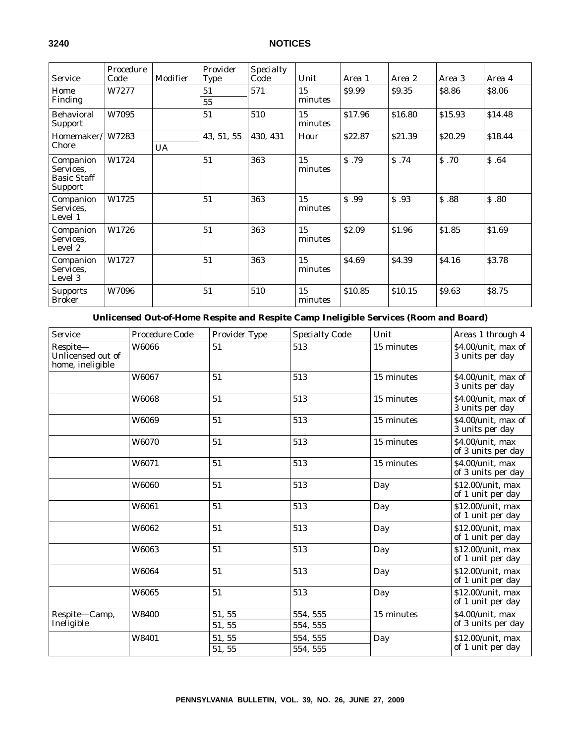| <i>Service</i>                                          | Procedure<br>Code | Modifier  | Provider<br><b>Type</b> | <b>Specialty</b><br>Code | Unit          | Area 1       | Area 2  | Area 3       | Area 4  |
|---------------------------------------------------------|-------------------|-----------|-------------------------|--------------------------|---------------|--------------|---------|--------------|---------|
| Home<br>Finding                                         | W7277             |           | 51<br>55                | 571                      | 15<br>minutes | \$9.99       | \$9.35  | \$8.86       | \$8.06  |
| <b>Behavioral</b><br><b>Support</b>                     | W7095             |           | 51                      | 510                      | 15<br>minutes | \$17.96      | \$16.80 | \$15.93      | \$14.48 |
| Homemaker/<br>Chore                                     | W7283             | <b>UA</b> | 43, 51, 55              | 430, 431                 | Hour          | \$22.87      | \$21.39 | \$20.29      | \$18.44 |
| Companion<br>Services,<br><b>Basic Staff</b><br>Support | W1724             |           | 51                      | 363                      | 15<br>minutes | \$.79        | S.74    | \$.70        | \$.64   |
| Companion<br>Services.<br>Level 1                       | W1725             |           | 51                      | 363                      | 15<br>minutes | \$.99        | \$.93   | \$.88        | S.80    |
| Companion<br>Services,<br>Level 2                       | W1726             |           | 51                      | 363                      | 15<br>minutes | <b>S2.09</b> | \$1.96  | \$1.85       | \$1.69  |
| Companion<br>Services,<br>Level 3                       | W1727             |           | 51                      | 363                      | 15<br>minutes | \$4.69       | \$4.39  | <b>S4.16</b> | \$3.78  |
| <b>Supports</b><br><b>Broker</b>                        | W7096             |           | 51                      | 510                      | 15<br>minutes | \$10.85      | \$10.15 | \$9.63       | \$8.75  |

### **Unlicensed Out-of-Home Respite and Respite Camp Ineligible Services (Room and Board)**

| <b>Service</b>                                    | Procedure Code | Provider Type | <b>Specialty Code</b> | Unit       | Areas 1 through 4                      |
|---------------------------------------------------|----------------|---------------|-----------------------|------------|----------------------------------------|
| Respite-<br>Unlicensed out of<br>home, ineligible | W6066          | 51            | 513                   | 15 minutes | \$4.00/unit, max of<br>3 units per day |
|                                                   | W6067          | 51            | 513                   | 15 minutes | \$4.00/unit, max of<br>3 units per day |
|                                                   | W6068          | 51            | 513                   | 15 minutes | \$4.00/unit, max of<br>3 units per day |
|                                                   | W6069          | 51            | 513                   | 15 minutes | \$4.00/unit, max of<br>3 units per day |
|                                                   | W6070          | 51            | 513                   | 15 minutes | \$4.00/unit, max<br>of 3 units per day |
|                                                   | W6071          | 51            | 513                   | 15 minutes | \$4.00/unit, max<br>of 3 units per day |
|                                                   | W6060          | 51            | 513                   | Day        | \$12.00/unit, max<br>of 1 unit per day |
|                                                   | W6061          | 51            | 513                   | Day        | \$12.00/unit, max<br>of 1 unit per day |
|                                                   | W6062          | 51            | 513                   | Day        | \$12.00/unit, max<br>of 1 unit per day |
|                                                   | W6063          | 51            | 513                   | Day        | \$12.00/unit, max<br>of 1 unit per day |
|                                                   | W6064          | 51            | 513                   | Day        | \$12.00/unit, max<br>of 1 unit per day |
|                                                   | W6065          | 51            | 513                   | Day        | \$12.00/unit, max<br>of 1 unit per day |
| Respite-Camp,                                     | W8400          | 51, 55        | 554, 555              | 15 minutes | $$4.00$ /unit. max                     |
| Ineligible                                        |                | 51, 55        | 554, 555              |            | of 3 units per day                     |
|                                                   | W8401          | 51, 55        | 554, 555              | Day        | \$12.00/unit, max                      |
|                                                   |                | 51, 55        | 554, 555              |            | of 1 unit per day                      |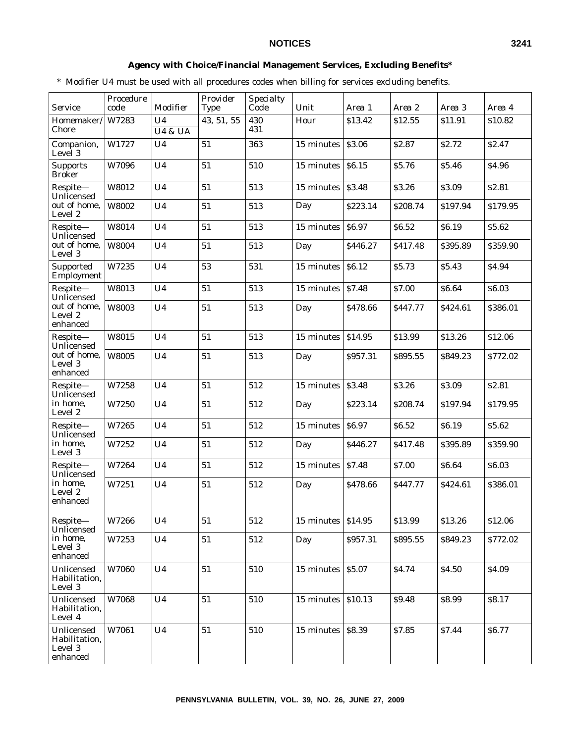### **Agency with Choice/Financial Management Services, Excluding Benefits\***

\* Modifier U4 must be used with all procedures codes when billing for services excluding benefits.

| Service                                            | Procedure<br>code | Modifier           | Provider<br>Type | <b>Specialty</b><br>Code | Unit       | Area 1            | Area 2       | Area 3       | Area 4            |
|----------------------------------------------------|-------------------|--------------------|------------------|--------------------------|------------|-------------------|--------------|--------------|-------------------|
| Homemaker/                                         | W7283             | U <sub>4</sub>     | 43, 51, 55       | 430                      | Hour       | \$13.42           | \$12.55      | \$11.91      | \$10.82           |
| Chore                                              |                   | <b>U4 &amp; UA</b> |                  | 431                      |            |                   |              |              |                   |
| Companion,<br>Level 3                              | W1727             | U <sub>4</sub>     | 51               | 363                      | 15 minutes | \$3.06            | \$2.87       | <b>S2.72</b> | S <sub>2.47</sub> |
| <b>Supports</b><br><b>Broker</b>                   | W7096             | U <sub>4</sub>     | 51               | 510                      | 15 minutes | \$6.15            | \$5.76       | \$5.46       | \$4.96            |
| Respite-<br>Unlicensed                             | W8012             | U <sub>4</sub>     | 51               | 513                      | 15 minutes | \$3.48            | \$3.26       | \$3.09       | \$2.81            |
| out of home,<br>Level 2                            | W8002             | U <sub>4</sub>     | 51               | 513                      | Day        | \$223.14          | \$208.74     | \$197.94     | \$179.95          |
| Respite-<br>Unlicensed                             | W8014             | U <sub>4</sub>     | 51               | 513                      | 15 minutes | S <sub>6.97</sub> | \$6.52       | <b>S6.19</b> | \$5.62            |
| out of home,<br>Level 3                            | W8004             | U <sub>4</sub>     | 51               | 513                      | Day        | \$446.27          | \$417.48     | \$395.89     | \$359.90          |
| Supported<br>Employment                            | W7235             | U <sub>4</sub>     | 53               | 531                      | 15 minutes | \$6.12            | \$5.73       | \$5.43       | <b>S4.94</b>      |
| Respite-<br>Unlicensed                             | W8013             | U <sub>4</sub>     | 51               | 513                      | 15 minutes | \$7.48            | \$7.00       | \$6.64       | \$6.03            |
| out of home,<br>Level 2<br>enhanced                | W8003             | U <sub>4</sub>     | 51               | 513                      | Day        | \$478.66          | \$447.77     | \$424.61     | \$386.01          |
| Respite-<br>Unlicensed                             | W8015             | U <sub>4</sub>     | 51               | 513                      | 15 minutes | \$14.95           | \$13.99      | \$13.26      | \$12.06           |
| out of home.<br>Level 3<br>enhanced                | W8005             | U <sub>4</sub>     | 51               | 513                      | Day        | \$957.31          | \$895.55     | \$849.23     | \$772.02          |
| Respite-<br>Unlicensed                             | W7258             | U <sub>4</sub>     | 51               | 512                      | 15 minutes | \$3.48            | \$3.26       | \$3.09       | \$2.81            |
| in home,<br>Level 2                                | W7250             | U <sub>4</sub>     | 51               | 512                      | Day        | \$223.14          | \$208.74     | \$197.94     | \$179.95          |
| Respite-<br>Unlicensed                             | W7265             | U <sub>4</sub>     | 51               | 512                      | 15 minutes | \$6.97            | \$6.52       | \$6.19       | \$5.62            |
| in home,<br>Level 3                                | W7252             | U <sub>4</sub>     | 51               | 512                      | Day        | \$446.27          | \$417.48     | \$395.89     | \$359.90          |
| Respite-<br>Unlicensed                             | W7264             | U <sub>4</sub>     | 51               | 512                      | 15 minutes | \$7.48            | <b>S7.00</b> | <b>S6.64</b> | \$6.03            |
| in home,<br>Level 2<br>enhanced                    | W7251             | U <sub>4</sub>     | 51               | 512                      | Day        | \$478.66          | S447.77      | \$424.61     | \$386.01          |
| Respite-<br>Unlicensed                             | W7266             | U4                 | ${\bf 51}$       | 512                      | 15 minutes | \$14.95           | \$13.99      | \$13.26      | \$12.06           |
| in home,<br>Level 3<br>enhanced                    | W7253             | U <sub>4</sub>     | 51               | 512                      | Day        | \$957.31          | \$895.55     | \$849.23     | \$772.02          |
| Unlicensed<br>Habilitation,<br>Level 3             | W7060             | U <sub>4</sub>     | 51               | 510                      | 15 minutes | \$5.07            | \$4.74       | \$4.50       | \$4.09            |
| Unlicensed<br>Habilitation,<br>Level 4             | W7068             | U <sub>4</sub>     | 51               | 510                      | 15 minutes | \$10.13           | \$9.48       | \$8.99       | \$8.17            |
| Unlicensed<br>Habilitation,<br>Level 3<br>enhanced | W7061             | U <sub>4</sub>     | ${\bf 51}$       | 510                      | 15 minutes | \$8.39            | \$7.85       | \$7.44       | \$6.77            |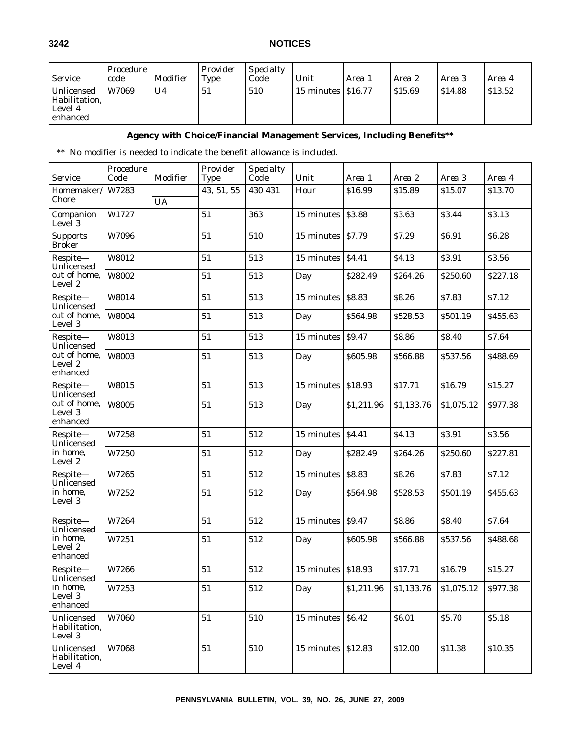| <i>Service</i>                                       | Procedure<br>code | Modifier | Provider<br><b>Type</b> | <i>Specialty</i><br>Code | Unit                                         | Area 1 | Area 2 | Area 3  | Area 4  |
|------------------------------------------------------|-------------------|----------|-------------------------|--------------------------|----------------------------------------------|--------|--------|---------|---------|
| Unlicensed<br>Habilitation.<br>Level 4<br>  enhanced | W7069             | U4       | 51                      | 510                      | $\frac{15}{15}$ minutes $\frac{1516.77}{15}$ |        | S15.69 | \$14.88 | \$13.52 |

### **Agency with Choice/Financial Management Services, Including Benefits\*\***

\*\* No modifier is needed to indicate the benefit allowance is included.

| <i>Service</i>                         | Procedure<br>Code | Modifier  | Provider<br>Type | Specialty<br>$\bar{Code}$ | Unit       | Area 1       | Area 2     | Area 3     | Area 4   |
|----------------------------------------|-------------------|-----------|------------------|---------------------------|------------|--------------|------------|------------|----------|
| Homemaker/<br>Chore                    | W7283             | <b>UA</b> | 43, 51, 55       | 430 431                   | Hour       | \$16.99      | \$15.89    | \$15.07    | \$13.70  |
| Companion<br>Level 3                   | W1727             |           | 51               | 363                       | 15 minutes | \$3.88       | \$3.63     | \$3.44     | \$3.13   |
| <b>Supports</b><br><b>Broker</b>       | W7096             |           | 51               | 510                       | 15 minutes | \$7.79       | \$7.29     | \$6.91     | \$6.28   |
| Respite-<br>Unlicensed                 | W8012             |           | 51               | 513                       | 15 minutes | <b>S4.41</b> | \$4.13     | \$3.91     | \$3.56   |
| out of home,<br>Level 2                | W8002             |           | 51               | 513                       | Day        | \$282.49     | \$264.26   | \$250.60   | \$227.18 |
| Respite-<br>Unlicensed                 | W8014             |           | 51               | 513                       | 15 minutes | \$8.83       | \$8.26     | \$7.83     | \$7.12   |
| out of home,<br>Level 3                | W8004             |           | 51               | 513                       | Day        | \$564.98     | \$528.53   | \$501.19   | \$455.63 |
| Respite-<br>Unlicensed                 | W8013             |           | 51               | 513                       | 15 minutes | \$9.47       | \$8.86     | \$8.40     | \$7.64   |
| out of home,<br>Level 2<br>enhanced    | W8003             |           | 51               | 513                       | Day        | \$605.98     | \$566.88   | \$537.56   | \$488.69 |
| Respite-<br>Unlicensed                 | W8015             |           | 51               | 513                       | 15 minutes | \$18.93      | \$17.71    | \$16.79    | \$15.27  |
| out of home,<br>Level 3<br>enhanced    | W8005             |           | 51               | 513                       | Day        | \$1,211.96   | \$1,133.76 | \$1,075.12 | \$977.38 |
| Respite-<br>Unlicensed                 | W7258             |           | 51               | 512                       | 15 minutes | \$4.41       | \$4.13     | \$3.91     | \$3.56   |
| in home,<br>Level 2                    | W7250             |           | 51               | 512                       | Day        | \$282.49     | \$264.26   | \$250.60   | \$227.81 |
| Respite-<br>Unlicensed                 | W7265             |           | 51               | 512                       | 15 minutes | \$8.83       | \$8.26     | \$7.83     | \$7.12   |
| in home,<br>Level 3                    | W7252             |           | 51               | 512                       | Day        | \$564.98     | \$528.53   | \$501.19   | \$455.63 |
| Respite-<br>Unlicensed                 | W7264             |           | 51               | 512                       | 15 minutes | S9.47        | \$8.86     | \$8.40     | \$7.64   |
| in home,<br>Level 2<br>enhanced        | W7251             |           | 51               | 512                       | Day        | \$605.98     | \$566.88   | \$537.56   | \$488.68 |
| Respite-<br>Unlicensed                 | W7266             |           | 51               | 512                       | 15 minutes | \$18.93      | \$17.71    | \$16.79    | \$15.27  |
| in home,<br>Level 3<br>enhanced        | W7253             |           | 51               | 512                       | Day        | \$1,211.96   | \$1,133.76 | \$1,075.12 | \$977.38 |
| Unlicensed<br>Habilitation,<br>Level 3 | W7060             |           | 51               | 510                       | 15 minutes | \$6.42       | \$6.01     | \$5.70     | \$5.18   |
| Unlicensed<br>Habilitation,<br>Level 4 | W7068             |           | 51               | 510                       | 15 minutes | \$12.83      | \$12.00    | \$11.38    | \$10.35  |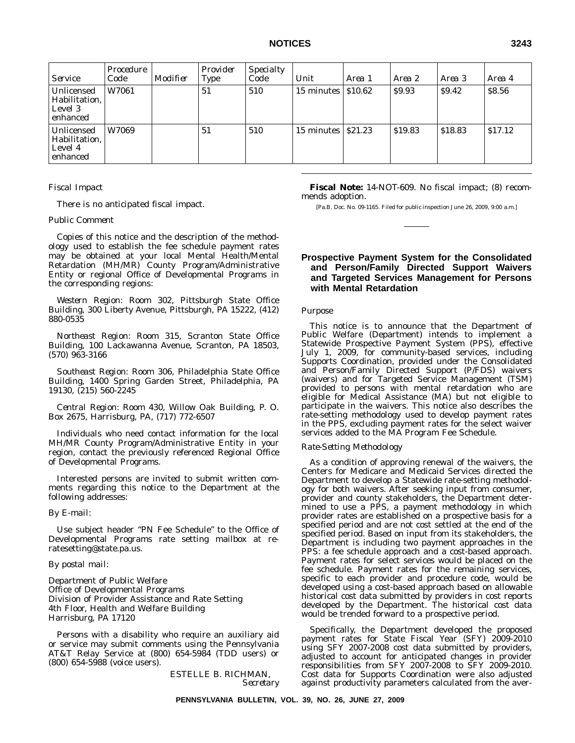| <b>Service</b>                                     | Procedure<br>Code | Modifier | Provider<br><b>Type</b> | <b>Specialty</b><br>Code | Unit       | Area 1          | Area 2  | Area 3  | Area 4  |
|----------------------------------------------------|-------------------|----------|-------------------------|--------------------------|------------|-----------------|---------|---------|---------|
| Unlicensed<br>Habilitation,<br>Level 3<br>enhanced | W7061             |          | 51                      | 510                      | 15 minutes | $\vert$ \$10.62 | \$9.93  | \$9.42  | \$8.56  |
| Unlicensed<br>Habilitation,<br>Level 4<br>enhanced | W7069             |          | 51                      | 510                      | 15 minutes | $\vert$ S21.23  | \$19.83 | \$18.83 | \$17.12 |

### *Fiscal Impact*

There is no anticipated fiscal impact.

### *Public Comment*

Copies of this notice and the description of the methodology used to establish the fee schedule payment rates may be obtained at your local Mental Health/Mental Retardation (MH/MR) County Program/Administrative Entity or regional Office of Developmental Programs in the corresponding regions:

*Western Region:* Room 302, Pittsburgh State Office Building, 300 Liberty Avenue, Pittsburgh, PA 15222, (412) 880-0535

*Northeast Region:* Room 315, Scranton State Office Building, 100 Lackawanna Avenue, Scranton, PA 18503, (570) 963-3166

*Southeast Region:* Room 306, Philadelphia State Office Building, 1400 Spring Garden Street, Philadelphia, PA 19130, (215) 560-2245

*Central Region:* Room 430, Willow Oak Building, P. O. Box 2675, Harrisburg, PA, (717) 772-6507

Individuals who need contact information for the local MH/MR County Program/Administrative Entity in your region, contact the previously referenced Regional Office of Developmental Programs.

Interested persons are invited to submit written comments regarding this notice to the Department at the following addresses:

#### *By E-mail:*

Use subject header ''PN Fee Schedule'' to the Office of Developmental Programs rate setting mailbox at reratesetting@state.pa.us.

### *By postal mail:*

Department of Public Welfare Office of Developmental Programs Division of Provider Assistance and Rate Setting 4th Floor, Health and Welfare Building Harrisburg, PA 17120

Persons with a disability who require an auxiliary aid or service may submit comments using the Pennsylvania AT&T Relay Service at (800) 654-5984 (TDD users) or (800) 654-5988 (voice users).

> ESTELLE B. RICHMAN, *Secretary*

**Fiscal Note:** 14-NOT-609. No fiscal impact; (8) recommends adoption.

[Pa.B. Doc. No. 09-1165. Filed for public inspection June 26, 2009, 9:00 a.m.]

### **Prospective Payment System for the Consolidated and Person/Family Directed Support Waivers and Targeted Services Management for Persons with Mental Retardation**

#### *Purpose*

This notice is to announce that the Department of Public Welfare (Department) intends to implement a Statewide Prospective Payment System (PPS), effective July 1, 2009, for community-based services, including Supports Coordination, provided under the Consolidated and Person/Family Directed Support (P/FDS) waivers (waivers) and for Targeted Service Management (TSM) provided to persons with mental retardation who are eligible for Medical Assistance (MA) but not eligible to participate in the waivers. This notice also describes the rate-setting methodology used to develop payment rates in the PPS, excluding payment rates for the select waiver services added to the MA Program Fee Schedule.

### *Rate-Setting Methodology*

As a condition of approving renewal of the waivers, the Centers for Medicare and Medicaid Services directed the Department to develop a Statewide rate-setting methodology for both waivers. After seeking input from consumer, provider and county stakeholders, the Department determined to use a PPS, a payment methodology in which provider rates are established on a prospective basis for a specified period and are not cost settled at the end of the specified period. Based on input from its stakeholders, the Department is including two payment approaches in the PPS: a fee schedule approach and a cost-based approach. Payment rates for select services would be placed on the fee schedule. Payment rates for the remaining services, specific to each provider and procedure code, would be developed using a cost-based approach based on allowable historical cost data submitted by providers in cost reports developed by the Department. The historical cost data would be trended forward to a prospective period.

Specifically, the Department developed the proposed payment rates for State Fiscal Year (SFY) 2009-2010 using SFY 2007-2008 cost data submitted by providers, adjusted to account for anticipated changes in provider responsibilities from SFY 2007-2008 to SFY 2009-2010. Cost data for Supports Coordination were also adjusted against productivity parameters calculated from the aver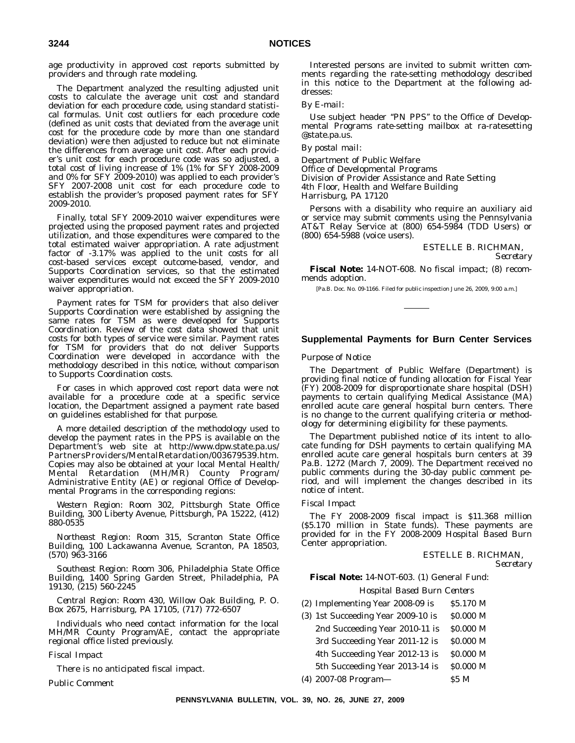age productivity in approved cost reports submitted by providers and through rate modeling.

The Department analyzed the resulting adjusted unit costs to calculate the average unit cost and standard deviation for each procedure code, using standard statistical formulas. Unit cost outliers for each procedure code (defined as unit costs that deviated from the average unit cost for the procedure code by more than one standard deviation) were then adjusted to reduce but not eliminate the differences from average unit cost. After each provider's unit cost for each procedure code was so adjusted, a total cost of living increase of 1% (1% for SFY 2008-2009 and 0% for SFY 2009-2010) was applied to each provider's SFY 2007-2008 unit cost for each procedure code to establish the provider's proposed payment rates for SFY 2009-2010.

Finally, total SFY 2009-2010 waiver expenditures were projected using the proposed payment rates and projected utilization, and those expenditures were compared to the total estimated waiver appropriation. A rate adjustment factor of -3.17% was applied to the unit costs for all cost-based services except outcome-based, vendor, and Supports Coordination services, so that the estimated waiver expenditures would not exceed the SFY 2009-2010 waiver appropriation.

Payment rates for TSM for providers that also deliver Supports Coordination were established by assigning the same rates for TSM as were developed for Supports Coordination. Review of the cost data showed that unit costs for both types of service were similar. Payment rates for TSM for providers that do not deliver Supports Coordination were developed in accordance with the methodology described in this notice, without comparison to Supports Coordination costs.

For cases in which approved cost report data were not available for a procedure code at a specific service location, the Department assigned a payment rate based on guidelines established for that purpose.

A more detailed description of the methodology used to develop the payment rates in the PPS is available on the Department's web site at http://www.dpw.state.pa.us/ PartnersProviders/MentalRetardation/003679539.htm. Copies may also be obtained at your local Mental Health/ Mental Retardation (MH/MR) County Program/ Administrative Entity (AE) or regional Office of Developmental Programs in the corresponding regions:

*Western Region:* Room 302, Pittsburgh State Office Building, 300 Liberty Avenue, Pittsburgh, PA 15222, (412) 880-0535

*Northeast Region:* Room 315, Scranton State Office Building, 100 Lackawanna Avenue, Scranton, PA 18503, (570) 963-3166

*Southeast Region:* Room 306, Philadelphia State Office Building, 1400 Spring Garden Street, Philadelphia, PA 19130, (215) 560-2245

*Central Region:* Room 430, Willow Oak Building, P. O. Box 2675, Harrisburg, PA 17105, (717) 772-6507

Individuals who need contact information for the local MH/MR County Program/AE, contact the appropriate regional office listed previously.

### *Fiscal Impact*

There is no anticipated fiscal impact.

*Public Comment*

Interested persons are invited to submit written comments regarding the rate-setting methodology described in this notice to the Department at the following addresses:

#### *By E-mail:*

Use subject header "PN PPS" to the Office of Developmental Programs rate-setting mailbox at ra-ratesetting @state.pa.us.

### *By postal mail:*

Department of Public Welfare Office of Developmental Programs Division of Provider Assistance and Rate Setting 4th Floor, Health and Welfare Building Harrisburg, PA 17120

Persons with a disability who require an auxiliary aid or service may submit comments using the Pennsylvania AT&T Relay Service at (800) 654-5984 (TDD Users) or (800) 654-5988 (voice users).

> ESTELLE B. RICHMAN, *Secretary*

**Fiscal Note:** 14-NOT-608. No fiscal impact; (8) recommends adoption.

[Pa.B. Doc. No. 09-1166. Filed for public inspection June 26, 2009, 9:00 a.m.]

### **Supplemental Payments for Burn Center Services**

#### *Purpose of Notice*

The Department of Public Welfare (Department) is providing final notice of funding allocation for Fiscal Year (FY) 2008-2009 for disproportionate share hospital (DSH) payments to certain qualifying Medical Assistance (MA) enrolled acute care general hospital burn centers. There is no change to the current qualifying criteria or methodology for determining eligibility for these payments.

The Department published notice of its intent to allocate funding for DSH payments to certain qualifying MA enrolled acute care general hospitals burn centers at 39 Pa.B. 1272 (March 7, 2009). The Department received no public comments during the 30-day public comment period, and will implement the changes described in its notice of intent.

#### *Fiscal Impact*

The FY 2008-2009 fiscal impact is \$11.368 million (\$5.170 million in State funds). These payments are provided for in the FY 2008-2009 Hospital Based Burn Center appropriation.

#### ESTELLE B. RICHMAN, *Secretary*

### **Fiscal Note:** 14-NOT-603. (1) General Fund:

*Hospital Based Burn Centers*

- (2) Implementing Year 2008-09 is  $$5.170$  M
- $(3)$  1st Succeeding Year 2009-10 is  $$0.000 M$ 2nd Succeeding Year 2010-11 is \$0.000 M 3rd Succeeding Year 2011-12 is  $$0.000 \text{ M}$$ 4th Succeeding Year 2012-13 is \$0.000 M 5th Succeeding Year 2013-14 is \$0.000 M
- (4) 2007-08 Program— \$5 M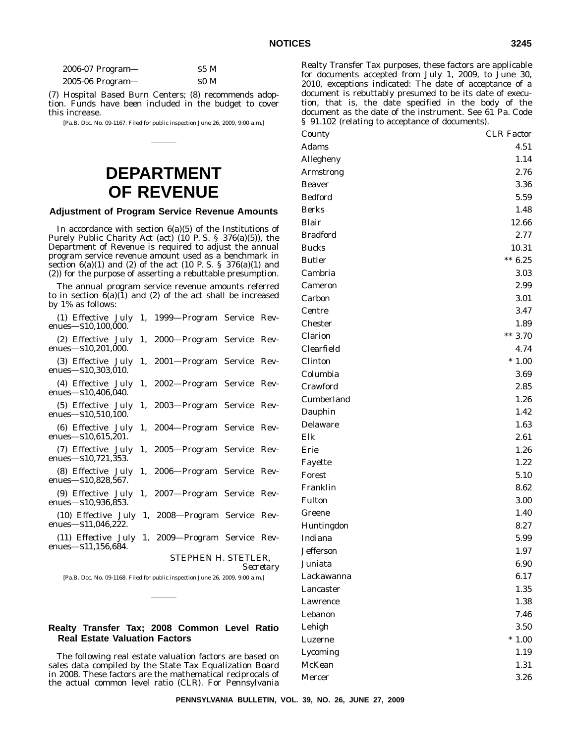| $2006-07$ Program— | S5 M |
|--------------------|------|
| $2005-06$ Program— | SO M |

(7) Hospital Based Burn Centers; (8) recommends adoption. Funds have been included in the budget to cover this increase.

[Pa.B. Doc. No. 09-1167. Filed for public inspection June 26, 2009, 9:00 a.m.]

## **DEPARTMENT OF REVENUE**

### **Adjustment of Program Service Revenue Amounts**

In accordance with section  $6(a)(5)$  of the Institutions of Purely Public Charity Act (act) (10 P. S. § 376(a)(5)), the Department of Revenue is required to adjust the annual program service revenue amount used as a benchmark in section  $6(a)(1)$  and  $(2)$  of the act  $(10 \text{ P. S. } § 376(a)(1)$  and (2)) for the purpose of asserting a rebuttable presumption.

The annual program service revenue amounts referred to in section  $6(a)(1)$  and (2) of the act shall be increased by 1% as follows:

| (1) Effective July 1, 1999—Program Service Rev-<br>enues-\$10,100,000.     |                              |  |
|----------------------------------------------------------------------------|------------------------------|--|
| (2) Effective July<br>enues $-$ \$10,201,000.                              | 1, 2000-Program Service Rev- |  |
| (3) Effective July<br>enues—\$10,303,010.                                  | 1, 2001-Program Service Rev- |  |
| (4) Effective July<br>enues-\$10,406,040.                                  | 1, 2002—Program Service Rev- |  |
| (5) Effective July<br>enues $-$ \$10,510,100.                              | 1, 2003-Program Service Rev- |  |
| (6) Effective July<br>enues $-$ \$10,615,201.                              | 1, 2004-Program Service Rev- |  |
| (7) Effective July<br>enues—\$10,721,353.                                  | 1, 2005-Program Service Rev- |  |
| (8) Effective July<br>enues—\$10,828,567.                                  | 1, 2006-Program Service Rev- |  |
| (9) Effective July 1, 2007—Program Service Rev-<br>enues $-$ \$10,936,853. |                              |  |
| (10) Effective July<br>enues—\$11,046,222.                                 | 1, 2008-Program Service Rev- |  |
| (11) Effective July<br>enues $-$ \$11,156,684.                             | 1, 2009—Program Service Rev- |  |
|                                                                            | STEPHEN H. STETLER,          |  |

*Secretary*

[Pa.B. Doc. No. 09-1168. Filed for public inspection June 26, 2009, 9:00 a.m.]

### **Realty Transfer Tax; 2008 Common Level Ratio Real Estate Valuation Factors**

The following real estate valuation factors are based on sales data compiled by the State Tax Equalization Board in 2008. These factors are the mathematical reciprocals of the actual common level ratio (CLR). For Pennsylvania

Greene 1.40 Huntingdon 8.27

- Indiana 5.99 Jefferson 1.97 Juniata 6.90 Lackawanna 6.17 Lancaster 1.35 Lawrence 1.38 Lebanon 7.46 Lehigh 3.50
	- Luzerne \* 1.00 Lycoming 1.19 McKean 1.31 Mercer 3.26

Realty Transfer Tax purposes, these factors are applicable for documents accepted from July 1, 2009, to June 30, 2010, exceptions indicated: The date of acceptance of a document is rebuttably presumed to be its date of execution, that is, the date specified in the body of the document as the date of the instrument. See 61 Pa. Code § 91.102 (relating to acceptance of documents).

*County CLR Factor* Adams 4.51 Allegheny 1.14 Armstrong 2.76 Beaver 3.36 Bedford 5.59 Berks 1.48 Blair 12.66 Bradford 2.77 Bucks 10.31 Butler  $*** 6.25$ Cambria 3.03 Cameron 2.99 Carbon 3.01 Centre 3.47 Chester 1.89 Clarion \*\* 3.70 Clearfield 4.74 Clinton \* 1.00 Columbia 3.69 Crawford 2.85 Cumberland 1.26 Dauphin 1.42 Delaware 1.63  $E$ lk  $2.61$ Erie 1.26 Fayette 1.22 Forest 5.10 Franklin 8.62 Fulton 3.00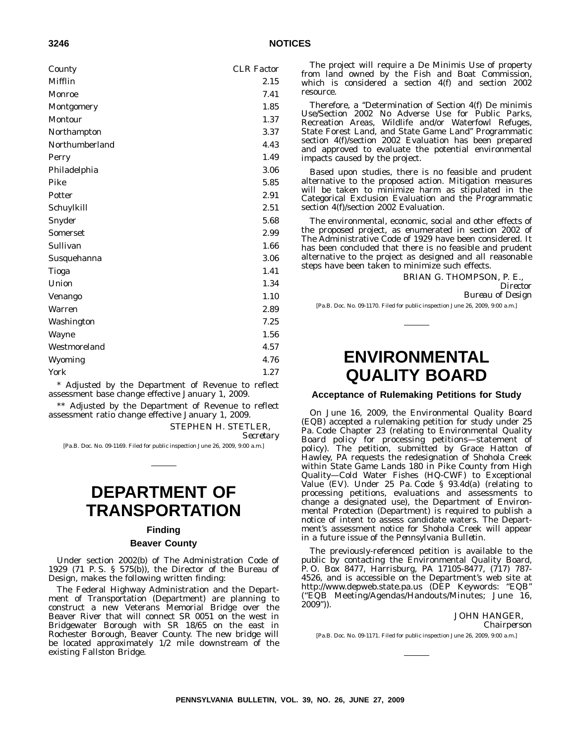| ×<br>۰.<br>i |  |
|--------------|--|
|--------------|--|

| County          | <b>CLR</b> Factor |
|-----------------|-------------------|
| Mifflin         | 2.15              |
| Monroe          | 7.41              |
| Montgomery      | 1.85              |
| Montour         | 1.37              |
| Northampton     | 3.37              |
| Northumberland  | 4.43              |
| Perry           | 1.49              |
| Philadelphia    | 3.06              |
| Pike            | 5.85              |
| Potter          | 2.91              |
| Schuylkill      | 2.51              |
| Snyder          | 5.68              |
| <b>Somerset</b> | 2.99              |
| Sullivan        | 1.66              |
| Susquehanna     | 3.06              |
| Tioga           | 1.41              |
| Union           | 1.34              |
| <b>Venango</b>  | 1.10              |
| <b>Warren</b>   | 2.89              |
| Washington      | 7.25              |
| <b>Wayne</b>    | 1.56              |
| Westmoreland    | 4.57              |
| Wyoming         | 4.76              |
| York            | 1.27              |
|                 |                   |

\* Adjusted by the Department of Revenue to reflect assessment base change effective January 1, 2009.

\*\* Adjusted by the Department of Revenue to reflect assessment ratio change effective January 1, 2009.

STEPHEN H. STETLER,

*Secretary*

[Pa.B. Doc. No. 09-1169. Filed for public inspection June 26, 2009, 9:00 a.m.]

## **DEPARTMENT OF TRANSPORTATION**

### **Finding**

### **Beaver County**

Under section 2002(b) of The Administration Code of 1929 (71 P. S. § 575(b)), the Director of the Bureau of Design, makes the following written finding:

The Federal Highway Administration and the Department of Transportation (Department) are planning to construct a new Veterans Memorial Bridge over the Beaver River that will connect SR 0051 on the west in Bridgewater Borough with SR 18/65 on the east in Rochester Borough, Beaver County. The new bridge will be located approximately 1/2 mile downstream of the existing Fallston Bridge.

The project will require a De Minimis Use of property from land owned by the Fish and Boat Commission, which is considered a section 4(f) and section 2002 resource.

Therefore, a "Determination of Section 4(f) De minimis Use/Section 2002 No Adverse Use for Public Parks, Recreation Areas, Wildlife and/or Waterfowl Refuges, State Forest Land, and State Game Land'' Programmatic section 4(f)/section 2002 Evaluation has been prepared and approved to evaluate the potential environmental impacts caused by the project.

Based upon studies, there is no feasible and prudent alternative to the proposed action. Mitigation measures will be taken to minimize harm as stipulated in the Categorical Exclusion Evaluation and the Programmatic section 4(f)/section 2002 Evaluation.

The environmental, economic, social and other effects of the proposed project, as enumerated in section 2002 of The Administrative Code of 1929 have been considered. It has been concluded that there is no feasible and prudent alternative to the project as designed and all reasonable steps have been taken to minimize such effects.

BRIAN G. THOMPSON, P. E.,

*Director Bureau of Design*

[Pa.B. Doc. No. 09-1170. Filed for public inspection June 26, 2009, 9:00 a.m.]

## **ENVIRONMENTAL QUALITY BOARD**

### **Acceptance of Rulemaking Petitions for Study**

On June 16, 2009, the Environmental Quality Board (EQB) accepted a rulemaking petition for study under 25 Pa. Code Chapter 23 (relating to Environmental Quality Board policy for processing petitions—statement of policy). The petition, submitted by Grace Hatton of Hawley, PA requests the redesignation of Shohola Creek within State Game Lands 180 in Pike County from High Quality—Cold Water Fishes (HQ-CWF) to Exceptional Value (EV). Under 25 Pa. Code § 93.4d(a) (relating to processing petitions, evaluations and assessments to change a designated use), the Department of Environmental Protection (Department) is required to publish a notice of intent to assess candidate waters. The Department's assessment notice for Shohola Creek will appear in a future issue of the *Pennsylvania Bulletin*.

The previously-referenced petition is available to the public by contacting the Environmental Quality Board, P. O. Box 8477, Harrisburg, PA 17105-8477, (717) 787- 4526, and is accessible on the Department's web site at http://www.depweb.state.pa.us (DEP Keywords: ''EQB'' (''EQB Meeting/Agendas/Handouts/Minutes; June 16, 2009'')).

### JOHN HANGER,

*Chairperson*

[Pa.B. Doc. No. 09-1171. Filed for public inspection June 26, 2009, 9:00 a.m.]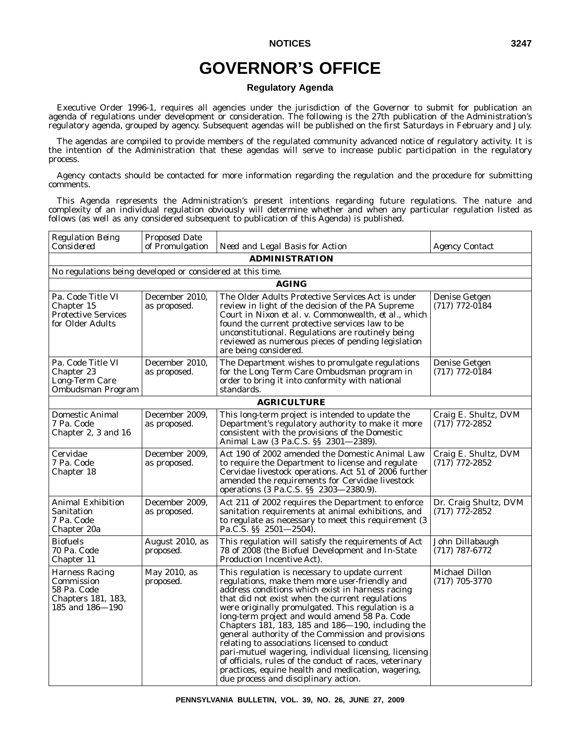# **GOVERNOR'S OFFICE**

### **Regulatory Agenda**

Executive Order 1996-1, requires all agencies under the jurisdiction of the Governor to submit for publication an agenda of regulations under development or consideration. The following is the 27th publication of the Administration's regulatory agenda, grouped by agency. Subsequent agendas will be published on the first Saturdays in February and July.

The agendas are compiled to provide members of the regulated community advanced notice of regulatory activity. It is the intention of the Administration that these agendas will serve to increase public participation in the regulatory process.

Agency contacts should be contacted for more information regarding the regulation and the procedure for submitting comments.

This Agenda represents the Administration's present intentions regarding future regulations. The nature and complexity of an individual regulation obviously will determine whether and when any particular regulation listed as follows (as well as any considered subsequent to publication of this Agenda) is published.

| <b>Regulation Being</b>                                                              | <b>Proposed Date</b>           |                                                                                                                                                                                                                                                                                                                                                                                                                                                                                                                                                                                                                                                                                           |                                           |
|--------------------------------------------------------------------------------------|--------------------------------|-------------------------------------------------------------------------------------------------------------------------------------------------------------------------------------------------------------------------------------------------------------------------------------------------------------------------------------------------------------------------------------------------------------------------------------------------------------------------------------------------------------------------------------------------------------------------------------------------------------------------------------------------------------------------------------------|-------------------------------------------|
| Considered                                                                           | of Promulgation                | Need and Legal Basis for Action                                                                                                                                                                                                                                                                                                                                                                                                                                                                                                                                                                                                                                                           | <b>Agency Contact</b>                     |
|                                                                                      |                                | <b>ADMINISTRATION</b>                                                                                                                                                                                                                                                                                                                                                                                                                                                                                                                                                                                                                                                                     |                                           |
| No regulations being developed or considered at this time.                           |                                |                                                                                                                                                                                                                                                                                                                                                                                                                                                                                                                                                                                                                                                                                           |                                           |
|                                                                                      |                                | AGING                                                                                                                                                                                                                                                                                                                                                                                                                                                                                                                                                                                                                                                                                     |                                           |
| Pa. Code Title VI<br>Chapter 15<br><b>Protective Services</b><br>for Older Adults    | December 2010,<br>as proposed. | The Older Adults Protective Services Act is under<br>review in light of the decision of the PA Supreme<br>Court in <i>Nixon et al. v. Commonwealth, et al.</i> , which<br>found the current protective services law to be<br>unconstitutional. Regulations are routinely being<br>reviewed as numerous pieces of pending legislation<br>are being considered.                                                                                                                                                                                                                                                                                                                             | Denise Getgen<br>$(717) 772 - 0184$       |
| Pa. Code Title VI<br>Chapter 23<br>Long-Term Care<br>Ombudsman Program               | December 2010,<br>as proposed. | The Department wishes to promulgate regulations<br>for the Long Term Care Ombudsman program in<br>order to bring it into conformity with national<br>standards.                                                                                                                                                                                                                                                                                                                                                                                                                                                                                                                           | Denise Getgen<br>$(717)$ 772-0184         |
|                                                                                      |                                | <b>AGRICULTURE</b>                                                                                                                                                                                                                                                                                                                                                                                                                                                                                                                                                                                                                                                                        |                                           |
| Domestic Animal<br>7 Pa. Code<br>Chapter 2, 3 and 16                                 | December 2009,<br>as proposed. | This long-term project is intended to update the<br>Department's regulatory authority to make it more<br>consistent with the provisions of the Domestic<br>Animal Law (3 Pa.C.S. §§ 2301-2389).                                                                                                                                                                                                                                                                                                                                                                                                                                                                                           | Craig E. Shultz, DVM<br>$(717)$ 772-2852  |
| Cervidae<br>7 Pa. Code<br>Chapter 18                                                 | December 2009,<br>as proposed. | Act 190 of 2002 amended the Domestic Animal Law<br>to require the Department to license and regulate<br>Cervidae livestock operations. Act 51 of 2006 further<br>amended the requirements for Cervidae livestock<br>operations (3 Pa.C.S. §§ 2303-2380.9).                                                                                                                                                                                                                                                                                                                                                                                                                                | Craig E. Shultz, DVM<br>$(717)$ 772-2852  |
| Animal Exhibition<br>Sanitation<br>7 Pa. Code<br>Chapter 20a                         | December 2009,<br>as proposed. | Act 211 of 2002 requires the Department to enforce<br>sanitation requirements at animal exhibitions, and<br>to regulate as necessary to meet this requirement (3)<br>Pa.C.S. $\S$ 2501-2504).                                                                                                                                                                                                                                                                                                                                                                                                                                                                                             | Dr. Craig Shultz, DVM<br>$(717)$ 772-2852 |
| <b>Biofuels</b><br>70 Pa. Code<br>Chapter 11                                         | August 2010, as<br>proposed.   | This regulation will satisfy the requirements of Act<br>78 of 2008 (the Biofuel Development and In-State<br><b>Production Incentive Act).</b>                                                                                                                                                                                                                                                                                                                                                                                                                                                                                                                                             | John Dillabaugh<br>$(717) 787 - 6772$     |
| Harness Racing<br>Commission<br>58 Pa. Code<br>Chapters 181, 183,<br>185 and 186–190 | May 2010, as<br>proposed.      | This regulation is necessary to update current<br>regulations, make them more user-friendly and<br>address conditions which exist in harness racing<br>that did not exist when the current regulations<br>were originally promulgated. This regulation is a<br>long-term project and would amend 58 Pa. Code<br>Chapters 181, 183, 185 and 186-190, including the<br>general authority of the Commission and provisions<br>relating to associations licensed to conduct<br>pari-mutuel wagering, individual licensing, licensing<br>of officials, rules of the conduct of races, veterinary<br>practices, equine health and medication, wagering,<br>due process and disciplinary action. | <b>Michael Dillon</b><br>$(717)$ 705-3770 |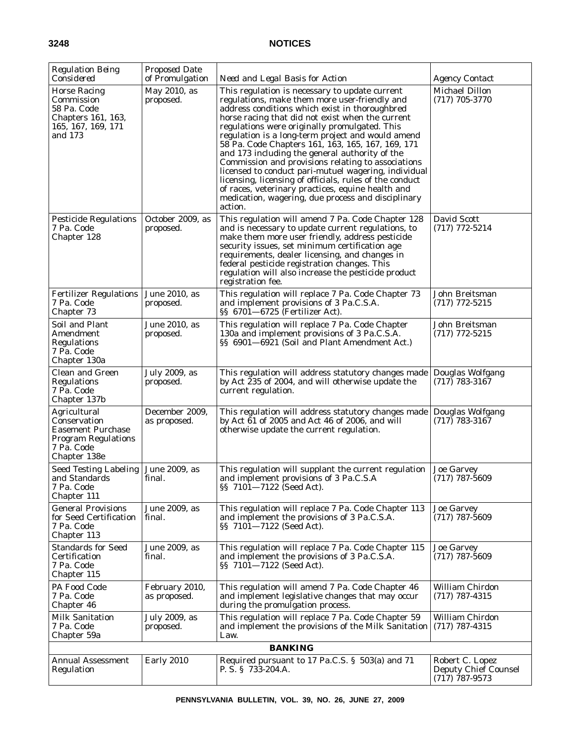| <b>Regulation Being</b><br>Considered                                                                                | <b>Proposed Date</b><br>of Promulgation | Need and Legal Basis for Action                                                                                                                                                                                                                                                                                                                                                                                                                                                                                                                                                                                                                                                                                   | <i>Agency Contact</i>                                              |
|----------------------------------------------------------------------------------------------------------------------|-----------------------------------------|-------------------------------------------------------------------------------------------------------------------------------------------------------------------------------------------------------------------------------------------------------------------------------------------------------------------------------------------------------------------------------------------------------------------------------------------------------------------------------------------------------------------------------------------------------------------------------------------------------------------------------------------------------------------------------------------------------------------|--------------------------------------------------------------------|
| <b>Horse Racing</b><br>Commission<br>58 Pa. Code<br>Chapters 161, 163,<br>165, 167, 169, 171<br>and 173              | May 2010, as<br>proposed.               | This regulation is necessary to update current<br>regulations, make them more user-friendly and<br>address conditions which exist in thoroughbred<br>horse racing that did not exist when the current<br>regulations were originally promulgated. This<br>regulation is a long-term project and would amend<br>58 Pa. Code Chapters 161, 163, 165, 167, 169, 171<br>and 173 including the general authority of the<br>Commission and provisions relating to associations<br>licensed to conduct pari-mutuel wagering, individual<br>licensing, licensing of officials, rules of the conduct<br>of races, veterinary practices, equine health and<br>medication, wagering, due process and disciplinary<br>action. | <b>Michael Dillon</b><br>$(717)$ 705-3770                          |
| <b>Pesticide Regulations</b><br>7 Pa. Code<br>Chapter 128                                                            | October 2009, as<br>proposed.           | This regulation will amend 7 Pa. Code Chapter 128<br>and is necessary to update current regulations, to<br>make them more user friendly, address pesticide<br>security issues, set minimum certification age<br>requirements, dealer licensing, and changes in<br>federal pesticide registration changes. This<br>regulation will also increase the pesticide product<br>registration fee.                                                                                                                                                                                                                                                                                                                        | David Scott<br>$(717)$ 772-5214                                    |
| <b>Fertilizer Regulations</b><br>7 Pa. Code<br>Chapter 73                                                            | June 2010, as<br>proposed.              | This regulation will replace 7 Pa. Code Chapter 73<br>and implement provisions of 3 Pa.C.S.A.<br>$\S$ 6701–6725 (Fertilizer Act).                                                                                                                                                                                                                                                                                                                                                                                                                                                                                                                                                                                 | John Breitsman<br>$(717)$ 772-5215                                 |
| Soil and Plant<br>Amendment<br>Regulations<br>7 Pa. Code<br>Chapter 130a                                             | June 2010, as<br>proposed.              | This regulation will replace 7 Pa. Code Chapter<br>130a and implement provisions of 3 Pa.C.S.A.<br>§§ 6901-6921 (Soil and Plant Amendment Act.)                                                                                                                                                                                                                                                                                                                                                                                                                                                                                                                                                                   | John Breitsman<br>$(717)$ 772-5215                                 |
| Clean and Green<br>Regulations<br>7 Pa. Code<br>Chapter 137b                                                         | July 2009, as<br>proposed.              | This regulation will address statutory changes made<br>by Act 235 of 2004, and will otherwise update the<br>current regulation.                                                                                                                                                                                                                                                                                                                                                                                                                                                                                                                                                                                   | Douglas Wolfgang<br>$(717)$ 783-3167                               |
| Agricultural<br>Conservation<br><b>Easement Purchase</b><br><b>Program Regulations</b><br>7 Pa. Code<br>Chapter 138e | December 2009,<br>as proposed.          | This regulation will address statutory changes made<br>by Act 61 of 2005 and Act 46 of 2006, and will<br>otherwise update the current regulation.                                                                                                                                                                                                                                                                                                                                                                                                                                                                                                                                                                 | Douglas Wolfgang<br>$(717)$ 783-3167                               |
| Seed Testing Labeling<br>and Standards<br>7 Pa. Code<br>Chapter 111                                                  | June 2009, as<br>final.                 | This regulation will supplant the current regulation<br>and implement provisions of 3 Pa.C.S.A<br>§§ 7101-7122 (Seed Act).                                                                                                                                                                                                                                                                                                                                                                                                                                                                                                                                                                                        | <b>Joe Garvey</b><br>$(717)$ 787-5609                              |
| <b>General Provisions</b><br>for Seed Certification<br>7 Pa. Code<br>Chapter 113                                     | June 2009, as<br>final.                 | This regulation will replace 7 Pa. Code Chapter 113<br>and implement the provisions of 3 Pa.C.S.A.<br>§§ 7101-7122 (Seed Act).                                                                                                                                                                                                                                                                                                                                                                                                                                                                                                                                                                                    | <b>Joe Garvey</b><br>$(717)$ 787-5609                              |
| <b>Standards for Seed</b><br>Certification<br>7 Pa. Code<br>Chapter 115                                              | June 2009, as<br>final.                 | This regulation will replace 7 Pa. Code Chapter 115<br>and implement the provisions of 3 Pa.C.S.A.<br>§§ 7101—7122 (Seed Act).                                                                                                                                                                                                                                                                                                                                                                                                                                                                                                                                                                                    | <b>Joe Garvey</b><br>$(717)$ 787-5609                              |
| PA Food Code<br>7 Pa. Code<br>Chapter 46                                                                             | February 2010,<br>as proposed.          | This regulation will amend 7 Pa. Code Chapter 46<br>and implement legislative changes that may occur<br>during the promulgation process.                                                                                                                                                                                                                                                                                                                                                                                                                                                                                                                                                                          | William Chirdon<br>$(717)$ 787-4315                                |
| Milk Sanitation<br>7 Pa. Code<br>Chapter 59a                                                                         | July 2009, as<br>proposed.              | This regulation will replace 7 Pa. Code Chapter 59<br>and implement the provisions of the Milk Sanitation<br>Law.                                                                                                                                                                                                                                                                                                                                                                                                                                                                                                                                                                                                 | William Chirdon<br>$(717)$ 787-4315                                |
|                                                                                                                      |                                         | <b>BANKING</b>                                                                                                                                                                                                                                                                                                                                                                                                                                                                                                                                                                                                                                                                                                    |                                                                    |
| <b>Annual Assessment</b><br>Regulation                                                                               | <b>Early 2010</b>                       | Required pursuant to 17 Pa.C.S. § 503(a) and 71<br>P. S. § 733-204.A.                                                                                                                                                                                                                                                                                                                                                                                                                                                                                                                                                                                                                                             | Robert C. Lopez<br><b>Deputy Chief Counsel</b><br>$(717)$ 787-9573 |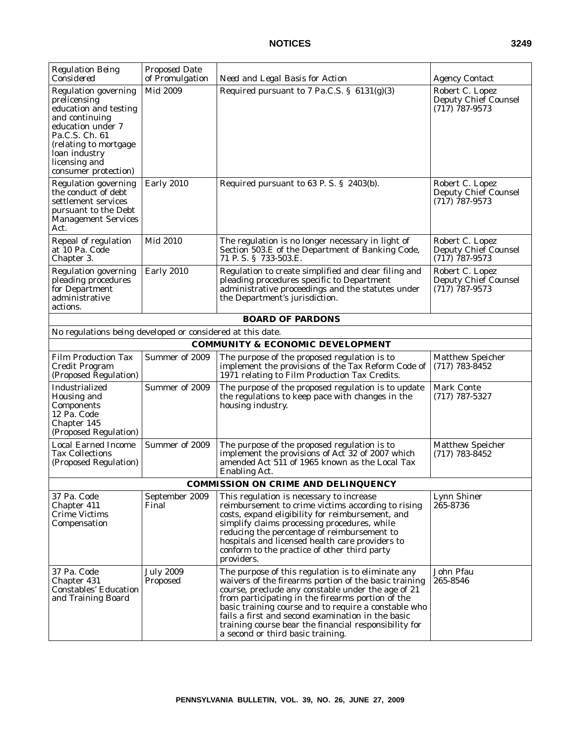| <b>Regulation Being</b><br>Considered                                                                                                                                                                            | <b>Proposed Date</b><br>of Promulgation | Need and Legal Basis for Action                                                                                                                                                                                                                                                                                                                                                                                                   | <b>Agency Contact</b>                                       |
|------------------------------------------------------------------------------------------------------------------------------------------------------------------------------------------------------------------|-----------------------------------------|-----------------------------------------------------------------------------------------------------------------------------------------------------------------------------------------------------------------------------------------------------------------------------------------------------------------------------------------------------------------------------------------------------------------------------------|-------------------------------------------------------------|
| <b>Regulation governing</b><br>prelicensing<br>education and testing<br>and continuing<br>education under 7<br>Pa.C.S. Ch. 61<br>(relating to mortgage<br>loan industry<br>licensing and<br>consumer protection) | Mid 2009                                | Required pursuant to 7 Pa.C.S. § 6131(g)(3)                                                                                                                                                                                                                                                                                                                                                                                       | Robert C. Lopez<br>Deputy Chief Counsel<br>$(717)$ 787-9573 |
| <b>Regulation governing</b><br>the conduct of debt<br>settlement services<br>pursuant to the Debt<br><b>Management Services</b><br>Act.                                                                          | Early 2010                              | Required pursuant to 63 P.S. § 2403(b).                                                                                                                                                                                                                                                                                                                                                                                           | Robert C. Lopez<br>Deputy Chief Counsel<br>$(717)$ 787-9573 |
| Repeal of regulation<br>at 10 Pa. Code<br>Chapter 3.                                                                                                                                                             | Mid 2010                                | The regulation is no longer necessary in light of<br>Section 503.E of the Department of Banking Code,<br>71 P.S. § 733-503.E.                                                                                                                                                                                                                                                                                                     | Robert C. Lopez<br>Deputy Chief Counsel<br>$(717)$ 787-9573 |
| <b>Regulation governing</b><br>pleading procedures<br>for Department<br>administrative<br>actions.                                                                                                               | <b>Early 2010</b>                       | Regulation to create simplified and clear filing and<br>pleading procedures specific to Department<br>administrative proceedings and the statutes under<br>the Department's jurisdiction.                                                                                                                                                                                                                                         | Robert C. Lopez<br>Deputy Chief Counsel<br>$(717)$ 787-9573 |
|                                                                                                                                                                                                                  |                                         | <b>BOARD OF PARDONS</b>                                                                                                                                                                                                                                                                                                                                                                                                           |                                                             |
| No regulations being developed or considered at this date.                                                                                                                                                       |                                         |                                                                                                                                                                                                                                                                                                                                                                                                                                   |                                                             |
|                                                                                                                                                                                                                  |                                         | <b>COMMUNITY &amp; ECONOMIC DEVELOPMENT</b>                                                                                                                                                                                                                                                                                                                                                                                       |                                                             |
| <b>Film Production Tax</b><br>Credit Program<br>(Proposed Regulation)                                                                                                                                            | Summer of 2009                          | The purpose of the proposed regulation is to<br>implement the provisions of the Tax Reform Code of<br>1971 relating to Film Production Tax Credits.                                                                                                                                                                                                                                                                               | <b>Matthew Speicher</b><br>$(717) 783 - 8452$               |
| Industrialized<br>Housing and<br>Components<br>12 Pa. Code<br>Chapter 145<br>(Proposed Regulation)                                                                                                               | Summer of 2009                          | The purpose of the proposed regulation is to update<br>the regulations to keep pace with changes in the<br>housing industry.                                                                                                                                                                                                                                                                                                      | <b>Mark Conte</b><br>$(717)$ 787-5327                       |
| <b>Local Earned Income</b><br><b>Tax Collections</b><br>(Proposed Regulation)                                                                                                                                    | Summer of 2009                          | The purpose of the proposed regulation is to<br>implement the provisions of Act 32 of 2007 which<br>amended Act 511 of 1965 known as the Local Tax<br><b>Enabling Act.</b>                                                                                                                                                                                                                                                        | <b>Matthew Speicher</b><br>$(717) 783 - 8452$               |
|                                                                                                                                                                                                                  |                                         | COMMISSION ON CRIME AND DELINQUENCY                                                                                                                                                                                                                                                                                                                                                                                               |                                                             |
| 37 Pa. Code<br>Chapter 411<br>Crime Victims<br>Compensation                                                                                                                                                      | September 2009<br>Final                 | This regulation is necessary to increase<br>reimbursement to crime victims according to rising<br>costs, expand eligibility for reimbursement, and<br>simplify claims processing procedures, while<br>reducing the percentage of reimbursement to<br>hospitals and licensed health care providers to<br>conform to the practice of other third party<br>providers.                                                                | Lynn Shiner<br>265-8736                                     |
| 37 Pa. Code<br>Chapter 431<br><b>Constables' Education</b><br>and Training Board                                                                                                                                 | <b>July 2009</b><br>Proposed            | The purpose of this regulation is to eliminate any<br>waivers of the firearms portion of the basic training<br>course, preclude any constable under the age of 21<br>from participating in the firearms portion of the<br>basic training course and to require a constable who<br>fails a first and second examination in the basic<br>training course bear the financial responsibility for<br>a second or third basic training. | John Pfau<br>265-8546                                       |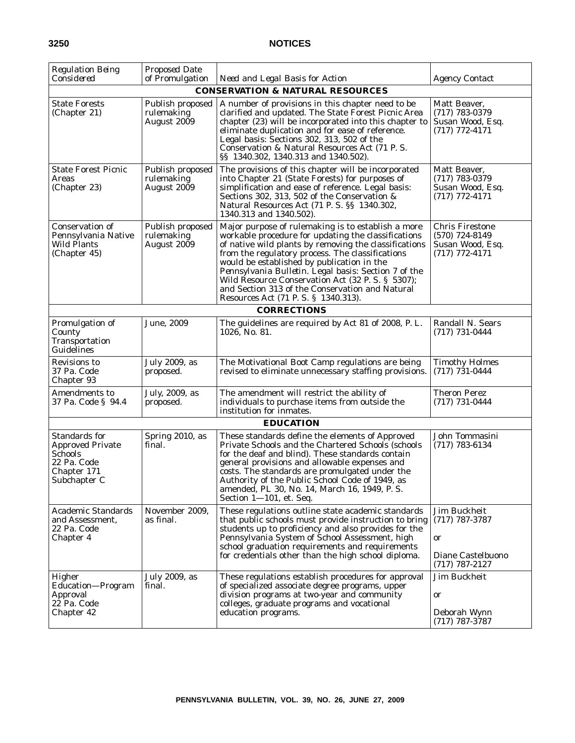| Regulation Being<br>Considered                                                                           | <b>Proposed Date</b><br>of Promulgation       | Need and Legal Basis for Action                                                                                                                                                                                                                                                                                                                                                                                                                                             | <b>Agency Contact</b>                                                              |
|----------------------------------------------------------------------------------------------------------|-----------------------------------------------|-----------------------------------------------------------------------------------------------------------------------------------------------------------------------------------------------------------------------------------------------------------------------------------------------------------------------------------------------------------------------------------------------------------------------------------------------------------------------------|------------------------------------------------------------------------------------|
|                                                                                                          |                                               | <b>CONSERVATION &amp; NATURAL RESOURCES</b>                                                                                                                                                                                                                                                                                                                                                                                                                                 |                                                                                    |
| <b>State Forests</b><br>(Chapter 21)                                                                     | Publish proposed<br>rulemaking<br>August 2009 | A number of provisions in this chapter need to be<br>clarified and updated. The State Forest Picnic Area<br>chapter (23) will be incorporated into this chapter to<br>eliminate duplication and for ease of reference.<br>Legal basis: Sections 302, 313, 502 of the<br>Conservation & Natural Resources Act (71 P.S.<br>§§ 1340.302, 1340.313 and 1340.502).                                                                                                               | Matt Beaver,<br>$(717) 783 - 0379$<br>Susan Wood, Esq.<br>$(717)$ 772-4171         |
| <b>State Forest Picnic</b><br>Areas<br>(Chapter 23)                                                      | Publish proposed<br>rulemaking<br>August 2009 | The provisions of this chapter will be incorporated<br>into Chapter 21 (State Forests) for purposes of<br>simplification and ease of reference. Legal basis:<br>Sections 302, 313, 502 of the Conservation &<br>Natural Resources Act (71 P. S. §§ 1340.302,<br>1340.313 and 1340.502).                                                                                                                                                                                     | Matt Beaver,<br>$(717)$ 783-0379<br>Susan Wood, Esq.<br>$(717)$ 772-4171           |
| Conservation of<br>Pennsylvania Native<br>Wild Plants<br>(Chapter 45)                                    | Publish proposed<br>rulemaking<br>August 2009 | Major purpose of rulemaking is to establish a more<br>workable procedure for updating the classifications<br>of native wild plants by removing the classifications<br>from the regulatory process. The classifications<br>would be established by publication in the<br>Pennsylvania Bulletin. Legal basis: Section 7 of the<br>Wild Resource Conservation Act (32 P.S. § 5307);<br>and Section 313 of the Conservation and Natural<br>Resources Act (71 P. S. § 1340.313). | <b>Chris Firestone</b><br>$(570)$ 724-8149<br>Susan Wood, Esq.<br>$(717)$ 772-4171 |
|                                                                                                          |                                               | <b>CORRECTIONS</b>                                                                                                                                                                                                                                                                                                                                                                                                                                                          |                                                                                    |
| Promulgation of<br>County<br>Transportation<br>Guidelines                                                | June, 2009                                    | The guidelines are required by Act 81 of 2008, P. L.<br>1026, No. 81.                                                                                                                                                                                                                                                                                                                                                                                                       | Randall N. Sears<br>$(717) 731 - 0444$                                             |
| Revisions to<br>37 Pa. Code<br>Chapter 93                                                                | July 2009, as<br>proposed.                    | The Motivational Boot Camp regulations are being<br>revised to eliminate unnecessary staffing provisions.                                                                                                                                                                                                                                                                                                                                                                   | <b>Timothy Holmes</b><br>$(717) 731 - 0444$                                        |
| Amendments to<br>37 Pa. Code § 94.4                                                                      | July, 2009, as<br>proposed.                   | The amendment will restrict the ability of<br>individuals to purchase items from outside the<br>institution for inmates.                                                                                                                                                                                                                                                                                                                                                    | <b>Theron Perez</b><br>$(717) 731 - 0444$                                          |
|                                                                                                          |                                               | <b>EDUCATION</b>                                                                                                                                                                                                                                                                                                                                                                                                                                                            |                                                                                    |
| Standards for<br><b>Approved Private</b><br><b>Schools</b><br>22 Pa. Code<br>Chapter 171<br>Subchapter C | Spring 2010, as<br>final.                     | These standards define the elements of Approved<br>Private Schools and the Chartered Schools (schools<br>for the deaf and blind). These standards contain<br>general provisions and allowable expenses and<br>costs. The standards are promulgated under the<br>Authority of the Public School Code of 1949, as<br>amended, PL 30, No. 14, March 16, 1949, P. S.<br>Section 1-101, et. Seq.                                                                                 | John Tommasini<br>$(717) 783 - 6134$                                               |
| <b>Academic Standards</b><br>and Assessment,<br>22 Pa. Code<br>Chapter 4                                 | November 2009,<br>as final.                   | These regulations outline state academic standards<br>that public schools must provide instruction to bring<br>students up to proficiency and also provides for the<br>Pennsylvania System of School Assessment, high<br>school graduation requirements and requirements<br>for credentials other than the high school diploma.                                                                                                                                             | Jim Buckheit<br>$(717)$ 787-3787<br>or<br>Diane Castelbuono<br>$(717) 787 - 2127$  |
| Higher<br>Education-Program<br>Approval<br>22 Pa. Code<br>Chapter 42                                     | July 2009, as<br>final.                       | These regulations establish procedures for approval<br>of specialized associate degree programs, upper<br>division programs at two-year and community<br>colleges, graduate programs and vocational<br>education programs.                                                                                                                                                                                                                                                  | Jim Buckheit<br>or<br>Deborah Wynn<br>$(717)$ 787-3787                             |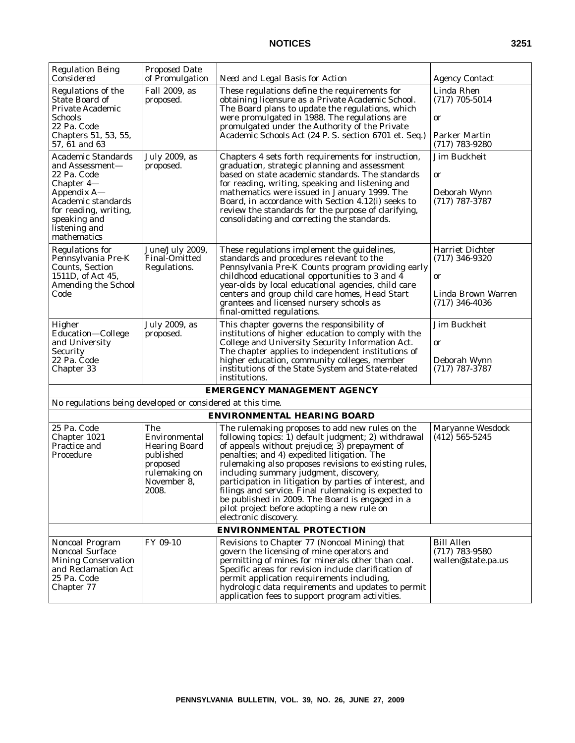| <b>Regulation Being</b><br>Considered                                                                                                                                                   | <b>Proposed Date</b><br>of Promulgation                                                                        | Need and Legal Basis for Action                                                                                                                                                                                                                                                                                                                                                                                                                                                                                                                           | <b>Agency Contact</b>                                                               |
|-----------------------------------------------------------------------------------------------------------------------------------------------------------------------------------------|----------------------------------------------------------------------------------------------------------------|-----------------------------------------------------------------------------------------------------------------------------------------------------------------------------------------------------------------------------------------------------------------------------------------------------------------------------------------------------------------------------------------------------------------------------------------------------------------------------------------------------------------------------------------------------------|-------------------------------------------------------------------------------------|
| Regulations of the<br><b>State Board of</b><br><b>Private Academic</b><br>Schools<br>22 Pa. Code<br>Chapters 51, 53, 55,<br>57, 61 and 63                                               | Fall 2009, as<br>proposed.                                                                                     | These regulations define the requirements for<br>obtaining licensure as a Private Academic School.<br>The Board plans to update the regulations, which<br>were promulgated in 1988. The regulations are<br>promulgated under the Authority of the Private<br>Academic Schools Act (24 P. S. section 6701 et. Seq.)                                                                                                                                                                                                                                        | Linda Rhen<br>$(717) 705 - 5014$<br>or<br><b>Parker Martin</b><br>$(717)$ 783-9280  |
| <b>Academic Standards</b><br>and Assessment—<br>22 Pa. Code<br>Chapter 4-<br>Appendix A-<br>Academic standards<br>for reading, writing,<br>speaking and<br>listening and<br>mathematics | July 2009, as<br>proposed.                                                                                     | Chapters 4 sets forth requirements for instruction,<br>graduation, strategic planning and assessment<br>based on state academic standards. The standards<br>for reading, writing, speaking and listening and<br>mathematics were issued in January 1999. The<br>Board, in accordance with Section 4.12(i) seeks to<br>review the standards for the purpose of clarifying,<br>consolidating and correcting the standards.                                                                                                                                  | Jim Buckheit<br>or<br>Deborah Wynn<br>$(717)$ 787-3787                              |
| <b>Regulations for</b><br>Pennsylvania Pre-K<br><b>Counts, Section</b><br>1511D, of Act 45,<br><b>Amending the School</b><br>Code                                                       | June/July 2009,<br><b>Final-Omitted</b><br>Regulations.                                                        | These regulations implement the guidelines,<br>standards and procedures relevant to the<br>Pennsylvania Pre-K Counts program providing early<br>childhood educational opportunities to 3 and 4<br>year-olds by local educational agencies, child care<br>centers and group child care homes, Head Start<br>grantees and licensed nursery schools as<br>final-omitted regulations.                                                                                                                                                                         | Harriet Dichter<br>$(717)$ 346-9320<br>or<br>Linda Brown Warren<br>$(717)$ 346-4036 |
| Higher<br>Education-College<br>and University<br>Security<br>22 Pa. Code<br>Chapter 33                                                                                                  | July 2009, as<br>proposed.                                                                                     | This chapter governs the responsibility of<br>institutions of higher education to comply with the<br>College and University Security Information Act.<br>The chapter applies to independent institutions of<br>higher education, community colleges, member<br>institutions of the State System and State-related<br>institutions.                                                                                                                                                                                                                        | Jim Buckheit<br>or<br>Deborah Wynn<br>$(717)$ 787-3787                              |
|                                                                                                                                                                                         |                                                                                                                | <b>EMERGENCY MANAGEMENT AGENCY</b>                                                                                                                                                                                                                                                                                                                                                                                                                                                                                                                        |                                                                                     |
| No regulations being developed or considered at this time.                                                                                                                              |                                                                                                                |                                                                                                                                                                                                                                                                                                                                                                                                                                                                                                                                                           |                                                                                     |
|                                                                                                                                                                                         |                                                                                                                | <b>ENVIRONMENTAL HEARING BOARD</b>                                                                                                                                                                                                                                                                                                                                                                                                                                                                                                                        |                                                                                     |
| 25 Pa. Code<br>Chapter 1021<br>Practice and<br>Procedure                                                                                                                                | The<br>Environmental<br><b>Hearing Board</b><br>published<br>proposed<br>rulemaking on<br>November 8,<br>2008. | The rulemaking proposes to add new rules on the<br>following topics: 1) default judgment; 2) withdrawal<br>of appeals without prejudice; 3) prepayment of<br>penalties; and 4) expedited litigation. The<br>rulemaking also proposes revisions to existing rules,<br>including summary judgment, discovery,<br>participation in litigation by parties of interest, and<br>filings and service. Final rulemaking is expected to<br>be published in 2009. The Board is engaged in a<br>pilot project before adopting a new rule on<br>electronic discovery. | Maryanne Wesdock<br>$(412)$ 565-5245                                                |
|                                                                                                                                                                                         |                                                                                                                | <b>ENVIRONMENTAL PROTECTION</b>                                                                                                                                                                                                                                                                                                                                                                                                                                                                                                                           |                                                                                     |
| <b>Noncoal Program</b><br>Noncoal Surface<br><b>Mining Conservation</b><br>and Reclamation Act<br>25 Pa. Code<br>Chapter 77                                                             | FY 09-10                                                                                                       | Revisions to Chapter 77 (Noncoal Mining) that<br>govern the licensing of mine operators and<br>permitting of mines for minerals other than coal.<br>Specific areas for revision include clarification of<br>permit application requirements including,<br>hydrologic data requirements and updates to permit<br>application fees to support program activities.                                                                                                                                                                                           | <b>Bill Allen</b><br>$(717)$ 783-9580<br>wallen@state.pa.us                         |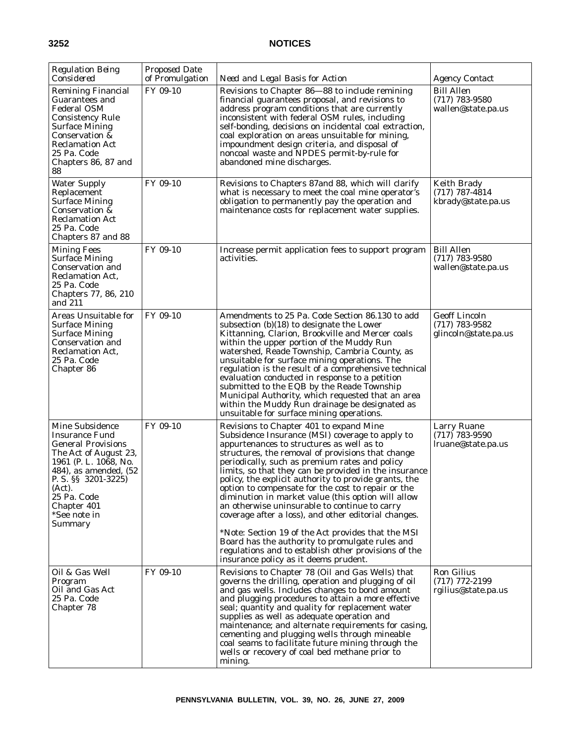| <b>Regulation Being</b><br>Considered                                                                                                                                                                                                      | <b>Proposed Date</b><br>of Promulgation | Need and Legal Basis for Action                                                                                                                                                                                                                                                                                                                                                                                                                                                                                                                                                                                                                                                                                                                                                                 | <b>Agency Contact</b>                                            |
|--------------------------------------------------------------------------------------------------------------------------------------------------------------------------------------------------------------------------------------------|-----------------------------------------|-------------------------------------------------------------------------------------------------------------------------------------------------------------------------------------------------------------------------------------------------------------------------------------------------------------------------------------------------------------------------------------------------------------------------------------------------------------------------------------------------------------------------------------------------------------------------------------------------------------------------------------------------------------------------------------------------------------------------------------------------------------------------------------------------|------------------------------------------------------------------|
| <b>Remining Financial</b><br>Guarantees and<br><b>Federal OSM</b><br><b>Consistency Rule</b><br><b>Surface Mining</b><br>Conservation &<br><b>Reclamation Act</b><br>25 Pa. Code<br>Chapters 86, 87 and<br>88                              | FY 09-10                                | Revisions to Chapter 86-88 to include remining<br>financial guarantees proposal, and revisions to<br>address program conditions that are currently<br>inconsistent with federal OSM rules, including<br>self-bonding, decisions on incidental coal extraction,<br>coal exploration on areas unsuitable for mining,<br>impoundment design criteria, and disposal of<br>noncoal waste and NPDES permit-by-rule for<br>abandoned mine discharges.                                                                                                                                                                                                                                                                                                                                                  | <b>Bill Allen</b><br>$(717)$ 783-9580<br>wallen@state.pa.us      |
| <b>Water Supply</b><br>Replacement<br><b>Surface Mining</b><br>Conservation &<br>Reclamation Act<br>25 Pa. Code<br>Chapters 87 and 88                                                                                                      | FY 09-10                                | Revisions to Chapters 87 and 88, which will clarify<br>what is necessary to meet the coal mine operator's<br>obligation to permanently pay the operation and<br>maintenance costs for replacement water supplies.                                                                                                                                                                                                                                                                                                                                                                                                                                                                                                                                                                               | Keith Brady<br>$(717)$ 787-4814<br>kbrady@state.pa.us            |
| <b>Mining Fees</b><br><b>Surface Mining</b><br><b>Conservation and</b><br><b>Reclamation Act,</b><br>25 Pa. Code<br>Chapters 77, 86, 210<br>and 211                                                                                        | FY 09-10                                | Increase permit application fees to support program<br>activities.                                                                                                                                                                                                                                                                                                                                                                                                                                                                                                                                                                                                                                                                                                                              | <b>Bill Allen</b><br>$(717)$ 783-9580<br>wallen@state.pa.us      |
| Areas Unsuitable for<br><b>Surface Mining</b><br><b>Surface Mining</b><br>Conservation and<br><b>Reclamation Act,</b><br>25 Pa. Code<br>Chapter 86                                                                                         | FY 09-10                                | Amendments to 25 Pa. Code Section 86.130 to add<br>subsection $(b)(18)$ to designate the Lower<br>Kittanning, Clarion, Brookville and Mercer coals<br>within the upper portion of the Muddy Run<br>watershed, Reade Township, Cambria County, as<br>unsuitable for surface mining operations. The<br>regulation is the result of a comprehensive technical<br>evaluation conducted in response to a petition<br>submitted to the EQB by the Reade Township<br>Municipal Authority, which requested that an area<br>within the Muddy Run drainage be designated as<br>unsuitable for surface mining operations.                                                                                                                                                                                  | <b>Geoff Lincoln</b><br>$(717)$ 783-9582<br>glincoln@state.pa.us |
| Mine Subsidence<br><b>Insurance Fund</b><br><b>General Provisions</b><br>The Act of August 23,<br>1961 (P. L. 1068, No.<br>484), as amended, (52<br>P. S. §§ 3201-3225)<br>(Act).<br>25 Pa. Code<br>Chapter 401<br>*See note in<br>Summary | FY 09-10                                | Revisions to Chapter 401 to expand Mine<br>Subsidence Insurance (MSI) coverage to apply to<br>appurtenances to structures as well as to<br>structures, the removal of provisions that change<br>periodically, such as premium rates and policy<br>limits, so that they can be provided in the insurance<br>policy, the explicit authority to provide grants, the<br>option to compensate for the cost to repair or the<br>diminution in market value (this option will allow<br>an otherwise uninsurable to continue to carry<br>coverage after a loss), and other editorial changes.<br>*Note: Section 19 of the Act provides that the MSI<br>Board has the authority to promulgate rules and<br>regulations and to establish other provisions of the<br>insurance policy as it deems prudent. | Larry Ruane<br>$(717)$ 783-9590<br>lruane@state.pa.us            |
| Oil & Gas Well<br>Program<br>Oil and Gas Act<br>25 Pa. Code<br>Chapter 78                                                                                                                                                                  | FY 09-10                                | Revisions to Chapter 78 (Oil and Gas Wells) that<br>governs the drilling, operation and plugging of oil<br>and gas wells. Includes changes to bond amount<br>and plugging procedures to attain a more effective<br>seal; quantity and quality for replacement water<br>supplies as well as adequate operation and<br>maintenance; and alternate requirements for casing,<br>cementing and plugging wells through mineable<br>coal seams to facilitate future mining through the<br>wells or recovery of coal bed methane prior to<br>mining.                                                                                                                                                                                                                                                    | <b>Ron Gilius</b><br>$(717)$ 772-2199<br>rgilius@state.pa.us     |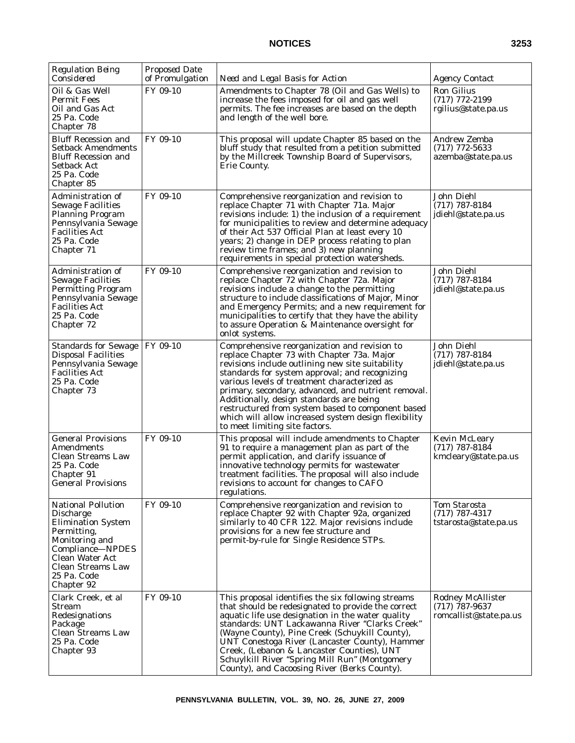| <b>Regulation Being</b><br>Considered                                                                                                                                                                | <b>Proposed Date</b><br>of Promulgation | Need and Legal Basis for Action                                                                                                                                                                                                                                                                                                                                                                                                                                                                    | <b>Agency Contact</b>                                            |
|------------------------------------------------------------------------------------------------------------------------------------------------------------------------------------------------------|-----------------------------------------|----------------------------------------------------------------------------------------------------------------------------------------------------------------------------------------------------------------------------------------------------------------------------------------------------------------------------------------------------------------------------------------------------------------------------------------------------------------------------------------------------|------------------------------------------------------------------|
| Oil & Gas Well<br><b>Permit Fees</b><br>Oil and Gas Act<br>25 Pa. Code<br>Chapter 78                                                                                                                 | FY 09-10                                | Amendments to Chapter 78 (Oil and Gas Wells) to<br>increase the fees imposed for oil and gas well<br>permits. The fee increases are based on the depth<br>and length of the well bore.                                                                                                                                                                                                                                                                                                             | <b>Ron Gilius</b><br>$(717)$ 772-2199<br>rgilius@state.pa.us     |
| <b>Bluff Recession and</b><br>Setback Amendments<br>Bluff Recession and<br>Setback Act<br>25 Pa. Code<br>Chapter 85                                                                                  | FY 09-10                                | This proposal will update Chapter 85 based on the<br>bluff study that resulted from a petition submitted<br>by the Millcreek Township Board of Supervisors,<br>Erie County.                                                                                                                                                                                                                                                                                                                        | <b>Andrew Zemba</b><br>$(717)$ 772-5633<br>azemba@state.pa.us    |
| Administration of<br><b>Sewage Facilities</b><br><b>Planning Program</b><br>Pennsylvania Sewage<br>Facilities Act<br>25 Pa. Code<br>Chapter 71                                                       | FY 09-10                                | Comprehensive reorganization and revision to<br>replace Chapter 71 with Chapter 71a. Major<br>revisions include: 1) the inclusion of a requirement<br>for municipalities to review and determine adequacy<br>of their Act 537 Official Plan at least every 10<br>years; 2) change in DEP process relating to plan<br>review time frames; and 3) new planning<br>requirements in special protection watersheds.                                                                                     | John Diehl<br>$(717)$ 787-8184<br>jdiehl@state.pa.us             |
| Administration of<br><b>Sewage Facilities</b><br><b>Permitting Program</b><br>Pennsylvania Sewage<br><b>Facilities Act</b><br>25 Pa. Code<br>Chapter 72                                              | FY 09-10                                | Comprehensive reorganization and revision to<br>replace Chapter 72 with Chapter 72a. Major<br>revisions include a change to the permitting<br>structure to include classifications of Major, Minor<br>and Emergency Permits; and a new requirement for<br>municipalities to certify that they have the ability<br>to assure Operation & Maintenance oversight for<br>onlot systems.                                                                                                                | John Diehl<br>$(717) 787 - 8184$<br>jdiehl@state.pa.us           |
| <b>Standards for Sewage</b><br><b>Disposal Facilities</b><br>Pennsylvania Sewage<br><b>Facilities Act</b><br>25 Pa. Code<br>Chapter 73                                                               | FY 09-10                                | Comprehensive reorganization and revision to<br>replace Chapter 73 with Chapter 73a. Major<br>revisions include outlining new site suitability<br>standards for system approval; and recognizing<br>various levels of treatment characterized as<br>primary, secondary, advanced, and nutrient removal.<br>Additionally, design standards are being<br>restructured from system based to component based<br>which will allow increased system design flexibility<br>to meet limiting site factors. | John Diehl<br>$(717)$ 787-8184<br>jdiehl@state.pa.us             |
| <b>General Provisions</b><br>Amendments<br><b>Clean Streams Law</b><br>25 Pa. Code<br>Chapter 91<br><b>General Provisions</b>                                                                        | FY 09-10                                | This proposal will include amendments to Chapter<br>91 to require a management plan as part of the<br>permit application, and clarify issuance of<br>innovative technology permits for wastewater<br>treatment facilities. The proposal will also include<br>revisions to account for changes to CAFO<br>regulations.                                                                                                                                                                              | <b>Kevin McLeary</b><br>$(717)$ 787-8184<br>kmcleary@state.pa.us |
| <b>National Pollution</b><br><b>Discharge</b><br><b>Elimination System</b><br>Permitting,<br>Monitoring and<br>Compliance-NPDES<br>Clean Water Act<br>Clean Streams Law<br>25 Pa. Code<br>Chapter 92 | FY 09-10                                | Comprehensive reorganization and revision to<br>replace Chapter 92 with Chapter 92a, organized<br>similarly to 40 CFR 122. Major revisions include<br>provisions for a new fee structure and<br>permit-by-rule for Single Residence STPs.                                                                                                                                                                                                                                                          | <b>Tom Starosta</b><br>$(717)$ 787-4317<br>tstarosta@state.pa.us |
| Clark Creek, et al<br><b>Stream</b><br>Redesignations<br>Package<br><b>Clean Streams Law</b><br>25 Pa. Code<br>Chapter 93                                                                            | FY 09-10                                | This proposal identifies the six following streams<br>that should be redesignated to provide the correct<br>aquatic life use designation in the water quality<br>standards: UNT Lackawanna River "Clarks Creek"<br>(Wayne County), Pine Creek (Schuykill County),<br>UNT Conestoga River (Lancaster County), Hammer<br>Creek, (Lebanon & Lancaster Counties), UNT<br>Schuylkill River "Spring Mill Run" (Montgomery<br>County), and Cacoosing River (Berks County).                                | Rodney McAllister<br>$(717)$ 787-9637<br>romcallist@state.pa.us  |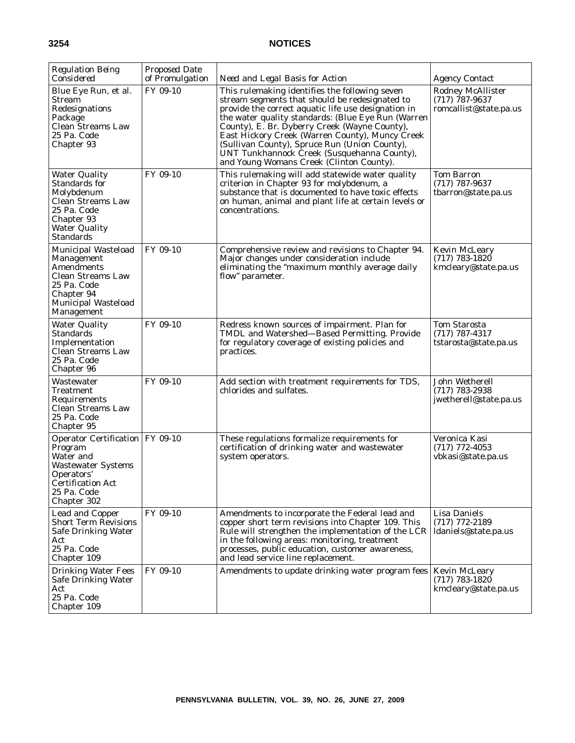| <b>Regulation Being</b><br>Considered                                                                                                                          | <b>Proposed Date</b><br>of Promulgation | Need and Legal Basis for Action                                                                                                                                                                                                                                                                                                                                                                                                                               | <b>Agency Contact</b>                                                  |
|----------------------------------------------------------------------------------------------------------------------------------------------------------------|-----------------------------------------|---------------------------------------------------------------------------------------------------------------------------------------------------------------------------------------------------------------------------------------------------------------------------------------------------------------------------------------------------------------------------------------------------------------------------------------------------------------|------------------------------------------------------------------------|
| Blue Eye Run, et al.<br>Stream<br>Redesignations<br>Package<br><b>Clean Streams Law</b><br>25 Pa. Code<br>Chapter 93                                           | FY 09-10                                | This rulemaking identifies the following seven<br>stream segments that should be redesignated to<br>provide the correct aquatic life use designation in<br>the water quality standards: (Blue Eye Run (Warren<br>County), E. Br. Dyberry Creek (Wayne County),<br>East Hickory Creek (Warren County), Muncy Creek<br>(Sullivan County), Spruce Run (Union County),<br>UNT Tunkhannock Creek (Susquehanna County),<br>and Young Womans Creek (Clinton County). | <b>Rodney McAllister</b><br>$(717)$ 787-9637<br>romcallist@state.pa.us |
| <b>Water Quality</b><br>Standards for<br>Molybdenum<br><b>Clean Streams Law</b><br>25 Pa. Code<br>Chapter 93<br><b>Water Quality</b><br><b>Standards</b>       | FY 09-10                                | This rulemaking will add statewide water quality<br>criterion in Chapter 93 for molybdenum, a<br>substance that is documented to have toxic effects<br>on human, animal and plant life at certain levels or<br>concentrations.                                                                                                                                                                                                                                | <b>Tom Barron</b><br>$(717)$ 787-9637<br>tbarron@state.pa.us           |
| Municipal Wasteload<br>Management<br><b>Amendments</b><br><b>Clean Streams Law</b><br>25 Pa. Code<br>Chapter 94<br><b>Municipal Wasteload</b><br>Management    | FY 09-10                                | Comprehensive review and revisions to Chapter 94.<br>Major changes under consideration include<br>eliminating the "maximum monthly average daily<br>flow" parameter.                                                                                                                                                                                                                                                                                          | <b>Kevin McLeary</b><br>$(717)$ 783-1820<br>kmcleary@state.pa.us       |
| <b>Water Quality</b><br><b>Standards</b><br>Implementation<br><b>Clean Streams Law</b><br>25 Pa. Code<br>Chapter 96                                            | FY 09-10                                | Redress known sources of impairment. Plan for<br>TMDL and Watershed-Based Permitting. Provide<br>for regulatory coverage of existing policies and<br>practices.                                                                                                                                                                                                                                                                                               | <b>Tom Starosta</b><br>$(717)$ 787-4317<br>tstarosta@state.pa.us       |
| Wastewater<br>Treatment<br>Requirements<br><b>Clean Streams Law</b><br>25 Pa. Code<br>Chapter 95                                                               | FY 09-10                                | Add section with treatment requirements for TDS,<br>chlorides and sulfates.                                                                                                                                                                                                                                                                                                                                                                                   | John Wetherell<br>$(717)$ 783-2938<br>jwetherell@state.pa.us           |
| Operator Certification   FY 09-10<br>Program<br>Water and<br><b>Wastewater Systems</b><br>Operators'<br><b>Certification Act</b><br>25 Pa. Code<br>Chapter 302 |                                         | These regulations formalize requirements for<br>certification of drinking water and wastewater<br>system operators.                                                                                                                                                                                                                                                                                                                                           | Veronica Kasi<br>$(717)$ 772-4053<br>vbkasi@state.pa.us                |
| <b>Lead and Copper</b><br><b>Short Term Revisions</b><br><b>Safe Drinking Water</b><br>Act<br>25 Pa. Code<br>Chapter 109                                       | FY 09-10                                | Amendments to incorporate the Federal lead and<br>copper short term revisions into Chapter 109. This<br>Rule will strengthen the implementation of the LCR<br>in the following areas: monitoring, treatment<br>processes, public education, customer awareness,<br>and lead service line replacement.                                                                                                                                                         | <b>Lisa Daniels</b><br>$(717)$ 772-2189<br>ldaniels@state.pa.us        |
| <b>Drinking Water Fees</b><br><b>Safe Drinking Water</b><br>Act<br>25 Pa. Code<br>Chapter 109                                                                  | FY 09-10                                | Amendments to update drinking water program fees                                                                                                                                                                                                                                                                                                                                                                                                              | <b>Kevin McLeary</b><br>$(717)$ 783-1820<br>kmcleary@state.pa.us       |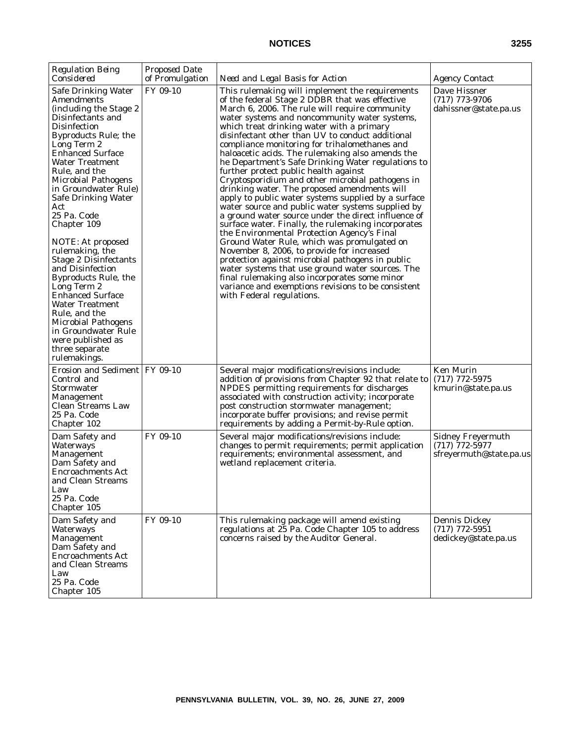| <b>Regulation Being</b><br>Considered                                                                                                                                                                                                                                                                                                                                                                                                                                                                                                                                                                                                                                     | <b>Proposed Date</b><br>of Promulgation | Need and Legal Basis for Action                                                                                                                                                                                                                                                                                                                                                                                                                                                                                                                                                                                                                                                                                                                                                                                                                                                                                                                                                                                                                                                                                                                                                                                                 | <i>Agency Contact</i>                                                   |
|---------------------------------------------------------------------------------------------------------------------------------------------------------------------------------------------------------------------------------------------------------------------------------------------------------------------------------------------------------------------------------------------------------------------------------------------------------------------------------------------------------------------------------------------------------------------------------------------------------------------------------------------------------------------------|-----------------------------------------|---------------------------------------------------------------------------------------------------------------------------------------------------------------------------------------------------------------------------------------------------------------------------------------------------------------------------------------------------------------------------------------------------------------------------------------------------------------------------------------------------------------------------------------------------------------------------------------------------------------------------------------------------------------------------------------------------------------------------------------------------------------------------------------------------------------------------------------------------------------------------------------------------------------------------------------------------------------------------------------------------------------------------------------------------------------------------------------------------------------------------------------------------------------------------------------------------------------------------------|-------------------------------------------------------------------------|
| Safe Drinking Water<br>Amendments<br>(including the Stage 2<br>Disinfectants and<br><b>Disinfection</b><br>Byproducts Rule; the<br>Long Term 2<br><b>Enhanced Surface</b><br><b>Water Treatment</b><br>Rule, and the<br><b>Microbial Pathogens</b><br>in Groundwater Rule)<br><b>Safe Drinking Water</b><br>Act<br>25 Pa. Code<br>Chapter 109<br>NOTE: At proposed<br>rulemaking, the<br><b>Stage 2 Disinfectants</b><br>and Disinfection<br><b>Byproducts Rule, the</b><br>Long Term 2<br><b>Enhanced Surface</b><br><b>Water Treatment</b><br>Rule, and the<br><b>Microbial Pathogens</b><br>in Groundwater Rule<br>were published as<br>three separate<br>rulemakings. | FY 09-10                                | This rulemaking will implement the requirements<br>of the federal Stage 2 DDBR that was effective<br>March 6, 2006. The rule will require community<br>water systems and noncommunity water systems,<br>which treat drinking water with a primary<br>disinfectant other than UV to conduct additional<br>compliance monitoring for trihalomethanes and<br>haloacetic acids. The rulemaking also amends the<br>he Department's Safe Drinking Water regulations to<br>further protect public health against<br>Cryptosporidium and other microbial pathogens in<br>drinking water. The proposed amendments will<br>apply to public water systems supplied by a surface<br>water source and public water systems supplied by<br>a ground water source under the direct influence of<br>surface water. Finally, the rulemaking incorporates<br>the Environmental Protection Agency's Final<br>Ground Water Rule, which was promulgated on<br>November 8, 2006, to provide for increased<br>protection against microbial pathogens in public<br>water systems that use ground water sources. The<br>final rulemaking also incorporates some minor<br>variance and exemptions revisions to be consistent<br>with Federal regulations. | Dave Hissner<br>$(717)$ 773-9706<br>dahissner@state.pa.us               |
| Erosion and Sediment   FY 09-10<br>Control and<br>Stormwater<br>Management<br>Clean Streams Law<br>25 Pa. Code<br>Chapter 102                                                                                                                                                                                                                                                                                                                                                                                                                                                                                                                                             |                                         | Several major modifications/revisions include:<br>addition of provisions from Chapter 92 that relate to<br>NPDES permitting requirements for discharges<br>associated with construction activity; incorporate<br>post construction stormwater management;<br>incorporate buffer provisions; and revise permit<br>requirements by adding a Permit-by-Rule option.                                                                                                                                                                                                                                                                                                                                                                                                                                                                                                                                                                                                                                                                                                                                                                                                                                                                | <b>Ken Murin</b><br>$(717)$ 772-5975<br>kmurin@state.pa.us              |
| Dam Safety and<br>Waterways<br>Management<br>Dam Safety and<br><b>Encroachments Act</b><br>and Clean Streams<br>Law<br>25 Pa. Code<br>Chapter 105                                                                                                                                                                                                                                                                                                                                                                                                                                                                                                                         | FY 09-10                                | Several major modifications/revisions include:<br>changes to permit requirements; permit application<br>requirements; environmental assessment, and<br>wetland replacement criteria.                                                                                                                                                                                                                                                                                                                                                                                                                                                                                                                                                                                                                                                                                                                                                                                                                                                                                                                                                                                                                                            | <b>Sidney Freyermuth</b><br>$(717)$ 772-5977<br>sfreyermuth@state.pa.us |
| Dam Safety and<br>Waterways<br>Management<br>Dam Safety and<br><b>Encroachments Act</b><br>and Clean Streams<br>Law<br>25 Pa. Code<br>Chapter 105                                                                                                                                                                                                                                                                                                                                                                                                                                                                                                                         | FY 09-10                                | This rulemaking package will amend existing<br>regulations at 25 Pa. Code Chapter 105 to address<br>concerns raised by the Auditor General.                                                                                                                                                                                                                                                                                                                                                                                                                                                                                                                                                                                                                                                                                                                                                                                                                                                                                                                                                                                                                                                                                     | <b>Dennis Dickey</b><br>$(717)$ 772-5951<br>dedickey@state.pa.us        |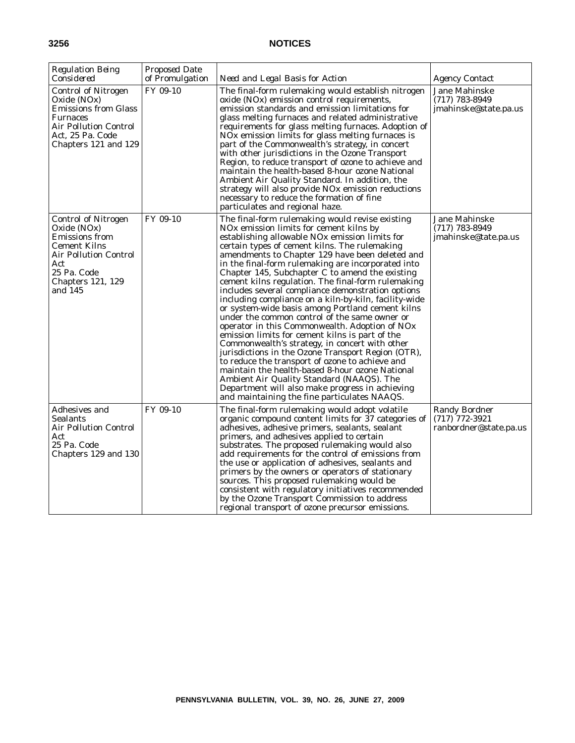| <b>Regulation Being</b><br>Considered                                                                                                                      | <b>Proposed Date</b><br>of Promulgation | Need and Legal Basis for Action                                                                                                                                                                                                                                                                                                                                                                                                                                                                                                                                                                                                                                                                                                                                                                                                                                                                                                                                                                                                                                                                                   | <b>Agency Contact</b>                                              |
|------------------------------------------------------------------------------------------------------------------------------------------------------------|-----------------------------------------|-------------------------------------------------------------------------------------------------------------------------------------------------------------------------------------------------------------------------------------------------------------------------------------------------------------------------------------------------------------------------------------------------------------------------------------------------------------------------------------------------------------------------------------------------------------------------------------------------------------------------------------------------------------------------------------------------------------------------------------------------------------------------------------------------------------------------------------------------------------------------------------------------------------------------------------------------------------------------------------------------------------------------------------------------------------------------------------------------------------------|--------------------------------------------------------------------|
| <b>Control of Nitrogen</b><br>Oxide (NOx)<br><b>Emissions from Glass</b><br>Furnaces<br>Air Pollution Control<br>Act, 25 Pa. Code<br>Chapters 121 and 129  | FY 09-10                                | The final-form rulemaking would establish nitrogen<br>oxide (NOx) emission control requirements,<br>emission standards and emission limitations for<br>glass melting furnaces and related administrative<br>requirements for glass melting furnaces. Adoption of<br>NO <sub>x</sub> emission limits for glass melting furnaces is<br>part of the Commonwealth's strategy, in concert<br>with other jurisdictions in the Ozone Transport<br>Region, to reduce transport of ozone to achieve and<br>maintain the health-based 8-hour ozone National<br>Ambient Air Quality Standard. In addition, the<br>strategy will also provide NOx emission reductions<br>necessary to reduce the formation of fine<br>particulates and regional haze.                                                                                                                                                                                                                                                                                                                                                                         | Jane Mahinske<br>$(717)$ 783-8949<br>jmahinske@state.pa.us         |
| Control of Nitrogen<br>Oxide (NOx)<br>Emissions from<br>Cement Kilns<br>Air Pollution Control<br>Act<br>25 Pa. Code<br><b>Chapters 121, 129</b><br>and 145 | FY 09-10                                | The final-form rulemaking would revise existing<br>NO <sub>x</sub> emission limits for cement kilns by<br>establishing allowable NOx emission limits for<br>certain types of cement kilns. The rulemaking<br>amendments to Chapter 129 have been deleted and<br>in the final-form rulemaking are incorporated into<br>Chapter 145, Subchapter C to amend the existing<br>cement kilns regulation. The final-form rulemaking<br>includes several compliance demonstration options<br>including compliance on a kiln-by-kiln, facility-wide<br>or system-wide basis among Portland cement kilns<br>under the common control of the same owner or<br>operator in this Commonwealth. Adoption of NOx<br>emission limits for cement kilns is part of the<br>Commonwealth's strategy, in concert with other<br>jurisdictions in the Ozone Transport Region (OTR),<br>to reduce the transport of ozone to achieve and<br>maintain the health-based 8-hour ozone National<br>Ambient Air Quality Standard (NAAQS). The<br>Department will also make progress in achieving<br>and maintaining the fine particulates NAAQS. | Jane Mahinske<br>$(717)$ 783-8949<br>jmahinske@tate.pa.us          |
| Adhesives and<br>Sealants<br>Air Pollution Control<br>Act<br>25 Pa. Code<br>Chapters 129 and 130                                                           | FY 09-10                                | The final-form rulemaking would adopt volatile<br>organic compound content limits for 37 categories of<br>adhesives, adhesive primers, sealants, sealant<br>primers, and adhesives applied to certain<br>substrates. The proposed rulemaking would also<br>add requirements for the control of emissions from<br>the use or application of adhesives, sealants and<br>primers by the owners or operators of stationary<br>sources. This proposed rulemaking would be<br>consistent with regulatory initiatives recommended<br>by the Ozone Transport Commission to address<br>regional transport of ozone precursor emissions.                                                                                                                                                                                                                                                                                                                                                                                                                                                                                    | <b>Randy Bordner</b><br>$(717)$ 772-3921<br>ranbordner@state.pa.us |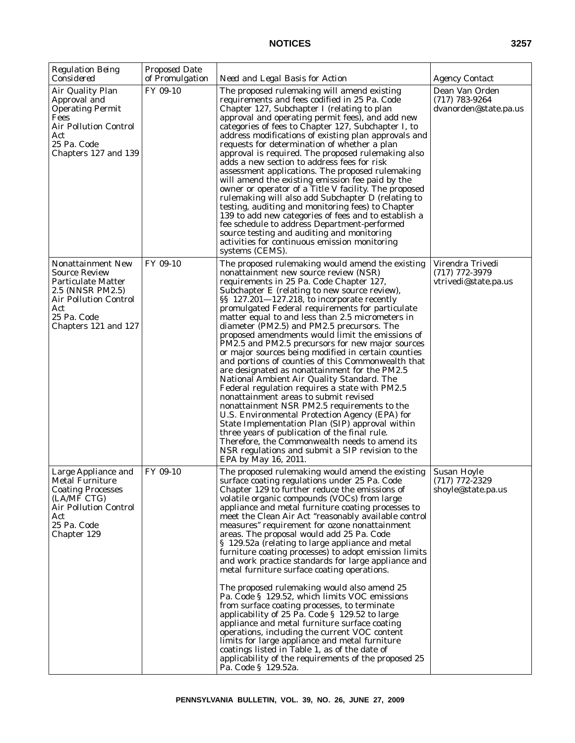| <b>Regulation Being</b><br>Considered                                                                                                                                           | <b>Proposed Date</b><br>of Promulgation | Need and Legal Basis for Action                                                                                                                                                                                                                                                                                                                                                                                                                                                                                                                                                                                                                                                                                                                                                                                                                                                                                                                                                                                                                                                                                                               | <b>Agency Contact</b>                                        |
|---------------------------------------------------------------------------------------------------------------------------------------------------------------------------------|-----------------------------------------|-----------------------------------------------------------------------------------------------------------------------------------------------------------------------------------------------------------------------------------------------------------------------------------------------------------------------------------------------------------------------------------------------------------------------------------------------------------------------------------------------------------------------------------------------------------------------------------------------------------------------------------------------------------------------------------------------------------------------------------------------------------------------------------------------------------------------------------------------------------------------------------------------------------------------------------------------------------------------------------------------------------------------------------------------------------------------------------------------------------------------------------------------|--------------------------------------------------------------|
| Air Quality Plan<br>Approval and<br><b>Operating Permit</b><br>Fees<br><b>Air Pollution Control</b><br>Act<br>25 Pa. Code<br>Chapters 127 and 139                               | FY 09-10                                | The proposed rulemaking will amend existing<br>requirements and fees codified in 25 Pa. Code<br>Chapter 127, Subchapter I (relating to plan<br>approval and operating permit fees), and add new<br>categories of fees to Chapter 127, Subchapter I, to<br>address modifications of existing plan approvals and<br>requests for determination of whether a plan<br>approval is required. The proposed rulemaking also<br>adds a new section to address fees for risk<br>assessment applications. The proposed rulemaking<br>will amend the existing emission fee paid by the<br>owner or operator of a Title V facility. The proposed<br>rulemaking will also add Subchapter D (relating to<br>testing, auditing and monitoring fees) to Chapter<br>139 to add new categories of fees and to establish a<br>fee schedule to address Department-performed<br>source testing and auditing and monitoring<br>activities for continuous emission monitoring<br>systems (CEMS).                                                                                                                                                                     | Dean Van Orden<br>$(717)$ 783-9264<br>dvanorden@state.pa.us  |
| <b>Nonattainment New</b><br><b>Source Review</b><br><b>Particulate Matter</b><br>2.5 (NNSR PM2.5)<br><b>Air Pollution Control</b><br>Act<br>25 Pa. Code<br>Chapters 121 and 127 | FY 09-10                                | The proposed rulemaking would amend the existing<br>nonattainment new source review (NSR)<br>requirements in 25 Pa. Code Chapter 127,<br>Subchapter E (relating to new source review),<br>§§ 127.201-127.218, to incorporate recently<br>promulgated Federal requirements for particulate<br>matter equal to and less than 2.5 micrometers in<br>diameter (PM2.5) and PM2.5 precursors. The<br>proposed amendments would limit the emissions of<br>PM2.5 and PM2.5 precursors for new major sources<br>or major sources being modified in certain counties<br>and portions of counties of this Commonwealth that<br>are designated as nonattainment for the PM2.5<br>National Ambient Air Quality Standard. The<br>Federal regulation requires a state with PM2.5<br>nonattainment areas to submit revised<br>nonattainment NSR PM2.5 requirements to the<br>U.S. Environmental Protection Agency (EPA) for<br>State Implementation Plan (SIP) approval within<br>three years of publication of the final rule.<br>Therefore, the Commonwealth needs to amend its<br>NSR regulations and submit a SIP revision to the<br>EPA by May 16, 2011. | Virendra Trivedi<br>$(717)$ 772-3979<br>vtrivedi@state.pa.us |
| Large Appliance and<br><b>Metal Furniture</b><br><b>Coating Processes</b><br>(LA/MF CTG)<br><b>Air Pollution Control</b><br>Act<br>25 Pa. Code<br>Chapter 129                   | FY 09-10                                | The proposed rulemaking would amend the existing<br>surface coating regulations under 25 Pa. Code<br>Chapter 129 to further reduce the emissions of<br>volatile organic compounds (VOCs) from large<br>appliance and metal furniture coating processes to<br>meet the Clean Air Act "reasonably available control<br>measures" requirement for ozone nonattainment<br>areas. The proposal would add 25 Pa. Code<br>§ 129.52a (relating to large appliance and metal<br>furniture coating processes) to adopt emission limits<br>and work practice standards for large appliance and<br>metal furniture surface coating operations.<br>The proposed rulemaking would also amend 25<br>Pa. Code § 129.52, which limits VOC emissions<br>from surface coating processes, to terminate<br>applicability of 25 Pa. Code $\S$ 129.52 to large<br>appliance and metal furniture surface coating<br>operations, including the current VOC content<br>limits for large appliance and metal furniture<br>coatings listed in Table 1, as of the date of<br>applicability of the requirements of the proposed 25<br>Pa. Code § 129.52a.                   | Susan Hoyle<br>$(717)$ 772-2329<br>shoyle@state.pa.us        |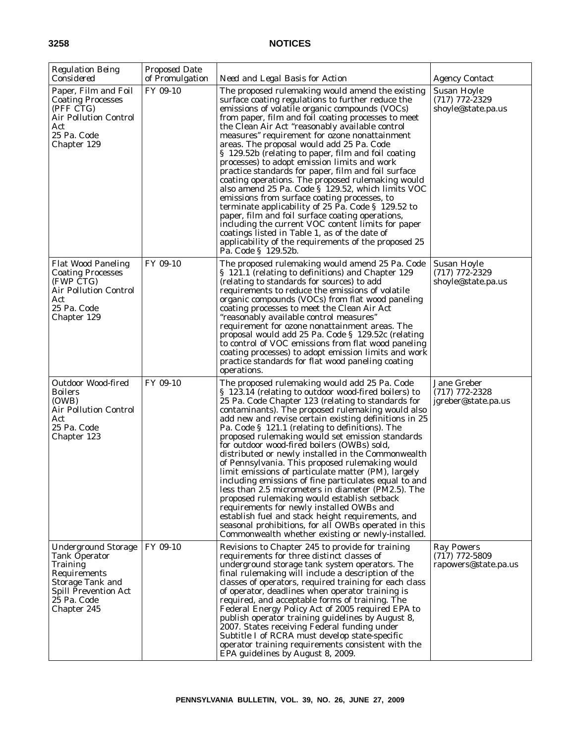| <b>Regulation Being</b><br>Considered                                                                                                                    | <b>Proposed Date</b><br>of Promulgation | Need and Legal Basis for Action                                                                                                                                                                                                                                                                                                                                                                                                                                                                                                                                                                                                                                                                                                                                                                                                                                                                                                                                                            | <i>Agency Contact</i>                                         |
|----------------------------------------------------------------------------------------------------------------------------------------------------------|-----------------------------------------|--------------------------------------------------------------------------------------------------------------------------------------------------------------------------------------------------------------------------------------------------------------------------------------------------------------------------------------------------------------------------------------------------------------------------------------------------------------------------------------------------------------------------------------------------------------------------------------------------------------------------------------------------------------------------------------------------------------------------------------------------------------------------------------------------------------------------------------------------------------------------------------------------------------------------------------------------------------------------------------------|---------------------------------------------------------------|
| Paper, Film and Foil<br><b>Coating Processes</b><br>(PFF CTG)<br><b>Air Pollution Control</b><br>Act<br>25 Pa. Code<br>Chapter 129                       | FY 09-10                                | The proposed rulemaking would amend the existing<br>surface coating regulations to further reduce the<br>emissions of volatile organic compounds (VOCs)<br>from paper, film and foil coating processes to meet<br>the Clean Air Act "reasonably available control<br>measures" requirement for ozone nonattainment<br>areas. The proposal would add 25 Pa. Code<br>§ 129.52b (relating to paper, film and foil coating<br>processes) to adopt emission limits and work<br>practice standards for paper, film and foil surface<br>coating operations. The proposed rulemaking would<br>also amend 25 Pa. Code § 129.52, which limits VOC<br>emissions from surface coating processes, to<br>terminate applicability of 25 Pa. Code $\S$ 129.52 to<br>paper, film and foil surface coating operations,<br>including the current VOC content limits for paper<br>coatings listed in Table 1, as of the date of<br>applicability of the requirements of the proposed 25<br>Pa. Code § 129.52b. | Susan Hoyle<br>$(717)$ 772-2329<br>shoyle@state.pa.us         |
| <b>Flat Wood Paneling</b><br><b>Coating Processes</b><br>(FWP CTG)<br><b>Air Pollution Control</b><br>Act<br>25 Pa. Code<br>Chapter 129                  | FY 09-10                                | The proposed rulemaking would amend 25 Pa. Code<br>§ 121.1 (relating to definitions) and Chapter 129<br>(relating to standards for sources) to add<br>requirements to reduce the emissions of volatile<br>organic compounds (VOCs) from flat wood paneling<br>coating processes to meet the Clean Air Act<br>"reasonably available control measures"<br>requirement for ozone nonattainment areas. The<br>proposal would add 25 Pa. Code § 129.52c (relating<br>to control of VOC emissions from flat wood paneling<br>coating processes) to adopt emission limits and work<br>practice standards for flat wood paneling coating<br>operations.                                                                                                                                                                                                                                                                                                                                            | Susan Hoyle<br>$(717)$ 772-2329<br>shoyle@state.pa.us         |
| Outdoor Wood-fired<br>Boilers<br>(OWB)<br><b>Air Pollution Control</b><br>Act<br>25 Pa. Code<br>Chapter 123                                              | FY 09-10                                | The proposed rulemaking would add 25 Pa. Code<br>§ 123.14 (relating to outdoor wood-fired boilers) to<br>25 Pa. Code Chapter 123 (relating to standards for<br>contaminants). The proposed rulemaking would also<br>add new and revise certain existing definitions in 25<br>Pa. Code § 121.1 (relating to definitions). The<br>proposed rulemaking would set emission standards<br>for outdoor wood-fired boilers (OWBs) sold,<br>distributed or newly installed in the Commonwealth<br>of Pennsylvania. This proposed rulemaking would<br>limit emissions of particulate matter (PM), largely<br>including emissions of fine particulates equal to and<br>less than 2.5 micrometers in diameter (PM2.5). The<br>proposed rulemaking would establish setback<br>requirements for newly installed OWBs and<br>establish fuel and stack height requirements, and<br>seasonal prohibitions, for all OWBs operated in this<br>Commonwealth whether existing or newly-installed.               | Jane Greber<br>$(717)$ 772-2328<br>jgreber@state.pa.us        |
| <b>Underground Storage</b><br><b>Tank Operator</b><br>Training<br>Requirements<br>Storage Tank and<br>Spill Prevention Act<br>25 Pa. Code<br>Chapter 245 | FY 09-10                                | Revisions to Chapter 245 to provide for training<br>requirements for three distinct classes of<br>underground storage tank system operators. The<br>final rulemaking will include a description of the<br>classes of operators, required training for each class<br>of operator, deadlines when operator training is<br>required, and acceptable forms of training. The<br>Federal Energy Policy Act of 2005 required EPA to<br>publish operator training guidelines by August 8,<br>2007. States receiving Federal funding under<br>Subtitle I of RCRA must develop state-specific<br>operator training requirements consistent with the<br>EPA guidelines by August 8, 2009.                                                                                                                                                                                                                                                                                                             | <b>Ray Powers</b><br>$(717)$ 772-5809<br>rapowers@state.pa.us |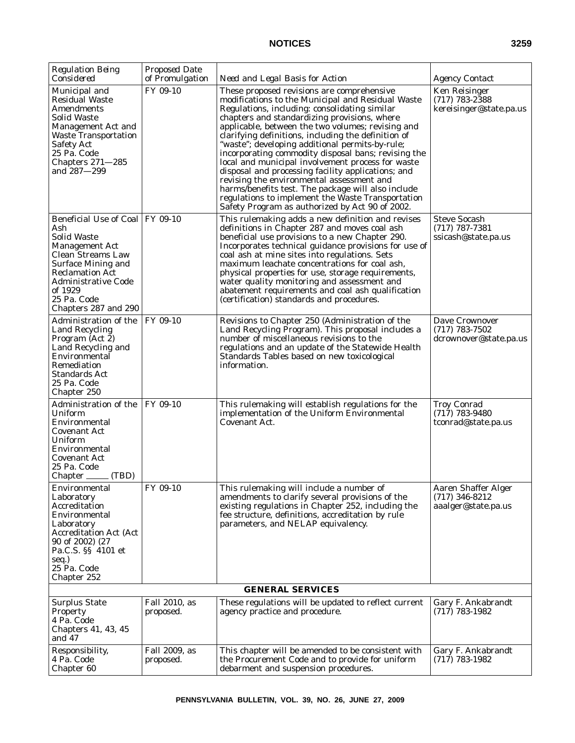| <b>Regulation Being</b><br>Considered                                                                                                                                                                                                               | <b>Proposed Date</b><br>of Promulgation | Need and Legal Basis for Action                                                                                                                                                                                                                                                                                                                                                                                                                                                                                                                                                                                                                                                                                                              | <b>Agency Contact</b>                                                 |  |
|-----------------------------------------------------------------------------------------------------------------------------------------------------------------------------------------------------------------------------------------------------|-----------------------------------------|----------------------------------------------------------------------------------------------------------------------------------------------------------------------------------------------------------------------------------------------------------------------------------------------------------------------------------------------------------------------------------------------------------------------------------------------------------------------------------------------------------------------------------------------------------------------------------------------------------------------------------------------------------------------------------------------------------------------------------------------|-----------------------------------------------------------------------|--|
| Municipal and<br><b>Residual Waste</b><br>Amendments<br>Solid Waste<br>Management Act and<br><b>Waste Transportation</b><br><b>Safety Act</b><br>25 Pa. Code<br>Chapters $271 - 285$<br>and 287–299                                                 | FY 09-10                                | These proposed revisions are comprehensive<br>modifications to the Municipal and Residual Waste<br>Regulations, including: consolidating similar<br>chapters and standardizing provisions, where<br>applicable, between the two volumes; revising and<br>clarifying definitions, including the definition of<br>"waste"; developing additional permits-by-rule;<br>incorporating commodity disposal bans; revising the<br>local and municipal involvement process for waste<br>disposal and processing facility applications; and<br>revising the environmental assessment and<br>harms/benefits test. The package will also include<br>regulations to implement the Waste Transportation<br>Safety Program as authorized by Act 90 of 2002. | <b>Ken Reisinger</b><br>$(717)$ 783-2388<br>kereisinger@state.pa.us   |  |
| Beneficial Use of Coal   FY 09-10<br>Ash<br><b>Solid Waste</b><br><b>Management Act</b><br>Clean Streams Law<br><b>Surface Mining and</b><br><b>Reclamation Act</b><br><b>Administrative Code</b><br>of 1929<br>25 Pa. Code<br>Chapters 287 and 290 |                                         | This rulemaking adds a new definition and revises<br>definitions in Chapter 287 and moves coal ash<br>beneficial use provisions to a new Chapter 290.<br>Incorporates technical guidance provisions for use of<br>coal ash at mine sites into regulations. Sets<br>maximum leachate concentrations for coal ash,<br>physical properties for use, storage requirements,<br>water quality monitoring and assessment and<br>abatement requirements and coal ash qualification<br>(certification) standards and procedures.                                                                                                                                                                                                                      | <b>Steve Socash</b><br>$(717)$ 787-7381<br>ssicash@state.pa.us        |  |
| Administration of the<br><b>Land Recycling</b><br>Program (Act 2)<br>Land Recycling and<br>Environmental<br>Remediation<br>Standards Act<br>25 Pa. Code<br>Chapter 250                                                                              | FY 09-10                                | Revisions to Chapter 250 (Administration of the<br>Land Recycling Program). This proposal includes a<br>number of miscellaneous revisions to the<br>regulations and an update of the Statewide Health<br>Standards Tables based on new toxicological<br>information.                                                                                                                                                                                                                                                                                                                                                                                                                                                                         | Dave Crownover<br>$(717)$ 783-7502<br>dcrownover@state.pa.us          |  |
| Administration of the<br>Uniform<br>Environmental<br>Covenant Act<br>Uniform<br>Environmental<br>Covenant Act<br>25 Pa. Code<br>Chapter _____ (TBD)                                                                                                 | FY 09-10                                | This rulemaking will establish regulations for the<br>implementation of the Uniform Environmental<br>Covenant Act.                                                                                                                                                                                                                                                                                                                                                                                                                                                                                                                                                                                                                           | <b>Troy Conrad</b><br>$(717)$ 783-9480<br>tconrad@state.pa.us         |  |
| Environmental<br>Laboratory<br>Accreditation<br>Environmental<br>Laboratory<br><b>Accreditation Act (Act</b><br>90 of 2002) (27<br>Pa.C.S. §§ 4101 et<br>seq.)<br>25 Pa. Code<br>Chapter 252                                                        | FY 09-10                                | This rulemaking will include a number of<br>amendments to clarify several provisions of the<br>existing regulations in Chapter 252, including the<br>fee structure, definitions, accreditation by rule<br>parameters, and NELAP equivalency.                                                                                                                                                                                                                                                                                                                                                                                                                                                                                                 | <b>Aaren Shaffer Alger</b><br>$(717)$ 346-8212<br>aaalger@state.pa.us |  |
| <b>GENERAL SERVICES</b>                                                                                                                                                                                                                             |                                         |                                                                                                                                                                                                                                                                                                                                                                                                                                                                                                                                                                                                                                                                                                                                              |                                                                       |  |
| <b>Surplus State</b><br>Property<br>4 Pa. Code<br>Chapters 41, 43, 45<br>and 47                                                                                                                                                                     | Fall 2010, as<br>proposed.              | These regulations will be updated to reflect current<br>agency practice and procedure.                                                                                                                                                                                                                                                                                                                                                                                                                                                                                                                                                                                                                                                       | Gary F. Ankabrandt<br>$(717)$ 783-1982                                |  |
| Responsibility,<br>4 Pa. Code<br>Chapter 60                                                                                                                                                                                                         | Fall 2009, as<br>proposed.              | This chapter will be amended to be consistent with<br>the Procurement Code and to provide for uniform<br>debarment and suspension procedures.                                                                                                                                                                                                                                                                                                                                                                                                                                                                                                                                                                                                | Gary F. Ankabrandt<br>$(717)$ 783-1982                                |  |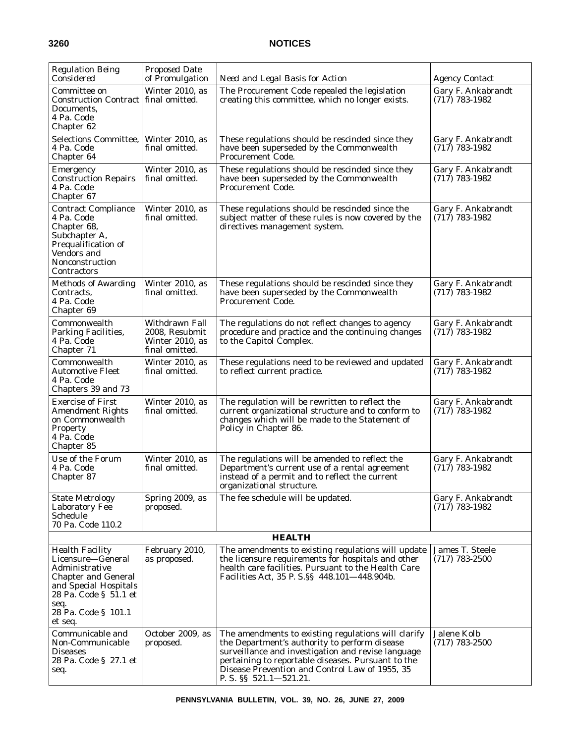| <b>Regulation Being</b><br>Considered                                                                                                                                                   | <b>Proposed Date</b><br>of Promulgation                               | Need and Legal Basis for Action                                                                                                                                                                                                                                                                | <b>Agency Contact</b>                         |
|-----------------------------------------------------------------------------------------------------------------------------------------------------------------------------------------|-----------------------------------------------------------------------|------------------------------------------------------------------------------------------------------------------------------------------------------------------------------------------------------------------------------------------------------------------------------------------------|-----------------------------------------------|
| Committee on<br><b>Construction Contract</b><br><b>Documents.</b><br>4 Pa. Code<br>Chapter 62                                                                                           | Winter 2010, as<br>final omitted.                                     | The Procurement Code repealed the legislation<br>creating this committee, which no longer exists.                                                                                                                                                                                              | Gary F. Ankabrandt<br>$(717)$ 783-1982        |
| Selections Committee,<br>4 Pa. Code<br>Chapter 64                                                                                                                                       | Winter 2010, as<br>final omitted.                                     | These regulations should be rescinded since they<br>have been superseded by the Commonwealth<br><b>Procurement Code.</b>                                                                                                                                                                       | Gary F. Ankabrandt<br>$(717)$ 783-1982        |
| Emergency<br><b>Construction Repairs</b><br>4 Pa. Code<br>Chapter 67                                                                                                                    | Winter 2010, as<br>final omitted.                                     | These regulations should be rescinded since they<br>have been superseded by the Commonwealth<br>Procurement Code.                                                                                                                                                                              | Gary F. Ankabrandt<br>$(717)$ 783-1982        |
| <b>Contract Compliance</b><br>4 Pa. Code<br>Chapter 68,<br>Subchapter A,<br>Prequalification of<br>Vendors and<br>Nonconstruction<br>Contractors                                        | Winter 2010, as<br>final omitted.                                     | These regulations should be rescinded since the<br>subject matter of these rules is now covered by the<br>directives management system.                                                                                                                                                        | Gary F. Ankabrandt<br>$(717) 783 - 1982$      |
| <b>Methods of Awarding</b><br>Contracts,<br>4 Pa. Code<br>Chapter 69                                                                                                                    | Winter 2010, as<br>final omitted.                                     | These regulations should be rescinded since they<br>have been superseded by the Commonwealth<br><b>Procurement Code.</b>                                                                                                                                                                       | Gary F. Ankabrandt<br>$(717)$ 783-1982        |
| Commonwealth<br>Parking Facilities,<br>4 Pa. Code<br>Chapter 71                                                                                                                         | Withdrawn Fall<br>2008, Resubmit<br>Winter 2010, as<br>final omitted. | The regulations do not reflect changes to agency<br>procedure and practice and the continuing changes<br>to the Capitol Complex.                                                                                                                                                               | <b>Gary F. Ankabrandt</b><br>$(717)$ 783-1982 |
| Commonwealth<br>Automotive Fleet<br>4 Pa. Code<br>Chapters 39 and 73                                                                                                                    | Winter 2010, as<br>final omitted.                                     | These regulations need to be reviewed and updated<br>to reflect current practice.                                                                                                                                                                                                              | Gary F. Ankabrandt<br>$(717)$ 783-1982        |
| <b>Exercise of First</b><br><b>Amendment Rights</b><br>on Commonwealth<br>Property<br>4 Pa. Code<br>Chapter 85                                                                          | Winter 2010, as<br>final omitted.                                     | The regulation will be rewritten to reflect the<br>current organizational structure and to conform to<br>changes which will be made to the Statement of<br>Policy in Chapter 86.                                                                                                               | Gary F. Ankabrandt<br>$(717)$ 783-1982        |
| Use of the Forum<br>4 Pa. Code<br><b>Chapter 87</b>                                                                                                                                     | Winter 2010, as<br>final omitted.                                     | The regulations will be amended to reflect the<br>Department's current use of a rental agreement<br>instead of a permit and to reflect the current<br>organizational structure.                                                                                                                | Gary F. Ankabrandt<br>$(717)$ 783-1982        |
| <b>State Metrology</b><br>Laboratory Fee<br>Schedule<br>70 Pa. Code 110.2                                                                                                               | Spring 2009, as<br>proposed.                                          | The fee schedule will be updated.                                                                                                                                                                                                                                                              | Gary F. Ankabrandt<br>$(717)$ 783-1982        |
|                                                                                                                                                                                         |                                                                       | <b>HEALTH</b>                                                                                                                                                                                                                                                                                  |                                               |
| <b>Health Facility</b><br>Licensure-General<br>Administrative<br><b>Chapter and General</b><br>and Special Hospitals<br>28 Pa. Code § 51.1 et<br>seq.<br>28 Pa. Code § 101.1<br>et seq. | February 2010,<br>as proposed.                                        | The amendments to existing regulations will update<br>the licensure requirements for hospitals and other<br>health care facilities. Pursuant to the Health Care<br>Facilities Act, 35 P. S. § 448.101–448.904b.                                                                                | James T. Steele<br>$(717)$ 783-2500           |
| Communicable and<br>Non-Communicable<br>Diseases<br>28 Pa. Code § 27.1 et<br>seq.                                                                                                       | October 2009, as<br>proposed.                                         | The amendments to existing regulations will clarify<br>the Department's authority to perform disease<br>surveillance and investigation and revise language<br>pertaining to reportable diseases. Pursuant to the<br>Disease Prevention and Control Law of 1955, 35<br>P. S. $\S$ 521.1-521.21. | Jalene Kolb<br>$(717) 783 - 2500$             |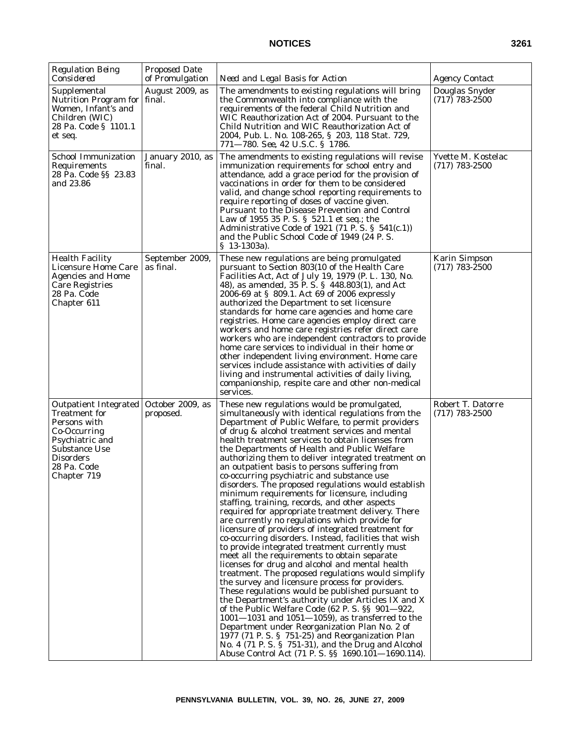| <b>Regulation Being</b><br>Considered                                                                                                                                             | <b>Proposed Date</b><br>of Promulgation | Need and Legal Basis for Action                                                                                                                                                                                                                                                                                                                                                                                                                                                                                                                                                                                                                                                                                                                                                                                                                                                                                                                                                                                                                                                                                                                                                                                                                                                                                                                                                                                                                                                                                                                               | <b>Agency Contact</b>                    |
|-----------------------------------------------------------------------------------------------------------------------------------------------------------------------------------|-----------------------------------------|---------------------------------------------------------------------------------------------------------------------------------------------------------------------------------------------------------------------------------------------------------------------------------------------------------------------------------------------------------------------------------------------------------------------------------------------------------------------------------------------------------------------------------------------------------------------------------------------------------------------------------------------------------------------------------------------------------------------------------------------------------------------------------------------------------------------------------------------------------------------------------------------------------------------------------------------------------------------------------------------------------------------------------------------------------------------------------------------------------------------------------------------------------------------------------------------------------------------------------------------------------------------------------------------------------------------------------------------------------------------------------------------------------------------------------------------------------------------------------------------------------------------------------------------------------------|------------------------------------------|
| Supplemental<br>Nutrition Program for   final.<br>Women, Infant's and<br>Children (WIC)<br>28 Pa. Code § 1101.1<br>et seq.                                                        | August 2009, as                         | The amendments to existing regulations will bring<br>the Commonwealth into compliance with the<br>requirements of the federal Child Nutrition and<br>WIC Reauthorization Act of 2004. Pursuant to the<br>Child Nutrition and WIC Reauthorization Act of<br>2004, Pub. L. No. 108-265, § 203, 118 Stat. 729,<br>771-780. See, 42 U.S.C. § 1786.                                                                                                                                                                                                                                                                                                                                                                                                                                                                                                                                                                                                                                                                                                                                                                                                                                                                                                                                                                                                                                                                                                                                                                                                                | Douglas Snyder<br>$(717)$ 783-2500       |
| School Immunization<br>Requirements<br>28 Pa. Code §§ 23.83<br>and 23.86                                                                                                          | January 2010, as<br>final.              | The amendments to existing regulations will revise<br>immunization requirements for school entry and<br>attendance, add a grace period for the provision of<br>vaccinations in order for them to be considered<br>valid, and change school reporting requirements to<br>require reporting of doses of vaccine given.<br>Pursuant to the Disease Prevention and Control<br>Law of 1955 35 P.S. § 521.1 et seq.; the<br>Administrative Code of 1921 (71 P. S. § $541(c.1)$ )<br>and the Public School Code of 1949 (24 P.S.<br>$$13-1303a$ ).                                                                                                                                                                                                                                                                                                                                                                                                                                                                                                                                                                                                                                                                                                                                                                                                                                                                                                                                                                                                                   | Yvette M. Kostelac<br>$(717)$ 783-2500   |
| <b>Health Facility</b><br><b>Licensure Home Care</b><br><b>Agencies and Home</b><br><b>Care Registries</b><br>28 Pa. Code<br>Chapter 611                                          | September 2009,<br>as final.            | These new regulations are being promulgated<br>pursuant to Section 803(10 of the Health Care<br>Facilities Act, Act of July 19, 1979 (P. L. 130, No.<br>48), as amended, 35 P.S. § 448.803(1), and Act<br>2006-69 at § 809.1. Act 69 of 2006 expressly<br>authorized the Department to set licensure<br>standards for home care agencies and home care<br>registries. Home care agencies employ direct care<br>workers and home care registries refer direct care<br>workers who are independent contractors to provide<br>home care services to individual in their home or<br>other independent living environment. Home care<br>services include assistance with activities of daily<br>living and instrumental activities of daily living,<br>companionship, respite care and other non-medical<br>services.                                                                                                                                                                                                                                                                                                                                                                                                                                                                                                                                                                                                                                                                                                                                              | <b>Karin Simpson</b><br>$(717)$ 783-2500 |
| <b>Outpatient Integrated</b><br><b>Treatment</b> for<br>Persons with<br>Co-Occurring<br>Psychiatric and<br><b>Substance Use</b><br><b>Disorders</b><br>28 Pa. Code<br>Chapter 719 | October 2009, as<br>proposed.           | These new regulations would be promulgated,<br>simultaneously with identical regulations from the<br>Department of Public Welfare, to permit providers<br>of drug & alcohol treatment services and mental<br>health treatment services to obtain licenses from<br>the Departments of Health and Public Welfare<br>authorizing them to deliver integrated treatment on<br>an outpatient basis to persons suffering from<br>co-occurring psychiatric and substance use<br>disorders. The proposed regulations would establish<br>minimum requirements for licensure, including<br>staffing, training, records, and other aspects<br>required for appropriate treatment delivery. There<br>are currently no regulations which provide for<br>licensure of providers of integrated treatment for<br>co-occurring disorders. Instead, facilities that wish<br>to provide integrated treatment currently must<br>meet all the requirements to obtain separate<br>licenses for drug and alcohol and mental health<br>treatment. The proposed regulations would simplify<br>the survey and licensure process for providers.<br>These regulations would be published pursuant to<br>the Department's authority under Articles IX and X<br>of the Public Welfare Code (62 P.S. §§ 901-922,<br>$1001 - 1031$ and $1051 - 1059$ ), as transferred to the<br>Department under Reorganization Plan No. 2 of<br>1977 (71 P.S. § 751-25) and Reorganization Plan<br>No. 4 (71 P. S. § 751-31), and the Drug and Alcohol<br>Abuse Control Act (71 P. S. §§ 1690.101-1690.114). | Robert T. Datorre<br>$(717)$ 783-2500    |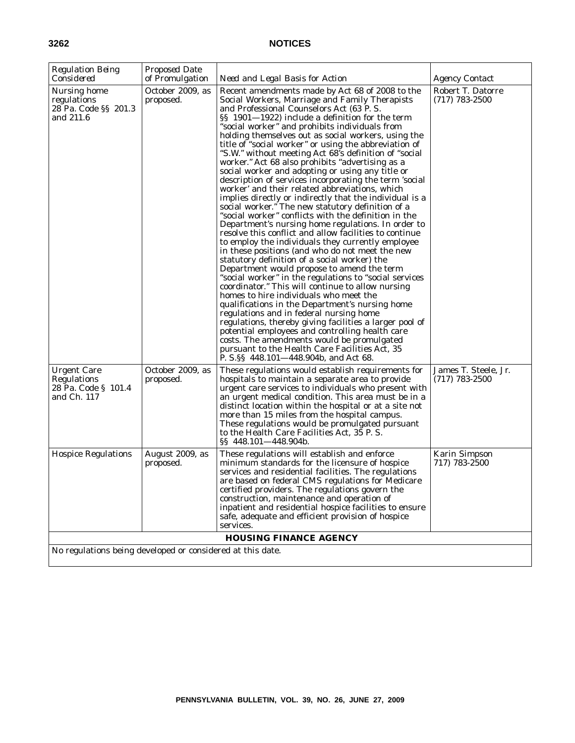| <b>Regulation Being</b>                                                 | Proposed Date                 |                                                                                                                                                                                                                                                                                                                                                                                                                                                                                                                                                                                                                                                                                                                                                                                                                                                                                                                                                                                                                                                                                                                                                                                                                                                                                                                                                                                                                                                                                                                                                                                                                                                              |                                          |
|-------------------------------------------------------------------------|-------------------------------|--------------------------------------------------------------------------------------------------------------------------------------------------------------------------------------------------------------------------------------------------------------------------------------------------------------------------------------------------------------------------------------------------------------------------------------------------------------------------------------------------------------------------------------------------------------------------------------------------------------------------------------------------------------------------------------------------------------------------------------------------------------------------------------------------------------------------------------------------------------------------------------------------------------------------------------------------------------------------------------------------------------------------------------------------------------------------------------------------------------------------------------------------------------------------------------------------------------------------------------------------------------------------------------------------------------------------------------------------------------------------------------------------------------------------------------------------------------------------------------------------------------------------------------------------------------------------------------------------------------------------------------------------------------|------------------------------------------|
| Considered                                                              | of Promulgation               | Need and Legal Basis for Action                                                                                                                                                                                                                                                                                                                                                                                                                                                                                                                                                                                                                                                                                                                                                                                                                                                                                                                                                                                                                                                                                                                                                                                                                                                                                                                                                                                                                                                                                                                                                                                                                              | <i>Agency Contact</i>                    |
| Nursing home<br>regulations<br>28 Pa. Code §§ 201.3<br>and 211.6        | October 2009, as<br>proposed. | Recent amendments made by Act 68 of 2008 to the<br>Social Workers, Marriage and Family Therapists<br>and Professional Counselors Act (63 P.S.<br>§§ 1901—1922) include a definition for the term<br>"social worker" and prohibits individuals from<br>holding themselves out as social workers, using the<br>title of "social worker" or using the abbreviation of<br>"S.W." without meeting Act 68's definition of "social"<br>worker." Act 68 also prohibits "advertising as a<br>social worker and adopting or using any title or<br>description of services incorporating the term 'social<br>worker' and their related abbreviations, which<br>implies directly or indirectly that the individual is a<br>social worker." The new statutory definition of a<br>"social worker" conflicts with the definition in the<br>Department's nursing home regulations. In order to<br>resolve this conflict and allow facilities to continue<br>to employ the individuals they currently employee<br>in these positions (and who do not meet the new<br>statutory definition of a social worker) the<br>Department would propose to amend the term<br>"social worker" in the regulations to "social services<br>coordinator." This will continue to allow nursing<br>homes to hire individuals who meet the<br>qualifications in the Department's nursing home<br>regulations and in federal nursing home<br>regulations, thereby giving facilities a larger pool of<br>potential employees and controlling health care<br>costs. The amendments would be promulgated<br>pursuant to the Health Care Facilities Act, 35<br>P. S. § 448.101—448.904b, and Act 68. | Robert T. Datorre<br>$(717)$ 783-2500    |
| <b>Urgent Care</b><br>Regulations<br>28 Pa. Code § 101.4<br>and Ch. 117 | October 2009, as<br>proposed. | These regulations would establish requirements for<br>hospitals to maintain a separate area to provide<br>urgent care services to individuals who present with<br>an urgent medical condition. This area must be in a<br>distinct location within the hospital or at a site not<br>more than 15 miles from the hospital campus.<br>These regulations would be promulgated pursuant<br>to the Health Care Facilities Act, 35 P.S.<br>$\S$ \$448.101-448.904b.                                                                                                                                                                                                                                                                                                                                                                                                                                                                                                                                                                                                                                                                                                                                                                                                                                                                                                                                                                                                                                                                                                                                                                                                 | James T. Steele, Jr.<br>$(717)$ 783-2500 |
| <b>Hospice Regulations</b>                                              | August 2009, as<br>proposed.  | These regulations will establish and enforce<br>minimum standards for the licensure of hospice<br>services and residential facilities. The regulations<br>are based on federal CMS regulations for Medicare<br>certified providers. The regulations govern the<br>construction, maintenance and operation of<br>inpatient and residential hospice facilities to ensure<br>safe, adequate and efficient provision of hospice<br>services.                                                                                                                                                                                                                                                                                                                                                                                                                                                                                                                                                                                                                                                                                                                                                                                                                                                                                                                                                                                                                                                                                                                                                                                                                     | <b>Karin Simpson</b><br>717) 783-2500    |
|                                                                         |                               | <b>HOUSING FINANCE AGENCY</b>                                                                                                                                                                                                                                                                                                                                                                                                                                                                                                                                                                                                                                                                                                                                                                                                                                                                                                                                                                                                                                                                                                                                                                                                                                                                                                                                                                                                                                                                                                                                                                                                                                |                                          |
| No regulations being developed or considered at this date.              |                               |                                                                                                                                                                                                                                                                                                                                                                                                                                                                                                                                                                                                                                                                                                                                                                                                                                                                                                                                                                                                                                                                                                                                                                                                                                                                                                                                                                                                                                                                                                                                                                                                                                                              |                                          |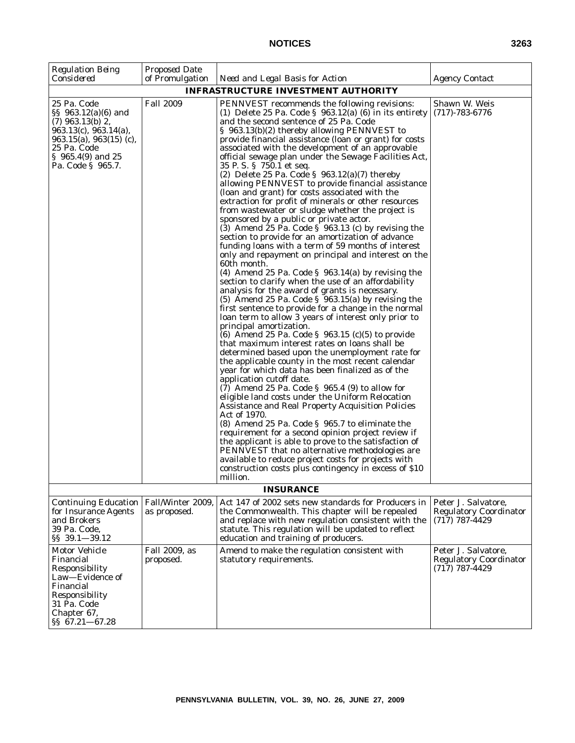| <b>Regulation Being</b><br>Considered                                                                                                                                               | <b>Proposed Date</b><br>of Promulgation | Need and Legal Basis for Action                                                                                                                                                                                                                                                                                                                                                                                                                                                                                                                                                                                                                                                                                                                                                                                                                                                                                                                                                                                                                                                                                                                                                                                                                                                                                                                                                                                                                                                                                                                                                                                                                                                                                                                                                                                                                                                                                                                                                                                                                                                                                                                                    | <i>Agency Contact</i>                                                      |
|-------------------------------------------------------------------------------------------------------------------------------------------------------------------------------------|-----------------------------------------|--------------------------------------------------------------------------------------------------------------------------------------------------------------------------------------------------------------------------------------------------------------------------------------------------------------------------------------------------------------------------------------------------------------------------------------------------------------------------------------------------------------------------------------------------------------------------------------------------------------------------------------------------------------------------------------------------------------------------------------------------------------------------------------------------------------------------------------------------------------------------------------------------------------------------------------------------------------------------------------------------------------------------------------------------------------------------------------------------------------------------------------------------------------------------------------------------------------------------------------------------------------------------------------------------------------------------------------------------------------------------------------------------------------------------------------------------------------------------------------------------------------------------------------------------------------------------------------------------------------------------------------------------------------------------------------------------------------------------------------------------------------------------------------------------------------------------------------------------------------------------------------------------------------------------------------------------------------------------------------------------------------------------------------------------------------------------------------------------------------------------------------------------------------------|----------------------------------------------------------------------------|
|                                                                                                                                                                                     |                                         | <b>INFRASTRUCTURE INVESTMENT AUTHORITY</b>                                                                                                                                                                                                                                                                                                                                                                                                                                                                                                                                                                                                                                                                                                                                                                                                                                                                                                                                                                                                                                                                                                                                                                                                                                                                                                                                                                                                                                                                                                                                                                                                                                                                                                                                                                                                                                                                                                                                                                                                                                                                                                                         |                                                                            |
| 25 Pa. Code<br>§§ 963.12(a)(6) and<br>$(7)$ 963.13(b) 2,<br>$963.13(c)$ , $963.14(a)$ ,<br>$963.15(a)$ , $963(15)$ (c),<br>25 Pa. Code<br>$\S$ 965.4(9) and 25<br>Pa. Code § 965.7. | <b>Fall 2009</b>                        | PENNVEST recommends the following revisions:<br>(1) Delete 25 Pa. Code $\S$ 963.12(a) (6) in its entirety<br>and the second sentence of 25 Pa. Code<br>§ 963.13(b)(2) thereby allowing PENNVEST to<br>provide financial assistance (loan or grant) for costs<br>associated with the development of an approvable<br>official sewage plan under the Sewage Facilities Act,<br>35 P.S. § 750.1 et seq.<br>(2) Delete 25 Pa. Code $\S$ 963.12(a)(7) thereby<br>allowing PENNVEST to provide financial assistance<br>(loan and grant) for costs associated with the<br>extraction for profit of minerals or other resources<br>from wastewater or sludge whether the project is<br>sponsored by a public or private actor.<br>(3) Amend 25 Pa. Code $\S$ 963.13 (c) by revising the<br>section to provide for an amortization of advance<br>funding loans with a term of 59 months of interest<br>only and repayment on principal and interest on the<br>60th month.<br>(4) Amend 25 Pa. Code $\S$ 963.14(a) by revising the<br>section to clarify when the use of an affordability<br>analysis for the award of grants is necessary.<br>(5) Amend 25 Pa. Code $\S$ 963.15(a) by revising the<br>first sentence to provide for a change in the normal<br>loan term to allow 3 years of interest only prior to<br>principal amortization.<br>(6) Amend 25 Pa. Code $\S$ 963.15 (c)(5) to provide<br>that maximum interest rates on loans shall be<br>determined based upon the unemployment rate for<br>the applicable county in the most recent calendar<br>year for which data has been finalized as of the<br>application cutoff date.<br>$(7)$ Amend 25 Pa. Code § 965.4 $(9)$ to allow for<br>eligible land costs under the Uniform Relocation<br>Assistance and Real Property Acquisition Policies<br>Act of 1970.<br>(8) Amend 25 Pa. Code § 965.7 to eliminate the<br>requirement for a second opinion project review if<br>the applicant is able to prove to the satisfaction of<br>PENNVEST that no alternative methodologies are<br>available to reduce project costs for projects with<br>construction costs plus contingency in excess of \$10<br>million. | Shawn W. Weis<br>$(717) - 783 - 6776$                                      |
|                                                                                                                                                                                     |                                         | <b>INSURANCE</b>                                                                                                                                                                                                                                                                                                                                                                                                                                                                                                                                                                                                                                                                                                                                                                                                                                                                                                                                                                                                                                                                                                                                                                                                                                                                                                                                                                                                                                                                                                                                                                                                                                                                                                                                                                                                                                                                                                                                                                                                                                                                                                                                                   |                                                                            |
| <b>Continuing Education</b><br>for Insurance Agents<br>and Brokers<br>39 Pa. Code,<br>§§ 39.1-39.12                                                                                 | Fall/Winter 2009,<br>as proposed.       | Act 147 of 2002 sets new standards for Producers in<br>the Commonwealth. This chapter will be repealed<br>and replace with new regulation consistent with the<br>statute. This regulation will be updated to reflect<br>education and training of producers.                                                                                                                                                                                                                                                                                                                                                                                                                                                                                                                                                                                                                                                                                                                                                                                                                                                                                                                                                                                                                                                                                                                                                                                                                                                                                                                                                                                                                                                                                                                                                                                                                                                                                                                                                                                                                                                                                                       | Peter J. Salvatore,<br><b>Regulatory Coordinator</b><br>$(717) 787 - 4429$ |
| Motor Vehicle<br>Financial<br>Responsibility<br>Law-Evidence of<br>Financial<br>Responsibility<br>31 Pa. Code<br>Chapter 67,<br>§§ 67.21-67.28                                      | Fall 2009, as<br>proposed.              | Amend to make the regulation consistent with<br>statutory requirements.                                                                                                                                                                                                                                                                                                                                                                                                                                                                                                                                                                                                                                                                                                                                                                                                                                                                                                                                                                                                                                                                                                                                                                                                                                                                                                                                                                                                                                                                                                                                                                                                                                                                                                                                                                                                                                                                                                                                                                                                                                                                                            | Peter J. Salvatore,<br><b>Regulatory Coordinator</b><br>$(717)$ 787-4429   |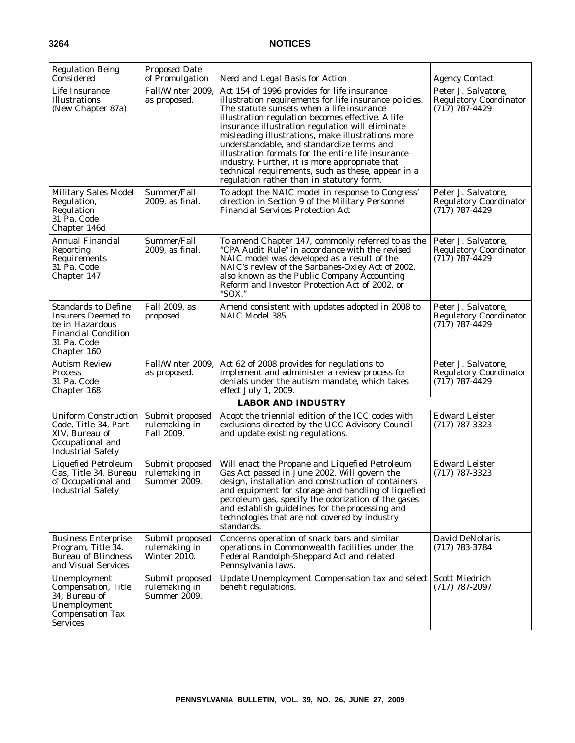| <b>Regulation Being</b><br>Considered                                                                                                  | <b>Proposed Date</b><br>of Promulgation                 | Need and Legal Basis for Action                                                                                                                                                                                                                                                                                                                                                                                                                                                                                                                                          | <b>Agency Contact</b>                                                      |
|----------------------------------------------------------------------------------------------------------------------------------------|---------------------------------------------------------|--------------------------------------------------------------------------------------------------------------------------------------------------------------------------------------------------------------------------------------------------------------------------------------------------------------------------------------------------------------------------------------------------------------------------------------------------------------------------------------------------------------------------------------------------------------------------|----------------------------------------------------------------------------|
| Life Insurance<br><b>Illustrations</b><br>(New Chapter 87a)                                                                            | Fall/Winter 2009,<br>as proposed.                       | Act 154 of 1996 provides for life insurance<br>illustration requirements for life insurance policies.<br>The statute sunsets when a life insurance<br>illustration regulation becomes effective. A life<br>insurance illustration regulation will eliminate<br>misleading illustrations, make illustrations more<br>understandable, and standardize terms and<br>illustration formats for the entire life insurance<br>industry. Further, it is more appropriate that<br>technical requirements, such as these, appear in a<br>regulation rather than in statutory form. | Peter J. Salvatore,<br><b>Regulatory Coordinator</b><br>$(717) 787 - 4429$ |
| <b>Military Sales Model</b><br>Regulation,<br>Regulation<br>31 Pa. Code<br>Chapter 146d                                                | Summer/Fall<br>2009, as final.                          | To adopt the NAIC model in response to Congress'<br>direction in Section 9 of the Military Personnel<br><b>Financial Services Protection Act</b>                                                                                                                                                                                                                                                                                                                                                                                                                         | Peter J. Salvatore,<br><b>Regulatory Coordinator</b><br>$(717)$ 787-4429   |
| Annual Financial<br>Reporting<br>Requirements<br>31 Pa. Code<br>Chapter 147                                                            | Summer/Fall<br>2009, as final.                          | To amend Chapter 147, commonly referred to as the<br>"CPA Audit Rule" in accordance with the revised<br>NAIC model was developed as a result of the<br>NAIC's review of the Sarbanes-Oxley Act of 2002,<br>also known as the Public Company Accounting<br>Reform and Investor Protection Act of 2002, or<br>"SOX."                                                                                                                                                                                                                                                       | Peter J. Salvatore,<br><b>Regulatory Coordinator</b><br>$(717) 787 - 4429$ |
| <b>Standards to Define</b><br><b>Insurers Deemed to</b><br>be in Hazardous<br><b>Financial Condition</b><br>31 Pa. Code<br>Chapter 160 | Fall 2009, as<br>proposed.                              | Amend consistent with updates adopted in 2008 to<br>NAIC Model 385.                                                                                                                                                                                                                                                                                                                                                                                                                                                                                                      | Peter J. Salvatore,<br><b>Regulatory Coordinator</b><br>$(717) 787 - 4429$ |
| <b>Autism Review</b><br>Process<br>31 Pa. Code<br>Chapter 168                                                                          | Fall/Winter 2009,<br>as proposed.                       | Act 62 of 2008 provides for regulations to<br>implement and administer a review process for<br>denials under the autism mandate, which takes<br>effect July 1, 2009.                                                                                                                                                                                                                                                                                                                                                                                                     | Peter J. Salvatore,<br><b>Regulatory Coordinator</b><br>$(717) 787 - 4429$ |
|                                                                                                                                        |                                                         | <b>LABOR AND INDUSTRY</b>                                                                                                                                                                                                                                                                                                                                                                                                                                                                                                                                                |                                                                            |
| <b>Uniform Construction</b><br>Code, Title 34, Part<br>XIV, Bureau of<br>Occupational and<br><b>Industrial Safety</b>                  | Submit proposed<br>rulemaking in<br>Fall 2009.          | Adopt the triennial edition of the ICC codes with<br>exclusions directed by the UCC Advisory Council<br>and update existing regulations.                                                                                                                                                                                                                                                                                                                                                                                                                                 | <b>Edward Leister</b><br>$(717)$ 787-3323                                  |
| <b>Liquefied Petroleum</b><br>Gas, Title 34. Bureau<br>of Occupational and<br><b>Industrial Safety</b>                                 | Submit proposed<br>rulemaking in<br>Summer 2009.        | Will enact the Propane and Liquefied Petroleum<br>Gas Act passed in June 2002. Will govern the<br>design, installation and construction of containers<br>and equipment for storage and handling of liquefied<br>petroleum gas, specify the odorization of the gases<br>and establish guidelines for the processing and<br>technologies that are not covered by industry<br>standards.                                                                                                                                                                                    | <b>Edward Leister</b><br>$(717)$ 787-3323                                  |
| <b>Business Enterprise</b><br>Program, Title 34.<br><b>Bureau of Blindness</b><br>and Visual Services                                  | Submit proposed<br>rulemaking in<br><b>Winter 2010.</b> | Concerns operation of snack bars and similar<br>operations in Commonwealth facilities under the<br>Federal Randolph-Sheppard Act and related<br>Pennsylvania laws.                                                                                                                                                                                                                                                                                                                                                                                                       | David DeNotaris<br>$(717) 783 - 3784$                                      |
| Unemployment<br>Compensation, Title<br>34, Bureau of<br>Unemployment<br><b>Compensation Tax</b><br>Services                            | Submit proposed<br>rulemaking in<br>Summer 2009.        | Update Unemployment Compensation tax and select Scott Miedrich<br>benefit regulations.                                                                                                                                                                                                                                                                                                                                                                                                                                                                                   | $(717)$ 787-2097                                                           |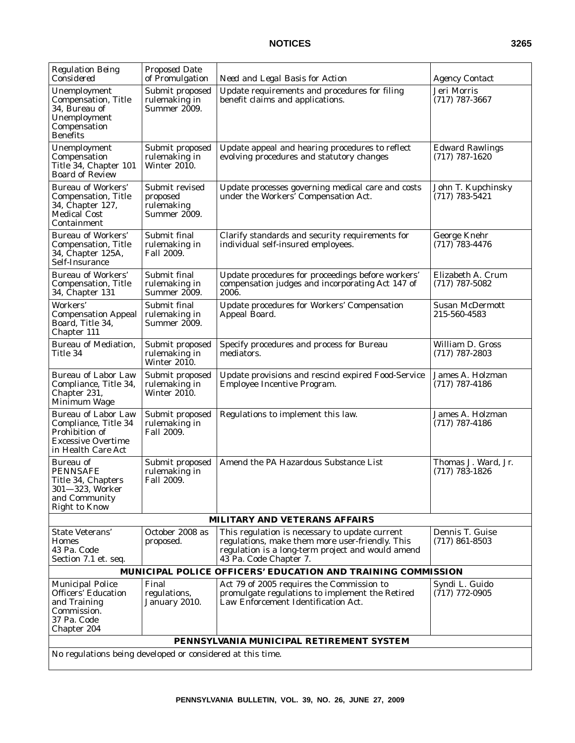| <b>Regulation Being</b><br>Considered                                                                                   | <b>Proposed Date</b><br>of Promulgation                  | Need and Legal Basis for Action                                                                                                                                                  | <b>Agency Contact</b>                      |
|-------------------------------------------------------------------------------------------------------------------------|----------------------------------------------------------|----------------------------------------------------------------------------------------------------------------------------------------------------------------------------------|--------------------------------------------|
| Unemployment<br><b>Compensation, Title</b><br>34, Bureau of<br>Unemployment<br>Compensation<br><b>Benefits</b>          | Submit proposed<br>rulemaking in<br><b>Summer 2009.</b>  | Update requirements and procedures for filing<br>benefit claims and applications.                                                                                                | Jeri Morris<br>$(717)$ 787-3667            |
| Unemployment<br>Compensation<br>Title 34, Chapter 101<br><b>Board of Review</b>                                         | Submit proposed<br>rulemaking in<br>Winter 2010.         | Update appeal and hearing procedures to reflect<br>evolving procedures and statutory changes                                                                                     | <b>Edward Rawlings</b><br>$(717)$ 787-1620 |
| <b>Bureau of Workers'</b><br>Compensation, Title<br>34, Chapter 127,<br><b>Medical Cost</b><br>Containment              | Submit revised<br>proposed<br>rulemaking<br>Summer 2009. | Update processes governing medical care and costs<br>under the Workers' Compensation Act.                                                                                        | John T. Kupchinsky<br>$(717)$ 783-5421     |
| <b>Bureau of Workers'</b><br>Compensation, Title<br>34, Chapter 125A,<br>Self-Insurance                                 | Submit final<br>rulemaking in<br>Fall 2009.              | Clarify standards and security requirements for<br>individual self-insured employees.                                                                                            | George Knehr<br>$(717)$ 783-4476           |
| <b>Bureau of Workers'</b><br>Compensation, Title<br>34, Chapter 131                                                     | Submit final<br>rulemaking in<br>Summer 2009.            | Update procedures for proceedings before workers'<br>compensation judges and incorporating Act 147 of<br>2006.                                                                   | Elizabeth A. Crum<br>$(717)$ 787-5082      |
| Workers'<br><b>Compensation Appeal</b><br>Board, Title 34,<br>Chapter 111                                               | Submit final<br>rulemaking in<br>Summer 2009.            | <b>Update procedures for Workers' Compensation</b><br>Appeal Board.                                                                                                              | <b>Susan McDermott</b><br>215-560-4583     |
| <b>Bureau of Mediation,</b><br>Title 34                                                                                 | Submit proposed<br>rulemaking in<br><b>Winter 2010.</b>  | Specify procedures and process for Bureau<br>mediators.                                                                                                                          | William D. Gross<br>$(717)$ 787-2803       |
| <b>Bureau of Labor Law</b><br>Compliance, Title 34,<br>Chapter 231,<br>Minimum Wage                                     | Submit proposed<br>rulemaking in<br>Winter 2010.         | Update provisions and rescind expired Food-Service<br>Employee Incentive Program.                                                                                                | James A. Holzman<br>$(717)$ 787-4186       |
| <b>Bureau of Labor Law</b><br>Compliance, Title 34<br>Prohibition of<br><b>Excessive Overtime</b><br>in Health Care Act | Submit proposed<br>rulemaking in<br>Fall 2009.           | Regulations to implement this law.                                                                                                                                               | James A. Holzman<br>$(717)$ 787-4186       |
| Bureau of<br><b>PENNSAFE</b><br>Title 34, Chapters<br>301-323, Worker<br>and Community<br><b>Right to Know</b>          | Submit proposed<br>rulemaking in<br>Fall 2009.           | Amend the PA Hazardous Substance List                                                                                                                                            | Thomas J. Ward, Jr.<br>$(717)$ 783-1826    |
|                                                                                                                         |                                                          | <b>MILITARY AND VETERANS AFFAIRS</b>                                                                                                                                             |                                            |
| State Veterans'<br><b>Homes</b><br>43 Pa. Code<br>Section 7.1 et. seq.                                                  | October 2008 as<br>proposed.                             | This regulation is necessary to update current<br>regulations, make them more user-friendly. This<br>regulation is a long-term project and would amend<br>43 Pa. Code Chapter 7. | Dennis T. Guise<br>$(717) 861 - 8503$      |
|                                                                                                                         |                                                          | MUNICIPAL POLICE OFFICERS' EDUCATION AND TRAINING COMMISSION                                                                                                                     |                                            |
| <b>Municipal Police</b><br><b>Officers' Education</b><br>and Training<br>Commission.<br>37 Pa. Code<br>Chapter 204      | Final<br>regulations,<br>January 2010.                   | Act 79 of 2005 requires the Commission to<br>promulgate regulations to implement the Retired<br>Law Enforcement Identification Act.                                              | Syndi L. Guido<br>$(717)$ 772-0905         |
|                                                                                                                         |                                                          | PENNSYLVANIA MUNICIPAL RETIREMENT SYSTEM                                                                                                                                         |                                            |
| No regulations being developed or considered at this time.                                                              |                                                          |                                                                                                                                                                                  |                                            |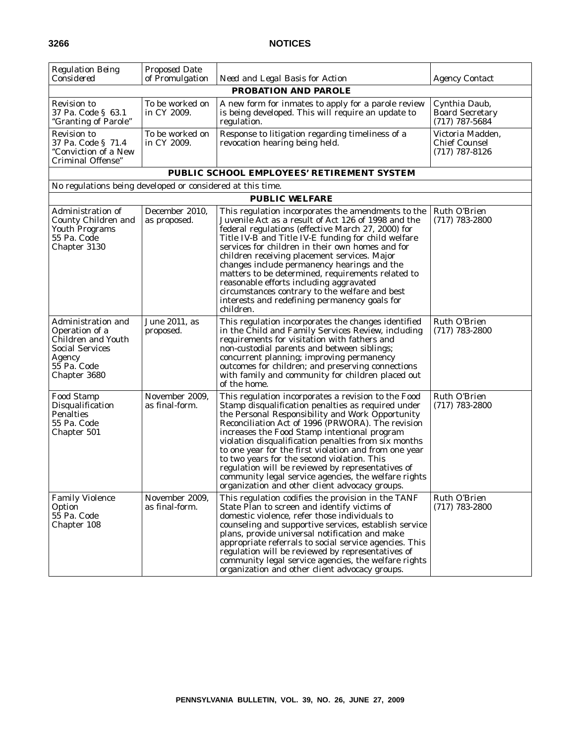| <b>Regulation Being</b><br>Considered                                                                                         | <b>Proposed Date</b><br>of Promulgation | Need and Legal Basis for Action                                                                                                                                                                                                                                                                                                                                                                                                                                                                                                                                                                   | <b>Agency Contact</b>                                        |
|-------------------------------------------------------------------------------------------------------------------------------|-----------------------------------------|---------------------------------------------------------------------------------------------------------------------------------------------------------------------------------------------------------------------------------------------------------------------------------------------------------------------------------------------------------------------------------------------------------------------------------------------------------------------------------------------------------------------------------------------------------------------------------------------------|--------------------------------------------------------------|
|                                                                                                                               |                                         | <b>PROBATION AND PAROLE</b>                                                                                                                                                                                                                                                                                                                                                                                                                                                                                                                                                                       |                                                              |
| Revision to<br>37 Pa. Code § 63.1<br>"Granting of Parole"                                                                     | To be worked on<br>in CY 2009.          | A new form for inmates to apply for a parole review<br>is being developed. This will require an update to<br>regulation.                                                                                                                                                                                                                                                                                                                                                                                                                                                                          | Cynthia Daub,<br><b>Board Secretary</b><br>$(717)$ 787-5684  |
| Revision to<br>37 Pa. Code § 71.4<br>"Conviction of a New<br>Criminal Offense"                                                | To be worked on<br>in CY 2009.          | Response to litigation regarding timeliness of a<br>revocation hearing being held.                                                                                                                                                                                                                                                                                                                                                                                                                                                                                                                | Victoria Madden,<br><b>Chief Counsel</b><br>$(717)$ 787-8126 |
|                                                                                                                               |                                         | PUBLIC SCHOOL EMPLOYEES' RETIREMENT SYSTEM                                                                                                                                                                                                                                                                                                                                                                                                                                                                                                                                                        |                                                              |
| No regulations being developed or considered at this time.                                                                    |                                         |                                                                                                                                                                                                                                                                                                                                                                                                                                                                                                                                                                                                   |                                                              |
|                                                                                                                               |                                         | <b>PUBLIC WELFARE</b>                                                                                                                                                                                                                                                                                                                                                                                                                                                                                                                                                                             |                                                              |
| Administration of<br>County Children and<br><b>Youth Programs</b><br>55 Pa. Code<br>Chapter 3130                              | December 2010,<br>as proposed.          | This regulation incorporates the amendments to the<br>Juvenile Act as a result of Act 126 of 1998 and the<br>federal regulations (effective March 27, 2000) for<br>Title IV-B and Title IV-E funding for child welfare<br>services for children in their own homes and for<br>children receiving placement services. Major<br>changes include permanency hearings and the<br>matters to be determined, requirements related to<br>reasonable efforts including aggravated<br>circumstances contrary to the welfare and best<br>interests and redefining permanency goals for<br>children.         | Ruth O'Brien<br>$(717)$ 783-2800                             |
| Administration and<br>Operation of a<br>Children and Youth<br><b>Social Services</b><br>Agency<br>55 Pa. Code<br>Chapter 3680 | June 2011, as<br>proposed.              | This regulation incorporates the changes identified<br>in the Child and Family Services Review, including<br>requirements for visitation with fathers and<br>non-custodial parents and between siblings;<br>concurrent planning; improving permanency<br>outcomes for children; and preserving connections<br>with family and community for children placed out<br>of the home.                                                                                                                                                                                                                   | Ruth O'Brien<br>$(717)$ 783-2800                             |
| <b>Food Stamp</b><br>Disqualification<br>Penalties<br>55 Pa. Code<br>Chapter 501                                              | November 2009,<br>as final-form.        | This regulation incorporates a revision to the Food<br>Stamp disqualification penalties as required under<br>the Personal Responsibility and Work Opportunity<br>Reconciliation Act of 1996 (PRWORA). The revision<br>increases the Food Stamp intentional program<br>violation disqualification penalties from six months<br>to one year for the first violation and from one year<br>to two years for the second violation. This<br>regulation will be reviewed by representatives of<br>community legal service agencies, the welfare rights<br>organization and other client advocacy groups. | Ruth O'Brien<br>$(717)$ 783-2800                             |
| <b>Family Violence</b><br>Option<br>55 Pa. Code<br>Chapter 108                                                                | November 2009,<br>as final-form.        | This regulation codifies the provision in the TANF<br>State Plan to screen and identify victims of<br>domestic violence, refer those individuals to<br>counseling and supportive services, establish service<br>plans, provide universal notification and make<br>appropriate referrals to social service agencies. This<br>regulation will be reviewed by representatives of<br>community legal service agencies, the welfare rights<br>organization and other client advocacy groups.                                                                                                           | Ruth O'Brien<br>$(717) 783 - 2800$                           |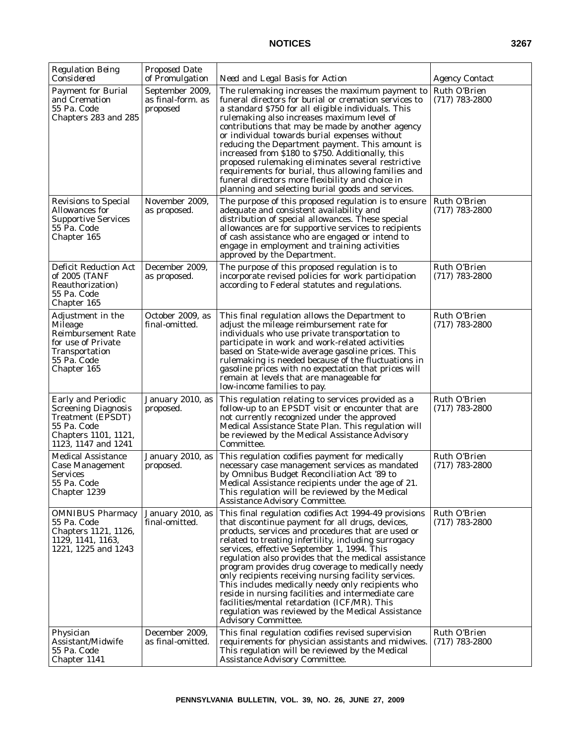| <b>Regulation Being</b><br>Considered                                                                                                      | Proposed Date<br>of Promulgation                 | Need and Legal Basis for Action                                                                                                                                                                                                                                                                                                                                                                                                                                                                                                                                                                                                                                                           | <i>Agency Contact</i>            |
|--------------------------------------------------------------------------------------------------------------------------------------------|--------------------------------------------------|-------------------------------------------------------------------------------------------------------------------------------------------------------------------------------------------------------------------------------------------------------------------------------------------------------------------------------------------------------------------------------------------------------------------------------------------------------------------------------------------------------------------------------------------------------------------------------------------------------------------------------------------------------------------------------------------|----------------------------------|
| <b>Payment for Burial</b><br>and Cremation<br>55 Pa. Code<br>Chapters 283 and 285                                                          | September 2009,<br>as final-form. as<br>proposed | The rulemaking increases the maximum payment to<br>funeral directors for burial or cremation services to<br>a standard \$750 for all eligible individuals. This<br>rulemaking also increases maximum level of<br>contributions that may be made by another agency<br>or individual towards burial expenses without<br>reducing the Department payment. This amount is<br>increased from \$180 to \$750. Additionally, this<br>proposed rulemaking eliminates several restrictive<br>requirements for burial, thus allowing families and<br>funeral directors more flexibility and choice in<br>planning and selecting burial goods and services.                                          | Ruth O'Brien<br>$(717)$ 783-2800 |
| Revisions to Special<br>Allowances for<br><b>Supportive Services</b><br>55 Pa. Code<br>Chapter 165                                         | November 2009,<br>as proposed.                   | The purpose of this proposed regulation is to ensure<br>adequate and consistent availability and<br>distribution of special allowances. These special<br>allowances are for supportive services to recipients<br>of cash assistance who are engaged or intend to<br>engage in employment and training activities<br>approved by the Department.                                                                                                                                                                                                                                                                                                                                           | Ruth O'Brien<br>$(717)$ 783-2800 |
| <b>Deficit Reduction Act</b><br>of 2005 (TANF<br>Reauthorization)<br>55 Pa. Code<br>Chapter 165                                            | December 2009,<br>as proposed.                   | The purpose of this proposed regulation is to<br>incorporate revised policies for work participation<br>according to Federal statutes and regulations.                                                                                                                                                                                                                                                                                                                                                                                                                                                                                                                                    | Ruth O'Brien<br>$(717)$ 783-2800 |
| Adjustment in the<br>Mileage<br><b>Reimbursement Rate</b><br>for use of Private<br>Transportation<br>55 Pa. Code<br>Chapter 165            | October 2009, as<br>final-omitted.               | This final regulation allows the Department to<br>adjust the mileage reimbursement rate for<br>individuals who use private transportation to<br>participate in work and work-related activities<br>based on State-wide average gasoline prices. This<br>rulemaking is needed because of the fluctuations in<br>gasoline prices with no expectation that prices will<br>remain at levels that are manageable for<br>low-income families to pay.                                                                                                                                                                                                                                            | Ruth O'Brien<br>$(717)$ 783-2800 |
| <b>Early and Periodic</b><br><b>Screening Diagnosis</b><br>Treatment (EPSDT)<br>55 Pa. Code<br>Chapters 1101, 1121,<br>1123, 1147 and 1241 | January 2010, as<br>proposed.                    | This regulation relating to services provided as a<br>follow-up to an EPSDT visit or encounter that are<br>not currently recognized under the approved<br>Medical Assistance State Plan. This regulation will<br>be reviewed by the Medical Assistance Advisory<br>Committee.                                                                                                                                                                                                                                                                                                                                                                                                             | Ruth O'Brien<br>$(717)$ 783-2800 |
| Medical Assistance<br>Case Management<br>Services<br>55 Pa. Code<br>Chapter 1239                                                           | January 2010, as<br>proposed.                    | This regulation codifies payment for medically<br>necessary case management services as mandated<br>by Omnibus Budget Reconciliation Act '89 to<br>Medical Assistance recipients under the age of 21.<br>This regulation will be reviewed by the Medical<br><b>Assistance Advisory Committee.</b>                                                                                                                                                                                                                                                                                                                                                                                         | Ruth O'Brien<br>$(717)$ 783-2800 |
| <b>OMNIBUS Pharmacy</b><br>55 Pa. Code<br>Chapters 1121, 1126,<br>1129, 1141, 1163,<br>1221, 1225 and 1243                                 | January 2010, as<br>final-omitted.               | This final regulation codifies Act 1994-49 provisions<br>that discontinue payment for all drugs, devices,<br>products, services and procedures that are used or<br>related to treating infertility, including surrogacy<br>services, effective September 1, 1994. This<br>regulation also provides that the medical assistance<br>program provides drug coverage to medically needy<br>only recipients receiving nursing facility services.<br>This includes medically needy only recipients who<br>reside in nursing facilities and intermediate care<br>facilities/mental retardation (ICF/MR). This<br>regulation was reviewed by the Medical Assistance<br><b>Advisory Committee.</b> | Ruth O'Brien<br>$(717)$ 783-2800 |
| Physician<br>Assistant/Midwife<br>55 Pa. Code<br>Chapter 1141                                                                              | December 2009,<br>as final-omitted.              | This final regulation codifies revised supervision<br>requirements for physician assistants and midwives.<br>This regulation will be reviewed by the Medical<br><b>Assistance Advisory Committee.</b>                                                                                                                                                                                                                                                                                                                                                                                                                                                                                     | Ruth O'Brien<br>$(717)$ 783-2800 |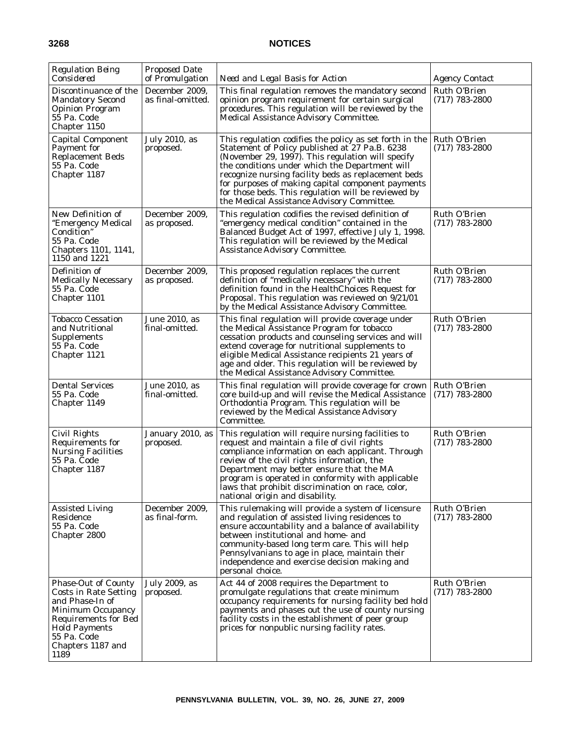| <b>Regulation Being</b><br>Considered                                                                                                                                                                 | <b>Proposed Date</b><br>of Promulgation | Need and Legal Basis for Action                                                                                                                                                                                                                                                                                                                                                                                                   | <i>Agency Contact</i>              |
|-------------------------------------------------------------------------------------------------------------------------------------------------------------------------------------------------------|-----------------------------------------|-----------------------------------------------------------------------------------------------------------------------------------------------------------------------------------------------------------------------------------------------------------------------------------------------------------------------------------------------------------------------------------------------------------------------------------|------------------------------------|
| Discontinuance of the<br><b>Mandatory Second</b><br><b>Opinion Program</b><br>55 Pa. Code<br>Chapter 1150                                                                                             | December 2009,<br>as final-omitted.     | This final regulation removes the mandatory second<br>opinion program requirement for certain surgical<br>procedures. This regulation will be reviewed by the<br>Medical Assistance Advisory Committee.                                                                                                                                                                                                                           | Ruth O'Brien<br>$(717)$ 783-2800   |
| <b>Capital Component</b><br>Payment for<br><b>Replacement Beds</b><br>55 Pa. Code<br>Chapter 1187                                                                                                     | July 2010, as<br>proposed.              | This regulation codifies the policy as set forth in the<br>Statement of Policy published at 27 Pa.B. 6238<br>(November 29, 1997). This regulation will specify<br>the conditions under which the Department will<br>recognize nursing facility beds as replacement beds<br>for purposes of making capital component payments<br>for those beds. This regulation will be reviewed by<br>the Medical Assistance Advisory Committee. | Ruth O'Brien<br>$(717)$ 783-2800   |
| New Definition of<br>"Emergency Medical<br>Condition"<br>55 Pa. Code<br>Chapters 1101, 1141,<br>1150 and 1221                                                                                         | December 2009.<br>as proposed.          | This regulation codifies the revised definition of<br>"emergency medical condition" contained in the<br>Balanced Budget Act of 1997, effective July 1, 1998.<br>This regulation will be reviewed by the Medical<br><b>Assistance Advisory Committee.</b>                                                                                                                                                                          | Ruth O'Brien<br>$(717)$ 783-2800   |
| Definition of<br><b>Medically Necessary</b><br>55 Pa. Code<br>Chapter 1101                                                                                                                            | December 2009,<br>as proposed.          | This proposed regulation replaces the current<br>definition of "medically necessary" with the<br>definition found in the HealthChoices Request for<br>Proposal. This regulation was reviewed on 9/21/01<br>by the Medical Assistance Advisory Committee.                                                                                                                                                                          | Ruth O'Brien<br>$(717)$ 783-2800   |
| Tobacco Cessation<br>and Nutritional<br>Supplements<br>55 Pa. Code<br>Chapter 1121                                                                                                                    | June 2010, as<br>final-omitted.         | This final regulation will provide coverage under<br>the Medical Assistance Program for tobacco<br>cessation products and counseling services and will<br>extend coverage for nutritional supplements to<br>eligible Medical Assistance recipients 21 years of<br>age and older. This regulation will be reviewed by<br>the Medical Assistance Advisory Committee.                                                                | Ruth O'Brien<br>$(717)$ 783-2800   |
| <b>Dental Services</b><br>55 Pa. Code<br>Chapter 1149                                                                                                                                                 | June 2010, as<br>final-omitted.         | This final regulation will provide coverage for crown<br>core build-up and will revise the Medical Assistance<br>Orthodontia Program. This regulation will be<br>reviewed by the Medical Assistance Advisory<br>Committee.                                                                                                                                                                                                        | Ruth O'Brien<br>$(717)$ 783-2800   |
| Civil Rights<br>Requirements for<br><b>Nursing Facilities</b><br>55 Pa. Code<br>Chapter 1187                                                                                                          | January 2010, as<br>proposed.           | This regulation will require nursing facilities to<br>request and maintain a file of civil rights<br>compliance information on each applicant. Through<br>review of the civil rights information, the<br>Department may better ensure that the MA<br>program is operated in conformity with applicable<br>laws that prohibit discrimination on race, color,<br>national origin and disability.                                    | Ruth O'Brien<br>$(717)$ 783-2800   |
| <b>Assisted Living</b><br>Residence<br>55 Pa. Code<br>Chapter 2800                                                                                                                                    | December 2009,<br>as final-form.        | This rulemaking will provide a system of licensure<br>and regulation of assisted living residences to<br>ensure accountability and a balance of availability<br>between institutional and home- and<br>community-based long term care. This will help<br>Pennsylvanians to age in place, maintain their<br>independence and exercise decision making and<br>personal choice.                                                      | Ruth O'Brien<br>$(717) 783 - 2800$ |
| <b>Phase-Out of County</b><br>Costs in Rate Setting<br>and Phase-In of<br><b>Minimum Occupancy</b><br><b>Requirements for Bed</b><br><b>Hold Payments</b><br>55 Pa. Code<br>Chapters 1187 and<br>1189 | July 2009, as<br>proposed.              | Act 44 of 2008 requires the Department to<br>promulgate regulations that create minimum<br>occupancy requirements for nursing facility bed hold<br>payments and phases out the use of county nursing<br>facility costs in the establishment of peer group<br>prices for nonpublic nursing facility rates.                                                                                                                         | Ruth O'Brien<br>$(717)$ 783-2800   |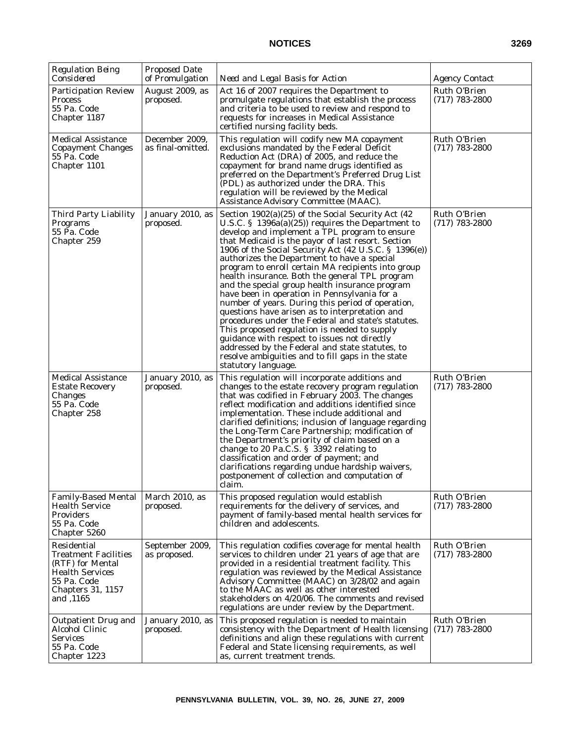| <b>Regulation Being</b><br>Considered                                                                                                            | <b>Proposed Date</b><br>of Promulgation | Need and Legal Basis for Action                                                                                                                                                                                                                                                                                                                                                                                                                                                                                                                                                                                                                                                                                                                                                                                                                                                                                               | <b>Agency Contact</b>              |
|--------------------------------------------------------------------------------------------------------------------------------------------------|-----------------------------------------|-------------------------------------------------------------------------------------------------------------------------------------------------------------------------------------------------------------------------------------------------------------------------------------------------------------------------------------------------------------------------------------------------------------------------------------------------------------------------------------------------------------------------------------------------------------------------------------------------------------------------------------------------------------------------------------------------------------------------------------------------------------------------------------------------------------------------------------------------------------------------------------------------------------------------------|------------------------------------|
| <b>Participation Review</b><br><b>Process</b><br>55 Pa. Code<br>Chapter 1187                                                                     | August 2009, as<br>proposed.            | Act 16 of 2007 requires the Department to<br>promulgate regulations that establish the process<br>and criteria to be used to review and respond to<br>requests for increases in Medical Assistance<br>certified nursing facility beds.                                                                                                                                                                                                                                                                                                                                                                                                                                                                                                                                                                                                                                                                                        | Ruth O'Brien<br>$(717)$ 783-2800   |
| <b>Medical Assistance</b><br><b>Copayment Changes</b><br>55 Pa. Code<br>Chapter 1101                                                             | December 2009,<br>as final-omitted.     | This regulation will codify new MA copayment<br>exclusions mandated by the Federal Deficit<br>Reduction Act (DRA) of 2005, and reduce the<br>copayment for brand name drugs identified as<br>preferred on the Department's Preferred Drug List<br>(PDL) as authorized under the DRA. This<br>regulation will be reviewed by the Medical<br>Assistance Advisory Committee (MAAC).                                                                                                                                                                                                                                                                                                                                                                                                                                                                                                                                              | Ruth O'Brien<br>$(717)$ 783-2800   |
| Third Party Liability<br>Programs<br>55 Pa. Code<br>Chapter 259                                                                                  | January 2010, as<br>proposed.           | Section 1902(a)(25) of the Social Security Act (42<br>U.S.C. § $1396a(a)(25)$ requires the Department to<br>develop and implement a TPL program to ensure<br>that Medicaid is the payor of last resort. Section<br>1906 of the Social Security Act (42 U.S.C. § 1396(e))<br>authorizes the Department to have a special<br>program to enroll certain MA recipients into group<br>health insurance. Both the general TPL program<br>and the special group health insurance program<br>have been in operation in Pennsylvania for a<br>number of years. During this period of operation,<br>questions have arisen as to interpretation and<br>procedures under the Federal and state's statutes.<br>This proposed regulation is needed to supply<br>guidance with respect to issues not directly<br>addressed by the Federal and state statutes, to<br>resolve ambiguities and to fill gaps in the state<br>statutory language. | Ruth O'Brien<br>$(717)$ 783-2800   |
| <b>Medical Assistance</b><br><b>Estate Recovery</b><br>Changes<br>55 Pa. Code<br>Chapter 258                                                     | January 2010, as<br>proposed.           | This regulation will incorporate additions and<br>changes to the estate recovery program regulation<br>that was codified in February 2003. The changes<br>reflect modification and additions identified since<br>implementation. These include additional and<br>clarified definitions; inclusion of language regarding<br>the Long-Term Care Partnership; modification of<br>the Department's priority of claim based on a<br>change to 20 Pa.C.S. § 3392 relating to<br>classification and order of payment; and<br>clarifications regarding undue hardship waivers,<br>postponement of collection and computation of<br>claim.                                                                                                                                                                                                                                                                                             | Ruth O'Brien<br>$(717)$ 783-2800   |
| <b>Family-Based Mental</b><br><b>Health Service</b><br><b>Providers</b><br>55 Pa. Code<br>Chapter 5260                                           | March 2010, as<br>proposed.             | This proposed regulation would establish<br>requirements for the delivery of services, and<br>payment of family-based mental health services for<br>children and adolescents.                                                                                                                                                                                                                                                                                                                                                                                                                                                                                                                                                                                                                                                                                                                                                 | Ruth O'Brien<br>$(717) 783 - 2800$ |
| Residential<br><b>Treatment Facilities</b><br>(RTF) for Mental<br><b>Health Services</b><br>55 Pa. Code<br><b>Chapters 31, 1157</b><br>and ,1165 | September 2009,<br>as proposed.         | This regulation codifies coverage for mental health<br>services to children under 21 years of age that are<br>provided in a residential treatment facility. This<br>regulation was reviewed by the Medical Assistance<br>Advisory Committee (MAAC) on 3/28/02 and again<br>to the MAAC as well as other interested<br>stakeholders on 4/20/06. The comments and revised<br>regulations are under review by the Department.                                                                                                                                                                                                                                                                                                                                                                                                                                                                                                    | Ruth O'Brien<br>$(717)$ 783-2800   |
| <b>Outpatient Drug and</b><br>Alcohol Clinic<br><b>Services</b><br>55 Pa. Code<br>Chapter 1223                                                   | January 2010, as<br>proposed.           | This proposed regulation is needed to maintain<br>consistency with the Department of Health licensing<br>definitions and align these regulations with current<br>Federal and State licensing requirements, as well<br>as, current treatment trends.                                                                                                                                                                                                                                                                                                                                                                                                                                                                                                                                                                                                                                                                           | Ruth O'Brien<br>$(717) 783 - 2800$ |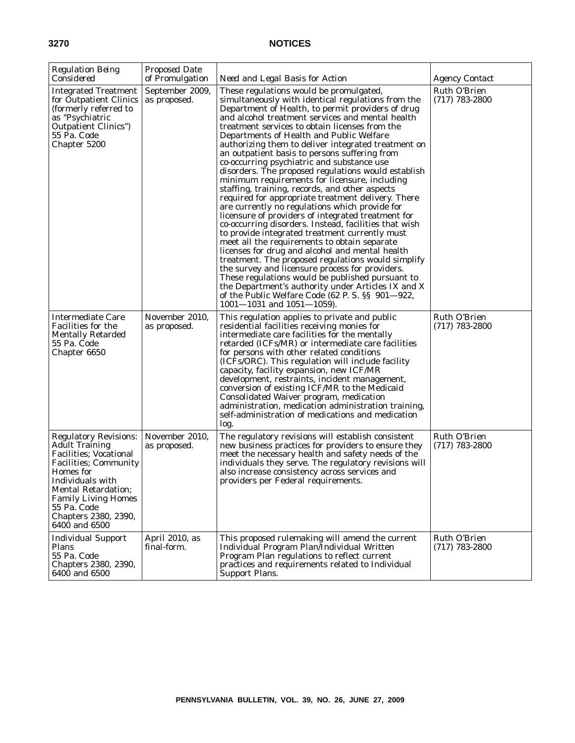| <b>Regulation Being</b><br>Considered                                                                                                                                                                                                                                         | <b>Proposed Date</b><br>of Promulgation | Need and Legal Basis for Action                                                                                                                                                                                                                                                                                                                                                                                                                                                                                                                                                                                                                                                                                                                                                                                                                                                                                                                                                                                                                                                                                                                                                                                                                                                                             | <b>Agency Contact</b>              |
|-------------------------------------------------------------------------------------------------------------------------------------------------------------------------------------------------------------------------------------------------------------------------------|-----------------------------------------|-------------------------------------------------------------------------------------------------------------------------------------------------------------------------------------------------------------------------------------------------------------------------------------------------------------------------------------------------------------------------------------------------------------------------------------------------------------------------------------------------------------------------------------------------------------------------------------------------------------------------------------------------------------------------------------------------------------------------------------------------------------------------------------------------------------------------------------------------------------------------------------------------------------------------------------------------------------------------------------------------------------------------------------------------------------------------------------------------------------------------------------------------------------------------------------------------------------------------------------------------------------------------------------------------------------|------------------------------------|
| <b>Integrated Treatment</b><br>for Outpatient Clinics<br>(formerly referred to<br>as "Psychiatric<br><b>Outpatient Clinics</b> ")<br>55 Pa. Code<br>Chapter 5200                                                                                                              | September 2009,<br>as proposed.         | These regulations would be promulgated,<br>simultaneously with identical regulations from the<br>Department of Health, to permit providers of drug<br>and alcohol treatment services and mental health<br>treatment services to obtain licenses from the<br>Departments of Health and Public Welfare<br>authorizing them to deliver integrated treatment on<br>an outpatient basis to persons suffering from<br>co-occurring psychiatric and substance use<br>disorders. The proposed regulations would establish<br>minimum requirements for licensure, including<br>staffing, training, records, and other aspects<br>required for appropriate treatment delivery. There<br>are currently no regulations which provide for<br>licensure of providers of integrated treatment for<br>co-occurring disorders. Instead, facilities that wish<br>to provide integrated treatment currently must<br>meet all the requirements to obtain separate<br>licenses for drug and alcohol and mental health<br>treatment. The proposed regulations would simplify<br>the survey and licensure process for providers.<br>These regulations would be published pursuant to<br>the Department's authority under Articles IX and X<br>of the Public Welfare Code (62 P.S. §§ 901–922,<br>$1001 - 1031$ and $1051 - 1059$ . | Ruth O'Brien<br>$(717)$ 783-2800   |
| <b>Intermediate Care</b><br><b>Facilities for the</b><br><b>Mentally Retarded</b><br>55 Pa. Code<br>Chapter 6650                                                                                                                                                              | November 2010,<br>as proposed.          | This regulation applies to private and public<br>residential facilities receiving monies for<br>intermediate care facilities for the mentally<br>retarded (ICFs/MR) or intermediate care facilities<br>for persons with other related conditions<br>(ICFs/ORC). This regulation will include facility<br>capacity, facility expansion, new ICF/MR<br>development, restraints, incident management,<br>conversion of existing ICF/MR to the Medicaid<br>Consolidated Waiver program, medication<br>administration, medication administration training,<br>self-administration of medications and medication<br>log.                                                                                                                                                                                                                                                                                                                                                                                                                                                                                                                                                                                                                                                                                          | Ruth O'Brien<br>$(717)$ 783-2800   |
| <b>Regulatory Revisions:</b><br><b>Adult Training</b><br><b>Facilities</b> ; Vocational<br><b>Facilities</b> ; Community<br>Homes for<br>Individuals with<br><b>Mental Retardation;</b><br><b>Family Living Homes</b><br>55 Pa. Code<br>Chapters 2380, 2390,<br>6400 and 6500 | November 2010,<br>as proposed.          | The regulatory revisions will establish consistent<br>new business practices for providers to ensure they<br>meet the necessary health and safety needs of the<br>individuals they serve. The regulatory revisions will<br>also increase consistency across services and<br>providers per Federal requirements.                                                                                                                                                                                                                                                                                                                                                                                                                                                                                                                                                                                                                                                                                                                                                                                                                                                                                                                                                                                             | Ruth O'Brien<br>$(717)$ 783-2800   |
| <b>Individual Support</b><br>Plans<br>55 Pa. Code<br>Chapters 2380, 2390,<br>6400 and 6500                                                                                                                                                                                    | April 2010, as<br>final-form.           | This proposed rulemaking will amend the current<br>Individual Program Plan/Individual Written<br>Program Plan regulations to reflect current<br>practices and requirements related to Individual<br>Support Plans.                                                                                                                                                                                                                                                                                                                                                                                                                                                                                                                                                                                                                                                                                                                                                                                                                                                                                                                                                                                                                                                                                          | Ruth O'Brien<br>$(717) 783 - 2800$ |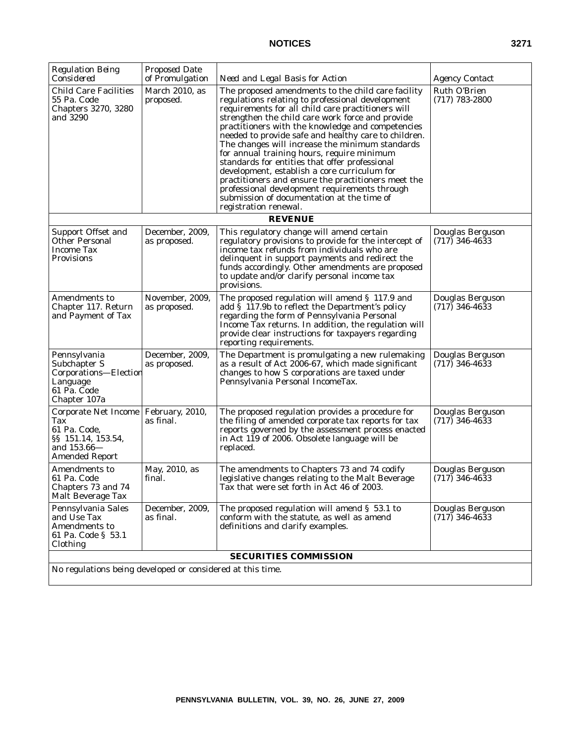| <b>Regulation Being</b><br>Considered                                                              | <b>Proposed Date</b><br>of Promulgation | Need and Legal Basis for Action                                                                                                                                                                                                                                                                                                                                                                                                                                                                                                                                                                                                                                                                                 | <i>Agency Contact</i>                |
|----------------------------------------------------------------------------------------------------|-----------------------------------------|-----------------------------------------------------------------------------------------------------------------------------------------------------------------------------------------------------------------------------------------------------------------------------------------------------------------------------------------------------------------------------------------------------------------------------------------------------------------------------------------------------------------------------------------------------------------------------------------------------------------------------------------------------------------------------------------------------------------|--------------------------------------|
| <b>Child Care Facilities</b><br>55 Pa. Code<br><b>Chapters 3270, 3280</b><br>and 3290              | March 2010, as<br>proposed.             | The proposed amendments to the child care facility<br>regulations relating to professional development<br>requirements for all child care practitioners will<br>strengthen the child care work force and provide<br>practitioners with the knowledge and competencies<br>needed to provide safe and healthy care to children.<br>The changes will increase the minimum standards<br>for annual training hours, require minimum<br>standards for entities that offer professional<br>development, establish a core curriculum for<br>practitioners and ensure the practitioners meet the<br>professional development requirements through<br>submission of documentation at the time of<br>registration renewal. | Ruth O'Brien<br>$(717)$ 783-2800     |
|                                                                                                    |                                         | <i><b>REVENUE</b></i>                                                                                                                                                                                                                                                                                                                                                                                                                                                                                                                                                                                                                                                                                           |                                      |
| Support Offset and<br><b>Other Personal</b><br><b>Income Tax</b><br>Provisions                     | December, 2009,<br>as proposed.         | This regulatory change will amend certain<br>regulatory provisions to provide for the intercept of<br>income tax refunds from individuals who are<br>delinquent in support payments and redirect the<br>funds accordingly. Other amendments are proposed<br>to update and/or clarify personal income tax<br>provisions.                                                                                                                                                                                                                                                                                                                                                                                         | Douglas Berguson<br>$(717)$ 346-4633 |
| <b>Amendments to</b><br>Chapter 117. Return<br>and Payment of Tax                                  | November, 2009,<br>as proposed.         | The proposed regulation will amend § 117.9 and<br>add $\bar{\S}$ 117.9b to reflect the Department's policy<br>regarding the form of Pennsylvania Personal<br>Income Tax returns. In addition, the regulation will<br>provide clear instructions for taxpayers regarding<br>reporting requirements.                                                                                                                                                                                                                                                                                                                                                                                                              | Douglas Berguson<br>$(717)$ 346-4633 |
| Pennsylvania<br>Subchapter S<br>Corporations-Election<br>Language<br>61 Pa. Code<br>Chapter 107a   | December, 2009,<br>as proposed.         | The Department is promulgating a new rulemaking<br>as a result of Act 2006-67, which made significant<br>changes to how S corporations are taxed under<br>Pennsylvania Personal IncomeTax.                                                                                                                                                                                                                                                                                                                                                                                                                                                                                                                      | Douglas Berguson<br>$(717)$ 346-4633 |
| Corporate Net Income<br>Tax<br>61 Pa. Code,<br>§§ 151.14, 153.54,<br>and 153.66-<br>Amended Report | February, 2010,<br>as final.            | The proposed regulation provides a procedure for<br>the filing of amended corporate tax reports for tax<br>reports governed by the assessment process enacted<br>in Act 119 of 2006. Obsolete language will be<br>replaced.                                                                                                                                                                                                                                                                                                                                                                                                                                                                                     | Douglas Berguson<br>$(717)$ 346-4633 |
| Amendments to<br>61 Pa. Code<br>Chapters 73 and 74<br>Malt Beverage Tax                            | May, 2010, as<br>final.                 | The amendments to Chapters 73 and 74 codify<br>legislative changes relating to the Malt Beverage<br>Tax that were set forth in Act 46 of 2003.                                                                                                                                                                                                                                                                                                                                                                                                                                                                                                                                                                  | Douglas Berguson<br>$(717)$ 346-4633 |
| Pennsylvania Sales<br>and Use Tax<br>Amendments to<br>61 Pa. Code § 53.1<br>Clothing               | December, 2009,<br>as final.            | The proposed regulation will amend § 53.1 to<br>conform with the statute, as well as amend<br>definitions and clarify examples.                                                                                                                                                                                                                                                                                                                                                                                                                                                                                                                                                                                 | Douglas Berguson<br>$(717)$ 346-4633 |
|                                                                                                    |                                         | <b>SECURITIES COMMISSION</b>                                                                                                                                                                                                                                                                                                                                                                                                                                                                                                                                                                                                                                                                                    |                                      |
| No regulations being developed or considered at this time.                                         |                                         |                                                                                                                                                                                                                                                                                                                                                                                                                                                                                                                                                                                                                                                                                                                 |                                      |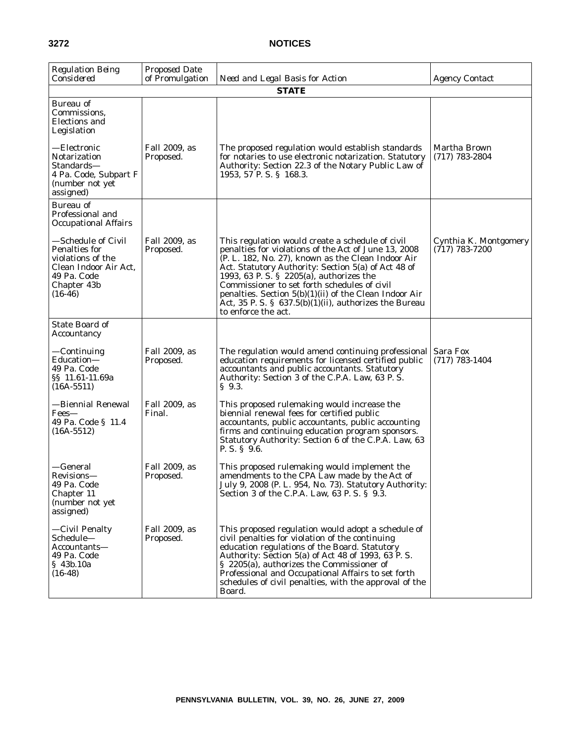| <b>Regulation Being</b><br>Considered                                                                                               | <b>Proposed Date</b><br>of Promulgation | Need and Legal Basis for Action                                                                                                                                                                                                                                                                                                                                                                                                                                   | <b>Agency Contact</b>                     |
|-------------------------------------------------------------------------------------------------------------------------------------|-----------------------------------------|-------------------------------------------------------------------------------------------------------------------------------------------------------------------------------------------------------------------------------------------------------------------------------------------------------------------------------------------------------------------------------------------------------------------------------------------------------------------|-------------------------------------------|
|                                                                                                                                     |                                         | <b>STATE</b>                                                                                                                                                                                                                                                                                                                                                                                                                                                      |                                           |
| Bureau of<br>Commissions,<br><b>Elections</b> and<br>Legislation                                                                    |                                         |                                                                                                                                                                                                                                                                                                                                                                                                                                                                   |                                           |
| —Electronic<br>Notarization<br>Standards—<br>4 Pa. Code, Subpart F<br>(number not yet<br>assigned)                                  | Fall 2009, as<br>Proposed.              | The proposed regulation would establish standards<br>for notaries to use electronic notarization. Statutory<br>Authority: Section 22.3 of the Notary Public Law of<br>1953, 57 P.S. § 168.3.                                                                                                                                                                                                                                                                      | Martha Brown<br>$(717)$ 783-2804          |
| Bureau of<br>Professional and<br><b>Occupational Affairs</b>                                                                        |                                         |                                                                                                                                                                                                                                                                                                                                                                                                                                                                   |                                           |
| —Schedule of Civil<br><b>Penalties for</b><br>violations of the<br>Clean Indoor Air Act,<br>49 Pa. Code<br>Chapter 43b<br>$(16-46)$ | Fall 2009, as<br>Proposed.              | This regulation would create a schedule of civil<br>penalties for violations of the Act of June 13, 2008<br>(P. L. 182, No. 27), known as the Clean Indoor Air<br>Act. Statutory Authority: Section 5(a) of Act 48 of<br>1993, 63 P. S. § 2205(a), authorizes the<br>Commissioner to set forth schedules of civil<br>penalties. Section $5(b)(1)(ii)$ of the Clean Indoor Air<br>Act, 35 P. S. § $637.5(b)(1)(ii)$ , authorizes the Bureau<br>to enforce the act. | Cynthia K. Montgomery<br>$(717)$ 783-7200 |
| <b>State Board of</b><br>Accountancy                                                                                                |                                         |                                                                                                                                                                                                                                                                                                                                                                                                                                                                   |                                           |
| —Continuing<br>Education-<br>49 Pa. Code<br>§§ 11.61-11.69a<br>$(16A-5511)$                                                         | Fall 2009, as<br>Proposed.              | The regulation would amend continuing professional<br>education requirements for licensed certified public<br>accountants and public accountants. Statutory<br>Authority: Section 3 of the C.P.A. Law, 63 P.S.<br>$\S$ 9.3.                                                                                                                                                                                                                                       | Sara Fox<br>$(717)$ 783-1404              |
| —Biennial Renewal<br>Fees-<br>49 Pa. Code § 11.4<br>$(16A-5512)$                                                                    | Fall 2009, as<br>Final.                 | This proposed rulemaking would increase the<br>biennial renewal fees for certified public<br>accountants, public accountants, public accounting<br>firms and continuing education program sponsors.<br>Statutory Authority: Section 6 of the C.P.A. Law, 63<br>P. S. § 9.6.                                                                                                                                                                                       |                                           |
| —General<br>Revisions—<br>49 Pa. Code<br>Chapter 11<br>(number not yet<br>assigned)                                                 | Fall 2009, as<br>Proposed.              | This proposed rulemaking would implement the<br>amendments to the CPA Law made by the Act of<br>July 9, 2008 (P. L. 954, No. 73). Statutory Authority:<br>Section 3 of the C.P.A. Law, 63 P.S. § 9.3.                                                                                                                                                                                                                                                             |                                           |
| —Civil Penalty<br>Schedule-<br>Accountants—<br>49 Pa. Code<br>§ 43b.10a<br>$(16-48)$                                                | Fall 2009, as<br>Proposed.              | This proposed regulation would adopt a schedule of<br>civil penalties for violation of the continuing<br>education regulations of the Board. Statutory<br>Authority: Section 5(a) of Act 48 of 1993, 63 P.S.<br>§ 2205(a), authorizes the Commissioner of<br>Professional and Occupational Affairs to set forth<br>schedules of civil penalties, with the approval of the<br>Board.                                                                               |                                           |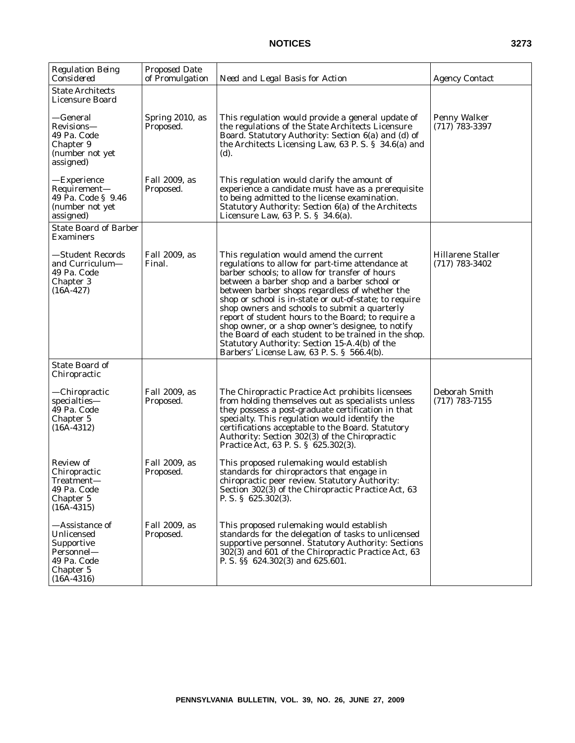| <b>Regulation Being</b><br>Considered                                                                  | <b>Proposed Date</b><br>of Promulgation | Need and Legal Basis for Action                                                                                                                                                                                                                                                                                                                                                                                                                                                                                                                                                                                             | <b>Agency Contact</b>                        |
|--------------------------------------------------------------------------------------------------------|-----------------------------------------|-----------------------------------------------------------------------------------------------------------------------------------------------------------------------------------------------------------------------------------------------------------------------------------------------------------------------------------------------------------------------------------------------------------------------------------------------------------------------------------------------------------------------------------------------------------------------------------------------------------------------------|----------------------------------------------|
| State Architects<br><b>Licensure Board</b>                                                             |                                         |                                                                                                                                                                                                                                                                                                                                                                                                                                                                                                                                                                                                                             |                                              |
| —General<br>Revisions—<br>49 Pa. Code<br>Chapter 9<br>(number not yet<br>assigned)                     | Spring 2010, as<br>Proposed.            | This regulation would provide a general update of<br>the regulations of the State Architects Licensure<br>Board. Statutory Authority: Section 6(a) and (d) of<br>the Architects Licensing Law, 63 P.S. § 34.6(a) and<br>(d).                                                                                                                                                                                                                                                                                                                                                                                                | Penny Walker<br>$(717)$ 783-3397             |
| —Experience<br>Requirement-<br>49 Pa. Code § 9.46<br>(number not yet<br>assigned)                      | Fall 2009, as<br>Proposed.              | This regulation would clarify the amount of<br>experience a candidate must have as a prerequisite<br>to being admitted to the license examination.<br>Statutory Authority: Section 6(a) of the Architects<br>Licensure Law, $63$ P. S. § $34.6(a)$ .                                                                                                                                                                                                                                                                                                                                                                        |                                              |
| <b>State Board of Barber</b><br>Examiners                                                              |                                         |                                                                                                                                                                                                                                                                                                                                                                                                                                                                                                                                                                                                                             |                                              |
| —Student Records<br>and Curriculum—<br>49 Pa. Code<br>Chapter 3<br>$(16A-427)$                         | Fall 2009, as<br>Final.                 | This regulation would amend the current<br>regulations to allow for part-time attendance at<br>barber schools; to allow for transfer of hours<br>between a barber shop and a barber school or<br>between barber shops regardless of whether the<br>shop or school is in-state or out-of-state; to require<br>shop owners and schools to submit a quarterly<br>report of student hours to the Board; to require a<br>shop owner, or a shop owner's designee, to notify<br>the Board of each student to be trained in the shop.<br>Statutory Authority: Section 15-A.4(b) of the<br>Barbers' License Law, 63 P.S. § 566.4(b). | <b>Hillarene Staller</b><br>$(717)$ 783-3402 |
| State Board of<br>Chiropractic                                                                         |                                         |                                                                                                                                                                                                                                                                                                                                                                                                                                                                                                                                                                                                                             |                                              |
| —Chiropractic<br>specialties-<br>49 Pa. Code<br>Chapter 5<br>$(16A-4312)$                              | Fall 2009, as<br>Proposed.              | The Chiropractic Practice Act prohibits licensees<br>from holding themselves out as specialists unless<br>they possess a post-graduate certification in that<br>specialty. This regulation would identify the<br>certifications acceptable to the Board. Statutory<br>Authority: Section 302(3) of the Chiropractic<br>Practice Act, 63 P.S. § 625.302(3).                                                                                                                                                                                                                                                                  | Deborah Smith<br>$(717)$ 783-7155            |
| Review of<br>Chiropractic<br>Treatment—<br>49 Pa. Code<br>Chapter 5<br>$(16A-4315)$                    | Fall 2009, as<br>Proposed.              | This proposed rulemaking would establish<br>standards for chiropractors that engage in<br>chiropractic peer review. Statutory Authority:<br>Section 302(3) of the Chiropractic Practice Act, 63<br>P. S. $\S$ 625.302(3).                                                                                                                                                                                                                                                                                                                                                                                                   |                                              |
| —Assistance of<br>Unlicensed<br>Supportive<br>Personnel—<br>49 Pa. Code<br>Chapter 5<br>$(16A - 4316)$ | Fall 2009, as<br>Proposed.              | This proposed rulemaking would establish<br>standards for the delegation of tasks to unlicensed<br>supportive personnel. Statutory Authority: Sections<br>302(3) and 601 of the Chiropractic Practice Act, 63<br>P. S. §§ 624.302(3) and 625.601.                                                                                                                                                                                                                                                                                                                                                                           |                                              |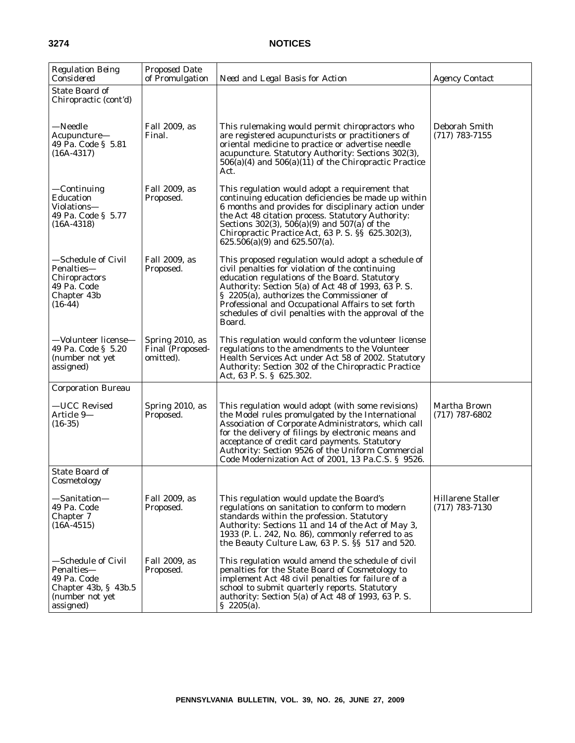| <b>Regulation Being</b><br>Considered                                                                        | <b>Proposed Date</b><br>of Promulgation                 | Need and Legal Basis for Action                                                                                                                                                                                                                                                                                                                                                    | <b>Agency Contact</b>                 |
|--------------------------------------------------------------------------------------------------------------|---------------------------------------------------------|------------------------------------------------------------------------------------------------------------------------------------------------------------------------------------------------------------------------------------------------------------------------------------------------------------------------------------------------------------------------------------|---------------------------------------|
| State Board of<br>Chiropractic (cont'd)                                                                      |                                                         |                                                                                                                                                                                                                                                                                                                                                                                    |                                       |
| —Needle<br>Acupuncture-<br>49 Pa. Code § 5.81<br>$(16A-4317)$                                                | Fall 2009, as<br>Final.                                 | This rulemaking would permit chiropractors who<br>are registered acupuncturists or practitioners of<br>oriental medicine to practice or advertise needle<br>acupuncture. Statutory Authority: Sections 302(3),<br>$506(a)(4)$ and $506(a)(11)$ of the Chiropractic Practice<br>Act.                                                                                                | Deborah Smith<br>$(717)$ 783-7155     |
| —Continuing<br>Education<br>Violations-<br>49 Pa. Code § 5.77<br>$(16A-4318)$                                | Fall 2009, as<br>Proposed.                              | This regulation would adopt a requirement that<br>continuing education deficiencies be made up within<br>6 months and provides for disciplinary action under<br>the Act 48 citation process. Statutory Authority:<br>Sections 302(3), 506(a)(9) and 507(a) of the<br>Chiropractic Practice Act, 63 P. S. §§ 625.302(3),<br>$625.506(a)(9)$ and $625.507(a)$ .                      |                                       |
| —Schedule of Civil<br>Penalties-<br>Chiropractors<br>49 Pa. Code<br>Chapter 43b<br>$(16-44)$                 | Fall 2009, as<br>Proposed.                              | This proposed regulation would adopt a schedule of<br>civil penalties for violation of the continuing<br>education regulations of the Board. Statutory<br>Authority: Section 5(a) of Act 48 of 1993, 63 P.S.<br>§ 2205(a), authorizes the Commissioner of<br>Professional and Occupational Affairs to set forth<br>schedules of civil penalties with the approval of the<br>Board. |                                       |
| -Volunteer license-<br>49 Pa. Code § 5.20<br>(number not yet<br>assigned)                                    | Spring 2010, as<br><b>Final (Proposed-</b><br>omitted). | This regulation would conform the volunteer license<br>regulations to the amendments to the Volunteer<br>Health Services Act under Act 58 of 2002. Statutory<br>Authority: Section 302 of the Chiropractic Practice<br>Act, 63 P.S. § 625.302.                                                                                                                                     |                                       |
| <b>Corporation Bureau</b>                                                                                    |                                                         |                                                                                                                                                                                                                                                                                                                                                                                    |                                       |
| -UCC Revised<br>Article 9-<br>$(16-35)$                                                                      | Spring 2010, as<br>Proposed.                            | This regulation would adopt (with some revisions)<br>the Model rules promulgated by the International<br>Association of Corporate Administrators, which call<br>for the delivery of filings by electronic means and<br>acceptance of credit card payments. Statutory<br>Authority: Section 9526 of the Uniform Commercial<br>Code Modernization Act of 2001, 13 Pa.C.S. § 9526.    | Martha Brown<br>$(717)$ 787-6802      |
| State Board of<br>Cosmetology                                                                                |                                                         |                                                                                                                                                                                                                                                                                                                                                                                    |                                       |
| —Sanitation—<br>49 Pa. Code<br>Chapter 7<br>$(16A-4515)$                                                     | Fall 2009, as<br>Proposed.                              | This regulation would update the Board's<br>regulations on sanitation to conform to modern<br>standards within the profession. Statutory<br>Authority: Sections 11 and 14 of the Act of May 3,<br>1933 (P. L. 242, No. 86), commonly referred to as<br>the Beauty Culture Law, 63 P.S. SS 517 and 520.                                                                             | Hillarene Staller<br>$(717)$ 783-7130 |
| —Schedule of Civil<br>Penalties-<br>49 Pa. Code<br>Chapter $43b$ , § $43b.5$<br>(number not yet<br>assigned) | Fall 2009, as<br>Proposed.                              | This regulation would amend the schedule of civil<br>penalties for the State Board of Cosmetology to<br>implement Act 48 civil penalties for failure of a<br>school to submit quarterly reports. Statutory<br>authority: Section 5(a) of Act 48 of 1993, 63 P.S.<br>$\S$ 2205(a).                                                                                                  |                                       |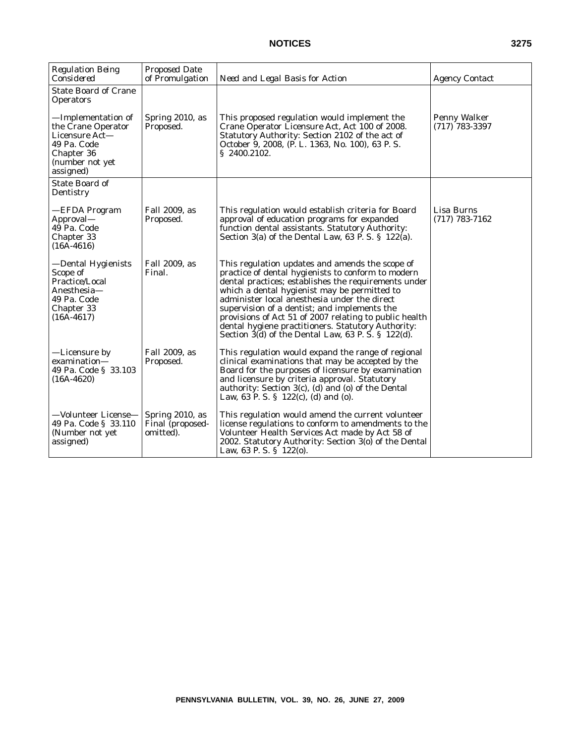| <b>Regulation Being</b><br>Considered                                                                                                                                      | <b>Proposed Date</b><br>of Promulgation          | Need and Legal Basis for Action                                                                                                                                                                                                                                                                                                                                                                                                                                                           | <b>Agency Contact</b>            |
|----------------------------------------------------------------------------------------------------------------------------------------------------------------------------|--------------------------------------------------|-------------------------------------------------------------------------------------------------------------------------------------------------------------------------------------------------------------------------------------------------------------------------------------------------------------------------------------------------------------------------------------------------------------------------------------------------------------------------------------------|----------------------------------|
| <b>State Board of Crane</b><br><b>Operators</b><br>—Implementation of<br>the Crane Operator<br>Licensure Act-<br>49 Pa. Code<br>Chapter 36<br>(number not yet<br>assigned) | Spring 2010, as<br>Proposed.                     | This proposed regulation would implement the<br>Crane Operator Licensure Act, Act 100 of 2008.<br>Statutory Authority: Section 2102 of the act of<br>October 9, 2008, (P. L. 1363, No. 100), 63 P. S.<br>\$2400.2102.                                                                                                                                                                                                                                                                     | Penny Walker<br>$(717)$ 783-3397 |
| <b>State Board of</b><br>Dentistry                                                                                                                                         |                                                  |                                                                                                                                                                                                                                                                                                                                                                                                                                                                                           |                                  |
| —EFDA Program<br>Approval—<br>49 Pa. Code<br>Chapter 33<br>$(16A - 4616)$                                                                                                  | Fall 2009, as<br>Proposed.                       | This regulation would establish criteria for Board<br>approval of education programs for expanded<br>function dental assistants. Statutory Authority:<br>Section $3(a)$ of the Dental Law, 63 P. S. § 122(a).                                                                                                                                                                                                                                                                             | Lisa Burns<br>$(717)$ 783-7162   |
| -Dental Hygienists<br>Scope of<br>Practice/Local<br>Anesthesia-<br>49 Pa. Code<br>Chapter 33<br>$(16A-4617)$                                                               | Fall 2009, as<br>Final.                          | This regulation updates and amends the scope of<br>practice of dental hygienists to conform to modern<br>dental practices; establishes the requirements under<br>which a dental hygienist may be permitted to<br>administer local anesthesia under the direct<br>supervision of a dentist; and implements the<br>provisions of Act 51 of 2007 relating to public health<br>dental hygiene practitioners. Statutory Authority:<br>Section $3(d)$ of the Dental Law, 63 P. S. § 122 $(d)$ . |                                  |
| —Licensure by<br>examination-<br>49 Pa. Code § 33.103<br>$(16A-4620)$                                                                                                      | Fall 2009, as<br>Proposed.                       | This regulation would expand the range of regional<br>clinical examinations that may be accepted by the<br>Board for the purposes of licensure by examination<br>and licensure by criteria approval. Statutory<br>authority: Section $3(c)$ , (d) and (o) of the Dental<br>Law, 63 P. S. § $122(c)$ , (d) and (o).                                                                                                                                                                        |                                  |
| —Volunteer License—<br>49 Pa. Code § 33.110<br>(Number not yet)<br>assigned)                                                                                               | Spring 2010, as<br>Final (proposed-<br>omitted). | This regulation would amend the current volunteer<br>license regulations to conform to amendments to the<br>Volunteer Health Services Act made by Act 58 of<br>2002. Statutory Authority: Section 3(o) of the Dental<br>Law, 63 P. S. $\S$ 122(0).                                                                                                                                                                                                                                        |                                  |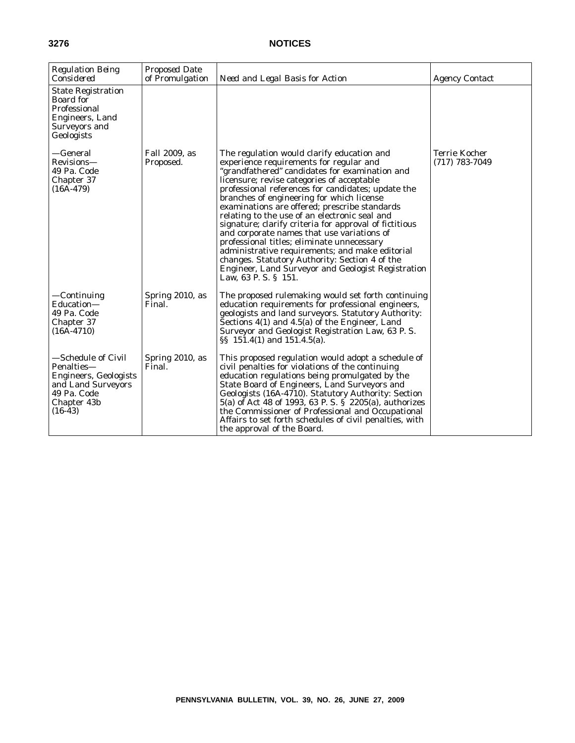| <b>Regulation Being</b><br>Considered                                                                                             | <b>Proposed Date</b><br>of Promulgation | Need and Legal Basis for Action                                                                                                                                                                                                                                                                                                                                                                                                                                                                                                                                                                                                                                                                                                    | <b>Agency Contact</b>                    |
|-----------------------------------------------------------------------------------------------------------------------------------|-----------------------------------------|------------------------------------------------------------------------------------------------------------------------------------------------------------------------------------------------------------------------------------------------------------------------------------------------------------------------------------------------------------------------------------------------------------------------------------------------------------------------------------------------------------------------------------------------------------------------------------------------------------------------------------------------------------------------------------------------------------------------------------|------------------------------------------|
| <b>State Registration</b><br>Board for<br>Professional<br>Engineers, Land<br>Surveyors and<br>Geologists                          |                                         |                                                                                                                                                                                                                                                                                                                                                                                                                                                                                                                                                                                                                                                                                                                                    |                                          |
| —General<br>Revisions-<br>49 Pa. Code<br>Chapter 37<br>$(16A-479)$                                                                | Fall 2009, as<br>Proposed.              | The regulation would clarify education and<br>experience requirements for regular and<br>"grandfathered" candidates for examination and<br>licensure; revise categories of acceptable<br>professional references for candidates; update the<br>branches of engineering for which license<br>examinations are offered; prescribe standards<br>relating to the use of an electronic seal and<br>signature; clarify criteria for approval of fictitious<br>and corporate names that use variations of<br>professional titles; eliminate unnecessary<br>administrative requirements; and make editorial<br>changes. Statutory Authority: Section 4 of the<br>Engineer, Land Surveyor and Geologist Registration<br>Law, 63 P.S. § 151. | <b>Terrie Kocher</b><br>$(717)$ 783-7049 |
| —Continuing<br>Education-<br>49 Pa. Code<br>Chapter 37<br>$(16A-4710)$                                                            | Spring 2010, as<br>Final.               | The proposed rulemaking would set forth continuing<br>education requirements for professional engineers,<br>geologists and land surveyors. Statutory Authority:<br>Sections 4(1) and 4.5(a) of the Engineer, Land<br>Surveyor and Geologist Registration Law, 63 P.S.<br>$\S$ 151.4(1) and 151.4.5(a).                                                                                                                                                                                                                                                                                                                                                                                                                             |                                          |
| —Schedule of Civil<br>Penalties-<br><b>Engineers, Geologists</b><br>and Land Surveyors<br>49 Pa. Code<br>Chapter 43b<br>$(16-43)$ | Spring 2010, as<br>Final.               | This proposed regulation would adopt a schedule of<br>civil penalties for violations of the continuing<br>education regulations being promulgated by the<br>State Board of Engineers, Land Surveyors and<br>Geologists (16A-4710). Statutory Authority: Section<br>5(a) of Act 48 of 1993, 63 P.S. § 2205(a), authorizes<br>the Commissioner of Professional and Occupational<br>Affairs to set forth schedules of civil penalties, with<br>the approval of the Board.                                                                                                                                                                                                                                                             |                                          |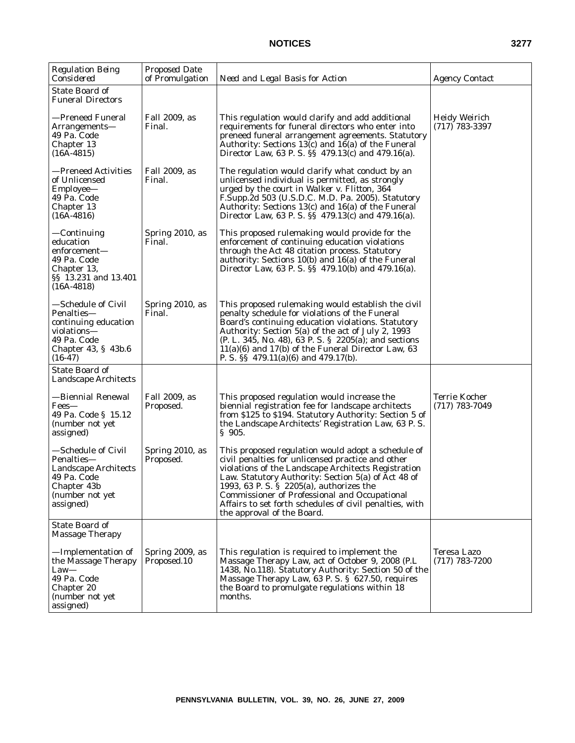| <b>Regulation Being</b><br>Considered                                                                                      | <b>Proposed Date</b><br>of Promulgation | Need and Legal Basis for Action                                                                                                                                                                                                                                                                                                                                                                                    | <i>Agency Contact</i>                    |
|----------------------------------------------------------------------------------------------------------------------------|-----------------------------------------|--------------------------------------------------------------------------------------------------------------------------------------------------------------------------------------------------------------------------------------------------------------------------------------------------------------------------------------------------------------------------------------------------------------------|------------------------------------------|
| <b>State Board of</b><br><b>Funeral Directors</b>                                                                          |                                         |                                                                                                                                                                                                                                                                                                                                                                                                                    |                                          |
| —Preneed Funeral<br>Arrangements-<br>49 Pa. Code<br>Chapter 13<br>$(16A-4815)$                                             | Fall 2009, as<br>Final.                 | This regulation would clarify and add additional<br>requirements for funeral directors who enter into<br>preneed funeral arrangement agreements. Statutory<br>Authority: Sections $13(c)$ and $16(a)$ of the Funeral<br>Director Law, 63 P. S. §§ 479.13(c) and 479.16(a).                                                                                                                                         | <b>Heidy Weirich</b><br>$(717)$ 783-3397 |
| —Preneed Activities<br>of Unlicensed<br>Employee—<br>49 Pa. Code<br>Chapter 13<br>$(16A-4816)$                             | Fall 2009, as<br>Final.                 | The regulation would clarify what conduct by an<br>unlicensed individual is permitted, as strongly<br>urged by the court in <i>Walker v. Flitton</i> , 364<br>F.Supp.2d 503 (U.S.D.C. M.D. Pa. 2005). Statutory<br>Authority: Sections 13(c) and 16(a) of the Funeral<br>Director Law, 63 P. S. §§ 479.13(c) and 479.16(a).                                                                                        |                                          |
| —Continuing<br>education<br>enforcement—<br>49 Pa. Code<br>Chapter 13,<br>§§ 13.231 and 13.401<br>$(16A-4818)$             | Spring 2010, as<br>Final.               | This proposed rulemaking would provide for the<br>enforcement of continuing education violations<br>through the Act 48 citation process. Statutory<br>authority: Sections 10(b) and 16(a) of the Funeral<br>Director Law, 63 P. S. §§ 479.10(b) and 479.16(a).                                                                                                                                                     |                                          |
| -Schedule of Civil<br>Penalties-<br>continuing education<br>violations—<br>49 Pa. Code<br>Chapter 43, § 43b.6<br>$(16-47)$ | Spring 2010, as<br>Final.               | This proposed rulemaking would establish the civil<br>penalty schedule for violations of the Funeral<br>Board's continuing education violations. Statutory<br>Authority: Section 5(a) of the act of July 2, 1993<br>(P. L. 345, No. 48), 63 P. S. § 2205(a); and sections<br>$11(a)(6)$ and $17(b)$ of the Funeral Director Law, 63<br>P. S. $\S$ 479.11(a)(6) and 479.17(b).                                      |                                          |
| State Board of<br>Landscape Architects                                                                                     |                                         |                                                                                                                                                                                                                                                                                                                                                                                                                    |                                          |
| —Biennial Renewal<br>Fees—<br>49 Pa. Code § 15.12<br>(number not yet<br>assigned)                                          | Fall 2009, as<br>Proposed.              | This proposed regulation would increase the<br>biennial registration fee for landscape architects<br>from \$125 to \$194. Statutory Authority: Section 5 of<br>the Landscape Architects' Registration Law, 63 P.S.<br>$\S$ 905.                                                                                                                                                                                    | Terrie Kocher<br>$(717)$ 783-7049        |
| -Schedule of Civil<br>Penalties-<br>Landscape Architects<br>49 Pa. Code<br>Chapter 43b<br>(number not yet<br>assigned)     | Spring 2010, as<br>Proposed.            | This proposed regulation would adopt a schedule of<br>civil penalties for unlicensed practice and other<br>violations of the Landscape Architects Registration<br>Law. Statutory Authority: Section 5(a) of Act 48 of<br>1993, 63 P. S. § 2205(a), authorizes the<br><b>Commissioner of Professional and Occupational</b><br>Affairs to set forth schedules of civil penalties, with<br>the approval of the Board. |                                          |
| <b>State Board of</b><br><b>Massage Therapy</b>                                                                            |                                         |                                                                                                                                                                                                                                                                                                                                                                                                                    |                                          |
| -Implementation of<br>the Massage Therapy<br>$Law-$<br>49 Pa. Code<br>Chapter 20<br>(number not yet<br>assigned)           | Spring 2009, as<br>Proposed.10          | This regulation is required to implement the<br>Massage Therapy Law, act of October 9, 2008 (P.L.<br>1438, No.118). Statutory Authority: Section 50 of the<br>Massage Therapy Law, 63 P. S. § 627.50, requires<br>the Board to promulgate regulations within 18<br>months.                                                                                                                                         | Teresa Lazo<br>$(717)$ 783-7200          |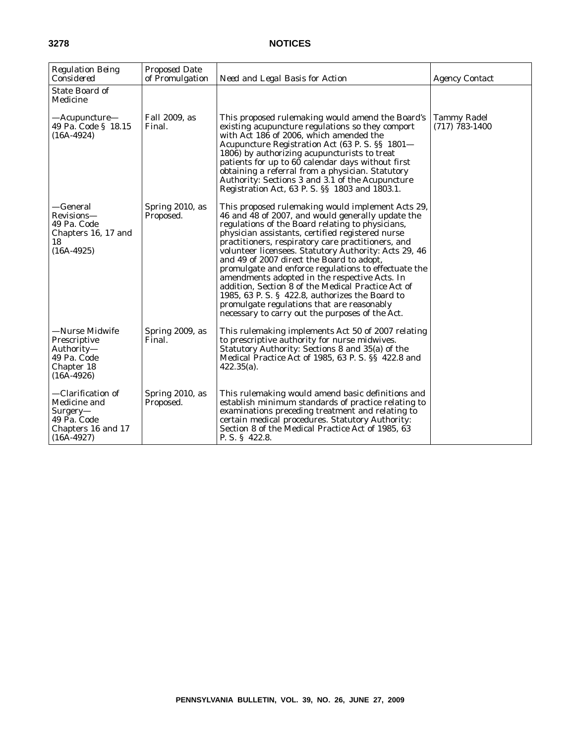| <b>Regulation Being</b><br>Considered                                                                | <b>Proposed Date</b><br>of Promulgation | Need and Legal Basis for Action                                                                                                                                                                                                                                                                                                                                                                                                                                                                                                                                                                                                                                                              | <b>Agency Contact</b>                  |
|------------------------------------------------------------------------------------------------------|-----------------------------------------|----------------------------------------------------------------------------------------------------------------------------------------------------------------------------------------------------------------------------------------------------------------------------------------------------------------------------------------------------------------------------------------------------------------------------------------------------------------------------------------------------------------------------------------------------------------------------------------------------------------------------------------------------------------------------------------------|----------------------------------------|
| <b>State Board of</b><br>Medicine                                                                    |                                         |                                                                                                                                                                                                                                                                                                                                                                                                                                                                                                                                                                                                                                                                                              |                                        |
| —Acupuncture—<br>49 Pa. Code § 18.15<br>$(16A-4924)$                                                 | Fall 2009, as<br>Final.                 | This proposed rulemaking would amend the Board's<br>existing acupuncture regulations so they comport<br>with Act 186 of 2006, which amended the<br>Acupuncture Registration Act (63 P. S. §§ 1801-<br>1806) by authorizing acupuncturists to treat<br>patients for up to 60 calendar days without first<br>obtaining a referral from a physician. Statutory<br>Authority: Sections 3 and 3.1 of the Acupuncture<br>Registration Act, 63 P. S. §§ 1803 and 1803.1.                                                                                                                                                                                                                            | <b>Tammy Radel</b><br>$(717)$ 783-1400 |
| —General<br>Revisions-<br>49 Pa. Code<br>Chapters 16, 17 and<br>18<br>$(16A-4925)$                   | Spring 2010, as<br>Proposed.            | This proposed rulemaking would implement Acts 29,<br>46 and 48 of 2007, and would generally update the<br>regulations of the Board relating to physicians,<br>physician assistants, certified registered nurse<br>practitioners, respiratory care practitioners, and<br>volunteer licensees. Statutory Authority: Acts 29, 46<br>and 49 of 2007 direct the Board to adopt,<br>promulgate and enforce regulations to effectuate the<br>amendments adopted in the respective Acts. In<br>addition, Section 8 of the Medical Practice Act of<br>1985, 63 P.S. § 422.8, authorizes the Board to<br>promulgate regulations that are reasonably<br>necessary to carry out the purposes of the Act. |                                        |
| —Nurse Midwife<br><b>Prescriptive</b><br>Authority—<br>49 Pa. Code<br>Chapter 18<br>$(16A-4926)$     | Spring 2009, as<br>Final.               | This rulemaking implements Act 50 of 2007 relating<br>to prescriptive authority for nurse midwives.<br>Statutory Authority: Sections 8 and 35(a) of the<br>Medical Practice Act of 1985, 63 P.S. SS 422.8 and<br>$422.35(a)$ .                                                                                                                                                                                                                                                                                                                                                                                                                                                               |                                        |
| —Clarification of<br>Medicine and<br>$Surgery-$<br>49 Pa. Code<br>Chapters 16 and 17<br>$(16A-4927)$ | Spring 2010, as<br>Proposed.            | This rulemaking would amend basic definitions and<br>establish minimum standards of practice relating to<br>examinations preceding treatment and relating to<br>certain medical procedures. Statutory Authority:<br>Section 8 of the Medical Practice Act of 1985, 63<br>P.S. § 422.8.                                                                                                                                                                                                                                                                                                                                                                                                       |                                        |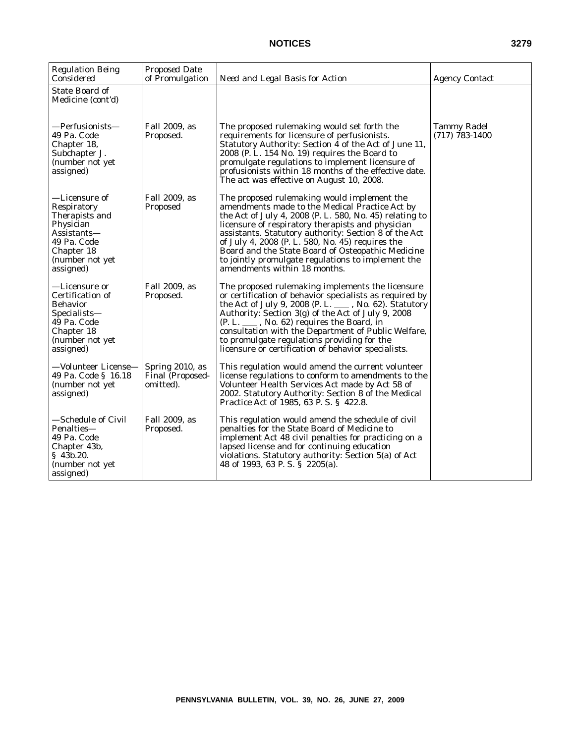| <b>Regulation Being</b><br>Considered                                                                                                   | <b>Proposed Date</b><br>of Promulgation          | Need and Legal Basis for Action                                                                                                                                                                                                                                                                                                                                                                                                                                       | <b>Agency Contact</b>                  |
|-----------------------------------------------------------------------------------------------------------------------------------------|--------------------------------------------------|-----------------------------------------------------------------------------------------------------------------------------------------------------------------------------------------------------------------------------------------------------------------------------------------------------------------------------------------------------------------------------------------------------------------------------------------------------------------------|----------------------------------------|
| <b>State Board of</b><br>Medicine (cont'd)                                                                                              |                                                  |                                                                                                                                                                                                                                                                                                                                                                                                                                                                       |                                        |
| —Perfusionists—<br>49 Pa. Code<br>Chapter 18,<br>Subchapter J.<br>(number not yet<br>assigned)                                          | Fall 2009, as<br>Proposed.                       | The proposed rulemaking would set forth the<br>requirements for licensure of perfusionists.<br>Statutory Authority: Section 4 of the Act of June 11,<br>2008 (P. L. 154 No. 19) requires the Board to<br>promulgate regulations to implement licensure of<br>profusionists within 18 months of the effective date.<br>The act was effective on August 10, 2008.                                                                                                       | <b>Tammy Radel</b><br>$(717)$ 783-1400 |
| —Licensure of<br>Respiratory<br>Therapists and<br>Physician<br>Assistants—<br>49 Pa. Code<br>Chapter 18<br>(number not yet<br>assigned) | Fall 2009, as<br>Proposed                        | The proposed rulemaking would implement the<br>amendments made to the Medical Practice Act by<br>the Act of July 4, 2008 (P. L. 580, No. 45) relating to<br>licensure of respiratory therapists and physician<br>assistants. Statutory authority: Section 8 of the Act<br>of July 4, 2008 (P. L. 580, No. 45) requires the<br>Board and the State Board of Osteopathic Medicine<br>to jointly promulgate regulations to implement the<br>amendments within 18 months. |                                        |
| —Licensure or<br>Certification of<br><b>Behavior</b><br>Specialists—<br>49 Pa. Code<br>Chapter 18<br>(number not yet<br>assigned)       | Fall 2009, as<br>Proposed.                       | The proposed rulemaking implements the licensure<br>or certification of behavior specialists as required by<br>the Act of July 9, 2008 (P. L. ___, No. 62). Statutory<br>Authority: Section 3(g) of the Act of July 9, 2008<br>$(P. L. \_\_\_$ , No. 62) requires the Board, in<br>consultation with the Department of Public Welfare,<br>to promulgate regulations providing for the<br>licensure or certification of behavior specialists.                          |                                        |
| -Volunteer License-<br>49 Pa. Code § 16.18<br>(number not yet<br>assigned)                                                              | Spring 2010, as<br>Final (Proposed-<br>omitted). | This regulation would amend the current volunteer<br>license regulations to conform to amendments to the<br>Volunteer Health Services Act made by Act 58 of<br>2002. Statutory Authority: Section 8 of the Medical<br>Practice Act of 1985, 63 P.S. § 422.8.                                                                                                                                                                                                          |                                        |
| -Schedule of Civil<br>Penalties-<br>49 Pa. Code<br>Chapter 43b,<br>\$43b.20.<br>(number not yet<br>assigned)                            | Fall 2009, as<br>Proposed.                       | This regulation would amend the schedule of civil<br>penalties for the State Board of Medicine to<br>implement Act 48 civil penalties for practicing on a<br>lapsed license and for continuing education<br>violations. Statutory authority: Section 5(a) of Act<br>48 of 1993, 63 P.S. § 2205(a).                                                                                                                                                                    |                                        |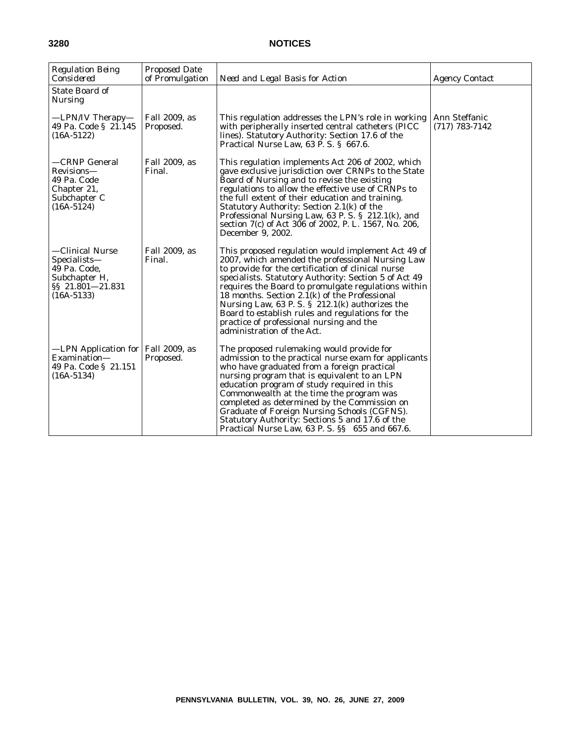| <b>Regulation Being</b><br>Considered                                                                | <b>Proposed Date</b><br>of Promulgation | Need and Legal Basis for Action                                                                                                                                                                                                                                                                                                                                                                                                                                                                                   | <b>Agency Contact</b>             |
|------------------------------------------------------------------------------------------------------|-----------------------------------------|-------------------------------------------------------------------------------------------------------------------------------------------------------------------------------------------------------------------------------------------------------------------------------------------------------------------------------------------------------------------------------------------------------------------------------------------------------------------------------------------------------------------|-----------------------------------|
| State Board of<br><b>Nursing</b>                                                                     |                                         |                                                                                                                                                                                                                                                                                                                                                                                                                                                                                                                   |                                   |
| —LPN/IV Therapy—<br>49 Pa. Code § 21.145<br>$(16A-5122)$                                             | Fall 2009, as<br>Proposed.              | This regulation addresses the LPN's role in working<br>with peripherally inserted central catheters (PICC)<br>lines). Statutory Authority: Section 17.6 of the<br>Practical Nurse Law, 63 P.S. § 667.6.                                                                                                                                                                                                                                                                                                           | Ann Steffanic<br>$(717)$ 783-7142 |
| —CRNP General<br>Revisions-<br>49 Pa. Code<br>Chapter 21,<br>Subchapter C<br>$(16A-5124)$            | Fall 2009, as<br>Final.                 | This regulation implements Act 206 of 2002, which<br>gave exclusive jurisdiction over CRNPs to the State<br>Board of Nursing and to revise the existing<br>regulations to allow the effective use of CRNPs to<br>the full extent of their education and training.<br>Statutory Authority: Section 2.1(k) of the<br>Professional Nursing Law, 63 P. S. § 212.1(k), and<br>section 7(c) of Act 306 of 2002, P. L. 1567, No. 206,<br>December 9, 2002.                                                               |                                   |
| —Clinical Nurse<br>Specialists—<br>49 Pa. Code.<br>Subchapter H,<br>§§ 21.801-21.831<br>$(16A-5133)$ | Fall 2009, as<br>Final.                 | This proposed regulation would implement Act 49 of<br>2007, which amended the professional Nursing Law<br>to provide for the certification of clinical nurse<br>specialists. Statutory Authority: Section 5 of Act 49<br>requires the Board to promulgate regulations within<br>18 months. Section 2.1(k) of the Professional<br>Nursing Law, 63 P. S. $\S$ 212.1(k) authorizes the<br>Board to establish rules and regulations for the<br>practice of professional nursing and the<br>administration of the Act. |                                   |
| -LPN Application for   Fall 2009, as<br>Examination-<br>49 Pa. Code § 21.151<br>$(16A-5134)$         | Proposed.                               | The proposed rulemaking would provide for<br>admission to the practical nurse exam for applicants<br>who have graduated from a foreign practical<br>nursing program that is equivalent to an LPN<br>education program of study required in this<br>Commonwealth at the time the program was<br>completed as determined by the Commission on<br>Graduate of Foreign Nursing Schools (CGFNS).<br>Statutory Authority: Sections 5 and 17.6 of the<br>Practical Nurse Law, 63 P. S. §§ 655 and 667.6.                 |                                   |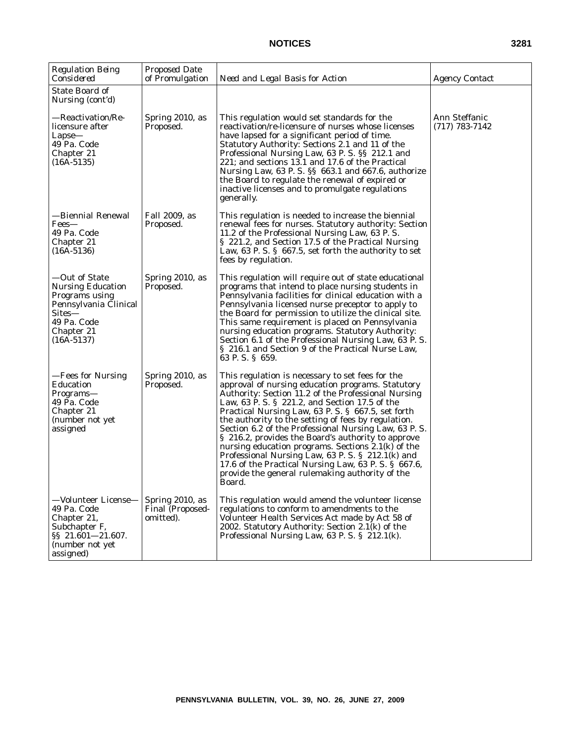| <b>Regulation Being</b><br>Considered                                                                                                       | Proposed Date<br>of Promulgation                 | Need and Legal Basis for Action                                                                                                                                                                                                                                                                                                                                                                                                                                                                                                                                                                                                                                           | <b>Agency Contact</b>             |
|---------------------------------------------------------------------------------------------------------------------------------------------|--------------------------------------------------|---------------------------------------------------------------------------------------------------------------------------------------------------------------------------------------------------------------------------------------------------------------------------------------------------------------------------------------------------------------------------------------------------------------------------------------------------------------------------------------------------------------------------------------------------------------------------------------------------------------------------------------------------------------------------|-----------------------------------|
| State Board of<br>Nursing (cont'd)                                                                                                          |                                                  |                                                                                                                                                                                                                                                                                                                                                                                                                                                                                                                                                                                                                                                                           |                                   |
| —Reactivation/Re-<br>licensure after<br>$Lapse-$<br>49 Pa. Code<br>Chapter 21<br>$(16A-5135)$                                               | Spring 2010, as<br>Proposed.                     | This regulation would set standards for the<br>reactivation/re-licensure of nurses whose licenses<br>have lapsed for a significant period of time.<br>Statutory Authority: Sections 2.1 and 11 of the<br>Professional Nursing Law, 63 P. S. §§ 212.1 and<br>221; and sections 13.1 and 17.6 of the Practical<br>Nursing Law, 63 P. S. §§ 663.1 and 667.6, authorize<br>the Board to regulate the renewal of expired or<br>inactive licenses and to promulgate regulations<br>generally.                                                                                                                                                                                   | Ann Steffanic<br>$(717)$ 783-7142 |
| -Biennial Renewal<br>Fees—<br>49 Pa. Code<br>Chapter 21<br>$(16A-5136)$                                                                     | Fall 2009, as<br>Proposed.                       | This regulation is needed to increase the biennial<br>renewal fees for nurses. Statutory authority: Section<br>11.2 of the Professional Nursing Law, 63 P.S.<br>§ 221.2, and Section 17.5 of the Practical Nursing<br>Law, 63 P.S. § 667.5, set forth the authority to set<br>fees by regulation.                                                                                                                                                                                                                                                                                                                                                                         |                                   |
| -Out of State<br><b>Nursing Education</b><br>Programs using<br>Pennsylvania Clinical<br>Sites—<br>49 Pa. Code<br>Chapter 21<br>$(16A-5137)$ | Spring 2010, as<br>Proposed.                     | This regulation will require out of state educational<br>programs that intend to place nursing students in<br>Pennsylvania facilities for clinical education with a<br>Pennsylvania licensed nurse preceptor to apply to<br>the Board for permission to utilize the clinical site.<br>This same requirement is placed on Pennsylvania<br>nursing education programs. Statutory Authority:<br>Section 6.1 of the Professional Nursing Law, 63 P.S.<br>§ 216.1 and Section 9 of the Practical Nurse Law,<br>63 P.S. § 659.                                                                                                                                                  |                                   |
| -Fees for Nursing<br>Education<br>Programs—<br>49 Pa. Code<br>Chapter 21<br>(number not yet<br>assigned                                     | Spring 2010, as<br>Proposed.                     | This regulation is necessary to set fees for the<br>approval of nursing education programs. Statutory<br>Authority: Section 11.2 of the Professional Nursing<br>Law, 63 P. S. § 221.2, and Section 17.5 of the<br>Practical Nursing Law, 63 P.S. § 667.5, set forth<br>the authority to the setting of fees by regulation.<br>Section 6.2 of the Professional Nursing Law, 63 P.S.<br>§ 216.2, provides the Board's authority to approve<br>nursing education programs. Sections $2.1(k)$ of the<br>Professional Nursing Law, 63 P. S. § 212.1(k) and<br>17.6 of the Practical Nursing Law, 63 P.S. § 667.6,<br>provide the general rulemaking authority of the<br>Board. |                                   |
| -Volunteer License-<br>49 Pa. Code<br>Chapter 21,<br>Subchapter F,<br>§§ 21.601-21.607.<br>(number not yet<br>assigned)                     | Spring 2010, as<br>Final (Proposed-<br>omitted). | This regulation would amend the volunteer license<br>regulations to conform to amendments to the<br>Volunteer Health Services Act made by Act 58 of<br>2002. Statutory Authority: Section 2.1(k) of the<br>Professional Nursing Law, 63 P. S. § 212.1(k).                                                                                                                                                                                                                                                                                                                                                                                                                 |                                   |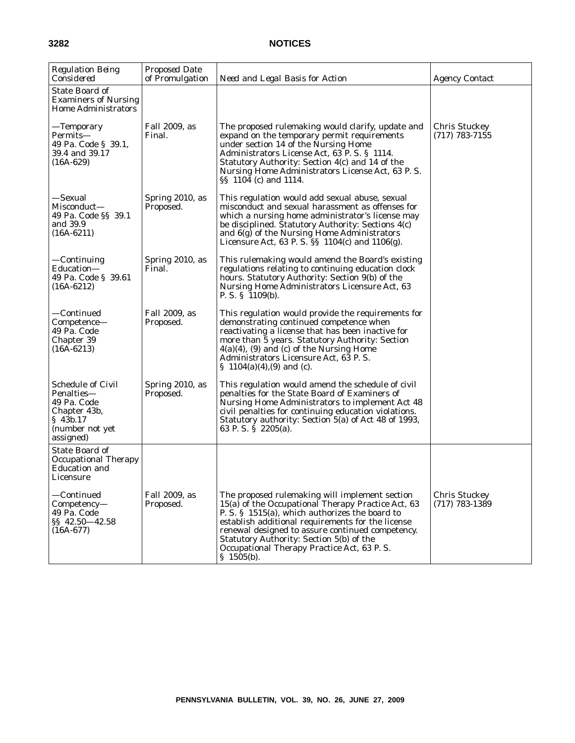| <b>Regulation Being</b><br>Considered                                                                             | <b>Proposed Date</b><br>of Promulgation | Need and Legal Basis for Action                                                                                                                                                                                                                                                                                                                                         | <b>Agency Contact</b>                    |
|-------------------------------------------------------------------------------------------------------------------|-----------------------------------------|-------------------------------------------------------------------------------------------------------------------------------------------------------------------------------------------------------------------------------------------------------------------------------------------------------------------------------------------------------------------------|------------------------------------------|
| State Board of<br><b>Examiners of Nursing</b><br><b>Home Administrators</b>                                       |                                         |                                                                                                                                                                                                                                                                                                                                                                         |                                          |
| —Temporary<br>Permits—<br>49 Pa. Code § 39.1,<br>39.4 and 39.17<br>$(16A-629)$                                    | Fall 2009, as<br>Final.                 | The proposed rulemaking would clarify, update and<br>expand on the temporary permit requirements<br>under section 14 of the Nursing Home<br>Administrators License Act, 63 P.S. § 1114.<br>Statutory Authority: Section 4(c) and 14 of the<br>Nursing Home Administrators License Act, 63 P.S.<br>SS 1104 (c) and 1114.                                                 | <b>Chris Stuckey</b><br>$(717)$ 783-7155 |
| —Sexual<br>Misconduct—<br>49 Pa. Code §§ 39.1<br>and 39.9<br>$(16A-6211)$                                         | Spring 2010, as<br>Proposed.            | This regulation would add sexual abuse, sexual<br>misconduct and sexual harassment as offenses for<br>which a nursing home administrator's license may<br>be disciplined. Statutory Authority: Sections 4(c)<br>and 6(g) of the Nursing Home Administrators<br>Licensure Act, 63 P. S. §§ 1104(c) and 1106(g).                                                          |                                          |
| $-$ Continuing<br>Education—<br>49 Pa. Code § 39.61<br>$(16A-6212)$                                               | Spring 2010, as<br>Final.               | This rulemaking would amend the Board's existing<br>regulations relating to continuing education clock<br>hours. Statutory Authority: Section 9(b) of the<br>Nursing Home Administrators Licensure Act, 63<br>P. S. $\S$ 1109(b).                                                                                                                                       |                                          |
| -Continued<br>Competence-<br>49 Pa. Code<br>Chapter 39<br>$(16A-6213)$                                            | Fall 2009, as<br>Proposed.              | This regulation would provide the requirements for<br>demonstrating continued competence when<br>reactivating a license that has been inactive for<br>more than 5 years. Statutory Authority: Section<br>$4(a)(4)$ , (9) and (c) of the Nursing Home<br>Administrators Licensure Act, 63 P.S.<br>§ $1104(a)(4)$ , (9) and (c).                                          |                                          |
| <b>Schedule of Civil</b><br>Penalties—<br>49 Pa. Code<br>Chapter 43b,<br>\$43b.17<br>(number not yet<br>assigned) | Spring 2010, as<br>Proposed.            | This regulation would amend the schedule of civil<br>penalties for the State Board of Examiners of<br>Nursing Home Administrators to implement Act 48<br>civil penalties for continuing education violations.<br>Statutory authority: Section 5(a) of Act 48 of 1993,<br>63 P.S. § 2205(a).                                                                             |                                          |
| State Board of<br><b>Occupational Therapy</b><br><b>Education and</b><br>Licensure                                |                                         |                                                                                                                                                                                                                                                                                                                                                                         |                                          |
| —Continued<br>Competency-<br>49 Pa. Code<br>§§ 42.50-42.58<br>$(16A-677)$                                         | Fall 2009, as<br>Proposed.              | The proposed rulemaking will implement section<br>15(a) of the Occupational Therapy Practice Act, 63<br>P. S. § 1515(a), which authorizes the board to<br>establish additional requirements for the license<br>renewal designed to assure continued competency.<br>Statutory Authority: Section 5(b) of the<br>Occupational Therapy Practice Act, 63 P.S.<br>\$1505(b). | <b>Chris Stuckey</b><br>$(717)$ 783-1389 |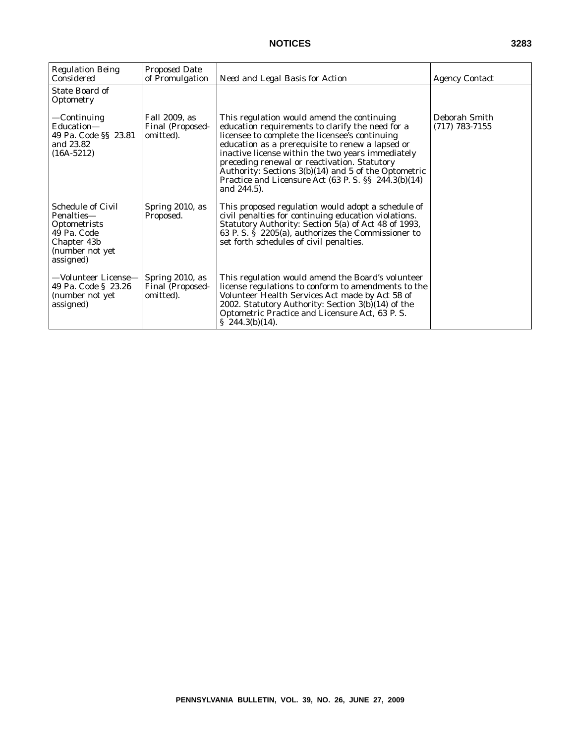| <b>Regulation Being</b><br>Considered                                                                                | <b>Proposed Date</b><br>of Promulgation                 | Need and Legal Basis for Action                                                                                                                                                                                                                                                                                                                                                                                                                                           | <b>Agency Contact</b>             |
|----------------------------------------------------------------------------------------------------------------------|---------------------------------------------------------|---------------------------------------------------------------------------------------------------------------------------------------------------------------------------------------------------------------------------------------------------------------------------------------------------------------------------------------------------------------------------------------------------------------------------------------------------------------------------|-----------------------------------|
| State Board of<br>Optometry                                                                                          |                                                         |                                                                                                                                                                                                                                                                                                                                                                                                                                                                           |                                   |
| —Continuing<br>Education-<br>49 Pa. Code §§ 23.81<br>and 23.82<br>$(16A-5212)$                                       | Fall 2009, as<br>Final (Proposed-<br>omitted).          | This regulation would amend the continuing<br>education requirements to clarify the need for a<br>licensee to complete the licensee's continuing<br>education as a prerequisite to renew a lapsed or<br>inactive license within the two years immediately<br>preceding renewal or reactivation. Statutory<br>Authority: Sections 3(b)(14) and 5 of the Optometric<br>Practice and Licensure Act $(63 \text{ P. S.} \text{S} \text{S} \text{244.3(b)}(14))$<br>and 244.5). | Deborah Smith<br>$(717)$ 783-7155 |
| <b>Schedule of Civil</b><br>Penalties-<br>Optometrists<br>49 Pa. Code<br>Chapter 43b<br>(number not yet<br>assigned) | Spring 2010, as<br>Proposed.                            | This proposed regulation would adopt a schedule of<br>civil penalties for continuing education violations.<br>Statutory Authority: Section 5(a) of Act 48 of 1993,<br>63 P. S. $\dot{S}$ 2205(a), authorizes the Commissioner to<br>set forth schedules of civil penalties.                                                                                                                                                                                               |                                   |
| —Volunteer License—<br>49 Pa. Code § 23.26<br>(number not yet<br>assigned)                                           | Spring 2010, as<br><b>Final (Proposed-</b><br>omitted). | This regulation would amend the Board's volunteer<br>license regulations to conform to amendments to the<br>Volunteer Health Services Act made by Act 58 of<br>2002. Statutory Authority: Section 3(b)(14) of the<br>Optometric Practice and Licensure Act, 63 P.S.<br>$\S$ 244.3(b)(14).                                                                                                                                                                                 |                                   |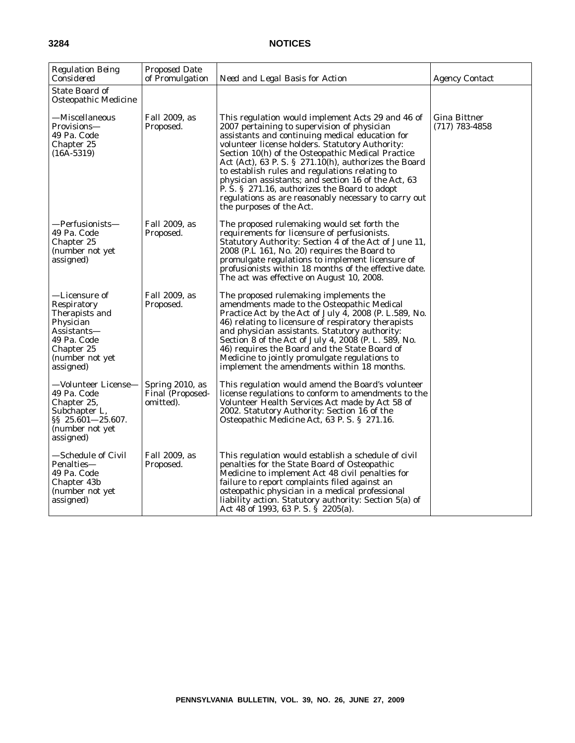| <b>Regulation Being</b><br>Considered                                                                                                   | Proposed Date<br>of Promulgation                 | Need and Legal Basis for Action                                                                                                                                                                                                                                                                                                                                                                                                                                                                                                                                       | <b>Agency Contact</b>                     |
|-----------------------------------------------------------------------------------------------------------------------------------------|--------------------------------------------------|-----------------------------------------------------------------------------------------------------------------------------------------------------------------------------------------------------------------------------------------------------------------------------------------------------------------------------------------------------------------------------------------------------------------------------------------------------------------------------------------------------------------------------------------------------------------------|-------------------------------------------|
| <b>State Board of</b><br>Osteopathic Medicine                                                                                           |                                                  |                                                                                                                                                                                                                                                                                                                                                                                                                                                                                                                                                                       |                                           |
| —Miscellaneous<br>Provisions-<br>49 Pa. Code<br>Chapter 25<br>$(16A-5319)$                                                              | Fall 2009, as<br>Proposed.                       | This regulation would implement Acts 29 and 46 of<br>2007 pertaining to supervision of physician<br>assistants and continuing medical education for<br>volunteer license holders. Statutory Authority:<br>Section 10(h) of the Osteopathic Medical Practice<br>Act (Act), 63 P. S. § $271.10(h)$ , authorizes the Board<br>to establish rules and regulations relating to<br>physician assistants; and section 16 of the Act, 63<br>P. S. § 271.16, authorizes the Board to adopt<br>regulations as are reasonably necessary to carry out<br>the purposes of the Act. | <b>Gina Bittner</b><br>$(717) 783 - 4858$ |
| —Perfusionists—<br>49 Pa. Code<br>Chapter 25<br>(number not yet<br>assigned)                                                            | Fall 2009, as<br>Proposed.                       | The proposed rulemaking would set forth the<br>requirements for licensure of perfusionists.<br>Statutory Authority: Section 4 of the Act of June 11,<br>2008 (P.L 161, No. 20) requires the Board to<br>promulgate regulations to implement licensure of<br>profusionists within 18 months of the effective date.<br>The act was effective on August 10, 2008.                                                                                                                                                                                                        |                                           |
| —Licensure of<br>Respiratory<br>Therapists and<br>Physician<br>Assistants—<br>49 Pa. Code<br>Chapter 25<br>(number not yet<br>assigned) | Fall 2009, as<br>Proposed.                       | The proposed rulemaking implements the<br>amendments made to the Osteopathic Medical<br>Practice Act by the Act of July 4, 2008 (P. L.589, No.<br>46) relating to licensure of respiratory therapists<br>and physician assistants. Statutory authority:<br>Section 8 of the Act of July 4, 2008 (P. L. 589, No.<br>46) requires the Board and the State Board of<br>Medicine to jointly promulgate regulations to<br>implement the amendments within 18 months.                                                                                                       |                                           |
| —Volunteer License—<br>49 Pa. Code<br>Chapter 25,<br>Subchapter L,<br>§§ 25.601-25.607.<br>(number not yet<br>assigned)                 | Spring 2010, as<br>Final (Proposed-<br>omitted). | This regulation would amend the Board's volunteer<br>license regulations to conform to amendments to the<br>Volunteer Health Services Act made by Act 58 of<br>2002. Statutory Authority: Section 16 of the<br>Osteopathic Medicine Act, 63 P.S. § 271.16.                                                                                                                                                                                                                                                                                                            |                                           |
| —Schedule of Civil<br>Penalties-<br>49 Pa. Code<br>Chapter 43b<br>(number not yet<br>assigned)                                          | Fall 2009, as<br>Proposed.                       | This regulation would establish a schedule of civil<br>penalties for the State Board of Osteopathic<br>Medicine to implement Act 48 civil penalties for<br>failure to report complaints filed against an<br>osteopathic physician in a medical professional<br>liability action. Statutory authority: Section 5(a) of<br>Act 48 of 1993, 63 P. S. $\hat{S}$ 2205(a).                                                                                                                                                                                                  |                                           |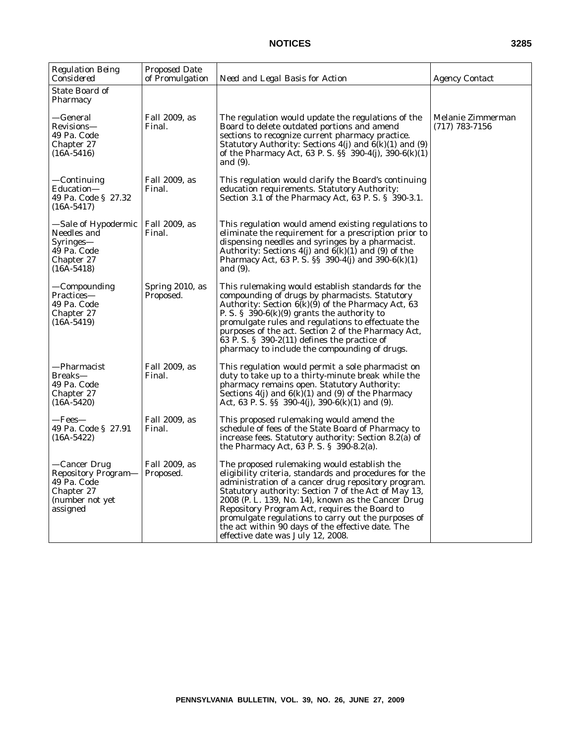| <b>Regulation Being</b><br>Considered                                                                   | Proposed Date<br>of Promulgation | Need and Legal Basis for Action                                                                                                                                                                                                                                                                                                                                                                                                                                              | <b>Agency Contact</b>                 |
|---------------------------------------------------------------------------------------------------------|----------------------------------|------------------------------------------------------------------------------------------------------------------------------------------------------------------------------------------------------------------------------------------------------------------------------------------------------------------------------------------------------------------------------------------------------------------------------------------------------------------------------|---------------------------------------|
| State Board of<br>Pharmacy                                                                              |                                  |                                                                                                                                                                                                                                                                                                                                                                                                                                                                              |                                       |
| —General<br>Revisions-<br>49 Pa. Code<br>Chapter 27<br>$(16A-5416)$                                     | Fall 2009, as<br>Final.          | The regulation would update the regulations of the<br>Board to delete outdated portions and amend<br>sections to recognize current pharmacy practice.<br>Statutory Authority: Sections $4(j)$ and $6(k)(1)$ and $(9)$<br>of the Pharmacy Act, 63 P. S. §§ 390-4(j), 390-6(k)(1)<br>and (9).                                                                                                                                                                                  | Melanie Zimmerman<br>$(717)$ 783-7156 |
| —Continuing<br>Education—<br>49 Pa. Code § 27.32<br>$(16A-5417)$                                        | Fall 2009, as<br>Final.          | This regulation would clarify the Board's continuing<br>education requirements. Statutory Authority:<br>Section 3.1 of the Pharmacy Act, 63 P.S. § 390-3.1.                                                                                                                                                                                                                                                                                                                  |                                       |
| —Sale of Hypodermic<br>Needles and<br>Syringes—<br>49 Pa. Code<br>Chapter 27<br>$(16A-5418)$            | Fall 2009, as<br>Final.          | This regulation would amend existing regulations to<br>eliminate the requirement for a prescription prior to<br>dispensing needles and syringes by a pharmacist.<br>Authority: Sections $4(j)$ and $6(k)(1)$ and (9) of the<br>Pharmacy Act, 63 P. S. $\S$ 390-4(j) and 390-6(k)(1)<br>and (9).                                                                                                                                                                              |                                       |
| —Compounding<br>Practices-<br>49 Pa. Code<br>Chapter 27<br>$(16A-5419)$                                 | Spring 2010, as<br>Proposed.     | This rulemaking would establish standards for the<br>compounding of drugs by pharmacists. Statutory<br>Authority: Section $6(k)(9)$ of the Pharmacy Act, 63<br>P. S. $\S$ 390-6(k)(9) grants the authority to<br>promulgate rules and regulations to effectuate the<br>purposes of the act. Section 2 of the Pharmacy Act,<br>63 P.S. $\S$ 390-2(11) defines the practice of<br>pharmacy to include the compounding of drugs.                                                |                                       |
| —Pharmacist<br>Breaks—<br>49 Pa. Code<br>Chapter 27<br>$(16A-5420)$                                     | Fall 2009, as<br>Final.          | This regulation would permit a sole pharmacist on<br>duty to take up to a thirty-minute break while the<br>pharmacy remains open. Statutory Authority:<br>Sections $4(j)$ and $6(k)(1)$ and $(9)$ of the Pharmacy<br>Act, 63 P. S. §§ 390-4(j), 390-6(k)(1) and (9).                                                                                                                                                                                                         |                                       |
| —Fees—<br>49 Pa. Code § 27.91<br>$(16A-5422)$                                                           | Fall 2009, as<br>Final.          | This proposed rulemaking would amend the<br>schedule of fees of the State Board of Pharmacy to<br>increase fees. Statutory authority: Section 8.2(a) of<br>the Pharmacy Act, 63 P. S. $\S$ 390-8.2(a).                                                                                                                                                                                                                                                                       |                                       |
| —Cancer Drug<br><b>Repository Program-</b><br>49 Pa. Code<br>Chapter 27<br>(number not yet)<br>assigned | Fall 2009, as<br>Proposed.       | The proposed rulemaking would establish the<br>eligibility criteria, standards and procedures for the<br>administration of a cancer drug repository program.<br>Statutory authority: Section 7 of the Act of May 13,<br>2008 (P. L. 139, No. 14), known as the Cancer Drug<br>Repository Program Act, requires the Board to<br>promulgate regulations to carry out the purposes of<br>the act within 90 days of the effective date. The<br>effective date was July 12, 2008. |                                       |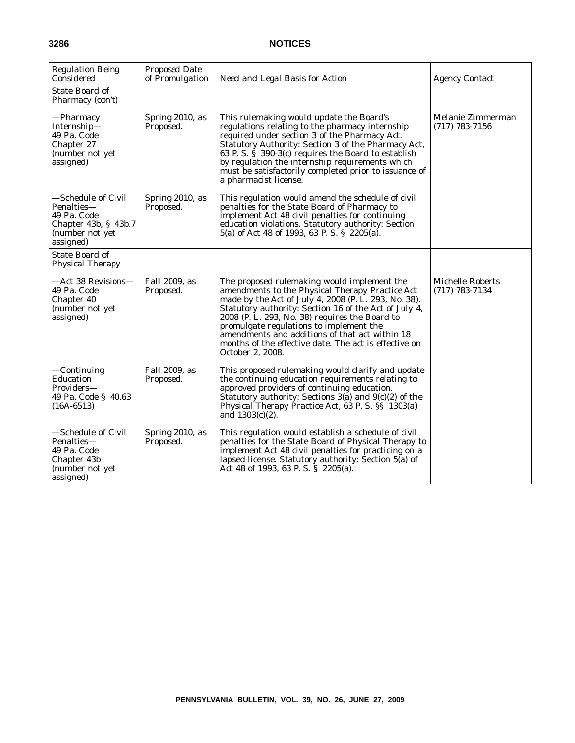| <b>Regulation Being</b><br>Considered                                                                            | <b>Proposed Date</b><br>of Promulgation | Need and Legal Basis for Action                                                                                                                                                                                                                                                                                                                                                                                                             | <b>Agency Contact</b>                         |
|------------------------------------------------------------------------------------------------------------------|-----------------------------------------|---------------------------------------------------------------------------------------------------------------------------------------------------------------------------------------------------------------------------------------------------------------------------------------------------------------------------------------------------------------------------------------------------------------------------------------------|-----------------------------------------------|
| <b>State Board of</b><br>Pharmacy (con't)                                                                        |                                         |                                                                                                                                                                                                                                                                                                                                                                                                                                             |                                               |
| —Pharmacy<br>Internship-<br>49 Pa. Code<br>Chapter 27<br>(number not yet<br>assigned)                            | Spring 2010, as<br>Proposed.            | This rulemaking would update the Board's<br>regulations relating to the pharmacy internship<br>required under section 3 of the Pharmacy Act.<br>Statutory Authority: Section 3 of the Pharmacy Act,<br>63 P.S. § 390-3(c) requires the Board to establish<br>by regulation the internship requirements which<br>must be satisfactorily completed prior to issuance of<br>a pharmacist license.                                              | Melanie Zimmerman<br>$(717)$ 783-7156         |
| —Schedule of Civil<br>Penalties-<br>49 Pa. Code<br>Chapter $43b, \, \xi$ $43b.7$<br>(number not yet<br>assigned) | Spring 2010, as<br>Proposed.            | This regulation would amend the schedule of civil<br>penalties for the State Board of Pharmacy to<br>implement Act 48 civil penalties for continuing<br>education violations. Statutory authority: Section<br>5(a) of Act 48 of 1993, 63 P.S. § 2205(a).                                                                                                                                                                                    |                                               |
| <b>State Board of</b><br><b>Physical Therapy</b>                                                                 |                                         |                                                                                                                                                                                                                                                                                                                                                                                                                                             |                                               |
| —Act 38 Revisions—<br>49 Pa. Code<br>Chapter 40<br>(number not yet<br>assigned)                                  | Fall 2009, as<br>Proposed.              | The proposed rulemaking would implement the<br>amendments to the Physical Therapy Practice Act<br>made by the Act of July 4, 2008 (P. L. 293, No. 38).<br>Statutory authority: Section 16 of the Act of July 4,<br>2008 (P. L. 293, No. 38) requires the Board to<br>promulgate regulations to implement the<br>amendments and additions of that act within 18<br>months of the effective date. The act is effective on<br>October 2, 2008. | <b>Michelle Roberts</b><br>$(717) 783 - 7134$ |
| -Continuing<br>Education<br>Providers—<br>49 Pa. Code § 40.63<br>$(16A-6513)$                                    | Fall 2009, as<br>Proposed.              | This proposed rulemaking would clarify and update<br>the continuing education requirements relating to<br>approved providers of continuing education.<br>Statutory authority: Sections $3(a)$ and $9(c)(2)$ of the<br>Physical Therapy Practice Act, 63 P. S. §§ 1303(a)<br>and $1303(c)(2)$ .                                                                                                                                              |                                               |
| —Schedule of Civil<br>Penalties-<br>49 Pa. Code<br>Chapter 43b<br>(number not yet<br>assigned)                   | Spring 2010, as<br>Proposed.            | This regulation would establish a schedule of civil<br>penalties for the State Board of Physical Therapy to<br>implement Act 48 civil penalties for practicing on a<br>lapsed license. Statutory authority: Section 5(a) of<br>Act 48 of 1993, 63 P.S. § 2205(a).                                                                                                                                                                           |                                               |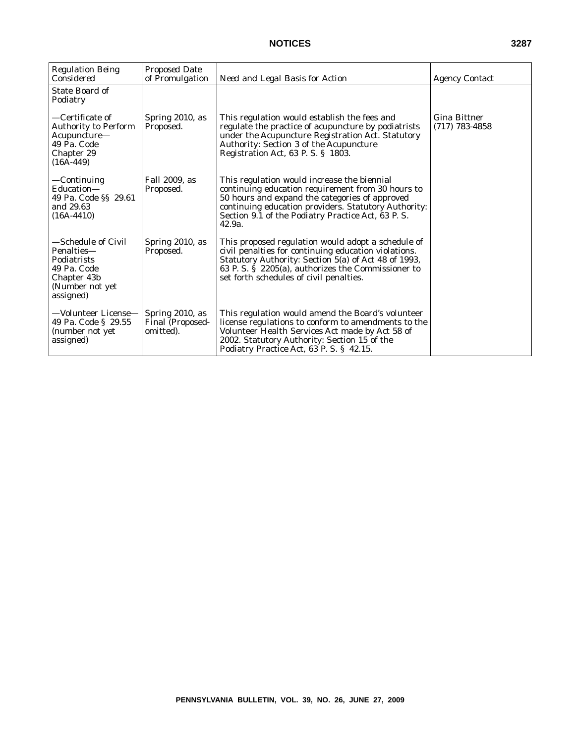| <b>Regulation Being</b><br>Considered                                                                         | <b>Proposed Date</b><br>of Promulgation                 | Need and Legal Basis for Action                                                                                                                                                                                                                                             | <b>Agency Contact</b>                   |
|---------------------------------------------------------------------------------------------------------------|---------------------------------------------------------|-----------------------------------------------------------------------------------------------------------------------------------------------------------------------------------------------------------------------------------------------------------------------------|-----------------------------------------|
| <b>State Board of</b><br>Podiatry                                                                             |                                                         |                                                                                                                                                                                                                                                                             |                                         |
| -Certificate of<br><b>Authority to Perform</b><br>Acupuncture-<br>49 Pa. Code<br>Chapter 29<br>$(16A-449)$    | Spring 2010, as<br>Proposed.                            | This regulation would establish the fees and<br>regulate the practice of acupuncture by podiatrists<br>under the Acupuncture Registration Act. Statutory<br><b>Authority: Section 3 of the Acupuncture</b><br>Registration Act, 63 P.S. § 1803.                             | <b>Gina Bittner</b><br>$(717)$ 783-4858 |
| —Continuing<br>Education-<br>49 Pa. Code §§ 29.61<br>and 29.63<br>$(16A-4410)$                                | Fall 2009, as<br>Proposed.                              | This regulation would increase the biennial<br>continuing education requirement from 30 hours to<br>50 hours and expand the categories of approved<br>continuing education providers. Statutory Authority:<br>Section 9.1 of the Podiatry Practice Act, 63 P.S.<br>42.9a.   |                                         |
| —Schedule of Civil<br>Penalties-<br>Podiatrists<br>49 Pa. Code<br>Chapter 43b<br>(Number not yet<br>assigned) | Spring 2010, as<br>Proposed.                            | This proposed regulation would adopt a schedule of<br>civil penalties for continuing education violations.<br>Statutory Authority: Section 5(a) of Act 48 of 1993,<br>63 P. S. $\dot{S}$ 2205(a), authorizes the Commissioner to<br>set forth schedules of civil penalties. |                                         |
| —Volunteer License—<br>49 Pa. Code § 29.55<br>(number not yet<br>assigned)                                    | Spring 2010, as<br><b>Final (Proposed-</b><br>omitted). | This regulation would amend the Board's volunteer<br>license regulations to conform to amendments to the<br>Volunteer Health Services Act made by Act 58 of<br>2002. Statutory Authority: Section 15 of the<br>Podiatry Practice Act, 63 P.S. § 42.15.                      |                                         |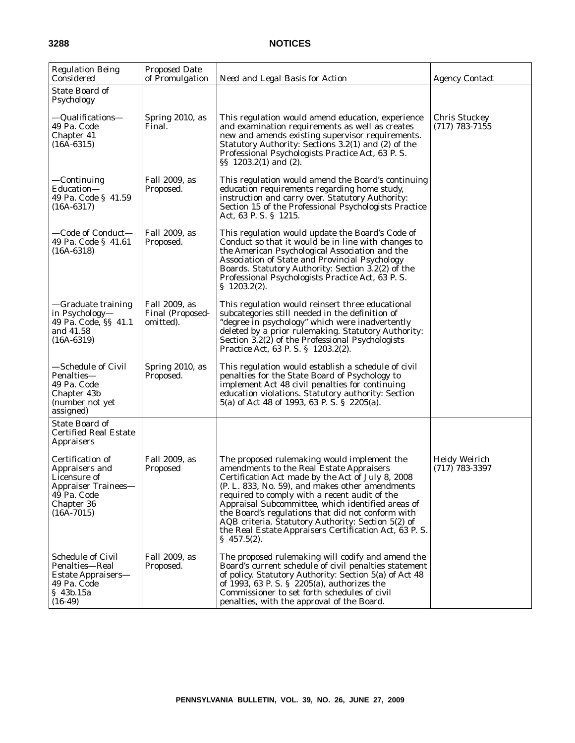| <b>Regulation Being</b><br>Considered                                                                                  | <b>Proposed Date</b><br>of Promulgation        | Need and Legal Basis for Action                                                                                                                                                                                                                                                                                                                                                                                                                                                             | <i>Agency Contact</i>                    |
|------------------------------------------------------------------------------------------------------------------------|------------------------------------------------|---------------------------------------------------------------------------------------------------------------------------------------------------------------------------------------------------------------------------------------------------------------------------------------------------------------------------------------------------------------------------------------------------------------------------------------------------------------------------------------------|------------------------------------------|
| <b>State Board of</b><br>Psychology                                                                                    |                                                |                                                                                                                                                                                                                                                                                                                                                                                                                                                                                             |                                          |
| —Qualifications—<br>49 Pa. Code<br>Chapter 41<br>$(16A-6315)$                                                          | Spring 2010, as<br>Final.                      | This regulation would amend education, experience<br>and examination requirements as well as creates<br>new and amends existing supervisor requirements.<br>Statutory Authority: Sections 3.2(1) and (2) of the<br>Professional Psychologists Practice Act, 63 P.S.<br>$\S$ 1203.2(1) and (2).                                                                                                                                                                                              | <b>Chris Stuckey</b><br>$(717)$ 783-7155 |
| —Continuing<br>Education-<br>49 Pa. Code § 41.59<br>$(16A-6317)$                                                       | Fall 2009, as<br>Proposed.                     | This regulation would amend the Board's continuing<br>education requirements regarding home study,<br>instruction and carry over. Statutory Authority:<br>Section 15 of the Professional Psychologists Practice<br>Act, 63 P.S. $\S$ 1215.                                                                                                                                                                                                                                                  |                                          |
| —Code of Conduct—<br>49 Pa. Code § 41.61<br>$(16A-6318)$                                                               | Fall 2009, as<br>Proposed.                     | This regulation would update the Board's Code of<br>Conduct so that it would be in line with changes to<br>the American Psychological Association and the<br>Association of State and Provincial Psychology<br>Boards. Statutory Authority: Section 3.2(2) of the<br>Professional Psychologists Practice Act, 63 P.S.<br>$\S$ 1203.2(2).                                                                                                                                                    |                                          |
| —Graduate training<br>in Psychology—<br>49 Pa. Code, §§ 41.1<br>and 41.58<br>$(16A-6319)$                              | Fall 2009, as<br>Final (Proposed-<br>omitted). | This regulation would reinsert three educational<br>subcategories still needed in the definition of<br>"degree in psychology" which were inadvertently<br>deleted by a prior rulemaking. Statutory Authority:<br>Section 3.2(2) of the Professional Psychologists<br>Practice Act, 63 P. S. § 1203.2(2).                                                                                                                                                                                    |                                          |
| —Schedule of Civil<br>Penalties—<br>49 Pa. Code<br>Chapter 43b<br>(number not yet<br>assigned)                         | Spring 2010, as<br>Proposed.                   | This regulation would establish a schedule of civil<br>penalties for the State Board of Psychology to<br>implement Act 48 civil penalties for continuing<br>education violations. Statutory authority: Section<br>5(a) of Act 48 of 1993, 63 P.S. § 2205(a).                                                                                                                                                                                                                                |                                          |
| <b>State Board of</b><br><b>Certified Real Estate</b><br><b>Appraisers</b>                                             |                                                |                                                                                                                                                                                                                                                                                                                                                                                                                                                                                             |                                          |
| Certification of<br>Appraisers and<br>Licensure of<br>Appraiser Trainees-<br>49 Pa. Code<br>Chapter 36<br>$(16A-7015)$ | Fall 2009, as<br>Proposed                      | The proposed rulemaking would implement the<br>amendments to the Real Estate Appraisers<br>Certification Act made by the Act of July 8, 2008<br>(P. L. 833, No. 59), and makes other amendments<br>required to comply with a recent audit of the<br>Appraisal Subcommittee, which identified areas of<br>the Board's regulations that did not conform with<br>AQB criteria. Statutory Authority: Section 5(2) of<br>the Real Estate Appraisers Certification Act, 63 P.S.<br>$\S$ 457.5(2). | <b>Heidy Weirich</b><br>$(717)$ 783-3397 |
| <b>Schedule of Civil</b><br>Penalties-Real<br>Estate Appraisers—<br>49 Pa. Code<br>§ 43b.15a<br>$(16-49)$              | Fall 2009, as<br>Proposed.                     | The proposed rulemaking will codify and amend the<br>Board's current schedule of civil penalties statement<br>of policy. Statutory Authority: Section 5(a) of Act 48<br>of 1993, 63 P.S. § 2205(a), authorizes the<br>Commissioner to set forth schedules of civil<br>penalties, with the approval of the Board.                                                                                                                                                                            |                                          |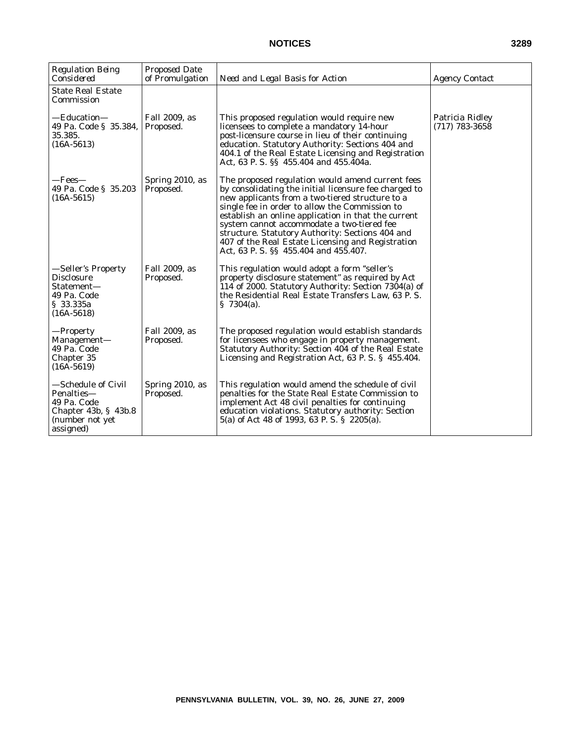| <b>Regulation Being</b><br>Considered                                                                        | <b>Proposed Date</b><br>of Promulgation | Need and Legal Basis for Action                                                                                                                                                                                                                                                                                                                                                                                                                                       | <b>Agency Contact</b>               |
|--------------------------------------------------------------------------------------------------------------|-----------------------------------------|-----------------------------------------------------------------------------------------------------------------------------------------------------------------------------------------------------------------------------------------------------------------------------------------------------------------------------------------------------------------------------------------------------------------------------------------------------------------------|-------------------------------------|
| <b>State Real Estate</b><br>Commission                                                                       |                                         |                                                                                                                                                                                                                                                                                                                                                                                                                                                                       |                                     |
| —Education—<br>49 Pa. Code § 35.384,<br>35.385.<br>$(16A-5613)$                                              | Fall 2009, as<br>Proposed.              | This proposed regulation would require new<br>licensees to complete a mandatory 14-hour<br>post-licensure course in lieu of their continuing<br>education. Statutory Authority: Sections 404 and<br>404.1 of the Real Estate Licensing and Registration<br>Act, 63 P. S. §§ 455.404 and 455.404a.                                                                                                                                                                     | Patricia Ridley<br>$(717)$ 783-3658 |
| —Fees—<br>49 Pa. Code § 35.203<br>$(16A-5615)$                                                               | Spring 2010, as<br>Proposed.            | The proposed regulation would amend current fees<br>by consolidating the initial licensure fee charged to<br>new applicants from a two-tiered structure to a<br>single fee in order to allow the Commission to<br>establish an online application in that the current<br>system cannot accommodate a two-tiered fee<br>structure. Statutory Authority: Sections 404 and<br>407 of the Real Estate Licensing and Registration<br>Act, 63 P. S. §§ 455.404 and 455.407. |                                     |
| —Seller's Property<br>Disclosure<br>Statement-<br>49 Pa. Code<br>\$33.335a<br>$(16A-5618)$                   | Fall 2009, as<br>Proposed.              | This regulation would adopt a form "seller's<br>property disclosure statement" as required by Act<br>114 of 2000. Statutory Authority: Section 7304(a) of<br>the Residential Real Estate Transfers Law, 63 P.S.<br>\$7304(a).                                                                                                                                                                                                                                         |                                     |
| —Property<br>Management—<br>49 Pa. Code<br>Chapter 35<br>$(16A-5619)$                                        | Fall 2009, as<br>Proposed.              | The proposed regulation would establish standards<br>for licensees who engage in property management.<br>Statutory Authority: Section 404 of the Real Estate<br>Licensing and Registration Act, 63 P.S. § 455.404.                                                                                                                                                                                                                                                    |                                     |
| -Schedule of Civil<br>Penalties—<br>49 Pa. Code<br>Chapter $43b$ , § $43b.8$<br>(number not yet<br>assigned) | Spring 2010, as<br>Proposed.            | This regulation would amend the schedule of civil<br>penalties for the State Real Estate Commission to<br>implement Act 48 civil penalties for continuing<br>education violations. Statutory authority: Section<br>5(a) of Act 48 of 1993, 63 P.S. § 2205(a).                                                                                                                                                                                                         |                                     |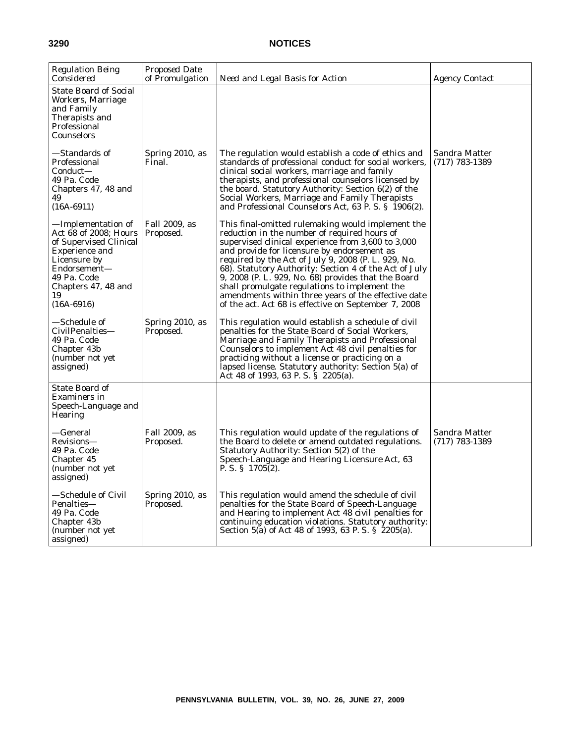| <b>Regulation Being</b><br>Considered                                                                                                                                                      | Proposed Date<br>of Promulgation | Need and Legal Basis for Action                                                                                                                                                                                                                                                                                                                                                                                                                                                                                                                | <b>Agency Contact</b>             |
|--------------------------------------------------------------------------------------------------------------------------------------------------------------------------------------------|----------------------------------|------------------------------------------------------------------------------------------------------------------------------------------------------------------------------------------------------------------------------------------------------------------------------------------------------------------------------------------------------------------------------------------------------------------------------------------------------------------------------------------------------------------------------------------------|-----------------------------------|
| <b>State Board of Social</b><br>Workers, Marriage<br>and Family<br>Therapists and<br>Professional<br>Counselors                                                                            |                                  |                                                                                                                                                                                                                                                                                                                                                                                                                                                                                                                                                |                                   |
| —Standards of<br>Professional<br>Conduct—<br>49 Pa. Code<br>Chapters 47, 48 and<br>49<br>$(16A-6911)$                                                                                      | Spring 2010, as<br>Final.        | The regulation would establish a code of ethics and<br>standards of professional conduct for social workers,<br>clinical social workers, marriage and family<br>therapists, and professional counselors licensed by<br>the board. Statutory Authority: Section 6(2) of the<br>Social Workers, Marriage and Family Therapists<br>and Professional Counselors Act, 63 P.S. § 1906(2).                                                                                                                                                            | Sandra Matter<br>$(717)$ 783-1389 |
| —Implementation of<br>Act 68 of 2008; Hours<br>of Supervised Clinical<br><b>Experience and</b><br>Licensure by<br>Endorsement-<br>49 Pa. Code<br>Chapters 47, 48 and<br>19<br>$(16A-6916)$ | Fall 2009, as<br>Proposed.       | This final-omitted rulemaking would implement the<br>reduction in the number of required hours of<br>supervised clinical experience from 3,600 to 3,000<br>and provide for licensure by endorsement as<br>required by the Act of July 9, 2008 (P. L. 929, No.<br>68). Statutory Authority: Section 4 of the Act of July<br>9, 2008 (P. L. 929, No. 68) provides that the Board<br>shall promulgate regulations to implement the<br>amendments within three years of the effective date<br>of the act. Act 68 is effective on September 7, 2008 |                                   |
| —Schedule of<br>CivilPenalties-<br>49 Pa. Code<br>Chapter 43b<br>(number not yet<br>assigned)                                                                                              | Spring 2010, as<br>Proposed.     | This regulation would establish a schedule of civil<br>penalties for the State Board of Social Workers,<br>Marriage and Family Therapists and Professional<br>Counselors to implement Act 48 civil penalties for<br>practicing without a license or practicing on a<br>lapsed license. Statutory authority: Section 5(a) of<br>Act 48 of 1993, 63 P.S. § 2205(a).                                                                                                                                                                              |                                   |
| State Board of<br>Examiners in<br>Speech-Language and<br><b>Hearing</b>                                                                                                                    |                                  |                                                                                                                                                                                                                                                                                                                                                                                                                                                                                                                                                |                                   |
| —General<br>Revisions-<br>49 Pa. Code<br>Chapter 45<br>(number not yet<br>assigned)                                                                                                        | Fall 2009, as<br>Proposed.       | This regulation would update of the regulations of<br>the Board to delete or amend outdated regulations.<br>Statutory Authority: Section 5(2) of the<br>Speech-Language and Hearing Licensure Act, 63<br>P. S. § $1705(2)$ .                                                                                                                                                                                                                                                                                                                   | Sandra Matter<br>(717) 783-1389   |
| —Schedule of Civil<br>Penalties-<br>49 Pa. Code<br>Chapter 43b<br>(number not yet)<br>assigned)                                                                                            | Spring 2010, as<br>Proposed.     | This regulation would amend the schedule of civil<br>penalties for the State Board of Speech-Language<br>and Hearing to implement Act 48 civil penalties for<br>continuing education violations. Statutory authority:<br>Section 5(a) of Act 48 of 1993, 63 P.S. § 2205(a).                                                                                                                                                                                                                                                                    |                                   |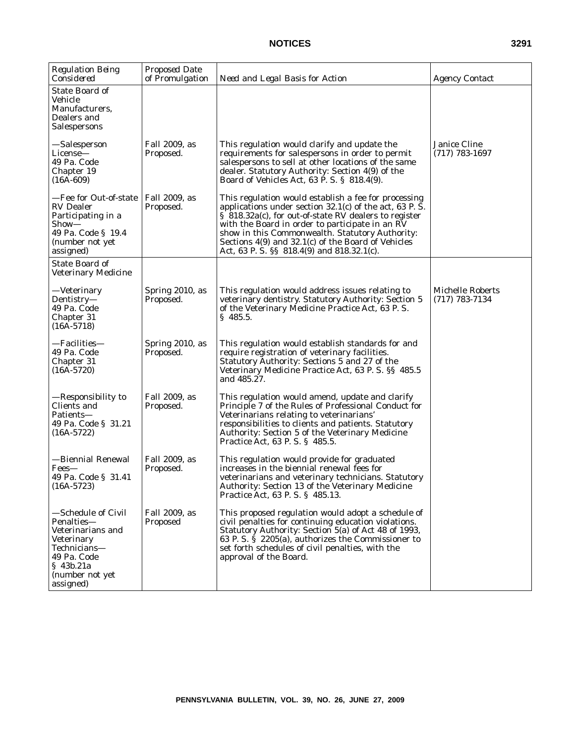| <b>Regulation Being</b><br>Considered                                                                                                           | <b>Proposed Date</b><br>of Promulgation | Need and Legal Basis for Action                                                                                                                                                                                                                                                                                                                                                     | <b>Agency Contact</b>                       |
|-------------------------------------------------------------------------------------------------------------------------------------------------|-----------------------------------------|-------------------------------------------------------------------------------------------------------------------------------------------------------------------------------------------------------------------------------------------------------------------------------------------------------------------------------------------------------------------------------------|---------------------------------------------|
| <b>State Board of</b><br>Vehicle<br>Manufacturers,<br>Dealers and<br>Salespersons                                                               |                                         |                                                                                                                                                                                                                                                                                                                                                                                     |                                             |
| —Salesperson<br>License-<br>49 Pa. Code<br>Chapter 19<br>$(16A-609)$                                                                            | Fall 2009, as<br>Proposed.              | This regulation would clarify and update the<br>requirements for salespersons in order to permit<br>salespersons to sell at other locations of the same<br>dealer. Statutory Authority: Section 4(9) of the<br>Board of Vehicles Act, 63 P. S. § 818.4(9).                                                                                                                          | Janice Cline<br>$(717)$ 783-1697            |
| -Fee for Out-of-state<br><b>RV</b> Dealer<br>Participating in a<br>Show—<br>49 Pa. Code § 19.4<br>(number not yet<br>assigned)                  | Fall 2009, as<br>Proposed.              | This regulation would establish a fee for processing<br>applications under section $32.1(c)$ of the act, 63 P.S.<br>§ 818.32a(c), for out-of-state RV dealers to register<br>with the Board in order to participate in an RV<br>show in this Commonwealth. Statutory Authority:<br>Sections 4(9) and 32.1(c) of the Board of Vehicles<br>Act, 63 P. S. §§ 818.4(9) and 818.32.1(c). |                                             |
| State Board of<br><b>Veterinary Medicine</b>                                                                                                    |                                         |                                                                                                                                                                                                                                                                                                                                                                                     |                                             |
| —Veterinary<br>Dentistry-<br>49 Pa. Code<br>Chapter 31<br>$(16A-5718)$                                                                          | Spring 2010, as<br>Proposed.            | This regulation would address issues relating to<br>veterinary dentistry. Statutory Authority: Section 5<br>of the Veterinary Medicine Practice Act, 63 P.S.<br>$\S$ 485.5.                                                                                                                                                                                                         | <b>Michelle Roberts</b><br>$(717)$ 783-7134 |
| —Facilities—<br>49 Pa. Code<br>Chapter 31<br>$(16A-5720)$                                                                                       | Spring 2010, as<br>Proposed.            | This regulation would establish standards for and<br>require registration of veterinary facilities.<br>Statutory Authority: Sections 5 and 27 of the<br>Veterinary Medicine Practice Act, 63 P.S. §§ 485.5<br>and 485.27.                                                                                                                                                           |                                             |
| —Responsibility to<br>Clients and<br>Patients—<br>49 Pa. Code § 31.21<br>$(16A-5722)$                                                           | Fall 2009, as<br>Proposed.              | This regulation would amend, update and clarify<br>Principle 7 of the Rules of Professional Conduct for<br>Veterinarians relating to veterinarians'<br>responsibilities to clients and patients. Statutory<br>Authority: Section 5 of the Veterinary Medicine<br>Practice Act, 63 P. S. § 485.5.                                                                                    |                                             |
| —Biennial Renewal<br>Fees-<br>49 Pa. Code § 31.41<br>$(16A-5723)$                                                                               | Fall 2009, as<br>Proposed.              | This regulation would provide for graduated<br>increases in the biennial renewal fees for<br>veterinarians and veterinary technicians. Statutory<br>Authority: Section 13 of the Veterinary Medicine<br>Practice Act, 63 P. S. § 485.13.                                                                                                                                            |                                             |
| -Schedule of Civil<br>Penalties-<br>Veterinarians and<br>Veterinary<br>Technicians-<br>49 Pa. Code<br>§ 43b.21a<br>(number not yet<br>assigned) | Fall 2009, as<br>Proposed               | This proposed regulation would adopt a schedule of<br>civil penalties for continuing education violations.<br>Statutory Authority: Section 5(a) of Act 48 of 1993,<br>63 P. S. $\hat{S}$ 2205(a), authorizes the Commissioner to<br>set forth schedules of civil penalties, with the<br>approval of the Board.                                                                      |                                             |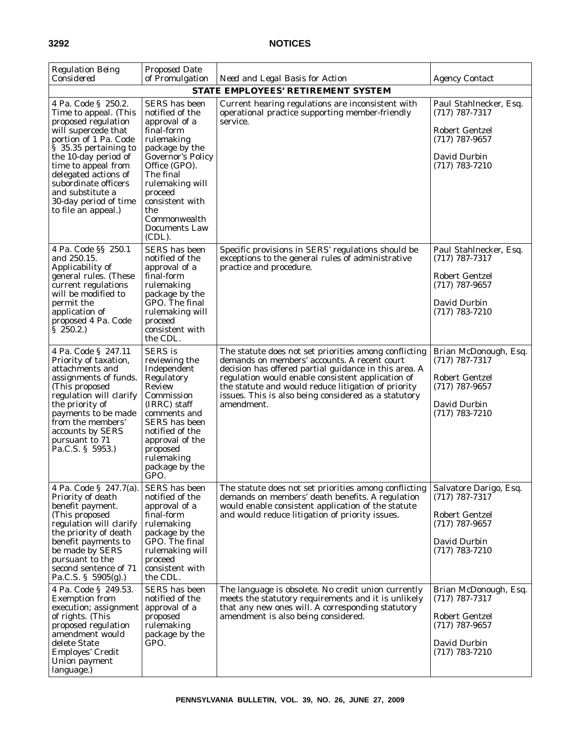| <b>Regulation Being</b><br>Considered                                                                                                                                                                                                                                                                                    | <b>Proposed Date</b><br>of Promulgation                                                                                                                                                                                                                      | Need and Legal Basis for Action                                                                                                                                                                                                                                                                                                                  | <b>Agency Contact</b>                                                                                                       |
|--------------------------------------------------------------------------------------------------------------------------------------------------------------------------------------------------------------------------------------------------------------------------------------------------------------------------|--------------------------------------------------------------------------------------------------------------------------------------------------------------------------------------------------------------------------------------------------------------|--------------------------------------------------------------------------------------------------------------------------------------------------------------------------------------------------------------------------------------------------------------------------------------------------------------------------------------------------|-----------------------------------------------------------------------------------------------------------------------------|
|                                                                                                                                                                                                                                                                                                                          |                                                                                                                                                                                                                                                              | <b>STATE EMPLOYEES' RETIREMENT SYSTEM</b>                                                                                                                                                                                                                                                                                                        |                                                                                                                             |
| 4 Pa. Code § 250.2.<br>Time to appeal. (This<br>proposed regulation<br>will supercede that<br>portion of 1 Pa. Code<br>$\bar{\S}$ 35.35 pertaining to<br>the 10-day period of<br>time to appeal from<br>delegated actions of<br>subordinate officers<br>and substitute a<br>30-day period of time<br>to file an appeal.) | SERS has been<br>notified of the<br>approval of a<br>final-form<br>rulemaking<br>package by the<br><b>Governor's Policy</b><br>Office (GPO).<br>The final<br>rulemaking will<br>proceed<br>consistent with<br>the<br>Commonwealth<br>Documents Law<br>(CDL). | Current hearing regulations are inconsistent with<br>operational practice supporting member-friendly<br>service.                                                                                                                                                                                                                                 | Paul Stahlnecker, Esq.<br>$(717)$ 787-7317<br><b>Robert Gentzel</b><br>$(717)$ 787-9657<br>David Durbin<br>$(717)$ 783-7210 |
| 4 Pa. Code §§ 250.1<br>and 250.15.<br>Applicability of<br>general rules. (These<br>current regulations<br>will be modified to<br>permit the<br>application of<br>proposed 4 Pa. Code<br>$\S$ 250.2.                                                                                                                      | SERS has been<br>notified of the<br>approval of a<br>final-form<br>rulemaking<br>package by the<br>GPO. The final<br>rulemaking will<br>proceed<br>consistent with<br>the CDL.                                                                               | Specific provisions in SERS' regulations should be<br>exceptions to the general rules of administrative<br>practice and procedure.                                                                                                                                                                                                               | Paul Stahlnecker, Esq.<br>$(717)$ 787-7317<br><b>Robert Gentzel</b><br>$(717)$ 787-9657<br>David Durbin<br>$(717)$ 783-7210 |
| 4 Pa. Code § 247.11<br>Priority of taxation,<br>attachments and<br>assignments of funds.<br>(This proposed<br>regulation will clarify<br>the priority of<br>payments to be made<br>from the members'<br>accounts by SERS<br>pursuant to 71<br>Pa.C.S. § 5953.)                                                           | <b>SERS</b> is<br>reviewing the<br>Independent<br>Regulatory<br>Review<br>Commission<br>(IRRC) staff<br>comments and<br><b>SERS</b> has been<br>notified of the<br>approval of the<br>proposed<br>rulemaking<br>package by the<br>GPO.                       | The statute does not set priorities among conflicting<br>demands on members' accounts. A recent court<br>decision has offered partial guidance in this area. A<br>regulation would enable consistent application of<br>the statute and would reduce litigation of priority<br>issues. This is also being considered as a statutory<br>amendment. | Brian McDonough, Esq.<br>$(717)$ 787-7317<br><b>Robert Gentzel</b><br>$(717)$ 787-9657<br>David Durbin<br>$(717)$ 783-7210  |
| 4 Pa. Code § 247.7(a).<br>Priority of death<br>benefit payment.<br>(This proposed<br>regulation will clarify<br>the priority of death<br>benefit payments to<br>be made by SERS<br>pursuant to the<br>second sentence of 71<br>Pa.C.S. § 5905(g).)                                                                       | SERS has been<br>notified of the<br>approval of a<br>final-form<br>rulemaking<br>package by the<br>GPO. The final<br>rulemaking will<br>proceed<br>consistent with<br>the CDL.                                                                               | The statute does not set priorities among conflicting<br>demands on members' death benefits. A regulation<br>would enable consistent application of the statute<br>and would reduce litigation of priority issues.                                                                                                                               | Salvatore Darigo, Esq.<br>$(717)$ 787-7317<br><b>Robert Gentzel</b><br>$(717)$ 787-9657<br>David Durbin<br>$(717)$ 783-7210 |
| 4 Pa. Code § 249.53.<br><b>Exemption from</b><br>execution; assignment<br>of rights. (This<br>proposed regulation<br>amendment would<br>delete State<br>Employes' Credit<br>Union payment<br>language.)                                                                                                                  | SERS has been<br>notified of the<br>approval of a<br>proposed<br>rulemaking<br>package by the<br>GPO.                                                                                                                                                        | The language is obsolete. No credit union currently<br>meets the statutory requirements and it is unlikely<br>that any new ones will. A corresponding statutory<br>amendment is also being considered.                                                                                                                                           | Brian McDonough, Esq.<br>$(717)$ 787-7317<br><b>Robert Gentzel</b><br>$(717)$ 787-9657<br>David Durbin<br>$(717)$ 783-7210  |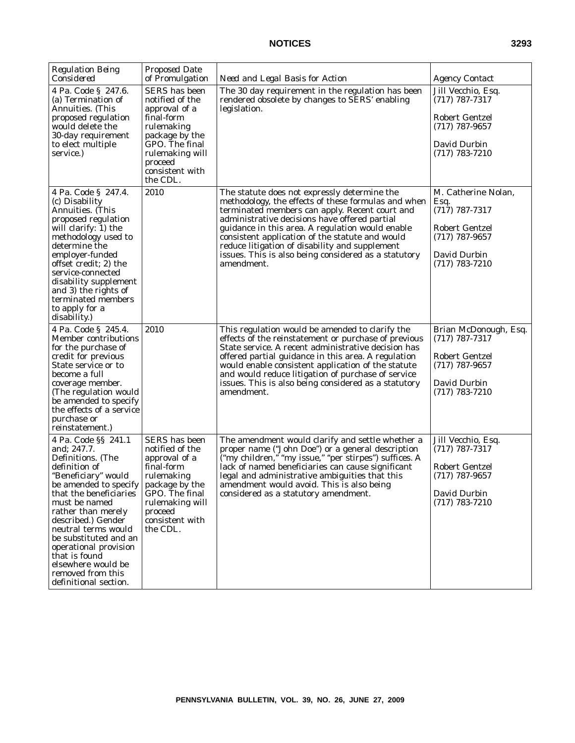| <b>Regulation Being</b><br>Considered                                                                                                                                                                                                                                                                                                                                         | <b>Proposed Date</b><br>of Promulgation                                                                                                                                               | Need and Legal Basis for Action                                                                                                                                                                                                                                                                                                                                                                                                       | <b>Agency Contact</b>                                                                                                     |
|-------------------------------------------------------------------------------------------------------------------------------------------------------------------------------------------------------------------------------------------------------------------------------------------------------------------------------------------------------------------------------|---------------------------------------------------------------------------------------------------------------------------------------------------------------------------------------|---------------------------------------------------------------------------------------------------------------------------------------------------------------------------------------------------------------------------------------------------------------------------------------------------------------------------------------------------------------------------------------------------------------------------------------|---------------------------------------------------------------------------------------------------------------------------|
| 4 Pa. Code § 247.6.<br>(a) Termination of<br>Annuities. (This<br>proposed regulation<br>would delete the<br>30-day requirement<br>to elect multiple<br>service.)                                                                                                                                                                                                              | <b>SERS</b> has been<br>notified of the<br>approval of a<br>final-form<br>rulemaking<br>package by the<br>GPO. The final<br>rulemaking will<br>proceed<br>consistent with<br>the CDL. | The 30 day requirement in the regulation has been<br>rendered obsolete by changes to SERS' enabling<br>legislation.                                                                                                                                                                                                                                                                                                                   | Jill Vecchio, Esq.<br>$(717)$ 787-7317<br>Robert Gentzel<br>$(717)$ 787-9657<br>David Durbin<br>$(717)$ 783-7210          |
| 4 Pa. Code § 247.4.<br>(c) Disability<br>Annuities. (This<br>proposed regulation<br>will clarify: 1) the<br>methodology used to<br>determine the<br>employer-funded<br>offset credit; 2) the<br>service-connected<br>disability supplement<br>and 3) the rights of<br>terminated members<br>to apply for a<br>disability.)                                                    | 2010                                                                                                                                                                                  | The statute does not expressly determine the<br>methodology, the effects of these formulas and when<br>terminated members can apply. Recent court and<br>administrative decisions have offered partial<br>guidance in this area. A regulation would enable<br>consistent application of the statute and would<br>reduce litigation of disability and supplement<br>issues. This is also being considered as a statutory<br>amendment. | M. Catherine Nolan,<br>Esq.<br>$(717)$ 787-7317<br>Robert Gentzel<br>$(717)$ 787-9657<br>David Durbin<br>$(717)$ 783-7210 |
| 4 Pa. Code § 245.4.<br>Member contributions<br>for the purchase of<br>credit for previous<br>State service or to<br>become a full<br>coverage member.<br>(The regulation would<br>be amended to specify<br>the effects of a service<br>purchase or<br>reinstatement.)                                                                                                         | 2010                                                                                                                                                                                  | This regulation would be amended to clarify the<br>effects of the reinstatement or purchase of previous<br>State service. A recent administrative decision has<br>offered partial guidance in this area. A regulation<br>would enable consistent application of the statute<br>and would reduce litigation of purchase of service<br>issues. This is also being considered as a statutory<br>amendment.                               | Brian McDonough, Esq.<br>$(717)$ 787-7317<br>Robert Gentzel<br>$(717)$ 787-9657<br>David Durbin<br>$(717) 783 - 7210$     |
| 4 Pa. Code §§ 241.1<br>and; 247.7.<br>Definitions. (The<br>definition of<br>"Beneficiary" would<br>be amended to specify<br>that the beneficiaries<br>must be named<br>rather than merely<br>described.) Gender<br>neutral terms would<br>be substituted and an<br>operational provision<br>that is found<br>elsewhere would be<br>removed from this<br>definitional section. | <b>SERS</b> has been<br>notified of the<br>approval of a<br>final-form<br>rulemaking<br>package by the<br>GPO. The final<br>rulemaking will<br>proceed<br>consistent with<br>the CDL. | The amendment would clarify and settle whether a<br>proper name ("John Doe") or a general description<br>("my children," "my issue," "per stirpes") suffices. A<br>lack of named beneficiaries can cause significant<br>legal and administrative ambiguities that this<br>amendment would avoid. This is also being<br>considered as a statutory amendment.                                                                           | Jill Vecchio, Esq.<br>$(717)$ 787-7317<br><b>Robert Gentzel</b><br>$(717)$ 787-9657<br>David Durbin<br>$(717) 783 - 7210$ |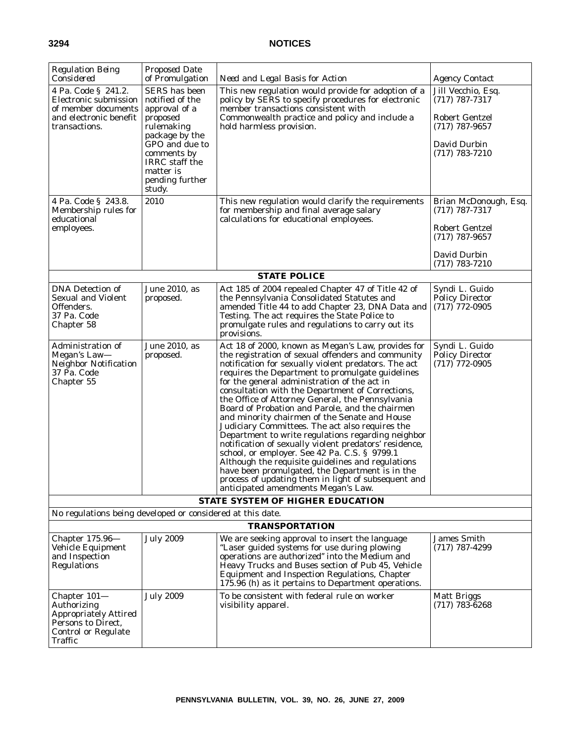| <b>Regulation Being</b><br>Considered                                                                                                                                                      | <b>Proposed Date</b><br>of Promulgation                                                                                                                                                            | Need and Legal Basis for Action                                                                                                                                                                                                                                                                                                                                                                                                                                                                                                                                                                                                                                                                                                                                                                                                                                                                            | <b>Agency Contact</b>                                                                                                                                                                                      |
|--------------------------------------------------------------------------------------------------------------------------------------------------------------------------------------------|----------------------------------------------------------------------------------------------------------------------------------------------------------------------------------------------------|------------------------------------------------------------------------------------------------------------------------------------------------------------------------------------------------------------------------------------------------------------------------------------------------------------------------------------------------------------------------------------------------------------------------------------------------------------------------------------------------------------------------------------------------------------------------------------------------------------------------------------------------------------------------------------------------------------------------------------------------------------------------------------------------------------------------------------------------------------------------------------------------------------|------------------------------------------------------------------------------------------------------------------------------------------------------------------------------------------------------------|
| 4 Pa. Code § 241.2.<br>Electronic submission<br>of member documents<br>and electronic benefit<br>transactions.<br>4 Pa. Code § 243.8.<br>Membership rules for<br>educational<br>employees. | SERS has been<br>notified of the<br>approval of a<br>proposed<br>rulemaking<br>package by the<br>GPO and due to<br>comments by<br>IRRC staff the<br>matter is<br>pending further<br>study.<br>2010 | This new regulation would provide for adoption of a<br>policy by SERS to specify procedures for electronic<br>member transactions consistent with<br>Commonwealth practice and policy and include a<br>hold harmless provision.<br>This new regulation would clarify the requirements<br>for membership and final average salary<br>calculations for educational employees.                                                                                                                                                                                                                                                                                                                                                                                                                                                                                                                                | Jill Vecchio, Esq.<br>$(717)$ 787-7317<br><b>Robert Gentzel</b><br>$(717)$ 787-9657<br>David Durbin<br>$(717)$ 783-7210<br>Brian McDonough, Esq.<br>$(717)$ 787-7317<br>Robert Gentzel<br>$(717)$ 787-9657 |
|                                                                                                                                                                                            |                                                                                                                                                                                                    |                                                                                                                                                                                                                                                                                                                                                                                                                                                                                                                                                                                                                                                                                                                                                                                                                                                                                                            | David Durbin                                                                                                                                                                                               |
|                                                                                                                                                                                            |                                                                                                                                                                                                    | <b>STATE POLICE</b>                                                                                                                                                                                                                                                                                                                                                                                                                                                                                                                                                                                                                                                                                                                                                                                                                                                                                        | $(717) 783 - 7210$                                                                                                                                                                                         |
| <b>DNA</b> Detection of<br><b>Sexual and Violent</b><br>Offenders.<br>37 Pa. Code<br>Chapter 58                                                                                            | June 2010, as<br>proposed.                                                                                                                                                                         | Act 185 of 2004 repealed Chapter 47 of Title 42 of<br>the Pennsylvania Consolidated Statutes and<br>amended Title 44 to add Chapter 23, DNA Data and<br>Testing. The act requires the State Police to<br>promulgate rules and regulations to carry out its<br>provisions.                                                                                                                                                                                                                                                                                                                                                                                                                                                                                                                                                                                                                                  | Syndi L. Guido<br><b>Policy Director</b><br>$(717)$ 772-0905                                                                                                                                               |
| Administration of<br>Megan's Law-<br><b>Neighbor Notification</b><br>37 Pa. Code<br>Chapter 55                                                                                             | June 2010, as<br>proposed.                                                                                                                                                                         | Act 18 of 2000, known as Megan's Law, provides for<br>the registration of sexual offenders and community<br>notification for sexually violent predators. The act<br>requires the Department to promulgate guidelines<br>for the general administration of the act in<br>consultation with the Department of Corrections,<br>the Office of Attorney General, the Pennsylvania<br>Board of Probation and Parole, and the chairmen<br>and minority chairmen of the Senate and House<br>Judiciary Committees. The act also requires the<br>Department to write regulations regarding neighbor<br>notification of sexually violent predators' residence,<br>school, or employer. See 42 Pa. C.S. § 9799.1<br>Although the requisite guidelines and regulations<br>have been promulgated, the Department is in the<br>process of updating them in light of subsequent and<br>anticipated amendments Megan's Law. | Syndi L. Guido<br><b>Policy Director</b><br>$(717)$ 772-0905                                                                                                                                               |
|                                                                                                                                                                                            |                                                                                                                                                                                                    | <b>STATE SYSTEM OF HIGHER EDUCATION</b>                                                                                                                                                                                                                                                                                                                                                                                                                                                                                                                                                                                                                                                                                                                                                                                                                                                                    |                                                                                                                                                                                                            |
| No regulations being developed or considered at this date.                                                                                                                                 |                                                                                                                                                                                                    |                                                                                                                                                                                                                                                                                                                                                                                                                                                                                                                                                                                                                                                                                                                                                                                                                                                                                                            |                                                                                                                                                                                                            |
|                                                                                                                                                                                            |                                                                                                                                                                                                    | <b>TRANSPORTATION</b>                                                                                                                                                                                                                                                                                                                                                                                                                                                                                                                                                                                                                                                                                                                                                                                                                                                                                      |                                                                                                                                                                                                            |
| Chapter $175.96-$<br>Vehicle Equipment<br>and Inspection<br><b>Regulations</b>                                                                                                             | <b>July 2009</b>                                                                                                                                                                                   | We are seeking approval to insert the language<br>"Laser guided systems for use during plowing<br>operations are authorized" into the Medium and<br>Heavy Trucks and Buses section of Pub 45, Vehicle<br>Equipment and Inspection Regulations, Chapter<br>175.96 (h) as it pertains to Department operations.                                                                                                                                                                                                                                                                                                                                                                                                                                                                                                                                                                                              | <b>James Smith</b><br>$(717)$ 787-4299                                                                                                                                                                     |
| Chapter $101-$<br>Authorizing<br><b>Appropriately Attired</b><br>Persons to Direct,<br><b>Control or Regulate</b><br>Traffic                                                               | <b>July 2009</b>                                                                                                                                                                                   | To be consistent with federal rule on worker<br>visibility apparel.                                                                                                                                                                                                                                                                                                                                                                                                                                                                                                                                                                                                                                                                                                                                                                                                                                        | <b>Matt Briggs</b><br>$(717)$ 783-6268                                                                                                                                                                     |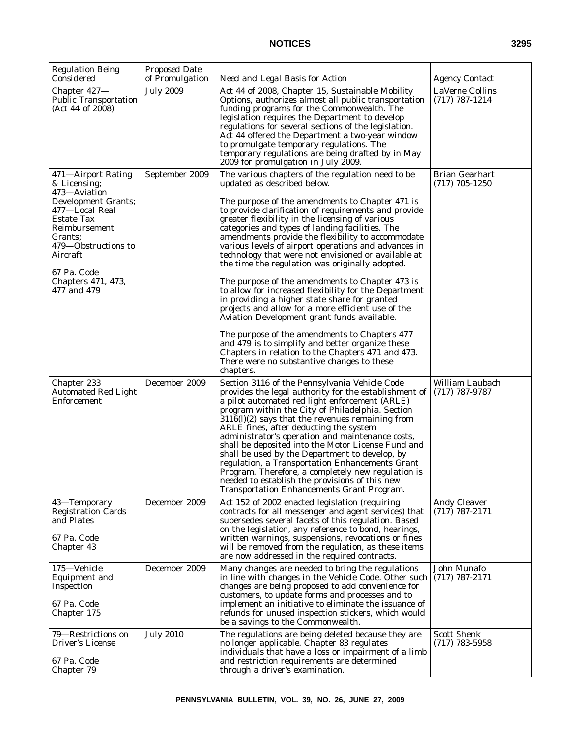| <b>Regulation Being</b><br>Considered                                                                                                                                                                                        | <b>Proposed Date</b><br>of Promulgation | Need and Legal Basis for Action                                                                                                                                                                                                                                                                                                                                                                                                                                                                                                                                                                                                                                                                                                                                                                                                                                                                                                                                                                                 | <b>Agency Contact</b>                     |
|------------------------------------------------------------------------------------------------------------------------------------------------------------------------------------------------------------------------------|-----------------------------------------|-----------------------------------------------------------------------------------------------------------------------------------------------------------------------------------------------------------------------------------------------------------------------------------------------------------------------------------------------------------------------------------------------------------------------------------------------------------------------------------------------------------------------------------------------------------------------------------------------------------------------------------------------------------------------------------------------------------------------------------------------------------------------------------------------------------------------------------------------------------------------------------------------------------------------------------------------------------------------------------------------------------------|-------------------------------------------|
| Chapter 427-<br><b>Public Transportation</b><br>(Act 44 of 2008)                                                                                                                                                             | <b>July 2009</b>                        | Act 44 of 2008, Chapter 15, Sustainable Mobility<br>Options, authorizes almost all public transportation<br>funding programs for the Commonwealth. The<br>legislation requires the Department to develop<br>regulations for several sections of the legislation.<br>Act 44 offered the Department a two-year window<br>to promulgate temporary regulations. The<br>temporary regulations are being drafted by in May<br>2009 for promulgation in July 2009.                                                                                                                                                                                                                                                                                                                                                                                                                                                                                                                                                     | LaVerne Collins<br>$(717)$ 787-1214       |
| 471-Airport Rating<br>& Licensing;<br>473—Aviation<br>Development Grants;<br>477-Local Real<br>Estate Tax<br>Reimbursement<br>Grants;<br>479—Obstructions to<br>Aircraft<br>67 Pa. Code<br>Chapters 471, 473,<br>477 and 479 | September 2009                          | The various chapters of the regulation need to be<br>updated as described below.<br>The purpose of the amendments to Chapter 471 is<br>to provide clarification of requirements and provide<br>greater flexibility in the licensing of various<br>categories and types of landing facilities. The<br>amendments provide the flexibility to accommodate<br>various levels of airport operations and advances in<br>technology that were not envisioned or available at<br>the time the regulation was originally adopted.<br>The purpose of the amendments to Chapter 473 is<br>to allow for increased flexibility for the Department<br>in providing a higher state share for granted<br>projects and allow for a more efficient use of the<br>Aviation Development grant funds available.<br>The purpose of the amendments to Chapters 477<br>and 479 is to simplify and better organize these<br>Chapters in relation to the Chapters 471 and 473.<br>There were no substantive changes to these<br>chapters. | <b>Brian Gearhart</b><br>$(717)$ 705-1250 |
| Chapter 233<br><b>Automated Red Light</b><br>Enforcement                                                                                                                                                                     | December 2009                           | Section 3116 of the Pennsylvania Vehicle Code<br>provides the legal authority for the establishment of<br>a pilot automated red light enforcement (ARLE)<br>program within the City of Philadelphia. Section<br>$3116(l)(2)$ says that the revenues remaining from<br>ARLE fines, after deducting the system<br>administrator's operation and maintenance costs,<br>shall be deposited into the Motor License Fund and<br>shall be used by the Department to develop, by<br>regulation, a Transportation Enhancements Grant<br>Program. Therefore, a completely new regulation is<br>needed to establish the provisions of this new<br>Transportation Enhancements Grant Program.                                                                                                                                                                                                                                                                                                                               | William Laubach<br>$(717)$ 787-9787       |
| 43-Temporary<br><b>Registration Cards</b><br>and Plates<br>67 Pa. Code<br>Chapter 43                                                                                                                                         | December 2009                           | Act 152 of 2002 enacted legislation (requiring<br>contracts for all messenger and agent services) that<br>supersedes several facets of this regulation. Based<br>on the legislation, any reference to bond, hearings,<br>written warnings, suspensions, revocations or fines<br>will be removed from the regulation, as these items<br>are now addressed in the required contracts.                                                                                                                                                                                                                                                                                                                                                                                                                                                                                                                                                                                                                             | <b>Andy Cleaver</b><br>$(717) 787 - 2171$ |
| 175-Vehicle<br><b>Equipment and</b><br>Inspection<br>67 Pa. Code<br>Chapter 175                                                                                                                                              | December 2009                           | Many changes are needed to bring the regulations<br>in line with changes in the Vehicle Code. Other such<br>changes are being proposed to add convenience for<br>customers, to update forms and processes and to<br>implement an initiative to eliminate the issuance of<br>refunds for unused inspection stickers, which would<br>be a savings to the Commonwealth.                                                                                                                                                                                                                                                                                                                                                                                                                                                                                                                                                                                                                                            | John Munafo<br>$(717)$ 787-2171           |
| 79—Restrictions on<br>Driver's License<br>67 Pa. Code<br>Chapter 79                                                                                                                                                          | <b>July 2010</b>                        | The regulations are being deleted because they are<br>no longer applicable. Chapter 83 regulates<br>individuals that have a loss or impairment of a limb<br>and restriction requirements are determined<br>through a driver's examination.                                                                                                                                                                                                                                                                                                                                                                                                                                                                                                                                                                                                                                                                                                                                                                      | <b>Scott Shenk</b><br>$(717)$ 783-5958    |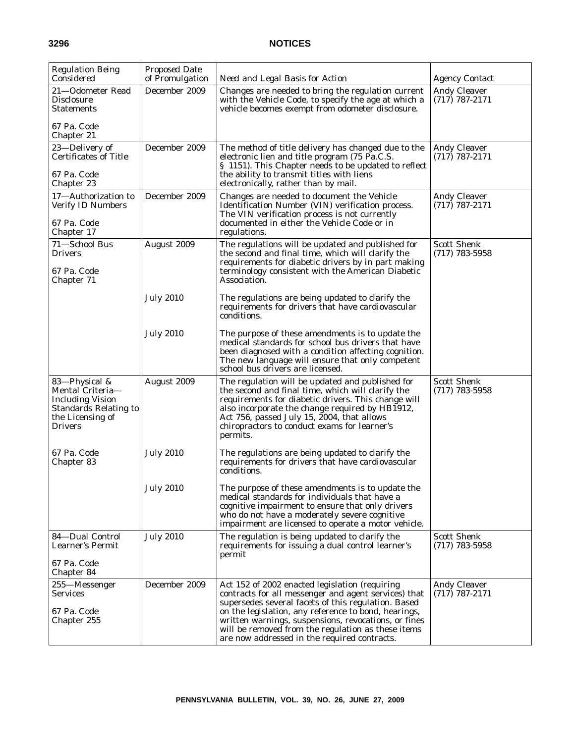| <b>Regulation Being</b><br>Considered                                                                                              | <b>Proposed Date</b><br>of Promulgation | Need and Legal Basis for Action                                                                                                                                                                                                                                                                                                                                                     | <b>Agency Contact</b>                   |
|------------------------------------------------------------------------------------------------------------------------------------|-----------------------------------------|-------------------------------------------------------------------------------------------------------------------------------------------------------------------------------------------------------------------------------------------------------------------------------------------------------------------------------------------------------------------------------------|-----------------------------------------|
| 21-Odometer Read<br><b>Disclosure</b><br>Statements                                                                                | December 2009                           | Changes are needed to bring the regulation current<br>with the Vehicle Code, to specify the age at which a<br>vehicle becomes exempt from odometer disclosure.                                                                                                                                                                                                                      | <b>Andy Cleaver</b><br>$(717)$ 787-2171 |
| 67 Pa. Code<br>Chapter 21                                                                                                          |                                         |                                                                                                                                                                                                                                                                                                                                                                                     |                                         |
| 23—Delivery of<br><b>Certificates of Title</b><br>67 Pa. Code<br>Chapter 23                                                        | December 2009                           | The method of title delivery has changed due to the<br>electronic lien and title program (75 Pa.C.S.<br>§ 1151). This Chapter needs to be updated to reflect<br>the ability to transmit titles with liens<br>electronically, rather than by mail.                                                                                                                                   | <b>Andy Cleaver</b><br>$(717)$ 787-2171 |
| 17-Authorization to<br>Verify ID Numbers<br>67 Pa. Code<br>Chapter 17                                                              | December 2009                           | Changes are needed to document the Vehicle<br>Identification Number (VIN) verification process.<br>The VIN verification process is not currently<br>documented in either the Vehicle Code or in<br>regulations.                                                                                                                                                                     | <b>Andy Cleaver</b><br>$(717)$ 787-2171 |
| 71-School Bus<br><b>Drivers</b><br>67 Pa. Code<br>Chapter 71                                                                       | August 2009                             | The regulations will be updated and published for<br>the second and final time, which will clarify the<br>requirements for diabetic drivers by in part making<br>terminology consistent with the American Diabetic<br>Association.                                                                                                                                                  | <b>Scott Shenk</b><br>$(717)$ 783-5958  |
|                                                                                                                                    | <b>July 2010</b>                        | The regulations are being updated to clarify the<br>requirements for drivers that have cardiovascular<br>conditions.                                                                                                                                                                                                                                                                |                                         |
|                                                                                                                                    | <b>July 2010</b>                        | The purpose of these amendments is to update the<br>medical standards for school bus drivers that have<br>been diagnosed with a condition affecting cognition.<br>The new language will ensure that only competent<br>school bus drivers are licensed.                                                                                                                              |                                         |
| 83-Physical &<br>Mental Criteria-<br><b>Including Vision</b><br><b>Standards Relating to</b><br>the Licensing of<br><b>Drivers</b> | August 2009                             | The regulation will be updated and published for<br>the second and final time, which will clarify the<br>requirements for diabetic drivers. This change will<br>also incorporate the change required by HB1912,<br>Act 756, passed July 15, 2004, that allows<br>chiropractors to conduct exams for learner's<br>permits.                                                           | <b>Scott Shenk</b><br>$(717)$ 783-5958  |
| 67 Pa. Code<br>Chapter 83                                                                                                          | <b>July 2010</b>                        | The regulations are being updated to clarify the<br>requirements for drivers that have cardiovascular<br>conditions.                                                                                                                                                                                                                                                                |                                         |
|                                                                                                                                    | <b>July 2010</b>                        | The purpose of these amendments is to update the<br>medical standards for individuals that have a<br>cognitive impairment to ensure that only drivers<br>who do not have a moderately severe cognitive<br>impairment are licensed to operate a motor vehicle.                                                                                                                       |                                         |
| 84-Dual Control<br>Learner's Permit<br>67 Pa. Code                                                                                 | <b>July 2010</b>                        | The regulation is being updated to clarify the<br>requirements for issuing a dual control learner's<br>permit                                                                                                                                                                                                                                                                       | <b>Scott Shenk</b><br>$(717)$ 783-5958  |
| Chapter 84<br>255-Messenger<br><b>Services</b><br>67 Pa. Code<br>Chapter 255                                                       | December 2009                           | Act 152 of 2002 enacted legislation (requiring<br>contracts for all messenger and agent services) that<br>supersedes several facets of this regulation. Based<br>on the legislation, any reference to bond, hearings,<br>written warnings, suspensions, revocations, or fines<br>will be removed from the regulation as these items<br>are now addressed in the required contracts. | <b>Andy Cleaver</b><br>$(717)$ 787-2171 |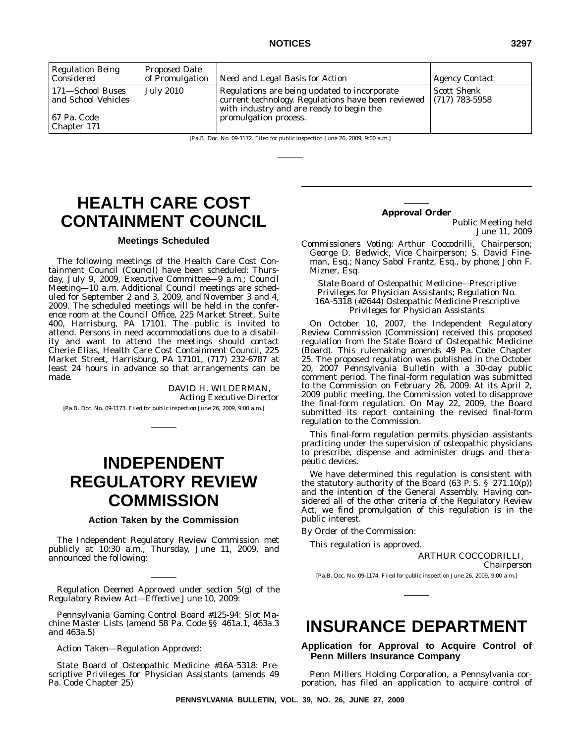| Considered                                                               | of Promulgation  | Need and Legal Basis for Action                                                                                                                                         | <b>Agency Contact</b>                  |
|--------------------------------------------------------------------------|------------------|-------------------------------------------------------------------------------------------------------------------------------------------------------------------------|----------------------------------------|
| 171-School Buses<br>and School Vehicles'<br>  67 Pa. Code<br>Chapter 171 | <b>July 2010</b> | Regulations are being updated to incorporate<br>current technology. Regulations have been reviewed<br>with industry and are ready to begin the<br>promulgation process. | <b>Scott Shenk</b><br>$(717)$ 783-5958 |

[Pa.B. Doc. No. 09-1172. Filed for public inspection June 26, 2009, 9:00 a.m.]

# **HEALTH CARE COST CONTAINMENT COUNCIL**

### **Meetings Scheduled**

The following meetings of the Health Care Cost Containment Council (Council) have been scheduled: Thursday, July 9, 2009, Executive Committee—9 a.m.; Council Meeting—10 a.m. Additional Council meetings are scheduled for September 2 and 3, 2009, and November 3 and 4, 2009. The scheduled meetings will be held in the conference room at the Council Office, 225 Market Street, Suite 400, Harrisburg, PA 17101. The public is invited to attend. Persons in need accommodations due to a disability and want to attend the meetings should contact Cherie Elias, Health Care Cost Containment Council, 225 Market Street, Harrisburg, PA 17101, (717) 232-6787 at least 24 hours in advance so that arrangements can be made.

> DAVID H. WILDERMAN, *Acting Executive Director*

[Pa.B. Doc. No. 09-1173. Filed for public inspection June 26, 2009, 9:00 a.m.]

# **INDEPENDENT REGULATORY REVIEW COMMISSION**

### **Action Taken by the Commission**

The Independent Regulatory Review Commission met publicly at 10:30 a.m., Thursday, June 11, 2009, and announced the following:

*Regulation Deemed Approved under section 5(g) of the Regulatory Review Act—Effective June 10, 2009:*

Pennsylvania Gaming Control Board #125-94: Slot Machine Master Lists (amend 58 Pa. Code §§ 461a.1, 463a.3 and 463a.5)

*Action Taken—Regulation Approved*:

State Board of Osteopathic Medicine #16A-5318: Prescriptive Privileges for Physician Assistants (amends 49 Pa. Code Chapter 25)

### **Approval Order**

Public Meeting held June 11, 2009

*Commissioners Voting*: Arthur Coccodrilli, Chairperson; George D. Bedwick, Vice Chairperson; S. David Fineman, Esq.; Nancy Sabol Frantz, Esq., by phone; John F. Mizner, Esq.

*State Board of Osteopathic Medicine—Prescriptive Privileges for Physician Assistants; Regulation No. 16A-5318 (#2644) Osteopathic Medicine Prescriptive Privileges for Physician Assistants*

On October 10, 2007, the Independent Regulatory Review Commission (Commission) received this proposed regulation from the State Board of Osteopathic Medicine (Board). This rulemaking amends 49 Pa. Code Chapter 25. The proposed regulation was published in the October 20, 2007 *Pennsylvania Bulletin* with a 30-day public comment period. The final-form regulation was submitted to the Commission on February 26, 2009. At its April 2, 2009 public meeting, the Commission voted to disapprove the final-form regulation. On May 22, 2009, the Board submitted its report containing the revised final-form regulation to the Commission.

This final-form regulation permits physician assistants practicing under the supervision of osteopathic physicians to prescribe, dispense and administer drugs and therapeutic devices.

We have determined this regulation is consistent with the statutory authority of the Board (63 P. S. § 271.10(p)) and the intention of the General Assembly. Having considered all of the other criteria of the Regulatory Review Act, we find promulgation of this regulation is in the public interest.

*By Order of the Commission*:

This regulation is approved.

ARTHUR COCCODRILLI,

*Chairperson*

[Pa.B. Doc. No. 09-1174. Filed for public inspection June 26, 2009, 9:00 a.m.]

# **INSURANCE DEPARTMENT**

**Application for Approval to Acquire Control of Penn Millers Insurance Company**

Penn Millers Holding Corporation, a Pennsylvania corporation, has filed an application to acquire control of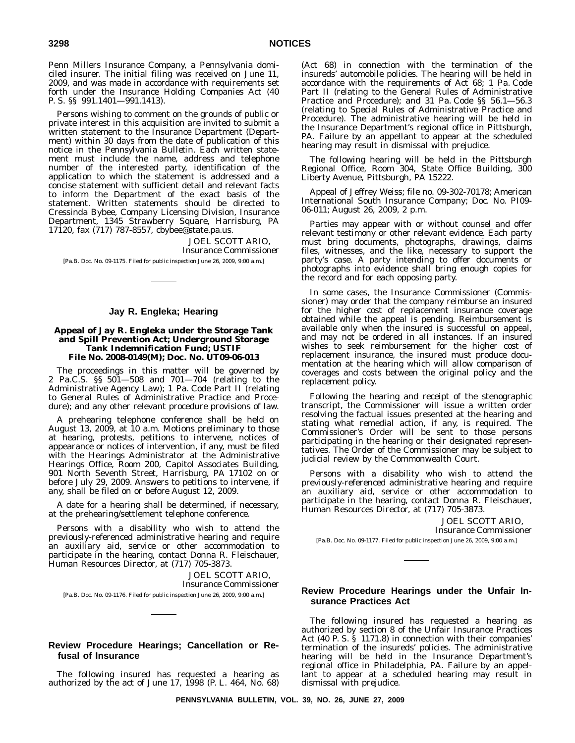Penn Millers Insurance Company, a Pennsylvania domiciled insurer. The initial filing was received on June 11, 2009, and was made in accordance with requirements set forth under the Insurance Holding Companies Act (40 P. S. §§ 991.1401—991.1413).

Persons wishing to comment on the grounds of public or private interest in this acquisition are invited to submit a written statement to the Insurance Department (Department) within 30 days from the date of publication of this notice in the *Pennsylvania Bulletin*. Each written statement must include the name, address and telephone number of the interested party, identification of the application to which the statement is addressed and a concise statement with sufficient detail and relevant facts to inform the Department of the exact basis of the statement. Written statements should be directed to Cressinda Bybee, Company Licensing Division, Insurance Department, 1345 Strawberry Square, Harrisburg, PA 17120, fax (717) 787-8557, cbybee@state.pa.us.

> JOEL SCOTT ARIO, *Insurance Commissioner*

[Pa.B. Doc. No. 09-1175. Filed for public inspection June 26, 2009, 9:00 a.m.]

### **Jay R. Engleka; Hearing**

### **Appeal of Jay R. Engleka under the Storage Tank and Spill Prevention Act; Underground Storage Tank Indemnification Fund; USTIF File No. 2008-0149(M); Doc. No. UT09-06-013**

The proceedings in this matter will be governed by 2 Pa.C.S. §§ 501—508 and 701—704 (relating to the Administrative Agency Law); 1 Pa. Code Part II (relating to General Rules of Administrative Practice and Procedure); and any other relevant procedure provisions of law.

A prehearing telephone conference shall be held on August 13, 2009, at 10 a.m. Motions preliminary to those at hearing, protests, petitions to intervene, notices of appearance or notices of intervention, if any, must be filed with the Hearings Administrator at the Administrative Hearings Office, Room 200, Capitol Associates Building, 901 North Seventh Street, Harrisburg, PA 17102 on or before July 29, 2009. Answers to petitions to intervene, if any, shall be filed on or before August 12, 2009.

A date for a hearing shall be determined, if necessary, at the prehearing/settlement telephone conference.

Persons with a disability who wish to attend the previously-referenced administrative hearing and require an auxiliary aid, service or other accommodation to participate in the hearing, contact Donna R. Fleischauer, Human Resources Director, at (717) 705-3873.

> JOEL SCOTT ARIO, *Insurance Commissioner*

[Pa.B. Doc. No. 09-1176. Filed for public inspection June 26, 2009, 9:00 a.m.]

### **Review Procedure Hearings; Cancellation or Refusal of Insurance**

The following insured has requested a hearing as authorized by the act of June 17, 1998 (P. L. 464, No. 68)

(Act 68) in connection with the termination of the insureds' automobile policies. The hearing will be held in accordance with the requirements of Act 68; 1 Pa. Code Part II (relating to the General Rules of Administrative Practice and Procedure); and 31 Pa. Code §§ 56.1—56.3 (relating to Special Rules of Administrative Practice and Procedure). The administrative hearing will be held in the Insurance Department's regional office in Pittsburgh, PA. Failure by an appellant to appear at the scheduled hearing may result in dismissal with prejudice.

The following hearing will be held in the Pittsburgh Regional Office, Room 304, State Office Building, 300 Liberty Avenue, Pittsburgh, PA 15222.

Appeal of Jeffrey Weiss; file no. 09-302-70178; American International South Insurance Company; Doc. No. PI09- 06-011; August 26, 2009, 2 p.m.

Parties may appear with or without counsel and offer relevant testimony or other relevant evidence. Each party must bring documents, photographs, drawings, claims files, witnesses, and the like, necessary to support the party's case. A party intending to offer documents or photographs into evidence shall bring enough copies for the record and for each opposing party.

In some cases, the Insurance Commissioner (Commissioner) may order that the company reimburse an insured for the higher cost of replacement insurance coverage obtained while the appeal is pending. Reimbursement is available only when the insured is successful on appeal, and may not be ordered in all instances. If an insured wishes to seek reimbursement for the higher cost of replacement insurance, the insured must produce documentation at the hearing which will allow comparison of coverages and costs between the original policy and the replacement policy.

Following the hearing and receipt of the stenographic transcript, the Commissioner will issue a written order resolving the factual issues presented at the hearing and stating what remedial action, if any, is required. The Commissioner's Order will be sent to those persons participating in the hearing or their designated representatives. The Order of the Commissioner may be subject to judicial review by the Commonwealth Court.

Persons with a disability who wish to attend the previously-referenced administrative hearing and require an auxiliary aid, service or other accommodation to participate in the hearing, contact Donna R. Fleischauer, Human Resources Director, at (717) 705-3873.

> JOEL SCOTT ARIO, *Insurance Commissioner*

[Pa.B. Doc. No. 09-1177. Filed for public inspection June 26, 2009, 9:00 a.m.]

### **Review Procedure Hearings under the Unfair Insurance Practices Act**

The following insured has requested a hearing as authorized by section 8 of the Unfair Insurance Practices Act (40 P. S. § 1171.8) in connection with their companies' termination of the insureds' policies. The administrative hearing will be held in the Insurance Department's regional office in Philadelphia, PA. Failure by an appellant to appear at a scheduled hearing may result in dismissal with prejudice.

**PENNSYLVANIA BULLETIN, VOL. 39, NO. 26, JUNE 27, 2009**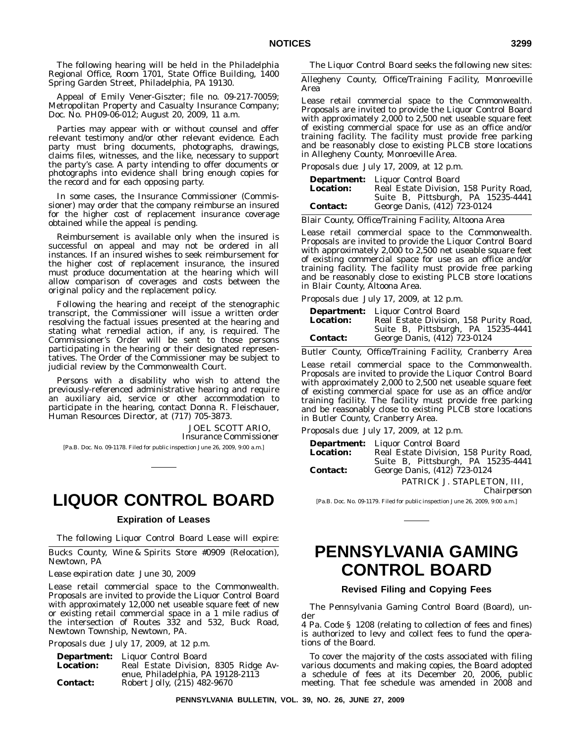The following hearing will be held in the Philadelphia Regional Office, Room 1701, State Office Building, 1400 Spring Garden Street, Philadelphia, PA 19130.

Appeal of Emily Vener-Giszter; file no. 09-217-70059; Metropolitan Property and Casualty Insurance Company; Doc. No. PH09-06-012; August 20, 2009, 11 a.m.

Parties may appear with or without counsel and offer relevant testimony and/or other relevant evidence. Each party must bring documents, photographs, drawings, claims files, witnesses, and the like, necessary to support the party's case. A party intending to offer documents or photographs into evidence shall bring enough copies for the record and for each opposing party.

In some cases, the Insurance Commissioner (Commissioner) may order that the company reimburse an insured for the higher cost of replacement insurance coverage obtained while the appeal is pending.

Reimbursement is available only when the insured is successful on appeal and may not be ordered in all instances. If an insured wishes to seek reimbursement for the higher cost of replacement insurance, the insured must produce documentation at the hearing which will allow comparison of coverages and costs between the original policy and the replacement policy.

Following the hearing and receipt of the stenographic transcript, the Commissioner will issue a written order resolving the factual issues presented at the hearing and stating what remedial action, if any, is required. The Commissioner's Order will be sent to those persons participating in the hearing or their designated representatives. The Order of the Commissioner may be subject to judicial review by the Commonwealth Court.

Persons with a disability who wish to attend the previously-referenced administrative hearing and require an auxiliary aid, service or other accommodation to participate in the hearing, contact Donna R. Fleischauer, Human Resources Director, at (717) 705-3873.

> JOEL SCOTT ARIO, *Insurance Commissioner*

[Pa.B. Doc. No. 09-1178. Filed for public inspection June 26, 2009, 9:00 a.m.]

# **LIQUOR CONTROL BOARD**

# **Expiration of Leases**

The following Liquor Control Board Lease will expire:

Bucks County, Wine & Spirits Store #0909 (Relocation), Newtown, PA

*Lease expiration date*: June 30, 2009

Lease retail commercial space to the Commonwealth. Proposals are invited to provide the Liquor Control Board with approximately 12,000 net useable square feet of new or existing retail commercial space in a 1 mile radius of the intersection of Routes 332 and 532, Buck Road, Newtown Township, Newtown, PA.

*Proposals due*: July 17, 2009, at 12 p.m.

| <b>Department:</b> | Liquor Control Board                 |  |
|--------------------|--------------------------------------|--|
| <b>Location:</b>   | Real Estate Division, 8305 Ridge Av- |  |
|                    | enue, Philadelphia, PA 19128-2113    |  |
| <b>Contact:</b>    | Robert Jolly, (215) 482-9670         |  |

The Liquor Control Board seeks the following new sites:

Allegheny County, Office/Training Facility, Monroeville Area

Lease retail commercial space to the Commonwealth. Proposals are invited to provide the Liquor Control Board with approximately 2,000 to 2,500 net useable square feet of existing commercial space for use as an office and/or training facility. The facility must provide free parking and be reasonably close to existing PLCB store locations in Allegheny County, Monroeville Area.

*Proposals due*: July 17, 2009, at 12 p.m.

| <b>Department:</b> | Liquor Control Board<br>Real Estate Division, 158 Purity Road, |  |  |
|--------------------|----------------------------------------------------------------|--|--|
| <b>Location:</b>   |                                                                |  |  |
|                    | Suite B, Pittsburgh, PA 15235-4441                             |  |  |
| <b>Contact:</b>    | George Danis, (412) 723-0124                                   |  |  |

Blair County, Office/Training Facility, Altoona Area

Lease retail commercial space to the Commonwealth. Proposals are invited to provide the Liquor Control Board with approximately 2,000 to 2,500 net useable square feet of existing commercial space for use as an office and/or training facility. The facility must provide free parking and be reasonably close to existing PLCB store locations in Blair County, Altoona Area.

*Proposals due*: July 17, 2009, at 12 p.m.

| <b>Department:</b> | Liquor Control Board                   |  |  |
|--------------------|----------------------------------------|--|--|
| <b>Location:</b>   | Real Estate Division, 158 Purity Road, |  |  |
|                    | Suite B, Pittsburgh, PA 15235-4441     |  |  |
| <b>Contact:</b>    | George Danis, (412) 723-0124           |  |  |

Butler County, Office/Training Facility, Cranberry Area

Lease retail commercial space to the Commonwealth. Proposals are invited to provide the Liquor Control Board with approximately 2,000 to 2,500 net useable square feet of existing commercial space for use as an office and/or training facility. The facility must provide free parking and be reasonably close to existing PLCB store locations in Butler County, Cranberry Area.

*Proposals due*: July 17, 2009, at 12 p.m.

| <b>Department:</b> | Liquor Control Board                   |  |
|--------------------|----------------------------------------|--|
| <b>Location:</b>   | Real Estate Division, 158 Purity Road, |  |
|                    | Suite B, Pittsburgh, PA 15235-4441     |  |
| <b>Contact:</b>    | George Danis, (412) 723-0124           |  |

PATRICK J. STAPLETON, III,

*Chairperson*

[Pa.B. Doc. No. 09-1179. Filed for public inspection June 26, 2009, 9:00 a.m.]

# **PENNSYLVANIA GAMING CONTROL BOARD**

## **Revised Filing and Copying Fees**

The Pennsylvania Gaming Control Board (Board), under

4 Pa. Code § 1208 (relating to collection of fees and fines) is authorized to levy and collect fees to fund the operations of the Board.

To cover the majority of the costs associated with filing various documents and making copies, the Board adopted a schedule of fees at its December 20, 2006, public meeting. That fee schedule was amended in 2008 and

**PENNSYLVANIA BULLETIN, VOL. 39, NO. 26, JUNE 27, 2009**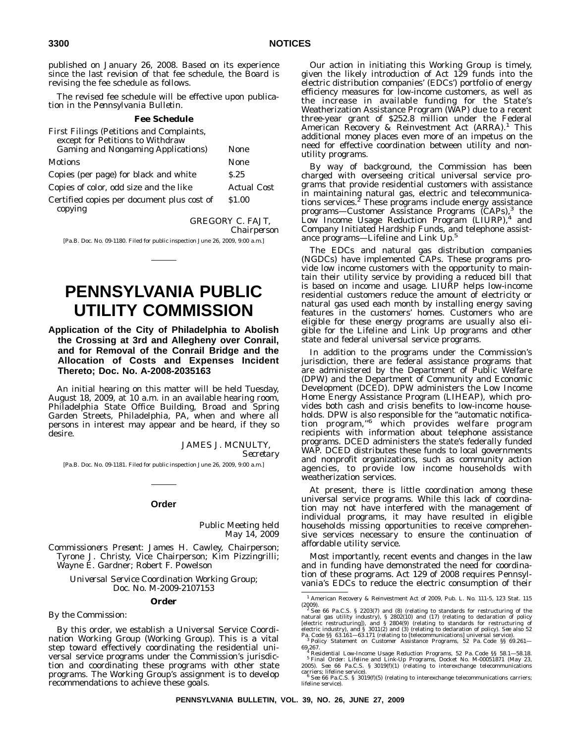published on January 26, 2008. Based on its experience since the last revision of that fee schedule, the Board is revising the fee schedule as follows.

The revised fee schedule will be effective upon publication in the *Pennsylvania Bulletin*.

#### **Fee Schedule**

| First Filings (Petitions and Complaints,<br>except for Petitions to Withdraw |                    |
|------------------------------------------------------------------------------|--------------------|
| <b>Gaming and Nongaming Applications</b> )                                   | None               |
| Motions                                                                      | None               |
| Copies (per page) for black and white                                        | S.25               |
| Copies of color, odd size and the like                                       | <b>Actual Cost</b> |
| Certified copies per document plus cost of<br>copying                        | \$1.00             |

GREGORY C. FAJT,

*Chairperson*

[Pa.B. Doc. No. 09-1180. Filed for public inspection June 26, 2009, 9:00 a.m.]

# **PENNSYLVANIA PUBLIC UTILITY COMMISSION**

**Application of the City of Philadelphia to Abolish the Crossing at 3rd and Allegheny over Conrail, and for Removal of the Conrail Bridge and the Allocation of Costs and Expenses Incident Thereto; Doc. No. A-2008-2035163**

An initial hearing on this matter will be held Tuesday, August 18, 2009, at 10 a.m. in an available hearing room, Philadelphia State Office Building, Broad and Spring Garden Streets, Philadelphia, PA, when and where all persons in interest may appear and be heard, if they so desire.

> JAMES J. MCNULTY, *Secretary*

[Pa.B. Doc. No. 09-1181. Filed for public inspection June 26, 2009, 9:00 a.m.]

#### **Order**

Public Meeting held May 14, 2009

*Commissioners Present*: James H. Cawley, Chairperson; Tyrone J. Christy, Vice Chairperson; Kim Pizzingrilli; Wayne E. Gardner; Robert F. Powelson

*Universal Service Coordination Working Group; Doc. No. M-2009-2107153*

#### **Order**

*By the Commission:*

By this order, we establish a Universal Service Coordination Working Group (Working Group). This is a vital step toward effectively coordinating the residential universal service programs under the Commission's jurisdiction and coordinating these programs with other state programs. The Working Group's assignment is to develop recommendations to achieve these goals.

Our action in initiating this Working Group is timely, given the likely introduction of Act 129 funds into the electric distribution companies' (EDCs') portfolio of energy efficiency measures for low-income customers, as well as the increase in available funding for the State's Weatherization Assistance Program (WAP) due to a recent three-year grant of \$252.8 million under the Federal<br>American Recovery & Reinvestment Act (ARRA).<sup>1</sup> This additional money places even more of an impetus on the need for effective coordination between utility and nonutility programs.

By way of background, the Commission has been charged with overseeing critical universal service programs that provide residential customers with assistance in maintaining natural gas, electric and telecommunica-<br>tions services.<sup>2</sup> These programs include energy assistance programs—Customer Assistance Programs (CAPs),<sup>3</sup> the Low Income Usage Reduction Program  $(LIURP)<sup>4</sup>$  and Company Initiated Hardship Funds, and telephone assistance programs—Lifeline and Link Up.5

The EDCs and natural gas distribution companies (NGDCs) have implemented CAPs. These programs provide low income customers with the opportunity to maintain their utility service by providing a reduced bill that is based on income and usage. LIURP helps low-income residential customers reduce the amount of electricity or natural gas used each month by installing energy saving features in the customers' homes. Customers who are eligible for these energy programs are usually also eligible for the Lifeline and Link Up programs and other state and federal universal service programs.

In addition to the programs under the Commission's jurisdiction, there are federal assistance programs that are administered by the Department of Public Welfare (DPW) and the Department of Community and Economic Development (DCED). DPW administers the Low Income Home Energy Assistance Program (LIHEAP), which provides both cash and crisis benefits to low-income households. DPW is also responsible for the "automatic notification program,''<sup>6</sup> which provides welfare program recipients with information about telephone assistance programs. DCED administers the state's federally funded WAP. DCED distributes these funds to local governments and nonprofit organizations, such as community action agencies, to provide low income households with weatherization services.

At present, there is little coordination among these universal service programs. While this lack of coordination may not have interfered with the management of individual programs, it may have resulted in eligible households missing opportunities to receive comprehensive services necessary to ensure the continuation of affordable utility service.

Most importantly, recent events and changes in the law and in funding have demonstrated the need for coordination of these programs. Act 129 of 2008 requires Pennsylvania's EDCs to reduce the electric consumption of their

<sup>1</sup> American Recovery & Reinvestment Act of 2009, Pub. L. No. 111-5, 123 Stat. 115

<sup>(2009).&</sup>lt;br><sup>2</sup> *See* 66 Pa.C.S. § 2203(7) and (8) (relating to standards for restructuring of the artural gas utility industry), § 2802(10) and (17) (relating to declaration of policy [electric restructuring]), and § 2804(9)

Pa. Code §§ 63.161—63.171 (relating to [telecommunications] universal service). <sup>3</sup> *Policy Statement on Customer Assistance Programs*, 52 Pa. Code §§ 69.261—

<sup>69.267.&</sup>lt;br><sup>4</sup> *Residential Low-Income Usage Reduction Programs*, 52 Pa. Code §§ 58.1—58.18.<br><sup>5</sup> *Final Order: Lifeline and Link-Up Programs*, Docket No. M-00051871 (May 23,<br>2005). *See* 66 Pa.C.S. § 3019(f)(1) (relating to i

carriers; lifeline service). <sup>6</sup> *See* 66 Pa.C.S. § 3019(f)(5) (relating to interexchange telecommunications carriers; lifeline service).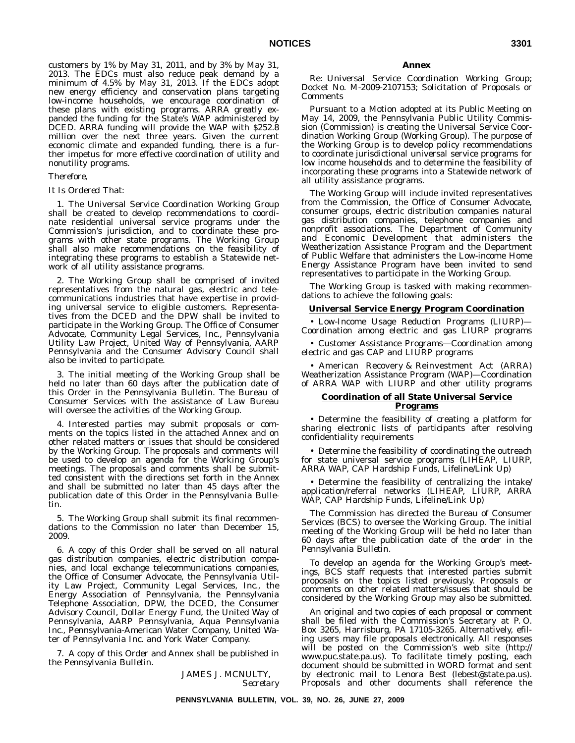customers by 1% by May 31, 2011, and by 3% by May 31, 2013. The EDCs must also reduce peak demand by a minimum of 4.5% by May 31, 2013. If the EDCs adopt new energy efficiency and conservation plans targeting low-income households, we encourage coordination of these plans with existing programs. ARRA greatly expanded the funding for the State's WAP administered by DCED. ARRA funding will provide the WAP with \$252.8 million over the next three years. Given the current economic climate and expanded funding, there is a further impetus for more effective coordination of utility and nonutility programs.

## *Therefore,*

## *It Is Ordered That:*

1. The Universal Service Coordination Working Group shall be created to develop recommendations to coordinate residential universal service programs under the Commission's jurisdiction, and to coordinate these programs with other state programs. The Working Group shall also make recommendations on the feasibility of integrating these programs to establish a Statewide network of all utility assistance programs.

2. The Working Group shall be comprised of invited representatives from the natural gas, electric and telecommunications industries that have expertise in providing universal service to eligible customers. Representatives from the DCED and the DPW shall be invited to participate in the Working Group. The Office of Consumer Advocate, Community Legal Services, Inc., Pennsylvania Utility Law Project, United Way of Pennsylvania, AARP Pennsylvania and the Consumer Advisory Council shall also be invited to participate.

3. The initial meeting of the Working Group shall be held no later than 60 days after the publication date of this Order in the *Pennsylvania Bulletin*. The Bureau of Consumer Services with the assistance of Law Bureau will oversee the activities of the Working Group.

4. Interested parties may submit proposals or comments on the topics listed in the attached Annex and on other related matters or issues that should be considered by the Working Group. The proposals and comments will be used to develop an agenda for the Working Group's meetings. The proposals and comments shall be submitted consistent with the directions set forth in the Annex and shall be submitted no later than 45 days after the publication date of this Order in the *Pennsylvania Bulletin*.

5. The Working Group shall submit its final recommendations to the Commission no later than December 15, 2009.

6. A copy of this Order shall be served on all natural gas distribution companies, electric distribution companies, and local exchange telecommunications companies, the Office of Consumer Advocate, the Pennsylvania Utility Law Project, Community Legal Services, Inc., the Energy Association of Pennsylvania, the Pennsylvania Telephone Association, DPW, the DCED, the Consumer Advisory Council, Dollar Energy Fund, the United Way of Pennsylvania, AARP Pennsylvania, Aqua Pennsylvania Inc., Pennsylvania-American Water Company, United Water of Pennsylvania Inc. and York Water Company.

7. A copy of this Order and Annex shall be published in the *Pennsylvania Bulletin*.

> JAMES J. MCNULTY, *Secretary*

### **Annex**

Re: *Universal Service Coordination Working Group*; Docket No. M-2009-2107153; Solicitation of Proposals or Comments

Pursuant to a Motion adopted at its Public Meeting on May 14, 2009, the Pennsylvania Public Utility Commission (Commission) is creating the Universal Service Coordination Working Group (Working Group). The purpose of the Working Group is to develop policy recommendations to coordinate jurisdictional universal service programs for low income households and to determine the feasibility of incorporating these programs into a Statewide network of all utility assistance programs.

The Working Group will include invited representatives from the Commission, the Office of Consumer Advocate, consumer groups, electric distribution companies natural gas distribution companies, telephone companies and nonprofit associations. The Department of Community and Economic Development that administers the Weatherization Assistance Program and the Department of Public Welfare that administers the Low-income Home Energy Assistance Program have been invited to send representatives to participate in the Working Group.

The Working Group is tasked with making recommendations to achieve the following goals:

### **Universal Service Energy Program Coordination**

• Low-Income Usage Reduction Programs (LIURP)— Coordination among electric and gas LIURP programs

• Customer Assistance Programs—Coordination among electric and gas CAP and LIURP programs

• American Recovery & Reinvestment Act (ARRA) Weatherization Assistance Program (WAP)—Coordination of ARRA WAP with LIURP and other utility programs

## **Coordination of all State Universal Service Programs**

• Determine the feasibility of creating a platform for sharing electronic lists of participants after resolving confidentiality requirements

• Determine the feasibility of coordinating the outreach for state universal service programs (LIHEAP, LIURP, ARRA WAP, CAP Hardship Funds, Lifeline/Link Up)

• Determine the feasibility of centralizing the intake/ application/referral networks (LIHEAP, LIURP, ARRA WAP, CAP Hardship Funds, Lifeline/Link Up)

The Commission has directed the Bureau of Consumer Services (BCS) to oversee the Working Group. The initial meeting of the Working Group will be held no later than 60 days after the publication date of the order in the *Pennsylvania Bulletin*.

To develop an agenda for the Working Group's meetings, BCS staff requests that interested parties submit proposals on the topics listed previously. Proposals or comments on other related matters/issues that should be considered by the Working Group may also be submitted.

An original and two copies of each proposal or comment shall be filed with the Commission's Secretary at P. O. Box 3265, Harrisburg, PA 17105-3265. Alternatively, efiling users may file proposals electronically. All responses will be posted on the Commission's web site (http:// www.puc.state.pa.us). To facilitate timely posting, each document should be submitted in WORD format and sent by electronic mail to Lenora Best (lebest@state.pa.us). Proposals and other documents shall reference the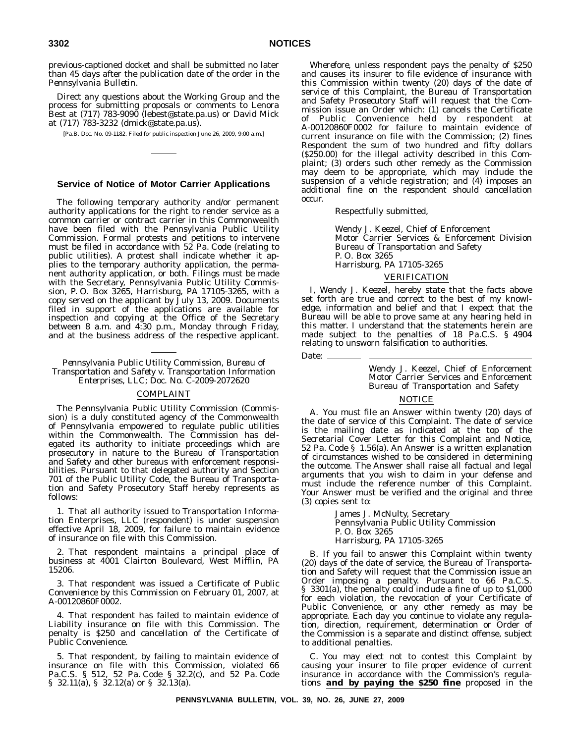previous-captioned docket and shall be submitted no later than 45 days after the publication date of the order in the *Pennsylvania Bulletin*.

Direct any questions about the Working Group and the process for submitting proposals or comments to Lenora Best at (717) 783-9090 (lebest@state.pa.us) or David Mick at (717) 783-3232 (dmick@state.pa.us).

[Pa.B. Doc. No. 09-1182. Filed for public inspection June 26, 2009, 9:00 a.m.]

## **Service of Notice of Motor Carrier Applications**

The following temporary authority and/or permanent authority applications for the right to render service as a common carrier or contract carrier in this Commonwealth have been filed with the Pennsylvania Public Utility Commission. Formal protests and petitions to intervene must be filed in accordance with 52 Pa. Code (relating to public utilities). A protest shall indicate whether it applies to the temporary authority application, the permanent authority application, or both. Filings must be made with the Secretary, Pennsylvania Public Utility Commission, P. O. Box 3265, Harrisburg, PA 17105-3265, with a copy served on the applicant by July 13, 2009. Documents filed in support of the applications are available for inspection and copying at the Office of the Secretary between 8 a.m. and 4:30 p.m., Monday through Friday, and at the business address of the respective applicant.

*Pennsylvania Public Utility Commission, Bureau of Transportation and Safety v. Transportation Information Enterprises, LLC; Doc. No. C-2009-2072620*

#### COMPLAINT

The Pennsylvania Public Utility Commission (Commission) is a duly constituted agency of the Commonwealth of Pennsylvania empowered to regulate public utilities within the Commonwealth. The Commission has delegated its authority to initiate proceedings which are prosecutory in nature to the Bureau of Transportation and Safety and other bureaus with enforcement responsibilities. Pursuant to that delegated authority and Section 701 of the Public Utility Code, the Bureau of Transportation and Safety Prosecutory Staff hereby represents as follows:

1. That all authority issued to Transportation Information Enterprises, LLC (respondent) is under suspension effective April 18, 2009, for failure to maintain evidence of insurance on file with this Commission.

2. That respondent maintains a principal place of business at 4001 Clairton Boulevard, West Mifflin, PA 15206.

3. That respondent was issued a Certificate of Public Convenience by this Commission on February 01, 2007, at A-00120860F0002.

4. That respondent has failed to maintain evidence of Liability insurance on file with this Commission. The penalty is \$250 and cancellation of the Certificate of Public Convenience.

5. That respondent, by failing to maintain evidence of insurance on file with this Commission, violated 66 Pa.C.S. § 512, 52 Pa. Code § 32.2(c), and 52 Pa. Code § 32.11(a), § 32.12(a) or § 32.13(a).

*Wherefore*, unless respondent pays the penalty of \$250 and causes its insurer to file evidence of insurance with this Commission within twenty (20) days of the date of service of this Complaint, the Bureau of Transportation and Safety Prosecutory Staff will request that the Commission issue an Order which: (1) cancels the Certificate of Public Convenience held by respondent at A-00120860F0002 for failure to maintain evidence of current insurance on file with the Commission; (2) fines Respondent the sum of two hundred and fifty dollars (\$250.00) for the illegal activity described in this Complaint; (3) orders such other remedy as the Commission may deem to be appropriate, which may include the suspension of a vehicle registration; and (4) imposes an additional fine on the respondent should cancellation occur.

Respectfully submitted,

Wendy J. Keezel, Chief of Enforcement Motor Carrier Services & Enforcement Division Bureau of Transportation and Safety P. O. Box 3265 Harrisburg, PA 17105-3265

#### VERIFICATION

I, Wendy J. Keezel, hereby state that the facts above set forth are true and correct to the best of my knowledge, information and belief and that I expect that the Bureau will be able to prove same at any hearing held in this matter. I understand that the statements herein are made subject to the penalties of 18 Pa.C.S. § 4904 relating to unsworn falsification to authorities.

Date: \_

Wendy J. Keezel, Chief of Enforcement Motor Carrier Services and Enforcement Bureau of Transportation and Safety

## NOTICE

A. You must file an Answer within twenty (20) days of the date of service of this Complaint. The date of service is the mailing date as indicated at the top of the Secretarial Cover Letter for this Complaint and Notice, 52 Pa. Code § 1.56(a). An Answer is a written explanation of circumstances wished to be considered in determining the outcome. The Answer shall raise all factual and legal arguments that you wish to claim in your defense and must include the reference number of this Complaint. Your Answer must be verified and the original and three (3) copies sent to:

> James J. McNulty, Secretary Pennsylvania Public Utility Commission P. O. Box 3265 Harrisburg, PA 17105-3265

B. If you fail to answer this Complaint within twenty (20) days of the date of service, the Bureau of Transportation and Safety will request that the Commission issue an Order imposing a penalty. Pursuant to 66 Pa.C.S. § 3301(a), the penalty could include a fine of up to \$1,000 for each violation, the revocation of your Certificate of Public Convenience, or any other remedy as may be appropriate. Each day you continue to violate any regulation, direction, requirement, determination or Order of the Commission is a separate and distinct offense, subject to additional penalties.

C. You may elect not to contest this Complaint by causing your insurer to file proper evidence of current insurance in accordance with the Commission's regulations *and by paying the \$250 fine* proposed in the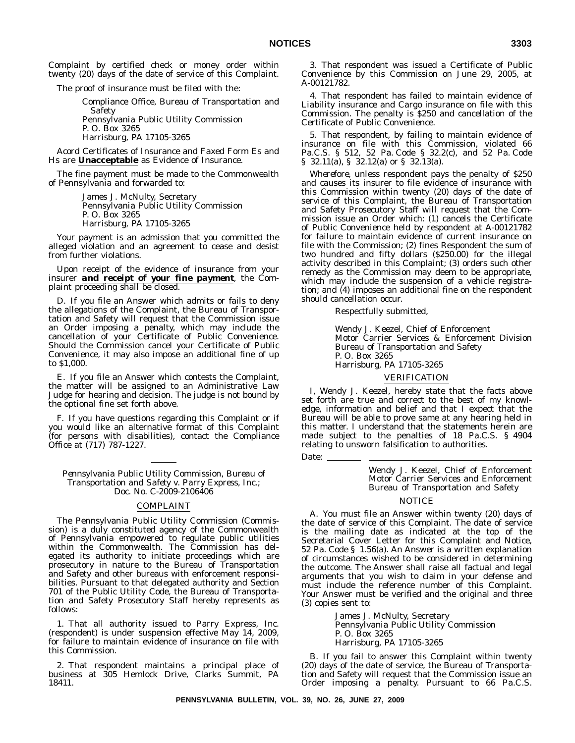Complaint by certified check or money order within twenty (20) days of the date of service of this Complaint.

The proof of insurance must be filed with the:

Compliance Office, Bureau of Transportation and Safety Pennsylvania Public Utility Commission P. O. Box 3265 Harrisburg, PA 17105-3265

Acord Certificates of Insurance and Faxed Form Es and Hs are **Unacceptable** as Evidence of Insurance.

The fine payment must be made to the Commonwealth of Pennsylvania and forwarded to:

> James J. McNulty, Secretary Pennsylvania Public Utility Commission P. O. Box 3265 Harrisburg, PA 17105-3265

Your payment is an admission that you committed the alleged violation and an agreement to cease and desist from further violations.

Upon receipt of the evidence of insurance from your insurer *and receipt of your fine payment*, the Complaint proceeding shall be closed.

D. If you file an Answer which admits or fails to deny the allegations of the Complaint, the Bureau of Transportation and Safety will request that the Commission issue an Order imposing a penalty, which may include the cancellation of your Certificate of Public Convenience. Should the Commission cancel your Certificate of Public Convenience, it may also impose an additional fine of up to \$1,000.

E. If you file an Answer which contests the Complaint, the matter will be assigned to an Administrative Law Judge for hearing and decision. The judge is not bound by the optional fine set forth above.

F. If you have questions regarding this Complaint or if you would like an alternative format of this Complaint (for persons with disabilities), contact the Compliance Office at (717) 787-1227.

*Pennsylvania Public Utility Commission, Bureau of Transportation and Safety v. Parry Express, Inc.; Doc. No. C-2009-2106406*

#### COMPLAINT

The Pennsylvania Public Utility Commission (Commission) is a duly constituted agency of the Commonwealth of Pennsylvania empowered to regulate public utilities within the Commonwealth. The Commission has delegated its authority to initiate proceedings which are prosecutory in nature to the Bureau of Transportation and Safety and other bureaus with enforcement responsibilities. Pursuant to that delegated authority and Section 701 of the Public Utility Code, the Bureau of Transportation and Safety Prosecutory Staff hereby represents as follows:

1. That all authority issued to Parry Express, Inc. (respondent) is under suspension effective May 14, 2009, for failure to maintain evidence of insurance on file with this Commission.

2. That respondent maintains a principal place of business at 305 Hemlock Drive, Clarks Summit, PA 18411.

3. That respondent was issued a Certificate of Public Convenience by this Commission on June 29, 2005, at A-00121782.

4. That respondent has failed to maintain evidence of Liability insurance and Cargo insurance on file with this Commission. The penalty is \$250 and cancellation of the Certificate of Public Convenience.

5. That respondent, by failing to maintain evidence of insurance on file with this Commission, violated 66 Pa.C.S. § 512, 52 Pa. Code § 32.2(c), and 52 Pa. Code § 32.11(a), § 32.12(a) or § 32.13(a).

*Wherefore*, unless respondent pays the penalty of \$250 and causes its insurer to file evidence of insurance with this Commission within twenty (20) days of the date of service of this Complaint, the Bureau of Transportation and Safety Prosecutory Staff will request that the Commission issue an Order which: (1) cancels the Certificate of Public Convenience held by respondent at A-00121782 for failure to maintain evidence of current insurance on file with the Commission; (2) fines Respondent the sum of two hundred and fifty dollars (\$250.00) for the illegal activity described in this Complaint; (3) orders such other remedy as the Commission may deem to be appropriate, which may include the suspension of a vehicle registration; and (4) imposes an additional fine on the respondent should cancellation occur.

Respectfully submitted,

Wendy J. Keezel, Chief of Enforcement Motor Carrier Services & Enforcement Division Bureau of Transportation and Safety P. O. Box 3265 Harrisburg, PA 17105-3265

### VERIFICATION

I, Wendy J. Keezel, hereby state that the facts above set forth are true and correct to the best of my knowledge, information and belief and that I expect that the Bureau will be able to prove same at any hearing held in this matter. I understand that the statements herein are made subject to the penalties of 18 Pa.C.S. § 4904 relating to unsworn falsification to authorities.

Date: \_

Wendy J. Keezel, Chief of Enforcement Motor Carrier Services and Enforcement Bureau of Transportation and Safety

# **NOTICE**

A. You must file an Answer within twenty (20) days of the date of service of this Complaint. The date of service is the mailing date as indicated at the top of the Secretarial Cover Letter for this Complaint and Notice, 52 Pa. Code § 1.56(a). An Answer is a written explanation of circumstances wished to be considered in determining the outcome. The Answer shall raise all factual and legal arguments that you wish to claim in your defense and must include the reference number of this Complaint. Your Answer must be verified and the original and three (3) copies sent to:

> James J. McNulty, Secretary Pennsylvania Public Utility Commission P. O. Box 3265 Harrisburg, PA 17105-3265

B. If you fail to answer this Complaint within twenty (20) days of the date of service, the Bureau of Transportation and Safety will request that the Commission issue an Order imposing a penalty. Pursuant to 66 Pa.C.S.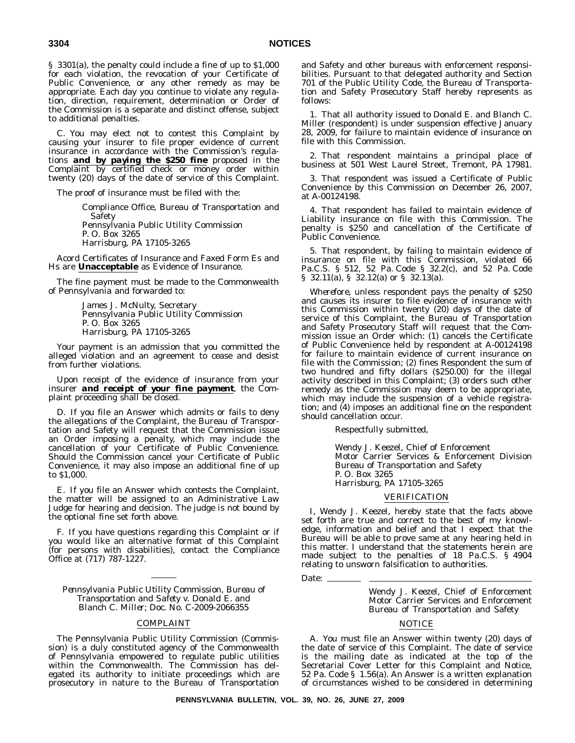§ 3301(a), the penalty could include a fine of up to \$1,000 for each violation, the revocation of your Certificate of Public Convenience, or any other remedy as may be appropriate. Each day you continue to violate any regulation, direction, requirement, determination or Order of the Commission is a separate and distinct offense, subject to additional penalties.

C. You may elect not to contest this Complaint by causing your insurer to file proper evidence of current insurance in accordance with the Commission's regulations *and by paying the \$250 fine* proposed in the Complaint by certified check or money order within twenty (20) days of the date of service of this Complaint.

The proof of insurance must be filed with the:

Compliance Office, Bureau of Transportation and Safety Pennsylvania Public Utility Commission P. O. Box 3265 Harrisburg, PA 17105-3265

Acord Certificates of Insurance and Faxed Form Es and Hs are **Unacceptable** as Evidence of Insurance.

The fine payment must be made to the Commonwealth of Pennsylvania and forwarded to:

> James J. McNulty, Secretary Pennsylvania Public Utility Commission P. O. Box 3265 Harrisburg, PA 17105-3265

Your payment is an admission that you committed the alleged violation and an agreement to cease and desist from further violations.

Upon receipt of the evidence of insurance from your insurer *and receipt of your fine payment*, the Complaint proceeding shall be closed.

D. If you file an Answer which admits or fails to deny the allegations of the Complaint, the Bureau of Transportation and Safety will request that the Commission issue an Order imposing a penalty, which may include the cancellation of your Certificate of Public Convenience. Should the Commission cancel your Certificate of Public Convenience, it may also impose an additional fine of up to \$1,000.

E. If you file an Answer which contests the Complaint, the matter will be assigned to an Administrative Law Judge for hearing and decision. The judge is not bound by the optional fine set forth above.

F. If you have questions regarding this Complaint or if you would like an alternative format of this Complaint (for persons with disabilities), contact the Compliance Office at (717) 787-1227.

*Pennsylvania Public Utility Commission, Bureau of Transportation and Safety v. Donald E. and Blanch C. Miller; Doc. No. C-2009-2066355*

#### COMPLAINT

The Pennsylvania Public Utility Commission (Commission) is a duly constituted agency of the Commonwealth of Pennsylvania empowered to regulate public utilities within the Commonwealth. The Commission has delegated its authority to initiate proceedings which are prosecutory in nature to the Bureau of Transportation and Safety and other bureaus with enforcement responsibilities. Pursuant to that delegated authority and Section 701 of the Public Utility Code, the Bureau of Transportation and Safety Prosecutory Staff hereby represents as follows:

1. That all authority issued to Donald E. and Blanch C. Miller (respondent) is under suspension effective January 28, 2009, for failure to maintain evidence of insurance on file with this Commission.

2. That respondent maintains a principal place of business at 501 West Laurel Street, Tremont, PA 17981.

3. That respondent was issued a Certificate of Public Convenience by this Commission on December 26, 2007, at A-00124198.

4. That respondent has failed to maintain evidence of Liability insurance on file with this Commission. The penalty is \$250 and cancellation of the Certificate of Public Convenience.

5. That respondent, by failing to maintain evidence of insurance on file with this Commission, violated 66 Pa.C.S. § 512, 52 Pa. Code § 32.2(c), and 52 Pa. Code § 32.11(a), § 32.12(a) or § 32.13(a).

*Wherefore*, unless respondent pays the penalty of \$250 and causes its insurer to file evidence of insurance with this Commission within twenty (20) days of the date of service of this Complaint, the Bureau of Transportation and Safety Prosecutory Staff will request that the Commission issue an Order which: (1) cancels the Certificate of Public Convenience held by respondent at A-00124198 for failure to maintain evidence of current insurance on file with the Commission; (2) fines Respondent the sum of two hundred and fifty dollars (\$250.00) for the illegal activity described in this Complaint; (3) orders such other remedy as the Commission may deem to be appropriate, which may include the suspension of a vehicle registration; and (4) imposes an additional fine on the respondent should cancellation occur.

Respectfully submitted,

Wendy J. Keezel, Chief of Enforcement Motor Carrier Services & Enforcement Division Bureau of Transportation and Safety P. O. Box 3265 Harrisburg, PA 17105-3265

#### VERIFICATION

I, Wendy J. Keezel, hereby state that the facts above set forth are true and correct to the best of my knowledge, information and belief and that I expect that the Bureau will be able to prove same at any hearing held in this matter. I understand that the statements herein are made subject to the penalties of 18 Pa.C.S. § 4904 relating to unsworn falsification to authorities.

Date: \_

Wendy J. Keezel, Chief of Enforcement Motor Carrier Services and Enforcement Bureau of Transportation and Safety

### NOTICE

A. You must file an Answer within twenty (20) days of the date of service of this Complaint. The date of service is the mailing date as indicated at the top of the Secretarial Cover Letter for this Complaint and Notice, 52 Pa. Code § 1.56(a). An Answer is a written explanation of circumstances wished to be considered in determining

**PENNSYLVANIA BULLETIN, VOL. 39, NO. 26, JUNE 27, 2009**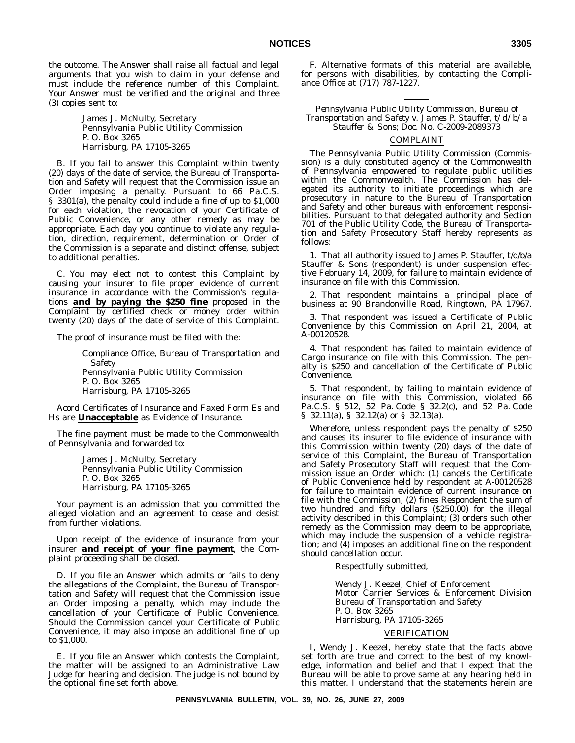the outcome. The Answer shall raise all factual and legal arguments that you wish to claim in your defense and must include the reference number of this Complaint. Your Answer must be verified and the original and three (3) copies sent to:

> James J. McNulty, Secretary Pennsylvania Public Utility Commission P. O. Box 3265 Harrisburg, PA 17105-3265

B. If you fail to answer this Complaint within twenty (20) days of the date of service, the Bureau of Transportation and Safety will request that the Commission issue an Order imposing a penalty. Pursuant to 66 Pa.C.S. § 3301(a), the penalty could include a fine of up to \$1,000 for each violation, the revocation of your Certificate of Public Convenience, or any other remedy as may be appropriate. Each day you continue to violate any regulation, direction, requirement, determination or Order of the Commission is a separate and distinct offense, subject to additional penalties.

C. You may elect not to contest this Complaint by causing your insurer to file proper evidence of current insurance in accordance with the Commission's regulations *and by paying the \$250 fine* proposed in the Complaint by certified check or money order within twenty (20) days of the date of service of this Complaint.

The proof of insurance must be filed with the:

Compliance Office, Bureau of Transportation and Safety Pennsylvania Public Utility Commission P. O. Box 3265 Harrisburg, PA 17105-3265

Acord Certificates of Insurance and Faxed Form Es and Hs are **Unacceptable** as Evidence of Insurance.

The fine payment must be made to the Commonwealth of Pennsylvania and forwarded to:

> James J. McNulty, Secretary Pennsylvania Public Utility Commission P. O. Box 3265 Harrisburg, PA 17105-3265

Your payment is an admission that you committed the alleged violation and an agreement to cease and desist from further violations.

Upon receipt of the evidence of insurance from your insurer *and receipt of your fine payment*, the Complaint proceeding shall be closed.

D. If you file an Answer which admits or fails to deny the allegations of the Complaint, the Bureau of Transportation and Safety will request that the Commission issue an Order imposing a penalty, which may include the cancellation of your Certificate of Public Convenience. Should the Commission cancel your Certificate of Public Convenience, it may also impose an additional fine of up to \$1,000.

E. If you file an Answer which contests the Complaint, the matter will be assigned to an Administrative Law Judge for hearing and decision. The judge is not bound by the optional fine set forth above.

F. Alternative formats of this material are available, for persons with disabilities, by contacting the Compliance Office at (717) 787-1227.

*Pennsylvania Public Utility Commission, Bureau of Transportation and Safety v. James P. Stauffer, t/d/b/a Stauffer & Sons; Doc. No. C-2009-2089373*

# COMPLAINT

The Pennsylvania Public Utility Commission (Commission) is a duly constituted agency of the Commonwealth of Pennsylvania empowered to regulate public utilities within the Commonwealth. The Commission has delegated its authority to initiate proceedings which are prosecutory in nature to the Bureau of Transportation and Safety and other bureaus with enforcement responsibilities. Pursuant to that delegated authority and Section 701 of the Public Utility Code, the Bureau of Transportation and Safety Prosecutory Staff hereby represents as follows:

1. That all authority issued to James P. Stauffer, t/d/b/a Stauffer & Sons (respondent) is under suspension effective February 14, 2009, for failure to maintain evidence of insurance on file with this Commission.

2. That respondent maintains a principal place of business at 90 Brandonville Road, Ringtown, PA 17967.

3. That respondent was issued a Certificate of Public Convenience by this Commission on April 21, 2004, at A-00120528.

4. That respondent has failed to maintain evidence of Cargo insurance on file with this Commission. The penalty is \$250 and cancellation of the Certificate of Public Convenience.

5. That respondent, by failing to maintain evidence of insurance on file with this Commission, violated 66 Pa.C.S. § 512, 52 Pa. Code § 32.2(c), and 52 Pa. Code § 32.11(a), § 32.12(a) or § 32.13(a).

*Wherefore*, unless respondent pays the penalty of \$250 and causes its insurer to file evidence of insurance with this Commission within twenty (20) days of the date of service of this Complaint, the Bureau of Transportation and Safety Prosecutory Staff will request that the Commission issue an Order which: (1) cancels the Certificate of Public Convenience held by respondent at A-00120528 for failure to maintain evidence of current insurance on file with the Commission; (2) fines Respondent the sum of two hundred and fifty dollars (\$250.00) for the illegal activity described in this Complaint; (3) orders such other remedy as the Commission may deem to be appropriate, which may include the suspension of a vehicle registration; and (4) imposes an additional fine on the respondent should cancellation occur.

Respectfully submitted,

Wendy J. Keezel, Chief of Enforcement Motor Carrier Services & Enforcement Division Bureau of Transportation and Safety P. O. Box 3265 Harrisburg, PA 17105-3265

### VERIFICATION

I, Wendy J. Keezel, hereby state that the facts above set forth are true and correct to the best of my knowledge, information and belief and that I expect that the Bureau will be able to prove same at any hearing held in this matter. I understand that the statements herein are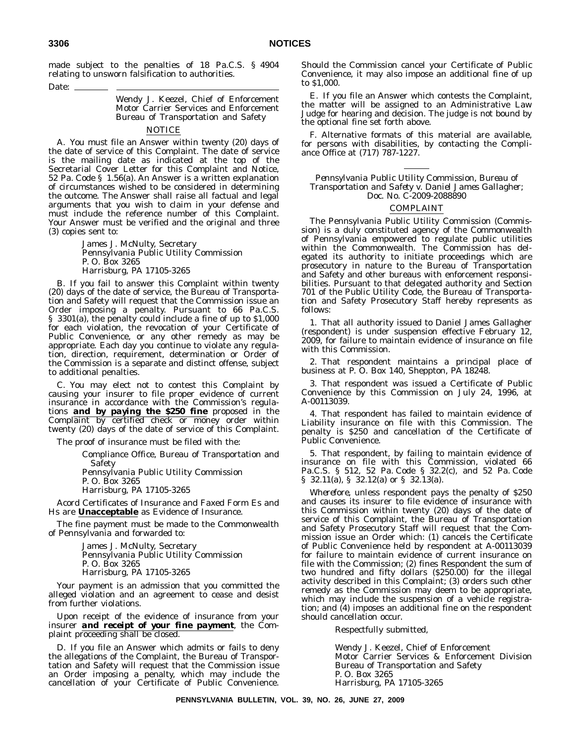made subject to the penalties of 18 Pa.C.S. § 4904 relating to unsworn falsification to authorities.

#### Date:

Wendy J. Keezel, Chief of Enforcement Motor Carrier Services and Enforcement Bureau of Transportation and Safety

#### NOTICE

A. You must file an Answer within twenty (20) days of the date of service of this Complaint. The date of service is the mailing date as indicated at the top of the Secretarial Cover Letter for this Complaint and Notice, 52 Pa. Code § 1.56(a). An Answer is a written explanation of circumstances wished to be considered in determining the outcome. The Answer shall raise all factual and legal arguments that you wish to claim in your defense and must include the reference number of this Complaint. Your Answer must be verified and the original and three (3) copies sent to:

> James J. McNulty, Secretary Pennsylvania Public Utility Commission P. O. Box 3265 Harrisburg, PA 17105-3265

B. If you fail to answer this Complaint within twenty (20) days of the date of service, the Bureau of Transportation and Safety will request that the Commission issue an Order imposing a penalty. Pursuant to 66 Pa.C.S. § 3301(a), the penalty could include a fine of up to \$1,000 for each violation, the revocation of your Certificate of Public Convenience, or any other remedy as may be appropriate. Each day you continue to violate any regulation, direction, requirement, determination or Order of the Commission is a separate and distinct offense, subject to additional penalties.

C. You may elect not to contest this Complaint by causing your insurer to file proper evidence of current insurance in accordance with the Commission's regulations *and by paying the \$250 fine* proposed in the Complaint by certified check or money order within twenty (20) days of the date of service of this Complaint.

The proof of insurance must be filed with the:

Compliance Office, Bureau of Transportation and Safety

Pennsylvania Public Utility Commission

P. O. Box 3265 Harrisburg, PA 17105-3265

Acord Certificates of Insurance and Faxed Form Es and Hs are **Unacceptable** as Evidence of Insurance.

The fine payment must be made to the Commonwealth of Pennsylvania and forwarded to:

> James J. McNulty, Secretary Pennsylvania Public Utility Commission P. O. Box 3265 Harrisburg, PA 17105-3265

Your payment is an admission that you committed the alleged violation and an agreement to cease and desist from further violations.

Upon receipt of the evidence of insurance from your insurer *and receipt of your fine payment*, the Complaint proceeding shall be closed.

D. If you file an Answer which admits or fails to deny the allegations of the Complaint, the Bureau of Transportation and Safety will request that the Commission issue an Order imposing a penalty, which may include the cancellation of your Certificate of Public Convenience.

Should the Commission cancel your Certificate of Public Convenience, it may also impose an additional fine of up to \$1,000.

E. If you file an Answer which contests the Complaint, the matter will be assigned to an Administrative Law Judge for hearing and decision. The judge is not bound by the optional fine set forth above.

F. Alternative formats of this material are available, for persons with disabilities, by contacting the Compliance Office at (717) 787-1227.

*Pennsylvania Public Utility Commission, Bureau of Transportation and Safety v. Daniel James Gallagher; Doc. No. C-2009-2088890*

### COMPLAINT

The Pennsylvania Public Utility Commission (Commission) is a duly constituted agency of the Commonwealth of Pennsylvania empowered to regulate public utilities within the Commonwealth. The Commission has delegated its authority to initiate proceedings which are prosecutory in nature to the Bureau of Transportation and Safety and other bureaus with enforcement responsibilities. Pursuant to that delegated authority and Section 701 of the Public Utility Code, the Bureau of Transportation and Safety Prosecutory Staff hereby represents as follows:

1. That all authority issued to Daniel James Gallagher (respondent) is under suspension effective February 12, 2009, for failure to maintain evidence of insurance on file with this Commission.

2. That respondent maintains a principal place of business at P. O. Box 140, Sheppton, PA 18248.

3. That respondent was issued a Certificate of Public Convenience by this Commission on July 24, 1996, at A-00113039.

4. That respondent has failed to maintain evidence of Liability insurance on file with this Commission. The penalty is \$250 and cancellation of the Certificate of Public Convenience.

5. That respondent, by failing to maintain evidence of insurance on file with this Commission, violated 66 Pa.C.S. § 512, 52 Pa. Code § 32.2(c), and 52 Pa. Code § 32.11(a), § 32.12(a) or § 32.13(a).

*Wherefore*, unless respondent pays the penalty of \$250 and causes its insurer to file evidence of insurance with this Commission within twenty (20) days of the date of service of this Complaint, the Bureau of Transportation and Safety Prosecutory Staff will request that the Commission issue an Order which: (1) cancels the Certificate of Public Convenience held by respondent at A-00113039 for failure to maintain evidence of current insurance on file with the Commission; (2) fines Respondent the sum of two hundred and fifty dollars (\$250.00) for the illegal activity described in this Complaint; (3) orders such other remedy as the Commission may deem to be appropriate, which may include the suspension of a vehicle registration; and (4) imposes an additional fine on the respondent should cancellation occur.

Respectfully submitted,

Wendy J. Keezel, Chief of Enforcement Motor Carrier Services & Enforcement Division Bureau of Transportation and Safety P. O. Box 3265 Harrisburg, PA 17105-3265

**PENNSYLVANIA BULLETIN, VOL. 39, NO. 26, JUNE 27, 2009**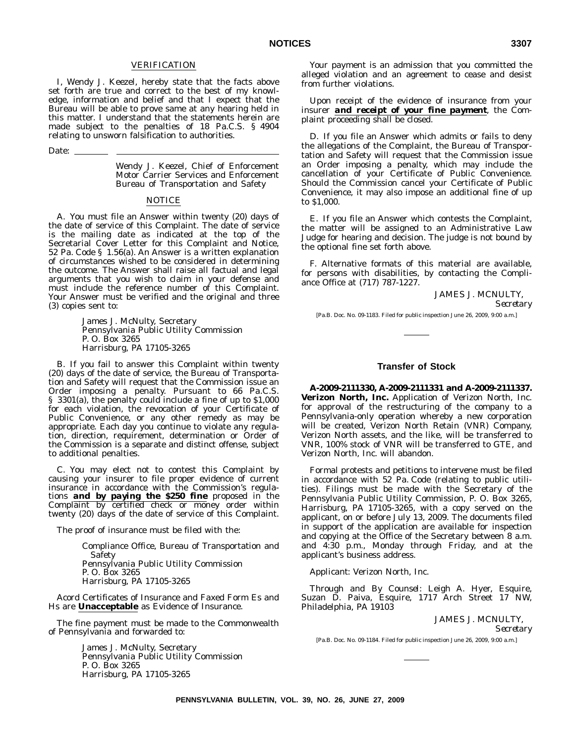### VERIFICATION

I, Wendy J. Keezel, hereby state that the facts above set forth are true and correct to the best of my knowledge, information and belief and that I expect that the Bureau will be able to prove same at any hearing held in this matter. I understand that the statements herein are made subject to the penalties of 18 Pa.C.S. § 4904 relating to unsworn falsification to authorities.

Date: \_

Wendy J. Keezel, Chief of Enforcement Motor Carrier Services and Enforcement Bureau of Transportation and Safety

#### NOTICE

A. You must file an Answer within twenty (20) days of the date of service of this Complaint. The date of service is the mailing date as indicated at the top of the Secretarial Cover Letter for this Complaint and Notice, 52 Pa. Code § 1.56(a). An Answer is a written explanation of circumstances wished to be considered in determining the outcome. The Answer shall raise all factual and legal arguments that you wish to claim in your defense and must include the reference number of this Complaint. Your Answer must be verified and the original and three (3) copies sent to:

> James J. McNulty, Secretary Pennsylvania Public Utility Commission P. O. Box 3265 Harrisburg, PA 17105-3265

B. If you fail to answer this Complaint within twenty (20) days of the date of service, the Bureau of Transportation and Safety will request that the Commission issue an Order imposing a penalty. Pursuant to 66 Pa.C.S. § 3301(a), the penalty could include a fine of up to \$1,000 for each violation, the revocation of your Certificate of Public Convenience, or any other remedy as may be appropriate. Each day you continue to violate any regulation, direction, requirement, determination or Order of the Commission is a separate and distinct offense, subject to additional penalties.

C. You may elect not to contest this Complaint by causing your insurer to file proper evidence of current insurance in accordance with the Commission's regulations *and by paying the \$250 fine* proposed in the Complaint by certified check or money order within twenty (20) days of the date of service of this Complaint.

The proof of insurance must be filed with the:

Compliance Office, Bureau of Transportation and Safety Pennsylvania Public Utility Commission P. O. Box 3265 Harrisburg, PA 17105-3265

Acord Certificates of Insurance and Faxed Form Es and Hs are **Unacceptable** as Evidence of Insurance.

The fine payment must be made to the Commonwealth of Pennsylvania and forwarded to:

> James J. McNulty, Secretary Pennsylvania Public Utility Commission P. O. Box 3265 Harrisburg, PA 17105-3265

Your payment is an admission that you committed the alleged violation and an agreement to cease and desist from further violations.

Upon receipt of the evidence of insurance from your insurer *and receipt of your fine payment*, the Complaint proceeding shall be closed.

D. If you file an Answer which admits or fails to deny the allegations of the Complaint, the Bureau of Transportation and Safety will request that the Commission issue an Order imposing a penalty, which may include the cancellation of your Certificate of Public Convenience. Should the Commission cancel your Certificate of Public Convenience, it may also impose an additional fine of up to \$1,000.

E. If you file an Answer which contests the Complaint, the matter will be assigned to an Administrative Law Judge for hearing and decision. The judge is not bound by the optional fine set forth above.

F. Alternative formats of this material are available, for persons with disabilities, by contacting the Compliance Office at (717) 787-1227.

> JAMES J. MCNULTY, *Secretary*

[Pa.B. Doc. No. 09-1183. Filed for public inspection June 26, 2009, 9:00 a.m.]

## **Transfer of Stock**

**A-2009-2111330, A-2009-2111331 and A-2009-2111337. Verizon North, Inc.** Application of Verizon North, Inc. for approval of the restructuring of the company to a Pennsylvania-only operation whereby a new corporation will be created, Verizon North Retain (VNR) Company, Verizon North assets, and the like, will be transferred to VNR, 100% stock of VNR will be transferred to GTE, and Verizon North, Inc. will abandon.

Formal protests and petitions to intervene must be filed in accordance with 52 Pa. Code (relating to public utilities). Filings must be made with the Secretary of the Pennsylvania Public Utility Commission, P. O. Box 3265, Harrisburg, PA 17105-3265, with a copy served on the applicant, on or before July 13, 2009. The documents filed in support of the application are available for inspection and copying at the Office of the Secretary between 8 a.m. and 4:30 p.m., Monday through Friday, and at the applicant's business address.

*Applicant*: Verizon North, Inc.

*Through and By Counsel*: Leigh A. Hyer, Esquire, Suzan D. Paiva, Esquire, 1717 Arch Street 17 NW, Philadelphia, PA 19103

JAMES J. MCNULTY,

*Secretary*

[Pa.B. Doc. No. 09-1184. Filed for public inspection June 26, 2009, 9:00 a.m.]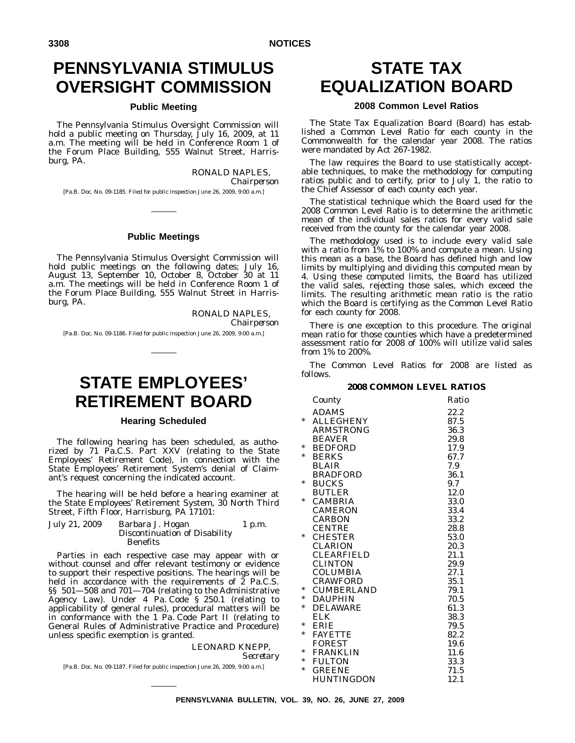# **PENNSYLVANIA STIMULUS OVERSIGHT COMMISSION**

# **Public Meeting**

The Pennsylvania Stimulus Oversight Commission will hold a public meeting on Thursday, July 16, 2009, at 11 a.m. The meeting will be held in Conference Room 1 of the Forum Place Building, 555 Walnut Street, Harrisburg, PA.

> RONALD NAPLES, *Chairperson*

[Pa.B. Doc. No. 09-1185. Filed for public inspection June 26, 2009, 9:00 a.m.]

## **Public Meetings**

The Pennsylvania Stimulus Oversight Commission will hold public meetings on the following dates; July 16, August 13, September 10, October 8, October 30 at 11 a.m. The meetings will be held in Conference Room 1 of the Forum Place Building, 555 Walnut Street in Harrisburg, PA.

RONALD NAPLES,

*Chairperson*

[Pa.B. Doc. No. 09-1186. Filed for public inspection June 26, 2009, 9:00 a.m.]

# **STATE EMPLOYEES' RETIREMENT BOARD**

#### **Hearing Scheduled**

The following hearing has been scheduled, as authorized by 71 Pa.C.S. Part XXV (relating to the State Employees' Retirement Code), in connection with the State Employees' Retirement System's denial of Claimant's request concerning the indicated account.

The hearing will be held before a hearing examiner at the State Employees' Retirement System, 30 North Third Street, Fifth Floor, Harrisburg, PA 17101:

| July 21, 2009 | Barbara J. Hogan              | $1$ p.m. |
|---------------|-------------------------------|----------|
|               | Discontinuation of Disability |          |
|               | <b>Benefits</b>               |          |

Parties in each respective case may appear with or without counsel and offer relevant testimony or evidence to support their respective positions. The hearings will be held in accordance with the requirements of  $\tilde{z}$  Pa.C.S. §§ 501—508 and 701—704 (relating to the Administrative Agency Law). Under 4 Pa. Code § 250.1 (relating to applicability of general rules), procedural matters will be in conformance with the 1 Pa. Code Part II (relating to General Rules of Administrative Practice and Procedure) unless specific exemption is granted.

# LEONARD KNEPP,

*Secretary*

[Pa.B. Doc. No. 09-1187. Filed for public inspection June 26, 2009, 9:00 a.m.]

# **STATE TAX EQUALIZATION BOARD**

# **2008 Common Level Ratios**

The State Tax Equalization Board (Board) has established a Common Level Ratio for each county in the Commonwealth for the calendar year 2008. The ratios were mandated by Act 267-1982.

The law requires the Board to use statistically acceptable techniques, to make the methodology for computing ratios public and to certify, prior to July 1, the ratio to the Chief Assessor of each county each year.

The statistical technique which the Board used for the 2008 Common Level Ratio is to determine the arithmetic mean of the individual sales ratios for every valid sale received from the county for the calendar year 2008.

The methodology used is to include every valid sale with a ratio from  $1\%$  to 100% and compute a mean. Using this mean as a base, the Board has defined high and low limits by multiplying and dividing this computed mean by 4. Using these computed limits, the Board has utilized the valid sales, rejecting those sales, which exceed the limits. The resulting arithmetic mean ratio is the ratio which the Board is certifying as the Common Level Ratio for each county for 2008.

There is one exception to this procedure. The original mean ratio for those counties which have a predetermined assessment ratio for 2008 of 100% will utilize valid sales from 1% to 200%.

The Common Level Ratios for 2008 are listed as follows.

# **2008 COMMON LEVEL RATIOS**

|        | County            | Ratio |
|--------|-------------------|-------|
|        | ADAMS             | 22.2  |
| *      | <b>ALLEGHENY</b>  | 87.5  |
|        | <b>ARMSTRONG</b>  | 36.3  |
|        | <b>BEAVER</b>     | 29.8  |
| *      | <b>BEDFORD</b>    | 17.9  |
| *      | <b>BERKS</b>      | 67.7  |
|        | <b>BLAIR</b>      | 7.9   |
|        | <b>BRADFORD</b>   | 36.1  |
| *      | <b>BUCKS</b>      | 9.7   |
|        | <b>BUTLER</b>     | 12.0  |
| $\ast$ | <b>CAMBRIA</b>    | 33.0  |
|        | <b>CAMERON</b>    | 33.4  |
|        | <b>CARBON</b>     | 33.2  |
|        | <b>CENTRE</b>     | 28.8  |
| *      | <b>CHESTER</b>    | 53.0  |
|        | CLARION           | 20.3  |
|        | <b>CLEARFIELD</b> | 21.1  |
|        | <b>CLINTON</b>    | 29.9  |
|        | COLUMBIA          | 27.1  |
|        | <b>CRAWFORD</b>   | 35.1  |
| *      | <b>CUMBERLAND</b> | 79.1  |
| $\ast$ | <b>DAUPHIN</b>    | 70.5  |
| *      | <b>DELAWARE</b>   | 61.3  |
|        | ELK.              | 38.3  |
| *      | <b>ERIE</b>       | 79.5  |
| *      | <b>FAYETTE</b>    | 82.2  |
|        | <b>FOREST</b>     | 19.6  |
| *      | <b>FRANKLIN</b>   | 11.6  |
| *      | <b>FULTON</b>     | 33.3  |
| *      | <b>GREENE</b>     | 71.5  |
|        | HUNTINGDON        | 12.1  |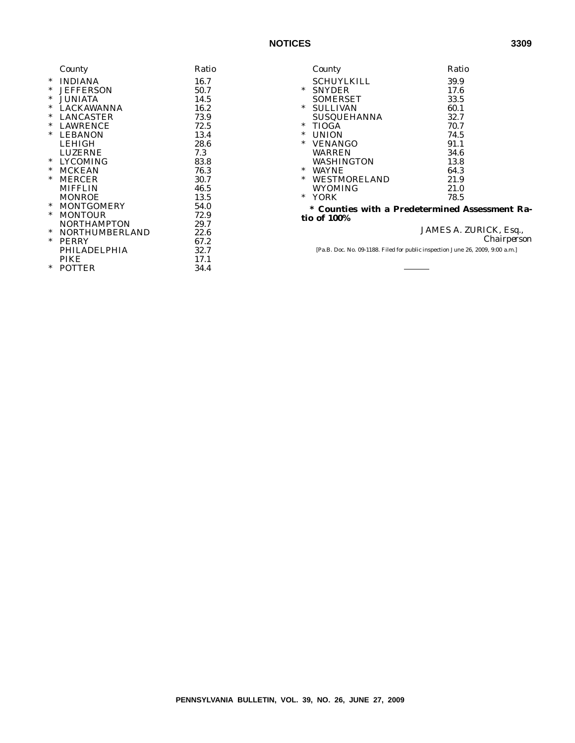|        | County                | Ratio |
|--------|-----------------------|-------|
| $\ast$ | <b>INDIANA</b>        | 16.7  |
| $\ast$ | <b>JEFFERSON</b>      | 50.7  |
| $\ast$ | <b>JUNIATA</b>        | 14.5  |
| $\ast$ | <b>LACKAWANNA</b>     | 16.2  |
| $\ast$ | <b>LANCASTER</b>      | 73.9  |
| $\ast$ | <b>LAWRENCE</b>       | 72.5  |
| $\ast$ | <b>LEBANON</b>        | 13.4  |
|        | <b>LEHIGH</b>         | 28.6  |
|        | <b>LUZERNE</b>        | 7.3   |
| $\ast$ | <b>LYCOMING</b>       | 83.8  |
| $\ast$ | <b>MCKEAN</b>         | 76.3  |
| $\ast$ | <b>MERCER</b>         | 30.7  |
|        | <b>MIFFLIN</b>        | 46.5  |
|        | <b>MONROE</b>         | 13.5  |
| *      | <b>MONTGOMERY</b>     | 54.0  |
| $\ast$ | <b>MONTOUR</b>        | 72.9  |
|        | <b>NORTHAMPTON</b>    | 29.7  |
| $\ast$ | <b>NORTHUMBERLAND</b> | 22.6  |
| $\ast$ | <b>PERRY</b>          | 67.2  |
|        | PHILADELPHIA          | 32.7  |
|        | <b>PIKE</b>           | 17.1  |
| *      | <b>POTTER</b>         | 34.4  |

|                                                                    | County              | Ratio |
|--------------------------------------------------------------------|---------------------|-------|
|                                                                    | <b>SCHUYLKILL</b>   | 39.9  |
| $\ast$                                                             | <b>SNYDER</b>       | 17.6  |
|                                                                    | <b>SOMERSET</b>     | 33.5  |
| $\ast$                                                             | <b>SULLIVAN</b>     | 60.1  |
|                                                                    | <b>SUSQUEHANNA</b>  | 32.7  |
| $\ast$                                                             | <b>TIOGA</b>        | 70.7  |
| *                                                                  | <b>UNION</b>        | 74.5  |
| $\ast$                                                             | <b>VENANGO</b>      | 91.1  |
|                                                                    | <b>WARREN</b>       | 34.6  |
|                                                                    | WASHINGTON          | 13.8  |
| $\ast$                                                             | <b>WAYNE</b>        | 64.3  |
| $\ast$                                                             | <b>WESTMORELAND</b> | 21.9  |
|                                                                    | WYOMING             | 21.0  |
| $\ast$                                                             | YORK                | 78.5  |
| <b>Counties with a Predetermined Assessment Ra-</b><br>tio of 100% |                     |       |

JAMES A. ZURICK, Esq., *Chairperson*

[Pa.B. Doc. No. 09-1188. Filed for public inspection June 26, 2009, 9:00 a.m.]